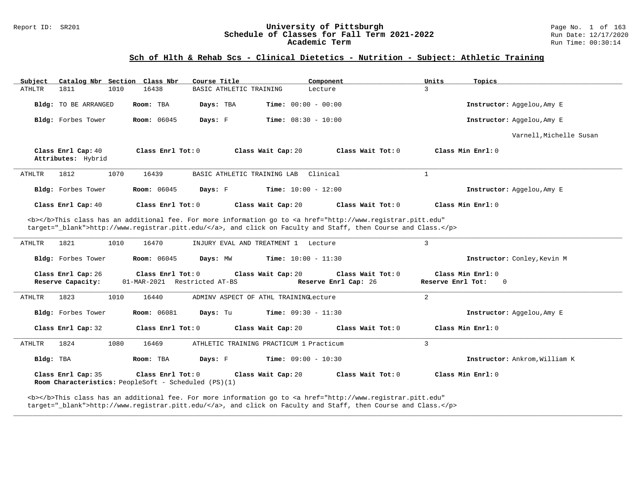# Report ID: SR201 **University of Pittsburgh University of Pittsburgh** Page No. 1 of 163<br>**Schedule of Classes for Fall Term 2021-2022** Run Date: 12/17/2020 Schedule of Classes for Fall Term 2021-2022<br>Academic Term

### **Sch of Hlth & Rehab Scs - Clinical Dietetics - Nutrition - Subject: Athletic Training**

| Catalog Nbr Section Class Nbr<br>Subject                                                                                                                                                                                                                              | Course Title                                                            | Component                                 | Units<br>Topics                                       |
|-----------------------------------------------------------------------------------------------------------------------------------------------------------------------------------------------------------------------------------------------------------------------|-------------------------------------------------------------------------|-------------------------------------------|-------------------------------------------------------|
| ATHLTR<br>1811<br>1010<br>16438                                                                                                                                                                                                                                       | BASIC ATHLETIC TRAINING                                                 | Lecture                                   | $\mathbf{3}$                                          |
| Bldg: TO BE ARRANGED<br>Room: TBA                                                                                                                                                                                                                                     | Days: TBA                                                               | <b>Time:</b> $00:00 - 00:00$              | Instructor: Aggelou, Amy E                            |
| <b>Room: 06045</b><br>Bldg: Forbes Tower                                                                                                                                                                                                                              | Days: F                                                                 | <b>Time:</b> $08:30 - 10:00$              | Instructor: Aggelou, Amy E                            |
|                                                                                                                                                                                                                                                                       |                                                                         |                                           | Varnell, Michelle Susan                               |
| Class Enrl Cap: 40<br>Attributes: Hybrid                                                                                                                                                                                                                              | Class Enrl Tot: $0$<br>Class Wait Cap: 20                               | Class Wait Tot: 0                         | Class Min Enrl: 0                                     |
| 1070<br><b>ATHLTR</b><br>1812<br>16439                                                                                                                                                                                                                                | BASIC ATHLETIC TRAINING LAB                                             | Clinical                                  | $\mathbf{1}$                                          |
| Bldg: Forbes Tower<br><b>Room:</b> 06045                                                                                                                                                                                                                              | Days: F                                                                 | <b>Time:</b> $10:00 - 12:00$              | Instructor: Aggelou, Amy E                            |
| Class Enrl Cap: 40                                                                                                                                                                                                                                                    | Class Enrl Tot: 0<br>Class Wait Cap: 20                                 | Class Wait Tot: 0                         | Class Min Enrl: 0                                     |
| <b></b> This class has an additional fee. For more information go to <a <br="" href="http://www.registrar.pitt.edu">target=" blank"&gt;http://www.registrar.pitt.edu/</a> , and click on Faculty and Staff, then Course and Class.<br>1821<br>1010<br>16470<br>ATHLTR | INJURY EVAL AND TREATMENT 1 Lecture                                     |                                           | 3                                                     |
| Bldg: Forbes Tower<br><b>Room:</b> 06045                                                                                                                                                                                                                              | Days: MW                                                                | <b>Time:</b> $10:00 - 11:30$              | Instructor: Conley, Kevin M                           |
| Class Enrl Cap: 26<br>Reserve Capacity:                                                                                                                                                                                                                               | Class Enrl Tot: 0<br>Class Wait Cap: 20<br>01-MAR-2021 Restricted AT-BS | Class Wait Tot: 0<br>Reserve Enrl Cap: 26 | Class Min Enrl: 0<br>Reserve Enrl Tot:<br>$\mathbf 0$ |
| 1823<br>16440<br>ATHLTR<br>1010                                                                                                                                                                                                                                       | ADMINV ASPECT OF ATHL TRAININGLecture                                   |                                           | 2                                                     |
| Bldg: Forbes Tower<br><b>Room:</b> 06081                                                                                                                                                                                                                              | Days: Tu                                                                | <b>Time:</b> $09:30 - 11:30$              | Instructor: Aggelou, Amy E                            |
| Class Enrl Cap: 32                                                                                                                                                                                                                                                    | Class Enrl Tot: 0<br>Class Wait Cap: 20                                 | Class Wait Tot: 0                         | $Class Min Ernst: 0$                                  |
| ATHLTR<br>1824<br>1080<br>16469                                                                                                                                                                                                                                       | ATHLETIC TRAINING PRACTICUM 1 Practicum                                 |                                           | $\overline{3}$                                        |
| Bldg: TBA<br>Room: TBA                                                                                                                                                                                                                                                | Days: F                                                                 | <b>Time:</b> $09:00 - 10:30$              | Instructor: Ankrom, William K                         |
| Class Enrl Cap: 35<br>Room Characteristics: PeopleSoft - Scheduled (PS)(1)                                                                                                                                                                                            | Class Enrl Tot: 0<br>Class Wait Cap: 20                                 | Class Wait Tot: 0                         | Class Min Enrl: 0                                     |

**\_\_\_\_\_\_\_\_\_\_\_\_\_\_\_\_\_\_\_\_\_\_\_\_\_\_\_\_\_\_\_\_\_\_\_\_\_\_\_\_\_\_\_\_\_\_\_\_\_\_\_\_\_\_\_\_\_\_\_\_\_\_\_\_\_\_\_\_\_\_\_\_\_\_\_\_\_\_\_\_\_\_\_\_\_\_\_\_\_\_\_\_\_\_\_\_\_\_\_\_\_\_\_\_\_\_\_\_\_\_\_\_\_\_\_\_\_\_\_\_\_\_\_\_\_\_\_\_\_\_\_\_\_\_\_\_\_\_\_\_\_\_\_\_\_\_\_\_\_\_\_\_\_\_\_\_**

<b></b>This class has an additional fee. For more information go to <a href="http://www.registrar.pitt.edu" target="\_blank">http://www.registrar.pitt.edu/</a>, and click on Faculty and Staff, then Course and Class.</p>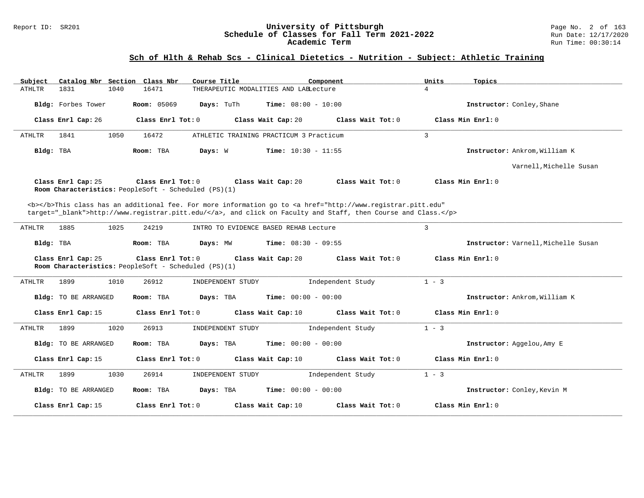#### Report ID: SR201 **University of Pittsburgh** Page No. 2 of 163 **Schedule of Classes for Fall Term 2021-2022** Run Date: 12/17/2020 **Academic Term** Run Time: 00:30:14

# **Sch of Hlth & Rehab Scs - Clinical Dietetics - Nutrition - Subject: Athletic Training**

| Catalog Nbr Section Class Nbr<br>Course Title<br>Component<br>Subject                                                                                                                                                              | Units<br>Topics                     |
|------------------------------------------------------------------------------------------------------------------------------------------------------------------------------------------------------------------------------------|-------------------------------------|
| 1831<br>1040<br>16471<br>THERAPEUTIC MODALITIES AND LAELecture<br>ATHLTR                                                                                                                                                           | $\overline{4}$                      |
| Bldg: Forbes Tower<br><b>Room: 05069</b><br>Days: TuTh<br><b>Time:</b> $08:00 - 10:00$                                                                                                                                             | Instructor: Conley, Shane           |
| Class Enrl Cap: 26<br>Class Enrl Tot: $0$<br>Class Wait Cap: 20<br>Class Wait Tot: 0                                                                                                                                               | Class Min Enrl: 0                   |
| 1841<br>1050<br>16472<br>ATHLETIC TRAINING PRACTICUM 3 Practicum<br>ATHLTR                                                                                                                                                         | $\overline{3}$                      |
| <b>Time:</b> $10:30 - 11:55$<br>Bldg: TBA<br>Room: TBA<br>Days: W                                                                                                                                                                  | Instructor: Ankrom, William K       |
|                                                                                                                                                                                                                                    | Varnell, Michelle Susan             |
| Class Enrl Cap: 25<br>Class Enrl Tot: 0<br>Class Wait Cap: 20<br>Class Wait Tot: 0<br>Room Characteristics: PeopleSoft - Scheduled (PS)(1)                                                                                         | Class Min Enrl: 0                   |
| <b></b> This class has an additional fee. For more information go to <a <br="" href="http://www.registrar.pitt.edu">target="_blank"&gt;http://www.registrar.pitt.edu/</a> , and click on Faculty and Staff, then Course and Class. |                                     |
| 1885<br>1025<br>ATHLTR<br>24219<br>INTRO TO EVIDENCE BASED REHAB Lecture                                                                                                                                                           | 3                                   |
| Time: $08:30 - 09:55$<br>Bldg: TBA<br>Room: TBA<br>Days: MW                                                                                                                                                                        | Instructor: Varnell, Michelle Susan |
| Class Enrl Cap: 25<br>Class Enrl Tot: 0<br>Class Wait Cap: 20<br>Class Wait Tot: 0<br>Room Characteristics: PeopleSoft - Scheduled (PS)(1)                                                                                         | Class Min Enrl: 0                   |
| <b>ATHLTR</b><br>1899<br>1010<br>26912<br>INDEPENDENT STUDY<br>Independent Study                                                                                                                                                   | $1 - 3$                             |
| Room: TBA<br>Days: TBA<br><b>Time:</b> $00:00 - 00:00$<br><b>Bldg:</b> TO BE ARRANGED                                                                                                                                              | Instructor: Ankrom, William K       |
| Class Enrl Tot: 0<br>Class Wait Tot: 0<br>Class Enrl Cap: 15<br>Class Wait Cap: 10                                                                                                                                                 | Class Min Enrl: 0                   |
| <b>ATHLTR</b><br>1899<br>1020<br>26913<br>INDEPENDENT STUDY<br>Independent Study                                                                                                                                                   | $1 - 3$                             |
| Bldg: TO BE ARRANGED<br>Days: TBA<br><b>Time:</b> $00:00 - 00:00$<br>Room: TBA                                                                                                                                                     | Instructor: Aggelou, Amy E          |
| Class Enrl Cap: 15<br>Class Enrl Tot: $0$<br>Class Wait Cap: 10<br>Class Wait Tot: 0                                                                                                                                               | Class Min Enrl: 0                   |
| 1899<br>1030<br>26914<br>Independent Study<br>ATHLTR<br>INDEPENDENT STUDY                                                                                                                                                          | $1 - 3$                             |
| Days: TBA<br><b>Time:</b> $00:00 - 00:00$<br>Bldg: TO BE ARRANGED<br>Room: TBA                                                                                                                                                     | Instructor: Conley, Kevin M         |
| Class Enrl Cap: 15<br>Class Enrl Tot: 0<br>Class Wait Cap: 10<br>Class Wait Tot: 0                                                                                                                                                 | Class Min Enrl: 0                   |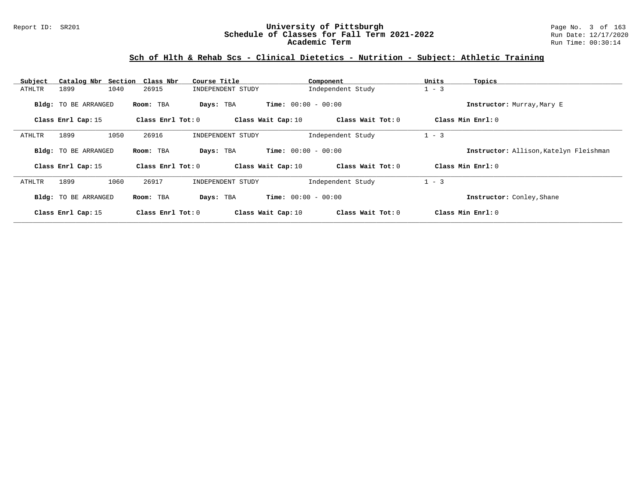### Report ID: SR201 **University of Pittsburgh** Page No. 3 of 163 **Schedule of Classes for Fall Term 2021-2022** Run Date: 12/17/2020 **Academic Term** Run Time: 00:30:14

# **Sch of Hlth & Rehab Scs - Clinical Dietetics - Nutrition - Subject: Athletic Training**

| Subject |                             | Catalog Nbr Section Class Nbr | Course Title       | Component                    | Units<br>Topics                        |  |
|---------|-----------------------------|-------------------------------|--------------------|------------------------------|----------------------------------------|--|
| ATHLTR  | 1899                        | 1040<br>26915                 | INDEPENDENT STUDY  | Independent Study            | $1 - 3$                                |  |
|         | <b>Bldg:</b> TO BE ARRANGED | Room: TBA                     | Days: TBA          | <b>Time:</b> $00:00 - 00:00$ | Instructor: Murray, Mary E             |  |
|         | Class Enrl Cap: 15          | Class Enrl Tot: $0$           | Class Wait Cap: 10 | Class Wait Tot: $0$          | Class Min Enrl: 0                      |  |
| ATHLTR  | 1899                        | 1050<br>26916                 | INDEPENDENT STUDY  | Independent Study            | $1 - 3$                                |  |
|         | <b>Bldg:</b> TO BE ARRANGED | Room: TBA                     | Days: TBA          | <b>Time:</b> $00:00 - 00:00$ | Instructor: Allison, Katelyn Fleishman |  |
|         | Class Enrl Cap: 15          | Class Enrl Tot: 0             | Class Wait Cap: 10 | Class Wait Tot: 0            | Class Min Enrl: 0                      |  |
| ATHLTR  | 1899                        | 1060<br>26917                 | INDEPENDENT STUDY  | Independent Study            | $1 - 3$                                |  |
|         | <b>Bldg:</b> TO BE ARRANGED | Room: TBA                     | Days: TBA          | <b>Time:</b> $00:00 - 00:00$ | Instructor: Conley, Shane              |  |
|         | Class Enrl Cap: 15          | Class Enrl Tot: 0             | Class Wait Cap: 10 | Class Wait Tot: 0            | Class Min Enrl: 0                      |  |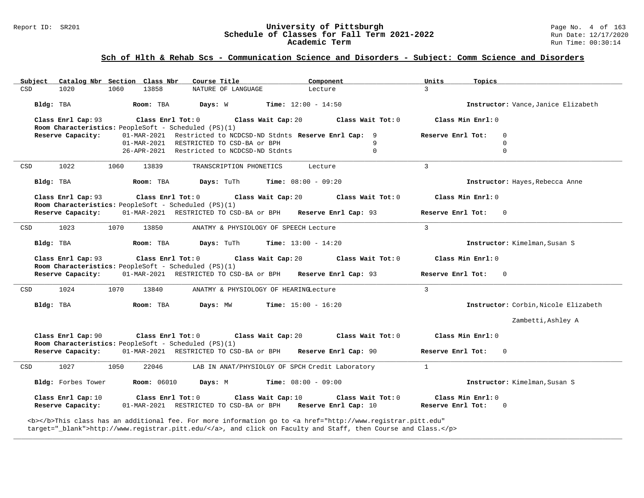#### Report ID: SR201 **University of Pittsburgh** Page No. 4 of 163 **Schedule of Classes for Fall Term 2021-2022** Run Date: 12/17/2020 **Academic Term** Run Time: 00:30:14

### **Sch of Hlth & Rehab Scs - Communication Science and Disorders - Subject: Comm Science and Disorders**

| Subject    | Catalog Nbr Section Class Nbr                                              |      |                    | Course Title                               |                         |                    | Component                                                      |                   | Units         | Topics              |                                      |
|------------|----------------------------------------------------------------------------|------|--------------------|--------------------------------------------|-------------------------|--------------------|----------------------------------------------------------------|-------------------|---------------|---------------------|--------------------------------------|
| CSD        | 1020                                                                       | 1060 | 13858              |                                            | NATURE OF LANGUAGE      |                    | Lecture                                                        |                   | $\mathcal{L}$ |                     |                                      |
|            | Bldg: TBA                                                                  |      | Room: TBA          | Days: W                                    |                         |                    | <b>Time:</b> $12:00 - 14:50$                                   |                   |               |                     | Instructor: Vance, Janice Elizabeth  |
|            | Class Enrl Cap: 93<br>Room Characteristics: PeopleSoft - Scheduled (PS)(1) |      | Class Enrl Tot: 0  |                                            |                         | Class Wait Cap: 20 |                                                                | Class Wait Tot: 0 |               | Class Min Enrl: 0   |                                      |
|            | Reserve Capacity:                                                          |      |                    |                                            |                         |                    | 01-MAR-2021 Restricted to NCDCSD-ND Stdnts Reserve Enrl Cap: 9 |                   |               | Reserve Enrl Tot:   | $\Omega$                             |
|            |                                                                            |      |                    | 01-MAR-2021 RESTRICTED TO CSD-BA or BPH    |                         |                    |                                                                | 9                 |               |                     | $\Omega$                             |
|            |                                                                            |      |                    | 26-APR-2021 Restricted to NCDCSD-ND Stdnts |                         |                    |                                                                | $\mathbf 0$       |               |                     | $\Omega$                             |
| CSD        | 1022                                                                       | 1060 | 13839              |                                            | TRANSCRIPTION PHONETICS |                    | Lecture                                                        |                   | $\mathcal{L}$ |                     |                                      |
|            | Bldg: TBA                                                                  |      | Room: TBA          | Days: TuTh                                 |                         |                    | <b>Time:</b> $08:00 - 09:20$                                   |                   |               |                     | Instructor: Hayes, Rebecca Anne      |
|            | Class Enrl Cap: 93<br>Room Characteristics: PeopleSoft - Scheduled (PS)(1) |      | Class Enrl Tot: 0  |                                            |                         | Class Wait Cap: 20 |                                                                | Class Wait Tot: 0 |               | Class Min Enrl: 0   |                                      |
|            | Reserve Capacity:                                                          |      |                    |                                            |                         |                    | 01-MAR-2021 RESTRICTED TO CSD-BA or BPH Reserve Enrl Cap: 93   |                   |               | Reserve Enrl Tot: 0 |                                      |
| CSD        | 1023                                                                       | 1070 | 13850              |                                            |                         |                    | ANATMY & PHYSIOLOGY OF SPEECH Lecture                          |                   | $\mathbf{3}$  |                     |                                      |
|            |                                                                            |      |                    |                                            |                         |                    |                                                                |                   |               |                     |                                      |
|            | Bldg: TBA                                                                  |      | Room: TBA          | Days: TuTh                                 |                         |                    | <b>Time:</b> $13:00 - 14:20$                                   |                   |               |                     | Instructor: Kimelman, Susan S        |
|            | Class Enrl Cap: 93<br>Room Characteristics: PeopleSoft - Scheduled (PS)(1) |      | Class Enrl Tot: 0  |                                            |                         | Class Wait Cap: 20 |                                                                | Class Wait Tot: 0 |               | Class Min Enrl: 0   |                                      |
|            | Reserve Capacity:                                                          |      |                    |                                            |                         |                    | 01-MAR-2021 RESTRICTED TO CSD-BA or BPH Reserve Enrl Cap: 93   |                   |               | Reserve Enrl Tot:   | $\Omega$                             |
|            | 1024                                                                       | 1070 | 13840              |                                            |                         |                    | ANATMY & PHYSIOLOGY OF HEARINGLecture                          |                   | $\mathbf{3}$  |                     |                                      |
|            | Bldg: TBA                                                                  |      | Room: TBA          | Days: MW                                   |                         |                    | $Time: 15:00 - 16:20$                                          |                   |               |                     | Instructor: Corbin, Nicole Elizabeth |
|            |                                                                            |      |                    |                                            |                         |                    |                                                                |                   |               |                     | Zambetti, Ashley A                   |
|            | Class Enrl Cap: 90                                                         |      | Class Enrl Tot: 0  |                                            | Class Wait Cap: 20      |                    |                                                                | Class Wait Tot: 0 |               | Class Min Enrl: 0   |                                      |
|            | Room Characteristics: PeopleSoft - Scheduled (PS)(1)<br>Reserve Capacity:  |      |                    |                                            |                         |                    | 01-MAR-2021 RESTRICTED TO CSD-BA or BPH Reserve Enrl Cap: 90   |                   |               | Reserve Enrl Tot:   | $\Omega$                             |
|            | 1027                                                                       | 1050 | 22046              |                                            |                         |                    | LAB IN ANAT/PHYSIOLGY OF SPCH Credit Laboratory                |                   | $\mathbf{1}$  |                     |                                      |
| CSD<br>CSD | Bldg: Forbes Tower                                                         |      | <b>Room:</b> 06010 | Days: M                                    |                         |                    | <b>Time:</b> $08:00 - 09:00$                                   |                   |               |                     | Instructor: Kimelman, Susan S        |
|            | Class Enrl Cap: 10                                                         |      | Class Enrl Tot: 0  |                                            |                         | Class Wait Cap: 10 |                                                                | Class Wait Tot: 0 |               | Class Min $Enr1: 0$ |                                      |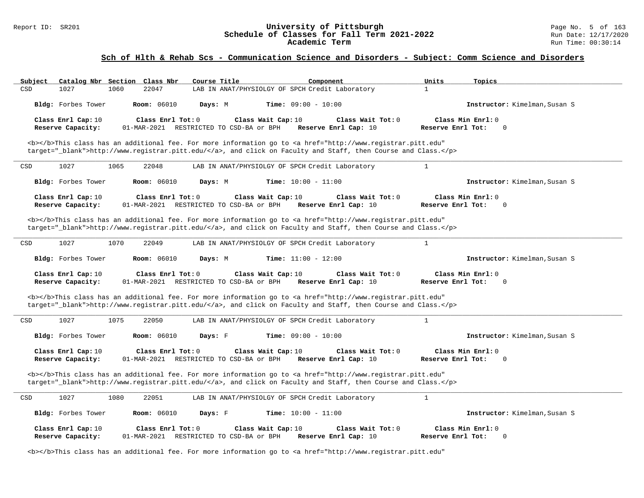#### Report ID: SR201 **University of Pittsburgh** Page No. 5 of 163 **Schedule of Classes for Fall Term 2021-2022** Run Date: 12/17/2020 **Academic Term** Run Time: 00:30:14

| Subject<br>Catalog Nbr Section Class Nbr                                                                                                                                                                                           | Course Title                                                  | Component<br>Units                                             | Topics                           |
|------------------------------------------------------------------------------------------------------------------------------------------------------------------------------------------------------------------------------------|---------------------------------------------------------------|----------------------------------------------------------------|----------------------------------|
| CSD<br>1027<br>1060<br>22047                                                                                                                                                                                                       | LAB IN ANAT/PHYSIOLGY OF SPCH Credit Laboratory               | $\mathbf{1}$                                                   |                                  |
| <b>Room: 06010</b><br>Bldg: Forbes Tower                                                                                                                                                                                           | <b>Time:</b> $09:00 - 10:00$<br>Days: M                       |                                                                | Instructor: Kimelman, Susan S    |
| Class Enrl Cap: 10<br>Class Enrl Tot: 0                                                                                                                                                                                            | Class Wait Cap: 10                                            | Class Wait Tot: 0                                              | Class Min Enrl: 0                |
| Reserve Capacity:                                                                                                                                                                                                                  | 01-MAR-2021 RESTRICTED TO CSD-BA or BPH                       | Reserve Enrl Cap: 10<br>Reserve Enrl Tot:                      | $\mathbf 0$                      |
| <b></b> This class has an additional fee. For more information go to <a <br="" href="http://www.registrar.pitt.edu">target="_blank"&gt;http://www.registrar.pitt.edu/</a> , and click on Faculty and Staff, then Course and Class. |                                                               |                                                                |                                  |
| CSD<br>1027<br>1065<br>22048                                                                                                                                                                                                       | LAB IN ANAT/PHYSIOLGY OF SPCH Credit Laboratory               | $\mathbf{1}$                                                   |                                  |
| Bldg: Forbes Tower<br><b>Room:</b> 06010                                                                                                                                                                                           | Time: $10:00 - 11:00$<br>Days: M                              |                                                                | Instructor: Kimelman, Susan S    |
| Class Enrl Cap: 10<br>Class Enrl Tot: 0                                                                                                                                                                                            | Class Wait Cap: 10                                            | Class Wait Tot: 0                                              | Class Min Enrl: 0                |
| Reserve Capacity:                                                                                                                                                                                                                  | 01-MAR-2021 RESTRICTED TO CSD-BA or BPH                       | Reserve Enrl Cap: 10<br>Reserve Enrl Tot:                      | $\mathbf 0$                      |
| <b></b> This class has an additional fee. For more information go to <a <="" href="http://www.registrar.pitt.edu" td=""><td></td><td></td><td></td></a>                                                                            |                                                               |                                                                |                                  |
| target="_blank">http://www.registrar.pitt.edu/, and click on Faculty and Staff, then Course and Class.                                                                                                                             |                                                               |                                                                |                                  |
| 1027<br>1070<br>22049<br>CSD                                                                                                                                                                                                       | LAB IN ANAT/PHYSIOLGY OF SPCH Credit Laboratory               | $\mathbf{1}$                                                   |                                  |
| Bldg: Forbes Tower<br><b>Room: 06010</b>                                                                                                                                                                                           | Days: M<br><b>Time:</b> $11:00 - 12:00$                       |                                                                | Instructor: Kimelman, Susan S    |
|                                                                                                                                                                                                                                    |                                                               |                                                                |                                  |
| Class Enrl Cap: 10<br>Class Enrl Tot: 0<br>Reserve Capacity:                                                                                                                                                                       | Class Wait Cap: 10<br>01-MAR-2021 RESTRICTED TO CSD-BA or BPH | Class Wait Tot: 0<br>Reserve Enrl Cap: 10<br>Reserve Enrl Tot: | Class Min Enrl: 0<br>$\mathbf 0$ |
| <b></b> This class has an additional fee. For more information go to <a <br="" href="http://www.registrar.pitt.edu">target="_blank"&gt;http://www.registrar.pitt.edu/</a> , and click on Faculty and Staff, then Course and Class. |                                                               |                                                                |                                  |
| 1027<br>1075<br>22050<br>CSD                                                                                                                                                                                                       | LAB IN ANAT/PHYSIOLGY OF SPCH Credit Laboratory               | $\mathbf{1}$                                                   |                                  |
| Bldg: Forbes Tower<br><b>Room: 06010</b>                                                                                                                                                                                           | <b>Time:</b> $09:00 - 10:00$<br>Days: F                       |                                                                | Instructor: Kimelman, Susan S    |
| Class Enrl Cap: 10<br>Class Enrl Tot: 0<br>Reserve Capacity:                                                                                                                                                                       | Class Wait Cap: 10<br>01-MAR-2021 RESTRICTED TO CSD-BA or BPH | Class Wait Tot: 0<br>Reserve Enrl Cap: 10<br>Reserve Enrl Tot: | Class Min Enrl: 0<br>$\mathbf 0$ |
| <b></b> This class has an additional fee. For more information go to <a <br="" href="http://www.registrar.pitt.edu">target="_blank"&gt;http://www.registrar.pitt.edu/</a> , and click on Faculty and Staff, then Course and Class. |                                                               |                                                                |                                  |
| 1027<br>1080<br>22051<br>CSD                                                                                                                                                                                                       | LAB IN ANAT/PHYSIOLGY OF SPCH Credit Laboratory               | $\mathbf{1}$                                                   |                                  |
| Bldg: Forbes Tower<br><b>Room: 06010</b>                                                                                                                                                                                           | Days: F<br><b>Time:</b> $10:00 - 11:00$                       |                                                                | Instructor: Kimelman, Susan S    |
| Class Enrl Cap: 10<br>Class Enrl Tot: 0<br>Reserve Capacity:                                                                                                                                                                       | Class Wait Cap: 10<br>01-MAR-2021 RESTRICTED TO CSD-BA or BPH | Class Wait Tot: 0<br>Reserve Enrl Cap: 10<br>Reserve Enrl Tot: | Class Min Enrl: 0<br>0           |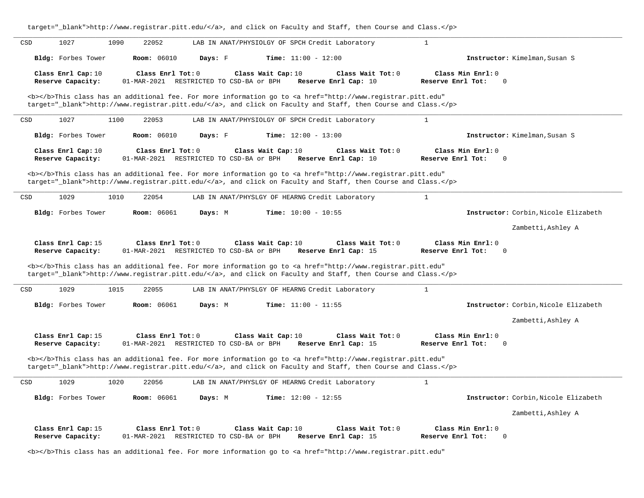| target="_biank">nttp://www.registrar.pitt.edu/, and click on raculty and stall, then course and class.                                                                                                                                                                                                                                                                                |                                                       |
|---------------------------------------------------------------------------------------------------------------------------------------------------------------------------------------------------------------------------------------------------------------------------------------------------------------------------------------------------------------------------------------|-------------------------------------------------------|
| 1027<br>1090<br>22052<br>CSD<br>LAB IN ANAT/PHYSIOLGY OF SPCH Credit Laboratory                                                                                                                                                                                                                                                                                                       | $\mathbf{1}$                                          |
| Bldg: Forbes Tower<br><b>Room: 06010</b><br>Time: $11:00 - 12:00$<br>Days: F                                                                                                                                                                                                                                                                                                          | Instructor: Kimelman, Susan S                         |
| Class Enrl Cap: 10<br>Class Enrl Tot: 0<br>Class Wait Cap: 10<br>Class Wait Tot: 0<br>Reserve Capacity:<br>01-MAR-2021 RESTRICTED TO CSD-BA or BPH<br>Reserve Enrl Cap: 10                                                                                                                                                                                                            | Class Min Enrl: 0<br>Reserve Enrl Tot:<br>$\mathbf 0$ |
| <b></b> This class has an additional fee. For more information go to <a <br="" href="http://www.registrar.pitt.edu">target="_blank"&gt;http://www.registrar.pitt.edu/</a> , and click on Faculty and Staff, then Course and Class.                                                                                                                                                    |                                                       |
| 1027<br>1100<br>22053<br>CSD<br>LAB IN ANAT/PHYSIOLGY OF SPCH Credit Laboratory                                                                                                                                                                                                                                                                                                       | $1\,$                                                 |
| Bldg: Forbes Tower<br>Room: 06010<br>Days: F<br><b>Time:</b> $12:00 - 13:00$                                                                                                                                                                                                                                                                                                          | Instructor: Kimelman, Susan S                         |
| Class Enrl Cap: 10<br>Class Enrl Tot: 0<br>Class Wait Cap: 10<br>Class Wait Tot: 0<br>Reserve Capacity:<br>01-MAR-2021 RESTRICTED TO CSD-BA or BPH<br>Reserve Enrl Cap: 10<br><b></b> This class has an additional fee. For more information go to <a <="" href="http://www.registrar.pitt.edu" td=""><td>Class Min Enrl: 0<br/>Reserve Enrl Tot:<br/><math>\mathbf 0</math></td></a> | Class Min Enrl: 0<br>Reserve Enrl Tot:<br>$\mathbf 0$ |
| target="_blank">http://www.registrar.pitt.edu/, and click on Faculty and Staff, then Course and Class.                                                                                                                                                                                                                                                                                |                                                       |
| 1029<br>1010<br>22054<br>CSD<br>LAB IN ANAT/PHYSLGY OF HEARNG Credit Laboratory                                                                                                                                                                                                                                                                                                       | $\mathbf{1}$                                          |
| Bldg: Forbes Tower<br><b>Room:</b> 06061<br>Days: M<br><b>Time:</b> $10:00 - 10:55$                                                                                                                                                                                                                                                                                                   | Instructor: Corbin, Nicole Elizabeth                  |
|                                                                                                                                                                                                                                                                                                                                                                                       | Zambetti, Ashley A                                    |
|                                                                                                                                                                                                                                                                                                                                                                                       |                                                       |
| Class Enrl Cap: 15<br>Class Enrl Tot: 0<br>Class Wait Cap: 10<br>Class Wait Tot: 0<br>Reserve Capacity:<br>01-MAR-2021 RESTRICTED TO CSD-BA or BPH<br>Reserve Enrl Cap: 15                                                                                                                                                                                                            | Class Min Enrl: 0<br>Reserve Enrl Tot:<br>$\mathbf 0$ |
| <b></b> This class has an additional fee. For more information go to <a <br="" href="http://www.registrar.pitt.edu">target="_blank"&gt;http://www.registrar.pitt.edu/</a> , and click on Faculty and Staff, then Course and Class.                                                                                                                                                    |                                                       |
| 1029<br>CSD<br>1015<br>22055<br>LAB IN ANAT/PHYSLGY OF HEARNG Credit Laboratory                                                                                                                                                                                                                                                                                                       | $\mathbf{1}$                                          |
| Bldg: Forbes Tower<br><b>Room: 06061</b><br>Time: $11:00 - 11:55$<br>Days: M                                                                                                                                                                                                                                                                                                          | Instructor: Corbin, Nicole Elizabeth                  |
|                                                                                                                                                                                                                                                                                                                                                                                       | Zambetti, Ashley A                                    |
| Class Enrl Cap: 15<br>Class Enrl Tot: 0<br>Class Wait Cap: 10<br>Class Wait Tot: 0<br>01-MAR-2021 RESTRICTED TO CSD-BA or BPH<br>Reserve Capacity:<br>Reserve Enrl Cap: 15                                                                                                                                                                                                            | Class Min Enrl: 0<br>Reserve Enrl Tot:<br>$\mathbf 0$ |
| <b></b> This class has an additional fee. For more information go to <a <br="" href="http://www.registrar.pitt.edu">target="_blank"&gt;http://www.registrar.pitt.edu/</a> , and click on Faculty and Staff, then Course and Class.                                                                                                                                                    |                                                       |
| 1029<br>CSD<br>1020<br>22056<br>LAB IN ANAT/PHYSLGY OF HEARNG Credit Laboratory                                                                                                                                                                                                                                                                                                       | $\mathbf{1}$                                          |
| Bldg: Forbes Tower<br><b>Room: 06061</b><br>Days: M<br>Time: $12:00 - 12:55$                                                                                                                                                                                                                                                                                                          | Instructor: Corbin, Nicole Elizabeth                  |
|                                                                                                                                                                                                                                                                                                                                                                                       | Zambetti, Ashley A                                    |

<b></b>This class has an additional fee. For more information go to <a href="http://www.registrar.pitt.edu"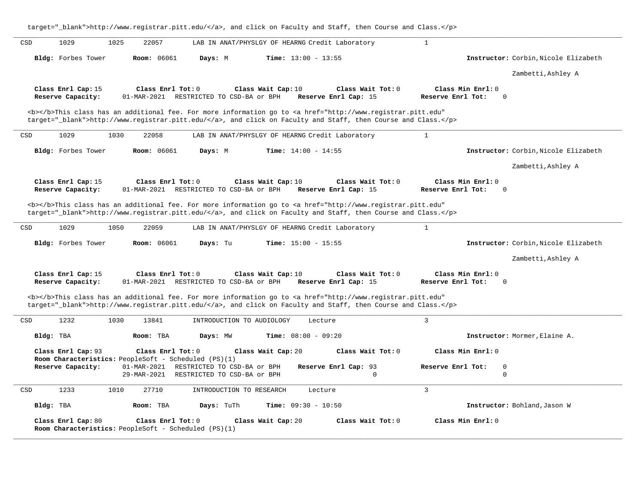|           | 1029                                                                       | 1025        | 22057              |            | LAB IN ANAT/PHYSLGY OF HEARNG Credit Laboratory                                                                                                                                                                                                                                       |                              |                                           |                   | $\mathbf{1}$      |                                  |                                      |
|-----------|----------------------------------------------------------------------------|-------------|--------------------|------------|---------------------------------------------------------------------------------------------------------------------------------------------------------------------------------------------------------------------------------------------------------------------------------------|------------------------------|-------------------------------------------|-------------------|-------------------|----------------------------------|--------------------------------------|
|           | Bldg: Forbes Tower                                                         |             | <b>Room:</b> 06061 | Days: M    |                                                                                                                                                                                                                                                                                       | <b>Time:</b> $13:00 - 13:55$ |                                           |                   |                   |                                  | Instructor: Corbin, Nicole Elizabeth |
|           |                                                                            |             |                    |            |                                                                                                                                                                                                                                                                                       |                              |                                           |                   |                   |                                  | Zambetti, Ashley A                   |
|           | Class Enrl Cap: 15<br>Reserve Capacity:                                    |             | Class Enrl Tot: 0  |            | Class Wait Cap: 10<br>01-MAR-2021 RESTRICTED TO CSD-BA or BPH                                                                                                                                                                                                                         |                              | Class Wait Tot: 0<br>Reserve Enrl Cap: 15 |                   | Reserve Enrl Tot: | Class Min Enrl: 0<br>$\mathbf 0$ |                                      |
|           |                                                                            |             |                    |            | <b></b> This class has an additional fee. For more information go to <a <br="" href="http://www.registrar.pitt.edu">target="_blank"&gt;http://www.registrar.pitt.edu/</a> , and click on Faculty and Staff, then Course and Class.                                                    |                              |                                           |                   |                   |                                  |                                      |
| CSD       | 1029                                                                       | 1030        | 22058              |            | LAB IN ANAT/PHYSLGY OF HEARNG Credit Laboratory                                                                                                                                                                                                                                       |                              |                                           |                   | $\mathbf{1}$      |                                  |                                      |
|           | Bldg: Forbes Tower                                                         |             | <b>Room: 06061</b> | Days: M    |                                                                                                                                                                                                                                                                                       | <b>Time:</b> $14:00 - 14:55$ |                                           |                   |                   |                                  | Instructor: Corbin, Nicole Elizabeth |
|           |                                                                            |             |                    |            |                                                                                                                                                                                                                                                                                       |                              |                                           |                   |                   |                                  | Zambetti, Ashley A                   |
|           | Class Enrl Cap: 15<br>Reserve Capacity:                                    |             | Class Enrl Tot: 0  |            | Class Wait Cap: 10<br>01-MAR-2021 RESTRICTED TO CSD-BA or BPH                                                                                                                                                                                                                         |                              | Reserve Enrl Cap: 15                      | Class Wait Tot: 0 | Reserve Enrl Tot: | Class Min Enrl: 0<br>$\mathbf 0$ |                                      |
| CSD       | 1029                                                                       | 1050        | 22059              |            | <b></b> This class has an additional fee. For more information go to <a <br="" href="http://www.registrar.pitt.edu">target="_blank"&gt;http://www.registrar.pitt.edu/</a> , and click on Faculty and Staff, then Course and Class.<br>LAB IN ANAT/PHYSLGY OF HEARNG Credit Laboratory |                              |                                           |                   | $\mathbf{1}$      |                                  |                                      |
|           |                                                                            |             |                    |            |                                                                                                                                                                                                                                                                                       |                              |                                           |                   |                   |                                  |                                      |
|           | Bldg: Forbes Tower                                                         |             | <b>Room:</b> 06061 | Days: Tu   |                                                                                                                                                                                                                                                                                       | <b>Time:</b> $15:00 - 15:55$ |                                           |                   |                   |                                  |                                      |
|           |                                                                            |             |                    |            |                                                                                                                                                                                                                                                                                       |                              |                                           |                   |                   |                                  | Zambetti, Ashley A                   |
|           | Class Enrl Cap: 15<br>Reserve Capacity:                                    |             | Class Enrl Tot: 0  |            | Class Wait Cap: 10<br>01-MAR-2021 RESTRICTED TO CSD-BA or BPH                                                                                                                                                                                                                         |                              | Class Wait Tot: 0<br>Reserve Enrl Cap: 15 |                   | Reserve Enrl Tot: | Class Min Enrl: 0<br>0           |                                      |
|           |                                                                            |             |                    |            | <b></b> This class has an additional fee. For more information go to <a <br="" href="http://www.registrar.pitt.edu">target="_blank"&gt;http://www.registrar.pitt.edu/</a> , and click on Faculty and Staff, then Course and Class.                                                    |                              |                                           |                   |                   |                                  |                                      |
|           | 1232                                                                       | 1030        | 13841              |            | INTRODUCTION TO AUDIOLOGY                                                                                                                                                                                                                                                             |                              | Lecture                                   |                   | $\overline{3}$    |                                  |                                      |
| Bldg: TBA |                                                                            |             | Room: TBA          | Days: MW   |                                                                                                                                                                                                                                                                                       | <b>Time:</b> $08:00 - 09:20$ |                                           |                   |                   |                                  | Instructor: Mormer, Elaine A.        |
| CSD       | Class Enrl Cap: 93<br>Room Characteristics: PeopleSoft - Scheduled (PS)(1) |             | Class Enrl Tot: 0  |            | Class Wait Cap: 20                                                                                                                                                                                                                                                                    |                              |                                           | Class Wait Tot: 0 |                   | Class Min Enrl: 0                |                                      |
|           | Reserve Capacity:                                                          | 29-MAR-2021 |                    |            | 01-MAR-2021 RESTRICTED TO CSD-BA or BPH<br>RESTRICTED TO CSD-BA or BPH                                                                                                                                                                                                                |                              | Reserve Enrl Cap: 93                      | $\mathbf 0$       | Reserve Enrl Tot: | $\mathbf 0$<br>$\mathsf 0$       | Instructor: Corbin, Nicole Elizabeth |
| CSD       | 1233                                                                       | 1010        | 27710              |            | INTRODUCTION TO RESEARCH                                                                                                                                                                                                                                                              |                              | Lecture                                   |                   | $\overline{3}$    |                                  |                                      |
| Bldg: TBA |                                                                            |             | Room: TBA          | Days: TuTh |                                                                                                                                                                                                                                                                                       | <b>Time:</b> $09:30 - 10:50$ |                                           |                   |                   |                                  | Instructor: Bohland, Jason W         |

target="\_blank">http://www.registrar.pitt.edu/</a>, and click on Faculty and Staff, then Course and Class.</p>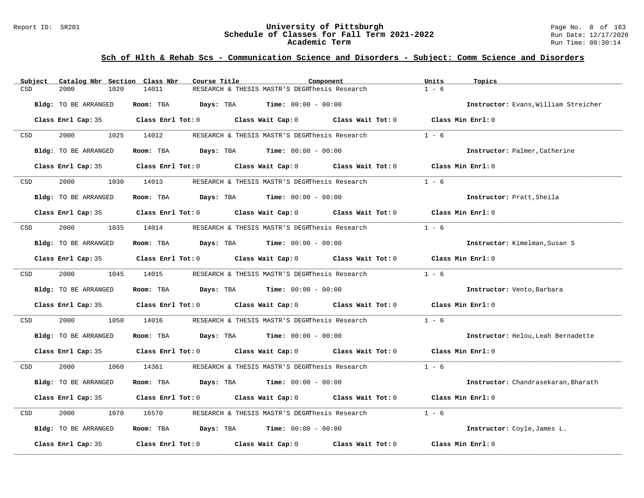#### Report ID: SR201 **University of Pittsburgh** Page No. 8 of 163 **Schedule of Classes for Fall Term 2021-2022** Run Date: 12/17/2020 **Academic Term** Run Time: 00:30:14

| Subject | Catalog Nbr Section Class Nbr | Course Title           |                                                                                                     | Component         | Units<br>Topics   |                                      |
|---------|-------------------------------|------------------------|-----------------------------------------------------------------------------------------------------|-------------------|-------------------|--------------------------------------|
| CSD     | 2000<br>1020                  | 14011                  | RESEARCH & THESIS MASTR'S DEGRThesis Research                                                       |                   | $1 - 6$           |                                      |
|         | Bldg: TO BE ARRANGED          | Room: TBA<br>Days: TBA | <b>Time:</b> $00:00 - 00:00$                                                                        |                   |                   | Instructor: Evans, William Streicher |
|         |                               |                        | Class Enrl Cap: 35 Class Enrl Tot: 0 Class Wait Cap: 0 Class Wait Tot: 0 Class Min Enrl: 0          |                   |                   |                                      |
| CSD     | 2000                          | 1025 14012             | RESEARCH & THESIS MASTR'S DEGRThesis Research                                                       |                   | $1 - 6$           |                                      |
|         | Bldg: TO BE ARRANGED          | Room: TBA              | <b>Days:</b> TBA <b>Time:</b> $00:00 - 00:00$                                                       |                   |                   | Instructor: Palmer, Catherine        |
|         | Class Enrl Cap: 35            |                        | Class Enrl Tot: 0 Class Wait Cap: 0                                                                 | Class Wait Tot: 0 | Class Min Enrl: 0 |                                      |
| CSD     | 2000<br>1030                  | 14013                  | RESEARCH & THESIS MASTR'S DEGRThesis Research                                                       |                   | $1 - 6$           |                                      |
|         | Bldg: TO BE ARRANGED          |                        | <b>Room:</b> TBA <b>Days:</b> TBA <b>Time:</b> 00:00 - 00:00                                        |                   |                   | Instructor: Pratt, Sheila            |
|         |                               |                        | Class Enrl Cap: 35 $\qquad$ Class Enrl Tot: 0 $\qquad$ Class Wait Cap: 0 $\qquad$ Class Wait Tot: 0 |                   | Class Min Enrl: 0 |                                      |
| CSD     | 2000<br>1035                  | 14014                  | RESEARCH & THESIS MASTR'S DEGRINesis Research                                                       |                   | $1 - 6$           |                                      |
|         | Bldg: TO BE ARRANGED          |                        | Room: TBA $Days:$ TBA $Time: 00:00 - 00:00$                                                         |                   |                   | Instructor: Kimelman, Susan S        |
|         | Class Enrl Cap: 35            |                        | Class Enrl Tot: $0$ Class Wait Cap: $0$ Class Wait Tot: $0$                                         |                   | Class Min Enrl: 0 |                                      |
| CSD     | 2000 000                      | 1045 14015             | RESEARCH & THESIS MASTR'S DEGRThesis Research                                                       |                   | $1 - 6$           |                                      |
|         | Bldg: TO BE ARRANGED          | Room: TBA              | <b>Days:</b> TBA <b>Time:</b> $00:00 - 00:00$                                                       |                   |                   | Instructor: Vento, Barbara           |
|         |                               |                        | Class Enrl Cap: 35 Class Enrl Tot: 0 Class Wait Cap: 0 Class Wait Tot: 0                            |                   | Class Min Enrl: 0 |                                      |
| CSD     | 2000<br>1050                  | 14016                  | RESEARCH & THESIS MASTR'S DEGRINesis Research                                                       |                   | $1 - 6$           |                                      |
|         | Bldg: TO BE ARRANGED          |                        | Room: TBA $Days:$ TBA $Time: 00:00 - 00:00$                                                         |                   |                   | Instructor: Helou, Leah Bernadette   |
|         |                               |                        | Class Enrl Cap: 35 Class Enrl Tot: 0 Class Wait Cap: 0 Class Wait Tot: 0 Class Min Enrl: 0          |                   |                   |                                      |
| CSD     | 2000<br>1060                  | 14361                  | RESEARCH & THESIS MASTR'S DEGRThesis Research                                                       |                   | $1 - 6$           |                                      |
|         | Bldg: TO BE ARRANGED          | Days: TBA<br>Room: TBA | <b>Time:</b> $00:00 - 00:00$                                                                        |                   |                   | Instructor: Chandrasekaran, Bharath  |
|         | Class Enrl Cap: 35            |                        | Class Enrl Tot: 0 Class Wait Cap: 0 Class Wait Tot: 0                                               |                   | Class Min Enrl: 0 |                                      |
| CSD     | 2000<br>1070                  | 16570                  | RESEARCH & THESIS MASTR'S DEGRThesis Research                                                       |                   | $1 - 6$           |                                      |
|         | Bldg: TO BE ARRANGED          |                        | Room: TBA $Days: TBA$ Time: $00:00 - 00:00$                                                         |                   |                   | Instructor: Coyle, James L.          |
|         | Class Enrl Cap: 35            |                        | Class Enrl Tot: $0$ Class Wait Cap: $0$                                                             | Class Wait Tot: 0 | Class Min Enrl: 0 |                                      |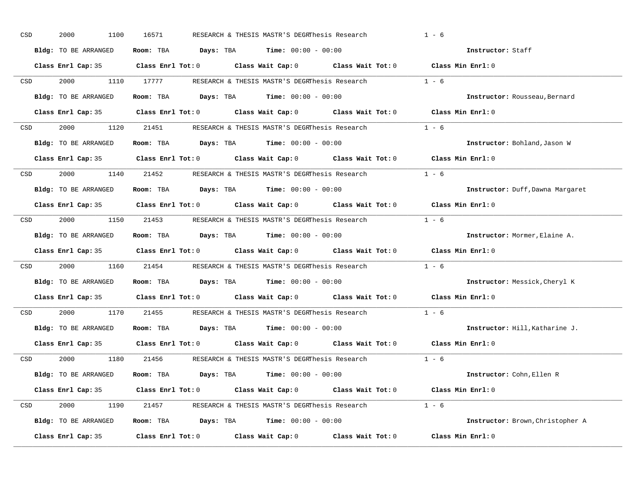| CSD |                  | 2000<br>1100         | 16571 | RESEARCH & THESIS MASTR'S DEGRThesis Research                                                       | $1 - 6$                          |
|-----|------------------|----------------------|-------|-----------------------------------------------------------------------------------------------------|----------------------------------|
|     |                  | Bldg: TO BE ARRANGED |       | Room: TBA $Days:$ TBA $Time: 00:00 - 00:00$                                                         | Instructor: Staff                |
|     |                  |                      |       | Class Enrl Cap: 35 Class Enrl Tot: 0 Class Wait Cap: 0 Class Wait Tot: 0 Class Min Enrl: 0          |                                  |
|     | CSD <sub>2</sub> |                      |       | 2000 1110 17777 RESEARCH & THESIS MASTR'S DEGRThesis Research                                       | $1 - 6$                          |
|     |                  | Bldg: TO BE ARRANGED |       | Room: TBA $Days:$ TBA Time: $00:00 - 00:00$                                                         | Instructor: Rousseau, Bernard    |
|     |                  |                      |       | Class Enrl Cap: 35 Class Enrl Tot: 0 Class Wait Cap: 0 Class Wait Tot: 0 Class Min Enrl: 0          |                                  |
|     |                  |                      |       | CSD 2000 1120 21451 RESEARCH & THESIS MASTR'S DEGRThesis Research 1 - 6                             |                                  |
|     |                  |                      |       | Bldg: TO BE ARRANGED Room: TBA Days: TBA Time: 00:00 - 00:00                                        | Instructor: Bohland, Jason W     |
|     |                  |                      |       | Class Enrl Cap: 35 $\qquad$ Class Enrl Tot: 0 $\qquad$ Class Wait Cap: 0 $\qquad$ Class Wait Tot: 0 | Class Min Enrl: 0                |
|     | <b>CSD</b>       |                      |       | 2000 1140 21452 RESEARCH & THESIS MASTR'S DEGRINES SR Research                                      | $1 - 6$                          |
|     |                  | Bldg: TO BE ARRANGED |       | Room: TBA $Days:$ TBA $Time: 00:00 - 00:00$                                                         | Instructor: Duff, Dawna Margaret |
|     |                  |                      |       | Class Enrl Cap: 35 Class Enrl Tot: 0 Class Wait Cap: 0 Class Wait Tot: 0 Class Min Enrl: 0          |                                  |
|     | CSD <sub>c</sub> |                      |       | 2000 1150 21453 RESEARCH & THESIS MASTR'S DEGRThesis Research 1 - 6                                 |                                  |
|     |                  | Bldg: TO BE ARRANGED |       | Room: TBA $Days: TBA$ Time: $00:00 - 00:00$                                                         | Instructor: Mormer, Elaine A.    |
|     |                  |                      |       | Class Enrl Cap: 35 Class Enrl Tot: 0 Class Wait Cap: 0 Class Wait Tot: 0 Class Min Enrl: 0          |                                  |
|     | CSD <sub>c</sub> |                      |       | 2000 1160 21454 RESEARCH & THESIS MASTR'S DEGRThesis Research                                       | $1 - 6$                          |
|     |                  | Bldg: TO BE ARRANGED |       | Room: TBA $Days:$ TBA $Time: 00:00 - 00:00$                                                         | Instructor: Messick, Cheryl K    |
|     |                  |                      |       | Class Enrl Cap: 35 $\qquad$ Class Enrl Tot: 0 $\qquad$ Class Wait Cap: 0 $\qquad$ Class Wait Tot: 0 | Class Min Enrl: 0                |
|     | CSD              |                      |       | 2000 1170 21455 RESEARCH & THESIS MASTR'S DEGRINES SR Research                                      | $1 - 6$                          |
|     |                  | Bldg: TO BE ARRANGED |       | Room: TBA $Days:$ TBA Time: $00:00 - 00:00$                                                         | Instructor: Hill, Katharine J.   |
|     |                  |                      |       | Class Enrl Cap: 35 Class Enrl Tot: 0 Class Wait Cap: 0 Class Wait Tot: 0                            | Class Min Enrl: 0                |
|     |                  |                      |       | CSD 2000 1180 21456 RESEARCH & THESIS MASTR'S DEGRThesis Research 1 - 6                             |                                  |
|     |                  | Bldg: TO BE ARRANGED |       | Room: TBA $\rule{1em}{0.15mm}$ Days: TBA $\rule{1.15mm}]{0.15mm}$ Time: $0.000 - 0.000$             | Instructor: Cohn, Ellen R        |
|     |                  |                      |       | Class Enrl Cap: 35 Class Enrl Tot: 0 Class Wait Cap: 0 Class Wait Tot: 0 Class Min Enrl: 0          |                                  |
|     |                  |                      |       | CSD 2000 1190 21457 RESEARCH & THESIS MASTR'S DEGRThesis Research 1 - 6                             |                                  |
|     |                  | Bldg: TO BE ARRANGED |       | Room: TBA $Days:$ TBA $Time: 00:00 - 00:00$                                                         | Instructor: Brown, Christopher A |
|     |                  | Class Enrl Cap: 35   |       | Class Enrl Tot: $0$ Class Wait Cap: $0$ Class Wait Tot: $0$                                         | Class Min Enrl: 0                |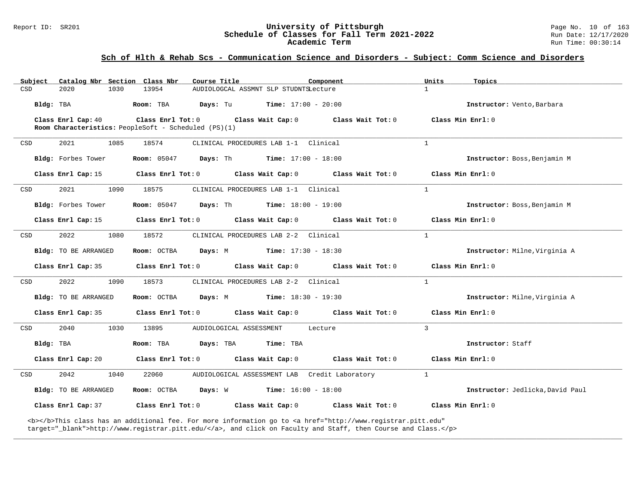#### Report ID: SR201 **University of Pittsburgh** Page No. 10 of 163 **Schedule of Classes for Fall Term 2021-2022** Run Date: 12/17/2020 **Academic Term** Run Time: 00:30:14

### **Sch of Hlth & Rehab Scs - Communication Science and Disorders - Subject: Comm Science and Disorders**

| Subject   |                      |      | Catalog Nbr Section Class Nbr                                             | Course Title            |                                               | Component                                                                                                                                                                                                                          | Units         | Topics                           |
|-----------|----------------------|------|---------------------------------------------------------------------------|-------------------------|-----------------------------------------------|------------------------------------------------------------------------------------------------------------------------------------------------------------------------------------------------------------------------------------|---------------|----------------------------------|
| CSD       | 2020                 | 1030 | 13954                                                                     |                         | AUDIOLOGCAL ASSMNT SLP STUDNTSLecture         |                                                                                                                                                                                                                                    | $\mathbf{1}$  |                                  |
| Bldg: TBA |                      |      | Room: TBA                                                                 | Days: Tu                | <b>Time:</b> $17:00 - 20:00$                  |                                                                                                                                                                                                                                    |               | Instructor: Vento, Barbara       |
|           | Class Enrl Cap: 40   |      | Class Enrl Tot: 0<br>Room Characteristics: PeopleSoft - Scheduled (PS)(1) |                         | Class Wait Cap: 0                             | Class Wait Tot: 0                                                                                                                                                                                                                  |               | Class Min Enrl: 0                |
| CSD       | 2021                 | 1085 | 18574                                                                     |                         | CLINICAL PROCEDURES LAB 1-1 Clinical          |                                                                                                                                                                                                                                    | $\mathbf{1}$  |                                  |
|           | Bldg: Forbes Tower   |      | <b>Room:</b> 05047                                                        |                         | <b>Days:</b> Th <b>Time:</b> $17:00 - 18:00$  |                                                                                                                                                                                                                                    |               | Instructor: Boss, Benjamin M     |
|           | Class Enrl Cap: 15   |      | Class Enrl Tot: 0                                                         |                         | Class Wait Cap: 0                             | Class Wait Tot: 0                                                                                                                                                                                                                  |               | Class Min Enrl: 0                |
| CSD       | 2021                 | 1090 | 18575                                                                     |                         | CLINICAL PROCEDURES LAB 1-1 Clinical          |                                                                                                                                                                                                                                    | $\mathbf{1}$  |                                  |
|           | Bldg: Forbes Tower   |      | <b>Room:</b> 05047                                                        | Days: Th                | $Time: 18:00 - 19:00$                         |                                                                                                                                                                                                                                    |               | Instructor: Boss, Benjamin M     |
|           | Class Enrl Cap: 15   |      | Class Enrl Tot: 0                                                         |                         | Class Wait Cap: 0                             | Class Wait Tot: 0                                                                                                                                                                                                                  |               | Class Min Enrl: 0                |
| CSD       | 2022                 | 1080 | 18572                                                                     |                         | CLINICAL PROCEDURES LAB 2-2 Clinical          |                                                                                                                                                                                                                                    | $\mathbf{1}$  |                                  |
|           | Bldg: TO BE ARRANGED |      | Room: OCTBA                                                               |                         | <b>Days:</b> M <b>Time:</b> $17:30 - 18:30$   |                                                                                                                                                                                                                                    |               | Instructor: Milne, Virginia A    |
|           | Class Enrl Cap: 35   |      | Class Enrl Tot: 0                                                         |                         | Class Wait Cap: 0                             | Class Wait Tot: 0                                                                                                                                                                                                                  |               | Class Min Enrl: 0                |
| CSD       | 2022                 | 1090 | 18573                                                                     |                         | CLINICAL PROCEDURES LAB 2-2 Clinical          |                                                                                                                                                                                                                                    | $\mathbf{1}$  |                                  |
|           | Bldg: TO BE ARRANGED |      | Room: OCTBA                                                               | Days: M                 | <b>Time:</b> $18:30 - 19:30$                  |                                                                                                                                                                                                                                    |               | Instructor: Milne, Virginia A    |
|           | Class Enrl Cap: 35   |      | Class Enrl Tot: 0                                                         |                         | Class Wait Cap: 0                             | Class Wait Tot: 0                                                                                                                                                                                                                  |               | Class Min Enrl: 0                |
| CSD       | 2040                 | 1030 | 13895                                                                     | AUDIOLOGICAL ASSESSMENT |                                               | Lecture                                                                                                                                                                                                                            | $\mathcal{L}$ |                                  |
| Bldg: TBA |                      |      | Room: TBA                                                                 | Days: TBA               | Time: TBA                                     |                                                                                                                                                                                                                                    |               | Instructor: Staff                |
|           | Class Enrl Cap: 20   |      | Class Enrl Tot: 0                                                         |                         | Class Wait Cap: 0                             | Class Wait Tot: 0                                                                                                                                                                                                                  |               | Class Min Enrl: 0                |
| CSD       | 2042                 | 1040 | 22060                                                                     |                         | AUDIOLOGICAL ASSESSMENT LAB Credit Laboratory |                                                                                                                                                                                                                                    | $\mathbf{1}$  |                                  |
|           | Bldg: TO BE ARRANGED |      | Room: OCTBA                                                               | Days: W                 | $Time: 16:00 - 18:00$                         |                                                                                                                                                                                                                                    |               | Instructor: Jedlicka, David Paul |
|           | Class Enrl Cap: 37   |      | Class Enrl Tot: 0                                                         |                         | Class Wait Cap: 0                             | Class Wait Tot: 0                                                                                                                                                                                                                  |               | Class Min Enrl: 0                |
|           |                      |      |                                                                           |                         |                                               | <b></b> This class has an additional fee. For more information go to <a <br="" href="http://www.registrar.pitt.edu">target="_blank"&gt;http://www.registrar.pitt.edu/</a> , and click on Faculty and Staff, then Course and Class. |               |                                  |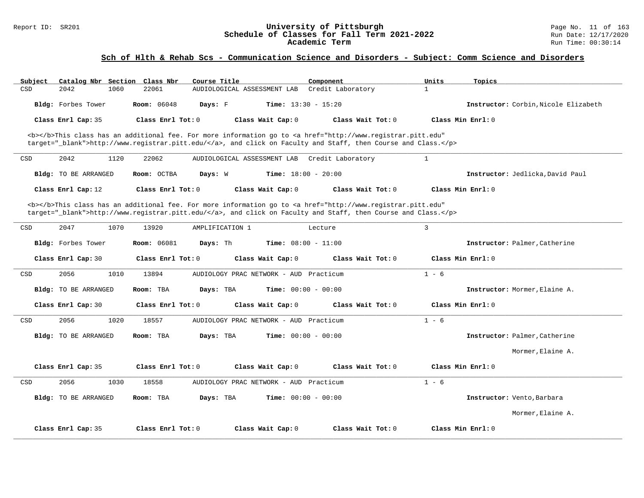| Subject            | Catalog Nbr Section Class Nbr |                     | Course Title                              | Component                                                                                                                                                                                                                          | Units<br>Topics   |                                      |
|--------------------|-------------------------------|---------------------|-------------------------------------------|------------------------------------------------------------------------------------------------------------------------------------------------------------------------------------------------------------------------------------|-------------------|--------------------------------------|
| CSD<br>2042        | 1060                          | 22061               | AUDIOLOGICAL ASSESSMENT LAB               | Credit Laboratory                                                                                                                                                                                                                  | $\mathbf{1}$      |                                      |
| Bldg: Forbes Tower |                               | <b>Room: 06048</b>  | Time: $13:30 - 15:20$<br>Days: F          |                                                                                                                                                                                                                                    |                   | Instructor: Corbin. Nicole Elizabeth |
| Class Enrl Cap: 35 |                               | Class Enrl Tot: 0   | Class Wait Cap: 0                         | Class Wait Tot: 0                                                                                                                                                                                                                  | Class Min Enrl: 0 |                                      |
|                    |                               |                     |                                           | <b></b> This class has an additional fee. For more information go to <a <br="" href="http://www.registrar.pitt.edu">target="_blank"&gt;http://www.registrar.pitt.edu/</a> , and click on Faculty and Staff, then Course and Class. |                   |                                      |
| 2042<br>CSD        | 1120                          | 22062               | AUDIOLOGICAL ASSESSMENT LAB               | Credit Laboratory                                                                                                                                                                                                                  | $\mathbf{1}$      |                                      |
|                    | Bldg: TO BE ARRANGED          | Room: OCTBA         | Days: W<br><b>Time:</b> $18:00 - 20:00$   |                                                                                                                                                                                                                                    |                   | Instructor: Jedlicka, David Paul     |
| Class Enrl Cap: 12 |                               | Class Enrl Tot: 0   | Class Wait Cap: 0                         | Class Wait Tot: 0                                                                                                                                                                                                                  | Class Min Enrl: 0 |                                      |
|                    |                               |                     |                                           | <b></b> This class has an additional fee. For more information go to <a <br="" href="http://www.registrar.pitt.edu">target="_blank"&gt;http://www.registrar.pitt.edu/</a> , and click on Faculty and Staff, then Course and Class. |                   |                                      |
| 2047<br>CSD        | 1070                          | 13920               | AMPLIFICATION 1                           | Lecture                                                                                                                                                                                                                            | 3                 |                                      |
| Bldg: Forbes Tower |                               | <b>Room: 06081</b>  | Days: Th<br><b>Time:</b> $08:00 - 11:00$  |                                                                                                                                                                                                                                    |                   | Instructor: Palmer, Catherine        |
| Class Enrl Cap: 30 |                               | Class Enrl Tot: 0   | Class Wait Cap: 0                         | Class Wait Tot: 0                                                                                                                                                                                                                  | Class Min Enrl: 0 |                                      |
| 2056<br>CSD        | 1010                          | 13894               | AUDIOLOGY PRAC NETWORK - AUD Practicum    |                                                                                                                                                                                                                                    | $1 - 6$           |                                      |
|                    | Bldg: TO BE ARRANGED          | Room: TBA           | <b>Time:</b> $00:00 - 00:00$<br>Days: TBA |                                                                                                                                                                                                                                    |                   | Instructor: Mormer, Elaine A.        |
| Class Enrl Cap: 30 |                               | Class Enrl Tot: 0   | Class Wait Cap: 0                         | Class Wait Tot: 0                                                                                                                                                                                                                  | Class Min Enrl: 0 |                                      |
| 2056<br>CSD        | 1020                          | 18557               | AUDIOLOGY PRAC NETWORK - AUD Practicum    |                                                                                                                                                                                                                                    | $1 - 6$           |                                      |
|                    | Bldg: TO BE ARRANGED          | Room: TBA           | Days: TBA<br><b>Time:</b> $00:00 - 00:00$ |                                                                                                                                                                                                                                    |                   | Instructor: Palmer, Catherine        |
|                    |                               |                     |                                           |                                                                                                                                                                                                                                    |                   | Mormer, Elaine A.                    |
| Class Enrl Cap: 35 |                               | Class Enrl Tot: 0   | Class Wait Cap: 0                         | Class Wait Tot: 0                                                                                                                                                                                                                  | Class Min Enrl: 0 |                                      |
| 2056<br>CSD        | 1030                          | 18558               | AUDIOLOGY PRAC NETWORK - AUD Practicum    |                                                                                                                                                                                                                                    | $1 - 6$           |                                      |
|                    | Bldg: TO BE ARRANGED          | Room: TBA           | Days: TBA<br><b>Time:</b> $00:00 - 00:00$ |                                                                                                                                                                                                                                    |                   | Instructor: Vento, Barbara           |
|                    |                               |                     |                                           |                                                                                                                                                                                                                                    |                   | Mormer, Elaine A.                    |
| Class Enrl Cap: 35 |                               | Class Enrl Tot: $0$ | Class Wait Cap: 0                         | Class Wait Tot: 0                                                                                                                                                                                                                  | Class Min Enrl: 0 |                                      |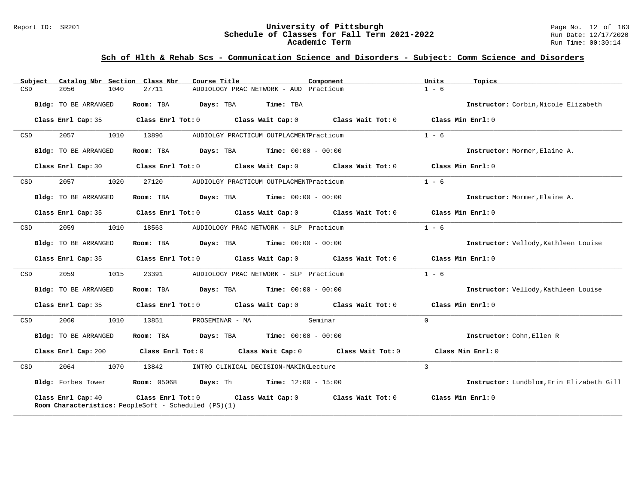#### Report ID: SR201 **University of Pittsburgh** Page No. 12 of 163 **Schedule of Classes for Fall Term 2021-2022** Run Date: 12/17/2020 **Academic Term** Run Time: 00:30:14

| Catalog Nbr Section Class Nbr<br>Subject | Component<br>Course Title                                                                                          | Units<br>Topics                           |
|------------------------------------------|--------------------------------------------------------------------------------------------------------------------|-------------------------------------------|
| 2056<br>1040<br>CSD                      | 27711<br>AUDIOLOGY PRAC NETWORK - AUD Practicum                                                                    | $1 - 6$                                   |
| Bldg: TO BE ARRANGED                     | Room: TBA<br>Days: TBA<br>Time: TBA                                                                                | Instructor: Corbin, Nicole Elizabeth      |
| Class Enrl Cap: 35                       | Class Enrl Tot: $0$ Class Wait Cap: $0$ Class Wait Tot: $0$ Class Min Enrl: $0$                                    |                                           |
| 2057<br>1010<br>CSD                      | 13896<br>AUDIOLGY PRACTICUM OUTPLACMENTPracticum                                                                   | $1 - 6$                                   |
| Bldg: TO BE ARRANGED                     | Room: TBA<br><b>Days:</b> TBA <b>Time:</b> $00:00 - 00:00$                                                         | Instructor: Mormer, Elaine A.             |
| Class Enrl Cap: 30                       | Class Enrl Tot: $0$ Class Wait Cap: $0$ Class Wait Tot: $0$ Class Min Enrl: $0$                                    |                                           |
| 2057<br>1020<br>CSD                      | 27120<br>AUDIOLGY PRACTICUM OUTPLACMENTPracticum                                                                   | $1 - 6$                                   |
| Bldg: TO BE ARRANGED                     | Room: TBA<br>$\texttt{Davis:}$ TBA $\texttt{Time:}$ 00:00 - 00:00                                                  | Instructor: Mormer, Elaine A.             |
| Class Enrl Cap: 35                       | Class Enrl Tot: 0 Class Wait Cap: 0<br>Class Wait Tot: 0                                                           | Class Min Enrl: 0                         |
| CSD<br>2059<br>1010                      | 18563<br>AUDIOLOGY PRAC NETWORK - SLP Practicum                                                                    | $1 - 6$                                   |
| Bldg: TO BE ARRANGED                     | <b>Days:</b> TBA <b>Time:</b> $00:00 - 00:00$<br>Room: TBA                                                         | Instructor: Vellody, Kathleen Louise      |
| Class Enrl Cap: 35                       | Class Enrl Tot: 0 Class Wait Cap: 0 Class Wait Tot: 0                                                              | Class Min Enrl: 0                         |
| 2059<br>1015<br>CSD                      | 23391<br>AUDIOLOGY PRAC NETWORK - SLP Practicum                                                                    | $1 - 6$                                   |
| Bldg: TO BE ARRANGED                     | Room: TBA<br><b>Days:</b> TBA <b>Time:</b> $00:00 - 00:00$                                                         | Instructor: Vellody, Kathleen Louise      |
| Class Enrl Cap: 35                       | Class Enrl Tot: 0 $\qquad$ Class Wait Cap: 0 $\qquad$ Class Wait Tot: 0 $\qquad$ Class Min Enrl: 0                 |                                           |
| 2060<br>1010<br>CSD                      | Seminar<br>13851<br>PROSEMINAR - MA                                                                                | $\Omega$                                  |
| Bldg: TO BE ARRANGED                     | Room: TBA<br><b>Days:</b> TBA <b>Time:</b> $00:00 - 00:00$                                                         | Instructor: Cohn, Ellen R                 |
| Class Enrl Cap: 200                      | $Class$ $Enr1$ $Tot: 0$<br>Class Wait Cap: 0 Class Wait Tot: 0                                                     | Class Min Enrl: 0                         |
| 2064<br>1070<br>CSD                      | 13842<br>INTRO CLINICAL DECISION-MAKINGLecture                                                                     | $\overline{3}$                            |
| Bldg: Forbes Tower                       | <b>Room:</b> 05068 <b>Days:</b> Th <b>Time:</b> $12:00 - 15:00$                                                    | Instructor: Lundblom, Erin Elizabeth Gill |
| Class Enrl Cap: 40                       | Class Enrl Tot: 0 Class Wait Cap: 0<br>Class Wait Tot: $0$<br>Room Characteristics: PeopleSoft - Scheduled (PS)(1) | Class Min Enrl: 0                         |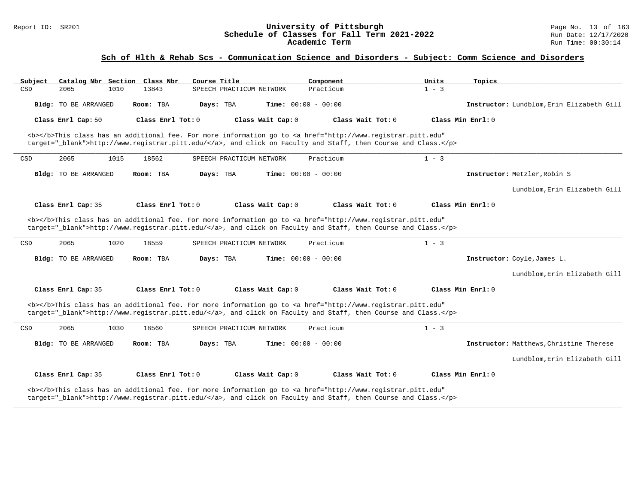#### Report ID: SR201 **University of Pittsburgh** Page No. 13 of 163 **Schedule of Classes for Fall Term 2021-2022** Run Date: 12/17/2020 **Academic Term** Run Time: 00:30:14

### **Sch of Hlth & Rehab Scs - Communication Science and Disorders - Subject: Comm Science and Disorders**

| Subject              | Catalog Nbr Section Class Nbr | Course Title             | Component                                                                                                                                                                                                                          | Units             | Topics                                    |
|----------------------|-------------------------------|--------------------------|------------------------------------------------------------------------------------------------------------------------------------------------------------------------------------------------------------------------------------|-------------------|-------------------------------------------|
| CSD<br>2065          | 13843<br>1010                 | SPEECH PRACTICUM NETWORK | Practicum                                                                                                                                                                                                                          | $1 - 3$           |                                           |
| Bldg: TO BE ARRANGED | Room: TBA                     | Days: TBA                | Time: $00:00 - 00:00$                                                                                                                                                                                                              |                   | Instructor: Lundblom, Erin Elizabeth Gill |
| Class Enrl Cap: 50   | Class Enrl Tot: 0             | Class Wait Cap: 0        | Class Wait Tot: 0                                                                                                                                                                                                                  | Class Min Enrl: 0 |                                           |
|                      |                               |                          | <b></b> This class has an additional fee. For more information go to <a <br="" href="http://www.registrar.pitt.edu">target="_blank"&gt;http://www.registrar.pitt.edu/</a> , and click on Faculty and Staff, then Course and Class. |                   |                                           |
| 2065<br>CSD          | 1015<br>18562                 | SPEECH PRACTICUM NETWORK | Practicum                                                                                                                                                                                                                          | $1 - 3$           |                                           |
| Bldg: TO BE ARRANGED | Room: TBA                     | Days: TBA                | <b>Time:</b> $00:00 - 00:00$                                                                                                                                                                                                       |                   | Instructor: Metzler, Robin S              |
|                      |                               |                          |                                                                                                                                                                                                                                    |                   | Lundblom, Erin Elizabeth Gill             |
| Class Enrl Cap: 35   | Class Enrl Tot: 0             | Class Wait Cap: 0        | Class Wait Tot: 0                                                                                                                                                                                                                  | Class Min Enrl: 0 |                                           |
|                      |                               |                          | <b></b> This class has an additional fee. For more information go to <a <br="" href="http://www.registrar.pitt.edu">target=" blank"&gt;http://www.reqistrar.pitt.edu/</a> , and click on Faculty and Staff, then Course and Class. |                   |                                           |
| CSD<br>2065          | 1020<br>18559                 | SPEECH PRACTICUM NETWORK | Practicum                                                                                                                                                                                                                          | $1 - 3$           |                                           |
| Bldg: TO BE ARRANGED | Room: TBA                     | Days: TBA                | <b>Time:</b> $00:00 - 00:00$                                                                                                                                                                                                       |                   | Instructor: Coyle, James L.               |
|                      |                               |                          |                                                                                                                                                                                                                                    |                   | Lundblom, Erin Elizabeth Gill             |
| Class Enrl Cap: 35   | Class Enrl Tot: 0             | Class Wait Cap: 0        | Class Wait Tot: 0                                                                                                                                                                                                                  | Class Min Enrl: 0 |                                           |
|                      |                               |                          | <b></b> This class has an additional fee. For more information go to <a <br="" href="http://www.registrar.pitt.edu">target="_blank"&gt;http://www.registrar.pitt.edu/</a> , and click on Faculty and Staff, then Course and Class. |                   |                                           |
| 2065<br>CSD          | 18560<br>1030                 | SPEECH PRACTICUM NETWORK | Practicum                                                                                                                                                                                                                          | $1 - 3$           |                                           |
| Bldg: TO BE ARRANGED | Room: TBA                     | Days: TBA                | <b>Time:</b> $00:00 - 00:00$                                                                                                                                                                                                       |                   | Instructor: Matthews, Christine Therese   |
|                      |                               |                          |                                                                                                                                                                                                                                    |                   | Lundblom, Erin Elizabeth Gill             |
| Class Enrl Cap: 35   | $Class$ $Enr1$ $Tot: 0$       | Class Wait Cap: 0        | Class Wait Tot: 0                                                                                                                                                                                                                  | Class Min Enrl: 0 |                                           |
|                      |                               |                          | <b></b> This class has an additional fee. For more information go to <a <br="" href="http://www.registrar.pitt.edu">target="_blank"&gt;http://www.registrar.pitt.edu/</a> , and click on Faculty and Staff, then Course and Class. |                   |                                           |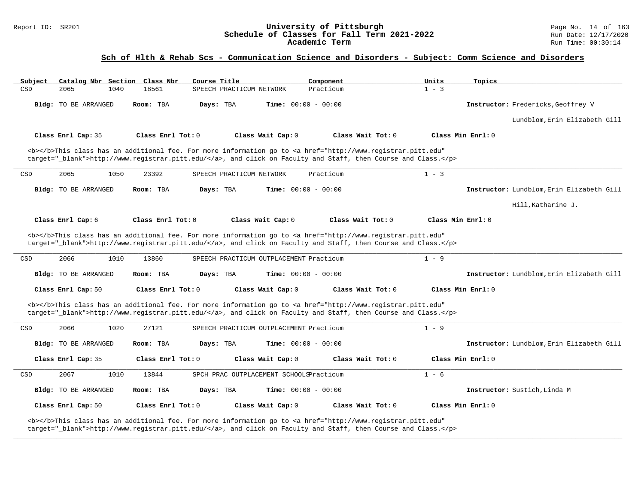#### Report ID: SR201 **University of Pittsburgh** Page No. 14 of 163 **Schedule of Classes for Fall Term 2021-2022** Run Date: 12/17/2020 **Academic Term** Run Time: 00:30:14

### **Sch of Hlth & Rehab Scs - Communication Science and Disorders - Subject: Comm Science and Disorders**

| Subject |                      |      | Catalog Nbr Section Class Nbr | Course Title |                                         | Component                    |                                                                                                                                                                                                                                    | Units             | Topics            |                                           |
|---------|----------------------|------|-------------------------------|--------------|-----------------------------------------|------------------------------|------------------------------------------------------------------------------------------------------------------------------------------------------------------------------------------------------------------------------------|-------------------|-------------------|-------------------------------------------|
| CSD     | 2065                 | 1040 | 18561                         |              | SPEECH PRACTICUM NETWORK                | Practicum                    |                                                                                                                                                                                                                                    | $1 - 3$           |                   |                                           |
|         | Bldg: TO BE ARRANGED |      | Room: TBA                     | Days: TBA    |                                         | <b>Time:</b> $00:00 - 00:00$ |                                                                                                                                                                                                                                    |                   |                   | Instructor: Fredericks, Geoffrey V        |
|         |                      |      |                               |              |                                         |                              |                                                                                                                                                                                                                                    |                   |                   | Lundblom, Erin Elizabeth Gill             |
|         | Class Enrl Cap: 35   |      | Class Enrl Tot: 0             |              | Class Wait Cap: 0                       |                              | Class Wait Tot: 0                                                                                                                                                                                                                  |                   | Class Min Enrl: 0 |                                           |
|         |                      |      |                               |              |                                         |                              | <b></b> This class has an additional fee. For more information go to <a <br="" href="http://www.registrar.pitt.edu">target="_blank"&gt;http://www.registrar.pitt.edu/</a> , and click on Faculty and Staff, then Course and Class. |                   |                   |                                           |
| CSD     | 2065                 | 1050 | 23392                         |              | SPEECH PRACTICUM NETWORK                | Practicum                    |                                                                                                                                                                                                                                    | $1 - 3$           |                   |                                           |
|         | Bldg: TO BE ARRANGED |      | Room: TBA                     | Days: TBA    |                                         | <b>Time:</b> $00:00 - 00:00$ |                                                                                                                                                                                                                                    |                   |                   | Instructor: Lundblom, Erin Elizabeth Gill |
|         |                      |      |                               |              |                                         |                              |                                                                                                                                                                                                                                    |                   |                   | Hill, Katharine J.                        |
|         | Class Enrl Cap: 6    |      | Class Enrl Tot: 0             |              | Class Wait Cap: 0                       |                              | Class Wait Tot: 0                                                                                                                                                                                                                  | Class Min Enrl: 0 |                   |                                           |
|         |                      |      |                               |              |                                         |                              | <b></b> This class has an additional fee. For more information go to <a <br="" href="http://www.registrar.pitt.edu">target="_blank"&gt;http://www.registrar.pitt.edu/</a> , and click on Faculty and Staff, then Course and Class. |                   |                   |                                           |
| CSD     | 2066                 | 1010 | 13860                         |              | SPEECH PRACTICUM OUTPLACEMENT Practicum |                              |                                                                                                                                                                                                                                    | $1 - 9$           |                   |                                           |
|         | Bldg: TO BE ARRANGED |      | Room: TBA                     | Days: TBA    |                                         | <b>Time:</b> $00:00 - 00:00$ |                                                                                                                                                                                                                                    |                   |                   | Instructor: Lundblom, Erin Elizabeth Gill |
|         | Class Enrl Cap: 50   |      | Class Enrl Tot: 0             |              | Class Wait Cap: 0                       |                              | Class Wait Tot: 0                                                                                                                                                                                                                  |                   | Class Min Enrl: 0 |                                           |
|         |                      |      |                               |              |                                         |                              | <b></b> This class has an additional fee. For more information go to <a <br="" href="http://www.registrar.pitt.edu">target="_blank"&gt;http://www.registrar.pitt.edu/</a> , and click on Faculty and Staff, then Course and Class. |                   |                   |                                           |
| CSD     | 2066                 | 1020 | 27121                         |              | SPEECH PRACTICUM OUTPLACEMENT Practicum |                              |                                                                                                                                                                                                                                    | $1 - 9$           |                   |                                           |
|         | Bldg: TO BE ARRANGED |      | Room: TBA                     | Days: TBA    |                                         | <b>Time:</b> $00:00 - 00:00$ |                                                                                                                                                                                                                                    |                   |                   | Instructor: Lundblom, Erin Elizabeth Gill |
|         | Class Enrl Cap: 35   |      | Class Enrl Tot: 0             |              | Class Wait Cap: 0                       |                              | Class Wait Tot: 0                                                                                                                                                                                                                  |                   | Class Min Enrl: 0 |                                           |
| CSD     | 2067                 | 1010 | 13844                         |              | SPCH PRAC OUTPLACEMENT SCHOOLSPracticum |                              |                                                                                                                                                                                                                                    | $1 - 6$           |                   |                                           |
|         | Bldg: TO BE ARRANGED |      | Room: TBA                     | Days: TBA    |                                         | <b>Time:</b> $00:00 - 00:00$ |                                                                                                                                                                                                                                    |                   |                   | Instructor: Sustich, Linda M              |
|         | Class Enrl Cap: 50   |      | Class Enrl Tot: $0$           |              | Class Wait Cap: 0                       |                              | Class Wait $Tot: 0$                                                                                                                                                                                                                |                   | Class Min Enrl: 0 |                                           |
|         |                      |      |                               |              |                                         |                              | <b></b> This class has an additional fee. For more information go to <a <br="" href="http://www.registrar.pitt.edu">target="_blank"&gt;http://www.registrar.pitt.edu/</a> , and click on Faculty and Staff, then Course and Class. |                   |                   |                                           |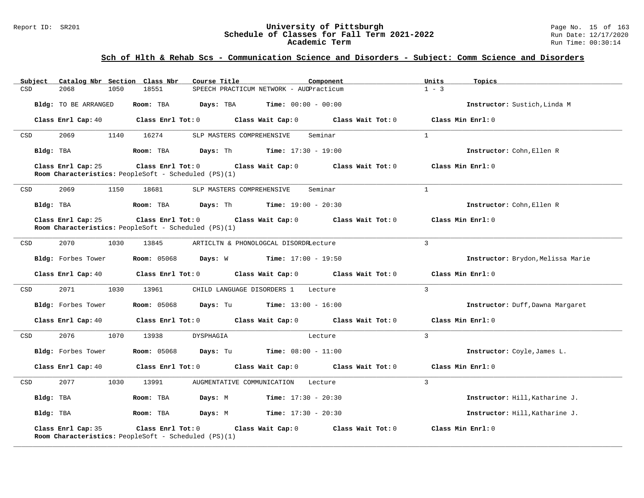#### Report ID: SR201 **University of Pittsburgh** Page No. 15 of 163 **Schedule of Classes for Fall Term 2021-2022** Run Date: 12/17/2020 **Academic Term** Run Time: 00:30:14

### **Sch of Hlth & Rehab Scs - Communication Science and Disorders - Subject: Comm Science and Disorders**

| Subject   | Catalog Nbr Section Class Nbr |                                                      | Course Title                                                                                        | Component                                                                                           | Units<br>Topics                  |                                   |
|-----------|-------------------------------|------------------------------------------------------|-----------------------------------------------------------------------------------------------------|-----------------------------------------------------------------------------------------------------|----------------------------------|-----------------------------------|
| CSD       | 2068<br>1050                  | 18551                                                | SPEECH PRACTICUM NETWORK - AUDPracticum                                                             |                                                                                                     | $1 - 3$                          |                                   |
|           | Bldg: TO BE ARRANGED          | Room: TBA                                            | <b>Days:</b> TBA <b>Time:</b> $00:00 - 00:00$                                                       |                                                                                                     | Instructor: Sustich, Linda M     |                                   |
|           | Class Enrl Cap: 40            |                                                      | Class Enrl Tot: $0$ Class Wait Cap: $0$ Class Wait Tot: $0$                                         |                                                                                                     | Class Min Enrl: 0                |                                   |
| CSD       | 2069<br>1140                  | 16274                                                | SLP MASTERS COMPREHENSIVE                                                                           | Seminar                                                                                             | $\mathbf{1}$                     |                                   |
|           | Bldg: TBA                     | Room: TBA                                            | <b>Days:</b> Th <b>Time:</b> $17:30 - 19:00$                                                        |                                                                                                     | Instructor: Cohn, Ellen R        |                                   |
|           | Class Enrl Cap: 25            | Room Characteristics: PeopleSoft - Scheduled (PS)(1) | Class Enrl Tot: 0 Class Wait Cap: 0 Class Wait Tot: 0                                               |                                                                                                     | Class Min Enrl: 0                |                                   |
| CSD       | 2069<br>1150                  | 18681                                                | SLP MASTERS COMPREHENSIVE                                                                           | Seminar                                                                                             | 1                                |                                   |
|           | Bldg: TBA                     |                                                      | <b>Room:</b> TBA <b>Days:</b> Th <b>Time:</b> $19:00 - 20:30$                                       |                                                                                                     | Instructor: Cohn, Ellen R        |                                   |
|           | Class Enrl Cap: 25            | Room Characteristics: PeopleSoft - Scheduled (PS)(1) | Class Enrl Tot: $0$ Class Wait Cap: $0$ Class Wait Tot: $0$                                         |                                                                                                     | Class Min Enrl: 0                |                                   |
| CSD       | 2070<br>1030                  | 13845                                                | ARTICLTN & PHONOLOGCAL DISORDRLecture                                                               |                                                                                                     | $\mathbf{3}$                     |                                   |
|           | Bldg: Forbes Tower            |                                                      | <b>Room:</b> 05068 <b>Days:</b> W <b>Time:</b> $17:00 - 19:50$                                      |                                                                                                     |                                  | Instructor: Brydon, Melissa Marie |
|           |                               |                                                      |                                                                                                     | Class Enrl Cap: 40 $\qquad$ Class Enrl Tot: 0 $\qquad$ Class Wait Cap: 0 $\qquad$ Class Wait Tot: 0 | Class Min Enrl: 0                |                                   |
| CSD       | 2071<br>1030                  | 13961                                                | CHILD LANGUAGE DISORDERS 1 Lecture                                                                  |                                                                                                     | $\mathbf{3}$                     |                                   |
|           | Bldg: Forbes Tower            |                                                      | <b>Room:</b> 05068 <b>Days:</b> Tu <b>Time:</b> $13:00 - 16:00$                                     |                                                                                                     | Instructor: Duff, Dawna Margaret |                                   |
|           |                               |                                                      | Class Enrl Cap: 40 $\qquad$ Class Enrl Tot: 0 $\qquad$ Class Wait Cap: 0 $\qquad$ Class Wait Tot: 0 |                                                                                                     | Class Min Enrl: 0                |                                   |
| CSD       | 2076<br>1070                  | 13938                                                | DYSPHAGIA                                                                                           | Lecture                                                                                             | $\mathbf{3}$                     |                                   |
|           | Bldg: Forbes Tower            |                                                      | <b>Room:</b> 05068 <b>Days:</b> Tu <b>Time:</b> $08:00 - 11:00$                                     |                                                                                                     | Instructor: Coyle, James L.      |                                   |
|           | Class Enrl Cap: 40            |                                                      | Class Enrl Tot: 0 Class Wait Cap: 0 Class Wait Tot: 0                                               |                                                                                                     | Class Min Enrl: 0                |                                   |
| CSD       | 2077<br>1030                  | 13991                                                | AUGMENTATIVE COMMUNICATION Lecture                                                                  |                                                                                                     | $\mathcal{L}$                    |                                   |
| Bldg: TBA |                               | Room: TBA                                            | Days: M<br><b>Time:</b> $17:30 - 20:30$                                                             |                                                                                                     | Instructor: Hill, Katharine J.   |                                   |
| Bldg: TBA |                               | Room: TBA                                            | <b>Days:</b> M <b>Time:</b> $17:30 - 20:30$                                                         |                                                                                                     | Instructor: Hill, Katharine J.   |                                   |
|           | Class Enrl Cap: 35            | Room Characteristics: PeopleSoft - Scheduled (PS)(1) | Class Enrl Tot: 0 Class Wait Cap: 0                                                                 | Class Wait Tot: 0                                                                                   | Class Min Enrl: 0                |                                   |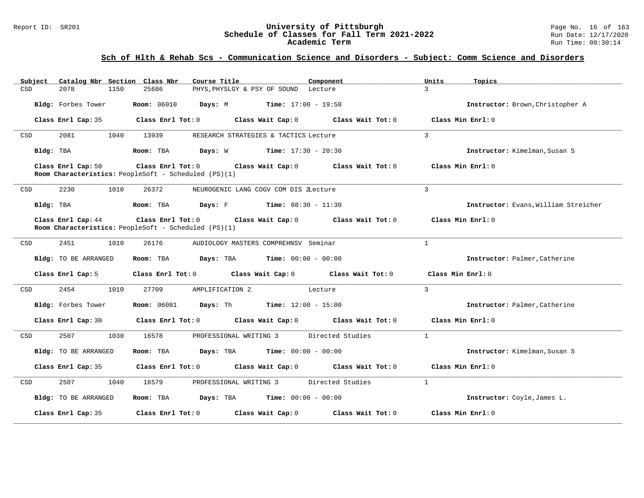### Report ID: SR201 **1988 Constrained Subset Constrained Bully Constrained Bully Constrained Bully Page No. 16 of 163<br><b>Schedule of Classes for Fall Term 2021-2022** 1999 Run Date: 12/17/2020 **Schedule of Classes for Fall Term 2021-2022** Run Date: 12/17/2020 **Academic Term** Run Time: 00:30:14

| Catalog Nbr Section Class Nbr<br>Subject | Course Title                                                                                                               | Component | Units<br>Topics                      |
|------------------------------------------|----------------------------------------------------------------------------------------------------------------------------|-----------|--------------------------------------|
| 2078<br>1150<br>CSD                      | 25686<br>PHYS, PHYSLGY & PSY OF SOUND Lecture                                                                              |           | $\mathcal{L}$                        |
| Bldg: Forbes Tower                       | <b>Room:</b> 06010 <b>Days:</b> M <b>Time:</b> 17:00 - 19:50                                                               |           | Instructor: Brown, Christopher A     |
| Class Enrl Cap: 35                       | $\texttt{Class}$ $\texttt{Enrl}$ Tot: $0$ $\texttt{Class}$ Wait Cap: $0$ $\texttt{Class}$ Wait Tot: $0$                    |           | Class Min Enrl: 0                    |
| 2081<br>1040<br>CSD                      | 13939<br>RESEARCH STRATEGIES & TACTICS Lecture                                                                             |           | $\mathbf{3}$                         |
| Bldg: TBA                                | Room: TBA $Days: W$ Time: $17:30 - 20:30$                                                                                  |           | Instructor: Kimelman, Susan S        |
| Class Enrl Cap: 50                       | Class Enrl Tot: $0$ Class Wait Cap: $0$ Class Wait Tot: $0$<br>Room Characteristics: PeopleSoft - Scheduled (PS)(1)        |           | Class Min $Enr1:0$                   |
| 2230<br>1010<br>CSD                      | 26372<br>NEUROGENIC LANG COGV COM DIS 2Lecture                                                                             |           | $\overline{3}$                       |
| Bldg: TBA                                | Room: TBA $Days: F$ Time: $08:30 - 11:30$                                                                                  |           | Instructor: Evans, William Streicher |
| Class Enrl Cap: 44                       | Class Enrl Tot: $0$ Class Wait Cap: $0$ Class Wait Tot: $0$<br><b>Room Characteristics:</b> PeopleSoft - Scheduled (PS)(1) |           | Class Min Enrl: 0                    |
| CSD<br>2451<br>1010                      | 26176<br>AUDIOLOGY MASTERS COMPREHNSV Seminar                                                                              |           | $\mathbf{1}$                         |
| Bldg: TO BE ARRANGED                     | Room: TBA $Days:$ TBA $Time: 00:00 - 00:00$                                                                                |           | Instructor: Palmer, Catherine        |
| Class Enrl Cap: 5                        | Class Enrl Tot: $0$ Class Wait Cap: $0$ Class Wait Tot: $0$ Class Min Enrl: $0$                                            |           |                                      |
| 2454<br>1010<br>CSD                      | 27709<br>AMPLIFICATION 2<br>Lecture                                                                                        |           | $\mathbf{3}$                         |
| Bldg: Forbes Tower                       | <b>Room:</b> $06081$ <b>Days:</b> Th <b>Time:</b> $12:00 - 15:00$                                                          |           | Instructor: Palmer, Catherine        |
|                                          | Class Enrl Cap: 30 Class Enrl Tot: 0 Class Wait Cap: 0 Class Wait Tot: 0 Class Min Enrl: 0                                 |           |                                      |
| 2507<br>1030<br>CSD                      | PROFESSIONAL WRITING 3 Directed Studies<br>16578                                                                           |           | $\mathbf{1}$                         |
| Bldg: TO BE ARRANGED                     | Room: TBA $\rule{1em}{0.15mm}$ Days: TBA $\rule{1.5mm}{0.15mm}$ Time: $00:00 - 00:00$                                      |           | Instructor: Kimelman, Susan S        |
| Class Enrl Cap: 35                       | Class Enrl Tot: $0$ Class Wait Cap: $0$ Class Wait Tot: $0$ Class Min Enrl: $0$                                            |           |                                      |
| 2507<br>CSD<br>1040                      | 16579<br>PROFESSIONAL WRITING 3 Directed Studies                                                                           |           | $\mathbf{1}$                         |
| Bldg: TO BE ARRANGED                     | Room: TBA $Days:$ TBA $Time: 00:00 - 00:00$                                                                                |           | Instructor: Coyle, James L.          |
| Class Enrl Cap: 35                       | Class Enrl Tot: $0$ Class Wait Cap: $0$ Class Wait Tot: $0$                                                                |           | Class Min Enrl: 0                    |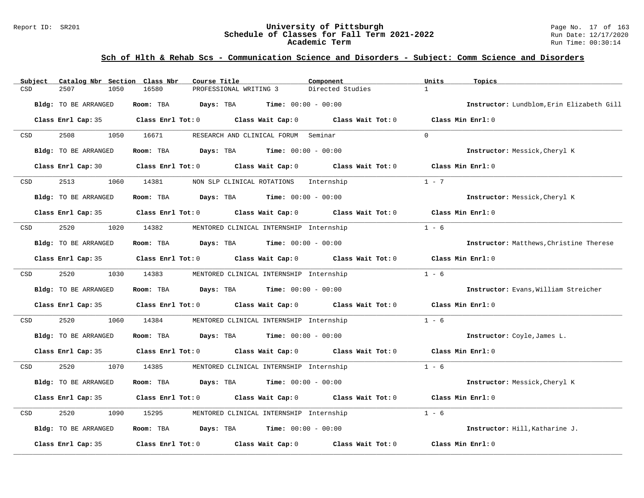#### Report ID: SR201 **University of Pittsburgh** Page No. 17 of 163 **Schedule of Classes for Fall Term 2021-2022** Run Date: 12/17/2020 **Academic Term** Run Time: 00:30:14

| Subject    | Catalog Nbr Section Class Nbr | Course Title                                                             | Component                               | Units<br>Topics                           |
|------------|-------------------------------|--------------------------------------------------------------------------|-----------------------------------------|-------------------------------------------|
| CSD        | 2507<br>1050                  | 16580<br>PROFESSIONAL WRITING 3                                          | Directed Studies                        | $\mathbf{1}$                              |
|            | Bldg: TO BE ARRANGED          | Room: TBA<br>Days: TBA                                                   | <b>Time:</b> $00:00 - 00:00$            | Instructor: Lundblom, Erin Elizabeth Gill |
|            |                               | Class Enrl Cap: 35 Class Enrl Tot: 0 Class Wait Cap: 0                   | Class Wait Tot: $0$                     | Class Min Enrl: 0                         |
| CSD        | 2508<br>1050                  | 16671<br>RESEARCH AND CLINICAL FORUM Seminar                             |                                         | $\Omega$                                  |
|            | Bldg: TO BE ARRANGED          | Room: TBA<br><b>Days:</b> TBA <b>Time:</b> $00:00 - 00:00$               |                                         | Instructor: Messick, Cheryl K             |
|            | Class Enrl Cap: 30            | Class Enrl Tot: 0 Class Wait Cap: 0                                      | Class Wait Tot: 0                       | Class Min Enrl: 0                         |
| CSD        | 2513<br>1060                  | 14381<br>NON SLP CLINICAL ROTATIONS                                      | Internship                              | $1 - 7$                                   |
|            | Bldg: TO BE ARRANGED          | Room: TBA<br>$\texttt{DayS:}$ TBA $\texttt{Time:}$ 00:00 - 00:00         |                                         | Instructor: Messick, Cheryl K             |
|            |                               | Class Enrl Cap: 35 Class Enrl Tot: 0 Class Wait Cap: 0 Class Wait Tot: 0 |                                         | Class Min Enrl: 0                         |
| CSD        | 2520<br>1020                  | 14382<br>MENTORED CLINICAL INTERNSHIP Internship                         |                                         | $1 - 6$                                   |
|            | Bldg: TO BE ARRANGED          | Room: TBA<br><b>Days:</b> TBA <b>Time:</b> $00:00 - 00:00$               |                                         | Instructor: Matthews, Christine Therese   |
|            | Class Enrl Cap: 35            | Class Enrl Tot: 0 Class Wait Cap: 0 Class Wait Tot: 0                    |                                         | Class Min Enrl: 0                         |
| <b>CSD</b> | 2520                          | 1030 14383<br>MENTORED CLINICAL INTERNSHIP Internship                    |                                         | $1 - 6$                                   |
|            | Bldg: TO BE ARRANGED          | Room: TBA<br>$\texttt{Davis:}$ TBA $\texttt{Time:}$ 00:00 - 00:00        |                                         | Instructor: Evans, William Streicher      |
|            | Class Enrl Cap: 35            | Class Enrl Tot: 0 Class Wait Cap: 0 Class Wait Tot: 0                    |                                         | Class Min Enrl: 0                         |
| CSD        | 2520<br>1060                  | 14384<br>MENTORED CLINICAL INTERNSHIP Internship                         |                                         | $1 - 6$                                   |
|            | Bldg: TO BE ARRANGED          | Room: TBA<br><b>Days:</b> TBA <b>Time:</b> $00:00 - 00:00$               |                                         | Instructor: Coyle, James L.               |
|            | Class Enrl Cap: 35            | Class Enrl Tot: 0 Class Wait Cap: 0 Class Wait Tot: 0                    |                                         | Class Min Enrl: 0                         |
| CSD        | 2520<br>1070                  | 14385<br>MENTORED CLINICAL INTERNSHIP Internship                         |                                         | $1 - 6$                                   |
|            | Bldg: TO BE ARRANGED          | Room: TBA<br>$\texttt{Davis:}$ TBA $\texttt{Time:}$ 00:00 - 00:00        |                                         | Instructor: Messick, Cheryl K             |
|            | Class Enrl Cap: 35            | Class Enrl Tot: 0                                                        | Class Wait Cap: $0$ Class Wait Tot: $0$ | Class Min Enrl: 0                         |
| CSD        | 2520<br>1090                  | MENTORED CLINICAL INTERNSHIP Internship<br>15295                         |                                         | $1 - 6$                                   |
|            | Bldg: TO BE ARRANGED          | <b>Days:</b> TBA <b>Time:</b> $00:00 - 00:00$<br>Room: TBA               |                                         | Instructor: Hill, Katharine J.            |
|            | Class Enrl Cap: 35            | Class Enrl Tot: 0 Class Wait Cap: 0                                      | Class Wait Tot: 0                       | Class Min Enrl: 0                         |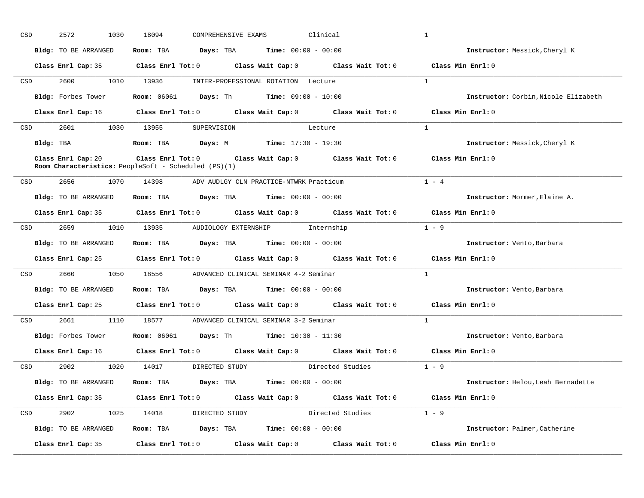| CSD                                                                                                             | 2572<br>1030         | 18094<br>COMPREHENSIVE EXAMS                                                                                                   | Clinical   | $\mathbf{1}$                         |
|-----------------------------------------------------------------------------------------------------------------|----------------------|--------------------------------------------------------------------------------------------------------------------------------|------------|--------------------------------------|
|                                                                                                                 | Bldg: TO BE ARRANGED | Room: TBA $Days:$ TBA $Time: 00:00 - 00:00$                                                                                    |            | Instructor: Messick, Cheryl K        |
|                                                                                                                 |                      | Class Enrl Cap: 35 Class Enrl Tot: 0 Class Wait Cap: 0 Class Wait Tot: 0 Class Min Enrl: 0                                     |            |                                      |
| <b>CSD</b>                                                                                                      | 2600                 | 1010 13936<br>INTER-PROFESSIONAL ROTATION Lecture                                                                              |            | $\overline{1}$                       |
|                                                                                                                 | Bldg: Forbes Tower   | <b>Room:</b> $06061$ <b>Days:</b> Th <b>Time:</b> $09:00 - 10:00$                                                              |            | Instructor: Corbin, Nicole Elizabeth |
|                                                                                                                 |                      | Class Enrl Cap: 16 Class Enrl Tot: 0 Class Wait Cap: 0 Class Wait Tot: 0 Class Min Enrl: 0                                     |            |                                      |
| CSD                                                                                                             | 2601 1030 13955      | SUPERVISION                                                                                                                    | Lecture    | 1                                    |
|                                                                                                                 | Bldg: TBA            | <b>Room:</b> TBA <b>Days:</b> M <b>Time:</b> 17:30 - 19:30                                                                     |            | Instructor: Messick, Cheryl K        |
|                                                                                                                 | Class Enrl Cap: 20   | Class Enrl Tot: 0 Class Wait Cap: 0 Class Wait Tot: 0<br>Room Characteristics: PeopleSoft - Scheduled (PS)(1)                  |            | Class Min Enrl: 0                    |
| CSD                                                                                                             | 2656<br>1070         | 14398<br>ADV AUDLGY CLN PRACTICE-NTWRK Practicum                                                                               |            | $1 - 4$                              |
|                                                                                                                 | Bldg: TO BE ARRANGED | Room: TBA $Days:$ TBA Time: $00:00 - 00:00$                                                                                    |            | Instructor: Mormer, Elaine A.        |
|                                                                                                                 |                      | Class Enrl Cap: 35 Class Enrl Tot: 0 Class Wait Cap: 0 Class Wait Tot: 0                                                       |            | Class Min Enrl: 0                    |
| CSD                                                                                                             | 2659                 | 1010 13935 AUDIOLOGY EXTERNSHIP                                                                                                | Internship | $1 - 9$                              |
|                                                                                                                 | Bldg: TO BE ARRANGED | <b>Room:</b> TBA $\qquad \qquad$ Days: TBA $\qquad \qquad$ Time: $00:00 - 00:00$                                               |            | Instructor: Vento, Barbara           |
|                                                                                                                 |                      | Class Enrl Cap: 25 Class Enrl Tot: 0 Class Wait Cap: 0 Class Wait Tot: 0                                                       |            | Class Min Enrl: 0                    |
| CSD and the control of the control of the control of the control of the control of the control of the control o | 2660                 | 1050 18556 ADVANCED CLINICAL SEMINAR 4-2 Seminar                                                                               |            | $\overline{1}$                       |
|                                                                                                                 | Bldg: TO BE ARRANGED | Room: TBA $Days:$ TBA $Time: 00:00 - 00:00$                                                                                    |            | Instructor: Vento, Barbara           |
|                                                                                                                 |                      | Class Enrl Cap: 25 Class Enrl Tot: 0 Class Wait Cap: 0 Class Wait Tot: 0 Class Min Enrl: 0                                     |            |                                      |
| CSD                                                                                                             |                      | 2661 1110 18577 ADVANCED CLINICAL SEMINAR 3-2 Seminar                                                                          |            | $\overline{1}$                       |
|                                                                                                                 |                      | Bldg: Forbes Tower Room: 06061 Days: Th Time: 10:30 - 11:30                                                                    |            | Instructor: Vento, Barbara           |
|                                                                                                                 |                      | Class Enrl Cap: 16 $\qquad$ Class Enrl Tot: 0 $\qquad$ Class Wait Cap: 0 $\qquad$ Class Wait Tot: 0 $\qquad$ Class Min Enrl: 0 |            |                                      |
| CSD                                                                                                             |                      | 2902 1020 14017 DIRECTED STUDY Directed Studies 1 - 9                                                                          |            |                                      |
|                                                                                                                 | Bldg: TO BE ARRANGED | Room: TBA $\rule{1em}{0.15mm}$ Days: TBA Time: $00:00 - 00:00$                                                                 |            | Instructor: Helou, Leah Bernadette   |
|                                                                                                                 |                      | Class Enrl Cap: 35 Class Enrl Tot: 0 Class Wait Cap: 0 Class Wait Tot: 0 Class Min Enrl: 0                                     |            |                                      |
| CSD                                                                                                             |                      | 2902 1025 14018 DIRECTED STUDY Directed Studies 1 - 9                                                                          |            |                                      |
|                                                                                                                 | Bldg: TO BE ARRANGED | Room: TBA $Days:$ TBA $Time: 00:00 - 00:00$                                                                                    |            | Instructor: Palmer, Catherine        |
|                                                                                                                 | Class Enrl Cap: 35   | Class Enrl Tot: $0$ Class Wait Cap: $0$ Class Wait Tot: $0$                                                                    |            | Class Min Enrl: 0                    |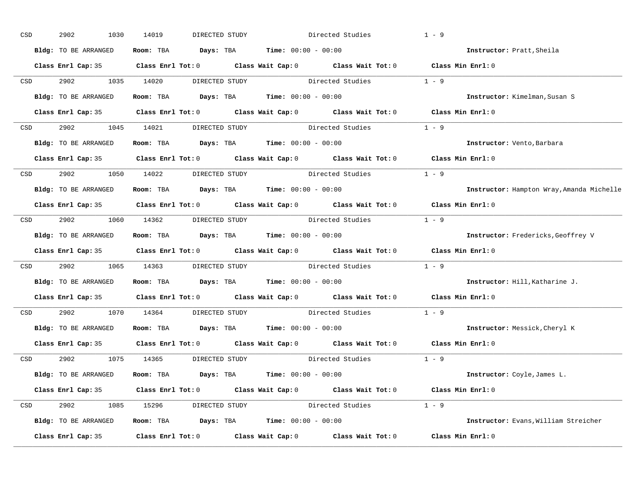| CSD |                  | 2902<br>1030         | 14019<br>DIRECTED STUDY            |                                                                                                     | Directed Studies       | $1 - 9$                                   |
|-----|------------------|----------------------|------------------------------------|-----------------------------------------------------------------------------------------------------|------------------------|-------------------------------------------|
|     |                  | Bldg: TO BE ARRANGED |                                    | Room: TBA $Days:$ TBA $Time: 00:00 - 00:00$                                                         |                        | Instructor: Pratt, Sheila                 |
|     |                  |                      |                                    | Class Enrl Cap: 35 Class Enrl Tot: 0 Class Wait Cap: 0 Class Wait Tot: 0 Class Min Enrl: 0          |                        |                                           |
|     | CSD              | 2902 1035 14020      |                                    | DIRECTED STUDY Directed Studies 1 - 9                                                               |                        |                                           |
|     |                  | Bldg: TO BE ARRANGED |                                    | Room: TBA $Days:$ TBA Time: $00:00 - 00:00$                                                         |                        | Instructor: Kimelman, Susan S             |
|     |                  |                      |                                    | Class Enrl Cap: 35 Class Enrl Tot: 0 Class Wait Cap: 0 Class Wait Tot: 0 Class Min Enrl: 0          |                        |                                           |
|     |                  |                      |                                    | CSD 2902 1045 14021 DIRECTED STUDY Directed Studies 1 - 9                                           |                        |                                           |
|     |                  |                      |                                    | Bldg: TO BE ARRANGED Room: TBA Days: TBA Time: 00:00 - 00:00                                        |                        | Instructor: Vento, Barbara                |
|     |                  |                      |                                    | Class Enrl Cap: 35 Class Enrl Tot: 0 Class Wait Cap: 0 Class Wait Tot: 0 Class Min Enrl: 0          |                        |                                           |
|     |                  |                      | CSD 2902 1050 14022 DIRECTED STUDY | Directed Studies                                                                                    | $1 - 9$                |                                           |
|     |                  | Bldg: TO BE ARRANGED |                                    | Room: TBA $Days:$ TBA $Time: 00:00 - 00:00$                                                         |                        | Instructor: Hampton Wray, Amanda Michelle |
|     |                  |                      |                                    | Class Enrl Cap: 35 Class Enrl Tot: 0 Class Wait Cap: 0 Class Wait Tot: 0 Class Min Enrl: 0          |                        |                                           |
|     |                  |                      |                                    | CSD 2902 1060 14362 DIRECTED STUDY Directed Studies 1 - 9                                           |                        |                                           |
|     |                  | Bldg: TO BE ARRANGED |                                    | Room: TBA $Days:$ TBA $Time: 00:00 - 00:00$                                                         |                        | Instructor: Fredericks, Geoffrey V        |
|     |                  |                      |                                    | Class Enrl Cap: 35 Class Enrl Tot: 0 Class Wait Cap: 0 Class Wait Tot: 0 Class Min Enrl: 0          |                        |                                           |
|     | CSD <sub>c</sub> |                      |                                    | 2902 1065 14363 DIRECTED STUDY Directed Studies 1 - 9                                               |                        |                                           |
|     |                  | Bldg: TO BE ARRANGED |                                    | Room: TBA $Days:$ TBA $Time: 00:00 - 00:00$                                                         |                        | Instructor: Hill, Katharine J.            |
|     |                  |                      |                                    | Class Enrl Cap: 35 Class Enrl Tot: 0 Class Wait Cap: 0 Class Wait Tot: 0                            |                        | Class Min $Enr1:0$                        |
|     | CSD              | 2902 1070 14364      |                                    | DIRECTED STUDY Directed Studies                                                                     |                        | $1 - 9$                                   |
|     |                  |                      |                                    | Bldg: TO BE ARRANGED Room: TBA Days: TBA Time: 00:00 - 00:00                                        |                        | Instructor: Messick, Cheryl K             |
|     |                  |                      |                                    | Class Enrl Cap: 35 $\qquad$ Class Enrl Tot: 0 $\qquad$ Class Wait Cap: 0 $\qquad$ Class Wait Tot: 0 |                        | Class Min Enrl: 0                         |
|     |                  |                      | CSD 2902 1075 14365 DIRECTED STUDY |                                                                                                     | Directed Studies 1 - 9 |                                           |
|     |                  | Bldg: TO BE ARRANGED |                                    | Room: TBA $Days:$ TBA $Time: 00:00 - 00:00$                                                         |                        | Instructor: Coyle, James L.               |
|     |                  |                      |                                    | Class Enrl Cap: 35 Class Enrl Tot: 0 Class Wait Cap: 0 Class Wait Tot: 0 Class Min Enrl: 0          |                        |                                           |
|     |                  |                      |                                    | CSD 2902 1085 15296 DIRECTED STUDY Directed Studies 1 - 9                                           |                        |                                           |
|     |                  | Bldg: TO BE ARRANGED |                                    | Room: TBA $Days:$ TBA $Time: 00:00 - 00:00$                                                         |                        | Instructor: Evans, William Streicher      |
|     |                  | Class Enrl Cap: 35   |                                    | Class Enrl Tot: 0 Class Wait Cap: 0 Class Wait Tot: 0 Class Min Enrl: 0                             |                        |                                           |
|     |                  |                      |                                    |                                                                                                     |                        |                                           |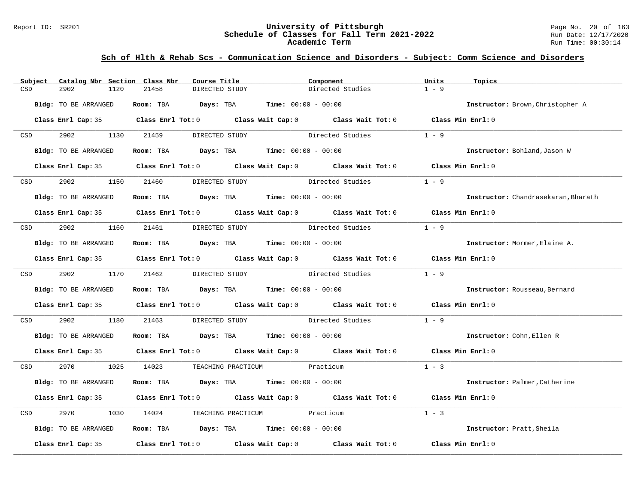#### Report ID: SR201 **University of Pittsburgh** Page No. 20 of 163 **Schedule of Classes for Fall Term 2021-2022** Run Date: 12/17/2020 **Academic Term** Run Time: 00:30:14

| Subject                                                                                                         | Catalog Nbr Section Class Nbr |            | Course Title   | Component                                                      |                                                                                            | Units   | Topics                              |
|-----------------------------------------------------------------------------------------------------------------|-------------------------------|------------|----------------|----------------------------------------------------------------|--------------------------------------------------------------------------------------------|---------|-------------------------------------|
| CSD                                                                                                             | 2902<br>1120                  | 21458      | DIRECTED STUDY |                                                                | Directed Studies                                                                           | $1 - 9$ |                                     |
|                                                                                                                 | Bldg: TO BE ARRANGED          |            |                | Room: TBA $Days:$ TBA $Time: 00:00 - 00:00$                    |                                                                                            |         | Instructor: Brown, Christopher A    |
|                                                                                                                 |                               |            |                |                                                                | Class Enrl Cap: 35 Class Enrl Tot: 0 Class Wait Cap: 0 Class Wait Tot: 0 Class Min Enrl: 0 |         |                                     |
| CSD and the control of the control of the control of the control of the control of the control of the control o | 2902 1130 21459               |            | DIRECTED STUDY |                                                                | Directed Studies                                                                           | $1 - 9$ |                                     |
|                                                                                                                 | Bldg: TO BE ARRANGED          |            |                | Room: TBA $Days:$ TBA $Time: 00:00 - 00:00$                    |                                                                                            |         | Instructor: Bohland, Jason W        |
|                                                                                                                 |                               |            |                |                                                                | Class Enrl Cap: 35 Class Enrl Tot: 0 Class Wait Cap: 0 Class Wait Tot: 0 Class Min Enrl: 0 |         |                                     |
| <b>CSD</b>                                                                                                      | 2902 200                      | 1150 21460 | DIRECTED STUDY | Directed Studies                                               |                                                                                            | $1 - 9$ |                                     |
|                                                                                                                 | Bldg: TO BE ARRANGED          |            |                | Room: TBA $Days:$ TBA Time: $00:00 - 00:00$                    |                                                                                            |         | Instructor: Chandrasekaran, Bharath |
|                                                                                                                 |                               |            |                |                                                                | Class Enrl Cap: 35 Class Enrl Tot: 0 Class Wait Cap: 0 Class Wait Tot: 0 Class Min Enrl: 0 |         |                                     |
| CSD <sub>c</sub>                                                                                                |                               |            |                | 2902 1160 21461 DIRECTED STUDY Directed Studies                |                                                                                            | $1 - 9$ |                                     |
|                                                                                                                 | Bldg: TO BE ARRANGED          |            |                | Room: TBA $Days:$ TBA $Time: 00:00 - 00:00$                    |                                                                                            |         | Instructor: Mormer, Elaine A.       |
|                                                                                                                 |                               |            |                |                                                                | Class Enrl Cap: 35 Class Enrl Tot: 0 Class Wait Cap: 0 Class Wait Tot: 0 Class Min Enrl: 0 |         |                                     |
|                                                                                                                 | CSD 2902 1170 21462           |            |                |                                                                | DIRECTED STUDY Directed Studies 1 - 9                                                      |         |                                     |
|                                                                                                                 | Bldg: TO BE ARRANGED          |            |                | Room: TBA $Days:$ TBA $Time: 00:00 - 00:00$                    |                                                                                            |         | Instructor: Rousseau, Bernard       |
|                                                                                                                 |                               |            |                |                                                                | Class Enrl Cap: 35 Class Enrl Tot: 0 Class Wait Cap: 0 Class Wait Tot: 0 Class Min Enrl: 0 |         |                                     |
| CSD                                                                                                             | 2902<br>1180                  | 21463      |                |                                                                | DIRECTED STUDY Directed Studies                                                            | $1 - 9$ |                                     |
|                                                                                                                 | Bldg: TO BE ARRANGED          |            |                | Room: TBA $Days:$ TBA $Time: 00:00 - 00:00$                    |                                                                                            |         | Instructor: Cohn, Ellen R           |
|                                                                                                                 |                               |            |                |                                                                | Class Enrl Cap: 35 Class Enrl Tot: 0 Class Wait Cap: 0 Class Wait Tot: 0 Class Min Enrl: 0 |         |                                     |
|                                                                                                                 |                               |            |                | CSD 2970 1025 14023 TEACHING PRACTICUM Practicum               |                                                                                            | $1 - 3$ |                                     |
|                                                                                                                 | Bldg: TO BE ARRANGED          |            |                | Room: TBA $Days:$ TBA $Time: 00:00 - 00:00$                    |                                                                                            |         | Instructor: Palmer, Catherine       |
|                                                                                                                 |                               |            |                |                                                                | Class Enrl Cap: 35 Class Enrl Tot: 0 Class Wait Cap: 0 Class Wait Tot: 0 Class Min Enrl: 0 |         |                                     |
| CSD                                                                                                             | 2970                          |            |                | 1030 14024 TEACHING PRACTICUM Practicum                        |                                                                                            | $1 - 3$ |                                     |
|                                                                                                                 | Bldg: TO BE ARRANGED          |            |                | Room: TBA $\rule{1em}{0.15mm}$ Days: TBA Time: $00:00 - 00:00$ |                                                                                            |         | Instructor: Pratt, Sheila           |
|                                                                                                                 |                               |            |                |                                                                | Class Enrl Cap: 35 Class Enrl Tot: 0 Class Wait Cap: 0 Class Wait Tot: 0 Class Min Enrl: 0 |         |                                     |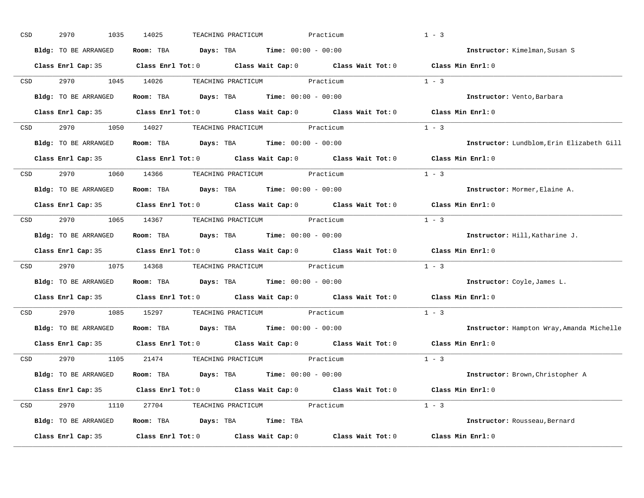| CSD |                  | 2970<br>1035         | 14025<br>TEACHING PRACTICUM                                                                         | Practicum | $1 - 3$                                   |
|-----|------------------|----------------------|-----------------------------------------------------------------------------------------------------|-----------|-------------------------------------------|
|     |                  | Bldg: TO BE ARRANGED | Room: TBA $Days: TBA$ Time: $00:00 - 00:00$                                                         |           | Instructor: Kimelman, Susan S             |
|     |                  |                      | Class Enrl Cap: 35 Class Enrl Tot: 0 Class Wait Cap: 0 Class Wait Tot: 0 Class Min Enrl: 0          |           |                                           |
|     | CSD              |                      | 2970 1045 14026 TEACHING PRACTICUM Practicum                                                        |           | $1 - 3$                                   |
|     |                  | Bldg: TO BE ARRANGED | Room: TBA $Days:$ TBA $Time: 00:00 - 00:00$                                                         |           | Instructor: Vento, Barbara                |
|     |                  |                      | Class Enrl Cap: 35 Class Enrl Tot: 0 Class Wait Cap: 0 Class Wait Tot: 0 Class Min Enrl: 0          |           |                                           |
|     |                  |                      | CSD 2970 1050 14027 TEACHING PRACTICUM Practicum                                                    |           | $1 - 3$                                   |
|     |                  | Bldg: TO BE ARRANGED | Room: TBA $Days:$ TBA $Time: 00:00 - 00:00$                                                         |           | Instructor: Lundblom, Erin Elizabeth Gill |
|     |                  |                      | Class Enrl Cap: 35 $\qquad$ Class Enrl Tot: 0 $\qquad$ Class Wait Cap: 0 $\qquad$ Class Wait Tot: 0 |           | Class Min Enrl: 0                         |
|     | <b>CSD</b>       |                      | 2970 1060 14366 TEACHING PRACTICUM Practicum                                                        |           | $1 - 3$                                   |
|     |                  | Bldg: TO BE ARRANGED | Room: TBA $Days: TBA$ Time: $00:00 - 00:00$                                                         |           | Instructor: Mormer, Elaine A.             |
|     |                  |                      | Class Enrl Cap: 35 Class Enrl Tot: 0 Class Wait Cap: 0 Class Wait Tot: 0                            |           | Class Min Enrl: 0                         |
|     | CSD <sub>c</sub> |                      | 2970 1065 14367 TEACHING PRACTICUM Practicum                                                        |           | $1 - 3$                                   |
|     |                  | Bldg: TO BE ARRANGED | Room: TBA $Days: TBA$ Time: $00:00 - 00:00$                                                         |           | Instructor: Hill, Katharine J.            |
|     |                  |                      | Class Enrl Cap: 35 Class Enrl Tot: 0 Class Wait Cap: 0 Class Wait Tot: 0                            |           | Class Min Enrl: 0                         |
| CSD |                  |                      | 2970 1075 14368 TEACHING PRACTICUM Practicum                                                        |           | $1 - 3$                                   |
|     |                  | Bldg: TO BE ARRANGED | Room: TBA $Days:$ TBA $Time: 00:00 - 00:00$                                                         |           | Instructor: Coyle, James L.               |
|     |                  |                      | Class Enrl Cap: 35 Class Enrl Tot: 0 Class Wait Cap: 0 Class Wait Tot: 0                            |           | Class Min Enrl: 0                         |
|     | CSD              | 2970 70              | 1085 15297 TEACHING PRACTICUM Practicum                                                             |           | $1 - 3$                                   |
|     |                  |                      | Bldg: TO BE ARRANGED Room: TBA Days: TBA Time: 00:00 - 00:00                                        |           | Instructor: Hampton Wray, Amanda Michelle |
|     |                  |                      | Class Enrl Cap: 35 $\qquad$ Class Enrl Tot: 0 $\qquad$ Class Wait Cap: 0 $\qquad$ Class Wait Tot: 0 |           | Class Min Enrl: 0                         |
|     |                  |                      | CSD 2970 1105 21474 TEACHING PRACTICUM Practicum                                                    |           | $1 - 3$                                   |
|     |                  | Bldg: TO BE ARRANGED | Room: TBA $Days:$ TBA $Time: 00:00 - 00:00$                                                         |           | Instructor: Brown, Christopher A          |
|     |                  |                      | Class Enrl Cap: 35 Class Enrl Tot: 0 Class Wait Cap: 0 Class Wait Tot: 0 Class Min Enrl: 0          |           |                                           |
|     |                  |                      | CSD 2970 1110 27704 TEACHING PRACTICUM Practicum                                                    |           | $1 - 3$                                   |
|     |                  | Bldg: TO BE ARRANGED | Room: TBA Days: TBA Time: TBA                                                                       |           | Instructor: Rousseau, Bernard             |
|     |                  | Class Enrl Cap: 35   | Class Enrl Tot: $0$ Class Wait Cap: $0$ Class Wait Tot: $0$                                         |           | Class Min Enrl: 0                         |
|     |                  |                      |                                                                                                     |           |                                           |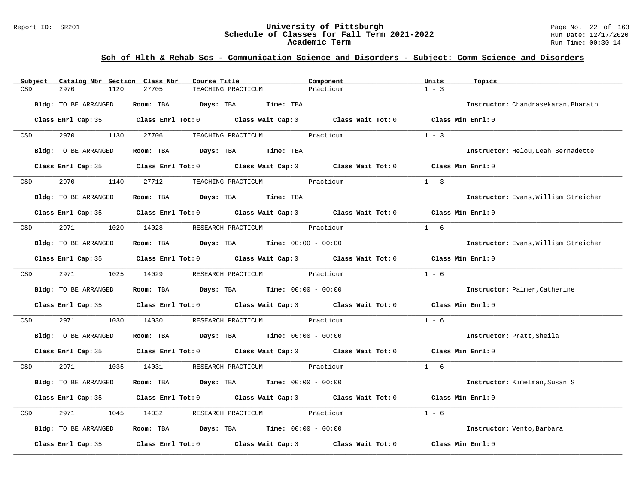#### Report ID: SR201 **University of Pittsburgh** Page No. 22 of 163 **Schedule of Classes for Fall Term 2021-2022** Run Date: 12/17/2020 **Academic Term** Run Time: 00:30:14

| Subject    | Catalog Nbr Section Class Nbr | Course Title                                                                                        | Component | Units<br>Topics                      |
|------------|-------------------------------|-----------------------------------------------------------------------------------------------------|-----------|--------------------------------------|
| CSD        | 2970<br>1120                  | 27705<br>TEACHING PRACTICUM                                                                         | Practicum | $1 - 3$                              |
|            | <b>Bldg:</b> TO BE ARRANGED   | Room: TBA<br>Days: TBA<br>Time: TBA                                                                 |           | Instructor: Chandrasekaran, Bharath  |
|            |                               | Class Enrl Cap: 35 Class Enrl Tot: 0 Class Wait Cap: 0 Class Wait Tot: 0 Class Min Enrl: 0          |           |                                      |
| CSD        | 2970<br>1130                  | 27706<br>TEACHING PRACTICUM Practicum                                                               |           | $1 - 3$                              |
|            | Bldg: TO BE ARRANGED          | Room: TBA<br>Days: TBA Time: TBA                                                                    |           | Instructor: Helou, Leah Bernadette   |
|            |                               | Class Enrl Cap: 35 Class Enrl Tot: 0 Class Wait Cap: 0 Class Wait Tot: 0                            |           | Class Min Enrl: 0                    |
| CSD        | 2970<br>1140                  | 27712<br>TEACHING PRACTICUM Practicum                                                               |           | $1 - 3$                              |
|            | <b>Bldg:</b> TO BE ARRANGED   | Room: TBA Days: TBA Time: TBA                                                                       |           | Instructor: Evans, William Streicher |
|            |                               | Class Enrl Cap: 35 $\qquad$ Class Enrl Tot: 0 $\qquad$ Class Wait Cap: 0 $\qquad$ Class Wait Tot: 0 |           | Class Min Enrl: 0                    |
| CSD        | 2971                          | 1020 14028 RESEARCH PRACTICUM Practicum                                                             |           | $1 - 6$                              |
|            | Bldg: TO BE ARRANGED          | Room: TBA $Days:$ TBA $Time: 00:00 - 00:00$                                                         |           | Instructor: Evans, William Streicher |
|            |                               | Class Enrl Cap: 35 Class Enrl Tot: 0 Class Wait Cap: 0 Class Wait Tot: 0                            |           | Class Min Enrl: 0                    |
| <b>CSD</b> | 2971                          | 1025 14029<br>RESEARCH PRACTICUM Practicum                                                          |           | $1 - 6$                              |
|            | Bldg: TO BE ARRANGED          | Room: TBA $Days:$ TBA $Time: 00:00 - 00:00$                                                         |           | Instructor: Palmer, Catherine        |
|            |                               | Class Enrl Cap: 35 Class Enrl Tot: 0 Class Wait Cap: 0 Class Wait Tot: 0                            |           | Class Min Enrl: 0                    |
| CSD        | 2971<br>1030                  | RESEARCH PRACTICUM Practicum<br>14030                                                               |           | $1 - 6$                              |
|            | Bldg: TO BE ARRANGED          | Room: TBA $Days:$ TBA $Time: 00:00 - 00:00$                                                         |           | Instructor: Pratt, Sheila            |
|            |                               | Class Enrl Cap: 35 Class Enrl Tot: 0 Class Wait Cap: 0 Class Wait Tot: 0 Class Min Enrl: 0          |           |                                      |
| CSD        | 2971<br>1035                  | 14031<br>RESEARCH PRACTICUM Practicum                                                               |           | $1 - 6$                              |
|            | Bldg: TO BE ARRANGED          | Room: TBA $Days:$ TBA $Time: 00:00 - 00:00$                                                         |           | Instructor: Kimelman, Susan S        |
|            |                               | Class Enrl Cap: 35 Class Enrl Tot: 0 Class Wait Cap: 0 Class Wait Tot: 0                            |           | $Class$ Min $Enrl: 0$                |
| CSD        | 2971<br>1045                  | RESEARCH PRACTICUM Practicum<br>14032                                                               |           | $1 - 6$                              |
|            | Bldg: TO BE ARRANGED          | Room: TBA $\rule{1em}{0.15mm}$ Days: TBA $\rule{1.15mm}]{0.15mm}$ Time: $0.000 - 0.0000$            |           | Instructor: Vento, Barbara           |
|            | Class Enrl Cap: 35            | Class Enrl Tot: $0$ Class Wait Cap: $0$ Class Wait Tot: $0$                                         |           | Class Min Enrl: 0                    |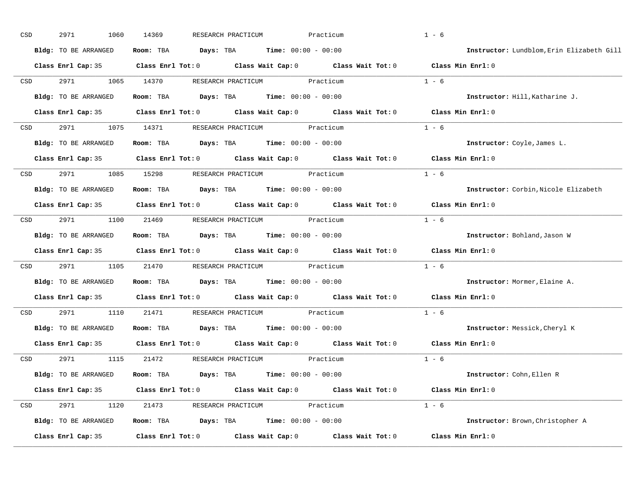| $_{\tt CSD}$     | 2971<br>1060         | 14369<br>RESEARCH PRACTICUM                                                                | Practicum         | $1 - 6$                                   |
|------------------|----------------------|--------------------------------------------------------------------------------------------|-------------------|-------------------------------------------|
|                  | Bldg: TO BE ARRANGED | <b>Days:</b> TBA <b>Time:</b> $00:00 - 00:00$<br>Room: TBA                                 |                   | Instructor: Lundblom, Erin Elizabeth Gill |
|                  |                      | Class Enrl Cap: 35 Class Enrl Tot: 0 Class Wait Cap: 0 Class Wait Tot: 0 Class Min Enrl: 0 |                   |                                           |
| CSD              | 2971<br>1065         | 14370<br>RESEARCH PRACTICUM Practicum                                                      |                   | $1 - 6$                                   |
|                  | Bldg: TO BE ARRANGED | Room: TBA $Days:$ TBA $Time: 00:00 - 00:00$                                                |                   | Instructor: Hill, Katharine J.            |
|                  |                      | Class Enrl Cap: 35 Class Enrl Tot: 0 Class Wait Cap: 0 Class Wait Tot: 0 Class Min Enrl: 0 |                   |                                           |
| CSD              |                      | 2971 1075 14371 RESEARCH PRACTICUM Practicum                                               |                   | $1 - 6$                                   |
|                  | Bldg: TO BE ARRANGED | Room: TBA Days: TBA Time: $00:00 - 00:00$                                                  |                   | Instructor: Coyle, James L.               |
|                  |                      | Class Enrl Cap: 35 Class Enrl Tot: 0 Class Wait Cap: 0 Class Wait Tot: 0 Class Min Enrl: 0 |                   |                                           |
| CSD              | 2971 1085 15298      | RESEARCH PRACTICUM Practicum                                                               |                   | $1 - 6$                                   |
|                  | Bldg: TO BE ARRANGED | Room: TBA $Days:$ TBA $Time: 00:00 - 00:00$                                                |                   | Instructor: Corbin, Nicole Elizabeth      |
|                  |                      | Class Enrl Cap: 35 Class Enrl Tot: 0 Class Wait Cap: 0 Class Wait Tot: 0 Class Min Enrl: 0 |                   |                                           |
| CSD <sub>c</sub> |                      | 2971 1100 21469 RESEARCH PRACTICUM Practicum                                               |                   | $1 - 6$                                   |
|                  | Bldg: TO BE ARRANGED | $\texttt{Days:}$ TBA $\texttt{Time:}$ 00:00 - 00:00<br>Room: TBA                           |                   | Instructor: Bohland, Jason W              |
|                  |                      | Class Enrl Cap: 35 Class Enrl Tot: 0 Class Wait Cap: 0 Class Wait Tot: 0                   |                   | Class Min Enrl: 0                         |
| CSD              | 2971<br>1105         | 21470<br>RESEARCH PRACTICUM Practicum                                                      |                   | $1 - 6$                                   |
|                  | Bldg: TO BE ARRANGED | Room: TBA<br>$\texttt{DayS:}$ TBA $\texttt{Time:}$ 00:00 - 00:00                           |                   | Instructor: Mormer, Elaine A.             |
|                  |                      | Class Enrl Cap: 35 Class Enrl Tot: 0 Class Wait Cap: 0 Class Wait Tot: 0                   |                   | Class Min Enrl: 0                         |
| CSD              | 2971<br>1110         | 21471<br>RESEARCH PRACTICUM                                                                | Practicum         | $1 - 6$                                   |
|                  | Bldg: TO BE ARRANGED | Room: TBA $Days:$ TBA $Time: 00:00 - 00:00$                                                |                   | Instructor: Messick, Cheryl K             |
|                  |                      | Class Enrl Cap: 35 Class Enrl Tot: 0 Class Wait Cap: 0 Class Wait Tot: 0                   |                   | Class Min Enrl: 0                         |
| CSD              | 2971                 | 1115 21472<br>RESEARCH PRACTICUM Practicum                                                 |                   | $1 - 6$                                   |
|                  | Bldg: TO BE ARRANGED | Room: TBA $\rule{1em}{0.15mm}$ Days: TBA $\rule{1.15mm}]{0.15mm}$ Time: $0.000 - 0.0000$   |                   | Instructor: Cohn, Ellen R                 |
|                  |                      | Class Enrl Cap: 35 Class Enrl Tot: 0 Class Wait Cap: 0 Class Wait Tot: 0 Class Min Enrl: 0 |                   |                                           |
| CSD              | 2971 1120            | 21473 RESEARCH PRACTICUM Practicum                                                         |                   | $1 - 6$                                   |
|                  | Bldg: TO BE ARRANGED | <b>Room:</b> TBA $\qquad \qquad$ Days: TBA $\qquad \qquad$ Time: $00:00 - 00:00$           |                   | Instructor: Brown, Christopher A          |
|                  | Class Enrl Cap: 35   | Class Enrl Tot: 0 Class Wait Cap: 0                                                        | Class Wait Tot: 0 | Class Min Enrl: 0                         |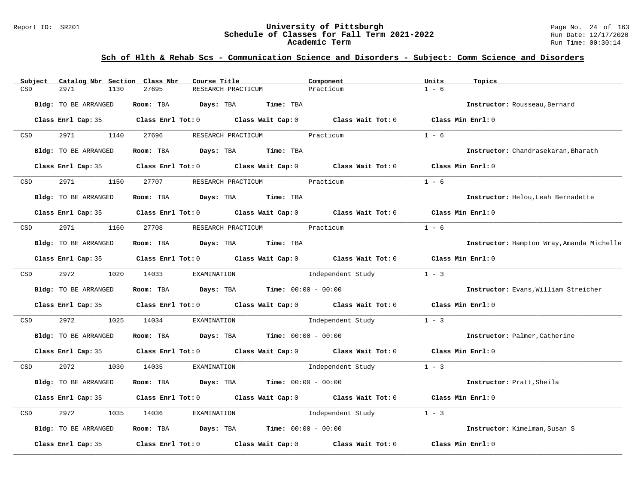#### Report ID: SR201 **University of Pittsburgh** Page No. 24 of 163 **Schedule of Classes for Fall Term 2021-2022** Run Date: 12/17/2020 **Academic Term** Run Time: 00:30:14

| Subject | Catalog Nbr Section Class Nbr | Course Title                                                                          |                                            | Component                                                                                           | Units<br>Topics                           |
|---------|-------------------------------|---------------------------------------------------------------------------------------|--------------------------------------------|-----------------------------------------------------------------------------------------------------|-------------------------------------------|
| CSD     | 2971<br>1130                  | 27695                                                                                 | RESEARCH PRACTICUM                         | Practicum                                                                                           | $1 - 6$                                   |
|         | Bldg: TO BE ARRANGED          | Room: TBA<br>Days: TBA                                                                | Time: TBA                                  |                                                                                                     | Instructor: Rousseau, Bernard             |
|         |                               |                                                                                       |                                            | Class Enrl Cap: 35 Class Enrl Tot: 0 Class Wait Cap: 0 Class Wait Tot: 0 Class Min Enrl: 0          |                                           |
| CSD     | 2971<br>1140                  | 27696                                                                                 | RESEARCH PRACTICUM                         | Practicum                                                                                           | $1 - 6$                                   |
|         | Bldg: TO BE ARRANGED          | Room: TBA                                                                             | Days: TBA Time: TBA                        |                                                                                                     | Instructor: Chandrasekaran, Bharath       |
|         |                               | Class Enrl Cap: 35 Class Enrl Tot: 0 Class Wait Cap: 0 Class Wait Tot: 0              |                                            |                                                                                                     | Class Min Enrl: 0                         |
| CSD     | 2971<br>1150                  | 27707                                                                                 | RESEARCH PRACTICUM                         | Practicum                                                                                           | $1 - 6$                                   |
|         | Bldg: TO BE ARRANGED          | Room: TBA Days: TBA                                                                   | <b>Time:</b> TBA                           |                                                                                                     | Instructor: Helou, Leah Bernadette        |
|         |                               |                                                                                       |                                            | Class Enrl Cap: 35 $\qquad$ Class Enrl Tot: 0 $\qquad$ Class Wait Cap: 0 $\qquad$ Class Wait Tot: 0 | Class Min Enrl: 0                         |
| CSD     | 2971<br>1160                  | 27708                                                                                 | RESEARCH PRACTICUM Practicum               |                                                                                                     | $1 - 6$                                   |
|         | Bldg: TO BE ARRANGED          | Room: TBA                                                                             | Days: TBA Time: TBA                        |                                                                                                     | Instructor: Hampton Wray, Amanda Michelle |
|         | Class Enrl Cap: 35            |                                                                                       |                                            | Class Enrl Tot: $0$ Class Wait Cap: $0$ Class Wait Tot: $0$                                         | Class Min Enrl: 0                         |
| CSD     | 2972<br>1020                  | 14033<br>EXAMINATION                                                                  |                                            | Independent Study                                                                                   | $1 - 3$                                   |
|         | Bldg: TO BE ARRANGED          | Room: TBA                                                                             | $\texttt{DayS:}$ TBA Time: $00:00 - 00:00$ |                                                                                                     | Instructor: Evans, William Streicher      |
|         | Class Enrl Cap: 35            |                                                                                       |                                            | Class Enrl Tot: 0 Class Wait Cap: 0 Class Wait Tot: 0                                               | Class Min Enrl: 0                         |
| CSD     | 2972<br>1025                  | 14034<br>EXAMINATION                                                                  |                                            | Independent Study                                                                                   | $1 - 3$                                   |
|         | Bldg: TO BE ARRANGED          | Room: TBA $Days:$ TBA $Time: 00:00 - 00:00$                                           |                                            |                                                                                                     | Instructor: Palmer, Catherine             |
|         | Class Enrl Cap: 35            |                                                                                       |                                            | Class Enrl Tot: 0 $\qquad$ Class Wait Cap: 0 $\qquad$ Class Wait Tot: 0 $\qquad$ Class Min Enrl: 0  |                                           |
| CSD     | 2972<br>1030                  | 14035<br>EXAMINATION                                                                  |                                            | Independent Study                                                                                   | $1 - 3$                                   |
|         | Bldg: TO BE ARRANGED          | Room: TBA                                                                             | $Days: TBA$ Time: $00:00 - 00:00$          |                                                                                                     | Instructor: Pratt, Sheila                 |
|         |                               | Class Enrl Cap: 35 Class Enrl Tot: 0 Class Wait Cap: 0 Class Wait Tot: 0              |                                            |                                                                                                     | Class Min Enrl: 0                         |
| CSD     | 2972<br>1035                  | 14036<br>EXAMINATION                                                                  |                                            | Independent Study                                                                                   | $1 - 3$                                   |
|         | Bldg: TO BE ARRANGED          | Room: TBA $\rule{1em}{0.15mm}$ Days: TBA $\rule{1.5mm}{0.15mm}$ Time: $00:00 - 00:00$ |                                            |                                                                                                     | Instructor: Kimelman, Susan S             |
|         | Class Enrl Cap: 35            | Class Enrl Tot: 0 Class Wait Cap: 0                                                   |                                            | Class Wait Tot: 0                                                                                   | Class Min Enrl: 0                         |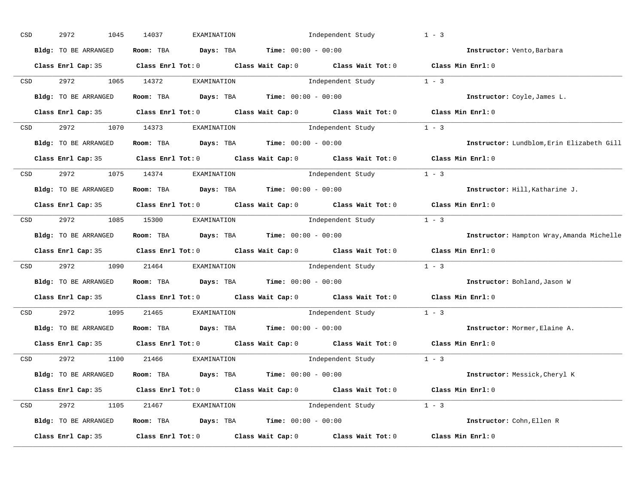| CSD |                  | 2972<br>1045                    | 14037 | EXAMINATION                                                                             | Independent Study                                                                          | $1 - 3$                                   |
|-----|------------------|---------------------------------|-------|-----------------------------------------------------------------------------------------|--------------------------------------------------------------------------------------------|-------------------------------------------|
|     |                  | Bldg: TO BE ARRANGED            |       | Room: TBA $Days:$ TBA $Time: 00:00 - 00:00$                                             |                                                                                            | Instructor: Vento, Barbara                |
|     |                  |                                 |       |                                                                                         | Class Enrl Cap: 35 Class Enrl Tot: 0 Class Wait Cap: 0 Class Wait Tot: 0 Class Min Enrl: 0 |                                           |
|     | CSD              | 2972 1065 14372                 |       | EXAMINATION                                                                             | Independent Study 1 - 3                                                                    |                                           |
|     |                  | Bldg: TO BE ARRANGED            |       | Room: TBA $Days:$ TBA Time: $00:00 - 00:00$                                             |                                                                                            | Instructor: Coyle, James L.               |
|     |                  |                                 |       |                                                                                         | Class Enrl Cap: 35 Class Enrl Tot: 0 Class Wait Cap: 0 Class Wait Tot: 0 Class Min Enrl: 0 |                                           |
|     |                  | CSD 2972 1070 14373 EXAMINATION |       |                                                                                         | Independent Study 1 - 3                                                                    |                                           |
|     |                  | Bldg: TO BE ARRANGED            |       | Room: TBA $Days:$ TBA $Time: 00:00 - 00:00$                                             |                                                                                            | Instructor: Lundblom, Erin Elizabeth Gill |
|     |                  |                                 |       |                                                                                         | Class Enrl Cap: 35 Class Enrl Tot: 0 Class Wait Cap: 0 Class Wait Tot: 0 Class Min Enrl: 0 |                                           |
|     | <b>CSD</b>       |                                 |       | 2972 1075 14374 EXAMINATION                                                             | Independent Study 1 - 3                                                                    |                                           |
|     |                  | Bldg: TO BE ARRANGED            |       | Room: TBA $Days:$ TBA $Time: 00:00 - 00:00$                                             |                                                                                            | Instructor: Hill, Katharine J.            |
|     |                  |                                 |       |                                                                                         | Class Enrl Cap: 35 Class Enrl Tot: 0 Class Wait Cap: 0 Class Wait Tot: 0 Class Min Enrl: 0 |                                           |
|     |                  |                                 |       | CSD 2972 1085 15300 EXAMINATION                                                         | Independent Study 1 - 3                                                                    |                                           |
|     |                  | Bldg: TO BE ARRANGED            |       | Room: TBA $Days:$ TBA $Time: 00:00 - 00:00$                                             |                                                                                            | Instructor: Hampton Wray, Amanda Michelle |
|     |                  |                                 |       |                                                                                         | Class Enrl Cap: 35 Class Enrl Tot: 0 Class Wait Cap: 0 Class Wait Tot: 0 Class Min Enrl: 0 |                                           |
|     | CSD <sub>c</sub> |                                 |       | 2972 1090 21464 EXAMINATION                                                             | Independent Study 1 - 3                                                                    |                                           |
|     |                  | Bldg: TO BE ARRANGED            |       | Room: TBA $Days:$ TBA Time: $00:00 - 00:00$                                             |                                                                                            | Instructor: Bohland, Jason W              |
|     |                  |                                 |       |                                                                                         | Class Enrl Cap: 35 Class Enrl Tot: 0 Class Wait Cap: 0 Class Wait Tot: 0 Class Min Enrl: 0 |                                           |
|     | <b>CSD</b>       | 2972 1095 21465                 |       | EXAMINATION                                                                             | Independent Study 1 - 3                                                                    |                                           |
|     |                  | Bldg: TO BE ARRANGED            |       | Room: TBA $Days:$ TBA Time: $00:00 - 00:00$                                             |                                                                                            | Instructor: Mormer, Elaine A.             |
|     |                  |                                 |       |                                                                                         | Class Enrl Cap: 35 Class Enrl Tot: 0 Class Wait Cap: 0 Class Wait Tot: 0                   | Class Min Enrl: 0                         |
|     |                  |                                 |       | CSD 2972 1100 21466 EXAMINATION                                                         | Independent Study 1 - 3                                                                    |                                           |
|     |                  | Bldg: TO BE ARRANGED            |       | Room: TBA $Days:$ TBA $Time: 00:00 - 00:00$                                             |                                                                                            | Instructor: Messick, Cheryl K             |
|     |                  |                                 |       |                                                                                         | Class Enrl Cap: 35 Class Enrl Tot: 0 Class Wait Cap: 0 Class Wait Tot: 0 Class Min Enrl: 0 |                                           |
|     |                  | CSD 2972 1105 21467 EXAMINATION |       |                                                                                         | Independent Study 1 - 3                                                                    |                                           |
|     |                  | Bldg: TO BE ARRANGED            |       | Room: TBA $\rule{1em}{0.15mm}$ Days: TBA $\rule{1.15mm}]{0.15mm}$ Time: $0.000 - 0.000$ |                                                                                            | Instructor: Cohn, Ellen R                 |
|     |                  | Class Enrl Cap: 35              |       |                                                                                         | Class Enrl Tot: $0$ Class Wait Cap: $0$ Class Wait Tot: $0$ Class Min Enrl: $0$            |                                           |
|     |                  |                                 |       |                                                                                         |                                                                                            |                                           |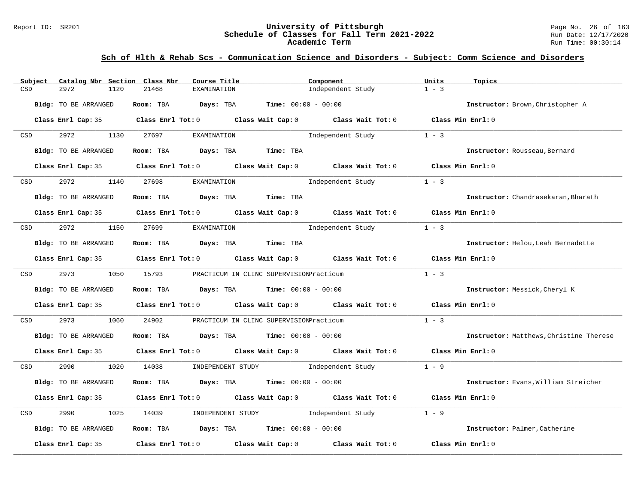#### Report ID: SR201 **University of Pittsburgh** Page No. 26 of 163 **Schedule of Classes for Fall Term 2021-2022** Run Date: 12/17/2020 **Academic Term** Run Time: 00:30:14

| Subject | Catalog Nbr Section Class Nbr | Course Title                                                                                        | Component                                                                                  | Units<br>Topics                                |
|---------|-------------------------------|-----------------------------------------------------------------------------------------------------|--------------------------------------------------------------------------------------------|------------------------------------------------|
| CSD     | 2972<br>1120                  | 21468<br>EXAMINATION                                                                                | Independent Study                                                                          | $1 - 3$                                        |
|         | Bldg: TO BE ARRANGED          | Room: TBA<br>Days: TBA                                                                              | <b>Time:</b> $00:00 - 00:00$                                                               | Instructor: Brown, Christopher A               |
|         |                               |                                                                                                     |                                                                                            |                                                |
|         |                               |                                                                                                     | Class Enrl Cap: 35 Class Enrl Tot: 0 Class Wait Cap: 0 Class Wait Tot: 0 Class Min Enrl: 0 |                                                |
| CSD     | 2972<br>1130                  | 27697<br>EXAMINATION                                                                                | Independent Study                                                                          | $1 - 3$                                        |
|         | Bldg: TO BE ARRANGED          | Room: TBA Days: TBA                                                                                 | Time: TBA                                                                                  | Instructor: Rousseau, Bernard                  |
|         | Class Enrl Cap: 35            |                                                                                                     | Class Enrl Tot: $0$ Class Wait Cap: $0$ Class Wait Tot: $0$                                | Class Min Enrl: 0                              |
| CSD     | 2972<br>1140                  | 27698<br>EXAMINATION                                                                                | Independent Study                                                                          | $1 - 3$                                        |
|         |                               |                                                                                                     |                                                                                            |                                                |
|         | Bldg: TO BE ARRANGED          | Room: TBA Days: TBA Time: TBA                                                                       |                                                                                            | Instructor: Chandrasekaran, Bharath            |
|         |                               |                                                                                                     | Class Enrl Cap: 35 Class Enrl Tot: 0 Class Wait Cap: 0 Class Wait Tot: 0 Class Min Enrl: 0 |                                                |
| CSD     | 2972<br>1150                  | 27699<br>EXAMINATION                                                                                | Independent Study                                                                          | $1 - 3$                                        |
|         | <b>Bldg:</b> TO BE ARRANGED   | Room: TBA Days: TBA Time: TBA                                                                       |                                                                                            | Instructor: Helou, Leah Bernadette             |
|         | Class Enrl Cap: 35            |                                                                                                     | Class Enrl Tot: $0$ Class Wait Cap: $0$ Class Wait Tot: $0$ Class Min Enrl: $0$            |                                                |
| CSD     | 2973 and $\sim$               | 1050 15793<br>PRACTICUM IN CLINC SUPERVISIONPracticum                                               |                                                                                            | $1 - 3$                                        |
|         | Bldg: TO BE ARRANGED          | Room: TBA $Days:$ TBA $Time: 00:00 - 00:00$                                                         |                                                                                            | Instructor: Messick, Cheryl K                  |
|         |                               | Class Enrl Cap: 35 $\qquad$ Class Enrl Tot: 0 $\qquad$ Class Wait Cap: 0 $\qquad$ Class Wait Tot: 0 |                                                                                            | Class Min Enrl: 0                              |
| CSD     | 2973<br>1060                  | 24902                                                                                               | PRACTICUM IN CLINC SUPERVISIONPracticum                                                    | $1 - 3$                                        |
|         | Bldg: TO BE ARRANGED          | Room: TBA $Days:$ TBA $Time: 00:00 - 00:00$                                                         |                                                                                            | <b>Instructor:</b> Matthews, Christine Therese |
|         | Class Enrl Cap: 35            |                                                                                                     | Class Enrl Tot: 0 Class Wait Cap: 0 Class Wait Tot: 0 Class Min Enrl: 0                    |                                                |
| CSD     | 2990<br>1020                  | 14038                                                                                               | $1 - 9$<br>INDEPENDENT STUDY 1ndependent Study                                             |                                                |
|         | Bldg: TO BE ARRANGED          | <b>Days:</b> TBA <b>Time:</b> $00:00 - 00:00$<br>Room: TBA                                          |                                                                                            | Instructor: Evans, William Streicher           |
|         | Class Enrl Cap: 35            | Class Enrl Tot: 0 Class Wait Cap: 0 Class Wait Tot: 0                                               |                                                                                            | Class Min $Enrl: 0$                            |
| CSD     | 2990<br>1025                  | 14039<br>INDEPENDENT STUDY                                                                          | Independent Study                                                                          | $1 - 9$                                        |
|         | Bldg: TO BE ARRANGED          | Room: TBA $Days:$ TBA $Time: 00:00 - 00:00$                                                         |                                                                                            | Instructor: Palmer, Catherine                  |
|         | Class Enrl Cap: 35            | Class Enrl Tot: $0$ Class Wait Cap: $0$                                                             | Class Wait Tot: 0                                                                          | Class Min Enrl: 0                              |
|         |                               |                                                                                                     |                                                                                            |                                                |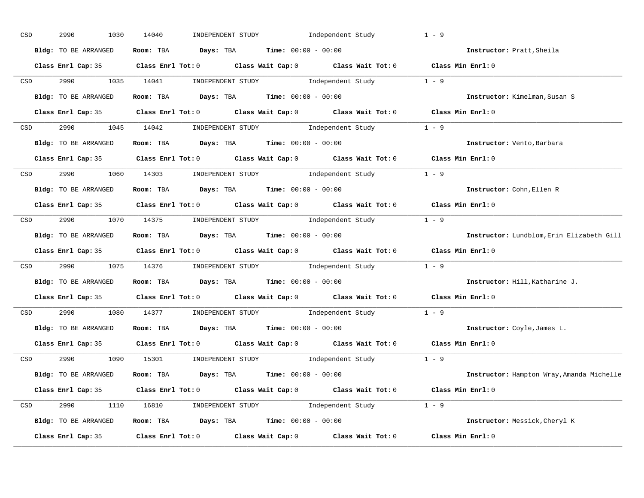| Room: TBA $Days:$ TBA $Time: 00:00 - 00:00$<br>Bldg: TO BE ARRANGED<br>Instructor: Pratt, Sheila<br>Class Enrl Cap: 35 Class Enrl Tot: 0 Class Wait Cap: 0 Class Wait Tot: 0 Class Min Enrl: 0<br>CSD 2990 1035 14041 INDEPENDENT STUDY Independent Study 1 - 9<br>Room: TBA $\rule{1em}{0.15mm}$ Days: TBA Time: $00:00 - 00:00$<br>Bldg: TO BE ARRANGED<br>Instructor: Kimelman, Susan S<br>Class Enrl Cap: 35 Class Enrl Tot: 0 Class Wait Cap: 0 Class Wait Tot: 0 Class Min Enrl: 0<br>CSD 2990 1045 14042 INDEPENDENT STUDY Independent Study 1 - 9<br>Bldg: TO BE ARRANGED ROOM: TBA Days: TBA Time: 00:00 - 00:00<br>Instructor: Vento, Barbara<br>Class Enrl Cap: 35 Class Enrl Tot: 0 Class Wait Cap: 0 Class Wait Tot: 0 Class Min Enrl: 0<br>CSD 2990 1060 14303 INDEPENDENT STUDY Independent Study 1 - 9<br>Room: TBA $\rule{1em}{0.15mm}$ Days: TBA $\rule{1.5mm}{0.15mm}$ Time: $00:00 - 00:00$<br>Bldg: TO BE ARRANGED<br>Instructor: Cohn, Ellen R<br>Class Enrl Cap: 35 Class Enrl Tot: 0 Class Wait Cap: 0 Class Wait Tot: 0 Class Min Enrl: 0<br>CSD 2990 1070 14375 INDEPENDENT STUDY Independent Study 1 - 9<br>Room: TBA $\rule{1em}{0.15mm}$ Days: TBA $\rule{1.15mm}]{0.15mm}$ Time: $00:00 - 00:00$<br>Bldg: TO BE ARRANGED<br>Class Enrl Cap: 35 Class Enrl Tot: 0 Class Wait Cap: 0 Class Wait Tot: 0 Class Min Enrl: 0<br>2990 1075 14376 INDEPENDENT STUDY Independent Study 1 - 9<br><b>CSD</b><br>Room: TBA $\rule{1em}{0.15mm}$ Days: TBA Time: $00:00 - 00:00$<br>Bldg: TO BE ARRANGED<br>Instructor: Hill, Katharine J.<br>Class Enrl Cap: 35 Class Enrl Tot: 0 Class Wait Cap: 0 Class Wait Tot: 0 Class Min Enrl: 0<br>2990 1080 14377 INDEPENDENT STUDY Independent Study 1 - 9<br>CSD<br>Room: TBA $\rule{1em}{0.15mm}$ Days: TBA $\rule{1.5mm}{0.15mm}$ Time: $00:00 - 00:00$<br>Bldg: TO BE ARRANGED<br>Instructor: Coyle, James L.<br>Class Enrl Cap: 35 Class Enrl Tot: 0 Class Wait Cap: 0 Class Wait Tot: 0 Class Min Enrl: 0<br>CSD 2990 1090 15301 INDEPENDENT STUDY Independent Study 1 - 9<br>Room: TBA $Days:$ TBA $Time:$ $00:00 - 00:00$<br>Bldg: TO BE ARRANGED<br>Class Enrl Cap: 35 Class Enrl Tot: 0 Class Wait Cap: 0 Class Wait Tot: 0 Class Min Enrl: 0<br>CSD 2990 1110 16810 INDEPENDENT STUDY Independent Study 1 - 9<br><b>Bldg:</b> TO BE ARRANGED <b>ROOM:</b> TBA <b>Days:</b> TBA <b>Time:</b> $00:00 - 00:00$<br>Instructor: Messick, Cheryl K<br>Class Enrl Cap: 35 Class Enrl Tot: 0 Class Wait Cap: 0 Class Wait Tot: 0 Class Min Enrl: 0 | CSD | 2990<br>1030 | 14040 | INDEPENDENT STUDY Independent Study | $1 - 9$                                   |
|-------------------------------------------------------------------------------------------------------------------------------------------------------------------------------------------------------------------------------------------------------------------------------------------------------------------------------------------------------------------------------------------------------------------------------------------------------------------------------------------------------------------------------------------------------------------------------------------------------------------------------------------------------------------------------------------------------------------------------------------------------------------------------------------------------------------------------------------------------------------------------------------------------------------------------------------------------------------------------------------------------------------------------------------------------------------------------------------------------------------------------------------------------------------------------------------------------------------------------------------------------------------------------------------------------------------------------------------------------------------------------------------------------------------------------------------------------------------------------------------------------------------------------------------------------------------------------------------------------------------------------------------------------------------------------------------------------------------------------------------------------------------------------------------------------------------------------------------------------------------------------------------------------------------------------------------------------------------------------------------------------------------------------------------------------------------------------------------------------------------------------------------------------------------------------------------------------------------------------------------------------------------------------------------------------------------------------------------------------------------------------------------------------------------------------------------------------------------------------------------------------------------|-----|--------------|-------|-------------------------------------|-------------------------------------------|
|                                                                                                                                                                                                                                                                                                                                                                                                                                                                                                                                                                                                                                                                                                                                                                                                                                                                                                                                                                                                                                                                                                                                                                                                                                                                                                                                                                                                                                                                                                                                                                                                                                                                                                                                                                                                                                                                                                                                                                                                                                                                                                                                                                                                                                                                                                                                                                                                                                                                                                                   |     |              |       |                                     |                                           |
|                                                                                                                                                                                                                                                                                                                                                                                                                                                                                                                                                                                                                                                                                                                                                                                                                                                                                                                                                                                                                                                                                                                                                                                                                                                                                                                                                                                                                                                                                                                                                                                                                                                                                                                                                                                                                                                                                                                                                                                                                                                                                                                                                                                                                                                                                                                                                                                                                                                                                                                   |     |              |       |                                     |                                           |
|                                                                                                                                                                                                                                                                                                                                                                                                                                                                                                                                                                                                                                                                                                                                                                                                                                                                                                                                                                                                                                                                                                                                                                                                                                                                                                                                                                                                                                                                                                                                                                                                                                                                                                                                                                                                                                                                                                                                                                                                                                                                                                                                                                                                                                                                                                                                                                                                                                                                                                                   |     |              |       |                                     |                                           |
|                                                                                                                                                                                                                                                                                                                                                                                                                                                                                                                                                                                                                                                                                                                                                                                                                                                                                                                                                                                                                                                                                                                                                                                                                                                                                                                                                                                                                                                                                                                                                                                                                                                                                                                                                                                                                                                                                                                                                                                                                                                                                                                                                                                                                                                                                                                                                                                                                                                                                                                   |     |              |       |                                     |                                           |
|                                                                                                                                                                                                                                                                                                                                                                                                                                                                                                                                                                                                                                                                                                                                                                                                                                                                                                                                                                                                                                                                                                                                                                                                                                                                                                                                                                                                                                                                                                                                                                                                                                                                                                                                                                                                                                                                                                                                                                                                                                                                                                                                                                                                                                                                                                                                                                                                                                                                                                                   |     |              |       |                                     |                                           |
|                                                                                                                                                                                                                                                                                                                                                                                                                                                                                                                                                                                                                                                                                                                                                                                                                                                                                                                                                                                                                                                                                                                                                                                                                                                                                                                                                                                                                                                                                                                                                                                                                                                                                                                                                                                                                                                                                                                                                                                                                                                                                                                                                                                                                                                                                                                                                                                                                                                                                                                   |     |              |       |                                     |                                           |
|                                                                                                                                                                                                                                                                                                                                                                                                                                                                                                                                                                                                                                                                                                                                                                                                                                                                                                                                                                                                                                                                                                                                                                                                                                                                                                                                                                                                                                                                                                                                                                                                                                                                                                                                                                                                                                                                                                                                                                                                                                                                                                                                                                                                                                                                                                                                                                                                                                                                                                                   |     |              |       |                                     |                                           |
|                                                                                                                                                                                                                                                                                                                                                                                                                                                                                                                                                                                                                                                                                                                                                                                                                                                                                                                                                                                                                                                                                                                                                                                                                                                                                                                                                                                                                                                                                                                                                                                                                                                                                                                                                                                                                                                                                                                                                                                                                                                                                                                                                                                                                                                                                                                                                                                                                                                                                                                   |     |              |       |                                     |                                           |
|                                                                                                                                                                                                                                                                                                                                                                                                                                                                                                                                                                                                                                                                                                                                                                                                                                                                                                                                                                                                                                                                                                                                                                                                                                                                                                                                                                                                                                                                                                                                                                                                                                                                                                                                                                                                                                                                                                                                                                                                                                                                                                                                                                                                                                                                                                                                                                                                                                                                                                                   |     |              |       |                                     |                                           |
|                                                                                                                                                                                                                                                                                                                                                                                                                                                                                                                                                                                                                                                                                                                                                                                                                                                                                                                                                                                                                                                                                                                                                                                                                                                                                                                                                                                                                                                                                                                                                                                                                                                                                                                                                                                                                                                                                                                                                                                                                                                                                                                                                                                                                                                                                                                                                                                                                                                                                                                   |     |              |       |                                     |                                           |
|                                                                                                                                                                                                                                                                                                                                                                                                                                                                                                                                                                                                                                                                                                                                                                                                                                                                                                                                                                                                                                                                                                                                                                                                                                                                                                                                                                                                                                                                                                                                                                                                                                                                                                                                                                                                                                                                                                                                                                                                                                                                                                                                                                                                                                                                                                                                                                                                                                                                                                                   |     |              |       |                                     |                                           |
|                                                                                                                                                                                                                                                                                                                                                                                                                                                                                                                                                                                                                                                                                                                                                                                                                                                                                                                                                                                                                                                                                                                                                                                                                                                                                                                                                                                                                                                                                                                                                                                                                                                                                                                                                                                                                                                                                                                                                                                                                                                                                                                                                                                                                                                                                                                                                                                                                                                                                                                   |     |              |       |                                     |                                           |
|                                                                                                                                                                                                                                                                                                                                                                                                                                                                                                                                                                                                                                                                                                                                                                                                                                                                                                                                                                                                                                                                                                                                                                                                                                                                                                                                                                                                                                                                                                                                                                                                                                                                                                                                                                                                                                                                                                                                                                                                                                                                                                                                                                                                                                                                                                                                                                                                                                                                                                                   |     |              |       |                                     | Instructor: Lundblom, Erin Elizabeth Gill |
|                                                                                                                                                                                                                                                                                                                                                                                                                                                                                                                                                                                                                                                                                                                                                                                                                                                                                                                                                                                                                                                                                                                                                                                                                                                                                                                                                                                                                                                                                                                                                                                                                                                                                                                                                                                                                                                                                                                                                                                                                                                                                                                                                                                                                                                                                                                                                                                                                                                                                                                   |     |              |       |                                     |                                           |
|                                                                                                                                                                                                                                                                                                                                                                                                                                                                                                                                                                                                                                                                                                                                                                                                                                                                                                                                                                                                                                                                                                                                                                                                                                                                                                                                                                                                                                                                                                                                                                                                                                                                                                                                                                                                                                                                                                                                                                                                                                                                                                                                                                                                                                                                                                                                                                                                                                                                                                                   |     |              |       |                                     |                                           |
|                                                                                                                                                                                                                                                                                                                                                                                                                                                                                                                                                                                                                                                                                                                                                                                                                                                                                                                                                                                                                                                                                                                                                                                                                                                                                                                                                                                                                                                                                                                                                                                                                                                                                                                                                                                                                                                                                                                                                                                                                                                                                                                                                                                                                                                                                                                                                                                                                                                                                                                   |     |              |       |                                     |                                           |
|                                                                                                                                                                                                                                                                                                                                                                                                                                                                                                                                                                                                                                                                                                                                                                                                                                                                                                                                                                                                                                                                                                                                                                                                                                                                                                                                                                                                                                                                                                                                                                                                                                                                                                                                                                                                                                                                                                                                                                                                                                                                                                                                                                                                                                                                                                                                                                                                                                                                                                                   |     |              |       |                                     |                                           |
|                                                                                                                                                                                                                                                                                                                                                                                                                                                                                                                                                                                                                                                                                                                                                                                                                                                                                                                                                                                                                                                                                                                                                                                                                                                                                                                                                                                                                                                                                                                                                                                                                                                                                                                                                                                                                                                                                                                                                                                                                                                                                                                                                                                                                                                                                                                                                                                                                                                                                                                   |     |              |       |                                     |                                           |
|                                                                                                                                                                                                                                                                                                                                                                                                                                                                                                                                                                                                                                                                                                                                                                                                                                                                                                                                                                                                                                                                                                                                                                                                                                                                                                                                                                                                                                                                                                                                                                                                                                                                                                                                                                                                                                                                                                                                                                                                                                                                                                                                                                                                                                                                                                                                                                                                                                                                                                                   |     |              |       |                                     |                                           |
|                                                                                                                                                                                                                                                                                                                                                                                                                                                                                                                                                                                                                                                                                                                                                                                                                                                                                                                                                                                                                                                                                                                                                                                                                                                                                                                                                                                                                                                                                                                                                                                                                                                                                                                                                                                                                                                                                                                                                                                                                                                                                                                                                                                                                                                                                                                                                                                                                                                                                                                   |     |              |       |                                     |                                           |
|                                                                                                                                                                                                                                                                                                                                                                                                                                                                                                                                                                                                                                                                                                                                                                                                                                                                                                                                                                                                                                                                                                                                                                                                                                                                                                                                                                                                                                                                                                                                                                                                                                                                                                                                                                                                                                                                                                                                                                                                                                                                                                                                                                                                                                                                                                                                                                                                                                                                                                                   |     |              |       |                                     |                                           |
|                                                                                                                                                                                                                                                                                                                                                                                                                                                                                                                                                                                                                                                                                                                                                                                                                                                                                                                                                                                                                                                                                                                                                                                                                                                                                                                                                                                                                                                                                                                                                                                                                                                                                                                                                                                                                                                                                                                                                                                                                                                                                                                                                                                                                                                                                                                                                                                                                                                                                                                   |     |              |       |                                     | Instructor: Hampton Wray, Amanda Michelle |
|                                                                                                                                                                                                                                                                                                                                                                                                                                                                                                                                                                                                                                                                                                                                                                                                                                                                                                                                                                                                                                                                                                                                                                                                                                                                                                                                                                                                                                                                                                                                                                                                                                                                                                                                                                                                                                                                                                                                                                                                                                                                                                                                                                                                                                                                                                                                                                                                                                                                                                                   |     |              |       |                                     |                                           |
|                                                                                                                                                                                                                                                                                                                                                                                                                                                                                                                                                                                                                                                                                                                                                                                                                                                                                                                                                                                                                                                                                                                                                                                                                                                                                                                                                                                                                                                                                                                                                                                                                                                                                                                                                                                                                                                                                                                                                                                                                                                                                                                                                                                                                                                                                                                                                                                                                                                                                                                   |     |              |       |                                     |                                           |
|                                                                                                                                                                                                                                                                                                                                                                                                                                                                                                                                                                                                                                                                                                                                                                                                                                                                                                                                                                                                                                                                                                                                                                                                                                                                                                                                                                                                                                                                                                                                                                                                                                                                                                                                                                                                                                                                                                                                                                                                                                                                                                                                                                                                                                                                                                                                                                                                                                                                                                                   |     |              |       |                                     |                                           |
|                                                                                                                                                                                                                                                                                                                                                                                                                                                                                                                                                                                                                                                                                                                                                                                                                                                                                                                                                                                                                                                                                                                                                                                                                                                                                                                                                                                                                                                                                                                                                                                                                                                                                                                                                                                                                                                                                                                                                                                                                                                                                                                                                                                                                                                                                                                                                                                                                                                                                                                   |     |              |       |                                     |                                           |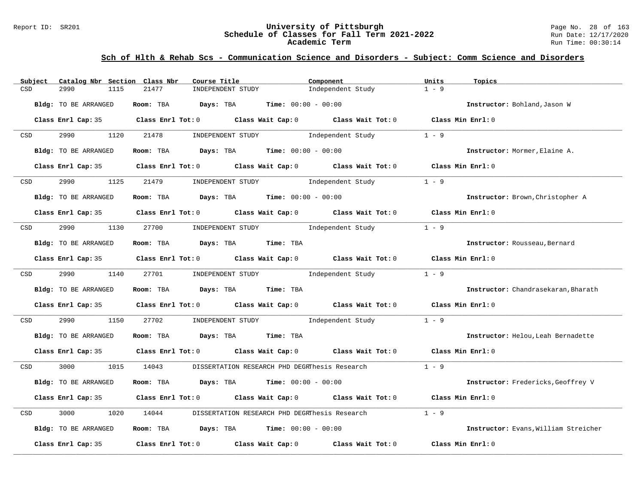#### Report ID: SR201 **University of Pittsburgh** Page No. 28 of 163 **Schedule of Classes for Fall Term 2021-2022** Run Date: 12/17/2020 **Academic Term** Run Time: 00:30:14

| Catalog Nbr Section Class Nbr<br>Subject | Course Title                                                                               | Component         | Units<br>Topics                      |
|------------------------------------------|--------------------------------------------------------------------------------------------|-------------------|--------------------------------------|
| CSD<br>2990<br>1115                      | 21477<br>INDEPENDENT STUDY                                                                 | Independent Study | $1 - 9$                              |
| Bldg: TO BE ARRANGED                     | Room: TBA<br>Days: TBA<br><b>Time:</b> $00:00 - 00:00$                                     |                   | Instructor: Bohland, Jason W         |
|                                          | Class Enrl Cap: 35 Class Enrl Tot: 0 Class Wait Cap: 0 Class Wait Tot: 0 Class Min Enrl: 0 |                   |                                      |
| 2990<br>1120<br>CSD                      | 21478<br>INDEPENDENT STUDY                                                                 | Independent Study | $1 - 9$                              |
| Bldg: TO BE ARRANGED                     | Room: TBA $Days:$ TBA $Time: 00:00 - 00:00$                                                |                   | Instructor: Mormer, Elaine A.        |
| Class Enrl Cap: 35                       | Class Enrl Tot: 0 Class Wait Cap: 0 Class Wait Tot: 0                                      |                   | Class Min Enrl: 0                    |
| 2990<br>1125<br>CSD                      | 21479<br>INDEPENDENT STUDY                                                                 | Independent Study | $1 - 9$                              |
| Bldg: TO BE ARRANGED                     | Room: TBA $Days:$ TBA $Time: 00:00 - 00:00$                                                |                   | Instructor: Brown, Christopher A     |
|                                          | Class Enrl Cap: 35 Class Enrl Tot: 0 Class Wait Cap: 0 Class Wait Tot: 0 Class Min Enrl: 0 |                   |                                      |
| 2990<br>1130<br>CSD                      | INDEPENDENT STUDY 1ndependent Study<br>27700                                               |                   | $1 - 9$                              |
| Bldg: TO BE ARRANGED                     | Room: TBA Days: TBA Time: TBA                                                              |                   | Instructor: Rousseau, Bernard        |
|                                          | Class Enrl Cap: 35 Class Enrl Tot: 0 Class Wait Cap: 0 Class Wait Tot: 0                   |                   | Class Min Enrl: 0                    |
| 2990<br>1140<br>CSD                      | 27701<br>INDEPENDENT STUDY 1ndependent Study                                               |                   | $1 - 9$                              |
| Bldg: TO BE ARRANGED                     | Room: TBA Days: TBA<br>Time: TBA                                                           |                   | Instructor: Chandrasekaran, Bharath  |
| Class Enrl Cap: 35                       | Class Enrl Tot: $0$ Class Wait Cap: $0$ Class Wait Tot: $0$                                |                   | Class Min Enrl: 0                    |
| 2990<br>1150<br>CSD                      | 27702<br>INDEPENDENT STUDY 1ndependent Study                                               |                   | $1 - 9$                              |
| Bldg: TO BE ARRANGED                     | Room: TBA<br>Days: TBA Time: TBA                                                           |                   | Instructor: Helou, Leah Bernadette   |
|                                          | Class Enrl Cap: 35 Class Enrl Tot: 0 Class Wait Cap: 0 Class Wait Tot: 0 Class Min Enrl: 0 |                   |                                      |
| CSD<br>3000<br>1015                      | 14043<br>DISSERTATION RESEARCH PHD DEGRThesis Research                                     |                   | $1 - 9$                              |
| Bldg: TO BE ARRANGED                     | Room: TBA<br><b>Days:</b> TBA <b>Time:</b> $00:00 - 00:00$                                 |                   | Instructor: Fredericks, Geoffrey V   |
| Class Enrl Cap: 35                       | Class Enrl Tot: 0 Class Wait Cap: 0 Class Wait Tot: 0                                      |                   | Class Min $Err1:0$                   |
| 3000<br>1020<br>CSD                      | 14044<br>DISSERTATION RESEARCH PHD DEGRThesis Research                                     |                   | $1 - 9$                              |
| Bldg: TO BE ARRANGED                     | Room: TBA $Days:$ TBA $Time: 00:00 - 00:00$                                                |                   | Instructor: Evans, William Streicher |
| Class Enrl Cap: 35                       | Class Enrl Tot: $0$ Class Wait Cap: $0$                                                    | Class Wait Tot: 0 | Class Min Enrl: 0                    |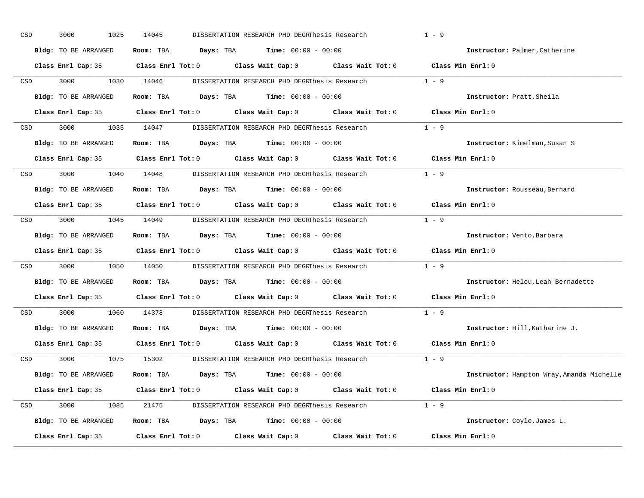| CSD | 3000<br>1025 | 14045                                                                                                                                                                                                                               |                                                                                             | $1 - 9$                                                                                                                                                                                                                                                                                                                                                                                                                                                                                                                                                                                                                                                                                                                                                                                                                                                                                                                                                                                                                                                                                                                                                                                                                                                                                                                                                                                                                                                                                                                                                                                                                                                                                                                                                                                                                                    |
|-----|--------------|-------------------------------------------------------------------------------------------------------------------------------------------------------------------------------------------------------------------------------------|---------------------------------------------------------------------------------------------|--------------------------------------------------------------------------------------------------------------------------------------------------------------------------------------------------------------------------------------------------------------------------------------------------------------------------------------------------------------------------------------------------------------------------------------------------------------------------------------------------------------------------------------------------------------------------------------------------------------------------------------------------------------------------------------------------------------------------------------------------------------------------------------------------------------------------------------------------------------------------------------------------------------------------------------------------------------------------------------------------------------------------------------------------------------------------------------------------------------------------------------------------------------------------------------------------------------------------------------------------------------------------------------------------------------------------------------------------------------------------------------------------------------------------------------------------------------------------------------------------------------------------------------------------------------------------------------------------------------------------------------------------------------------------------------------------------------------------------------------------------------------------------------------------------------------------------------------|
|     |              |                                                                                                                                                                                                                                     |                                                                                             | Instructor: Palmer, Catherine                                                                                                                                                                                                                                                                                                                                                                                                                                                                                                                                                                                                                                                                                                                                                                                                                                                                                                                                                                                                                                                                                                                                                                                                                                                                                                                                                                                                                                                                                                                                                                                                                                                                                                                                                                                                              |
|     |              |                                                                                                                                                                                                                                     |                                                                                             |                                                                                                                                                                                                                                                                                                                                                                                                                                                                                                                                                                                                                                                                                                                                                                                                                                                                                                                                                                                                                                                                                                                                                                                                                                                                                                                                                                                                                                                                                                                                                                                                                                                                                                                                                                                                                                            |
|     | 3000 000     |                                                                                                                                                                                                                                     |                                                                                             | $1 - 9$                                                                                                                                                                                                                                                                                                                                                                                                                                                                                                                                                                                                                                                                                                                                                                                                                                                                                                                                                                                                                                                                                                                                                                                                                                                                                                                                                                                                                                                                                                                                                                                                                                                                                                                                                                                                                                    |
|     |              |                                                                                                                                                                                                                                     |                                                                                             | Instructor: Pratt, Sheila                                                                                                                                                                                                                                                                                                                                                                                                                                                                                                                                                                                                                                                                                                                                                                                                                                                                                                                                                                                                                                                                                                                                                                                                                                                                                                                                                                                                                                                                                                                                                                                                                                                                                                                                                                                                                  |
|     |              |                                                                                                                                                                                                                                     |                                                                                             |                                                                                                                                                                                                                                                                                                                                                                                                                                                                                                                                                                                                                                                                                                                                                                                                                                                                                                                                                                                                                                                                                                                                                                                                                                                                                                                                                                                                                                                                                                                                                                                                                                                                                                                                                                                                                                            |
| CSD |              |                                                                                                                                                                                                                                     |                                                                                             |                                                                                                                                                                                                                                                                                                                                                                                                                                                                                                                                                                                                                                                                                                                                                                                                                                                                                                                                                                                                                                                                                                                                                                                                                                                                                                                                                                                                                                                                                                                                                                                                                                                                                                                                                                                                                                            |
|     |              |                                                                                                                                                                                                                                     |                                                                                             | Instructor: Kimelman, Susan S                                                                                                                                                                                                                                                                                                                                                                                                                                                                                                                                                                                                                                                                                                                                                                                                                                                                                                                                                                                                                                                                                                                                                                                                                                                                                                                                                                                                                                                                                                                                                                                                                                                                                                                                                                                                              |
|     |              |                                                                                                                                                                                                                                     |                                                                                             | Class Min Enrl: 0                                                                                                                                                                                                                                                                                                                                                                                                                                                                                                                                                                                                                                                                                                                                                                                                                                                                                                                                                                                                                                                                                                                                                                                                                                                                                                                                                                                                                                                                                                                                                                                                                                                                                                                                                                                                                          |
|     |              |                                                                                                                                                                                                                                     |                                                                                             | $1 - 9$                                                                                                                                                                                                                                                                                                                                                                                                                                                                                                                                                                                                                                                                                                                                                                                                                                                                                                                                                                                                                                                                                                                                                                                                                                                                                                                                                                                                                                                                                                                                                                                                                                                                                                                                                                                                                                    |
|     |              |                                                                                                                                                                                                                                     |                                                                                             | Instructor: Rousseau, Bernard                                                                                                                                                                                                                                                                                                                                                                                                                                                                                                                                                                                                                                                                                                                                                                                                                                                                                                                                                                                                                                                                                                                                                                                                                                                                                                                                                                                                                                                                                                                                                                                                                                                                                                                                                                                                              |
|     |              |                                                                                                                                                                                                                                     |                                                                                             | Class Min Enrl: 0                                                                                                                                                                                                                                                                                                                                                                                                                                                                                                                                                                                                                                                                                                                                                                                                                                                                                                                                                                                                                                                                                                                                                                                                                                                                                                                                                                                                                                                                                                                                                                                                                                                                                                                                                                                                                          |
| CSD |              |                                                                                                                                                                                                                                     |                                                                                             |                                                                                                                                                                                                                                                                                                                                                                                                                                                                                                                                                                                                                                                                                                                                                                                                                                                                                                                                                                                                                                                                                                                                                                                                                                                                                                                                                                                                                                                                                                                                                                                                                                                                                                                                                                                                                                            |
|     |              |                                                                                                                                                                                                                                     |                                                                                             | Instructor: Vento, Barbara                                                                                                                                                                                                                                                                                                                                                                                                                                                                                                                                                                                                                                                                                                                                                                                                                                                                                                                                                                                                                                                                                                                                                                                                                                                                                                                                                                                                                                                                                                                                                                                                                                                                                                                                                                                                                 |
|     |              |                                                                                                                                                                                                                                     |                                                                                             |                                                                                                                                                                                                                                                                                                                                                                                                                                                                                                                                                                                                                                                                                                                                                                                                                                                                                                                                                                                                                                                                                                                                                                                                                                                                                                                                                                                                                                                                                                                                                                                                                                                                                                                                                                                                                                            |
| CSD | 3000         |                                                                                                                                                                                                                                     |                                                                                             | $1 - 9$                                                                                                                                                                                                                                                                                                                                                                                                                                                                                                                                                                                                                                                                                                                                                                                                                                                                                                                                                                                                                                                                                                                                                                                                                                                                                                                                                                                                                                                                                                                                                                                                                                                                                                                                                                                                                                    |
|     |              |                                                                                                                                                                                                                                     |                                                                                             | Instructor: Helou, Leah Bernadette                                                                                                                                                                                                                                                                                                                                                                                                                                                                                                                                                                                                                                                                                                                                                                                                                                                                                                                                                                                                                                                                                                                                                                                                                                                                                                                                                                                                                                                                                                                                                                                                                                                                                                                                                                                                         |
|     |              |                                                                                                                                                                                                                                     |                                                                                             | Class Min Enrl: 0                                                                                                                                                                                                                                                                                                                                                                                                                                                                                                                                                                                                                                                                                                                                                                                                                                                                                                                                                                                                                                                                                                                                                                                                                                                                                                                                                                                                                                                                                                                                                                                                                                                                                                                                                                                                                          |
|     | 3000 000     |                                                                                                                                                                                                                                     |                                                                                             | $1 - 9$                                                                                                                                                                                                                                                                                                                                                                                                                                                                                                                                                                                                                                                                                                                                                                                                                                                                                                                                                                                                                                                                                                                                                                                                                                                                                                                                                                                                                                                                                                                                                                                                                                                                                                                                                                                                                                    |
|     |              |                                                                                                                                                                                                                                     |                                                                                             | Instructor: Hill, Katharine J.                                                                                                                                                                                                                                                                                                                                                                                                                                                                                                                                                                                                                                                                                                                                                                                                                                                                                                                                                                                                                                                                                                                                                                                                                                                                                                                                                                                                                                                                                                                                                                                                                                                                                                                                                                                                             |
|     |              |                                                                                                                                                                                                                                     |                                                                                             | Class Min Enrl: 0                                                                                                                                                                                                                                                                                                                                                                                                                                                                                                                                                                                                                                                                                                                                                                                                                                                                                                                                                                                                                                                                                                                                                                                                                                                                                                                                                                                                                                                                                                                                                                                                                                                                                                                                                                                                                          |
|     |              |                                                                                                                                                                                                                                     |                                                                                             |                                                                                                                                                                                                                                                                                                                                                                                                                                                                                                                                                                                                                                                                                                                                                                                                                                                                                                                                                                                                                                                                                                                                                                                                                                                                                                                                                                                                                                                                                                                                                                                                                                                                                                                                                                                                                                            |
|     |              |                                                                                                                                                                                                                                     |                                                                                             | Instructor: Hampton Wray, Amanda Michelle                                                                                                                                                                                                                                                                                                                                                                                                                                                                                                                                                                                                                                                                                                                                                                                                                                                                                                                                                                                                                                                                                                                                                                                                                                                                                                                                                                                                                                                                                                                                                                                                                                                                                                                                                                                                  |
|     |              |                                                                                                                                                                                                                                     |                                                                                             |                                                                                                                                                                                                                                                                                                                                                                                                                                                                                                                                                                                                                                                                                                                                                                                                                                                                                                                                                                                                                                                                                                                                                                                                                                                                                                                                                                                                                                                                                                                                                                                                                                                                                                                                                                                                                                            |
| CSD |              |                                                                                                                                                                                                                                     |                                                                                             |                                                                                                                                                                                                                                                                                                                                                                                                                                                                                                                                                                                                                                                                                                                                                                                                                                                                                                                                                                                                                                                                                                                                                                                                                                                                                                                                                                                                                                                                                                                                                                                                                                                                                                                                                                                                                                            |
|     |              |                                                                                                                                                                                                                                     |                                                                                             | Instructor: Coyle, James L.                                                                                                                                                                                                                                                                                                                                                                                                                                                                                                                                                                                                                                                                                                                                                                                                                                                                                                                                                                                                                                                                                                                                                                                                                                                                                                                                                                                                                                                                                                                                                                                                                                                                                                                                                                                                                |
|     |              |                                                                                                                                                                                                                                     |                                                                                             | Class Min Enrl: 0                                                                                                                                                                                                                                                                                                                                                                                                                                                                                                                                                                                                                                                                                                                                                                                                                                                                                                                                                                                                                                                                                                                                                                                                                                                                                                                                                                                                                                                                                                                                                                                                                                                                                                                                                                                                                          |
|     |              | Bldg: TO BE ARRANGED<br><b>CSD</b><br>Bldg: TO BE ARRANGED<br>Bldg: TO BE ARRANGED<br>CSD<br>Bldg: TO BE ARRANGED<br>Bldg: TO BE ARRANGED<br>CSD <sub>c</sub><br>Bldg: TO BE ARRANGED<br>Bldg: TO BE ARRANGED<br>Class Enrl Cap: 35 | 1030 14046<br>3000 1040 14048<br>Bldg: TO BE ARRANGED<br>1060 14378<br>Bldg: TO BE ARRANGED | DISSERTATION RESEARCH PHD DEGRThesis Research<br>Room: TBA $Days:$ TBA $Time: 00:00 - 00:00$<br>Class Enrl Cap: 35 Class Enrl Tot: 0 Class Wait Cap: 0 Class Wait Tot: 0 Class Min Enrl: 0<br>DISSERTATION RESEARCH PHD DEGRThesis Research<br>Room: TBA $Days:$ TBA $Time: 00:00 - 00:00$<br>Class Enrl Cap: 35 Class Enrl Tot: 0 Class Wait Cap: 0 Class Wait Tot: 0 Class Min Enrl: 0<br>3000 1035 14047 DISSERTATION RESEARCH PHD DEGRThesis Research 1 - 9<br>Room: TBA $Days:$ TBA Time: $00:00 - 00:00$<br>Class Enrl Cap: 35 $\qquad$ Class Enrl Tot: 0 $\qquad$ Class Wait Cap: 0 $\qquad$ Class Wait Tot: 0<br>DISSERTATION RESEARCH PHD DEGRThesis Research<br>Room: TBA $Days:$ TBA $Time: 00:00 - 00:00$<br>Class Enrl Cap: 35 Class Enrl Tot: 0 Class Wait Cap: 0 Class Wait Tot: 0<br>3000 1045 14049 DISSERTATION RESEARCH PHD DEGRThesis Research 1 - 9<br><b>Room:</b> TBA $\qquad \qquad$ Days: TBA $\qquad \qquad$ Time: $00:00 - 00:00$<br>Class Enrl Cap: 35 Class Enrl Tot: 0 Class Wait Cap: 0 Class Wait Tot: 0 Class Min Enrl: 0<br>1050 14050 DISSERTATION RESEARCH PHD DEGRThesis Research<br>Room: TBA $Days:$ TBA $Time: 00:00 - 00:00$<br>Class Enrl Cap: 35 Class Enrl Tot: 0 Class Wait Cap: 0 Class Wait Tot: 0<br>DISSERTATION RESEARCH PHD DEGRThesis Research<br>Room: TBA $Days:$ TBA $Time: 00:00 - 00:00$<br>Class Enrl Cap: 35 Class Enrl Tot: 0 Class Wait Cap: 0 Class Wait Tot: 0<br>CSD 3000 1075 15302 DISSERTATION RESEARCH PHD DEGRThesis Research 1 - 9<br>Room: TBA $Days:$ TBA $Time: 00:00 - 00:00$<br>Class Enrl Cap: 35 Class Enrl Tot: 0 Class Wait Cap: 0 Class Wait Tot: 0 Class Min Enrl: 0<br>3000 1085 21475 DISSERTATION RESEARCH PHD DEGRThesis Research 1 - 9<br>Room: TBA $Days:$ TBA $Time: 00:00 - 00:00$<br>Class Enrl Tot: $0$ Class Wait Cap: $0$ Class Wait Tot: $0$ |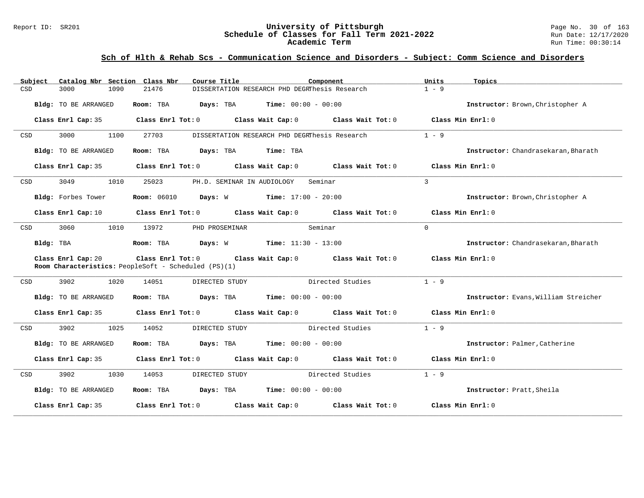### Report ID: SR201 **1988 Constrained Superversity of Pittsburgh** Page No. 30 of 163<br>**Schedule of Classes for Fall Term 2021-2022** 2011 Page No. 30 of 163 **Schedule of Classes for Fall Term 2021-2022** Run Date: 12/17/2020 **Academic Term** Run Time: 00:30:14

| Subject   | Catalog Nbr Section Class Nbr | Course Title                                         | Component                                                                       | Units<br>Topics                      |
|-----------|-------------------------------|------------------------------------------------------|---------------------------------------------------------------------------------|--------------------------------------|
| CSD       | 3000<br>1090                  | 21476                                                | DISSERTATION RESEARCH PHD DEGRThesis Research                                   | $1 - 9$                              |
|           | Bldg: TO BE ARRANGED          | Room: TBA<br>Days: TBA                               | Time: $00:00 - 00:00$                                                           | Instructor: Brown, Christopher A     |
|           | Class Enrl Cap: 35            | Class Enrl Tot: 0 Class Wait Cap: 0                  | Class Wait Tot: 0                                                               | Class Min Enrl: 0                    |
| CSD       | 3000<br>1100                  | 27703                                                | DISSERTATION RESEARCH PHD DEGRThesis Research                                   | $1 - 9$                              |
|           | Bldg: TO BE ARRANGED          | Days: TBA<br>Room: TBA                               | Time: TBA                                                                       | Instructor: Chandrasekaran, Bharath  |
|           | Class Enrl Cap: 35            |                                                      | Class Enrl Tot: $0$ Class Wait Cap: $0$ Class Wait Tot: $0$ Class Min Enrl: $0$ |                                      |
| CSD       | 3049<br>1010                  | 25023<br>PH.D. SEMINAR IN AUDIOLOGY                  | Seminar                                                                         | $\mathcal{E}$                        |
|           | Bldg: Forbes Tower            | <b>Room:</b> 06010                                   | <b>Days:</b> W <b>Time:</b> $17:00 - 20:00$                                     | Instructor: Brown, Christopher A     |
|           | Class Enrl Cap: 10            |                                                      | Class Enrl Tot: $0$ Class Wait Cap: $0$ Class Wait Tot: $0$ Class Min Enrl: $0$ |                                      |
| CSD       | 3060<br>1010                  | 13972<br>PHD PROSEMINAR                              | Seminar                                                                         | $\Omega$                             |
| Bldg: TBA |                               | Room: TBA                                            | <b>Days:</b> W <b>Time:</b> $11:30 - 13:00$                                     | Instructor: Chandrasekaran, Bharath  |
|           | Class Enrl Cap: 20            | Room Characteristics: PeopleSoft - Scheduled (PS)(1) | Class Enrl Tot: 0 Class Wait Cap: 0 Class Wait Tot: 0                           | Class Min $Err1:0$                   |
| CSD       | 3902<br>1020                  | DIRECTED STUDY<br>14051                              | Directed Studies                                                                | $1 - 9$                              |
|           | Bldg: TO BE ARRANGED          | Room: TBA                                            | <b>Days:</b> TBA <b>Time:</b> $00:00 - 00:00$                                   | Instructor: Evans, William Streicher |
|           | Class Enrl Cap: 35            |                                                      | Class Enrl Tot: 0 Class Wait Cap: 0 Class Wait Tot: 0 Class Min Enrl: 0         |                                      |
| CSD       | 3902<br>1025                  | 14052<br>DIRECTED STUDY                              | Directed Studies                                                                | $1 - 9$                              |
|           | Bldg: TO BE ARRANGED          | Room: TBA                                            | $\texttt{Davis:}$ TBA $\texttt{Time:}$ 00:00 - 00:00                            | Instructor: Palmer, Catherine        |
|           | Class Enrl Cap: 35            |                                                      | Class Enrl Tot: 0 Class Wait Cap: 0 Class Wait Tot: 0                           | Class Min Enrl: 0                    |
| CSD       | 3902<br>1030                  | 14053<br>DIRECTED STUDY                              | Directed Studies                                                                | $1 - 9$                              |
|           | Bldg: TO BE ARRANGED          | Room: TBA $Days:$ TBA $Time: 00:00 - 00:00$          |                                                                                 | Instructor: Pratt, Sheila            |
|           | Class Enrl Cap: 35            | Class Enrl Tot: 0 Class Wait Cap: 0                  | Class Wait Tot: 0                                                               | Class Min Enrl: 0                    |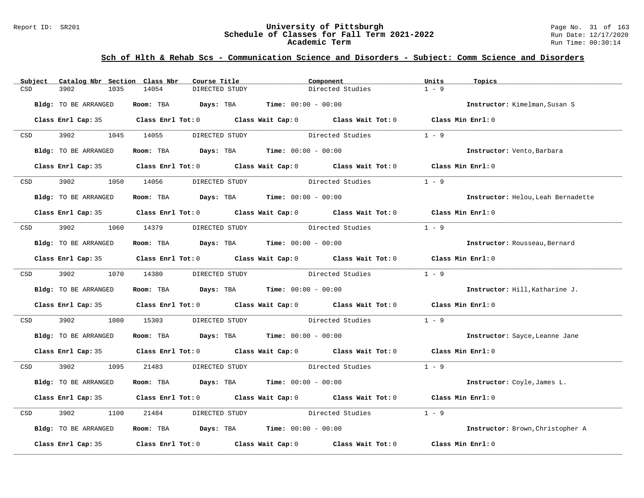#### Report ID: SR201 **University of Pittsburgh** Page No. 31 of 163 **Schedule of Classes for Fall Term 2021-2022** Run Date: 12/17/2020 **Academic Term** Run Time: 00:30:14

| Subject                                                                                                         | Catalog Nbr Section Class Nbr | Course Title                                                   |                                 | Component                                                                                  | Units   | Topics                             |
|-----------------------------------------------------------------------------------------------------------------|-------------------------------|----------------------------------------------------------------|---------------------------------|--------------------------------------------------------------------------------------------|---------|------------------------------------|
| CSD<br>3902                                                                                                     | 14054<br>1035                 | DIRECTED STUDY                                                 |                                 | Directed Studies                                                                           | $1 - 9$ |                                    |
| Bldg: TO BE ARRANGED                                                                                            |                               | Room: TBA $Days:$ TBA $Time: 00:00 - 00:00$                    |                                 |                                                                                            |         | Instructor: Kimelman, Susan S      |
|                                                                                                                 |                               |                                                                |                                 | Class Enrl Cap: 35 Class Enrl Tot: 0 Class Wait Cap: 0 Class Wait Tot: 0 Class Min Enrl: 0 |         |                                    |
| CSD and the control of the control of the control of the control of the control of the control of the control o | 3902 1045 14055               | DIRECTED STUDY                                                 |                                 | Directed Studies                                                                           | $1 - 9$ |                                    |
| Bldg: TO BE ARRANGED                                                                                            |                               | Room: TBA $\rule{1em}{0.15mm}$ Days: TBA Time: $00:00 - 00:00$ |                                 |                                                                                            |         | Instructor: Vento, Barbara         |
|                                                                                                                 |                               |                                                                |                                 | Class Enrl Cap: 35 Class Enrl Tot: 0 Class Wait Cap: 0 Class Wait Tot: 0 Class Min Enrl: 0 |         |                                    |
| 3902 390<br>CSD                                                                                                 | 1050 14056                    | DIRECTED STUDY                                                 |                                 | Directed Studies                                                                           | $1 - 9$ |                                    |
| Bldg: TO BE ARRANGED                                                                                            |                               | Room: TBA $Days:$ TBA Time: $00:00 - 00:00$                    |                                 |                                                                                            |         | Instructor: Helou, Leah Bernadette |
|                                                                                                                 |                               |                                                                |                                 | Class Enrl Cap: 35 Class Enrl Tot: 0 Class Wait Cap: 0 Class Wait Tot: 0 Class Min Enrl: 0 |         |                                    |
| CSD                                                                                                             | 3902 1060 14379               | DIRECTED STUDY                                                 |                                 | Directed Studies                                                                           | $1 - 9$ |                                    |
| Bldg: TO BE ARRANGED                                                                                            |                               | Room: TBA $Days:$ TBA $Time: 00:00 - 00:00$                    |                                 |                                                                                            |         | Instructor: Rousseau, Bernard      |
|                                                                                                                 |                               |                                                                |                                 | Class Enrl Cap: 35 Class Enrl Tot: 0 Class Wait Cap: 0 Class Wait Tot: 0 Class Min Enrl: 0 |         |                                    |
| CSD 3902 1070 14380                                                                                             |                               |                                                                |                                 | DIRECTED STUDY Directed Studies 1 - 9                                                      |         |                                    |
| Bldg: TO BE ARRANGED                                                                                            |                               | Room: TBA $Days: TBA$ Time: $00:00 - 00:00$                    |                                 |                                                                                            |         | Instructor: Hill, Katharine J.     |
|                                                                                                                 |                               |                                                                |                                 | Class Enrl Cap: 35 Class Enrl Tot: 0 Class Wait Cap: 0 Class Wait Tot: 0 Class Min Enrl: 0 |         |                                    |
| 3902<br>CSD                                                                                                     | 1080<br>15303                 |                                                                |                                 | DIRECTED STUDY Directed Studies                                                            | $1 - 9$ |                                    |
| Bldg: TO BE ARRANGED                                                                                            |                               | Room: TBA $Days:$ TBA $Time: 00:00 - 00:00$                    |                                 |                                                                                            |         | Instructor: Sayce, Leanne Jane     |
|                                                                                                                 |                               |                                                                |                                 | Class Enrl Cap: 35 Class Enrl Tot: 0 Class Wait Cap: 0 Class Wait Tot: 0 Class Min Enrl: 0 |         |                                    |
| 3902 1095<br>CSD <sub>c</sub>                                                                                   | 21483                         |                                                                |                                 | DIRECTED STUDY Directed Studies 1 - 9                                                      |         |                                    |
| Bldg: TO BE ARRANGED                                                                                            |                               | Room: TBA $Days:$ TBA $Time: 00:00 - 00:00$                    |                                 |                                                                                            |         | Instructor: Coyle, James L.        |
|                                                                                                                 |                               |                                                                |                                 | Class Enrl Cap: 35 Class Enrl Tot: 0 Class Wait Cap: 0 Class Wait Tot: 0 Class Min Enrl: 0 |         |                                    |
| 3902<br>CSD                                                                                                     | 1100<br>21484                 |                                                                | DIRECTED STUDY Directed Studies |                                                                                            | $1 - 9$ |                                    |
| Bldg: TO BE ARRANGED                                                                                            |                               | Room: TBA $Days:$ TBA $Time: 00:00 - 00:00$                    |                                 |                                                                                            |         | Instructor: Brown, Christopher A   |
|                                                                                                                 |                               |                                                                |                                 | Class Enrl Cap: 35 Class Enrl Tot: 0 Class Wait Cap: 0 Class Wait Tot: 0 Class Min Enrl: 0 |         |                                    |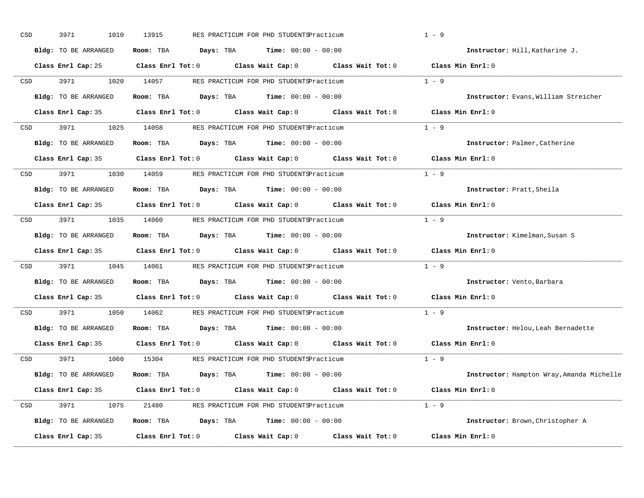| CSD |     | 3971<br>1010         | 13915 | RES PRACTICUM FOR PHD STUDENTSPracticum                                                    | $1 - 9$                                   |
|-----|-----|----------------------|-------|--------------------------------------------------------------------------------------------|-------------------------------------------|
|     |     | Bldg: TO BE ARRANGED |       | Room: TBA $Days:$ TBA Time: $00:00 - 00:00$                                                | Instructor: Hill, Katharine J.            |
|     |     |                      |       | Class Enrl Cap: 25 Class Enrl Tot: 0 Class Wait Cap: 0 Class Wait Tot: 0 Class Min Enrl: 0 |                                           |
|     |     | CSD 3971             |       | 1020 14057 RES PRACTICUM FOR PHD STUDENTSPracticum                                         | $1 - 9$                                   |
|     |     | Bldg: TO BE ARRANGED |       | Room: TBA $Days:$ TBA $Time: 00:00 - 00:00$                                                | Instructor: Evans, William Streicher      |
|     |     |                      |       | Class Enrl Cap: 35 Class Enrl Tot: 0 Class Wait Cap: 0 Class Wait Tot: 0 Class Min Enrl: 0 |                                           |
| CSD |     |                      |       | 3971 1025 14058 RES PRACTICUM FOR PHD STUDENTSPracticum                                    | $1 - 9$                                   |
|     |     | Bldg: TO BE ARRANGED |       | Room: TBA $Days:$ TBA $Time:$ $00:00 - 00:00$                                              | Instructor: Palmer, Catherine             |
|     |     |                      |       | Class Enrl Cap: 35 Class Enrl Tot: 0 Class Wait Cap: 0 Class Wait Tot: 0                   | Class Min Enrl: 0                         |
|     |     |                      |       | CSD 3971 1030 14059 RES PRACTICUM FOR PHD STUDENTSPracticum                                | $1 - 9$                                   |
|     |     | Bldg: TO BE ARRANGED |       | Room: TBA $Days:$ TBA $Time: 00:00 - 00:00$                                                | Instructor: Pratt, Sheila                 |
|     |     |                      |       | Class Enrl Cap: 35 Class Enrl Tot: 0 Class Wait Cap: 0 Class Wait Tot: 0                   | Class Min Enrl: 0                         |
| CSD |     |                      |       | 3971 1035 14060 RES PRACTICUM FOR PHD STUDENTSPracticum                                    | $1 - 9$                                   |
|     |     | Bldg: TO BE ARRANGED |       | Room: TBA $Days:$ TBA $Time: 00:00 - 00:00$                                                | Instructor: Kimelman, Susan S             |
|     |     |                      |       | Class Enrl Cap: 35 Class Enrl Tot: 0 Class Wait Cap: 0 Class Wait Tot: 0                   | Class Min Enrl: 0                         |
| CSD |     | 3971 397             |       | 1045 14061 RES PRACTICUM FOR PHD STUDENTSPracticum                                         | $1 - 9$                                   |
|     |     | Bldg: TO BE ARRANGED |       | Room: TBA $Days:$ TBA $Time: 00:00 - 00:00$                                                | Instructor: Vento, Barbara                |
|     |     |                      |       | Class Enrl Cap: 35 Class Enrl Tot: 0 Class Wait Cap: 0 Class Wait Tot: 0                   | $Class$ Min $Enrl: 0$                     |
|     | CSD | 3971 3971            |       | 1050 14062 RES PRACTICUM FOR PHD STUDENTSPracticum                                         | $1 - 9$                                   |
|     |     | Bldg: TO BE ARRANGED |       | Room: TBA $Days:$ TBA $Time: 00:00 - 00:00$                                                | Instructor: Helou, Leah Bernadette        |
|     |     | Class Enrl Cap: 35   |       | Class Enrl Tot: $0$ Class Wait Cap: $0$ Class Wait Tot: $0$                                | Class Min Enrl: 0                         |
|     |     | CSD 3971             |       | 1060 15304 RES PRACTICUM FOR PHD STUDENTSPracticum                                         | $1 - 9$                                   |
|     |     | Bldg: TO BE ARRANGED |       | Room: TBA $Days:$ TBA $Time: 00:00 - 00:00$                                                | Instructor: Hampton Wray, Amanda Michelle |
|     |     |                      |       | Class Enrl Cap: 35 Class Enrl Tot: 0 Class Wait Cap: 0 Class Wait Tot: 0 Class Min Enrl: 0 |                                           |
| CSD |     |                      |       | 3971 1075 21480 RES PRACTICUM FOR PHD STUDENTSPracticum                                    | $1 - 9$                                   |
|     |     | Bldg: TO BE ARRANGED |       | Room: TBA $Days:$ TBA $Time: 00:00 - 00:00$                                                | Instructor: Brown, Christopher A          |
|     |     | Class Enrl Cap: 35   |       | Class Enrl Tot: $0$ Class Wait Cap: $0$ Class Wait Tot: $0$                                | Class Min Enrl: 0                         |
|     |     |                      |       |                                                                                            |                                           |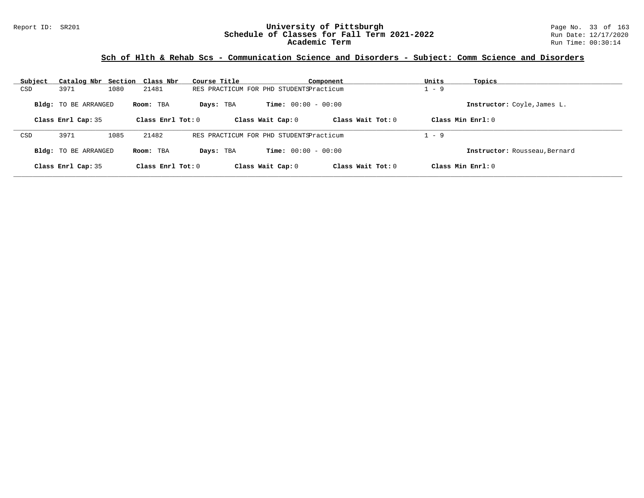### Report ID: SR201 **University of Pittsburgh University of Pittsburgh** Page No. 33 of 163<br>**Schedule of Classes for Fall Term 2021-2022** Run Date: 12/17/2020 **Schedule of Classes for Fall Term 2021-2022** Run Date: 12/17/2020 **Academic Term** Run Time: 00:30:14

| Subject | Catalog Nbr Section Class Nbr |      |                     | Course Title                            |                              | Component           | Units   | Topics                        |
|---------|-------------------------------|------|---------------------|-----------------------------------------|------------------------------|---------------------|---------|-------------------------------|
| CSD     | 3971                          | 1080 | 21481               | RES PRACTICUM FOR PHD STUDENTSPracticum |                              |                     | $-9$    |                               |
|         | <b>Bldg:</b> TO BE ARRANGED   |      | Room: TBA           | Days: TBA                               | <b>Time:</b> $00:00 - 00:00$ |                     |         | Instructor: Coyle, James L.   |
|         | Class Enrl Cap: 35            |      | Class Enrl Tot: $0$ |                                         | Class Wait Cap: 0            | Class Wait $Tot: 0$ |         | Class Min Enrl: 0             |
| CSD     | 3971                          | 1085 | 21482               | RES PRACTICUM FOR PHD STUDENTSPracticum |                              |                     | $1 - 9$ |                               |
|         | <b>Bldg:</b> TO BE ARRANGED   |      | Room: TBA           | Days: TBA                               | <b>Time:</b> $00:00 - 00:00$ |                     |         | Instructor: Rousseau, Bernard |
|         | Class Enrl Cap: 35            |      | Class Enrl Tot: $0$ |                                         | Class Wait Cap: 0            | Class Wait $Tot: 0$ |         | Class Min $Enrl: 0$           |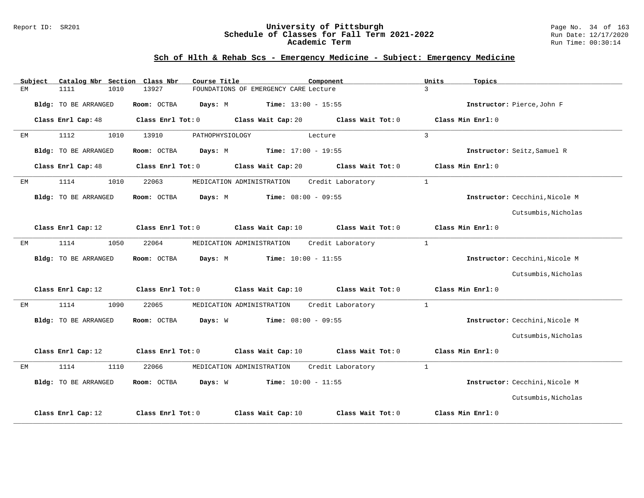#### Report ID: SR201 **University of Pittsburgh** Page No. 34 of 163 **Schedule of Classes for Fall Term 2021-2022** Run Date: 12/17/2020 **Academic Term** Run Time: 00:30:14

# **Sch of Hlth & Rehab Scs - Emergency Medicine - Subject: Emergency Medicine**

|    | Subject |                      |      | Catalog Nbr Section Class Nbr | Course Title              |                                       | Component         | Units          | Topics                         |
|----|---------|----------------------|------|-------------------------------|---------------------------|---------------------------------------|-------------------|----------------|--------------------------------|
| EМ |         | 1111                 | 1010 | 13927                         |                           | FOUNDATIONS OF EMERGENCY CARE Lecture |                   | $\mathbf{R}$   |                                |
|    |         | Bldg: TO BE ARRANGED |      | Room: OCTBA                   | Days: M                   | <b>Time:</b> $13:00 - 15:55$          |                   |                | Instructor: Pierce, John F     |
|    |         | Class Enrl Cap: 48   |      | Class Enrl Tot: 0             |                           | Class Wait Cap: 20                    | Class Wait Tot: 0 |                | Class Min Enrl: 0              |
| ЕM |         | 1112                 | 1010 | 13910                         | PATHOPHYSIOLOGY           |                                       | Lecture           | $\overline{3}$ |                                |
|    |         | Bldg: TO BE ARRANGED |      | Room: OCTBA                   | Days: M                   | Time: $17:00 - 19:55$                 |                   |                | Instructor: Seitz, Samuel R    |
|    |         | Class Enrl Cap: 48   |      | Class Enrl Tot: 0             |                           | Class Wait Cap: 20                    | Class Wait Tot: 0 |                | Class Min Enrl: 0              |
| ЕM |         | 1114                 | 1010 | 22063                         | MEDICATION ADMINISTRATION |                                       | Credit Laboratory | $\mathbf{1}$   |                                |
|    |         | Bldg: TO BE ARRANGED |      | Room: OCTBA                   | Days: M                   | $Time: 08:00 - 09:55$                 |                   |                | Instructor: Cecchini, Nicole M |
|    |         |                      |      |                               |                           |                                       |                   |                | Cutsumbis, Nicholas            |
|    |         | Class Enrl Cap: 12   |      | Class Enrl Tot: 0             |                           | Class Wait Cap: 10                    | Class Wait Tot: 0 |                | Class Min Enrl: 0              |
| ЕM |         | 1114                 | 1050 | 22064                         | MEDICATION ADMINISTRATION |                                       | Credit Laboratory | $\mathbf{1}$   |                                |
|    |         | Bldg: TO BE ARRANGED |      | Room: OCTBA                   | Days: M                   | <b>Time:</b> $10:00 - 11:55$          |                   |                | Instructor: Cecchini, Nicole M |
|    |         |                      |      |                               |                           |                                       |                   |                | Cutsumbis, Nicholas            |
|    |         | Class Enrl Cap: 12   |      | Class Enrl Tot: 0             |                           | Class Wait Cap: 10                    | Class Wait Tot: 0 |                | Class Min Enrl: 0              |
| EМ |         | 1114                 | 1090 | 22065                         | MEDICATION ADMINISTRATION |                                       | Credit Laboratory | $\mathbf{1}$   |                                |
|    |         | Bldg: TO BE ARRANGED |      | Room: OCTBA                   | Days: W                   | <b>Time:</b> $08:00 - 09:55$          |                   |                | Instructor: Cecchini, Nicole M |
|    |         |                      |      |                               |                           |                                       |                   |                | Cutsumbis, Nicholas            |
|    |         | Class Enrl Cap: 12   |      | Class Enrl Tot: 0             |                           | Class Wait Cap: 10                    | Class Wait Tot: 0 |                | Class Min Enrl: 0              |
| ЕM |         | 1114                 | 1110 | 22066                         | MEDICATION ADMINISTRATION |                                       | Credit Laboratory | $\mathbf{1}$   |                                |
|    |         | Bldg: TO BE ARRANGED |      | Room: OCTBA                   | Days: W                   | $Time: 10:00 - 11:55$                 |                   |                | Instructor: Cecchini, Nicole M |
|    |         |                      |      |                               |                           |                                       |                   |                | Cutsumbis, Nicholas            |
|    |         | Class Enrl Cap: 12   |      | Class Enrl Tot: 0             |                           | Class Wait Cap: 10                    | Class Wait Tot: 0 |                | Class Min Enrl: 0              |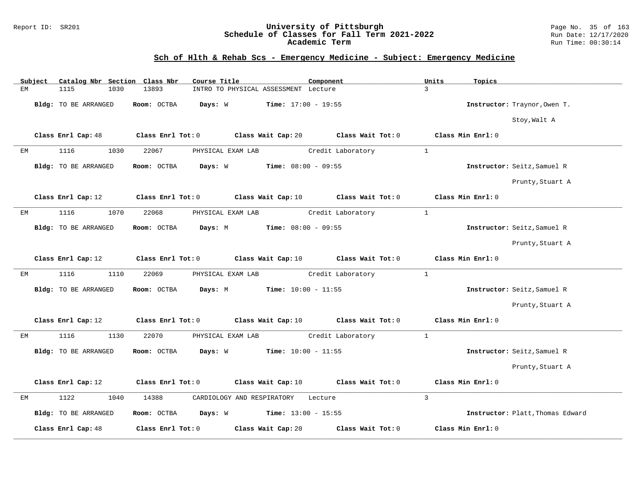#### Report ID: SR201 **University of Pittsburgh** Page No. 35 of 163 **Schedule of Classes for Fall Term 2021-2022** Run Date: 12/17/2020 **Academic Term** Run Time: 00:30:14

# **Sch of Hlth & Rehab Scs - Emergency Medicine - Subject: Emergency Medicine**

|    | Subject |                      |      | Catalog Nbr Section Class Nbr | Course Title      |                            |                                      | Component |                   |                | Units | Topics            |                                  |
|----|---------|----------------------|------|-------------------------------|-------------------|----------------------------|--------------------------------------|-----------|-------------------|----------------|-------|-------------------|----------------------------------|
| ЕM |         | 1115                 | 1030 | 13893                         |                   |                            | INTRO TO PHYSICAL ASSESSMENT Lecture |           |                   | $\mathbf{3}$   |       |                   |                                  |
|    |         | Bldg: TO BE ARRANGED |      | Room: OCTBA                   | Days: W           |                            | <b>Time:</b> $17:00 - 19:55$         |           |                   |                |       |                   | Instructor: Traynor, Owen T.     |
|    |         |                      |      |                               |                   |                            |                                      |           |                   |                |       |                   | Stoy, Walt A                     |
|    |         | Class Enrl Cap: 48   |      | Class Enrl Tot: 0             |                   |                            | Class Wait Cap: 20                   |           | Class Wait Tot: 0 |                |       | Class Min Enrl: 0 |                                  |
| ЕM |         | 1116                 | 1030 | 22067                         | PHYSICAL EXAM LAB |                            |                                      |           | Credit Laboratory | $\mathbf{1}$   |       |                   |                                  |
|    |         | Bldg: TO BE ARRANGED |      | Room: OCTBA                   | Days: W           |                            | $Time: 08:00 - 09:55$                |           |                   |                |       |                   | Instructor: Seitz, Samuel R      |
|    |         |                      |      |                               |                   |                            |                                      |           |                   |                |       |                   | Prunty, Stuart A                 |
|    |         | Class Enrl Cap: 12   |      | Class Enrl Tot: 0             |                   |                            | Class Wait Cap: 10                   |           | Class Wait Tot: 0 |                |       | Class Min Enrl: 0 |                                  |
| ЕM |         | 1116                 | 1070 | 22068                         | PHYSICAL EXAM LAB |                            |                                      |           | Credit Laboratory | $\mathbf{1}$   |       |                   |                                  |
|    |         | Bldg: TO BE ARRANGED |      | Room: OCTBA                   | Days: M           |                            | Time: $08:00 - 09:55$                |           |                   |                |       |                   | Instructor: Seitz, Samuel R      |
|    |         |                      |      |                               |                   |                            |                                      |           |                   |                |       |                   | Prunty, Stuart A                 |
|    |         | Class Enrl Cap: 12   |      | Class Enrl Tot: 0             |                   |                            | Class Wait Cap: 10                   |           | Class Wait Tot: 0 |                |       | Class Min Enrl: 0 |                                  |
| ЕM |         | 1116                 | 1110 | 22069                         | PHYSICAL EXAM LAB |                            |                                      |           | Credit Laboratory | $\mathbf{1}$   |       |                   |                                  |
|    |         | Bldg: TO BE ARRANGED |      | Room: OCTBA                   | Days: M           |                            | <b>Time:</b> $10:00 - 11:55$         |           |                   |                |       |                   | Instructor: Seitz, Samuel R      |
|    |         |                      |      |                               |                   |                            |                                      |           |                   |                |       |                   | Prunty, Stuart A                 |
|    |         | Class Enrl Cap: 12   |      | Class Enrl Tot: 0             |                   |                            | Class Wait Cap: 10                   |           | Class Wait Tot: 0 |                |       | Class Min Enrl: 0 |                                  |
| ЕM |         | 1116                 | 1130 | 22070                         | PHYSICAL EXAM LAB |                            |                                      |           | Credit Laboratory | $\mathbf{1}$   |       |                   |                                  |
|    |         | Bldg: TO BE ARRANGED |      | Room: OCTBA                   | Days: W           |                            | $Time: 10:00 - 11:55$                |           |                   |                |       |                   | Instructor: Seitz, Samuel R      |
|    |         |                      |      |                               |                   |                            |                                      |           |                   |                |       |                   | Prunty, Stuart A                 |
|    |         | Class Enrl Cap: 12   |      | Class Enrl Tot: 0             |                   |                            | Class Wait Cap: 10                   |           | Class Wait Tot: 0 |                |       | Class Min Enrl: 0 |                                  |
| ЕM |         | 1122                 | 1040 | 14388                         |                   | CARDIOLOGY AND RESPIRATORY |                                      | Lecture   |                   | $\overline{3}$ |       |                   |                                  |
|    |         | Bldg: TO BE ARRANGED |      | Room: OCTBA                   | Days: W           |                            | <b>Time:</b> $13:00 - 15:55$         |           |                   |                |       |                   | Instructor: Platt, Thomas Edward |
|    |         | Class Enrl Cap: 48   |      | Class Enrl Tot: 0             |                   |                            | Class Wait Cap: 20                   |           | Class Wait Tot: 0 |                |       | Class Min Enrl: 0 |                                  |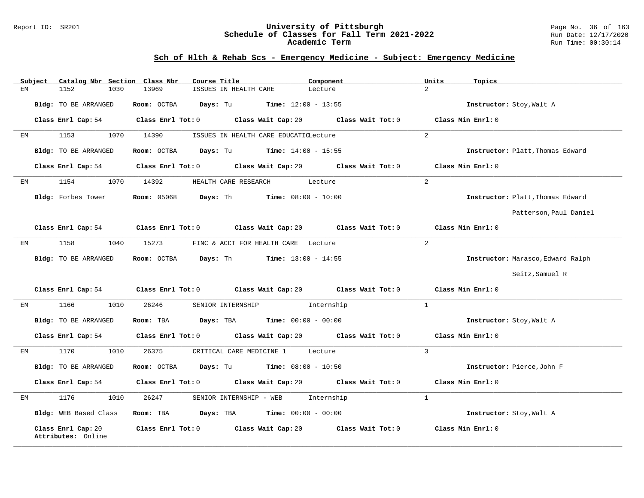#### Report ID: SR201 **University of Pittsburgh** Page No. 36 of 163 **Schedule of Classes for Fall Term 2021-2022** Run Date: 12/17/2020 **Academic Term** Run Time: 00:30:14

# **Sch of Hlth & Rehab Scs - Emergency Medicine - Subject: Emergency Medicine**

| Catalog Nbr Section Class Nbr<br>Subject | Course Title                                                                                         | Component         | Units<br>Topics                   |
|------------------------------------------|------------------------------------------------------------------------------------------------------|-------------------|-----------------------------------|
| ЕM<br>1152<br>1030                       | 13969<br>ISSUES IN HEALTH CARE                                                                       | Lecture           | $\overline{2}$                    |
| Bldg: TO BE ARRANGED                     | <b>Room:</b> OCTBA <b>Days:</b> Tu <b>Time:</b> $12:00 - 13:55$                                      |                   | Instructor: Stoy, Walt A          |
|                                          | Class Enrl Cap: 54 Class Enrl Tot: 0 Class Wait Cap: 20 Class Wait Tot: 0                            |                   | Class Min Enrl: 0                 |
| 1153<br>1070<br>EМ                       | 14390<br>ISSUES IN HEALTH CARE EDUCATIOLecture                                                       |                   | $\overline{2}$                    |
| Bldg: TO BE ARRANGED                     | Room: OCTBA $Days: Tu$ Time: $14:00 - 15:55$                                                         |                   | Instructor: Platt, Thomas Edward  |
| Class Enrl Cap: 54                       | Class Enrl Tot: 0 Class Wait Cap: 20 Class Wait Tot: 0                                               |                   | Class Min Enrl: 0                 |
| 1154<br>1070<br>ЕM                       | 14392<br>HEALTH CARE RESEARCH                                                                        | Lecture           | 2                                 |
| Bldg: Forbes Tower                       | <b>Room: 05068</b><br><b>Days:</b> Th <b>Time:</b> $08:00 - 10:00$                                   |                   | Instructor: Platt, Thomas Edward  |
|                                          |                                                                                                      |                   | Patterson, Paul Daniel            |
|                                          | Class Enrl Cap: 54 $\hbox{Class Enrl Tot: 0}$ $\hbox{Class Wait Cap: 20}$ $\hbox{Class Mail Tot: 0}$ |                   | Class Min Enrl: 0                 |
| 1158<br>1040<br>EМ                       | 15273<br>FINC & ACCT FOR HEALTH CARE Lecture                                                         |                   | 2                                 |
| Bldg: TO BE ARRANGED                     | Room: OCTBA $Days: Th$ Time: $13:00 - 14:55$                                                         |                   | Instructor: Marasco, Edward Ralph |
|                                          |                                                                                                      |                   | Seitz, Samuel R                   |
|                                          | Class Enrl Cap: 54 Class Enrl Tot: 0 Class Wait Cap: 20 Class Wait Tot: 0                            |                   | Class Min Enrl: 0                 |
| 1166<br>1010<br>EМ                       | 26246<br>SENIOR INTERNSHIP Internship                                                                |                   | 1                                 |
| Bldg: TO BE ARRANGED                     | <b>Days:</b> TBA <b>Time:</b> $00:00 - 00:00$<br>Room: TBA                                           |                   | Instructor: Stoy, Walt A          |
| Class Enrl Cap: 54                       | Class Enrl Tot: 0 Class Wait Cap: 20 Class Wait Tot: 0                                               |                   | Class Min Enrl: 0                 |
| 1010<br>1170<br>EМ                       | 26375<br>CRITICAL CARE MEDICINE 1                                                                    | Lecture           | 3                                 |
| Bldg: TO BE ARRANGED                     | Room: OCTBA<br><b>Days:</b> Tu <b>Time:</b> $08:00 - 10:50$                                          |                   | Instructor: Pierce, John F        |
| Class Enrl Cap: 54                       | Class Enrl Tot: 0 Class Wait Cap: 20 Class Wait Tot: 0                                               |                   | Class Min Enrl: 0                 |
| 1176<br>1010<br>EM                       | 26247<br>SENIOR INTERNSHIP - WEB                                                                     | Internship        | $\mathbf{1}$                      |
| Bldg: WEB Based Class                    | Room: TBA<br><b>Days:</b> TBA <b>Time:</b> $00:00 - 00:00$                                           |                   | Instructor: Stoy, Walt A          |
| Class Enrl Cap: 20<br>Attributes: Online | Class Enrl Tot: 0 Class Wait Cap: 20                                                                 | Class Wait Tot: 0 | Class Min Enrl: 0                 |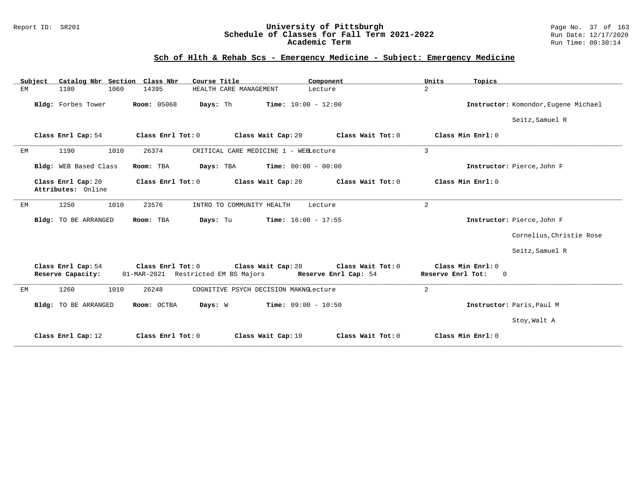#### Report ID: SR201 **University of Pittsburgh** Page No. 37 of 163 **Schedule of Classes for Fall Term 2021-2022** Run Date: 12/17/2020 **Academic Term** Run Time: 00:30:14

# **Sch of Hlth & Rehab Scs - Emergency Medicine - Subject: Emergency Medicine**

| Subject | Catalog Nbr Section Class Nbr            |                                                          | Course Title                             | Component                                 | Units<br>Topics                                       |                                      |
|---------|------------------------------------------|----------------------------------------------------------|------------------------------------------|-------------------------------------------|-------------------------------------------------------|--------------------------------------|
| ЕM      | 1180<br>1060                             | 14395                                                    | HEALTH CARE MANAGEMENT                   | Lecture                                   | $\overline{a}$                                        |                                      |
|         | Bldg: Forbes Tower                       | <b>Room: 05068</b>                                       | Days: Th<br><b>Time:</b> $10:00 - 12:00$ |                                           |                                                       | Instructor: Komondor, Eugene Michael |
|         |                                          |                                                          |                                          |                                           |                                                       | Seitz, Samuel R                      |
|         | Class Enrl Cap: 54                       | Class Enrl Tot: 0                                        | Class Wait Cap: 20                       | Class Wait Tot: 0                         | Class Min Enrl: 0                                     |                                      |
| EM      | 1010<br>1190                             | 26374                                                    | CRITICAL CARE MEDICINE 1 - WEBLecture    |                                           | $\overline{3}$                                        |                                      |
|         | Bldg: WEB Based Class                    | Room: TBA                                                | Time: $00:00 - 00:00$<br>Days: TBA       |                                           |                                                       | Instructor: Pierce, John F           |
|         | Class Enrl Cap: 20<br>Attributes: Online | Class Enrl Tot: 0                                        | Class Wait Cap: 20                       | Class Wait Tot: 0                         | Class Min Enrl: 0                                     |                                      |
| ЕM      | 1250<br>1010                             | 23576                                                    | INTRO TO COMMUNITY HEALTH                | Lecture                                   | $\overline{a}$                                        |                                      |
|         | <b>Bldg:</b> TO BE ARRANGED              | Room: TBA                                                | Days: Tu<br><b>Time:</b> $16:00 - 17:55$ |                                           |                                                       | Instructor: Pierce, John F           |
|         |                                          |                                                          |                                          |                                           |                                                       | Cornelius, Christie Rose             |
|         |                                          |                                                          |                                          |                                           |                                                       | Seitz, Samuel R                      |
|         | Class Enrl Cap: 54<br>Reserve Capacity:  | Class Enrl Tot: 0<br>01-MAR-2021 Restricted EM BS Majors | Class Wait Cap: 20                       | Class Wait Tot: 0<br>Reserve Enrl Cap: 54 | Class Min Enrl: 0<br>Reserve Enrl Tot:<br>$\mathbf 0$ |                                      |
| ЕM      | 1260<br>1010                             | 26248                                                    | COGNITIVE PSYCH DECISION MAKNGLecture    |                                           | 2                                                     |                                      |
|         | <b>Bldg:</b> TO BE ARRANGED              | Room: OCTBA                                              | <b>Time:</b> $09:00 - 10:50$<br>Days: W  |                                           |                                                       | Instructor: Paris, Paul M            |
|         |                                          |                                                          |                                          |                                           |                                                       | Stoy, Walt A                         |
|         | Class Enrl Cap: 12                       | Class Enrl Tot: 0                                        | Class Wait Cap: 10                       | Class Wait Tot: 0                         | Class Min Enrl: 0                                     |                                      |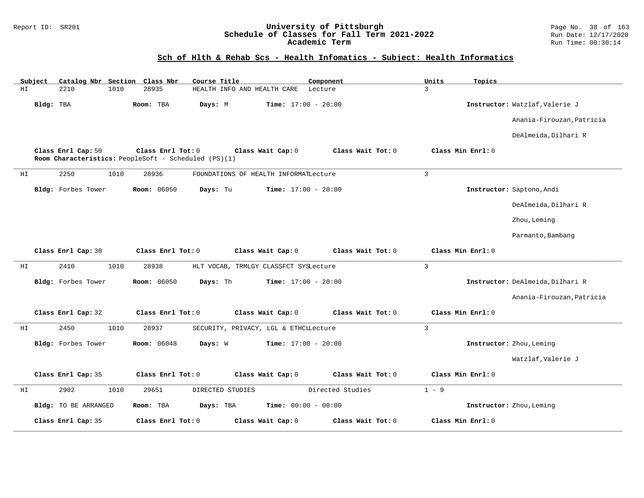#### Report ID: SR201 **University of Pittsburgh** Page No. 38 of 163 **Schedule of Classes for Fall Term 2021-2022** Run Date: 12/17/2020 **Academic Term** Run Time: 00:30:14

# **Sch of Hlth & Rehab Scs - Health Infomatics - Subject: Health Informatics**

|    | Subject   | Catalog Nbr Section Class Nbr |      |                                                                           | Course Title     |                             |                                       | Component        |                   | Units          | Topics            |                                  |
|----|-----------|-------------------------------|------|---------------------------------------------------------------------------|------------------|-----------------------------|---------------------------------------|------------------|-------------------|----------------|-------------------|----------------------------------|
| HI |           | 2210                          | 1010 | 28935                                                                     |                  | HEALTH INFO AND HEALTH CARE |                                       | Lecture          |                   | 3              |                   |                                  |
|    | Bldg: TBA |                               |      | Room: TBA                                                                 | Days: M          |                             | <b>Time:</b> $17:00 - 20:00$          |                  |                   |                |                   | Instructor: Watzlaf, Valerie J   |
|    |           |                               |      |                                                                           |                  |                             |                                       |                  |                   |                |                   | Anania-Firouzan, Patricia        |
|    |           |                               |      |                                                                           |                  |                             |                                       |                  |                   |                |                   | DeAlmeida, Dilhari R             |
|    |           | Class Enrl Cap: 50            |      | Class Enrl Tot: 0<br>Room Characteristics: PeopleSoft - Scheduled (PS)(1) |                  |                             | Class Wait Cap: 0                     |                  | Class Wait Tot: 0 |                | Class Min Enrl: 0 |                                  |
| HI |           | 2250                          | 1010 | 28936                                                                     |                  |                             | FOUNDATIONS OF HEALTH INFORMATLecture |                  |                   | $\overline{3}$ |                   |                                  |
|    |           | Bldg: Forbes Tower            |      | <b>Room: 06050</b>                                                        | Days: Tu         |                             | <b>Time:</b> $17:00 - 20:00$          |                  |                   |                |                   | Instructor: Saptono, Andi        |
|    |           |                               |      |                                                                           |                  |                             |                                       |                  |                   |                |                   | DeAlmeida, Dilhari R             |
|    |           |                               |      |                                                                           |                  |                             |                                       |                  |                   |                |                   | Zhou, Leming                     |
|    |           |                               |      |                                                                           |                  |                             |                                       |                  |                   |                |                   | Parmanto, Bambang                |
|    |           | Class Enrl Cap: 30            |      | Class Enrl Tot: 0                                                         |                  |                             | Class Wait Cap: 0                     |                  | Class Wait Tot: 0 |                | Class Min Enrl: 0 |                                  |
| HI |           | 2410                          | 1010 | 28938                                                                     |                  |                             | HLT VOCAB, TRMLGY CLASSFCT SYSLecture |                  |                   | $\overline{3}$ |                   |                                  |
|    |           | Bldg: Forbes Tower            |      | <b>Room: 06050</b>                                                        | Days: Th         |                             | Time: $17:00 - 20:00$                 |                  |                   |                |                   | Instructor: DeAlmeida, Dilhari R |
|    |           |                               |      |                                                                           |                  |                             |                                       |                  |                   |                |                   | Anania-Firouzan, Patricia        |
|    |           | Class Enrl Cap: 32            |      | Class Enrl Tot: 0                                                         |                  |                             | Class Wait Cap: 0                     |                  | Class Wait Tot: 0 |                | Class Min Enrl: 0 |                                  |
| ΗI |           | 2450                          | 1010 | 28937                                                                     |                  |                             | SECURITY, PRIVACY, LGL & ETHCLLecture |                  |                   | $\overline{3}$ |                   |                                  |
|    |           | Bldg: Forbes Tower            |      | <b>Room: 06048</b>                                                        | Days: W          |                             | Time: $17:00 - 20:00$                 |                  |                   |                |                   | Instructor: Zhou, Leming         |
|    |           |                               |      |                                                                           |                  |                             |                                       |                  |                   |                |                   | Watzlaf, Valerie J               |
|    |           | Class Enrl Cap: 35            |      | Class Enrl Tot: 0                                                         |                  |                             | Class Wait Cap: 0                     |                  | Class Wait Tot: 0 |                | Class Min Enrl: 0 |                                  |
| ΗI |           | 2902                          | 1010 | 29651                                                                     | DIRECTED STUDIES |                             |                                       | Directed Studies |                   | $1 - 9$        |                   |                                  |
|    |           | <b>Bldg:</b> TO BE ARRANGED   |      | Room: TBA                                                                 | Days: TBA        |                             | <b>Time:</b> $00:00 - 00:00$          |                  |                   |                |                   | Instructor: Zhou, Leming         |
|    |           | Class Enrl Cap: 35            |      | Class Enrl Tot: 0                                                         |                  |                             | Class Wait Cap: 0                     |                  | Class Wait Tot: 0 |                | Class Min Enrl: 0 |                                  |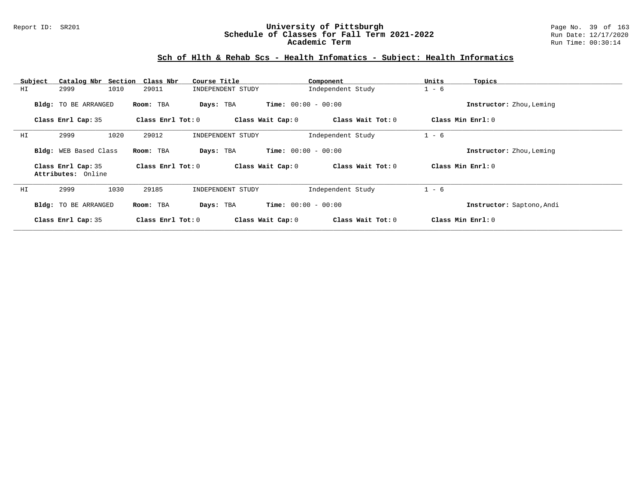#### Report ID: SR201 **University of Pittsburgh** Page No. 39 of 163 **Schedule of Classes for Fall Term 2021-2022** Run Date: 12/17/2020 **Academic Term** Run Time: 00:30:14

### **Sch of Hlth & Rehab Scs - Health Infomatics - Subject: Health Informatics**

| Subject | Catalog Nbr Section Class Nbr            |                   | Course Title                              | Component                    | Units<br>Topics           |
|---------|------------------------------------------|-------------------|-------------------------------------------|------------------------------|---------------------------|
| ΗI      | 1010<br>2999                             | 29011             | INDEPENDENT STUDY                         | Independent Study            | $1 - 6$                   |
|         | Bldg: TO BE ARRANGED                     | Room: TBA         | Days: TBA                                 | <b>Time:</b> $00:00 - 00:00$ | Instructor: Zhou, Leming  |
|         | Class Enrl Cap: 35                       | Class Enrl Tot: 0 | Class Wait Cap: 0                         | Class Wait Tot: 0            | Class Min Enrl: 0         |
| ΗI      | 1020<br>2999                             | 29012             | INDEPENDENT STUDY                         | Independent Study            | $1 - 6$                   |
|         | Bldg: WEB Based Class                    | Room: TBA         | <b>Time:</b> $00:00 - 00:00$<br>Days: TBA |                              | Instructor: Zhou, Leming  |
|         | Class Enrl Cap: 35<br>Attributes: Online | Class Enrl Tot: 0 | Class Wait Cap: 0                         | Class Wait Tot: 0            | Class Min Enrl: 0         |
| HI      | 1030<br>2999                             | 29185             | INDEPENDENT STUDY                         | Independent Study            | $1 - 6$                   |
|         | Bldg: TO BE ARRANGED                     | Room: TBA         | Days: TBA                                 | <b>Time:</b> $00:00 - 00:00$ | Instructor: Saptono, Andi |
|         | Class Enrl Cap: 35                       | Class Enrl Tot: 0 | Class Wait Cap: 0                         | Class Wait Tot: 0            | Class Min Enrl: 0         |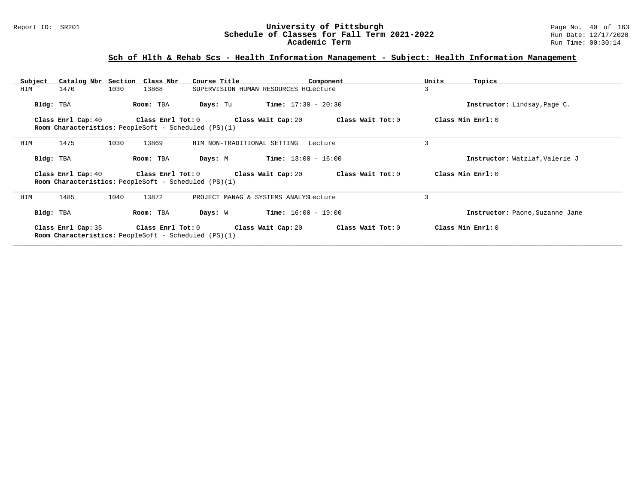# **Sch of Hlth & Rehab Scs - Health Information Management - Subject: Health Information Management**

| Subject |                    |      | Catalog Nbr Section Class Nbr                                                                       | Course Title                         |                                       | Component         | Units | Topics                          |
|---------|--------------------|------|-----------------------------------------------------------------------------------------------------|--------------------------------------|---------------------------------------|-------------------|-------|---------------------------------|
| HIM     | 1470               | 1030 | 13868                                                                                               |                                      | SUPERVISION HUMAN RESOURCES HCLecture |                   | 3     |                                 |
|         | Bldg: TBA          |      | Room: TBA                                                                                           | Days: Tu                             | $Time: 17:30 - 20:30$                 |                   |       | Instructor: Lindsay, Page C.    |
|         |                    |      | Class Enrl Cap: 40 Class Enrl Tot: 0<br><b>Room Characteristics:</b> PeopleSoft - Scheduled (PS)(1) | Class Wait Cap: 20                   |                                       | Class Wait Tot: 0 |       | Class Min Enrl: 0               |
| HIM     | 1475               | 1030 | 13869                                                                                               | HIM NON-TRADITIONAL SETTING          |                                       | Lecture           | 3     |                                 |
|         | Bldg: TBA          |      | Room: TBA                                                                                           | Days: M                              | $Time: 13:00 - 16:00$                 |                   |       | Instructor: Watzlaf, Valerie J  |
|         | Class Enrl Cap: 40 |      | <b>Room Characteristics:</b> PeopleSoft - Scheduled (PS)(1)                                         | Class Enrl Tot: 0 Class Wait Cap: 20 |                                       | Class Wait Tot: 0 |       | Class Min Enrl: 0               |
| HIM     | 1485               | 1040 | 13872                                                                                               |                                      | PROJECT MANAG & SYSTEMS ANALYSLecture |                   | 3     |                                 |
|         | Bldg: TBA          |      | Room: TBA                                                                                           | Days: W                              | $Time: 16:00 - 19:00$                 |                   |       | Instructor: Paone, Suzanne Jane |
|         | Class Enrl Cap: 35 |      | <b>Room Characteristics:</b> PeopleSoft - Scheduled (PS)(1)                                         | Class Enrl Tot: 0 Class Wait Cap: 20 |                                       | Class Wait Tot: 0 |       | Class Min Enrl: 0               |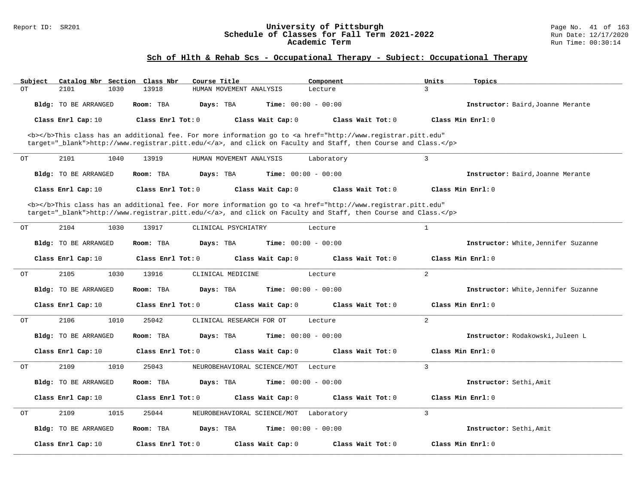#### Report ID: SR201 **University of Pittsburgh** Page No. 41 of 163 **Schedule of Classes for Fall Term 2021-2022** Run Date: 12/17/2020 **Academic Term** Run Time: 00:30:14

# **Sch of Hlth & Rehab Scs - Occupational Therapy - Subject: Occupational Therapy**

| Subject | Catalog Nbr Section Class Nbr | Course Title           |                              | Component                                                                                                                                      | Units<br>Topics                     |  |
|---------|-------------------------------|------------------------|------------------------------|------------------------------------------------------------------------------------------------------------------------------------------------|-------------------------------------|--|
| OT      | 2101<br>1030                  | 13918                  | HUMAN MOVEMENT ANALYSIS      | Lecture                                                                                                                                        | 3                                   |  |
|         | Bldg: TO BE ARRANGED          | Room: TBA<br>Days: TBA | <b>Time:</b> $00:00 - 00:00$ |                                                                                                                                                | Instructor: Baird, Joanne Merante   |  |
|         | Class Enrl Cap: 10            | Class Enrl Tot: $0$    | Class Wait Cap: 0            | Class Wait $Tot: 0$                                                                                                                            | Class Min $Enrl: 0$                 |  |
|         |                               |                        |                              | <b></b> This class has an additional fee. For more information go to <a <="" href="http://www.registrar.pitt.edu" td=""><td></td><td></td></a> |                                     |  |
|         |                               |                        |                              | target="_blank">http://www.registrar.pitt.edu/, and click on Faculty and Staff, then Course and Class.                                         |                                     |  |
| ОT      | 2101<br>1040                  | 13919                  | HUMAN MOVEMENT ANALYSIS      | Laboratory                                                                                                                                     | $\overline{3}$                      |  |
|         | Bldg: TO BE ARRANGED          | Room: TBA<br>Days: TBA | <b>Time:</b> $00:00 - 00:00$ |                                                                                                                                                | Instructor: Baird, Joanne Merante   |  |
|         | Class Enrl Cap: 10            | Class Enrl Tot: 0      | Class Wait Cap: 0            | Class Wait Tot: 0                                                                                                                              | Class Min Enrl: 0                   |  |
|         |                               |                        |                              | <b></b> This class has an additional fee. For more information go to <a <="" href="http://www.registrar.pitt.edu" td=""><td></td><td></td></a> |                                     |  |
|         |                               |                        |                              | target="_blank">http://www.registrar.pitt.edu/, and click on Faculty and Staff, then Course and Class.                                         |                                     |  |
| ОT      | 2104<br>1030                  | 13917                  | CLINICAL PSYCHIATRY          | Lecture                                                                                                                                        | $\mathbf{1}$                        |  |
|         | Bldg: TO BE ARRANGED          | Room: TBA<br>Days: TBA | <b>Time:</b> $00:00 - 00:00$ |                                                                                                                                                | Instructor: White, Jennifer Suzanne |  |
|         | Class Enrl Cap: 10            | Class Enrl Tot: $0$    | Class Wait Cap: 0            | Class Wait Tot: 0                                                                                                                              | Class Min Enrl: 0                   |  |
| ОT      | 2105<br>1030                  | 13916                  | CLINICAL MEDICINE            | Lecture                                                                                                                                        | 2                                   |  |
|         | Bldg: TO BE ARRANGED          | Room: TBA<br>Days: TBA | <b>Time:</b> $00:00 - 00:00$ |                                                                                                                                                | Instructor: White, Jennifer Suzanne |  |
|         | Class Enrl Cap: 10            | Class Enrl Tot: 0      | Class Wait Cap: 0            | Class Wait Tot: 0                                                                                                                              | Class Min Enrl: 0                   |  |
| ОT      | 2106<br>1010                  | 25042                  | CLINICAL RESEARCH FOR OT     | Lecture                                                                                                                                        | 2                                   |  |
|         | Bldg: TO BE ARRANGED          | Room: TBA<br>Days: TBA | Time: $00:00 - 00:00$        |                                                                                                                                                | Instructor: Rodakowski, Juleen L    |  |
|         | Class Enrl Cap: 10            | Class Enrl Tot: 0      | Class Wait Cap: 0            | Class Wait Tot: 0                                                                                                                              | Class Min Enrl: 0                   |  |
| OT      | 1010<br>2109                  | 25043                  | NEUROBEHAVIORAL SCIENCE/MOT  | Lecture                                                                                                                                        | 3                                   |  |
|         | Bldg: TO BE ARRANGED          | Room: TBA<br>Days: TBA | <b>Time:</b> $00:00 - 00:00$ |                                                                                                                                                | Instructor: Sethi, Amit             |  |
|         | Class Enrl Cap: 10            | Class Enrl Tot: 0      | Class Wait Cap: 0            | Class Wait Tot: 0                                                                                                                              | Class Min Enrl: 0                   |  |
|         |                               |                        |                              |                                                                                                                                                |                                     |  |
| ОT      | 2109<br>1015                  | 25044                  | NEUROBEHAVIORAL SCIENCE/MOT  | Laboratory                                                                                                                                     | 3                                   |  |
|         | <b>Bldg:</b> TO BE ARRANGED   | Room: TBA<br>Days: TBA | <b>Time:</b> $00:00 - 00:00$ |                                                                                                                                                | Instructor: Sethi, Amit             |  |
|         | Class Enrl Cap: 10            | Class Enrl Tot: 0      | Class Wait Cap: 0            | Class Wait Tot: 0                                                                                                                              | Class Min Enrl: 0                   |  |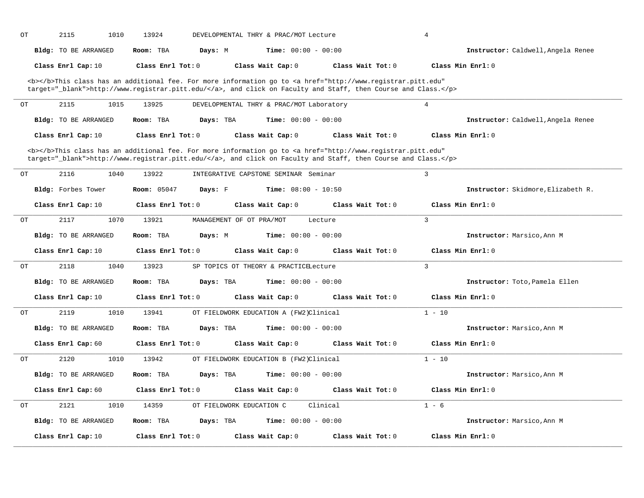| OT | 2115<br>1010                | 13924                         | DEVELOPMENTAL THRY & PRAC/MOT Lecture                                                                                                                                                                                              |                   | $\overline{4}$                     |
|----|-----------------------------|-------------------------------|------------------------------------------------------------------------------------------------------------------------------------------------------------------------------------------------------------------------------------|-------------------|------------------------------------|
|    | Bldg: TO BE ARRANGED        | Room: TBA<br>Days: M          | <b>Time:</b> $00:00 - 00:00$                                                                                                                                                                                                       |                   | Instructor: Caldwell, Angela Renee |
|    | Class Enrl Cap: 10          | Class Enrl Tot: 0             | Class Wait Cap: 0                                                                                                                                                                                                                  | Class Wait Tot: 0 | Class Min Enrl: 0                  |
|    |                             |                               | <b></b> This class has an additional fee. For more information go to <a <br="" href="http://www.registrar.pitt.edu">target="_blank"&gt;http://www.registrar.pitt.edu/</a> , and click on Faculty and Staff, then Course and Class. |                   |                                    |
| OT | 2115<br>1015                | 13925                         | DEVELOPMENTAL THRY & PRAC/MOT Laboratory                                                                                                                                                                                           |                   | $\overline{4}$                     |
|    | <b>Bldg:</b> TO BE ARRANGED | Room: TBA<br>Days: TBA        | <b>Time:</b> $00:00 - 00:00$                                                                                                                                                                                                       |                   | Instructor: Caldwell, Angela Renee |
|    | Class Enrl Cap: 10          | Class Enrl Tot: $0$           | Class Wait Cap: 0                                                                                                                                                                                                                  | Class Wait Tot: 0 | Class Min Enrl: 0                  |
|    |                             |                               | <b></b> This class has an additional fee. For more information go to <a <br="" href="http://www.registrar.pitt.edu">target="_blank"&gt;http://www.registrar.pitt.edu/</a> , and click on Faculty and Staff, then Course and Class. |                   |                                    |
| ОT | 2116<br>1040                | 13922                         | INTEGRATIVE CAPSTONE SEMINAR Seminar                                                                                                                                                                                               |                   | $\overline{3}$                     |
|    | Bldg: Forbes Tower          | <b>Room: 05047</b><br>Days: F | <b>Time:</b> $08:00 - 10:50$                                                                                                                                                                                                       |                   | Instructor: Skidmore, Elizabeth R. |
|    | Class Enrl Cap: 10          | Class Enrl Tot: 0             | Class Wait Cap: 0                                                                                                                                                                                                                  | Class Wait Tot: 0 | Class Min Enrl: 0                  |
| ОT | 2117<br>1070                | 13921                         | MANAGEMENT OF OT PRA/MOT<br>Lecture                                                                                                                                                                                                |                   | $\overline{3}$                     |
|    | Bldg: TO BE ARRANGED        | Room: TBA<br>Days: M          | <b>Time:</b> $00:00 - 00:00$                                                                                                                                                                                                       |                   | Instructor: Marsico, Ann M         |
|    | Class Enrl Cap: 10          | Class Enrl Tot: 0             | Class Wait Cap: 0                                                                                                                                                                                                                  | Class Wait Tot: 0 | Class Min Enrl: 0                  |
| ОT | 2118<br>1040                | 13923                         | SP TOPICS OT THEORY & PRACTICELecture                                                                                                                                                                                              |                   | $\overline{3}$                     |
|    | <b>Bldg:</b> TO BE ARRANGED | Room: TBA<br>Days: TBA        | <b>Time:</b> $00:00 - 00:00$                                                                                                                                                                                                       |                   | Instructor: Toto, Pamela Ellen     |
|    | Class Enrl Cap: 10          | Class Enrl Tot: 0             | Class Wait Cap: 0                                                                                                                                                                                                                  | Class Wait Tot: 0 | Class Min Enrl: 0                  |
| OT | 2119<br>1010                | 13941                         | OT FIELDWORK EDUCATION A (FW2)Clinical                                                                                                                                                                                             |                   | $1 - 10$                           |
|    | Bldg: TO BE ARRANGED        | Room: TBA<br>Days: TBA        | <b>Time:</b> $00:00 - 00:00$                                                                                                                                                                                                       |                   | Instructor: Marsico, Ann M         |
|    | Class Enrl Cap: 60          | Class Enrl Tot: 0             | Class Wait Cap: 0                                                                                                                                                                                                                  | Class Wait Tot: 0 | Class Min Enrl: 0                  |
| OT | 2120<br>1010                | 13942                         | OT FIELDWORK EDUCATION B (FW2)Clinical                                                                                                                                                                                             |                   | $1 - 10$                           |
|    | Bldg: TO BE ARRANGED        | Room: TBA<br>Days: TBA        | <b>Time:</b> $00:00 - 00:00$                                                                                                                                                                                                       |                   | Instructor: Marsico, Ann M         |
|    | Class Enrl Cap: 60          | Class Enrl Tot: 0             | Class Wait Cap: 0                                                                                                                                                                                                                  | Class Wait Tot: 0 | Class Min Enrl: 0                  |
| OT | 2121<br>1010                | 14359                         | OT FIELDWORK EDUCATION C<br>Clinical                                                                                                                                                                                               |                   | $1 - 6$                            |
|    | Bldg: TO BE ARRANGED        | Room: TBA<br>Days: TBA        | <b>Time:</b> $00:00 - 00:00$                                                                                                                                                                                                       |                   | Instructor: Marsico, Ann M         |
|    | Class Enrl Cap: 10          | Class Enrl Tot: 0             | Class Wait Cap: 0                                                                                                                                                                                                                  | Class Wait Tot: 0 | Class Min Enrl: 0                  |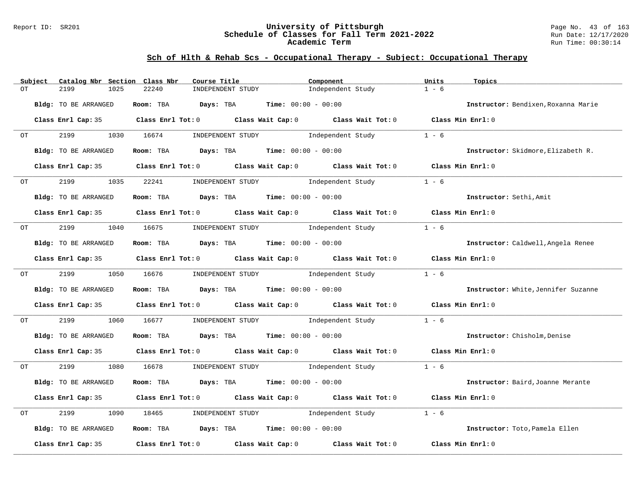#### Report ID: SR201 **University of Pittsburgh** Page No. 43 of 163 **Schedule of Classes for Fall Term 2021-2022** Run Date: 12/17/2020 **Academic Term** Run Time: 00:30:14

# **Sch of Hlth & Rehab Scs - Occupational Therapy - Subject: Occupational Therapy**

|    | Subject | Catalog Nbr Section Class Nbr | Course Title                                                                                       | Component                               | Units<br>Topics                     |
|----|---------|-------------------------------|----------------------------------------------------------------------------------------------------|-----------------------------------------|-------------------------------------|
| OТ |         | 2199<br>1025                  | 22240<br>INDEPENDENT STUDY                                                                         | Independent Study                       | $1 - 6$                             |
|    |         | Bldg: TO BE ARRANGED          | Room: TBA $Days:$ TBA $Time: 00:00 - 00:00$                                                        |                                         | Instructor: Bendixen, Roxanna Marie |
|    |         |                               |                                                                                                    |                                         |                                     |
|    |         |                               | Class Enrl Cap: 35 Class Enrl Tot: 0 Class Wait Cap: 0 Class Wait Tot: 0 Class Min Enrl: 0         |                                         |                                     |
| OT |         | 2199                          | 1030 16674                                                                                         | INDEPENDENT STUDY 1ndependent Study     | $1 - 6$                             |
|    |         | Bldg: TO BE ARRANGED          | Room: TBA $Days:$ TBA $Time: 00:00 - 00:00$                                                        |                                         | Instructor: Skidmore, Elizabeth R.  |
|    |         | Class Enrl Cap: 35            | Class Enrl Tot: $0$ Class Wait Cap: $0$ Class Wait Tot: $0$ Class Min Enrl: $0$                    |                                         |                                     |
|    | OT TO   | 2199<br>1035                  | 22241                                                                                              | INDEPENDENT STUDY<br>Independent Study  | $1 - 6$                             |
|    |         | Bldg: TO BE ARRANGED          | Room: TBA $Days:$ TBA $Time: 00:00 - 00:00$                                                        |                                         | Instructor: Sethi, Amit             |
|    |         |                               | Class Enrl Cap: 35 Class Enrl Tot: 0 Class Wait Cap: 0 Class Wait Tot: 0 Class Min Enrl: 0         |                                         |                                     |
| OT |         | 2199                          | 1040 16675                                                                                         | INDEPENDENT STUDY 1ndependent Study     | $1 - 6$                             |
|    |         | Bldg: TO BE ARRANGED          | Room: TBA $Days:$ TBA $Time: 00:00 - 00:00$                                                        |                                         | Instructor: Caldwell, Angela Renee  |
|    |         |                               | Class Enrl Cap: 35 Class Enrl Tot: 0 Class Wait Cap: 0 Class Wait Tot: 0 Class Min Enrl: 0         |                                         |                                     |
|    | OT      | 2199                          | 1050 16676                                                                                         | INDEPENDENT STUDY The Independent Study | $1 - 6$                             |
|    |         | Bldg: TO BE ARRANGED          | Room: TBA $Days: TBA$ Time: $00:00 - 00:00$                                                        |                                         | Instructor: White, Jennifer Suzanne |
|    |         |                               | Class Enrl Cap: 35 Class Enrl Tot: 0 Class Wait Cap: 0 Class Wait Tot: 0 Class Min Enrl: 0         |                                         |                                     |
| OT |         | 2199<br>1060                  | 16677                                                                                              | INDEPENDENT STUDY 1ndependent Study     | $1 - 6$                             |
|    |         | Bldg: TO BE ARRANGED          | Room: TBA $Days:$ TBA $Time: 00:00 - 00:00$                                                        |                                         | Instructor: Chisholm, Denise        |
|    |         |                               | Class Enrl Cap: 35 Class Enrl Tot: 0 Class Wait Cap: 0 Class Wait Tot: 0 Class Min Enrl: 0         |                                         |                                     |
| OT |         | 2199                          | 1080 16678                                                                                         | INDEPENDENT STUDY 1 - 6                 |                                     |
|    |         | Bldg: TO BE ARRANGED          | Room: TBA $Days:$ TBA $Time: 00:00 - 00:00$                                                        |                                         | Instructor: Baird, Joanne Merante   |
|    |         | Class Enrl Cap: 35            | Class Enrl Tot: 0 $\qquad$ Class Wait Cap: 0 $\qquad$ Class Wait Tot: 0 $\qquad$ Class Min Enrl: 0 |                                         |                                     |
| OT |         | 2199<br>1090                  | 18465                                                                                              | INDEPENDENT STUDY 1ndependent Study     | $1 - 6$                             |
|    |         | Bldg: TO BE ARRANGED          | Room: TBA $Days:$ TBA $Time: 00:00 - 00:00$                                                        |                                         | Instructor: Toto, Pamela Ellen      |
|    |         | Class Enrl Cap: 35            | Class Enrl Tot: $0$ Class Wait Cap: $0$ Class Wait Tot: $0$                                        |                                         | Class Min Enrl: 0                   |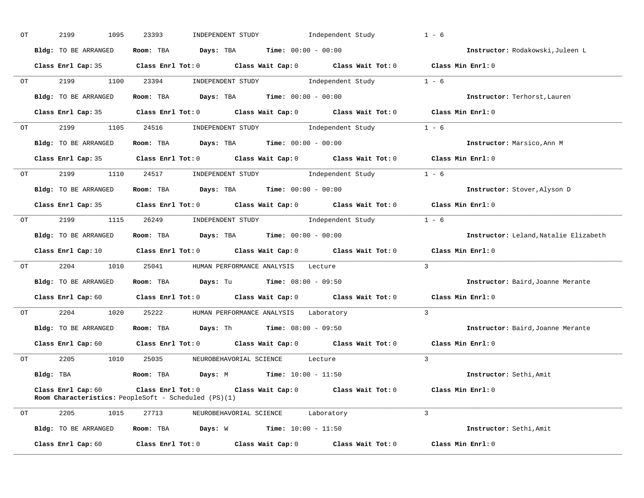| ОT | 2199<br>1095                                                                      | 23393 | INDEPENDENT STUDY                                                                    | Independent Study                                                                                                              | $1 - 6$                               |
|----|-----------------------------------------------------------------------------------|-------|--------------------------------------------------------------------------------------|--------------------------------------------------------------------------------------------------------------------------------|---------------------------------------|
|    | Bldg: TO BE ARRANGED                                                              |       | Room: TBA $Days: TBA$ Time: $00:00 - 00:00$                                          |                                                                                                                                | Instructor: Rodakowski, Juleen L      |
|    |                                                                                   |       |                                                                                      | Class Enrl Cap: 35 Class Enrl Tot: 0 Class Wait Cap: 0 Class Wait Tot: 0 Class Min Enrl: 0                                     |                                       |
|    | OT 2199                                                                           |       |                                                                                      | 1100 23394 INDEPENDENT STUDY Independent Study 1 - 6                                                                           |                                       |
|    | Bldg: TO BE ARRANGED                                                              |       | Room: TBA $Days:$ TBA $Time: 00:00 - 00:00$                                          |                                                                                                                                | Instructor: Terhorst, Lauren          |
|    |                                                                                   |       |                                                                                      | Class Enrl Cap: 35 Class Enrl Tot: 0 Class Wait Cap: 0 Class Wait Tot: 0 Class Min Enrl: 0                                     |                                       |
| OT |                                                                                   |       |                                                                                      | 2199 1105 24516 INDEPENDENT STUDY Independent Study 1 - 6                                                                      |                                       |
|    | Bldg: TO BE ARRANGED                                                              |       | Room: TBA $\rule{1em}{0.15mm}$ Days: TBA Time: $00:00 - 00:00$                       |                                                                                                                                | Instructor: Marsico, Ann M            |
|    |                                                                                   |       |                                                                                      | Class Enrl Cap: 35 Class Enrl Tot: 0 Class Wait Cap: 0 Class Wait Tot: 0 Class Min Enrl: 0                                     |                                       |
| OT |                                                                                   |       |                                                                                      | 2199 1110 24517 INDEPENDENT STUDY Independent Study 1 - 6                                                                      |                                       |
|    |                                                                                   |       | Bldg: TO BE ARRANGED Room: TBA Days: TBA Time: 00:00 - 00:00                         |                                                                                                                                | Instructor: Stover, Alyson D          |
|    |                                                                                   |       |                                                                                      | Class Enrl Cap: 35 Class Enrl Tot: 0 Class Wait Cap: 0 Class Wait Tot: 0                                                       | Class Min Enrl: 0                     |
| OT |                                                                                   |       |                                                                                      | 2199 1115 26249 INDEPENDENT STUDY Independent Study 1 - 6                                                                      |                                       |
|    |                                                                                   |       | Bldg: TO BE ARRANGED Room: TBA Days: TBA Time: 00:00 - 00:00                         |                                                                                                                                | Instructor: Leland, Natalie Elizabeth |
|    |                                                                                   |       |                                                                                      |                                                                                                                                |                                       |
|    |                                                                                   |       |                                                                                      | Class Enrl Cap: 10 Class Enrl Tot: 0 Class Wait Cap: 0 Class Wait Tot: 0 Class Min Enrl: 0                                     |                                       |
| OT |                                                                                   |       | 2204 1010 25041 HUMAN PERFORMANCE ANALYSIS Lecture                                   |                                                                                                                                | $\mathbf{3}$                          |
|    | Bldg: TO BE ARRANGED                                                              |       | Room: TBA $\rule{1em}{0.15mm}$ Days: Tu $\rule{1em}{0.15mm}$ Time: $0.8:00 - 0.9:50$ |                                                                                                                                | Instructor: Baird, Joanne Merante     |
|    |                                                                                   |       |                                                                                      | Class Enrl Cap: 60 $\qquad$ Class Enrl Tot: 0 $\qquad$ Class Wait Cap: 0 $\qquad$ Class Wait Tot: 0 $\qquad$ Class Min Enrl: 0 |                                       |
| OT |                                                                                   |       | 2204 1020 25222 HUMAN PERFORMANCE ANALYSIS Laboratory                                |                                                                                                                                | $\overline{3}$                        |
|    | Bldg: TO BE ARRANGED                                                              |       | Room: TBA $Days: Th$ Time: $08:00 - 09:50$                                           |                                                                                                                                | Instructor: Baird, Joanne Merante     |
|    |                                                                                   |       |                                                                                      | Class Enrl Cap: 60 $\qquad$ Class Enrl Tot: 0 $\qquad$ Class Wait Cap: 0 $\qquad$ Class Wait Tot: 0 $\qquad$ Class Min Enrl: 0 |                                       |
| OT |                                                                                   |       | 2205 1010 25035 NEUROBEHAVORIAL SCIENCE Lecture                                      |                                                                                                                                | $\mathbf{3}$                          |
|    |                                                                                   |       | Bldg: TBA                  Room: TBA        Days: M          Time: 10:00 - 11:50     |                                                                                                                                | Instructor: Sethi, Amit               |
|    | Class Enrl Cap: 60<br><b>Room Characteristics:</b> PeopleSoft - Scheduled (PS)(1) |       |                                                                                      | Class Enrl Tot: $0$ Class Wait Cap: $0$ Class Wait Tot: $0$ Class Min Enrl: $0$                                                |                                       |
| ОT |                                                                                   |       | 2205 1015 27713 NEUROBEHAVORIAL SCIENCE Laboratory                                   |                                                                                                                                | $\mathbf{3}$                          |
|    |                                                                                   |       | Bldg: TO BE ARRANGED Room: TBA Days: W Time: 10:00 - 11:50                           |                                                                                                                                | Instructor: Sethi, Amit               |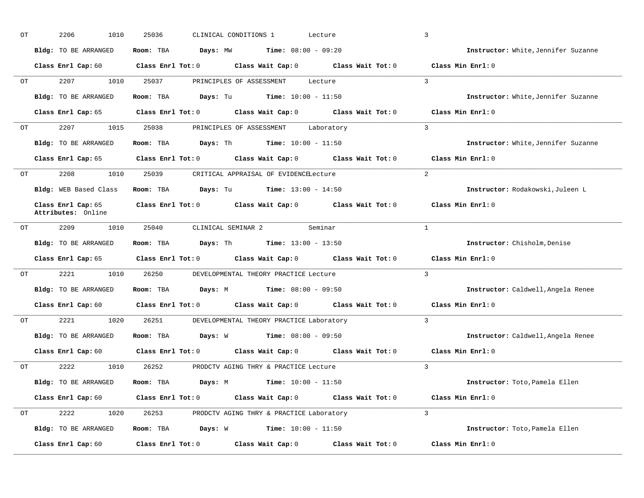| ОT | 2206<br>1010                             | 25036                   | CLINICAL CONDITIONS 1<br>Lecture                                                                                               | $\overline{3}$                      |
|----|------------------------------------------|-------------------------|--------------------------------------------------------------------------------------------------------------------------------|-------------------------------------|
|    | Bldg: TO BE ARRANGED                     | Room: TBA               | <b>Days:</b> MW <b>Time:</b> $08:00 - 09:20$                                                                                   | Instructor: White, Jennifer Suzanne |
|    | Class Enrl Cap: 60                       |                         | Class Enrl Tot: $0$ Class Wait Cap: $0$ Class Wait Tot: $0$                                                                    | Class Min Enrl: 0                   |
| OT | 2207 200                                 | 1010 25037              | PRINCIPLES OF ASSESSMENT<br>Lecture                                                                                            | $\overline{3}$                      |
|    | Bldg: TO BE ARRANGED                     |                         | Room: TBA $Days: Tu$ Time: $10:00 - 11:50$                                                                                     | Instructor: White, Jennifer Suzanne |
|    |                                          |                         | Class Enrl Cap: 65 $\qquad$ Class Enrl Tot: 0 $\qquad$ Class Wait Cap: 0 $\qquad$ Class Wait Tot: 0                            | Class Min Enrl: 0                   |
| OT | 2207 200                                 |                         | 1015 25038 PRINCIPLES OF ASSESSMENT Laboratory                                                                                 | $\mathbf{3}$                        |
|    | Bldg: TO BE ARRANGED                     |                         | <b>Room:</b> TBA <b>Days:</b> Th <b>Time:</b> $10:00 - 11:50$                                                                  | Instructor: White, Jennifer Suzanne |
|    |                                          |                         | Class Enrl Cap: 65 $\qquad$ Class Enrl Tot: 0 $\qquad$ Class Wait Cap: 0 $\qquad$ Class Wait Tot: 0                            | Class Min Enrl: 0                   |
| OT | 2208 1010 25039                          |                         | CRITICAL APPRAISAL OF EVIDENCELecture                                                                                          | $2^{1}$                             |
|    | Bldg: WEB Based Class                    |                         | <b>Room:</b> TBA <b>Days:</b> Tu <b>Time:</b> $13:00 - 14:50$                                                                  | Instructor: Rodakowski, Juleen L    |
|    | Class Enrl Cap: 65<br>Attributes: Online |                         | Class Enrl Tot: 0 Class Wait Cap: 0 Class Wait Tot: 0                                                                          | Class Min Enrl: 0                   |
| OT | 2209<br>1010                             | 25040                   | CLINICAL SEMINAR 2<br>Seminar                                                                                                  | $\mathbf{1}$                        |
|    | <b>Bldg:</b> TO BE ARRANGED              |                         | Room: TBA $Days: Th$ Time: $13:00 - 13:50$                                                                                     | Instructor: Chisholm, Denise        |
|    | Class Enrl Cap: 65                       |                         | Class Enrl Tot: $0$ Class Wait Cap: $0$ Class Wait Tot: $0$                                                                    | Class Min Enrl: 0                   |
| OT | 2221                                     | 1010 26250              | DEVELOPMENTAL THEORY PRACTICE Lecture                                                                                          | $\overline{3}$                      |
|    | Bldg: TO BE ARRANGED                     |                         | Room: TBA $Days: M$ Time: $08:00 - 09:50$                                                                                      | Instructor: Caldwell, Angela Renee  |
|    |                                          |                         | Class Enrl Cap: 60 $\qquad$ Class Enrl Tot: 0 $\qquad$ Class Wait Cap: 0 $\qquad$ Class Wait Tot: 0                            | Class Min Enrl: 0                   |
| OT |                                          |                         | 2221 1020 26251 DEVELOPMENTAL THEORY PRACTICE Laboratory                                                                       | $\mathcal{R}$                       |
|    | Bldg: TO BE ARRANGED                     |                         | Room: TBA $Days: W$ Time: $08:00 - 09:50$                                                                                      | Instructor: Caldwell, Angela Renee  |
|    |                                          |                         | Class Enrl Cap: 60 $\qquad$ Class Enrl Tot: 0 $\qquad$ Class Wait Cap: 0 $\qquad$ Class Wait Tot: 0                            | Class Min Enrl: 0                   |
| OT |                                          |                         | 2222 1010 26252 PRODCTV AGING THRY & PRACTICE Lecture                                                                          | $\mathcal{R}$                       |
|    | Bldg: TO BE ARRANGED                     |                         | Room: TBA $Days: M$ Time: $10:00 - 11:50$                                                                                      | Instructor: Toto, Pamela Ellen      |
|    |                                          |                         | Class Enrl Cap: 60 $\qquad$ Class Enrl Tot: 0 $\qquad$ Class Wait Cap: 0 $\qquad$ Class Wait Tot: 0 $\qquad$ Class Min Enrl: 0 |                                     |
| ОT |                                          |                         | 2222 1020 26253 PRODCTV AGING THRY & PRACTICE Laboratory                                                                       | $\overline{3}$                      |
|    | Bldg: TO BE ARRANGED                     |                         | Room: TBA $Days: W$ Time: $10:00 - 11:50$                                                                                      | Instructor: Toto, Pamela Ellen      |
|    | Class Enrl Cap: 60                       | $Class$ $Enrl$ $Tot: 0$ | Class Wait Cap: 0 Class Wait Tot: 0                                                                                            | Class Min Enrl: 0                   |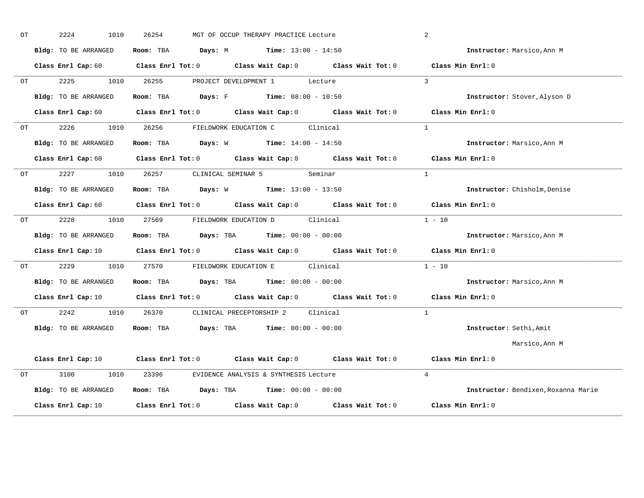| OT |    | 2224<br>1010         | 26254 | MGT OF OCCUP THERAPY PRACTICE Lecture                        |                                                                                                                                | 2                                   |
|----|----|----------------------|-------|--------------------------------------------------------------|--------------------------------------------------------------------------------------------------------------------------------|-------------------------------------|
|    |    | Bldg: TO BE ARRANGED |       | <b>Room:</b> TBA <b>Days:</b> M <b>Time:</b> $13:00 - 14:50$ |                                                                                                                                | Instructor: Marsico, Ann M          |
|    |    |                      |       |                                                              | Class Enrl Cap: 60 $\qquad$ Class Enrl Tot: 0 $\qquad$ Class Wait Cap: 0 $\qquad$ Class Wait Tot: 0 $\qquad$ Class Min Enrl: 0 |                                     |
|    | OT |                      |       | 2225 1010 26255 PROJECT DEVELOPMENT 1 Lecture                |                                                                                                                                | $\mathcal{L}$                       |
|    |    | Bldg: TO BE ARRANGED |       | Room: TBA $Days: F$ Time: $08:00 - 10:50$                    |                                                                                                                                | Instructor: Stover, Alyson D        |
|    |    |                      |       |                                                              | Class Enrl Cap: 60 Class Enrl Tot: 0 Class Wait Cap: 0 Class Wait Tot: 0 Class Min Enrl: 0                                     |                                     |
|    | OT | 2226                 |       | 1010 26256 FIELDWORK EDUCATION C Clinical                    |                                                                                                                                | $\mathbf{1}$                        |
|    |    | Bldg: TO BE ARRANGED |       | Room: TBA $Days: W$ Time: $14:00 - 14:50$                    |                                                                                                                                | Instructor: Marsico, Ann M          |
|    |    |                      |       |                                                              | Class Enrl Cap: 60 $\qquad$ Class Enrl Tot: 0 $\qquad$ Class Wait Cap: 0 $\qquad$ Class Wait Tot: 0 $\qquad$ Class Min Enrl: 0 |                                     |
|    | OT |                      |       | 2227 1010 26257 CLINICAL SEMINAR 5 Seminar                   |                                                                                                                                | $\overline{1}$                      |
|    |    | Bldg: TO BE ARRANGED |       | Room: TBA Days: W Time: 13:00 - 13:50                        |                                                                                                                                | Instructor: Chisholm, Denise        |
|    |    |                      |       |                                                              | Class Enrl Cap: 60 $\qquad$ Class Enrl Tot: 0 $\qquad$ Class Wait Cap: 0 $\qquad$ Class Wait Tot: 0 $\qquad$ Class Min Enrl: 0 |                                     |
|    | OT | 2228<br>1010         |       | 27569 FIELDWORK EDUCATION D Clinical                         |                                                                                                                                | $1 - 10$                            |
|    |    | Bldg: TO BE ARRANGED |       | Room: TBA $Days: TBA$ Time: $00:00 - 00:00$                  |                                                                                                                                | Instructor: Marsico, Ann M          |
|    |    |                      |       |                                                              | Class Enrl Cap: 10 $\qquad$ Class Enrl Tot: 0 $\qquad$ Class Wait Cap: 0 $\qquad$ Class Wait Tot: 0 $\qquad$ Class Min Enrl: 0 |                                     |
|    | OT |                      |       | 2229 1010 27570 FIELDWORK EDUCATION E Clinical               |                                                                                                                                | $1 - 10$                            |
|    |    | Bldg: TO BE ARRANGED |       | Room: TBA $Days:$ TBA $Time: 00:00 - 00:00$                  |                                                                                                                                | Instructor: Marsico, Ann M          |
|    |    |                      |       |                                                              | Class Enrl Cap: 10 $\qquad$ Class Enrl Tot: 0 $\qquad$ Class Wait Cap: 0 $\qquad$ Class Wait Tot: 0 $\qquad$ Class Min Enrl: 0 |                                     |
|    | OT | 2242<br>1010         |       | 26370 CLINICAL PRECEPTORSHIP 2 Clinical                      |                                                                                                                                | $\mathbf{1}$                        |
|    |    | Bldg: TO BE ARRANGED |       | Room: TBA $Days:$ TBA $Time: 00:00 - 00:00$                  |                                                                                                                                | Instructor: Sethi, Amit             |
|    |    |                      |       |                                                              |                                                                                                                                | Marsico,Ann M                       |
|    |    |                      |       |                                                              | Class Enrl Cap: 10 $\qquad$ Class Enrl Tot: 0 $\qquad$ Class Wait Cap: 0 $\qquad$ Class Wait Tot: 0 $\qquad$ Class Min Enrl: 0 |                                     |
|    | OT | 3100<br>1010         |       | 23396 EVIDENCE ANALYSIS & SYNTHESIS Lecture                  |                                                                                                                                | $\overline{4}$                      |
|    |    | Bldg: TO BE ARRANGED |       | Room: TBA $Days:$ TBA $Time: 00:00 - 00:00$                  |                                                                                                                                | Instructor: Bendixen, Roxanna Marie |
|    |    | Class Enrl Cap: 10   |       |                                                              | Class Enrl Tot: 0 Class Wait Cap: 0 Class Wait Tot: 0                                                                          | Class Min Enrl: 0                   |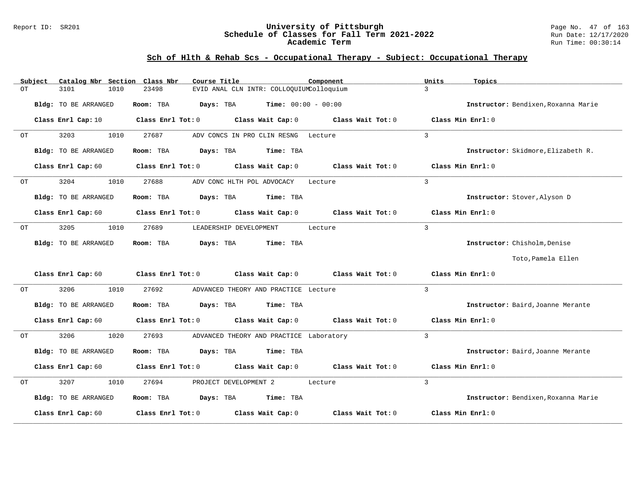#### Report ID: SR201 **University of Pittsburgh** Page No. 47 of 163 **Schedule of Classes for Fall Term 2021-2022** Run Date: 12/17/2020 **Academic Term** Run Time: 00:30:14

# **Sch of Hlth & Rehab Scs - Occupational Therapy - Subject: Occupational Therapy**

|    | Subject | Catalog Nbr Section Class Nbr |                   | Course Title                             |                              | Component         | Units          | Topics                              |
|----|---------|-------------------------------|-------------------|------------------------------------------|------------------------------|-------------------|----------------|-------------------------------------|
| ОT |         | 3101<br>1010                  | 23498             | EVID ANAL CLN INTR: COLLOQUIUMColloquium |                              |                   | $\mathbf{R}$   |                                     |
|    |         | Bldg: TO BE ARRANGED          | Room: TBA         | Days: TBA                                | <b>Time:</b> $00:00 - 00:00$ |                   |                | Instructor: Bendixen, Roxanna Marie |
|    |         | Class Enrl Cap: 10            | Class Enrl Tot: 0 |                                          | Class Wait Cap: 0            | Class Wait Tot: 0 |                | Class Min Enrl: 0                   |
| OT |         | 3203<br>1010                  | 27687             | ADV CONCS IN PRO CLIN RESNG              |                              | Lecture           | $\overline{3}$ |                                     |
|    |         | Bldg: TO BE ARRANGED          | Room: TBA         | Days: TBA                                | Time: TBA                    |                   |                | Instructor: Skidmore, Elizabeth R.  |
|    |         | Class Enrl Cap: 60            | Class Enrl Tot: 0 |                                          | Class Wait Cap: 0            | Class Wait Tot: 0 |                | Class Min Enrl: 0                   |
| OT |         | 3204<br>1010                  | 27688             | ADV CONC HLTH POL ADVOCACY               |                              | Lecture           | 3              |                                     |
|    |         | Bldg: TO BE ARRANGED          | Room: TBA         | Days: TBA                                | Time: TBA                    |                   |                | Instructor: Stover, Alyson D        |
|    |         | Class Enrl Cap: 60            | Class Enrl Tot: 0 |                                          | Class Wait Cap: 0            | Class Wait Tot: 0 |                | Class Min Enrl: 0                   |
| OT |         | 3205<br>1010                  | 27689             | LEADERSHIP DEVELOPMENT                   |                              | Lecture           | $\overline{3}$ |                                     |
|    |         | Bldg: TO BE ARRANGED          | Room: TBA         | Days: TBA                                | Time: TBA                    |                   |                | Instructor: Chisholm, Denise        |
|    |         |                               |                   |                                          |                              |                   |                | Toto, Pamela Ellen                  |
|    |         | Class Enrl Cap: 60            | Class Enrl Tot: 0 | Class Wait Cap: 0                        |                              | Class Wait Tot: 0 |                | Class Min Enrl: 0                   |
| ОT |         | 3206<br>1010                  | 27692             | ADVANCED THEORY AND PRACTICE Lecture     |                              |                   | 3              |                                     |
|    |         | Bldg: TO BE ARRANGED          | Room: TBA         | Days: TBA                                | Time: TBA                    |                   |                | Instructor: Baird, Joanne Merante   |
|    |         | Class Enrl Cap: 60            | Class Enrl Tot: 0 |                                          | Class Wait Cap: 0            | Class Wait Tot: 0 |                | Class Min Enrl: 0                   |
| ОT |         | 3206<br>1020                  | 27693             | ADVANCED THEORY AND PRACTICE Laboratory  |                              |                   | 3              |                                     |
|    |         | Bldg: TO BE ARRANGED          | Room: TBA         | Days: TBA                                | Time: TBA                    |                   |                | Instructor: Baird, Joanne Merante   |
|    |         | Class Enrl Cap: 60            | Class Enrl Tot: 0 |                                          | Class Wait Cap: 0            | Class Wait Tot: 0 |                | Class Min Enrl: 0                   |
| ОT |         | 3207<br>1010                  | 27694             | PROJECT DEVELOPMENT 2                    |                              | Lecture           | $\overline{3}$ |                                     |
|    |         | Bldg: TO BE ARRANGED          | Room: TBA         | Days: TBA                                | Time: TBA                    |                   |                | Instructor: Bendixen, Roxanna Marie |
|    |         | Class Enrl Cap: 60            | Class Enrl Tot: 0 |                                          | Class Wait Cap: 0            | Class Wait Tot: 0 |                | Class Min Enrl: 0                   |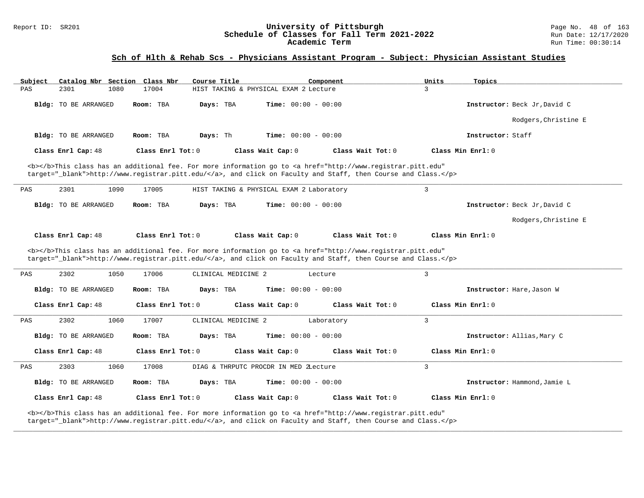#### Report ID: SR201 **University of Pittsburgh** Page No. 48 of 163 **Schedule of Classes for Fall Term 2021-2022** Run Date: 12/17/2020 **Academic Term** Run Time: 00:30:14

| Subject            | Catalog Nbr Section Class Nbr |                   | Course Title        |                                          | Component                                                                                                                                                                                                                          | Units             | Topics                       |
|--------------------|-------------------------------|-------------------|---------------------|------------------------------------------|------------------------------------------------------------------------------------------------------------------------------------------------------------------------------------------------------------------------------------|-------------------|------------------------------|
| 2301<br>PAS        | 1080                          | 17004             |                     | HIST TAKING & PHYSICAL EXAM 2 Lecture    |                                                                                                                                                                                                                                    | 3                 |                              |
|                    | Bldg: TO BE ARRANGED          | Room: TBA         | Davs: TBA           | <b>Time:</b> $00:00 - 00:00$             |                                                                                                                                                                                                                                    |                   | Instructor: Beck Jr. David C |
|                    |                               |                   |                     |                                          |                                                                                                                                                                                                                                    |                   | Rodgers, Christine E         |
|                    | <b>Bldg:</b> TO BE ARRANGED   | Room: TBA         | Days: Th            | <b>Time:</b> $00:00 - 00:00$             |                                                                                                                                                                                                                                    |                   | Instructor: Staff            |
| Class Enrl Cap: 48 |                               | Class Enrl Tot: 0 |                     | Class Wait Cap: 0                        | Class Wait Tot: 0                                                                                                                                                                                                                  | Class Min Enrl: 0 |                              |
|                    |                               |                   |                     |                                          | <b></b> This class has an additional fee. For more information go to <a <br="" href="http://www.registrar.pitt.edu">target="_blank"&gt;http://www.registrar.pitt.edu/</a> , and click on Faculty and Staff, then Course and Class. |                   |                              |
| 2301<br>PAS        | 1090                          | 17005             |                     | HIST TAKING & PHYSICAL EXAM 2 Laboratory |                                                                                                                                                                                                                                    | 3                 |                              |
|                    | Bldg: TO BE ARRANGED          | Room: TBA         | Days: TBA           | <b>Time:</b> $00:00 - 00:00$             |                                                                                                                                                                                                                                    |                   | Instructor: Beck Jr, David C |
|                    |                               |                   |                     |                                          |                                                                                                                                                                                                                                    |                   | Rodgers, Christine E         |
| Class Enrl Cap: 48 |                               | Class Enrl Tot: 0 |                     | Class Wait Cap: 0                        | Class Wait Tot: 0                                                                                                                                                                                                                  | Class Min Enrl: 0 |                              |
|                    |                               |                   |                     |                                          | <b></b> This class has an additional fee. For more information go to <a <br="" href="http://www.registrar.pitt.edu">target="_blank"&gt;http://www.registrar.pitt.edu/</a> , and click on Faculty and Staff, then Course and Class. |                   |                              |
| 2302<br>PAS        | 1050                          | 17006             | CLINICAL MEDICINE 2 | Lecture                                  |                                                                                                                                                                                                                                    | 3                 |                              |
|                    | Bldg: TO BE ARRANGED          | Room: TBA         | Days: TBA           | <b>Time:</b> $00:00 - 00:00$             |                                                                                                                                                                                                                                    |                   | Instructor: Hare, Jason W    |
| Class Enrl Cap: 48 |                               | Class Enrl Tot: 0 |                     | Class Wait Cap: 0                        | Class Wait Tot: 0                                                                                                                                                                                                                  | Class Min Enrl: 0 |                              |
| 2302<br>PAS        | 1060                          | 17007             | CLINICAL MEDICINE 2 |                                          | Laboratory                                                                                                                                                                                                                         | 3                 |                              |
|                    | Bldg: TO BE ARRANGED          | Room: TBA         | Days: TBA           | Time: $00:00 - 00:00$                    |                                                                                                                                                                                                                                    |                   | Instructor: Allias, Mary C   |
| Class Enrl Cap: 48 |                               | Class Enrl Tot: 0 |                     | Class Wait Cap: 0                        | Class Wait Tot: 0                                                                                                                                                                                                                  | Class Min Enrl: 0 |                              |
| 2303<br>PAS        | 1060                          | 17008             |                     | DIAG & THRPUTC PROCDR IN MED 2Lecture    |                                                                                                                                                                                                                                    | $\overline{3}$    |                              |
|                    | Bldg: TO BE ARRANGED          | Room: TBA         | Days: TBA           | Time: $00:00 - 00:00$                    |                                                                                                                                                                                                                                    |                   | Instructor: Hammond, Jamie L |
| Class Enrl Cap: 48 |                               | Class Enrl Tot: 0 |                     | Class Wait Cap: 0                        | Class Wait Tot: 0                                                                                                                                                                                                                  | Class Min Enrl: 0 |                              |
|                    |                               |                   |                     |                                          | <b></b> This class has an additional fee. For more information go to <a <br="" href="http://www.registrar.pitt.edu">target="_blank"&gt;http://www.registrar.pitt.edu/</a> , and click on Faculty and Staff, then Course and Class. |                   |                              |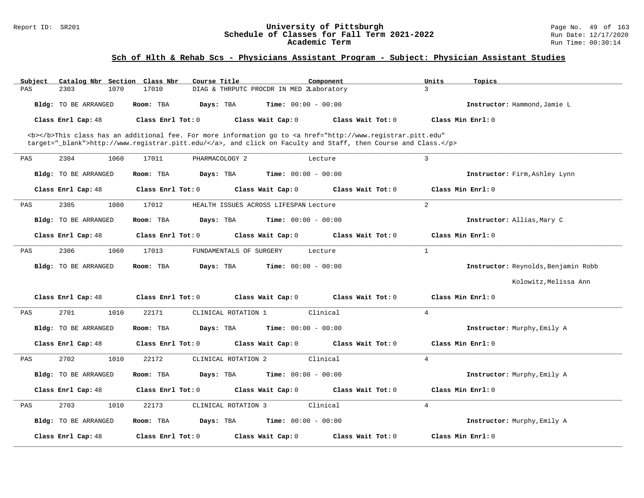| Catalog Nbr Section<br>Subject | Course Title<br>Class Nbr<br>Component                                                                                                | Topics<br>Units                          |
|--------------------------------|---------------------------------------------------------------------------------------------------------------------------------------|------------------------------------------|
| PAS<br>2303<br>1070            | 17010<br>DIAG & THRPUTC PROCDR IN MED ZLaboratory                                                                                     | 3                                        |
| Bldg: TO BE ARRANGED           | Days: TBA<br><b>Time:</b> $00:00 - 00:00$<br>Room: TBA                                                                                | Instructor: Hammond, Jamie L             |
| Class Enrl Cap: 48             | Class Enrl Tot: 0<br>Class Wait Cap: 0                                                                                                | Class Wait Tot: 0<br>Class Min Enrl: 0   |
|                                | <b></b> This class has an additional fee. For more information go to <a <="" href="http://www.registrar.pitt.edu" td=""><td></td></a> |                                          |
|                                | target="_blank">http://www.registrar.pitt.edu/, and click on Faculty and Staff, then Course and Class.                                |                                          |
|                                |                                                                                                                                       |                                          |
| 2304<br>1060<br>PAS            | 17011<br>PHARMACOLOGY 2<br>Lecture                                                                                                    | $\overline{3}$                           |
| Bldg: TO BE ARRANGED           | Room: TBA<br>Days: TBA<br><b>Time:</b> $00:00 - 00:00$                                                                                | Instructor: Firm, Ashley Lynn            |
| Class Enrl Cap: 48             | Class Enrl Tot: 0<br>Class Wait Cap: 0                                                                                                | Class Wait Tot: 0<br>Class Min Enrl: 0   |
| 2305<br>1080<br>PAS            | 17012<br>HEALTH ISSUES ACROSS LIFESPAN Lecture                                                                                        | 2                                        |
| Bldg: TO BE ARRANGED           | Time: $00:00 - 00:00$<br>Room: TBA<br>Days: TBA                                                                                       | Instructor: Allias, Mary C               |
|                                |                                                                                                                                       |                                          |
| Class Enrl Cap: 48             | Class Enrl Tot: $0$<br>Class Wait Cap: 0                                                                                              | Class Min Enrl: 0<br>Class Wait $Tot: 0$ |
| 2306<br>1060<br>PAS            | 17013<br>FUNDAMENTALS OF SURGERY<br>Lecture                                                                                           | $\mathbf{1}$                             |
| Bldg: TO BE ARRANGED           | Days: TBA<br><b>Time:</b> $00:00 - 00:00$<br>Room: TBA                                                                                | Instructor: Reynolds, Benjamin Robb      |
|                                |                                                                                                                                       | Kolowitz, Melissa Ann                    |
| Class Enrl Cap: 48             | Class Enrl Tot: 0<br>Class Wait Cap: 0                                                                                                | Class Wait Tot: 0<br>Class Min Enrl: 0   |
| 2701<br>1010<br>PAS            | Clinical<br>22171<br>CLINICAL ROTATION 1                                                                                              | $\overline{4}$                           |
| Bldg: TO BE ARRANGED           | Days: TBA<br><b>Time:</b> $00:00 - 00:00$<br>Room: TBA                                                                                | Instructor: Murphy, Emily A              |
| Class Enrl Cap: 48             | Class Enrl Tot: 0<br>Class Wait Cap: 0                                                                                                | Class Wait Tot: 0<br>Class Min Enrl: 0   |
| 2702<br>1010<br>PAS            | CLINICAL ROTATION 2<br>Clinical<br>22172                                                                                              | $\overline{4}$                           |
|                                | Room: TBA<br><b>Time:</b> $00:00 - 00:00$                                                                                             |                                          |
| Bldg: TO BE ARRANGED           | Days: TBA                                                                                                                             | Instructor: Murphy, Emily A              |
| Class Enrl Cap: 48             | Class Enrl Tot: 0<br>Class Wait Cap: 0                                                                                                | Class Min Enrl: 0<br>Class Wait Tot: 0   |
| 2703<br>1010<br>PAS            | CLINICAL ROTATION 3<br>Clinical<br>22173                                                                                              | $\overline{4}$                           |
| Bldg: TO BE ARRANGED           | <b>Time:</b> $00:00 - 00:00$<br>Room: TBA<br>Days: TBA                                                                                | <b>Instructor:</b> Murphy, Emily A       |
| Class Enrl Cap: 48             | Class Enrl Tot: 0<br>Class Wait Cap: 0                                                                                                | Class Wait Tot: 0<br>Class Min Enrl: 0   |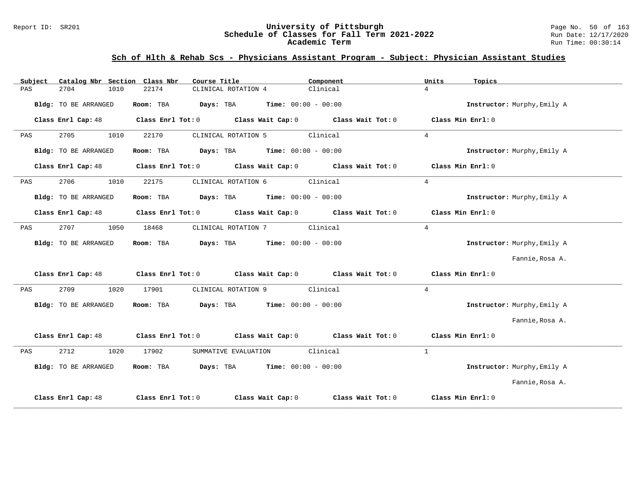#### Report ID: SR201 **University of Pittsburgh** Page No. 50 of 163 **Schedule of Classes for Fall Term 2021-2022** Run Date: 12/17/2020 **Academic Term** Run Time: 00:30:14

| Subject              | Catalog Nbr Section Class Nbr | Course Title                                                                               | Component         | Units<br>Topics             |  |
|----------------------|-------------------------------|--------------------------------------------------------------------------------------------|-------------------|-----------------------------|--|
| 2704<br>PAS          | 22174<br>1010                 | CLINICAL ROTATION 4                                                                        | Clinical          | $\overline{4}$              |  |
| Bldg: TO BE ARRANGED | Room: TBA                     | $Days: TBA$ Time: $00:00 - 00:00$                                                          |                   | Instructor: Murphy, Emily A |  |
| Class Enrl Cap: 48   |                               | Class Enrl Tot: 0 Class Wait Cap: 0 Class Wait Tot: 0 Class Min Enrl: 0                    |                   |                             |  |
| 2705<br>PAS          | 1010<br>22170                 | CLINICAL ROTATION 5                                                                        | Clinical          | $\overline{4}$              |  |
| Bldg: TO BE ARRANGED |                               | Room: TBA $Days:$ TBA $Time: 00:00 - 00:00$                                                |                   | Instructor: Murphy, Emily A |  |
| Class Enrl Cap: 48   |                               | Class Enrl Tot: $0$ Class Wait Cap: $0$ Class Wait Tot: $0$                                |                   | Class Min Enrl: 0           |  |
| 2706<br>PAS          | 1010<br>22175                 | CLINICAL ROTATION 6 Clinical                                                               |                   | $\overline{4}$              |  |
| Bldg: TO BE ARRANGED |                               | Room: TBA $Days:$ TBA $Time: 00:00 - 00:00$                                                |                   | Instructor: Murphy, Emily A |  |
| Class Enrl Cap: 48   |                               | Class Enrl Tot: $0$ Class Wait Cap: $0$ Class Wait Tot: $0$                                |                   | Class Min Enrl: 0           |  |
| 2707<br>PAS          | 1050<br>18468                 | CLINICAL ROTATION 7 Clinical                                                               |                   | $4\overline{ }$             |  |
| Bldg: TO BE ARRANGED |                               | Room: TBA $Days:$ TBA $Time: 00:00 - 00:00$                                                |                   | Instructor: Murphy, Emily A |  |
|                      |                               |                                                                                            |                   | Fannie, Rosa A.             |  |
|                      |                               | Class Enrl Cap: 48 Class Enrl Tot: 0 Class Wait Cap: 0 Class Wait Tot: 0 Class Min Enrl: 0 |                   |                             |  |
| 2709<br>PAS          | 1020<br>17901                 | CLINICAL ROTATION 9 Clinical                                                               |                   | $\overline{4}$              |  |
| Bldg: TO BE ARRANGED |                               | Room: TBA $Days:$ TBA $Time: 00:00 - 00:00$                                                |                   | Instructor: Murphy, Emily A |  |
|                      |                               |                                                                                            |                   | Fannie, Rosa A.             |  |
| Class Enrl Cap: 48   |                               | Class Enrl Tot: $0$ Class Wait Cap: $0$ Class Wait Tot: $0$ Class Min Enrl: $0$            |                   |                             |  |
| 2712<br>PAS          | 1020<br>17902                 | SUMMATIVE EVALUATION                                                                       | Clinical          | $\mathbf{1}$                |  |
| Bldg: TO BE ARRANGED |                               | Room: TBA $Days: TBA$ Time: $00:00 - 00:00$                                                |                   | Instructor: Murphy, Emily A |  |
|                      |                               |                                                                                            |                   | Fannie, Rosa A.             |  |
| Class Enrl Cap: 48   | Class Enrl Tot: 0             | Class Wait Cap: 0                                                                          | Class Wait Tot: 0 | Class Min Enrl: 0           |  |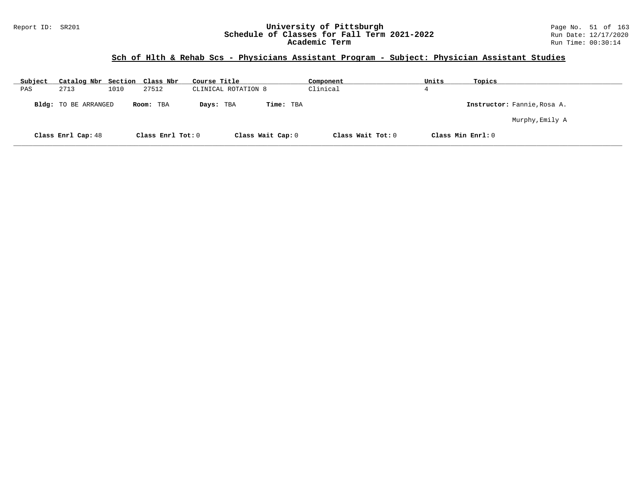#### Report ID: SR201 **University of Pittsburgh** Page No. 51 of 163 **Schedule of Classes for Fall Term 2021-2022** Run Date: 12/17/2020 **Academic Term** Run Time: 00:30:14

| Subject | Catalog Nbr Section Class Nbr |      |                   | Course Title        |                   | Component         | Units | Topics                      |
|---------|-------------------------------|------|-------------------|---------------------|-------------------|-------------------|-------|-----------------------------|
| PAS     | 2713                          | 1010 | 27512             | CLINICAL ROTATION 8 |                   | Clinical          | 4     |                             |
|         | <b>Bldg:</b> TO BE ARRANGED   |      | Room: TBA         | Days: TBA           | Time: TBA         |                   |       | Instructor: Fannie, Rosa A. |
|         |                               |      |                   |                     |                   |                   |       | Murphy,Emily A              |
|         | Class Enrl Cap: 48            |      | Class Enrl Tot: 0 |                     | Class Wait Cap: 0 | Class Wait Tot: 0 |       | Class Min Enrl: 0           |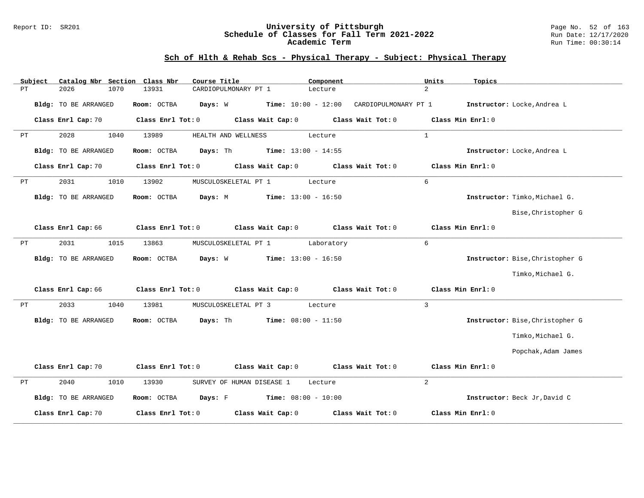#### Report ID: SR201 **University of Pittsburgh** Page No. 52 of 163 **Schedule of Classes for Fall Term 2021-2022** Run Date: 12/17/2020 **Academic Term** Run Time: 00:30:14

|    | Subject |                      |      | Catalog Nbr Section Class Nbr | Course Title        |                                               | Component             |                                                                         | Units          | Topics                          |
|----|---------|----------------------|------|-------------------------------|---------------------|-----------------------------------------------|-----------------------|-------------------------------------------------------------------------|----------------|---------------------------------|
| PT |         | 2026                 | 1070 | 13931                         |                     | CARDIOPULMONARY PT 1                          | Lecture               |                                                                         | $\overline{2}$ |                                 |
|    |         | Bldg: TO BE ARRANGED |      | Room: OCTBA                   |                     |                                               |                       | <b>Days:</b> W $\qquad$ <b>Time:</b> 10:00 - 12:00 CARDIOPULMONARY PT 1 |                | Instructor: Locke, Andrea L     |
|    |         | Class Enrl Cap: 70   |      | Class Enrl Tot: 0             |                     | Class Wait Cap: 0                             |                       | Class Wait Tot: 0                                                       |                | Class Min Enrl: 0               |
| PT |         | 2028                 | 1040 | 13989                         | HEALTH AND WELLNESS |                                               | Lecture               |                                                                         | $\mathbf{1}$   |                                 |
|    |         | Bldg: TO BE ARRANGED |      | Room: OCTBA                   | Days: Th            |                                               | $Time: 13:00 - 14:55$ |                                                                         |                | Instructor: Locke, Andrea L     |
|    |         | Class Enrl Cap: 70   |      | Class Enrl Tot: 0             |                     | Class Wait Cap: 0                             |                       | Class Wait Tot: 0                                                       |                | Class Min Enrl: 0               |
| PT |         | 2031                 | 1010 | 13902                         |                     | MUSCULOSKELETAL PT 1                          | Lecture               |                                                                         | 6              |                                 |
|    |         | Bldg: TO BE ARRANGED |      | Room: OCTBA                   | Days: M             |                                               | $Time: 13:00 - 16:50$ |                                                                         |                | Instructor: Timko, Michael G.   |
|    |         |                      |      |                               |                     |                                               |                       |                                                                         |                | Bise, Christopher G             |
|    |         | Class Enrl Cap: 66   |      |                               |                     | Class Enrl Tot: 0 Class Wait Cap: 0           |                       | Class Wait Tot: 0                                                       |                | Class Min Enrl: 0               |
| РT |         | 2031                 | 1015 | 13863                         |                     | MUSCULOSKELETAL PT 1                          | Laboratory            |                                                                         | 6              |                                 |
|    |         | Bldg: TO BE ARRANGED |      | Room: OCTBA                   | Days: W             |                                               | $Time: 13:00 - 16:50$ |                                                                         |                | Instructor: Bise, Christopher G |
|    |         |                      |      |                               |                     |                                               |                       |                                                                         |                | Timko, Michael G.               |
|    |         | Class Enrl Cap: 66   |      |                               |                     | Class Enrl Tot: 0 Class Wait Cap: 0           |                       | Class Wait Tot: 0                                                       |                | Class Min Enrl: 0               |
| РT |         | 2033                 | 1040 | 13981                         |                     | MUSCULOSKELETAL PT 3                          | Lecture               |                                                                         | $\overline{3}$ |                                 |
|    |         | Bldg: TO BE ARRANGED |      | Room: OCTBA                   | Days: Th            |                                               | $Time: 08:00 - 11:50$ |                                                                         |                | Instructor: Bise, Christopher G |
|    |         |                      |      |                               |                     |                                               |                       |                                                                         |                | Timko, Michael G.               |
|    |         |                      |      |                               |                     |                                               |                       |                                                                         |                | Popchak, Adam James             |
|    |         | Class Enrl Cap: 70   |      | Class Enrl Tot: 0             |                     | Class Wait Cap: 0                             |                       | Class Wait Tot: 0                                                       |                | Class Min Enrl: 0               |
| PТ |         | 2040                 | 1010 | 13930                         |                     | SURVEY OF HUMAN DISEASE 1                     | Lecture               |                                                                         | $\overline{a}$ |                                 |
|    |         | Bldg: TO BE ARRANGED |      | Room: OCTBA                   |                     | <b>Days:</b> $F$ <b>Time:</b> $08:00 - 10:00$ |                       |                                                                         |                | Instructor: Beck Jr, David C    |
|    |         | Class Enrl Cap: 70   |      | Class Enrl Tot: 0             |                     | Class Wait Cap: 0                             |                       | Class Wait Tot: 0                                                       |                | Class Min Enrl: 0               |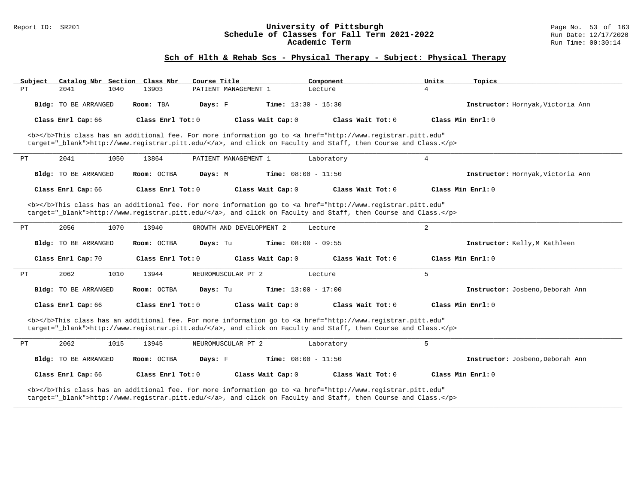#### Report ID: SR201 **University of Pittsburgh** Page No. 53 of 163 **Schedule of Classes for Fall Term 2021-2022** Run Date: 12/17/2020 **Academic Term** Run Time: 00:30:14

| Subject<br>Catalog Nbr Section Class Nbr                                                                                                                                                                                           | Course Title                                                                                                                                                                                                                       | Component                    | Units<br>Topics                   |  |  |  |
|------------------------------------------------------------------------------------------------------------------------------------------------------------------------------------------------------------------------------------|------------------------------------------------------------------------------------------------------------------------------------------------------------------------------------------------------------------------------------|------------------------------|-----------------------------------|--|--|--|
| 2041<br>1040<br>PT                                                                                                                                                                                                                 | 13903<br>PATIENT MANAGEMENT 1                                                                                                                                                                                                      | Lecture                      | $\overline{4}$                    |  |  |  |
| Bldg: TO BE ARRANGED                                                                                                                                                                                                               | Room: TBA<br>Days: F                                                                                                                                                                                                               | <b>Time:</b> $13:30 - 15:30$ | Instructor: Hornyak, Victoria Ann |  |  |  |
| Class Enrl Cap: 66                                                                                                                                                                                                                 | Class Enrl Tot: $0$<br>Class Wait Cap: 0                                                                                                                                                                                           | Class Wait Tot: $0$          | Class Min Enrl: 0                 |  |  |  |
|                                                                                                                                                                                                                                    | <b></b> This class has an additional fee. For more information go to <a <br="" href="http://www.registrar.pitt.edu">target="_blank"&gt;http://www.registrar.pitt.edu/</a> , and click on Faculty and Staff, then Course and Class. |                              |                                   |  |  |  |
| 2041<br>1050<br>PT                                                                                                                                                                                                                 | PATIENT MANAGEMENT 1<br>13864                                                                                                                                                                                                      | Laboratory                   | $\overline{4}$                    |  |  |  |
| Bldg: TO BE ARRANGED                                                                                                                                                                                                               | Room: OCTBA<br>Days: M                                                                                                                                                                                                             | <b>Time:</b> $08:00 - 11:50$ | Instructor: Hornyak, Victoria Ann |  |  |  |
| Class Enrl Cap: 66                                                                                                                                                                                                                 | Class Enrl Tot: 0<br>Class Wait Cap: 0                                                                                                                                                                                             | Class Wait Tot: 0            | Class Min Enrl: 0                 |  |  |  |
|                                                                                                                                                                                                                                    | <b></b> This class has an additional fee. For more information go to <a <br="" href="http://www.registrar.pitt.edu">target="_blank"&gt;http://www.registrar.pitt.edu/</a> , and click on Faculty and Staff, then Course and Class. |                              |                                   |  |  |  |
| 2056<br>1070<br>РT                                                                                                                                                                                                                 | 13940<br>GROWTH AND DEVELOPMENT 2                                                                                                                                                                                                  | Lecture                      | $\overline{2}$                    |  |  |  |
| <b>Bldg:</b> TO BE ARRANGED                                                                                                                                                                                                        | Room: OCTBA<br>Days: Tu                                                                                                                                                                                                            | <b>Time:</b> $08:00 - 09:55$ | Instructor: Kelly, M Kathleen     |  |  |  |
| Class Enrl Cap: 70                                                                                                                                                                                                                 | Class Enrl Tot: 0<br>Class Wait Cap: 0                                                                                                                                                                                             | Class Wait $Tot: 0$          | Class Min Enrl: 0                 |  |  |  |
| 2062<br>1010<br>PТ                                                                                                                                                                                                                 | 13944<br>NEUROMUSCULAR PT 2                                                                                                                                                                                                        | Lecture                      | 5                                 |  |  |  |
| Bldg: TO BE ARRANGED                                                                                                                                                                                                               | Room: OCTBA<br>Days: Tu                                                                                                                                                                                                            | <b>Time:</b> $13:00 - 17:00$ | Instructor: Josbeno, Deborah Ann  |  |  |  |
| Class Enrl Cap: 66                                                                                                                                                                                                                 | Class Enrl Tot: $0$<br>Class Wait Cap: 0                                                                                                                                                                                           | Class Wait $Tot: 0$          | $Class Min$ Enrl: $0$             |  |  |  |
|                                                                                                                                                                                                                                    | <b></b> This class has an additional fee. For more information go to <a <br="" href="http://www.registrar.pitt.edu">target="_blank"&gt;http://www.registrar.pitt.edu/</a> , and click on Faculty and Staff, then Course and Class. |                              |                                   |  |  |  |
| 2062<br>1015<br>PT                                                                                                                                                                                                                 | 13945<br>NEUROMUSCULAR PT 2                                                                                                                                                                                                        | Laboratory                   | 5                                 |  |  |  |
| <b>Bldg:</b> TO BE ARRANGED                                                                                                                                                                                                        | Room: OCTBA<br>Days: F                                                                                                                                                                                                             | <b>Time:</b> $08:00 - 11:50$ | Instructor: Josbeno, Deborah Ann  |  |  |  |
| Class Enrl Cap: 66                                                                                                                                                                                                                 | Class Enrl Tot: $0$<br>Class Wait Cap: 0                                                                                                                                                                                           | Class Wait Tot: 0            | Class Min Enrl: 0                 |  |  |  |
| <b></b> This class has an additional fee. For more information go to <a <br="" href="http://www.registrar.pitt.edu">target="_blank"&gt;http://www.registrar.pitt.edu/</a> , and click on Faculty and Staff, then Course and Class. |                                                                                                                                                                                                                                    |                              |                                   |  |  |  |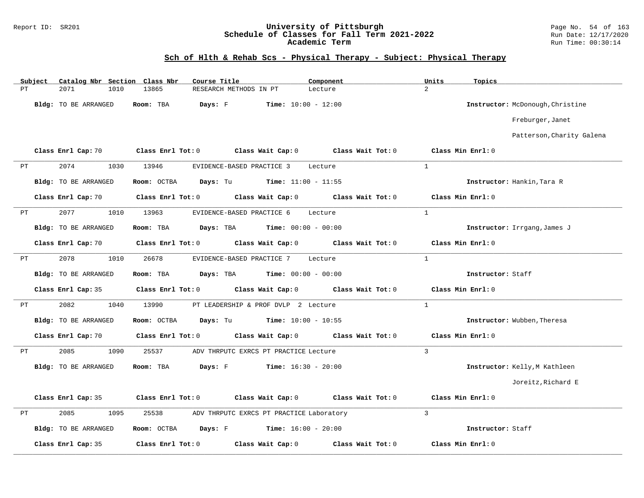#### Report ID: SR201 **University of Pittsburgh** Page No. 54 of 163 **Schedule of Classes for Fall Term 2021-2022** Run Date: 12/17/2020 **Academic Term** Run Time: 00:30:14

| $\overline{a}$<br>2071<br>1010<br>13865<br>РT<br>RESEARCH METHODS IN PT<br>Lecture<br>Bldg: TO BE ARRANGED<br>Room: TBA<br>Days: F<br>$Time: 10:00 - 12:00$<br>Instructor: McDonough, Christine<br>Freburger, Janet<br>Patterson, Charity Galena<br>Class Enrl Cap: 70<br>Class Enrl Tot: 0 Class Wait Cap: 0 Class Wait Tot: 0 Class Min Enrl: 0<br>2074<br>1030<br>13946<br>EVIDENCE-BASED PRACTICE 3<br>$\mathbf{1}$<br>PT<br>Lecture<br><b>Days:</b> Tu <b>Time:</b> $11:00 - 11:55$<br>Instructor: Hankin, Tara R<br>Bldg: TO BE ARRANGED<br>Room: OCTBA<br>Class Enrl Cap: 70<br>Class Enrl Tot: 0 Class Wait Cap: 0 Class Wait Tot: 0<br>Class Min Enrl: 0<br>$\mathbf{1}$<br>2077<br>1010<br>13963<br>EVIDENCE-BASED PRACTICE 6<br>Lecture<br>PT<br>Bldg: TO BE ARRANGED<br>Room: TBA $Days: TBA$ Time: $00:00 - 00:00$<br>Instructor: Irrgang, James J<br>Class Enrl Cap: 70<br>Class Enrl Tot: 0 Class Wait Cap: 0 Class Wait Tot: 0<br>Class Min Enrl: 0<br>$\mathbf{1}$<br>2078<br>26678<br>1010<br>EVIDENCE-BASED PRACTICE 7<br>РT<br>Lecture<br>Room: TBA $Days:$ TBA $Time: 00:00 - 00:00$<br>Bldg: TO BE ARRANGED<br>Instructor: Staff<br>Class Enrl Cap: 35<br>Class Enrl Tot: 0 Class Wait Cap: 0 Class Wait Tot: 0<br>Class Min Enrl: 0<br>2082<br>1040<br>$\overline{1}$<br>13990<br>PT LEADERSHIP & PROF DVLP 2 Lecture<br>PT<br><b>Days:</b> Tu <b>Time:</b> $10:00 - 10:55$<br>Instructor: Wubben, Theresa<br>Bldg: TO BE ARRANGED<br>Room: OCTBA<br>Class Enrl Tot: 0 Class Wait Cap: 0 Class Wait Tot: 0<br>Class Enrl Cap: 70<br>Class Min Enrl: 0<br>$\mathbf{3}$<br>2085<br>ADV THRPUTC EXRCS PT PRACTICE Lecture<br>PT<br>1090<br>25537<br><b>Days:</b> F Time: $16:30 - 20:00$<br>Bldg: TO BE ARRANGED<br>Room: TBA<br>Instructor: Kelly, M Kathleen<br>Joreitz, Richard E<br>Class Enrl Cap: 35<br>Class Min Enrl: 0<br>Class Enrl Tot: 0<br>Class Wait Cap: $0$ Class Wait Tot: $0$<br>$\overline{3}$<br>2085<br>PT<br>1095<br>25538<br>ADV THRPUTC EXRCS PT PRACTICE Laboratory<br>Bldg: TO BE ARRANGED<br>Room: OCTBA $Days: F$ Time: $16:00 - 20:00$<br>Instructor: Staff<br>Class Enrl Cap: 35<br>Class Enrl Tot: 0<br>Class Wait Cap: 0<br>Class Wait Tot: 0<br>Class Min Enrl: 0 | Subject | Catalog Nbr Section Class Nbr | Course Title | Component | Units | Topics |
|------------------------------------------------------------------------------------------------------------------------------------------------------------------------------------------------------------------------------------------------------------------------------------------------------------------------------------------------------------------------------------------------------------------------------------------------------------------------------------------------------------------------------------------------------------------------------------------------------------------------------------------------------------------------------------------------------------------------------------------------------------------------------------------------------------------------------------------------------------------------------------------------------------------------------------------------------------------------------------------------------------------------------------------------------------------------------------------------------------------------------------------------------------------------------------------------------------------------------------------------------------------------------------------------------------------------------------------------------------------------------------------------------------------------------------------------------------------------------------------------------------------------------------------------------------------------------------------------------------------------------------------------------------------------------------------------------------------------------------------------------------------------------------------------------------------------------------------------------------------------------------------------------------------------------------------------------------------------------------------------------------------------------------------------------------------------------------------------------------------------------------------------------------------------------------------------------------------------|---------|-------------------------------|--------------|-----------|-------|--------|
|                                                                                                                                                                                                                                                                                                                                                                                                                                                                                                                                                                                                                                                                                                                                                                                                                                                                                                                                                                                                                                                                                                                                                                                                                                                                                                                                                                                                                                                                                                                                                                                                                                                                                                                                                                                                                                                                                                                                                                                                                                                                                                                                                                                                                        |         |                               |              |           |       |        |
|                                                                                                                                                                                                                                                                                                                                                                                                                                                                                                                                                                                                                                                                                                                                                                                                                                                                                                                                                                                                                                                                                                                                                                                                                                                                                                                                                                                                                                                                                                                                                                                                                                                                                                                                                                                                                                                                                                                                                                                                                                                                                                                                                                                                                        |         |                               |              |           |       |        |
|                                                                                                                                                                                                                                                                                                                                                                                                                                                                                                                                                                                                                                                                                                                                                                                                                                                                                                                                                                                                                                                                                                                                                                                                                                                                                                                                                                                                                                                                                                                                                                                                                                                                                                                                                                                                                                                                                                                                                                                                                                                                                                                                                                                                                        |         |                               |              |           |       |        |
|                                                                                                                                                                                                                                                                                                                                                                                                                                                                                                                                                                                                                                                                                                                                                                                                                                                                                                                                                                                                                                                                                                                                                                                                                                                                                                                                                                                                                                                                                                                                                                                                                                                                                                                                                                                                                                                                                                                                                                                                                                                                                                                                                                                                                        |         |                               |              |           |       |        |
|                                                                                                                                                                                                                                                                                                                                                                                                                                                                                                                                                                                                                                                                                                                                                                                                                                                                                                                                                                                                                                                                                                                                                                                                                                                                                                                                                                                                                                                                                                                                                                                                                                                                                                                                                                                                                                                                                                                                                                                                                                                                                                                                                                                                                        |         |                               |              |           |       |        |
|                                                                                                                                                                                                                                                                                                                                                                                                                                                                                                                                                                                                                                                                                                                                                                                                                                                                                                                                                                                                                                                                                                                                                                                                                                                                                                                                                                                                                                                                                                                                                                                                                                                                                                                                                                                                                                                                                                                                                                                                                                                                                                                                                                                                                        |         |                               |              |           |       |        |
|                                                                                                                                                                                                                                                                                                                                                                                                                                                                                                                                                                                                                                                                                                                                                                                                                                                                                                                                                                                                                                                                                                                                                                                                                                                                                                                                                                                                                                                                                                                                                                                                                                                                                                                                                                                                                                                                                                                                                                                                                                                                                                                                                                                                                        |         |                               |              |           |       |        |
|                                                                                                                                                                                                                                                                                                                                                                                                                                                                                                                                                                                                                                                                                                                                                                                                                                                                                                                                                                                                                                                                                                                                                                                                                                                                                                                                                                                                                                                                                                                                                                                                                                                                                                                                                                                                                                                                                                                                                                                                                                                                                                                                                                                                                        |         |                               |              |           |       |        |
|                                                                                                                                                                                                                                                                                                                                                                                                                                                                                                                                                                                                                                                                                                                                                                                                                                                                                                                                                                                                                                                                                                                                                                                                                                                                                                                                                                                                                                                                                                                                                                                                                                                                                                                                                                                                                                                                                                                                                                                                                                                                                                                                                                                                                        |         |                               |              |           |       |        |
|                                                                                                                                                                                                                                                                                                                                                                                                                                                                                                                                                                                                                                                                                                                                                                                                                                                                                                                                                                                                                                                                                                                                                                                                                                                                                                                                                                                                                                                                                                                                                                                                                                                                                                                                                                                                                                                                                                                                                                                                                                                                                                                                                                                                                        |         |                               |              |           |       |        |
|                                                                                                                                                                                                                                                                                                                                                                                                                                                                                                                                                                                                                                                                                                                                                                                                                                                                                                                                                                                                                                                                                                                                                                                                                                                                                                                                                                                                                                                                                                                                                                                                                                                                                                                                                                                                                                                                                                                                                                                                                                                                                                                                                                                                                        |         |                               |              |           |       |        |
|                                                                                                                                                                                                                                                                                                                                                                                                                                                                                                                                                                                                                                                                                                                                                                                                                                                                                                                                                                                                                                                                                                                                                                                                                                                                                                                                                                                                                                                                                                                                                                                                                                                                                                                                                                                                                                                                                                                                                                                                                                                                                                                                                                                                                        |         |                               |              |           |       |        |
|                                                                                                                                                                                                                                                                                                                                                                                                                                                                                                                                                                                                                                                                                                                                                                                                                                                                                                                                                                                                                                                                                                                                                                                                                                                                                                                                                                                                                                                                                                                                                                                                                                                                                                                                                                                                                                                                                                                                                                                                                                                                                                                                                                                                                        |         |                               |              |           |       |        |
|                                                                                                                                                                                                                                                                                                                                                                                                                                                                                                                                                                                                                                                                                                                                                                                                                                                                                                                                                                                                                                                                                                                                                                                                                                                                                                                                                                                                                                                                                                                                                                                                                                                                                                                                                                                                                                                                                                                                                                                                                                                                                                                                                                                                                        |         |                               |              |           |       |        |
|                                                                                                                                                                                                                                                                                                                                                                                                                                                                                                                                                                                                                                                                                                                                                                                                                                                                                                                                                                                                                                                                                                                                                                                                                                                                                                                                                                                                                                                                                                                                                                                                                                                                                                                                                                                                                                                                                                                                                                                                                                                                                                                                                                                                                        |         |                               |              |           |       |        |
|                                                                                                                                                                                                                                                                                                                                                                                                                                                                                                                                                                                                                                                                                                                                                                                                                                                                                                                                                                                                                                                                                                                                                                                                                                                                                                                                                                                                                                                                                                                                                                                                                                                                                                                                                                                                                                                                                                                                                                                                                                                                                                                                                                                                                        |         |                               |              |           |       |        |
|                                                                                                                                                                                                                                                                                                                                                                                                                                                                                                                                                                                                                                                                                                                                                                                                                                                                                                                                                                                                                                                                                                                                                                                                                                                                                                                                                                                                                                                                                                                                                                                                                                                                                                                                                                                                                                                                                                                                                                                                                                                                                                                                                                                                                        |         |                               |              |           |       |        |
|                                                                                                                                                                                                                                                                                                                                                                                                                                                                                                                                                                                                                                                                                                                                                                                                                                                                                                                                                                                                                                                                                                                                                                                                                                                                                                                                                                                                                                                                                                                                                                                                                                                                                                                                                                                                                                                                                                                                                                                                                                                                                                                                                                                                                        |         |                               |              |           |       |        |
|                                                                                                                                                                                                                                                                                                                                                                                                                                                                                                                                                                                                                                                                                                                                                                                                                                                                                                                                                                                                                                                                                                                                                                                                                                                                                                                                                                                                                                                                                                                                                                                                                                                                                                                                                                                                                                                                                                                                                                                                                                                                                                                                                                                                                        |         |                               |              |           |       |        |
|                                                                                                                                                                                                                                                                                                                                                                                                                                                                                                                                                                                                                                                                                                                                                                                                                                                                                                                                                                                                                                                                                                                                                                                                                                                                                                                                                                                                                                                                                                                                                                                                                                                                                                                                                                                                                                                                                                                                                                                                                                                                                                                                                                                                                        |         |                               |              |           |       |        |
|                                                                                                                                                                                                                                                                                                                                                                                                                                                                                                                                                                                                                                                                                                                                                                                                                                                                                                                                                                                                                                                                                                                                                                                                                                                                                                                                                                                                                                                                                                                                                                                                                                                                                                                                                                                                                                                                                                                                                                                                                                                                                                                                                                                                                        |         |                               |              |           |       |        |
|                                                                                                                                                                                                                                                                                                                                                                                                                                                                                                                                                                                                                                                                                                                                                                                                                                                                                                                                                                                                                                                                                                                                                                                                                                                                                                                                                                                                                                                                                                                                                                                                                                                                                                                                                                                                                                                                                                                                                                                                                                                                                                                                                                                                                        |         |                               |              |           |       |        |
|                                                                                                                                                                                                                                                                                                                                                                                                                                                                                                                                                                                                                                                                                                                                                                                                                                                                                                                                                                                                                                                                                                                                                                                                                                                                                                                                                                                                                                                                                                                                                                                                                                                                                                                                                                                                                                                                                                                                                                                                                                                                                                                                                                                                                        |         |                               |              |           |       |        |
|                                                                                                                                                                                                                                                                                                                                                                                                                                                                                                                                                                                                                                                                                                                                                                                                                                                                                                                                                                                                                                                                                                                                                                                                                                                                                                                                                                                                                                                                                                                                                                                                                                                                                                                                                                                                                                                                                                                                                                                                                                                                                                                                                                                                                        |         |                               |              |           |       |        |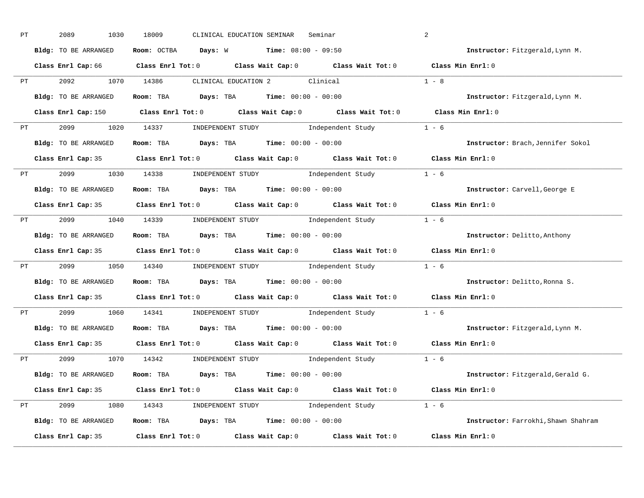| РT | 2089<br>1030         | 18009<br>CLINICAL EDUCATION SEMINAR<br>Seminar                                              | 2                                   |
|----|----------------------|---------------------------------------------------------------------------------------------|-------------------------------------|
|    | Bldg: TO BE ARRANGED | Room: OCTBA Days: W<br><b>Time:</b> $08:00 - 09:50$                                         | Instructor: Fitzgerald, Lynn M.     |
|    |                      | Class Enrl Cap: 66 Class Enrl Tot: 0 Class Wait Cap: 0 Class Wait Tot: 0 Class Min Enrl: 0  |                                     |
| PT | 2092                 | CLINICAL EDUCATION 2 Clinical 1 - 8<br>1070 14386                                           |                                     |
|    | Bldg: TO BE ARRANGED | Room: TBA $Days:$ TBA $Time: 00:00 - 00:00$                                                 | Instructor: Fitzgerald, Lynn M.     |
|    |                      | Class Enrl Cap: 150 Class Enrl Tot: 0 Class Wait Cap: 0 Class Wait Tot: 0 Class Min Enrl: 0 |                                     |
|    |                      | PT 2099 1020 14337 INDEPENDENT STUDY Independent Study 1 - 6                                |                                     |
|    | Bldg: TO BE ARRANGED | Room: TBA Days: TBA Time: $00:00 - 00:00$                                                   | Instructor: Brach, Jennifer Sokol   |
|    |                      | Class Enrl Cap: 35 Class Enrl Tot: 0 Class Wait Cap: 0 Class Wait Tot: 0 Class Min Enrl: 0  |                                     |
| PT | 2099 1030 14338      | INDEPENDENT STUDY 1 - 6                                                                     |                                     |
|    | Bldg: TO BE ARRANGED | Room: TBA $\rule{1em}{0.5em}$ Days: TBA $\qquad$ Time: $00:00 - 00:00$                      | Instructor: Carvell, George E       |
|    |                      | Class Enrl Cap: 35 Class Enrl Tot: 0 Class Wait Cap: 0 Class Wait Tot: 0 Class Min Enrl: 0  |                                     |
|    |                      | PT 2099 1040 14339 INDEPENDENT STUDY Independent Study 1 - 6                                |                                     |
|    | Bldg: TO BE ARRANGED | Room: TBA $\rule{1em}{0.15mm}$ Days: TBA $\rule{1.15mm}{0.15mm}$ Time: $00:00 - 00:00$      | Instructor: Delitto, Anthony        |
|    |                      | Class Enrl Cap: 35 Class Enrl Tot: 0 Class Wait Cap: 0 Class Wait Tot: 0 Class Min Enrl: 0  |                                     |
| PT | 2099<br>1050         | INDEPENDENT STUDY 1 - 6<br>14340                                                            |                                     |
|    | Bldg: TO BE ARRANGED | Room: TBA $Days:$ TBA $Time: 00:00 - 00:00$                                                 | Instructor: Delitto, Ronna S.       |
|    |                      | Class Enrl Cap: 35 Class Enrl Tot: 0 Class Wait Cap: 0 Class Wait Tot: 0 Class Min Enrl: 0  |                                     |
| PT | 2099<br>1060         | INDEPENDENT STUDY 1 - 6<br>14341                                                            |                                     |
|    | Bldg: TO BE ARRANGED | Room: TBA $Days:$ TBA $Time:$ $00:00 - 00:00$                                               | Instructor: Fitzgerald, Lynn M.     |
|    |                      | Class Enrl Cap: 35 Class Enrl Tot: 0 Class Wait Cap: 0 Class Wait Tot: 0                    | Class Min Enrl: 0                   |
| PT | 2099                 | 1070 14342<br>INDEPENDENT STUDY 1 - 6                                                       |                                     |
|    | Bldg: TO BE ARRANGED | Room: TBA $Days:$ TBA $Time:$ $00:00 - 00:00$                                               | Instructor: Fitzgerald, Gerald G.   |
|    |                      | Class Enrl Cap: 35 Class Enrl Tot: 0 Class Wait Cap: 0 Class Wait Tot: 0 Class Min Enrl: 0  |                                     |
| PT | 2099 1080            | 14343 INDEPENDENT STUDY 1ndependent Study 1 - 6                                             |                                     |
|    | Bldg: TO BE ARRANGED | Room: TBA $\rule{1em}{0.15mm}$ Days: TBA $\rule{1.15mm}]{0.15mm}$ Time: $00:00 - 00:00$     | Instructor: Farrokhi, Shawn Shahram |
|    |                      |                                                                                             |                                     |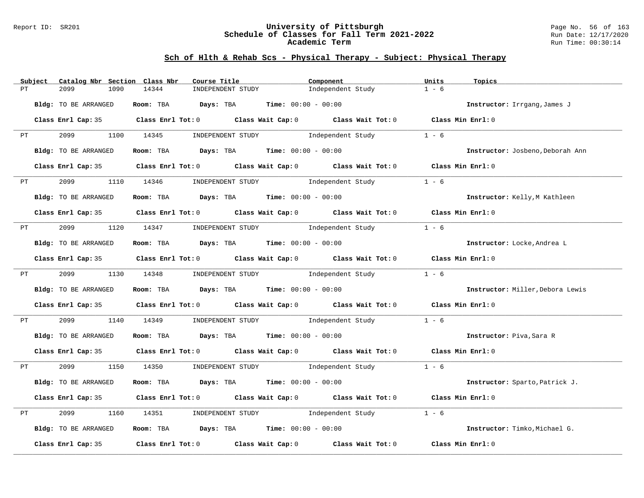#### Report ID: SR201 **University of Pittsburgh** Page No. 56 of 163 **Schedule of Classes for Fall Term 2021-2022** Run Date: 12/17/2020 **Academic Term** Run Time: 00:30:14

|             | Subject                                                                                                                                                                                                                        | Catalog Nbr Section Class Nbr | Course Title                                                                            | Component                                                                                  | Units<br>Topics                  |
|-------------|--------------------------------------------------------------------------------------------------------------------------------------------------------------------------------------------------------------------------------|-------------------------------|-----------------------------------------------------------------------------------------|--------------------------------------------------------------------------------------------|----------------------------------|
| PT          |                                                                                                                                                                                                                                | 1090<br>2099                  | 14344<br>INDEPENDENT STUDY                                                              | Independent Study                                                                          | $1 - 6$                          |
|             |                                                                                                                                                                                                                                | Bldg: TO BE ARRANGED          | Room: TBA $Days:$ TBA $Time: 00:00 - 00:00$                                             |                                                                                            | Instructor: Irrgang, James J     |
|             |                                                                                                                                                                                                                                |                               |                                                                                         | Class Enrl Cap: 35 Class Enrl Tot: 0 Class Wait Cap: 0 Class Wait Tot: 0 Class Min Enrl: 0 |                                  |
|             | PT and the state of the state of the state of the state of the state of the state of the state of the state of the state of the state of the state of the state of the state of the state of the state of the state of the sta |                               |                                                                                         | 2099 1100 14345 INDEPENDENT STUDY Independent Study 1 - 6                                  |                                  |
|             |                                                                                                                                                                                                                                | Bldg: TO BE ARRANGED          | Room: TBA $Days:$ TBA $Time: 00:00 - 00:00$                                             |                                                                                            | Instructor: Josbeno, Deborah Ann |
|             |                                                                                                                                                                                                                                |                               |                                                                                         | Class Enrl Cap: 35 Class Enrl Tot: 0 Class Wait Cap: 0 Class Wait Tot: 0 Class Min Enrl: 0 |                                  |
|             | <b>PT</b>                                                                                                                                                                                                                      | 2099                          |                                                                                         | 1110 14346 INDEPENDENT STUDY 1ndependent Study                                             | $1 - 6$                          |
|             |                                                                                                                                                                                                                                | Bldg: TO BE ARRANGED          | Room: TBA $Days:$ TBA $Time: 00:00 - 00:00$                                             |                                                                                            | Instructor: Kelly, M Kathleen    |
|             |                                                                                                                                                                                                                                |                               |                                                                                         | Class Enrl Cap: 35 Class Enrl Tot: 0 Class Wait Cap: 0 Class Wait Tot: 0 Class Min Enrl: 0 |                                  |
|             | PT FOR THE STATE OF THE STATE STATE STATE STATE STATE STATE STATE STATE STATE STATE STATE STATE STATE STATE STATE STATE STATE STATE STATE STATE STATE STATE STATE STATE STATE STATE STATE STATE STATE STATE STATE STATE STATE  |                               |                                                                                         | 2099 1120 14347 INDEPENDENT STUDY Independent Study                                        | $1 - 6$                          |
|             |                                                                                                                                                                                                                                | Bldg: TO BE ARRANGED          | Room: TBA $\rule{1em}{0.15mm}$ Days: TBA $\rule{1.15mm}]{0.15mm}$ Time: $0.000 - 0.000$ |                                                                                            | Instructor: Locke, Andrea L      |
|             |                                                                                                                                                                                                                                |                               |                                                                                         | Class Enrl Cap: 35 Class Enrl Tot: 0 Class Wait Cap: 0 Class Wait Tot: 0 Class Min Enrl: 0 |                                  |
|             |                                                                                                                                                                                                                                |                               | PT 2099 1130 14348 INDEPENDENT STUDY Independent Study                                  |                                                                                            | $1 - 6$                          |
|             |                                                                                                                                                                                                                                | Bldg: TO BE ARRANGED          | Room: TBA $Days:$ TBA $Time:$ $00:00 - 00:00$                                           |                                                                                            | Instructor: Miller, Debora Lewis |
|             |                                                                                                                                                                                                                                |                               |                                                                                         | Class Enrl Cap: 35 Class Enrl Tot: 0 Class Wait Cap: 0 Class Wait Tot: 0 Class Min Enrl: 0 |                                  |
|             |                                                                                                                                                                                                                                |                               |                                                                                         | PT 2099 1140 14349 INDEPENDENT STUDY Independent Study                                     | $1 - 6$                          |
|             |                                                                                                                                                                                                                                | Bldg: TO BE ARRANGED          | Room: TBA $Days: TBA$ Time: $00:00 - 00:00$                                             |                                                                                            | Instructor: Piva, Sara R         |
|             |                                                                                                                                                                                                                                |                               |                                                                                         | Class Enrl Cap: 35 Class Enrl Tot: 0 Class Wait Cap: 0 Class Wait Tot: 0 Class Min Enrl: 0 |                                  |
|             |                                                                                                                                                                                                                                |                               |                                                                                         | PT 2099 1150 14350 INDEPENDENT STUDY Independent Study                                     | $1 - 6$                          |
|             |                                                                                                                                                                                                                                | Bldg: TO BE ARRANGED          | Room: TBA $Days:$ TBA $Time: 00:00 - 00:00$                                             |                                                                                            | Instructor: Sparto, Patrick J.   |
|             |                                                                                                                                                                                                                                |                               |                                                                                         | Class Enrl Cap: 35 Class Enrl Tot: 0 Class Wait Cap: 0 Class Wait Tot: 0 Class Min Enrl: 0 |                                  |
| $_{\rm PT}$ |                                                                                                                                                                                                                                | 2099                          | 1160 14351                                                                              | INDEPENDENT STUDY The Independent Study                                                    | $1 - 6$                          |
|             |                                                                                                                                                                                                                                | Bldg: TO BE ARRANGED          | Room: TBA $Days:$ TBA $Time: 00:00 - 00:00$                                             |                                                                                            | Instructor: Timko, Michael G.    |
|             |                                                                                                                                                                                                                                |                               |                                                                                         | Class Enrl Cap: 35 Class Enrl Tot: 0 Class Wait Cap: 0 Class Wait Tot: 0                   | Class Min Enrl: 0                |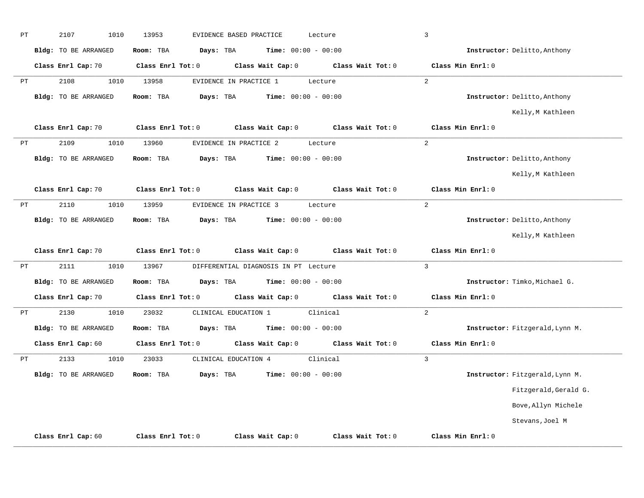| $\rm PT$ | 2107<br>1010                | 13953<br>EVIDENCE BASED PRACTICE | Lecture                              | $\mathbf{3}$                           |                                 |
|----------|-----------------------------|----------------------------------|--------------------------------------|----------------------------------------|---------------------------------|
|          | Bldg: TO BE ARRANGED        | Room: TBA<br>Days: TBA           | <b>Time:</b> $00:00 - 00:00$         |                                        | Instructor: Delitto, Anthony    |
|          | Class Enrl Cap: 70          | Class Enrl Tot: 0                | Class Wait Cap: 0                    | Class Wait Tot: 0<br>Class Min Enrl: 0 |                                 |
| PT       | 2108<br>1010                | 13958<br>EVIDENCE IN PRACTICE 1  | Lecture                              | $\overline{a}$                         |                                 |
|          | <b>Bldg:</b> TO BE ARRANGED | Room: TBA<br>Days: TBA           | <b>Time:</b> $00:00 - 00:00$         |                                        | Instructor: Delitto, Anthony    |
|          |                             |                                  |                                      |                                        | Kelly, M Kathleen               |
|          | Class Enrl Cap: 70          | Class Enrl Tot: 0                | Class Wait Cap: 0                    | Class Wait Tot: 0<br>Class Min Enrl: 0 |                                 |
| PT       | 2109<br>1010                | 13960<br>EVIDENCE IN PRACTICE 2  | Lecture                              | $\overline{a}$                         |                                 |
|          | <b>Bldg:</b> TO BE ARRANGED | Room: TBA<br>Days: TBA           | <b>Time:</b> $00:00 - 00:00$         |                                        | Instructor: Delitto, Anthony    |
|          |                             |                                  |                                      |                                        | Kelly, M Kathleen               |
|          | Class Enrl Cap: 70          | Class Enrl Tot: 0                | Class Wait Cap: 0                    | Class Wait Tot: 0<br>Class Min Enrl: 0 |                                 |
| PT       | 2110<br>1010                | 13959<br>EVIDENCE IN PRACTICE 3  | Lecture                              | $\overline{2}$                         |                                 |
|          | Bldg: TO BE ARRANGED        | Room: TBA<br>Days: TBA           | <b>Time:</b> $00:00 - 00:00$         |                                        | Instructor: Delitto, Anthony    |
|          |                             |                                  |                                      |                                        | Kelly, M Kathleen               |
|          | Class Enrl Cap: 70          | Class Enrl Tot: 0                | Class Wait Cap: 0                    | Class Wait Tot: 0<br>Class Min Enrl: 0 |                                 |
| PT       | 2111<br>1010                | 13967                            | DIFFERENTIAL DIAGNOSIS IN PT Lecture | $\mathbf{3}$                           |                                 |
|          | <b>Bldg:</b> TO BE ARRANGED | Room: TBA<br>Days: TBA           | <b>Time:</b> $00:00 - 00:00$         |                                        | Instructor: Timko, Michael G.   |
|          | Class Enrl Cap: 70          | Class Enrl Tot: 0                | Class Wait Cap: 0                    | Class Wait Tot: 0<br>Class Min Enrl: 0 |                                 |
| PT       | 2130<br>1010                | 23032<br>CLINICAL EDUCATION 1    | Clinical                             | $\overline{a}$                         |                                 |
|          | Bldg: TO BE ARRANGED        | Room: TBA<br>Days: TBA           | Time: $00:00 - 00:00$                |                                        | Instructor: Fitzgerald, Lynn M. |
|          | Class Enrl Cap: 60          | Class Enrl Tot: 0                | Class Wait Cap: 0                    | Class Wait Tot: 0<br>Class Min Enrl: 0 |                                 |
| $\rm PT$ | 2133<br>1010                | 23033<br>CLINICAL EDUCATION 4    | Clinical                             | $\overline{3}$                         |                                 |
|          | Bldg: TO BE ARRANGED        | Room: TBA<br>Days: TBA           | <b>Time:</b> $00:00 - 00:00$         |                                        | Instructor: Fitzgerald, Lynn M. |
|          |                             |                                  |                                      |                                        | Fitzgerald, Gerald G.           |
|          |                             |                                  |                                      |                                        | Bove, Allyn Michele             |
|          |                             |                                  |                                      |                                        | Stevans, Joel M                 |
|          | Class Enrl Cap: 60          | Class Enrl Tot: 0                | Class Wait Cap: 0                    | Class Wait Tot: 0<br>Class Min Enrl: 0 |                                 |
|          |                             |                                  |                                      |                                        |                                 |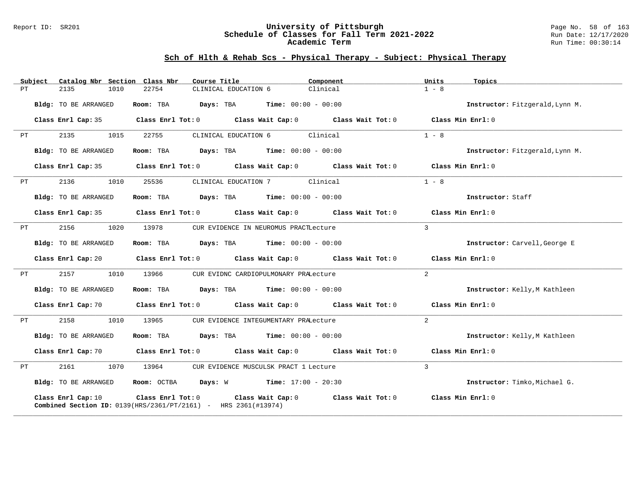#### Report ID: SR201 **University of Pittsburgh** Page No. 58 of 163 **Schedule of Classes for Fall Term 2021-2022** Run Date: 12/17/2020 **Academic Term** Run Time: 00:30:14

| Subject | Catalog Nbr Section Class Nbr | Course Title                                                                                                 | Component                                                                                                                      | Units<br>Topics                 |
|---------|-------------------------------|--------------------------------------------------------------------------------------------------------------|--------------------------------------------------------------------------------------------------------------------------------|---------------------------------|
| PТ      | 2135<br>1010                  | 22754<br>CLINICAL EDUCATION 6                                                                                | Clinical                                                                                                                       | $1 - 8$                         |
|         | Bldg: TO BE ARRANGED          | <b>Days:</b> TBA <b>Time:</b> $00:00 - 00:00$<br>Room: TBA                                                   |                                                                                                                                | Instructor: Fitzgerald, Lynn M. |
|         | Class Enrl Cap: 35            |                                                                                                              | Class Enrl Tot: $0$ Class Wait Cap: $0$ Class Wait Tot: $0$ Class Min Enrl: $0$                                                |                                 |
| PТ      | 2135<br>1015                  | 22755<br>CLINICAL EDUCATION 6                                                                                | Clinical                                                                                                                       | $1 - 8$                         |
|         | Bldg: TO BE ARRANGED          | <b>Days:</b> TBA <b>Time:</b> $00:00 - 00:00$<br>Room: TBA                                                   |                                                                                                                                | Instructor: Fitzgerald, Lynn M. |
|         | Class Enrl Cap: 35            |                                                                                                              | Class Enrl Tot: $0$ Class Wait Cap: $0$ Class Wait Tot: $0$                                                                    | Class Min Enrl: 0               |
| PT      | 2136<br>1010                  | 25536<br>CLINICAL EDUCATION 7                                                                                | Clinical                                                                                                                       | $1 - 8$                         |
|         | Bldg: TO BE ARRANGED          | Room: TBA $Days:$ TBA $Time: 00:00 - 00:00$                                                                  |                                                                                                                                | Instructor: Staff               |
|         | Class Enrl Cap: 35            |                                                                                                              | Class Enrl Tot: $0$ Class Wait Cap: $0$ Class Wait Tot: $0$ Class Min Enrl: $0$                                                |                                 |
| PT      | 2156<br>1020                  | 13978                                                                                                        | CUR EVIDENCE IN NEUROMUS PRACTLecture                                                                                          | $\mathbf{3}$                    |
|         | Bldg: TO BE ARRANGED          | Room: TBA<br>$Days: TBA$ $Time: 00:00 - 00:00$                                                               |                                                                                                                                | Instructor: Carvell, George E   |
|         |                               |                                                                                                              | Class Enrl Cap: 20 Class Enrl Tot: 0 Class Wait Cap: 0 Class Wait Tot: 0 Class Min Enrl: 0                                     |                                 |
| PT      | 2157<br>1010                  | 13966<br>CUR EVIDNC CARDIOPULMONARY PRALecture                                                               |                                                                                                                                | $\overline{2}$                  |
|         | Bldg: TO BE ARRANGED          | $\texttt{Days:}$ TBA $\texttt{Time:}$ 00:00 - 00:00<br>Room: TBA                                             |                                                                                                                                | Instructor: Kelly, M Kathleen   |
|         |                               |                                                                                                              | Class Enrl Cap: 70 $\qquad$ Class Enrl Tot: 0 $\qquad$ Class Wait Cap: 0 $\qquad$ Class Wait Tot: 0 $\qquad$ Class Min Enrl: 0 |                                 |
| PT      | 2158<br>1010                  | 13965<br>CUR EVIDENCE INTEGUMENTARY PRALecture                                                               |                                                                                                                                | $\overline{2}$                  |
|         | Bldg: TO BE ARRANGED          | Room: TBA $Days:$ TBA $Time: 00:00 - 00:00$                                                                  |                                                                                                                                | Instructor: Kelly, M Kathleen   |
|         | Class Enrl Cap: 70            |                                                                                                              | Class Enrl Tot: $0$ Class Wait Cap: $0$ Class Wait Tot: $0$                                                                    | Class Min Enrl: 0               |
| PТ      | 2161<br>1070                  | 13964                                                                                                        | CUR EVIDENCE MUSCULSK PRACT 1 Lecture                                                                                          | $\overline{3}$                  |
|         | Bldg: TO BE ARRANGED          | <b>Room:</b> OCTBA <b>Days:</b> W <b>Time:</b> 17:00 - 20:30                                                 |                                                                                                                                | Instructor: Timko, Michael G.   |
|         | Class Enrl Cap: 10            | Class Enrl Tot: 0 Class Wait Cap: 0<br><b>Combined Section ID:</b> 0139(HRS/2361/PT/2161) - HRS 2361(#13974) | Class Wait Tot: 0                                                                                                              | Class Min Enrl: 0               |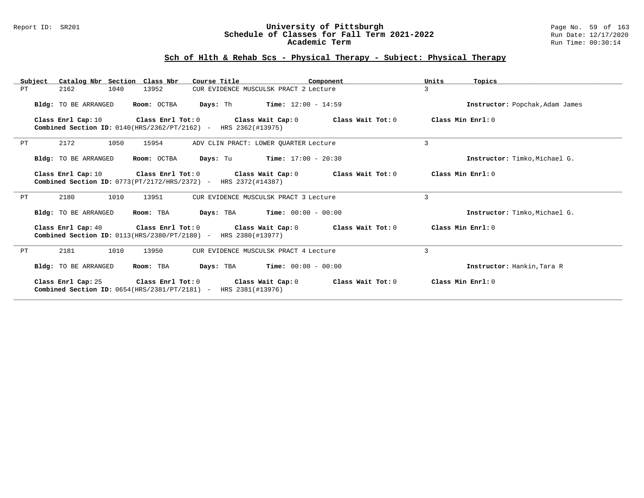#### Report ID: SR201 **University of Pittsburgh** Page No. 59 of 163 **Schedule of Classes for Fall Term 2021-2022** Run Date: 12/17/2020 **Academic Term** Run Time: 00:30:14

| Subject | Catalog Nbr Section Class Nbr | Course Title                                                                                          | Component                                     | Units<br>Topics                 |
|---------|-------------------------------|-------------------------------------------------------------------------------------------------------|-----------------------------------------------|---------------------------------|
| PT      | 1040<br>2162                  | 13952                                                                                                 | CUR EVIDENCE MUSCULSK PRACT 2 Lecture         | 3                               |
|         | Bldg: TO BE ARRANGED          | Room: OCTBA                                                                                           | <b>Days:</b> Th <b>Time:</b> $12:00 - 14:59$  | Instructor: Popchak, Adam James |
|         | Class Enrl Cap: 10            | Class Enrl Tot: 0 Class Wait Cap: 0<br>Combined Section ID: 0140(HRS/2362/PT/2162) - HRS 2362(#13975) | Class Wait Tot: 0                             | Class Min Enrl: 0               |
| PT      | 2172<br>1050                  | 15954                                                                                                 | ADV CLIN PRACT: LOWER OUARTER Lecture         | $\overline{3}$                  |
|         | Bldg: TO BE ARRANGED          | Room: OCTBA                                                                                           | <b>Days:</b> Tu <b>Time:</b> $17:00 - 20:30$  | Instructor: Timko. Michael G.   |
|         | Class Enrl Cap: 10            | Class Enrl Tot: 0 Class Wait Cap: 0<br>Combined Section ID: 0773(PT/2172/HRS/2372) - HRS 2372(#14387) | Class Wait Tot: 0                             | Class Min Enrl: 0               |
| PT      | 2180<br>1010                  | 13951                                                                                                 | CUR EVIDENCE MUSCULSK PRACT 3 Lecture         | 3                               |
|         | Bldg: TO BE ARRANGED          | Room: TBA                                                                                             | <b>Days:</b> TBA <b>Time:</b> $00:00 - 00:00$ | Instructor: Timko, Michael G.   |
|         | Class Enrl Cap: 40            | Class Enrl Tot: 0 Class Wait Cap: 0<br>Combined Section ID: 0113(HRS/2380/PT/2180) - HRS 2380(#13977) | Class Wait Tot: 0                             | Class Min Enrl: 0               |
| PT      | 1010<br>2181                  | 13950                                                                                                 | CUR EVIDENCE MUSCULSK PRACT 4 Lecture         | $\overline{3}$                  |
|         | <b>Bldg:</b> TO BE ARRANGED   | Room: TBA                                                                                             | <b>Days:</b> TBA <b>Time:</b> $00:00 - 00:00$ | Instructor: Hankin, Tara R      |
|         | Class Enrl Cap: 25            | Class Enrl Tot: 0<br>Combined Section ID: 0654(HRS/2381/PT/2181) - HRS 2381(#13976)                   | Class Wait Cap: 0<br>Class Wait Tot: 0        | Class Min $Err1:0$              |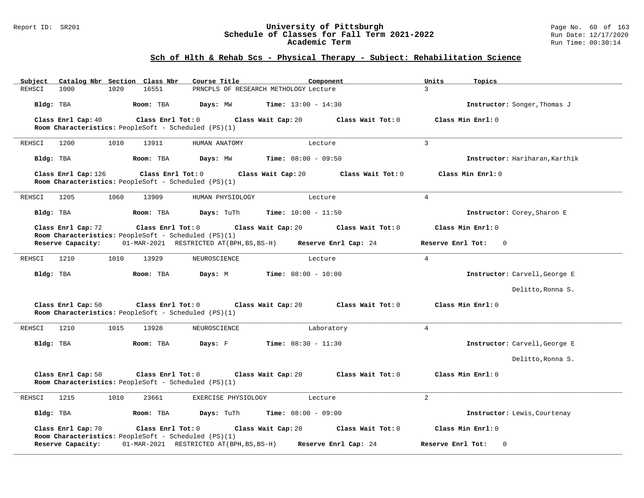#### Report ID: SR201 **University of Pittsburgh** Page No. 60 of 163 **Schedule of Classes for Fall Term 2021-2022** Run Date: 12/17/2020 **Academic Term** Run Time: 00:30:14

### **Sch of Hlth & Rehab Scs - Physical Therapy - Subject: Rehabilitation Science**

| Catalog Nbr Section Class Nbr<br>Subject                                    | Course Title                              | Component                               | Units<br>Topics                  |
|-----------------------------------------------------------------------------|-------------------------------------------|-----------------------------------------|----------------------------------|
| 1020<br>REHSCI<br>1000                                                      | 16551                                     | PRNCPLS OF RESEARCH METHOLOGY Lecture   | $\overline{3}$                   |
| Bldg: TBA                                                                   | Room: TBA<br>Days: MW                     | <b>Time:</b> $13:00 - 14:30$            | Instructor: Songer, Thomas J     |
| Class Enrl Cap: 40                                                          | Class Enrl Tot: 0                         | Class Wait Tot: 0<br>Class Wait Cap: 20 | Class Min Enrl: 0                |
| Room Characteristics: PeopleSoft - Scheduled (PS)(1)                        |                                           |                                         |                                  |
| REHSCI<br>1200<br>1010                                                      | 13911<br>HUMAN ANATOMY                    | Lecture                                 | $\mathbf{3}$                     |
| Bldg: TBA                                                                   | Room: TBA<br>Days: MW                     | <b>Time:</b> $08:00 - 09:50$            | Instructor: Hariharan, Karthik   |
| Class Enrl Cap: 126<br>Room Characteristics: PeopleSoft - Scheduled (PS)(1) | Class Enrl Tot: 0                         | Class Wait Cap: 20<br>Class Wait Tot: 0 | Class Min Enrl: 0                |
| 1205<br>1060<br>REHSCI                                                      | 13909<br>HUMAN PHYSIOLOGY                 | Lecture                                 | $\overline{4}$                   |
| Bldg: TBA                                                                   | Room: TBA<br>Days: TuTh                   | <b>Time:</b> $10:00 - 11:50$            | Instructor: Corey, Sharon E      |
| Class Enrl Cap: 72                                                          | Class Enrl Tot: 0                         | Class Wait Cap: 20<br>Class Wait Tot: 0 | Class Min Enrl: 0                |
| Room Characteristics: PeopleSoft - Scheduled (PS)(1)<br>Reserve Capacity:   | 01-MAR-2021 RESTRICTED AT (BPH, BS, BS-H) | Reserve Enrl Cap: 24                    | Reserve Enrl Tot:<br>$\mathbf 0$ |
| 1210<br>1010<br>REHSCI                                                      | 13929<br>NEUROSCIENCE                     | Lecture                                 | $\overline{4}$                   |
| Bldg: TBA                                                                   | Room: TBA<br>Days: M                      | <b>Time:</b> $08:00 - 10:00$            | Instructor: Carvell, George E    |
|                                                                             |                                           |                                         | Delitto, Ronna S.                |
| Class Enrl Cap: 50<br>Room Characteristics: PeopleSoft - Scheduled (PS)(1)  | Class Enrl Tot: 0<br>Class Wait Cap: 20   | Class Wait Tot: 0                       | Class Min Enrl: 0                |
| 1210<br>1015<br>REHSCI                                                      | 13928<br>NEUROSCIENCE                     | Laboratory                              | $\overline{4}$                   |
| Bldg: TBA                                                                   | Room: TBA<br>Days: F                      | <b>Time:</b> $08:30 - 11:30$            | Instructor: Carvell, George E    |
|                                                                             |                                           |                                         | Delitto, Ronna S.                |
| Class Enrl Cap: 50<br>Room Characteristics: PeopleSoft - Scheduled (PS)(1)  | Class Enrl Tot: 0<br>Class Wait Cap: 20   | Class Wait Tot: 0                       | Class Min Enrl: 0                |
| 1215<br>1010<br>REHSCI                                                      | 23661<br>EXERCISE PHYSIOLOGY              | Lecture                                 | $\overline{2}$                   |
| Bldg: TBA                                                                   | Room: TBA<br>Days: TuTh                   | Time: $08:00 - 09:00$                   | Instructor: Lewis, Courtenay     |
| Class Enrl Cap: 70                                                          | Class Enrl Tot: 0                         | Class Wait Cap: 20<br>Class Wait Tot: 0 | Class Min Enrl: 0                |
| Room Characteristics: PeopleSoft - Scheduled (PS)(1)<br>Reserve Capacity:   | 01-MAR-2021 RESTRICTED AT (BPH, BS, BS-H) | Reserve Enrl Cap: 24                    | Reserve Enrl Tot:<br>$\Omega$    |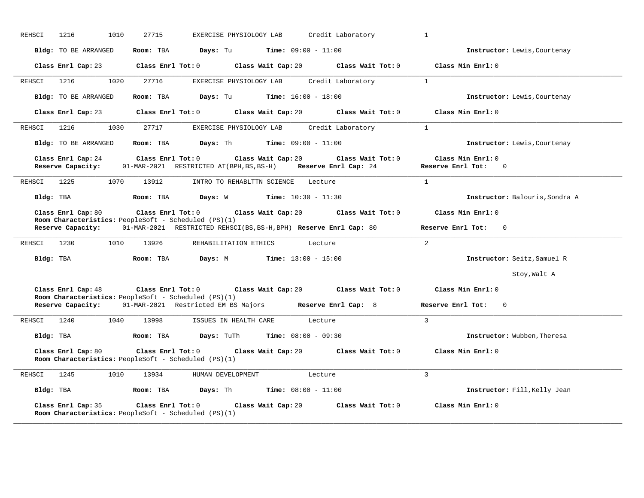| REHSCI<br>1216<br>1010<br>27715                                                                                      | EXERCISE PHYSIOLOGY LAB<br>Credit Laboratory                                                                 | $\mathbf{1}$                                          |
|----------------------------------------------------------------------------------------------------------------------|--------------------------------------------------------------------------------------------------------------|-------------------------------------------------------|
| Bldg: TO BE ARRANGED<br>Room: TBA                                                                                    | <b>Days:</b> Tu <b>Time:</b> $09:00 - 11:00$                                                                 | Instructor: Lewis, Courtenay                          |
| Class Enrl Cap: 23                                                                                                   | $Class$ $Enr1$ $Tot: 0$<br>Class Wait Cap: 20<br>Class Wait Tot: 0                                           | Class Min Enrl: 0                                     |
| 1216<br>1020<br>27716<br>REHSCI                                                                                      | EXERCISE PHYSIOLOGY LAB<br>Credit Laboratory                                                                 | $\overline{1}$                                        |
| Bldg: TO BE ARRANGED<br>Room: TBA                                                                                    | Days: Tu<br><b>Time:</b> $16:00 - 18:00$                                                                     | Instructor: Lewis, Courtenay                          |
| Class Enrl Tot: 0<br>Class Enrl Cap: 23                                                                              | Class Wait Cap: 20<br>Class Wait Tot: 0                                                                      | Class Min Enrl: 0                                     |
| 27717<br>REHSCI<br>1216<br>1030                                                                                      | Credit Laboratory<br>EXERCISE PHYSIOLOGY LAB                                                                 | $\mathbf{1}$                                          |
| Bldg: TO BE ARRANGED<br>Room: TBA                                                                                    | <b>Days:</b> Th <b>Time:</b> $09:00 - 11:00$                                                                 | Instructor: Lewis, Courtenay                          |
| Class Enrl Cap: 24<br>Class Enrl Tot: 0<br>Reserve Capacity:                                                         | Class Wait Cap: 20<br>Class Wait Tot: 0<br>01-MAR-2021 RESTRICTED AT (BPH, BS, BS-H)<br>Reserve Enrl Cap: 24 | Class Min Enrl: 0<br>Reserve Enrl Tot:<br>$\mathbf 0$ |
| 1225<br>1070<br>13912<br>REHSCI                                                                                      | INTRO TO REHABLTTN SCIENCE<br>Lecture                                                                        | $\mathbf{1}$                                          |
| Bldg: TBA<br>Room: TBA                                                                                               | <b>Days:</b> W <b>Time:</b> $10:30 - 11:30$                                                                  | Instructor: Balouris, Sondra A                        |
| Class Enrl Cap: 80<br>Class Enrl Tot: 0<br>Room Characteristics: PeopleSoft - Scheduled (PS)(1)<br>Reserve Capacity: | Class Wait Cap: 20<br>Class Wait Tot: 0<br>01-MAR-2021 RESTRICTED REHSCI(BS, BS-H, BPH) Reserve Enrl Cap: 80 | Class Min Enrl: 0<br>Reserve Enrl Tot:<br>$\Omega$    |
|                                                                                                                      |                                                                                                              |                                                       |
| 1230<br>1010<br>13926<br>REHSCI                                                                                      | REHABILITATION ETHICS<br>Lecture                                                                             | $\overline{2}$                                        |
| Bldg: TBA<br>Room: TBA                                                                                               | Days: M<br><b>Time:</b> $13:00 - 15:00$                                                                      | Instructor: Seitz, Samuel R                           |
|                                                                                                                      |                                                                                                              | Stoy, Walt A                                          |
| Class Enrl Cap: 48<br>Room Characteristics: PeopleSoft - Scheduled (PS)(1)                                           | Class Enrl Tot: 0 Class Wait Cap: 20<br>Class Wait Tot: 0                                                    | Class Min Enrl: 0                                     |
|                                                                                                                      | <b>Reserve Capacity:</b> 01-MAR-2021 Restricted EM BS Majors Reserve Enrl Cap: 8                             | Reserve Enrl Tot:<br>$\Omega$                         |
| 1240<br>1040<br>13998<br>REHSCI                                                                                      | ISSUES IN HEALTH CARE<br>Lecture                                                                             | $\mathcal{L}$                                         |
| Bldg: TBA<br>Room: TBA                                                                                               | <b>Days:</b> TuTh <b>Time:</b> $08:00 - 09:30$                                                               | Instructor: Wubben, Theresa                           |
| Class Enrl Tot: 0<br>Class Enrl Cap: 80<br>Room Characteristics: PeopleSoft - Scheduled (PS)(1)                      | Class Wait Cap: 20<br>Class Wait Tot: 0                                                                      | Class Min Enrl: 0                                     |
| REHSCI<br>1245<br>1010<br>13934                                                                                      | HUMAN DEVELOPMENT<br>Lecture                                                                                 | 3                                                     |
| Bldg: TBA<br>Room: TBA                                                                                               | Days: Th<br>$Time: 08:00 - 11:00$                                                                            | Instructor: Fill, Kelly Jean                          |
| Class Enrl Cap: 35<br>Class Enrl Tot: 0<br>Room Characteristics: PeopleSoft - Scheduled (PS)(1)                      | Class Wait Cap: 20<br>Class Wait Tot: 0                                                                      | Class Min Enrl: 0                                     |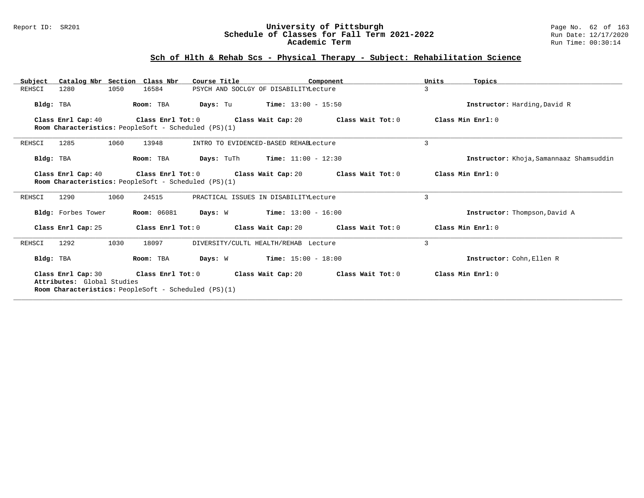#### Report ID: SR201 **University of Pittsburgh** Page No. 62 of 163 **Schedule of Classes for Fall Term 2021-2022** Run Date: 12/17/2020 **Academic Term** Run Time: 00:30:14

# **Sch of Hlth & Rehab Scs - Physical Therapy - Subject: Rehabilitation Science**

| Catalog Nbr Section Class Nbr<br>Subject                                                                                   |                    | Course Title                                                 | Component | Units             | Topics                                  |
|----------------------------------------------------------------------------------------------------------------------------|--------------------|--------------------------------------------------------------|-----------|-------------------|-----------------------------------------|
| REHSCI<br>1050<br>1280                                                                                                     | 16584              | PSYCH AND SOCLGY OF DISABILITYLecture                        |           | 3                 |                                         |
| Bldg: TBA                                                                                                                  | Room: TBA          | <b>Days:</b> Tu <b>Time:</b> $13:00 - 15:50$                 |           |                   | Instructor: Harding, David R            |
| Class Enrl Cap: 40<br>Room Characteristics: PeopleSoft - Scheduled (PS)(1)                                                 |                    | Class Enrl Tot: $0$ Class Wait Cap: $20$ Class Wait Tot: $0$ |           | Class Min Enrl: 0 |                                         |
| 1285<br>1060<br>REHSCI                                                                                                     | 13948              | INTRO TO EVIDENCED-BASED REHABLecture                        |           | 3                 |                                         |
| Bldg: TBA                                                                                                                  | Room: TBA          | <b>Days:</b> TuTh <b>Time:</b> $11:00 - 12:30$               |           |                   | Instructor: Khoja, Samannaaz Shamsuddin |
| Class Enrl Cap: 40<br>Room Characteristics: PeopleSoft - Scheduled (PS)(1)                                                 |                    | Class Enrl Tot: $0$ Class Wait Cap: $20$ Class Wait Tot: $0$ |           | Class Min Enrl: 0 |                                         |
| 1290<br>1060<br>REHSCI                                                                                                     | 24515              | PRACTICAL ISSUES IN DISABILITYLecture                        |           | 3                 |                                         |
| Bldg: Forbes Tower                                                                                                         | <b>Room:</b> 06081 | Days: W<br>$Time: 13:00 - 16:00$                             |           |                   | Instructor: Thompson, David A           |
| Class Enrl Cap: 25                                                                                                         | Class Enrl Tot: 0  | Class Wait Cap: 20 Class Wait Tot: 0                         |           | Class Min Enrl: 0 |                                         |
| 1030<br>REHSCI<br>1292                                                                                                     | 18097              | DIVERSITY/CULTL HEALTH/REHAB Lecture                         |           | 3                 |                                         |
| Bldg: TBA                                                                                                                  | Room: TBA          | $Time: 15:00 - 18:00$<br>Days: W                             |           |                   | Instructor: Cohn, Ellen R               |
| Class Enrl Cap: 30 Class Enrl Tot: 0<br>Attributes: Global Studies<br>Room Characteristics: PeopleSoft - Scheduled (PS)(1) |                    | Class Wait Cap: 20 $\qquad$ Class Wait Tot: 0                |           | Class Min Enrl: 0 |                                         |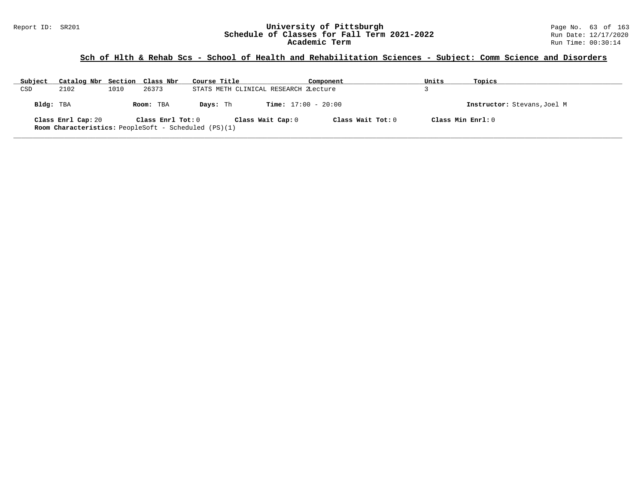# **Sch of Hlth & Rehab Scs - School of Health and Rehabilitation Sciences - Subject: Comm Science and Disorders**

| Subject   | Catalog Nbr Section Class Nbr |      |                   | Course Title                                                |                              | Component         | Units | Topics                      |
|-----------|-------------------------------|------|-------------------|-------------------------------------------------------------|------------------------------|-------------------|-------|-----------------------------|
| CSD       | 2102                          | 1010 | 26373             | STATS METH CLINICAL RESEARCH ZLecture                       |                              |                   |       |                             |
| Bldg: TBA |                               |      | Room: TBA         | Davs: Th                                                    | <b>Time:</b> $17:00 - 20:00$ |                   |       | Instructor: Stevans, Joel M |
|           | Class Enrl Cap: 20            |      | Class Enrl Tot: 0 | <b>Room Characteristics:</b> PeopleSoft - Scheduled (PS)(1) | Class Wait Cap: 0            | Class Wait Tot: 0 |       | Class Min $Enrl: 0$         |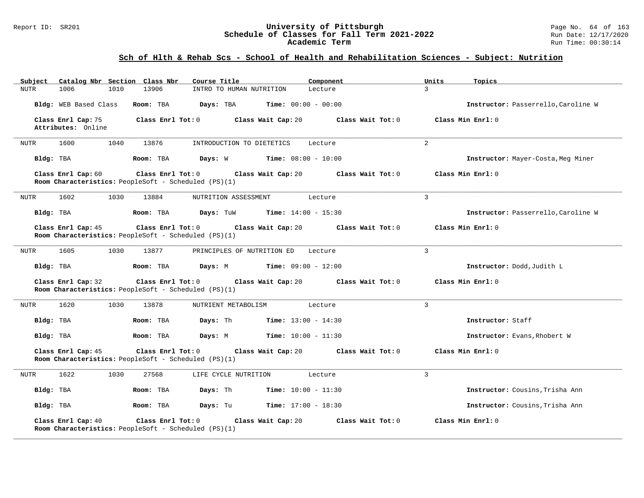#### Report ID: SR201 **University of Pittsburgh** Page No. 64 of 163 **Schedule of Classes for Fall Term 2021-2022** Run Date: 12/17/2020 **Academic Term** Run Time: 00:30:14

# **Sch of Hlth & Rehab Scs - School of Health and Rehabilitation Sciences - Subject: Nutrition**

| Subject     |                                          |      | Catalog Nbr Section Class Nbr                                             | Course Title               |                              | Component         | Units          | Topics                              |
|-------------|------------------------------------------|------|---------------------------------------------------------------------------|----------------------------|------------------------------|-------------------|----------------|-------------------------------------|
| <b>NUTR</b> | 1006                                     | 1010 | 13906                                                                     | INTRO TO HUMAN NUTRITION   |                              | Lecture           | $\mathbf{R}$   |                                     |
|             | Bldg: WEB Based Class                    |      | Room: TBA                                                                 | Days: TBA                  | <b>Time:</b> $00:00 - 00:00$ |                   |                | Instructor: Passerrello, Caroline W |
|             | Class Enrl Cap: 75<br>Attributes: Online |      | Class Enrl Tot: 0                                                         |                            | Class Wait Cap: 20           | Class Wait Tot: 0 |                | Class Min Enrl: 0                   |
| NUTR        | 1600                                     | 1040 | 13876                                                                     | INTRODUCTION TO DIETETICS  |                              | Lecture           | 2              |                                     |
| Bldg: TBA   |                                          |      | Room: TBA                                                                 | Days: W                    | <b>Time:</b> $08:00 - 10:00$ |                   |                | Instructor: Mayer-Costa, Meg Miner  |
|             | Class Enrl Cap: 60                       |      | Class Enrl Tot: 0<br>Room Characteristics: PeopleSoft - Scheduled (PS)(1) |                            | Class Wait Cap: 20           | Class Wait Tot: 0 |                | Class Min Enrl: 0                   |
| NUTR        | 1602                                     | 1030 | 13884                                                                     | NUTRITION ASSESSMENT       |                              | Lecture           | 3              |                                     |
| Bldg: TBA   |                                          |      | Room: TBA                                                                 | Days: TuW                  | <b>Time:</b> $14:00 - 15:30$ |                   |                | Instructor: Passerrello, Caroline W |
|             | Class Enrl Cap: 45                       |      | Class Enrl Tot: 0<br>Room Characteristics: PeopleSoft - Scheduled (PS)(1) |                            | Class Wait Cap: 20           | Class Wait Tot: 0 |                | Class Min Enrl: 0                   |
| NUTR        | 1605                                     | 1030 | 13877                                                                     | PRINCIPLES OF NUTRITION ED |                              | Lecture           | $\overline{3}$ |                                     |
| Bldg: TBA   |                                          |      | Room: TBA                                                                 | Days: M                    | <b>Time:</b> $09:00 - 12:00$ |                   |                | Instructor: Dodd, Judith L          |
|             | Class Enrl Cap: 32                       |      | Class Enrl Tot: 0<br>Room Characteristics: PeopleSoft - Scheduled (PS)(1) |                            | Class Wait Cap: 20           | Class Wait Tot: 0 |                | Class Min Enrl: 0                   |
| NUTR        | 1620                                     | 1030 | 13878                                                                     | NUTRIENT METABOLISM        |                              | Lecture           | $\overline{3}$ |                                     |
| Bldg: TBA   |                                          |      | Room: TBA                                                                 | Days: Th                   | <b>Time:</b> $13:00 - 14:30$ |                   |                | Instructor: Staff                   |
| Bldg: TBA   |                                          |      | Room: TBA                                                                 | Days: M                    | <b>Time:</b> $10:00 - 11:30$ |                   |                | Instructor: Evans, Rhobert W        |
|             | Class Enrl Cap: 45                       |      | Class Enrl Tot: 0<br>Room Characteristics: PeopleSoft - Scheduled (PS)(1) |                            | Class Wait Cap: 20           | Class Wait Tot: 0 |                | Class Min Enrl: 0                   |
| NUTR        | 1622                                     | 1030 | 27568                                                                     | LIFE CYCLE NUTRITION       |                              | Lecture           | $\overline{3}$ |                                     |
| Bldg: TBA   |                                          |      | Room: TBA                                                                 | Days: Th                   | <b>Time:</b> $10:00 - 11:30$ |                   |                | Instructor: Cousins, Trisha Ann     |
| Bldg: TBA   |                                          |      | Room: TBA                                                                 | Days: Tu                   | <b>Time:</b> $17:00 - 18:30$ |                   |                | Instructor: Cousins, Trisha Ann     |
|             | Class Enrl Cap: 40                       |      | Class Enrl Tot: 0<br>Room Characteristics: PeopleSoft - Scheduled (PS)(1) |                            | Class Wait Cap: 20           | Class Wait Tot: 0 |                | Class Min Enrl: 0                   |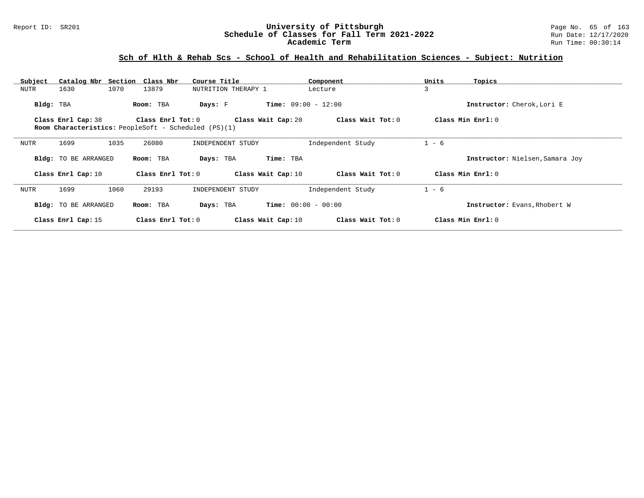### **Sch of Hlth & Rehab Scs - School of Health and Rehabilitation Sciences - Subject: Nutrition**

| Subject     |                      | Catalog Nbr Section Class Nbr                               | Course Title        | Component                    | Units<br>Topics                 |
|-------------|----------------------|-------------------------------------------------------------|---------------------|------------------------------|---------------------------------|
| <b>NUTR</b> | 1630                 | 1070<br>13879                                               | NUTRITION THERAPY 1 | Lecture                      | 3                               |
| Bldg: TBA   |                      | Room: TBA                                                   | Days: F             | <b>Time:</b> $09:00 - 12:00$ | Instructor: Cherok, Lori E      |
|             | Class Enrl Cap: 38   | Class Enrl Tot: 0                                           | Class Wait Cap: 20  | Class Wait Tot: 0            | Class Min Enrl: 0               |
|             |                      | <b>Room Characteristics:</b> PeopleSoft - Scheduled (PS)(1) |                     |                              |                                 |
| NUTR        | 1699                 | 1035<br>26080                                               | INDEPENDENT STUDY   | Independent Study            | $1 - 6$                         |
|             | Bldg: TO BE ARRANGED | Room: TBA                                                   | Days: TBA           | Time: TBA                    | Instructor: Nielsen, Samara Joy |
|             | Class Enrl Cap: 10   | Class $Enr1 Tot: 0$                                         | Class Wait Cap: 10  | Class Wait Tot: 0            | Class Min Enrl: 0               |
| <b>NUTR</b> | 1699                 | 1060<br>29193                                               | INDEPENDENT STUDY   | Independent Study            | $1 - 6$                         |
|             | Bldg: TO BE ARRANGED | Room: TBA                                                   | Days: TBA           | <b>Time:</b> $00:00 - 00:00$ | Instructor: Evans, Rhobert W    |
|             | Class Enrl Cap: 15   | Class Enrl Tot: $0$                                         | Class Wait Cap: 10  | Class Wait Tot: 0            | Class Min Enrl: 0               |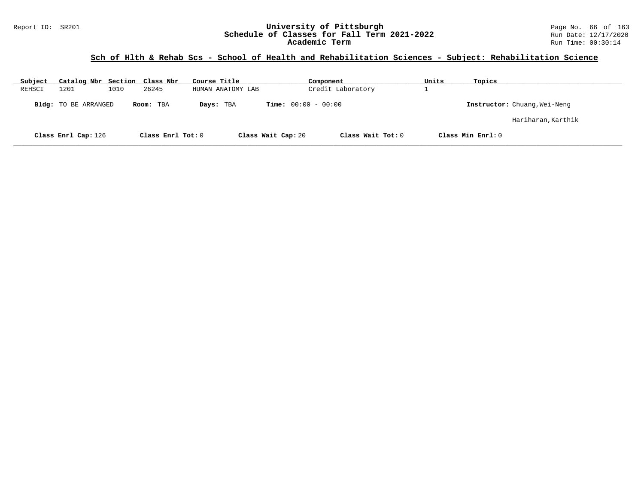### **Sch of Hlth & Rehab Scs - School of Health and Rehabilitation Sciences - Subject: Rehabilitation Science**

| Subject | Catalog Nbr Section Class Nbr |      |                   | Course Title      | Component                    | Units             | Topics                       |
|---------|-------------------------------|------|-------------------|-------------------|------------------------------|-------------------|------------------------------|
| REHSCI  | 1201                          | 1010 | 26245             | HUMAN ANATOMY LAB | Credit Laboratory            |                   |                              |
|         | <b>Bldg:</b> TO BE ARRANGED   |      | Room: TBA         | Days: TBA         | <b>Time:</b> $00:00 - 00:00$ |                   | Instructor: Chuang, Wei-Neng |
|         |                               |      |                   |                   |                              |                   | Hariharan,Karthik            |
|         | Class Enrl Cap: 126           |      | Class Enrl Tot: 0 |                   | Class Wait Cap: 20           | Class Wait Tot: 0 | Class Min Enrl: 0            |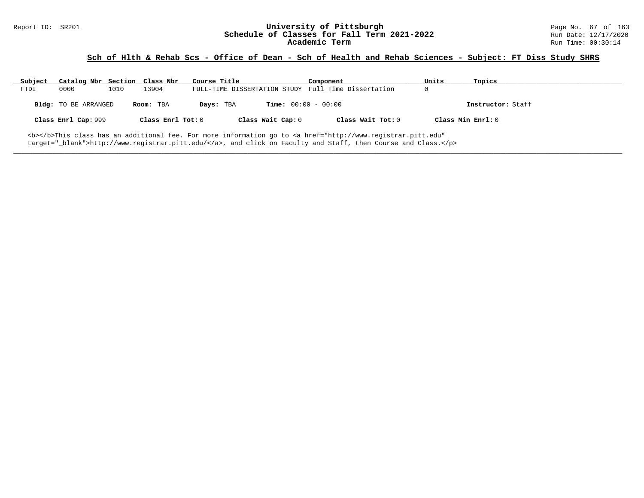### **Sch of Hlth & Rehab Scs - Office of Dean - Sch of Health and Rehab Sciences - Subject: FT Diss Study SHRS**

| Subject | Catalog Nbr Section Class Nbr |      |                   | Course Title |                              | Component                                                                                                                                      | Units             | Topics            |
|---------|-------------------------------|------|-------------------|--------------|------------------------------|------------------------------------------------------------------------------------------------------------------------------------------------|-------------------|-------------------|
| FTDI    | 0000                          | 1010 | 13904             |              |                              | FULL-TIME DISSERTATION STUDY Full Time Dissertation                                                                                            |                   |                   |
|         | <b>Bldg:</b> TO BE ARRANGED   |      | Room: TBA         | Days: TBA    | <b>Time:</b> $00:00 - 00:00$ |                                                                                                                                                |                   | Instructor: Staff |
|         | Class Enrl Cap: 999           |      | Class Enrl Tot: 0 |              | Class Wait Cap: 0            | Class Wait Tot: 0                                                                                                                              | Class Min Enrl: 0 |                   |
|         |                               |      |                   |              |                              | <b></b> This class has an additional fee. For more information go to <a <="" href="http://www.registrar.pitt.edu" td=""><td></td><td></td></a> |                   |                   |

**\_\_\_\_\_\_\_\_\_\_\_\_\_\_\_\_\_\_\_\_\_\_\_\_\_\_\_\_\_\_\_\_\_\_\_\_\_\_\_\_\_\_\_\_\_\_\_\_\_\_\_\_\_\_\_\_\_\_\_\_\_\_\_\_\_\_\_\_\_\_\_\_\_\_\_\_\_\_\_\_\_\_\_\_\_\_\_\_\_\_\_\_\_\_\_\_\_\_\_\_\_\_\_\_\_\_\_\_\_\_\_\_\_\_\_\_\_\_\_\_\_\_\_\_\_\_\_\_\_\_\_\_\_\_\_\_\_\_\_\_\_\_\_\_\_\_\_\_\_\_\_\_\_\_\_\_**

target="\_blank">http://www.registrar.pitt.edu/</a>, and click on Faculty and Staff, then Course and Class.</p>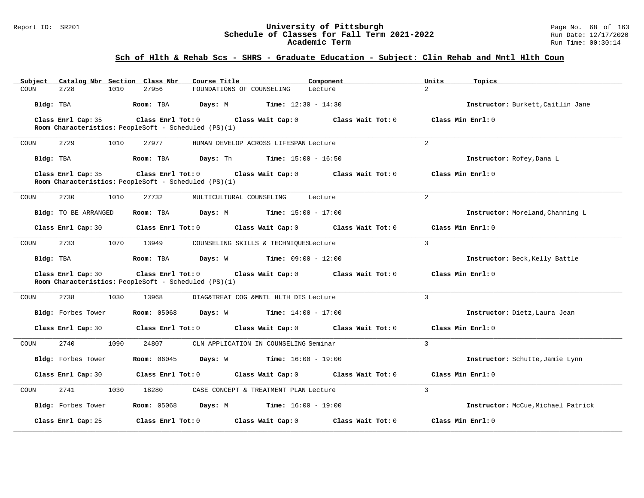#### Report ID: SR201 **University of Pittsburgh** Page No. 68 of 163 **Schedule of Classes for Fall Term 2021-2022** Run Date: 12/17/2020 **Academic Term** Run Time: 00:30:14

| Catalog Nbr Section Class Nbr<br>Subject | Course Title                                                                                | Component                                                        | Units<br>Topics                    |
|------------------------------------------|---------------------------------------------------------------------------------------------|------------------------------------------------------------------|------------------------------------|
| 2728<br>1010<br>COUN                     | 27956                                                                                       | FOUNDATIONS OF COUNSELING<br>Lecture                             | $\mathcal{L}$                      |
| Bldg: TBA                                | Room: TBA<br>Days: M                                                                        | <b>Time:</b> $12:30 - 14:30$                                     | Instructor: Burkett, Caitlin Jane  |
| Class Enrl Cap: 35                       | Class Enrl Tot: 0<br>Room Characteristics: PeopleSoft - Scheduled (PS)(1)                   | Class Wait Cap: $0$ Class Wait Tot: $0$                          | Class Min Enrl: 0                  |
| 2729<br>COUN<br>1010                     | 27977                                                                                       | HUMAN DEVELOP ACROSS LIFESPAN Lecture                            | $\overline{a}$                     |
| Bldg: TBA                                | Room: TBA                                                                                   | <b>Days:</b> Th <b>Time:</b> $15:00 - 16:50$                     | Instructor: Rofey, Dana L          |
| Class Enrl Cap: 35                       | Class Enrl Tot: 0 Class Wait Cap: 0<br>Room Characteristics: PeopleSoft - Scheduled (PS)(1) | Class Wait Tot: 0                                                | Class Min Enrl: 0                  |
| 2730<br>1010<br>COUN                     | 27732                                                                                       | MULTICULTURAL COUNSELING<br>Lecture                              | 2                                  |
| Bldg: TO BE ARRANGED                     | Room: TBA                                                                                   | <b>Days:</b> M <b>Time:</b> $15:00 - 17:00$                      | Instructor: Moreland, Channing L   |
| Class Enrl Cap: 30                       | Class Enrl Tot: 0                                                                           | Class Wait Cap: 0<br>Class Wait Tot: 0                           | Class Min Enrl: 0                  |
| 2733<br>COUN                             | 1070<br>13949                                                                               | COUNSELING SKILLS & TECHNIQUESLecture                            | $\mathbf{3}$                       |
| Bldg: TBA                                | Room: TBA                                                                                   | <b>Days:</b> W <b>Time:</b> $09:00 - 12:00$                      | Instructor: Beck, Kelly Battle     |
| Class Enrl Cap: 30                       | Room Characteristics: PeopleSoft - Scheduled (PS)(1)                                        | Class Enrl Tot: 0 Class Wait Cap: 0 Class Wait Tot: 0            | Class Min $Err1:0$                 |
| 2738<br>1030<br>COUN                     | 13968                                                                                       | DIAG&TREAT COG &MNTL HLTH DIS Lecture                            | 3                                  |
| Bldg: Forbes Tower                       |                                                                                             | <b>Room:</b> 05068 <b>Days:</b> W <b>Time:</b> 14:00 - 17:00     | Instructor: Dietz, Laura Jean      |
| Class Enrl Cap: 30                       | Class Enrl Tot: 0                                                                           | Class Wait Cap: 0<br>Class Wait Tot: $0$                         | Class Min Enrl: 0                  |
| 2740<br>1090<br>COUN                     | 24807                                                                                       | CLN APPLICATION IN COUNSELING Seminar                            | 3                                  |
| Bldg: Forbes Tower                       |                                                                                             | <b>Room:</b> $06045$ <b>Days:</b> W <b>Time:</b> $16:00 - 19:00$ | Instructor: Schutte, Jamie Lynn    |
| Class Enrl Cap: 30                       |                                                                                             | Class Enrl Tot: $0$ Class Wait Cap: $0$ Class Wait Tot: $0$      | Class Min Enrl: 0                  |
| 2741<br>COUN<br>1030                     | 18280                                                                                       | CASE CONCEPT & TREATMENT PLAN Lecture                            | $\mathcal{L}$                      |
| Bldg: Forbes Tower                       | Room: 05068 Days: M                                                                         | $Time: 16:00 - 19:00$                                            | Instructor: McCue, Michael Patrick |
| Class Enrl Cap: 25                       | Class Enrl Tot: 0                                                                           | Class Wait Cap: 0<br>Class Wait Tot: 0                           | Class Min Enrl: 0                  |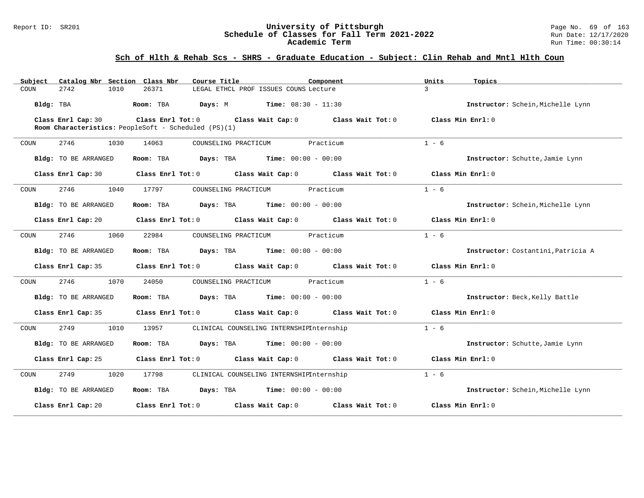### Report ID: SR201 **1988 Mage No. 69 of 1989 Mage No. 69 of 163**<br>**Schedule of Classes for Fall Term 2021-2022** 1999 Run Date: 12/17/2020 **Schedule of Classes for Fall Term 2021-2022** Run Date: 12/17/2020 **Academic Term** Run Time: 00:30:14

| Subject              | Catalog Nbr Section Class Nbr                        | Course Title                                        | Component                                                                       | Units<br>Topics                    |  |
|----------------------|------------------------------------------------------|-----------------------------------------------------|---------------------------------------------------------------------------------|------------------------------------|--|
| COUN<br>2742         | 26371<br>1010                                        | LEGAL ETHCL PROF ISSUES COUNS Lecture               |                                                                                 | $\mathcal{L}$                      |  |
| Bldg: TBA            | Room: TBA                                            | <b>Days:</b> M <b>Time:</b> $08:30 - 11:30$         |                                                                                 | Instructor: Schein, Michelle Lynn  |  |
| Class Enrl Cap: 30   | Room Characteristics: PeopleSoft - Scheduled (PS)(1) |                                                     | Class Enrl Tot: $0$ Class Wait Cap: $0$ Class Wait Tot: $0$ Class Min Enrl: $0$ |                                    |  |
| 2746<br>COUN         | 1030<br>14063                                        | COUNSELING PRACTICUM                                | Practicum                                                                       | $1 - 6$                            |  |
| Bldg: TO BE ARRANGED | Room: TBA                                            | $\texttt{Days:}$ TBA $\texttt{Time:}$ 00:00 - 00:00 |                                                                                 | Instructor: Schutte, Jamie Lynn    |  |
| Class Enrl Cap: 30   |                                                      |                                                     | Class Enrl Tot: 0 Class Wait Cap: 0 Class Wait Tot: 0                           | Class Min Enrl: 0                  |  |
| 2746<br>COUN         | 1040<br>17797                                        | COUNSELING PRACTICUM                                | Practicum                                                                       | $1 - 6$                            |  |
| Bldg: TO BE ARRANGED | Room: TBA                                            | <b>Days:</b> TBA <b>Time:</b> $00:00 - 00:00$       |                                                                                 | Instructor: Schein, Michelle Lynn  |  |
| Class Enrl Cap: 20   |                                                      |                                                     | Class Enrl Tot: 0 Class Wait Cap: 0 Class Wait Tot: 0                           | Class Min Enrl: 0                  |  |
| 2746<br>COUN         | 1060<br>22984                                        | COUNSELING PRACTICUM                                | Practicum                                                                       | $1 - 6$                            |  |
| Bldg: TO BE ARRANGED | Room: TBA                                            | <b>Days:</b> TBA <b>Time:</b> $00:00 - 00:00$       |                                                                                 | Instructor: Costantini, Patricia A |  |
| Class Enrl Cap: 35   |                                                      |                                                     | Class Enrl Tot: 0 Class Wait Cap: 0 Class Wait Tot: 0                           | Class Min Enrl: 0                  |  |
| 2746<br>COUN         | 1070<br>24050                                        | COUNSELING PRACTICUM                                | Practicum                                                                       | $1 - 6$                            |  |
| Bldg: TO BE ARRANGED | Room: TBA                                            | <b>Days:</b> TBA <b>Time:</b> $00:00 - 00:00$       |                                                                                 | Instructor: Beck, Kelly Battle     |  |
| Class Enrl Cap: 35   |                                                      |                                                     | Class Enrl Tot: 0 Class Wait Cap: 0 Class Wait Tot: 0                           | Class Min Enrl: 0                  |  |
| 2749<br>COUN         | 1010<br>13957                                        | CLINICAL COUNSELING INTERNSHIPInternship            |                                                                                 | $1 - 6$                            |  |
| Bldg: TO BE ARRANGED | Room: TBA                                            | <b>Days:</b> TBA <b>Time:</b> $00:00 - 00:00$       |                                                                                 | Instructor: Schutte, Jamie Lynn    |  |
| Class Enrl Cap: 25   |                                                      |                                                     | Class Enrl Tot: 0 Class Wait Cap: 0 Class Wait Tot: 0                           | Class Min Enrl: 0                  |  |
| 2749<br>COUN         | 1020<br>17798                                        | CLINICAL COUNSELING INTERNSHIPInternship            |                                                                                 | $1 - 6$                            |  |
| Bldg: TO BE ARRANGED | Room: TBA                                            | <b>Days:</b> TBA <b>Time:</b> $00:00 - 00:00$       |                                                                                 | Instructor: Schein, Michelle Lynn  |  |
| Class Enrl Cap: 20   | Class Enrl Tot: 0                                    | Class Wait Cap: 0                                   | Class Wait Tot: 0                                                               | Class Min Enrl: 0                  |  |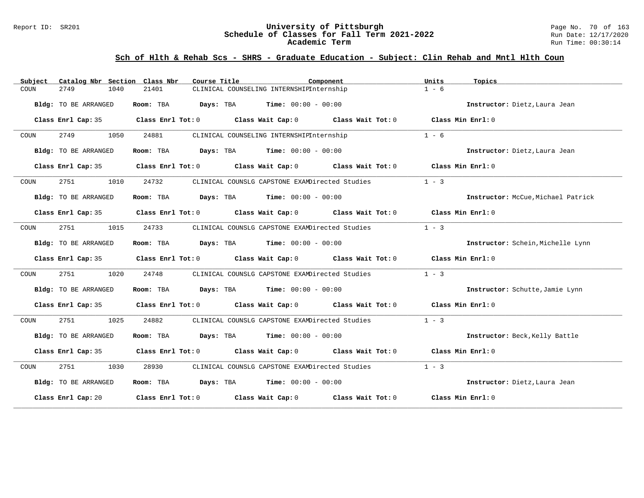#### Report ID: SR201 **University of Pittsburgh** Page No. 70 of 163 **Schedule of Classes for Fall Term 2021-2022** Run Date: 12/17/2020 **Academic Term** Run Time: 00:30:14

| Subject | Catalog Nbr Section Class Nbr | Course Title           |                                                                                                     | Component | Units<br>Topics                    |
|---------|-------------------------------|------------------------|-----------------------------------------------------------------------------------------------------|-----------|------------------------------------|
| COUN    | 2749<br>1040                  | 21401                  | CLINICAL COUNSELING INTERNSHIPInternship                                                            |           | $1 - 6$                            |
|         | Bldg: TO BE ARRANGED          | Room: TBA<br>Days: TBA | <b>Time:</b> $00:00 - 00:00$                                                                        |           | Instructor: Dietz, Laura Jean      |
|         |                               |                        | Class Enrl Cap: 35 Class Enrl Tot: 0 Class Wait Cap: 0 Class Wait Tot: 0 Class Min Enrl: 0          |           |                                    |
| COUN    | 2749<br>1050                  | 24881                  | CLINICAL COUNSELING INTERNSHIPInternship                                                            |           | $1 - 6$                            |
|         | Bldg: TO BE ARRANGED          |                        | Room: TBA $Days:$ TBA $Time: 00:00 - 00:00$                                                         |           | Instructor: Dietz, Laura Jean      |
|         |                               |                        | Class Enrl Cap: 35 Class Enrl Tot: 0 Class Wait Cap: 0 Class Wait Tot: 0 Class Min Enrl: 0          |           |                                    |
| COUN    | 2751<br>1010                  | 24732                  | CLINICAL COUNSLG CAPSTONE EXAMDirected Studies                                                      |           | $1 - 3$                            |
|         | Bldg: TO BE ARRANGED          |                        | Room: TBA $Days:$ TBA $Time: 00:00 - 00:00$                                                         |           | Instructor: McCue, Michael Patrick |
|         |                               |                        | Class Enrl Cap: 35 Class Enrl Tot: 0 Class Wait Cap: 0 Class Wait Tot: 0 Class Min Enrl: 0          |           |                                    |
| COUN    | 2751<br>1015                  | 24733                  | CLINICAL COUNSLG CAPSTONE EXAMDirected Studies                                                      |           | $1 - 3$                            |
|         | Bldg: TO BE ARRANGED          |                        | Room: TBA $Days:$ TBA $Time: 00:00 - 00:00$                                                         |           | Instructor: Schein, Michelle Lynn  |
|         |                               |                        | Class Enrl Cap: 35 Class Enrl Tot: 0 Class Wait Cap: 0 Class Wait Tot: 0 Class Min Enrl: 0          |           |                                    |
| COUN    | 2751<br>1020                  | 24748                  | CLINICAL COUNSLG CAPSTONE EXAMDirected Studies                                                      |           | $1 - 3$                            |
|         | Bldg: TO BE ARRANGED          |                        | Room: TBA $Days:$ TBA $Time: 00:00 - 00:00$                                                         |           | Instructor: Schutte, Jamie Lynn    |
|         |                               |                        | Class Enrl Cap: 35 Class Enrl Tot: 0 Class Wait Cap: 0 Class Wait Tot: 0 Class Min Enrl: 0          |           |                                    |
| COUN    | 2751<br>1025                  | 24882                  | CLINICAL COUNSLG CAPSTONE EXAMDirected Studies                                                      |           | $1 - 3$                            |
|         | Bldg: TO BE ARRANGED          |                        | Room: TBA $Days:$ TBA $Time: 00:00 - 00:00$                                                         |           | Instructor: Beck, Kelly Battle     |
|         |                               |                        | Class Enrl Cap: 35 Class Enrl Tot: 0 Class Wait Cap: 0 Class Wait Tot: 0 Class Min Enrl: 0          |           |                                    |
| COUN    | 2751 200<br>1030              | 28930                  | CLINICAL COUNSLG CAPSTONE EXAMDirected Studies                                                      |           | $1 - 3$                            |
|         | Bldg: TO BE ARRANGED          |                        | Room: TBA $Days:$ TBA $Time: 00:00 - 00:00$                                                         |           | Instructor: Dietz, Laura Jean      |
|         |                               |                        | Class Enrl Cap: 20 $\qquad$ Class Enrl Tot: 0 $\qquad$ Class Wait Cap: 0 $\qquad$ Class Wait Tot: 0 |           | Class Min Enrl: 0                  |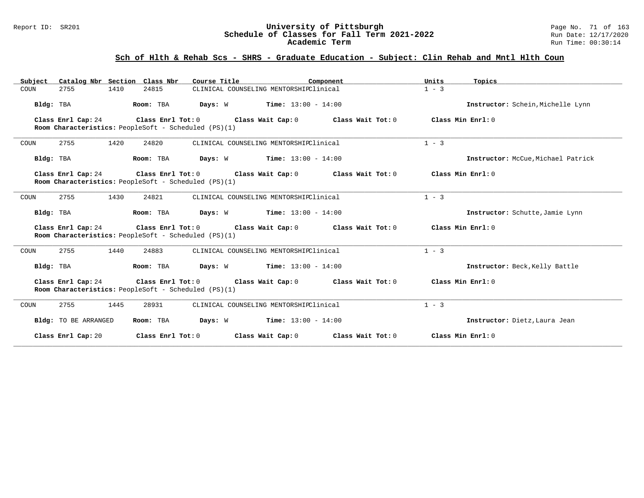#### Report ID: SR201 **University of Pittsburgh** Page No. 71 of 163 **Schedule of Classes for Fall Term 2021-2022** Run Date: 12/17/2020 **Academic Term** Run Time: 00:30:14

| Subject Catalog Nbr Section Class Nbr                                                                                                                          | Course Title                                                                                    | Component                                                   | Units<br>Topics                    |  |  |  |
|----------------------------------------------------------------------------------------------------------------------------------------------------------------|-------------------------------------------------------------------------------------------------|-------------------------------------------------------------|------------------------------------|--|--|--|
| 1410<br>COUN<br>2755                                                                                                                                           | 24815                                                                                           | CLINICAL COUNSELING MENTORSHIPClinical                      | $1 - 3$                            |  |  |  |
| Bldg: TBA                                                                                                                                                      | Room: TBA<br>Days: W                                                                            | <b>Time:</b> $13:00 - 14:00$                                | Instructor: Schein, Michelle Lynn  |  |  |  |
| Class Enrl Cap: 24                                                                                                                                             | Class Enrl Tot: $0$ Class Wait Cap: $0$<br>Room Characteristics: PeopleSoft - Scheduled (PS)(1) | Class Wait Tot: 0                                           | Class Min Enri: 0                  |  |  |  |
| 2755<br>1420<br>COUN                                                                                                                                           | 24820                                                                                           | CLINICAL COUNSELING MENTORSHIPClinical                      | $1 - 3$                            |  |  |  |
| Bldg: TBA                                                                                                                                                      | Room: TBA<br>Days: W                                                                            | $Time: 13:00 - 14:00$                                       | Instructor: McCue, Michael Patrick |  |  |  |
| Class Enrl Cap: 24                                                                                                                                             |                                                                                                 | Class Enrl Tot: $0$ Class Wait Cap: $0$ Class Wait Tot: $0$ | Class Min Enrl: 0                  |  |  |  |
|                                                                                                                                                                | Room Characteristics: PeopleSoft - Scheduled (PS)(1)                                            |                                                             |                                    |  |  |  |
| 2755<br>1430<br>COUN                                                                                                                                           | 24821                                                                                           | CLINICAL COUNSELING MENTORSHIPClinical                      | $1 - 3$                            |  |  |  |
| Bldg: TBA                                                                                                                                                      | Days: W<br>Room: TBA                                                                            | $Time: 13:00 - 14:00$                                       | Instructor: Schutte, Jamie Lynn    |  |  |  |
| Class Enrl Cap: 24                                                                                                                                             | Room Characteristics: PeopleSoft - Scheduled (PS)(1)                                            | Class Enrl Tot: $0$ Class Wait Cap: $0$ Class Wait Tot: $0$ | Class Min Enrl: 0                  |  |  |  |
| 2755<br>1440<br>COUN                                                                                                                                           | 24883                                                                                           | CLINICAL COUNSELING MENTORSHIPClinical                      | $1 - 3$                            |  |  |  |
| Bldg: TBA                                                                                                                                                      | Room: TBA                                                                                       | <b>Days:</b> W <b>Time:</b> $13:00 - 14:00$                 | Instructor: Beck, Kelly Battle     |  |  |  |
| Class Enrl Tot: 0<br>Class Min Enrl: 0<br>Class Enrl Cap: 24<br>Class Wait Cap: 0<br>Class Wait Tot: 0<br>Room Characteristics: PeopleSoft - Scheduled (PS)(1) |                                                                                                 |                                                             |                                    |  |  |  |
| 1445<br>2755<br>COUN                                                                                                                                           | 28931                                                                                           | CLINICAL COUNSELING MENTORSHIPClinical                      | $1 - 3$                            |  |  |  |
| Bldg: TO BE ARRANGED                                                                                                                                           | Room: TBA<br>Days: W                                                                            | $Time: 13:00 - 14:00$                                       | Instructor: Dietz, Laura Jean      |  |  |  |
| Class Enrl Cap: 20                                                                                                                                             | Class Enrl Tot: 0                                                                               | Class Wait Cap: 0<br>Class Wait Tot: 0                      | Class Min Enrl: 0                  |  |  |  |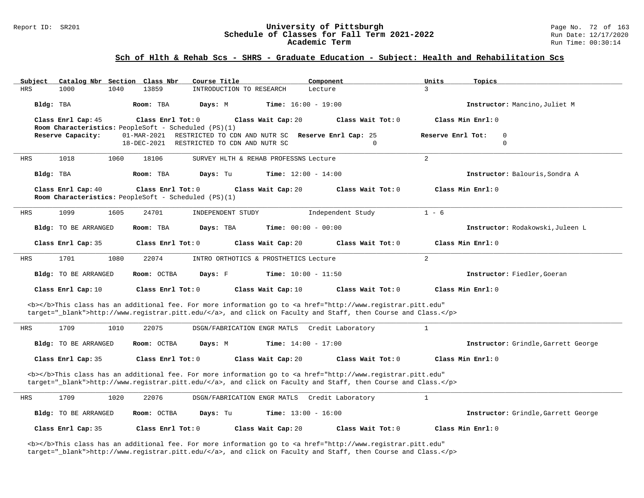# Report ID: SR201 **1988 Constrained Building Constrained Building Constrained Building Page No. 72 of 163<br><b>Schedule of Classes for Fall Term 2021-2022** 1998 Run Date: 12/17/2020 Schedule of Classes for Fall Term 2021-2022<br>Academic Term

#### **Sch of Hlth & Rehab Scs - SHRS - Graduate Education - Subject: Health and Rehabilitation Scs**

| Subject    | Catalog Nbr Section Class Nbr                        |      |                            | Course Title                                         |                                       | Component                                                                                                                                                                                                                          | Units        | Topics                                          |
|------------|------------------------------------------------------|------|----------------------------|------------------------------------------------------|---------------------------------------|------------------------------------------------------------------------------------------------------------------------------------------------------------------------------------------------------------------------------------|--------------|-------------------------------------------------|
| <b>HRS</b> | 1000                                                 | 1040 | 13859                      | INTRODUCTION TO RESEARCH                             |                                       | Lecture                                                                                                                                                                                                                            | 3            |                                                 |
| Bldg: TBA  |                                                      |      | Room: TBA                  | Days: M                                              | <b>Time:</b> $16:00 - 19:00$          |                                                                                                                                                                                                                                    |              | Instructor: Mancino, Juliet M                   |
|            | Class Enrl Cap: 45                                   |      | Class Enrl Tot: 0          |                                                      | Class Wait Cap: 20                    | Class Wait Tot: $0$                                                                                                                                                                                                                |              | Class Min Enrl: 0                               |
|            | Room Characteristics: PeopleSoft - Scheduled (PS)(1) |      |                            |                                                      |                                       |                                                                                                                                                                                                                                    |              |                                                 |
|            | Reserve Capacity:                                    |      | 01-MAR-2021<br>18-DEC-2021 | RESTRICTED TO CDN AND NUTR SC                        |                                       | RESTRICTED TO CDN AND NUTR SC Reserve Enrl Cap: 25<br>$\Omega$                                                                                                                                                                     |              | Reserve Enrl Tot:<br>$\overline{0}$<br>$\Omega$ |
|            |                                                      |      |                            |                                                      |                                       |                                                                                                                                                                                                                                    |              |                                                 |
| HRS        | 1018                                                 | 1060 | 18106                      |                                                      | SURVEY HLTH & REHAB PROFESSNS Lecture |                                                                                                                                                                                                                                    | 2            |                                                 |
| Bldg: TBA  |                                                      |      | Room: TBA                  | Days: Tu                                             | <b>Time:</b> $12:00 - 14:00$          |                                                                                                                                                                                                                                    |              | Instructor: Balouris, Sondra A                  |
|            | Class Enrl Cap: 40                                   |      | Class Enrl Tot: 0          | Room Characteristics: PeopleSoft - Scheduled (PS)(1) | Class Wait Cap: 20                    | Class Wait Tot: 0                                                                                                                                                                                                                  |              | Class Min Enrl: 0                               |
| <b>HRS</b> | 1099                                                 | 1605 | 24701                      | INDEPENDENT STUDY                                    |                                       | Independent Study                                                                                                                                                                                                                  | $1 - 6$      |                                                 |
|            | Bldg: TO BE ARRANGED                                 |      | Room: TBA                  | Days: TBA                                            | <b>Time:</b> $00:00 - 00:00$          |                                                                                                                                                                                                                                    |              | Instructor: Rodakowski, Juleen L                |
|            | Class Enrl Cap: 35                                   |      | Class Enrl Tot: 0          |                                                      | Class Wait Cap: 20                    | Class Wait Tot: 0                                                                                                                                                                                                                  |              | Class Min Enrl: 0                               |
| <b>HRS</b> | 1701                                                 | 1080 | 22074                      |                                                      | INTRO ORTHOTICS & PROSTHETICS Lecture |                                                                                                                                                                                                                                    | 2            |                                                 |
|            | Bldg: TO BE ARRANGED                                 |      | Room: OCTBA                | Days: F                                              | <b>Time:</b> $10:00 - 11:50$          |                                                                                                                                                                                                                                    |              | Instructor: Fiedler, Goeran                     |
|            | Class Enrl Cap: 10                                   |      | Class Enrl Tot: $0$        |                                                      | Class Wait Cap: 10                    | Class Wait Tot: 0                                                                                                                                                                                                                  |              | Class Min Enrl: 0                               |
|            |                                                      |      |                            |                                                      |                                       | <b></b> This class has an additional fee. For more information go to <a <br="" href="http://www.registrar.pitt.edu">target="_blank"&gt;http://www.registrar.pitt.edu/</a> , and click on Faculty and Staff, then Course and Class. |              |                                                 |
| HRS        | 1709                                                 | 1010 | 22075                      | DSGN/FABRICATION ENGR MATLS                          |                                       | Credit Laboratory                                                                                                                                                                                                                  | $\mathbf{1}$ |                                                 |
|            | Bldg: TO BE ARRANGED                                 |      | Room: OCTBA                | Days: M                                              | <b>Time:</b> $14:00 - 17:00$          |                                                                                                                                                                                                                                    |              | Instructor: Grindle, Garrett George             |
|            | Class Enrl Cap: 35                                   |      | Class Enrl Tot: 0          |                                                      | Class Wait Cap: 20                    | Class Wait Tot: 0                                                                                                                                                                                                                  |              | Class Min Enrl: 0                               |
|            |                                                      |      |                            |                                                      |                                       | <b></b> This class has an additional fee. For more information go to <a <br="" href="http://www.registrar.pitt.edu">target="_blank"&gt;http://www.registrar.pitt.edu/</a> , and click on Faculty and Staff, then Course and Class. |              |                                                 |
| HRS        | 1709                                                 | 1020 | 22076                      | DSGN/FABRICATION ENGR MATLS                          |                                       | Credit Laboratory                                                                                                                                                                                                                  | $\mathbf{1}$ |                                                 |
|            | Bldg: TO BE ARRANGED                                 |      | Room: OCTBA                | Days: Tu                                             | <b>Time:</b> $13:00 - 16:00$          |                                                                                                                                                                                                                                    |              | Instructor: Grindle, Garrett George             |
|            | Class Enrl Cap: 35                                   |      | Class Enrl Tot: 0          |                                                      | Class Wait Cap: 20                    | Class Wait Tot: 0                                                                                                                                                                                                                  |              | Class Min Enrl: 0                               |

<b></b>This class has an additional fee. For more information go to <a href="http://www.registrar.pitt.edu" target="\_blank">http://www.registrar.pitt.edu/</a>, and click on Faculty and Staff, then Course and Class.</p>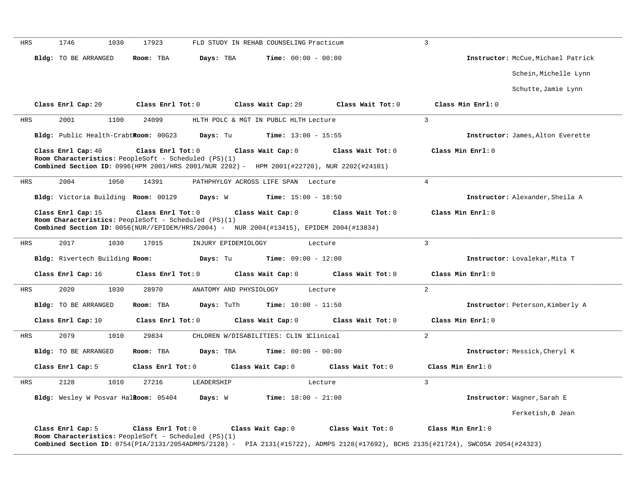| HRS        | 1746<br>1030                         | 17923                                                | FLD STUDY IN REHAB COUNSELING Practicum                                                    |                   | $\overline{3}$                                                                                                                    |
|------------|--------------------------------------|------------------------------------------------------|--------------------------------------------------------------------------------------------|-------------------|-----------------------------------------------------------------------------------------------------------------------------------|
|            |                                      |                                                      |                                                                                            |                   |                                                                                                                                   |
|            | Bldg: TO BE ARRANGED                 | Room: TBA<br>Days: TBA                               | <b>Time:</b> $00:00 - 00:00$                                                               |                   | Instructor: McCue, Michael Patrick                                                                                                |
|            |                                      |                                                      |                                                                                            |                   | Schein, Michelle Lynn                                                                                                             |
|            |                                      |                                                      |                                                                                            |                   | Schutte, Jamie Lynn                                                                                                               |
|            | Class Enrl Cap: 20                   | Class Enrl Tot: 0                                    | Class Wait Cap: 20                                                                         | Class Wait Tot: 0 | Class Min Enrl: 0                                                                                                                 |
| HRS        | 2001<br>1100                         | 24099                                                | HLTH POLC & MGT IN PUBLC HLTH Lecture                                                      |                   | $\mathbf{3}$                                                                                                                      |
|            | Bldg: Public Health-CrabtRoom: 00G23 | Days: Tu                                             | <b>Time:</b> $13:00 - 15:55$                                                               |                   | Instructor: James, Alton Everette                                                                                                 |
|            | Class Enrl Cap: 40                   | Class Enrl Tot: 0                                    | Class Wait Cap: 0                                                                          | Class Wait Tot: 0 | Class Min Enrl: 0                                                                                                                 |
|            |                                      | Room Characteristics: PeopleSoft - Scheduled (PS)(1) | Combined Section ID: 0996(HPM 2001/HRS 2001/NUR 2202) - HPM 2001(#22720), NUR 2202(#24101) |                   |                                                                                                                                   |
|            |                                      |                                                      |                                                                                            |                   |                                                                                                                                   |
| HRS        | 2004<br>1050                         | 14391                                                | PATHPHYLGY ACROSS LIFE SPAN Lecture                                                        |                   | $\overline{4}$                                                                                                                    |
|            | Bldg: Victoria Building Room: 00129  | Days: W                                              | <b>Time:</b> $15:00 - 18:50$                                                               |                   | Instructor: Alexander, Sheila A                                                                                                   |
|            | Class Enrl Cap: 15                   | Class Enrl Tot: 0                                    | Class Wait Cap: 0                                                                          | Class Wait Tot: 0 | Class Min Enrl: 0                                                                                                                 |
|            |                                      | Room Characteristics: PeopleSoft - Scheduled (PS)(1) |                                                                                            |                   |                                                                                                                                   |
|            |                                      |                                                      | Combined Section ID: 0056(NUR//EPIDEM/HRS/2004) - NUR 2004(#13415), EPIDEM 2004(#13834)    |                   |                                                                                                                                   |
| <b>HRS</b> | 2017<br>1030                         | 17015                                                | INJURY EPIDEMIOLOGY<br>Lecture                                                             |                   | 3                                                                                                                                 |
|            | Bldg: Rivertech Building Room:       | Days: Tu                                             | <b>Time:</b> $09:00 - 12:00$                                                               |                   | Instructor: Lovalekar, Mita T                                                                                                     |
|            | Class Enrl Cap: 16                   | Class Enrl Tot: 0                                    | Class Wait Cap: 0                                                                          | Class Wait Tot: 0 | Class Min Enrl: 0                                                                                                                 |
| HRS        | 2020<br>1030                         | 28970                                                | ANATOMY AND PHYSIOLOGY<br>Lecture                                                          |                   | $\overline{2}$                                                                                                                    |
|            | Bldg: TO BE ARRANGED                 | Room: TBA<br>Days: TuTh                              | <b>Time:</b> $10:00 - 11:50$                                                               |                   | Instructor: Peterson, Kimberly A                                                                                                  |
|            | Class Enrl Cap: 10                   | Class Enrl Tot: 0                                    | Class Wait Cap: 0                                                                          | Class Wait Tot: 0 | Class Min Enrl: 0                                                                                                                 |
| HRS        | 2079<br>1010                         | 29834                                                | CHLDREN W/DISABILITIES: CLIN 1Clinical                                                     |                   | 2                                                                                                                                 |
|            | Bldg: TO BE ARRANGED                 | Room: TBA<br>Days: TBA                               | <b>Time:</b> $00:00 - 00:00$                                                               |                   | Instructor: Messick, Cheryl K                                                                                                     |
|            | Class Enrl Cap: 5                    | Class Enrl Tot: 0                                    | Class Wait Cap: 0                                                                          | Class Wait Tot: 0 | Class Min Enrl: 0                                                                                                                 |
| HRS        | 2128<br>1010                         | 27216<br>LEADERSHIP                                  | Lecture                                                                                    |                   | $\overline{3}$                                                                                                                    |
|            | Bldg: Wesley W Posvar Halkoom: 05404 | Days: W                                              | Time: $18:00 - 21:00$                                                                      |                   | Instructor: Wagner, Sarah E                                                                                                       |
|            |                                      |                                                      |                                                                                            |                   | Ferketish, B Jean                                                                                                                 |
|            | Class Enrl Cap: 5                    | Class Enrl Tot: 0                                    | Class Wait Cap: 0                                                                          | Class Wait Tot: 0 | Class Min Enrl: 0                                                                                                                 |
|            |                                      | Room Characteristics: PeopleSoft - Scheduled (PS)(1) |                                                                                            |                   | Combined Section ID: 0754(PIA/2131/2054ADMPS/2128) - PIA 2131(#15722), ADMPS 2128(#17692), BCHS 2135(#21724), SWCOSA 2054(#24323) |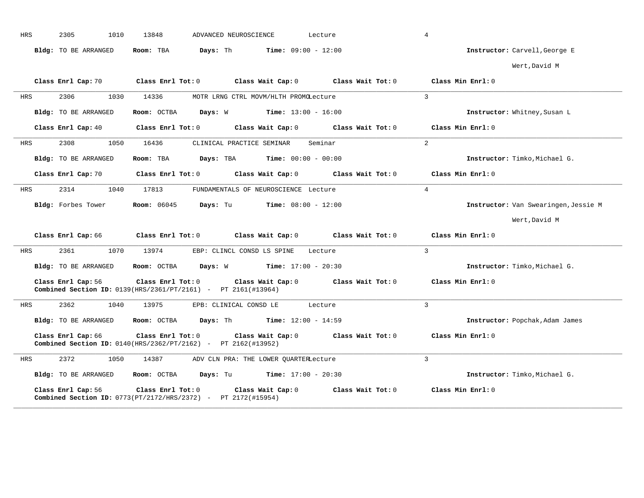| <b>HRS</b> | 2305<br>1010                     | 13848<br>ADVANCED NEUROSCIENCE                                                                                                    | Lecture           | $\overline{4}$                       |
|------------|----------------------------------|-----------------------------------------------------------------------------------------------------------------------------------|-------------------|--------------------------------------|
|            | Bldg: TO BE ARRANGED             | Days: Th<br>$Time: 09:00 - 12:00$<br>Room: TBA                                                                                    |                   | Instructor: Carvell, George E        |
|            |                                  |                                                                                                                                   |                   | Wert, David M                        |
|            | Class Enrl Cap: 70               | Class Enrl Tot: 0<br>Class Wait Cap: $0$ Class Wait Tot: $0$                                                                      |                   | Class Min Enrl: 0                    |
| HRS        | 2306<br>1030                     | 14336<br>MOTR LRNG CTRL MOVM/HLTH PROMOLecture                                                                                    |                   | $\overline{3}$                       |
|            | Bldg: TO BE ARRANGED             | Room: OCTBA<br>Days: W<br>$Time: 13:00 - 16:00$                                                                                   |                   | Instructor: Whitney, Susan L         |
|            | Class Enrl Cap: 40               | $Class$ $Enr1$ $Tot: 0$<br>Class Wait Cap: 0 Class Wait Tot: 0                                                                    |                   | Class Min Enrl: 0                    |
| HRS        | 2308<br>1050                     | 16436<br>CLINICAL PRACTICE SEMINAR                                                                                                | Seminar           | 2                                    |
|            | Bldg: TO BE ARRANGED             | Room: TBA<br><b>Days:</b> TBA <b>Time:</b> $00:00 - 00:00$                                                                        |                   | Instructor: Timko, Michael G.        |
|            | Class Enrl Cap: 70               | $Class$ $Enr1$ $Tot: 0$<br>Class Wait Cap: 0                                                                                      | Class Wait Tot: 0 | Class Min Enrl: 0                    |
| HRS        | 2314<br>1040                     | 17813<br>FUNDAMENTALS OF NEUROSCIENCE Lecture                                                                                     |                   | $\overline{4}$                       |
|            | Bldg: Forbes Tower               | <b>Room:</b> 06045<br>Days: Tu<br><b>Time:</b> $08:00 - 12:00$                                                                    |                   | Instructor: Van Swearingen, Jessie M |
|            |                                  |                                                                                                                                   |                   | Wert, David M                        |
|            |                                  | Class Enrl Cap: 66 Class Enrl Tot: 0 Class Wait Cap: 0 Class Wait Tot: 0 Class Min Enrl: 0                                        |                   |                                      |
| HRS        | 2361<br>1070                     | 13974<br>EBP: CLINCL CONSD LS SPINE                                                                                               | Lecture           | $\mathbf{3}$                         |
|            | Bldg: TO BE ARRANGED             | <b>Days:</b> W <b>Time:</b> $17:00 - 20:30$<br>Room: OCTBA                                                                        |                   | Instructor: Timko, Michael G.        |
|            | Class Enrl Cap: 56               | Class Enrl Tot: 0 Class Wait Cap: 0 Class Wait Tot: 0<br><b>Combined Section ID:</b> $0139(HRS/2361/PT/2161)$ - PT $2161(H13964)$ |                   | Class Min Enrl: 0                    |
| HRS        | 2362<br>1040                     | 13975<br>EPB: CLINICAL CONSD LE<br>Lecture                                                                                        |                   | $\overline{3}$                       |
|            | Bldg: TO BE ARRANGED             | <b>Room:</b> OCTBA <b>Days:</b> Th <b>Time:</b> $12:00 - 14:59$                                                                   |                   | Instructor: Popchak, Adam James      |
|            | Class Enrl Cap: 66               | Class Enrl Tot: 0<br>Class Wait Cap: $0$ Class Wait Tot: $0$<br>Combined Section ID: 0140(HRS/2362/PT/2162) - PT 2162(#13952)     |                   | Class Min Enrl: 0                    |
| HRS        | 2372<br>1050                     | ADV CLN PRA: THE LOWER QUARTERLecture<br>14387                                                                                    |                   | $\mathcal{L}$                        |
|            | Bldg: TO BE ARRANGED Room: OCTBA | <b>Days:</b> Tu <b>Time:</b> $17:00 - 20:30$                                                                                      |                   | Instructor: Timko, Michael G.        |
|            | Class Enrl Cap: 56               | Class Enrl Tot: 0<br>Class Wait Cap: 0<br><b>Combined Section ID:</b> $0773 (PT/2172/HRS/2372)$ - PT $2172 (#15954)$              | Class Wait Tot: 0 | Class Min Enrl: 0                    |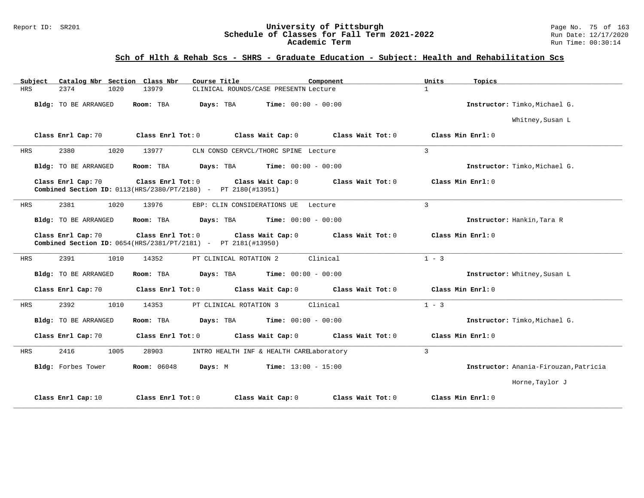#### Report ID: SR201 **1988 Mage 19: SR201 University of Pittsburgh** Page No. 75 of 163<br>**Schedule of Classes for Fall Term 2021-2022** 19: Run Date: 12/17/2020 **Schedule of Classes for Fall Term 2021-2022** Run Date: 12/17/2020 **Academic Term** Run Time: 00:30:14

| Catalog Nbr Section Class Nbr<br>Subject | Course Title<br>Component                                                                                          | Units<br>Topics                          |
|------------------------------------------|--------------------------------------------------------------------------------------------------------------------|------------------------------------------|
| <b>HRS</b><br>2374<br>1020               | 13979<br>CLINICAL ROUNDS/CASE PRESENTN Lecture                                                                     | $\mathbf{1}$                             |
| Bldg: TO BE ARRANGED                     | <b>Time:</b> $00:00 - 00:00$<br>Room: TBA<br>Days: TBA                                                             | Instructor: Timko, Michael G.            |
|                                          |                                                                                                                    | Whitney, Susan L                         |
| Class Enrl Cap: 70                       | Class Enrl Tot: 0<br>Class Wait Cap: 0                                                                             | Class Wait Tot: 0<br>Class Min Enrl: 0   |
| 2380<br>1020<br>HRS                      | 13977<br>CLN CONSD CERVCL/THORC SPINE Lecture                                                                      | $\overline{3}$                           |
| Bldg: TO BE ARRANGED                     | <b>Time:</b> $00:00 - 00:00$<br>Room: TBA<br>Days: TBA                                                             | Instructor: Timko, Michael G.            |
| Class Enrl Cap: 70                       | Class Enrl Tot: 0<br>Class Wait Cap: 0<br><b>Combined Section ID:</b> $0113(HRS/2380/PT/2180)$ - PT $2180(H13951)$ | Class Wait Tot: 0<br>Class Min Enrl: 0   |
| 2381<br>1020<br><b>HRS</b>               | 13976<br>EBP: CLIN CONSIDERATIONS UE Lecture                                                                       | $\mathbf{3}$                             |
| Bldg: TO BE ARRANGED                     | <b>Time:</b> $00:00 - 00:00$<br>Room: TBA<br>Days: TBA                                                             | Instructor: Hankin, Tara R               |
| Class Enrl Cap: 70                       | Class Enrl Tot: 0<br>Class Wait Cap: 0<br>Combined Section ID: 0654(HRS/2381/PT/2181) - PT 2181(#13950)            | Class Wait Tot: 0<br>Class Min $Enrl: 0$ |
| 2391<br>1010<br>HRS                      | Clinical<br>14352<br>PT CLINICAL ROTATION 2                                                                        | $1 - 3$                                  |
| Bldg: TO BE ARRANGED                     | Days: TBA<br><b>Time:</b> $00:00 - 00:00$<br>Room: TBA                                                             | Instructor: Whitney, Susan L             |
| Class Enrl Cap: 70                       | Class Enrl Tot: 0<br>Class Wait Cap: 0                                                                             | Class Wait Tot: 0<br>Class Min Enrl: 0   |
| 2392<br>1010<br><b>HRS</b>               | Clinical<br>14353<br>PT CLINICAL ROTATION 3                                                                        | $1 - 3$                                  |
| Bldg: TO BE ARRANGED                     | Days: TBA<br><b>Time:</b> $00:00 - 00:00$<br>Room: TBA                                                             | Instructor: Timko, Michael G.            |
| Class Enrl Cap: 70                       | Class Enrl Tot: 0<br>Class Wait Cap: 0                                                                             | Class Wait Tot: 0<br>Class Min Enrl: 0   |
| <b>HRS</b><br>2416<br>1005               | 28903<br>INTRO HEALTH INF & HEALTH CARELaboratory                                                                  | $\overline{3}$                           |
| Bldg: Forbes Tower                       | $Time: 13:00 - 15:00$<br><b>Room:</b> 06048<br>Days: M                                                             | Instructor: Anania-Firouzan, Patricia    |
|                                          |                                                                                                                    | Horne, Taylor J                          |
| Class Enrl Cap: 10                       | Class Enrl Tot: $0$<br>Class Wait Cap: 0                                                                           | Class Wait $Tot: 0$<br>Class Min Enrl: 0 |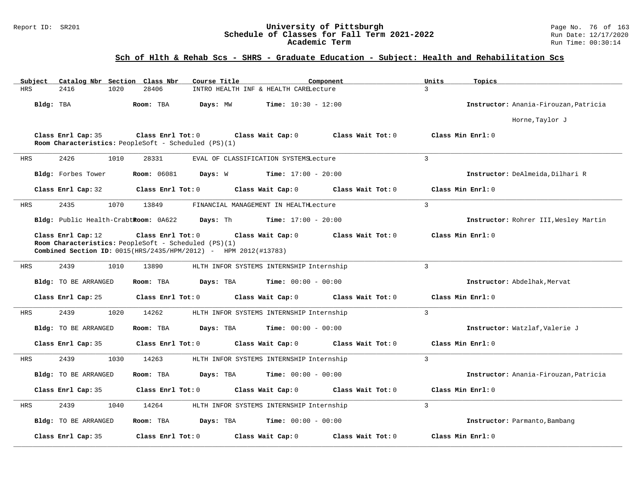#### Report ID: SR201 **University of Pittsburgh** Page No. 76 of 163 **Schedule of Classes for Fall Term 2021-2022** Run Date: 12/17/2020 **Academic Term** Run Time: 00:30:14

| Catalog Nbr Section Class Nbr<br>Subject                                                                                                                       | Course Title                                                                                                                                                      | Component                                | Units<br>Topics                       |  |
|----------------------------------------------------------------------------------------------------------------------------------------------------------------|-------------------------------------------------------------------------------------------------------------------------------------------------------------------|------------------------------------------|---------------------------------------|--|
| <b>HRS</b><br>2416<br>1020                                                                                                                                     | 28406<br>INTRO HEALTH INF & HEALTH CARELecture                                                                                                                    |                                          | $\mathbf{3}$                          |  |
| Bldg: TBA                                                                                                                                                      | Room: TBA<br>Days: MW                                                                                                                                             | Time: $10:30 - 12:00$                    | Instructor: Anania-Firouzan, Patricia |  |
|                                                                                                                                                                |                                                                                                                                                                   |                                          | Horne, Taylor J                       |  |
| Class Min Enrl: 0<br>Class Enrl Cap: 35<br>Class Enrl Tot: 0<br>Class Wait Cap: 0<br>Class Wait Tot: 0<br>Room Characteristics: PeopleSoft - Scheduled (PS)(1) |                                                                                                                                                                   |                                          |                                       |  |
| 2426<br>1010<br>HRS                                                                                                                                            | 28331<br>EVAL OF CLASSIFICATION SYSTEMSLecture                                                                                                                    |                                          | $\mathbf{3}$                          |  |
| Bldg: Forbes Tower                                                                                                                                             | <b>Room:</b> 06081<br>Days: W                                                                                                                                     | <b>Time:</b> $17:00 - 20:00$             | Instructor: DeAlmeida, Dilhari R      |  |
| Class Enrl Cap: 32                                                                                                                                             | Class Enrl Tot: 0<br>Class Wait Cap: 0                                                                                                                            | Class Wait Tot: 0                        | Class Min Enrl: 0                     |  |
| 2435<br>1070<br>HRS                                                                                                                                            | 13849<br>FINANCIAL MANAGEMENT IN HEALTHLecture                                                                                                                    |                                          | $\overline{3}$                        |  |
| Bldg: Public Health-CrabtRoom: 0A622                                                                                                                           | Days: Th                                                                                                                                                          | <b>Time:</b> $17:00 - 20:00$             | Instructor: Rohrer III, Wesley Martin |  |
| Class Enrl Cap: 12                                                                                                                                             | Class Enrl Tot: 0<br>Class Wait Cap: 0<br>Room Characteristics: PeopleSoft - Scheduled (PS)(1)<br>Combined Section ID: 0015(HRS/2435/HPM/2012) - HPM 2012(#13783) | $Class$ Wait Tot: $0$                    | Class Min $Enrl: 0$                   |  |
| 2439<br>1010<br><b>HRS</b>                                                                                                                                     | 13890                                                                                                                                                             | HLTH INFOR SYSTEMS INTERNSHIP Internship | 3                                     |  |
| Bldg: TO BE ARRANGED                                                                                                                                           | Room: TBA<br>Days: TBA                                                                                                                                            | <b>Time:</b> $00:00 - 00:00$             | Instructor: Abdelhak, Mervat          |  |
| Class Enrl Cap: 25                                                                                                                                             | Class Enrl Tot: 0<br>Class Wait Cap: 0                                                                                                                            | Class Wait Tot: 0                        | Class Min Enrl: 0                     |  |
| 2439<br>1020<br>HRS                                                                                                                                            | 14262                                                                                                                                                             | HLTH INFOR SYSTEMS INTERNSHIP Internship | 3                                     |  |
| Bldg: TO BE ARRANGED                                                                                                                                           | Days: TBA<br>Room: TBA                                                                                                                                            | <b>Time:</b> $00:00 - 00:00$             | Instructor: Watzlaf, Valerie J        |  |
| Class Enrl Cap: 35                                                                                                                                             | Class Enrl Tot: 0<br>Class Wait Cap: 0                                                                                                                            | Class Wait Tot: 0                        | Class Min Enrl: 0                     |  |
| 2439<br>1030<br>HRS                                                                                                                                            | 14263                                                                                                                                                             | HLTH INFOR SYSTEMS INTERNSHIP Internship | $\mathcal{L}$                         |  |
| Bldg: TO BE ARRANGED                                                                                                                                           | Room: TBA<br>Days: TBA                                                                                                                                            | <b>Time:</b> $00:00 - 00:00$             | Instructor: Anania-Firouzan, Patricia |  |
| Class Enrl Cap: 35                                                                                                                                             | Class Enrl Tot: 0<br>Class Wait Cap: 0                                                                                                                            | Class Wait Tot: 0                        | Class Min Enrl: 0                     |  |
| 2439<br>HRS<br>1040                                                                                                                                            | 14264                                                                                                                                                             | HLTH INFOR SYSTEMS INTERNSHIP Internship | $\overline{3}$                        |  |
| Bldg: TO BE ARRANGED                                                                                                                                           | Room: TBA<br>Days: TBA                                                                                                                                            | <b>Time:</b> $00:00 - 00:00$             | Instructor: Parmanto, Bambang         |  |
| Class Enrl Cap: 35                                                                                                                                             | Class Enrl Tot: 0<br>Class Wait Cap: 0                                                                                                                            | Class Wait Tot: 0                        | Class Min Enrl: 0                     |  |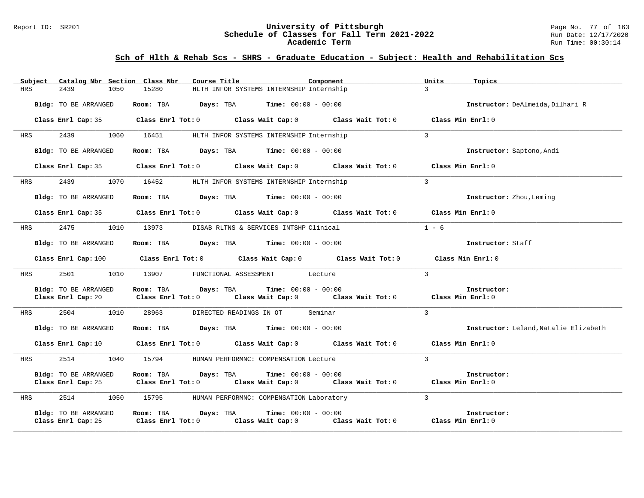#### Report ID: SR201 **1988 Mage No. 7 of 1989 Mage 10: SChedule of Classes for Fall Term 2021-2022** Page No. 77 of 163<br>**Schedule of Classes for Fall Term 2021-2022** Run Date: 12/17/2020 **Schedule of Classes for Fall Term 2021-2022** Run Date: 12/17/2020 **Academic Term** Run Time: 00:30:14

|            | Subject Catalog Nbr Section Class Nbr      | Course Title                                                                                                                   | Component                                | Units          | Topics                                |
|------------|--------------------------------------------|--------------------------------------------------------------------------------------------------------------------------------|------------------------------------------|----------------|---------------------------------------|
| <b>HRS</b> | 2439<br>1050                               | 15280                                                                                                                          | HLTH INFOR SYSTEMS INTERNSHIP Internship | $\mathcal{L}$  |                                       |
|            | Bldg: TO BE ARRANGED                       | Room: TBA $Days:$ TBA $Time: 00:00 - 00:00$                                                                                    |                                          |                | Instructor: DeAlmeida, Dilhari R      |
|            | Class Enrl Cap: 35                         | Class Enrl Tot: $0$ Class Wait Cap: $0$ Class Wait Tot: $0$                                                                    |                                          |                | Class Min Enrl: 0                     |
| HRS        | 2439<br>1060                               | 16451                                                                                                                          | HLTH INFOR SYSTEMS INTERNSHIP Internship | $\mathbf{3}$   |                                       |
|            | Bldg: TO BE ARRANGED                       | Room: TBA $Days:$ TBA $Time: 00:00 - 00:00$                                                                                    |                                          |                | Instructor: Saptono, Andi             |
|            |                                            | Class Enrl Cap: 35 $\qquad$ Class Enrl Tot: 0 $\qquad$ Class Wait Cap: 0 $\qquad$ Class Wait Tot: 0                            |                                          |                | Class Min Enrl: 0                     |
| HRS        | 2439<br>1070                               | 16452                                                                                                                          | HLTH INFOR SYSTEMS INTERNSHIP Internship | $\overline{3}$ |                                       |
|            | Bldg: TO BE ARRANGED                       | Room: TBA $Days:$ TBA $Time: 00:00 - 00:00$                                                                                    |                                          |                | Instructor: Zhou, Leming              |
|            |                                            | Class Enrl Cap: 35 Class Enrl Tot: 0 Class Wait Cap: 0 Class Wait Tot: 0 Class Min Enrl: 0                                     |                                          |                |                                       |
| <b>HRS</b> | 2475                                       | 1010 13973 DISAB RLTNS & SERVICES INTSHP Clinical                                                                              |                                          | $1 - 6$        |                                       |
|            | Bldg: TO BE ARRANGED                       | Room: TBA $\rule{1em}{0.15mm}$ Days: TBA Time: $00:00 - 00:00$                                                                 |                                          |                | Instructor: Staff                     |
|            |                                            | Class Enrl Cap: 100 Class Enrl Tot: 0 Class Wait Cap: 0 Class Wait Tot: 0 Class Min Enrl: 0                                    |                                          |                |                                       |
| HRS        | 2501<br>1010                               | 13907 FUNCTIONAL ASSESSMENT Lecture                                                                                            |                                          | $\mathcal{L}$  |                                       |
|            | Bldg: TO BE ARRANGED                       | Room: TBA Davs: TBA                                                                                                            | <b>Time:</b> $00:00 - 00:00$             |                | Instructor:                           |
|            |                                            | Class Enrl Cap: 20 Class Enrl Tot: 0 Class Wait Cap: 0 Class Wait Tot: 0 Class Min Enrl: 0                                     |                                          |                |                                       |
| <b>HRS</b> | 2504<br>1010                               | 28963                                                                                                                          | DIRECTED READINGS IN OT Seminar          | $\mathcal{L}$  |                                       |
|            | Bldg: TO BE ARRANGED                       | Room: TBA $Days: TBA$ Time: $00:00 - 00:00$                                                                                    |                                          |                | Instructor: Leland, Natalie Elizabeth |
|            |                                            | Class Enrl Cap: 10 $\qquad$ Class Enrl Tot: 0 $\qquad$ Class Wait Cap: 0 $\qquad$ Class Wait Tot: 0 $\qquad$ Class Min Enrl: 0 |                                          |                |                                       |
| HRS        | 2514<br>1040                               | 15794                                                                                                                          | HUMAN PERFORMNC: COMPENSATION Lecture    | $\overline{3}$ |                                       |
|            | Bldg: TO BE ARRANGED                       | Room: TBA<br>Davs: TBA<br>Class Enrl Cap: 25 Class Enrl Tot: 0 Class Wait Cap: 0 Class Wait Tot: 0 Class Min Enrl: 0           | <b>Time:</b> $00:00 - 00:00$             |                | Instructor:                           |
| <b>HRS</b> | 2514<br>1050                               | 15795                                                                                                                          | HUMAN PERFORMNC: COMPENSATION Laboratory | $\mathbf{3}$   |                                       |
|            | Bldg: TO BE ARRANGED<br>Class Enrl Cap: 25 | Room: TBA Days: TBA<br>Class Enrl Tot: $0$ Class Wait Cap: $0$ Class Wait Tot: $0$ Class Min Enrl: $0$                         | <b>Time:</b> $00:00 - 00:00$             |                | Instructor:                           |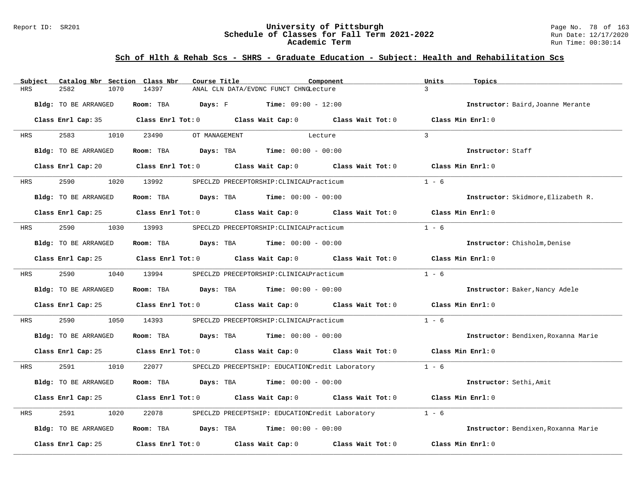#### Report ID: SR201 **University of Pittsburgh** Page No. 78 of 163 **Schedule of Classes for Fall Term 2021-2022** Run Date: 12/17/2020 **Academic Term** Run Time: 00:30:14

| Subject | Catalog Nbr Section Class Nbr | Course Title | Component                                                                                           | Units<br>Topics                     |
|---------|-------------------------------|--------------|-----------------------------------------------------------------------------------------------------|-------------------------------------|
| HRS     | 2582<br>1070                  | 14397        | ANAL CLN DATA/EVDNC FUNCT CHNGLecture                                                               | $\mathcal{L}$                       |
|         | Bldg: TO BE ARRANGED          | Room: TBA    | <b>Days:</b> $F$ <b>Time:</b> $09:00 - 12:00$                                                       | Instructor: Baird, Joanne Merante   |
|         |                               |              | Class Enrl Cap: 35 Class Enrl Tot: 0 Class Wait Cap: 0 Class Wait Tot: 0 Class Min Enrl: 0          |                                     |
| HRS     | 2583<br>1010                  | 23490        | OT MANAGEMENT<br>Lecture                                                                            | $\mathcal{L}$                       |
|         | <b>Bldg:</b> TO BE ARRANGED   | Room: TBA    | <b>Days:</b> TBA <b>Time:</b> $00:00 - 00:00$                                                       | Instructor: Staff                   |
|         |                               |              | Class Enrl Cap: 20 $\qquad$ Class Enrl Tot: 0 $\qquad$ Class Wait Cap: 0 $\qquad$ Class Wait Tot: 0 | Class Min Enrl: 0                   |
| HRS     | 2590                          | 1020 13992   | SPECLZD PRECEPTORSHIP: CLINICALPracticum                                                            | $1 - 6$                             |
|         | Bldg: TO BE ARRANGED          |              | <b>Room:</b> TBA $Days: TBA$ <b>Time:</b> $00:00 - 00:00$                                           | Instructor: Skidmore, Elizabeth R.  |
|         |                               |              | Class Enrl Cap: 25 $\qquad$ Class Enrl Tot: 0 $\qquad$ Class Wait Cap: 0 $\qquad$ Class Wait Tot: 0 | Class Min $Enr1:0$                  |
| HRS     | 2590                          | 1030 13993   | SPECLZD PRECEPTORSHIP: CLINICALPracticum                                                            | $1 - 6$                             |
|         | Bldg: TO BE ARRANGED          |              | Room: TBA $Days:$ TBA $Time: 00:00 - 00:00$                                                         | Instructor: Chisholm, Denise        |
|         |                               |              | Class Enrl Cap: 25 Class Enrl Tot: 0 Class Wait Cap: 0 Class Wait Tot: 0 Class Min Enrl: 0          |                                     |
| HRS     | 2590 and 2590                 | 1040 13994   | SPECLZD PRECEPTORSHIP: CLINICALPracticum                                                            | $1 - 6$                             |
|         | Bldg: TO BE ARRANGED          |              | Room: TBA $Days:$ TBA $Time: 00:00 - 00:00$                                                         | Instructor: Baker, Nancy Adele      |
|         |                               |              | Class Enrl Cap: 25 $\hbox{Class Enrl Tot:0}$ Class Wait Cap: 0 $\hbox{Class Wait Tot:0}$            | Class Min Enrl: 0                   |
| HRS     | 2590<br>1050                  | 14393        | SPECLZD PRECEPTORSHIP: CLINICALPracticum                                                            | $1 - 6$                             |
|         | Bldg: TO BE ARRANGED          |              | Room: TBA $Days:$ TBA $Time: 00:00 - 00:00$                                                         | Instructor: Bendixen, Roxanna Marie |
|         |                               |              | Class Enrl Cap: 25 Class Enrl Tot: 0 Class Wait Cap: 0 Class Wait Tot: 0 Class Min Enrl: 0          |                                     |
| HRS     | 2591 259<br>1010              | 22077        | SPECLZD PRECEPTSHIP: EDUCATIONCredit Laboratory                                                     | $1 - 6$                             |
|         | Bldg: TO BE ARRANGED          |              | Room: TBA $Days:$ TBA $Time: 00:00 - 00:00$                                                         | Instructor: Sethi, Amit             |
|         |                               |              | Class Enrl Cap: 25 Class Enrl Tot: 0 Class Wait Cap: 0 Class Wait Tot: 0                            | Class Min Enrl: 0                   |
| HRS     | 2591<br>1020                  | 22078        | SPECLZD PRECEPTSHIP: EDUCATIONCredit Laboratory                                                     | $1 - 6$                             |
|         | Bldg: TO BE ARRANGED          |              | Room: TBA $\rule{1em}{0.15mm}$ Days: TBA $\rule{1.5mm}{0.15mm}$ Time: $00:00 - 00:00$               | Instructor: Bendixen, Roxanna Marie |
|         | Class Enrl Cap: 25            |              | Class Enrl Tot: $0$ Class Wait Cap: $0$ Class Wait Tot: $0$                                         | Class Min Enrl: 0                   |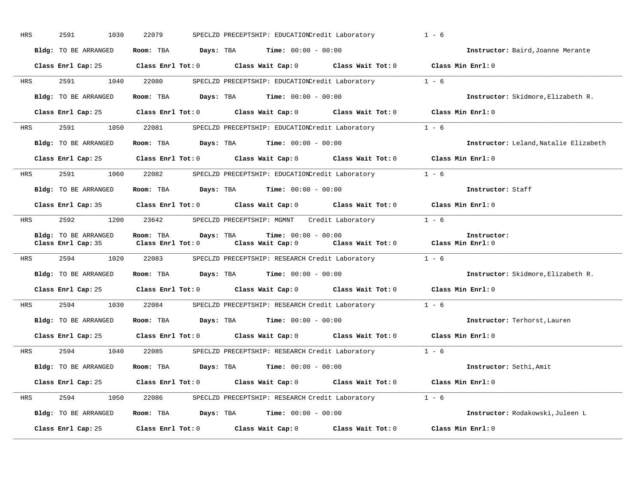| HRS        | 2591<br>1030         | 22079                  | SPECLZD PRECEPTSHIP: EDUCATIONCredit Laboratory                                                                            | $1 - 6$                               |
|------------|----------------------|------------------------|----------------------------------------------------------------------------------------------------------------------------|---------------------------------------|
|            | Bldg: TO BE ARRANGED |                        | Room: TBA $Days:$ TBA $Time: 00:00 - 00:00$                                                                                | Instructor: Baird, Joanne Merante     |
|            |                      |                        | Class Enrl Cap: 25 Class Enrl Tot: 0 Class Wait Cap: 0 Class Wait Tot: 0 Class Min Enrl: 0                                 |                                       |
|            | HRS 2591 1040 22080  |                        | SPECLZD PRECEPTSHIP: EDUCATIONCredit Laboratory 1 - 6                                                                      |                                       |
|            | Bldg: TO BE ARRANGED |                        | Room: TBA $Days:$ TBA $Time: 00:00 - 00:00$                                                                                | Instructor: Skidmore, Elizabeth R.    |
|            |                      |                        | Class Enrl Cap: 25 Class Enrl Tot: 0 Class Wait Cap: 0 Class Wait Tot: 0 Class Min Enrl: 0                                 |                                       |
| <b>HRS</b> |                      |                        | 2591 1050 22081 SPECLZD PRECEPTSHIP: EDUCATIONCredit Laboratory 1 - 6                                                      |                                       |
|            | Bldg: TO BE ARRANGED |                        | Room: TBA $Days:$ TBA $Time: 00:00 - 00:00$                                                                                | Instructor: Leland, Natalie Elizabeth |
|            |                      |                        | Class Enrl Cap: 25 Class Enrl Tot: 0 Class Wait Cap: 0 Class Wait Tot: 0 Class Min Enrl: 0                                 |                                       |
| <b>HRS</b> |                      |                        | 2591 1060 22082 SPECLZD PRECEPTSHIP: EDUCATIONCredit Laboratory 1 - 6                                                      |                                       |
|            | Bldg: TO BE ARRANGED |                        | Room: TBA $Days:$ TBA $Time: 00:00 - 00:00$                                                                                | Instructor: Staff                     |
|            |                      |                        | Class Enrl Cap: 35 Class Enrl Tot: 0 Class Wait Cap: 0 Class Wait Tot: 0 Class Min Enrl: 0                                 |                                       |
| <b>HRS</b> | 2592                 |                        | 1200 23642 SPECLZD PRECEPTSHIP: MGMNT Credit Laboratory 1 - 6                                                              |                                       |
|            | Bldg: TO BE ARRANGED | Room: TBA<br>Days: TBA | <b>Time:</b> $00:00 - 00:00$<br>Class Enrl Cap: 35 Class Enrl Tot: 0 Class Wait Cap: 0 Class Wait Tot: 0 Class Min Enrl: 0 | Instructor:                           |
|            |                      |                        | HRS 2594 1020 22083 SPECLZD PRECEPTSHIP: RESEARCH Credit Laboratory 1 - 6                                                  |                                       |
|            | Bldg: TO BE ARRANGED |                        | Room: TBA $Days:$ TBA $Time: 00:00 - 00:00$                                                                                | Instructor: Skidmore, Elizabeth R.    |
|            |                      |                        | Class Enrl Cap: 25 Class Enrl Tot: 0 Class Wait Cap: 0 Class Wait Tot: 0 Class Min Enrl: 0                                 |                                       |
| HRS        |                      |                        | 2594 1030 22084 SPECLZD PRECEPTSHIP: RESEARCH Credit Laboratory 1 - 6                                                      |                                       |
|            | Bldg: TO BE ARRANGED |                        | Room: TBA $Days: TBA$ Time: $00:00 - 00:00$                                                                                | Instructor: Terhorst, Lauren          |
|            |                      |                        | Class Enrl Cap: 25 Class Enrl Tot: 0 Class Wait Cap: 0 Class Wait Tot: 0 Class Min Enrl: 0                                 |                                       |
| <b>HRS</b> | 2594<br>1040         | 22085                  | SPECLZD PRECEPTSHIP: RESEARCH Credit Laboratory 1 - 6                                                                      |                                       |
|            | Bldg: TO BE ARRANGED |                        | Room: TBA $\rule{1em}{0.15mm}$ Days: TBA Time: $00:00 - 00:00$                                                             | Instructor: Sethi, Amit               |
|            |                      |                        | Class Enrl Cap: 25 Class Enrl Tot: 0 Class Wait Cap: 0 Class Wait Tot: 0 Class Min Enrl: 0                                 |                                       |
| <b>HRS</b> |                      |                        | 2594 1050 22086 SPECLZD PRECEPTSHIP: RESEARCH Credit Laboratory 1 - 6                                                      |                                       |
|            | Bldg: TO BE ARRANGED |                        | Room: TBA $Days: TBA$ Time: $00:00 - 00:00$                                                                                | Instructor: Rodakowski, Juleen L      |
|            | Class Enrl Cap: 25   |                        | Class Enrl Tot: $0$ Class Wait Cap: $0$ Class Wait Tot: $0$                                                                | Class Min Enrl: 0                     |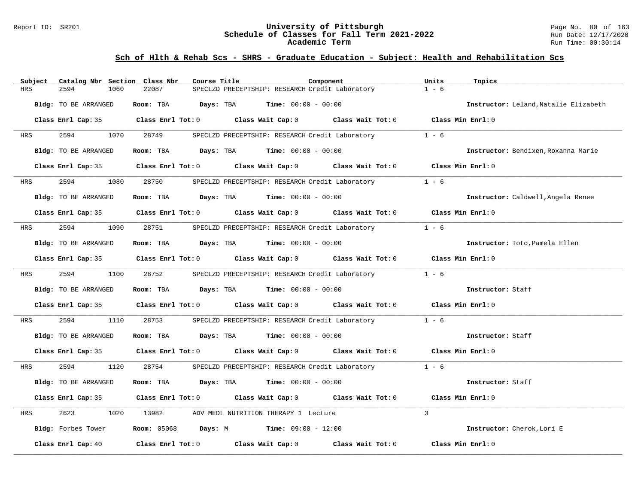#### Report ID: SR201 **University of Pittsburgh** Page No. 80 of 163 **Schedule of Classes for Fall Term 2021-2022** Run Date: 12/17/2020 **Academic Term** Run Time: 00:30:14

| Subject | Catalog Nbr Section Class Nbr | Course Title | Component                                                                                  | Units<br>Topics                       |
|---------|-------------------------------|--------------|--------------------------------------------------------------------------------------------|---------------------------------------|
| HRS     | 2594<br>1060                  | 22087        | SPECLZD PRECEPTSHIP: RESEARCH Credit Laboratory                                            | $1 - 6$                               |
|         | Bldg: TO BE ARRANGED          |              | Room: TBA $Days:$ TBA $Time: 00:00 - 00:00$                                                | Instructor: Leland, Natalie Elizabeth |
|         |                               |              | Class Enrl Cap: 35 Class Enrl Tot: 0 Class Wait Cap: 0 Class Wait Tot: 0 Class Min Enrl: 0 |                                       |
| HRS     | 2594<br>1070                  | 28749        | SPECLZD PRECEPTSHIP: RESEARCH Credit Laboratory                                            | $1 - 6$                               |
|         | Bldg: TO BE ARRANGED          |              | Room: TBA $Days:$ TBA $Time: 00:00 - 00:00$                                                | Instructor: Bendixen, Roxanna Marie   |
|         |                               |              | Class Enrl Cap: 35 Class Enrl Tot: 0 Class Wait Cap: 0 Class Wait Tot: 0 Class Min Enrl: 0 |                                       |
| HRS     | 2594 259                      | 1080 28750   | SPECLZD PRECEPTSHIP: RESEARCH Credit Laboratory                                            | $1 - 6$                               |
|         | Bldg: TO BE ARRANGED          |              | Room: TBA $Days:$ TBA $Time: 00:00 - 00:00$                                                | Instructor: Caldwell, Angela Renee    |
|         |                               |              | Class Enrl Cap: 35 Class Enrl Tot: 0 Class Wait Cap: 0 Class Wait Tot: 0 Class Min Enrl: 0 |                                       |
| HRS     | 2594                          | 1090 28751   | SPECLZD PRECEPTSHIP: RESEARCH Credit Laboratory                                            | $1 - 6$                               |
|         | Bldg: TO BE ARRANGED          |              | Room: TBA $Days:$ TBA $Time: 00:00 - 00:00$                                                | Instructor: Toto, Pamela Ellen        |
|         |                               |              | Class Enrl Cap: 35 Class Enrl Tot: 0 Class Wait Cap: 0 Class Wait Tot: 0 Class Min Enrl: 0 |                                       |
| HRS     | 2594 7                        | 1100 28752   | SPECLZD PRECEPTSHIP: RESEARCH Credit Laboratory 1 - 6                                      |                                       |
|         | Bldg: TO BE ARRANGED          |              | Room: TBA $Days: TBA$ Time: $00:00 - 00:00$                                                | Instructor: Staff                     |
|         |                               |              | Class Enrl Cap: 35 Class Enrl Tot: 0 Class Wait Cap: 0 Class Wait Tot: 0 Class Min Enrl: 0 |                                       |
| HRS     | 2594<br>1110                  | 28753        | SPECLZD PRECEPTSHIP: RESEARCH Credit Laboratory                                            | $1 - 6$                               |
|         | Bldg: TO BE ARRANGED          |              | Room: TBA $Days:$ TBA $Time: 00:00 - 00:00$                                                | Instructor: Staff                     |
|         |                               |              | Class Enrl Cap: 35 Class Enrl Tot: 0 Class Wait Cap: 0 Class Wait Tot: 0 Class Min Enrl: 0 |                                       |
| HRS     | 2594<br>1120                  | 28754        | SPECLZD PRECEPTSHIP: RESEARCH Credit Laboratory 1 - 6                                      |                                       |
|         | Bldg: TO BE ARRANGED          |              | Room: TBA $Days:$ TBA $Time: 00:00 - 00:00$                                                | Instructor: Staff                     |
|         |                               |              | Class Enrl Cap: 35 Class Enrl Tot: 0 Class Wait Cap: 0 Class Wait Tot: 0 Class Min Enrl: 0 |                                       |
| HRS     | 2623<br>1020                  | 13982        | ADV MEDL NUTRITION THERAPY 1 Lecture                                                       | $\mathbf{3}$                          |
|         |                               |              | Bldg: Forbes Tower Room: 05068 Days: M Time: 09:00 - 12:00                                 | Instructor: Cherok, Lori E            |
|         | Class Enrl Cap: 40            |              | Class Enrl Tot: $0$ Class Wait Cap: $0$ Class Wait Tot: $0$                                | Class Min Enrl: 0                     |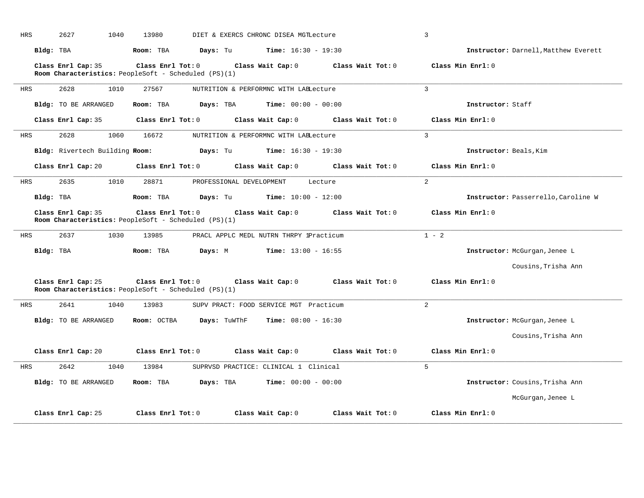| <b>HRS</b> | 2627<br>1040                   | 13980                                                                     | DIET & EXERCS CHRONC DISEA MGTLecture        |                   | 3                                    |
|------------|--------------------------------|---------------------------------------------------------------------------|----------------------------------------------|-------------------|--------------------------------------|
|            | Bldg: TBA                      | Room: TBA<br>Days: Tu                                                     | $Time: 16:30 - 19:30$                        |                   | Instructor: Darnell, Matthew Everett |
|            | Class Enrl Cap: 35             | Class Enrl Tot: 0<br>Room Characteristics: PeopleSoft - Scheduled (PS)(1) | Class Wait Cap: 0                            | Class Wait Tot: 0 | Class Min Enrl: 0                    |
| HRS        | 2628<br>1010                   | 27567                                                                     | NUTRITION & PERFORMNC WITH LABLecture        |                   | $\overline{3}$                       |
|            | Bldg: TO BE ARRANGED           | Room: TBA<br>Days: TBA                                                    | <b>Time:</b> $00:00 - 00:00$                 |                   | Instructor: Staff                    |
|            | Class Enrl Cap: 35             | Class Enrl Tot: 0                                                         | Class Wait Cap: 0                            | Class Wait Tot: 0 | Class Min Enrl: 0                    |
| HRS        | 2628<br>1060                   | 16672                                                                     | NUTRITION & PERFORMNC WITH LABLecture        |                   | $\mathbf{3}$                         |
|            | Bldg: Rivertech Building Room: |                                                                           | <b>Days:</b> Tu <b>Time:</b> $16:30 - 19:30$ |                   | Instructor: Beals, Kim               |
|            | Class Enrl Cap: 20             | Class Enrl Tot: 0                                                         | Class Wait Cap: 0                            | Class Wait Tot: 0 | Class Min Enrl: 0                    |
| <b>HRS</b> | 2635<br>1010                   | 28871<br>PROFESSIONAL DEVELOPMENT                                         | Lecture                                      |                   | $\overline{2}$                       |
|            | Bldg: TBA                      | Room: TBA<br>Days: Tu                                                     | <b>Time:</b> $10:00 - 12:00$                 |                   | Instructor: Passerrello, Caroline W  |
|            | Class Enrl Cap: 35             | Class Enrl Tot: 0<br>Room Characteristics: PeopleSoft - Scheduled (PS)(1) | Class Wait Cap: 0                            | Class Wait Tot: 0 | Class Min Enrl: 0                    |
| <b>HRS</b> | 2637<br>1030                   | 13985                                                                     | PRACL APPLC MEDL NUTRN THRPY 1Practicum      |                   | $1 - 2$                              |
| Bldg: TBA  |                                | Room: TBA<br>Days: M                                                      | <b>Time:</b> $13:00 - 16:55$                 |                   | Instructor: McGurgan, Jenee L        |
|            |                                |                                                                           |                                              |                   | Cousins, Trisha Ann                  |
|            | Class Enrl Cap: 25             | Class Enrl Tot: 0<br>Room Characteristics: PeopleSoft - Scheduled (PS)(1) | Class Wait Cap: 0                            | Class Wait Tot: 0 | Class Min Enrl: 0                    |
| HRS        | 2641<br>1040                   | 13983                                                                     | SUPV PRACT: FOOD SERVICE MGT Practicum       |                   | 2                                    |
|            | Bldg: TO BE ARRANGED           | Days: TuWThF<br>Room: OCTBA                                               | <b>Time:</b> $08:00 - 16:30$                 |                   | Instructor: McGurgan, Jenee L        |
|            |                                |                                                                           |                                              |                   | Cousins, Trisha Ann                  |
|            | Class Enrl Cap: 20             | $Class$ $Enr1$ $Tot: 0$                                                   | Class Wait Cap: 0                            | Class Wait Tot: 0 | Class Min Enrl: 0                    |
| HRS        | 2642<br>1040                   | 13984                                                                     | SUPRVSD PRACTICE: CLINICAL 1 Clinical        |                   | 5                                    |
|            | Bldg: TO BE ARRANGED           | Days: TBA<br>Room: TBA                                                    | <b>Time:</b> $00:00 - 00:00$                 |                   | Instructor: Cousins, Trisha Ann      |
|            |                                |                                                                           |                                              |                   | McGurgan, Jenee L                    |
|            | Class Enrl Cap: 25             | Class Enrl Tot: 0                                                         | Class Wait Cap: 0                            | Class Wait Tot: 0 | Class Min Enrl: 0                    |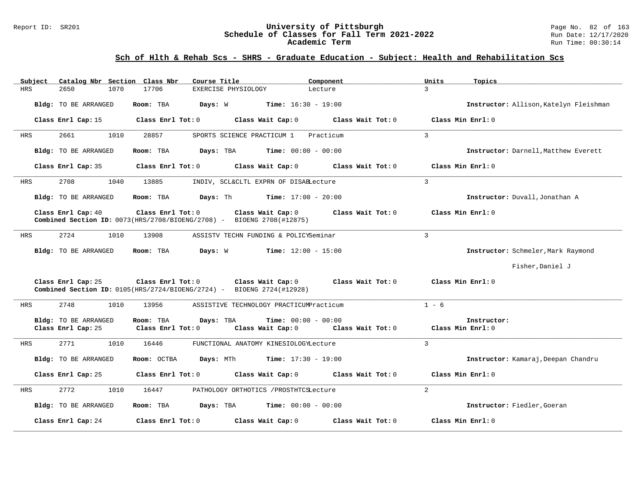#### Report ID: SR201 **University of Pittsburgh** Page No. 82 of 163 **Schedule of Classes for Fall Term 2021-2022** Run Date: 12/17/2020 **Academic Term** Run Time: 00:30:14

| Subject    | Catalog Nbr Section Class Nbr              |                                | Course Title                                                                                         | Component                                         | Units             | Topics                                 |
|------------|--------------------------------------------|--------------------------------|------------------------------------------------------------------------------------------------------|---------------------------------------------------|-------------------|----------------------------------------|
| <b>HRS</b> | 2650<br>1070                               | 17706                          | EXERCISE PHYSIOLOGY                                                                                  | Lecture                                           | $\mathbf{z}$      |                                        |
|            | Bldg: TO BE ARRANGED                       | Room: TBA                      | Days: W                                                                                              | <b>Time:</b> $16:30 - 19:00$                      |                   | Instructor: Allison, Katelyn Fleishman |
|            | Class Enrl Cap: 15                         | Class Enrl Tot: 0              | Class Wait Cap: 0                                                                                    | Class Wait Tot: 0                                 | Class Min Enrl: 0 |                                        |
| HRS        | 2661<br>1010                               | 28857                          | SPORTS SCIENCE PRACTICUM 1                                                                           | Practicum                                         | $\overline{3}$    |                                        |
|            | Bldg: TO BE ARRANGED                       | Room: TBA                      | Days: TBA                                                                                            | <b>Time:</b> $00:00 - 00:00$                      |                   | Instructor: Darnell, Matthew Everett   |
|            | Class Enrl Cap: 35                         | Class Enrl Tot: 0              | Class Wait Cap: 0                                                                                    | Class Wait Tot: 0                                 | Class Min Enrl: 0 |                                        |
| HRS        | 2708<br>1040                               | 13885                          | INDIV, SCL&CLTL EXPRN OF DISABLecture                                                                |                                                   | 3                 |                                        |
|            | Bldg: TO BE ARRANGED                       | Room: TBA                      | Davs: Th                                                                                             | <b>Time:</b> $17:00 - 20:00$                      |                   | Instructor: Duvall, Jonathan A         |
|            | Class Enrl Cap: 40                         | Class Enrl Tot: 0              | Class Wait Cap: 0<br><b>Combined Section ID:</b> $0073$ (HRS/2708/BIOENG/2708) - BIOENG 2708(#12875) | Class Wait Tot: 0                                 | Class Min Enrl: 0 |                                        |
| HRS        | 2724<br>1010                               | 13908                          | ASSISTV TECHN FUNDING & POLICYSeminar                                                                |                                                   | 3                 |                                        |
|            | Bldg: TO BE ARRANGED                       | Room: TBA                      | Days: W                                                                                              | <b>Time:</b> $12:00 - 15:00$                      |                   | Instructor: Schmeler, Mark Raymond     |
|            |                                            |                                |                                                                                                      |                                                   |                   | Fisher, Daniel J                       |
|            | Class Enrl Cap: 25                         | Class Enrl Tot: 0              | Class Wait Cap: 0<br><b>Combined Section ID:</b> $0105(HRS/2724/BIOENG/2724) - BIOENG 2724(H12928)$  | Class Wait Tot: 0                                 | Class Min Enrl: 0 |                                        |
| <b>HRS</b> | 2748<br>1010                               | 13956                          | ASSISTIVE TECHNOLOGY PRACTICUMPracticum                                                              |                                                   | $1 - 6$           |                                        |
|            | Bldg: TO BE ARRANGED<br>Class Enrl Cap: 25 | Room: TBA<br>Class Enrl Tot: 0 | Days: TBA<br>Class Wait Cap: 0                                                                       | <b>Time:</b> $00:00 - 00:00$<br>Class Wait Tot: 0 | Class Min Enrl: 0 | Instructor:                            |
| HRS        | 2771<br>1010                               | 16446                          | FUNCTIONAL ANATOMY KINESIOLOGYLecture                                                                |                                                   | 3                 |                                        |
|            | Bldg: TO BE ARRANGED                       | Room: OCTBA                    | Days: MTh                                                                                            | <b>Time:</b> $17:30 - 19:00$                      |                   | Instructor: Kamaraj, Deepan Chandru    |
|            | Class Enrl Cap: 25                         | Class Enrl Tot: 0              | Class Wait Cap: 0                                                                                    | Class Wait Tot: 0                                 | Class Min Enrl: 0 |                                        |
| HRS        | 2772<br>1010                               | 16447                          | PATHOLOGY ORTHOTICS / PROSTHTCSLecture                                                               |                                                   | $\overline{2}$    |                                        |
|            | Bldg: TO BE ARRANGED                       | Room: TBA                      | Days: TBA                                                                                            | <b>Time:</b> $00:00 - 00:00$                      |                   | Instructor: Fiedler, Goeran            |
|            | Class Enrl Cap: 24                         | Class Enrl Tot: 0              | Class Wait Cap: 0                                                                                    | Class Wait Tot: 0                                 | Class Min Enrl: 0 |                                        |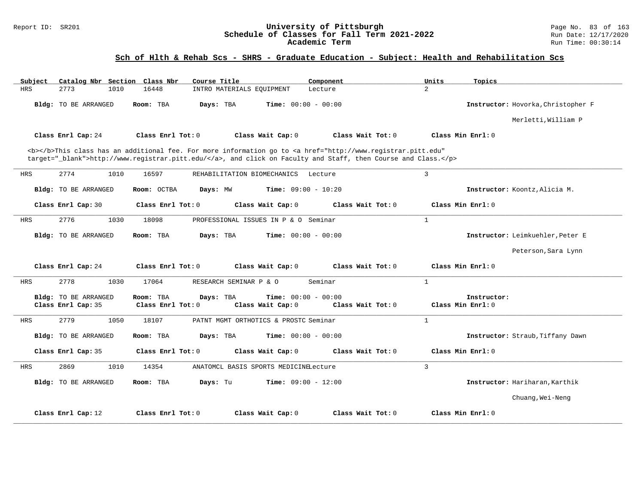#### Report ID: SR201 **1988 Mage No. 83 of 163**<br>**Schedule of Classes for Fall Term 2021-2022** 1988 Magnetic 12/17/2020 **Schedule of Classes for Fall Term 2021-2022** Run Date: 12/17/2020 **Academic Term** Run Time: 00:30:14

| Catalog Nbr Section Class Nbr<br>Subject                                                                                                                                                                                           | Course Title                                                     | Component                                         | Units<br>Topics                    |  |
|------------------------------------------------------------------------------------------------------------------------------------------------------------------------------------------------------------------------------------|------------------------------------------------------------------|---------------------------------------------------|------------------------------------|--|
| <b>HRS</b><br>2773<br>1010                                                                                                                                                                                                         | 16448<br>INTRO MATERIALS EOUIPMENT                               | Lecture                                           | $\overline{2}$                     |  |
| Bldg: TO BE ARRANGED                                                                                                                                                                                                               | Days: TBA<br>Room: TBA                                           | <b>Time:</b> $00:00 - 00:00$                      | Instructor: Hovorka, Christopher F |  |
|                                                                                                                                                                                                                                    |                                                                  |                                                   | Merletti, William P                |  |
| Class Enrl Cap: 24                                                                                                                                                                                                                 | Class Enrl Tot: 0<br>Class Wait Cap: 0                           | Class Wait Tot: 0                                 | Class Min Enrl: 0                  |  |
| <b></b> This class has an additional fee. For more information go to <a <br="" href="http://www.registrar.pitt.edu">target="_blank"&gt;http://www.registrar.pitt.edu/</a> , and click on Faculty and Staff, then Course and Class. |                                                                  |                                                   |                                    |  |
| 2774<br>1010<br>HRS                                                                                                                                                                                                                | 16597<br>REHABILITATION BIOMECHANICS                             | Lecture                                           | 3                                  |  |
| <b>Bldg:</b> TO BE ARRANGED                                                                                                                                                                                                        | Room: OCTBA<br>Days: MW                                          | <b>Time:</b> $09:00 - 10:20$                      | Instructor: Koontz, Alicia M.      |  |
| Class Enrl Cap: 30                                                                                                                                                                                                                 | Class Enrl Tot: 0<br>Class Wait Cap: 0                           | Class Wait Tot: 0                                 | Class Min Enrl: 0                  |  |
| 2776<br>1030<br>HRS                                                                                                                                                                                                                | 18098<br>PROFESSIONAL ISSUES IN P & O Seminar                    |                                                   | $\mathbf{1}$                       |  |
| Bldg: TO BE ARRANGED                                                                                                                                                                                                               | Room: TBA<br>Days: TBA                                           | <b>Time:</b> $00:00 - 00:00$                      | Instructor: Leimkuehler, Peter E   |  |
|                                                                                                                                                                                                                                    |                                                                  |                                                   | Peterson, Sara Lynn                |  |
| Class Enrl Cap: 24                                                                                                                                                                                                                 | Class Enrl Tot: 0<br>Class Wait Cap: 0                           | Class Wait Tot: 0                                 | Class Min Enrl: 0                  |  |
| 2778<br>1030<br><b>HRS</b>                                                                                                                                                                                                         | 17064<br>RESEARCH SEMINAR P & O                                  | Seminar                                           | $\mathbf{1}$                       |  |
| <b>Bldg:</b> TO BE ARRANGED<br>Class Enrl Cap: 35                                                                                                                                                                                  | Room: TBA<br>Days: TBA<br>Class Enrl Tot: 0<br>Class Wait Cap: 0 | <b>Time:</b> $00:00 - 00:00$<br>Class Wait Tot: 0 | Instructor:<br>Class Min Enrl: 0   |  |
| 2779<br>1050<br><b>HRS</b>                                                                                                                                                                                                         | 18107<br>PATNT MGMT ORTHOTICS & PROSTC Seminar                   |                                                   | $\mathbf{1}$                       |  |
| Bldg: TO BE ARRANGED                                                                                                                                                                                                               | Room: TBA<br>Days: TBA                                           | <b>Time:</b> $00:00 - 00:00$                      | Instructor: Straub, Tiffany Dawn   |  |
| Class Enrl Cap: 35                                                                                                                                                                                                                 | Class Enrl Tot: 0<br>Class Wait Cap: 0                           | Class Wait Tot: 0                                 | Class Min Enrl: 0                  |  |
| 2869<br><b>HRS</b><br>1010                                                                                                                                                                                                         | 14354<br>ANATOMCL BASIS SPORTS MEDICINELecture                   |                                                   | 3                                  |  |
| Bldg: TO BE ARRANGED                                                                                                                                                                                                               | Room: TBA<br>Days: Tu                                            | <b>Time:</b> $09:00 - 12:00$                      | Instructor: Hariharan, Karthik     |  |
|                                                                                                                                                                                                                                    |                                                                  |                                                   | Chuang, Wei-Neng                   |  |
| Class Enrl Cap: 12                                                                                                                                                                                                                 | Class Enrl Tot: 0<br>Class Wait Cap: 0                           | Class Wait Tot: 0                                 | Class Min Enrl: 0                  |  |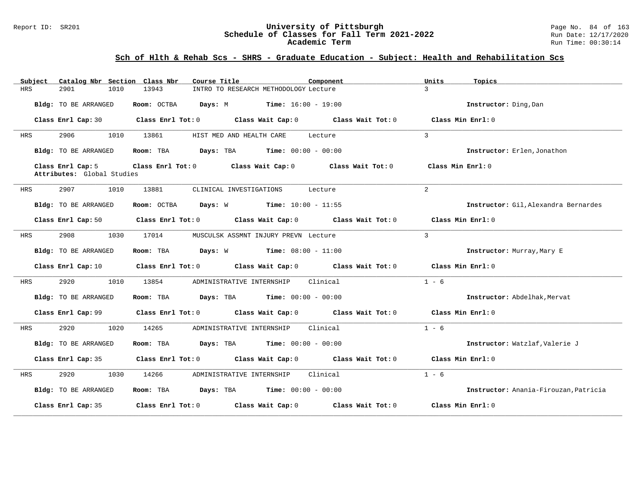#### Report ID: SR201 **1988 1999 12: SR201 University of Pittsburgh** Page No. 84 of 163<br>**Schedule of Classes for Fall Term 2021-2022** 1999 12: 12/17/2020 **Schedule of Classes for Fall Term 2021-2022** Run Date: 12/17/2020 **Academic Term** Run Time: 00:30:14

| Subject | Catalog Nbr Section Class Nbr                   | Course Title                                                                    | Component                    | Units<br>Topics                       |
|---------|-------------------------------------------------|---------------------------------------------------------------------------------|------------------------------|---------------------------------------|
| HRS     | 2901<br>1010                                    | 13943<br>INTRO TO RESEARCH METHODOLOGY Lecture                                  |                              | $\mathcal{L}$                         |
|         | Bldg: TO BE ARRANGED                            | Room: OCTBA Days: M                                                             | <b>Time:</b> $16:00 - 19:00$ | Instructor: Ding, Dan                 |
|         | Class Enrl Cap: 30                              | Class Enrl Tot: $0$ Class Wait Cap: $0$ Class Wait Tot: $0$                     |                              | Class Min Enrl: 0                     |
| HRS     | 2906<br>1010                                    | 13861<br>HIST MED AND HEALTH CARE                                               | Lecture                      | $\mathcal{L}$                         |
|         | Bldg: TO BE ARRANGED                            | <b>Days:</b> TBA <b>Time:</b> $00:00 - 00:00$<br>Room: TBA                      |                              | Instructor: Erlen, Jonathon           |
|         | Class Enrl Cap: 5<br>Attributes: Global Studies | Class Enrl Tot: $0$ Class Wait Cap: $0$ Class Wait Tot: $0$                     |                              | Class Min $Enr1:0$                    |
| HRS     | 2907<br>1010                                    | 13881<br>CLINICAL INVESTIGATIONS Lecture                                        |                              | $\overline{2}$                        |
|         | Bldg: TO BE ARRANGED                            | Room: OCTBA $Days: W$ Time: $10:00 - 11:55$                                     |                              | Instructor: Gil, Alexandra Bernardes  |
|         | Class Enrl Cap: 50                              | Class Enrl Tot: $0$ Class Wait Cap: $0$ Class Wait Tot: $0$ Class Min Enrl: $0$ |                              |                                       |
| HRS     | 2908<br>1030                                    | 17014<br>MUSCULSK ASSMNT INJURY PREVN Lecture                                   |                              | $\mathcal{L}$                         |
|         | Bldg: TO BE ARRANGED                            | <b>Days:</b> $W$ <b>Time:</b> $08:00 - 11:00$<br>Room: TBA                      |                              | Instructor: Murray, Mary E            |
|         | Class Enrl Cap: 10                              | Class Enrl Tot: $0$ Class Wait Cap: $0$ Class Wait Tot: $0$                     |                              | Class Min Enrl: 0                     |
| HRS     | 2920<br>1010                                    | 13854<br>ADMINISTRATIVE INTERNSHIP Clinical                                     |                              | $1 - 6$                               |
|         | Bldg: TO BE ARRANGED                            | <b>Days:</b> TBA <b>Time:</b> $00:00 - 00:00$<br>Room: TBA                      |                              | Instructor: Abdelhak, Mervat          |
|         | Class Enrl Cap: 99                              | Class Enrl Tot: $0$ Class Wait Cap: $0$ Class Wait Tot: $0$ Class Min Enrl: $0$ |                              |                                       |
| HRS     | 2920<br>1020                                    | 14265<br>ADMINISTRATIVE INTERNSHIP                                              | Clinical                     | $1 - 6$                               |
|         | Bldg: TO BE ARRANGED                            | Room: TBA $Days:$ TBA $Time: 00:00 - 00:00$                                     |                              | Instructor: Watzlaf, Valerie J        |
|         | Class Enrl Cap: 35                              | Class Enrl Tot: $0$ Class Wait Cap: $0$ Class Wait Tot: $0$ Class Min Enrl: $0$ |                              |                                       |
| HRS     | 2920<br>1030                                    | 14266<br>ADMINISTRATIVE INTERNSHIP                                              | Clinical                     | $1 - 6$                               |
|         | Bldg: TO BE ARRANGED                            | Room: TBA $Days:$ TBA $Time: 00:00 - 00:00$                                     |                              | Instructor: Anania-Firouzan, Patricia |
|         | Class Enrl Cap: 35                              | Class Enrl Tot: 0 Class Wait Cap: 0 Class Wait Tot: 0                           |                              | Class Min Enrl: 0                     |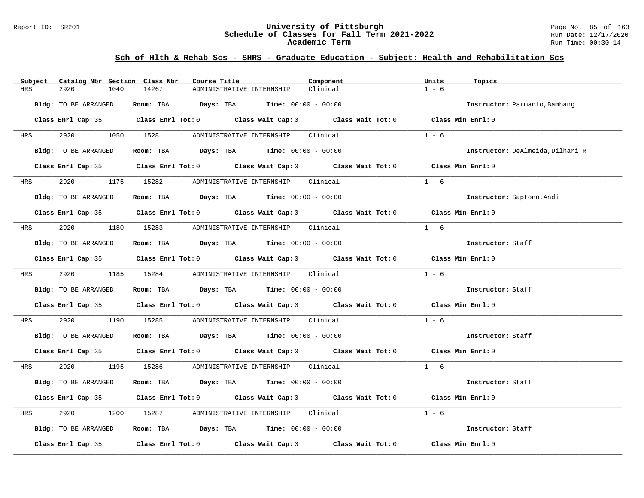#### Report ID: SR201 **University of Pittsburgh** Page No. 85 of 163 **Schedule of Classes for Fall Term 2021-2022** Run Date: 12/17/2020 **Academic Term** Run Time: 00:30:14

| Subject              | Catalog Nbr Section Class Nbr | Course Title |                                                                                       | Component                                                                                           | Units<br>Topics                  |  |
|----------------------|-------------------------------|--------------|---------------------------------------------------------------------------------------|-----------------------------------------------------------------------------------------------------|----------------------------------|--|
| 2920<br>HRS          | 1040                          | 14267        | ADMINISTRATIVE INTERNSHIP                                                             | Clinical                                                                                            | $1 - 6$                          |  |
| Bldg: TO BE ARRANGED |                               |              | Room: TBA $Days: TBA$ Time: $00:00 - 00:00$                                           |                                                                                                     | Instructor: Parmanto, Bambang    |  |
|                      |                               |              |                                                                                       | Class Enrl Cap: 35 Class Enrl Tot: 0 Class Wait Cap: 0 Class Wait Tot: 0 Class Min Enrl: 0          |                                  |  |
| <b>HRS</b>           | 2920 1050 15281               |              | ADMINISTRATIVE INTERNSHIP Clinical                                                    |                                                                                                     | $1 - 6$                          |  |
|                      | Bldg: TO BE ARRANGED          |              | Room: TBA $\rule{1em}{0.15mm}$ Days: TBA $\rule{1.5mm}{0.15mm}$ Time: $00:00 - 00:00$ |                                                                                                     | Instructor: DeAlmeida, Dilhari R |  |
|                      |                               |              |                                                                                       | Class Enrl Cap: 35 Class Enrl Tot: 0 Class Wait Cap: 0 Class Wait Tot: 0                            | Class Min Enrl: 0                |  |
|                      |                               |              | HRS 2920 1175 15282 ADMINISTRATIVE_INTERNSHIP Clinical                                |                                                                                                     | $1 - 6$                          |  |
|                      | Bldg: TO BE ARRANGED          |              | Room: TBA $\rule{1em}{0.15mm}$ Days: TBA Time: $00:00 - 00:00$                        |                                                                                                     | Instructor: Saptono, Andi        |  |
|                      |                               |              |                                                                                       | Class Enrl Cap: 35 Class Enrl Tot: 0 Class Wait Cap: 0 Class Wait Tot: 0 Class Min Enrl: 0          |                                  |  |
| <b>HRS</b>           | 2920                          |              | 1180 15283 ADMINISTRATIVE INTERNSHIP Clinical                                         |                                                                                                     | $1 - 6$                          |  |
|                      | Bldg: TO BE ARRANGED          |              | Room: TBA $\rule{1em}{0.15mm}$ Days: TBA Time: $00:00 - 00:00$                        |                                                                                                     | Instructor: Staff                |  |
|                      |                               |              |                                                                                       | Class Enrl Cap: 35 Class Enrl Tot: 0 Class Wait Cap: 0 Class Wait Tot: 0 Class Min Enrl: 0          |                                  |  |
|                      |                               |              | HRS 2920 1185 15284 ADMINISTRATIVE INTERNSHIP Clinical                                |                                                                                                     | $1 - 6$                          |  |
|                      | Bldg: TO BE ARRANGED          |              | Room: TBA $Days:$ TBA $Time: 00:00 - 00:00$                                           |                                                                                                     | Instructor: Staff                |  |
|                      |                               |              |                                                                                       | Class Enrl Cap: 35 Class Enrl Tot: 0 Class Wait Cap: 0 Class Wait Tot: 0 Class Min Enrl: 0          |                                  |  |
| HRS                  | 2920 20                       |              | 1190 15285 ADMINISTRATIVE INTERNSHIP Clinical                                         |                                                                                                     | $1 - 6$                          |  |
|                      | Bldg: TO BE ARRANGED          |              | Room: TBA Days: TBA Time: $00:00 - 00:00$                                             |                                                                                                     | Instructor: Staff                |  |
|                      |                               |              |                                                                                       | Class Enrl Cap: 35 Class Enrl Tot: 0 Class Wait Cap: 0 Class Wait Tot: 0 Class Min Enrl: 0          |                                  |  |
| <b>HRS</b>           |                               |              | 2920 1195 15286 ADMINISTRATIVE INTERNSHIP Clinical                                    |                                                                                                     | $1 - 6$                          |  |
|                      | Bldg: TO BE ARRANGED          |              | Room: TBA $Days:$ TBA $Time: 00:00 - 00:00$                                           |                                                                                                     | Instructor: Staff                |  |
|                      |                               |              |                                                                                       | Class Enrl Cap: 35 Class Enrl Tot: 0 Class Wait Cap: 0 Class Wait Tot: 0 Class Min Enrl: 0          |                                  |  |
| 2920<br>HRS          | 1200                          |              |                                                                                       |                                                                                                     | $1 - 6$                          |  |
|                      | Bldg: TO BE ARRANGED          |              | Room: TBA $Days:$ TBA $Time: 00:00 - 00:00$                                           |                                                                                                     | Instructor: Staff                |  |
|                      |                               |              |                                                                                       | Class Enrl Cap: 35 $\qquad$ Class Enrl Tot: 0 $\qquad$ Class Wait Cap: 0 $\qquad$ Class Wait Tot: 0 | Class Min Enrl: 0                |  |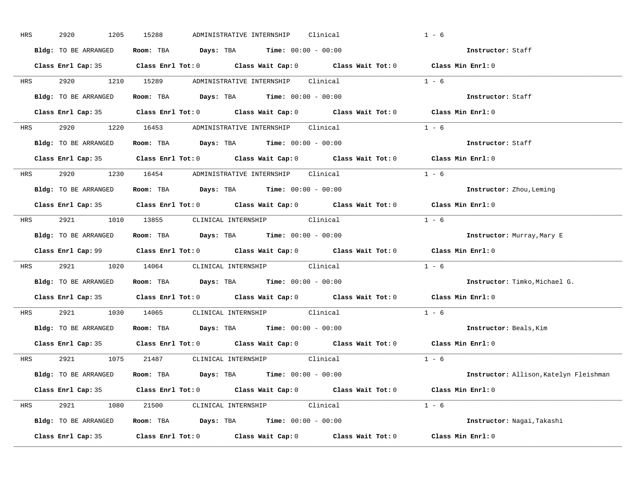| HRS        | 2920<br>1205         | 15288<br>ADMINISTRATIVE INTERNSHIP<br>Clinical                                                      | $1 - 6$                                |  |
|------------|----------------------|-----------------------------------------------------------------------------------------------------|----------------------------------------|--|
|            | Bldg: TO BE ARRANGED | Room: TBA $Days: TBA$ Time: $00:00 - 00:00$                                                         | Instructor: Staff                      |  |
|            |                      | Class Enrl Cap: 35 Class Enrl Tot: 0 Class Wait Cap: 0 Class Wait Tot: 0 Class Min Enrl: 0          |                                        |  |
|            |                      | HRS 2920 1210 15289 ADMINISTRATIVE INTERNSHIP Clinical                                              | $1 - 6$                                |  |
|            | Bldg: TO BE ARRANGED | Room: TBA Days: TBA Time: $00:00 - 00:00$                                                           | Instructor: Staff                      |  |
|            |                      | Class Enrl Cap: 35 Class Enrl Tot: 0 Class Wait Cap: 0 Class Wait Tot: 0 Class Min Enrl: 0          |                                        |  |
|            |                      | HRS 2920 1220 16453 ADMINISTRATIVE INTERNSHIP Clinical                                              | $1 - 6$                                |  |
|            |                      | Bldg: TO BE ARRANGED Room: TBA Days: TBA Time: 00:00 - 00:00                                        | Instructor: Staff                      |  |
|            |                      | Class Enrl Cap: 35 $\qquad$ Class Enrl Tot: 0 $\qquad$ Class Wait Cap: 0 $\qquad$ Class Wait Tot: 0 | Class Min Enrl: 0                      |  |
|            |                      | HRS 2920 1230 16454 ADMINISTRATIVE INTERNSHIP Clinical                                              | $1 - 6$                                |  |
|            | Bldg: TO BE ARRANGED | Room: TBA $\rule{1em}{0.15mm}$ Days: TBA $\rule{1.15mm}]{0.15mm}$ Time: $0.000 - 0.0000$            | Instructor: Zhou, Leming               |  |
|            |                      | Class Enrl Cap: 35 Class Enrl Tot: 0 Class Wait Cap: 0 Class Wait Tot: 0 Class Min Enrl: 0          |                                        |  |
|            |                      | HRS 2921 1010 13855 CLINICAL INTERNSHIP Clinical                                                    | $1 - 6$                                |  |
|            | Bldg: TO BE ARRANGED | Room: TBA $Days:$ TBA $Time: 00:00 - 00:00$                                                         | Instructor: Murray, Mary E             |  |
|            |                      | Class Enrl Cap: 99 Class Enrl Tot: 0 Class Wait Cap: 0 Class Wait Tot: 0 Class Min Enrl: 0          |                                        |  |
|            |                      | HRS 2921 1020 14064 CLINICAL INTERNSHIP Clinical                                                    | $1 - 6$                                |  |
|            |                      | Bldg: TO BE ARRANGED ROOM: TBA Days: TBA Time: 00:00 - 00:00                                        | Instructor: Timko, Michael G.          |  |
|            |                      | Class Enrl Cap: 35 Class Enrl Tot: 0 Class Wait Cap: 0 Class Wait Tot: 0                            | Class Min Enrl: 0                      |  |
| <b>HRS</b> |                      | 2921 1030 14065 CLINICAL INTERNSHIP Clinical                                                        | $1 - 6$                                |  |
|            |                      | Bldg: TO BE ARRANGED Room: TBA Days: TBA Time: 00:00 - 00:00                                        | Instructor: Beals, Kim                 |  |
|            |                      | Class Enrl Cap: 35 Class Enrl Tot: 0 Class Wait Cap: 0 Class Wait Tot: 0 Class Min Enrl: 0          |                                        |  |
|            |                      | HRS 2921 1075 21487 CLINICAL INTERNSHIP Clinical                                                    | $1 - 6$                                |  |
|            |                      | Bldg: TO BE ARRANGED Room: TBA Days: TBA Time: 00:00 - 00:00                                        | Instructor: Allison, Katelyn Fleishman |  |
|            |                      | Class Enrl Cap: 35 Class Enrl Tot: 0 Class Wait Cap: 0 Class Wait Tot: 0 Class Min Enrl: 0          |                                        |  |
|            |                      | HRS 2921 1080 21500 CLINICAL INTERNSHIP Clinical                                                    | $1 - 6$                                |  |
|            |                      | <b>Bldg:</b> TO BE ARRANGED <b>Room:</b> TBA <b>Days:</b> TBA <b>Time:</b> $00:00 - 00:00$          | Instructor: Nagai, Takashi             |  |
|            |                      | Class Enrl Cap: 35 Class Enrl Tot: 0 Class Wait Cap: 0 Class Wait Tot: 0 Class Min Enrl: 0          |                                        |  |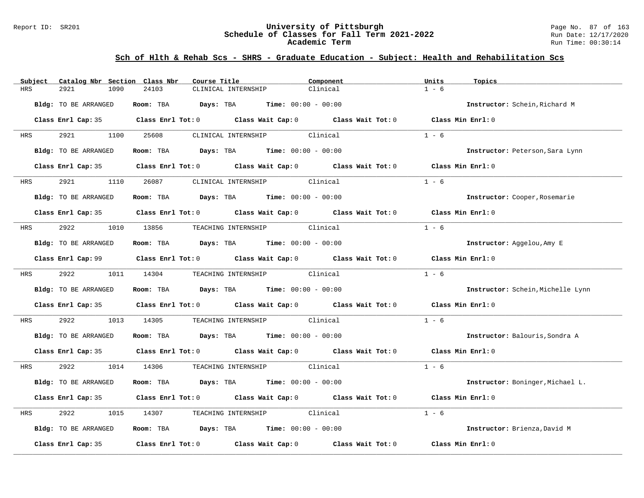#### Report ID: SR201 **University of Pittsburgh** Page No. 87 of 163 **Schedule of Classes for Fall Term 2021-2022** Run Date: 12/17/2020 **Academic Term** Run Time: 00:30:14

| Subject    | Catalog Nbr Section Class Nbr | Course Title                                                                                                                                                                                                                  | Component | Units<br>Topics                   |
|------------|-------------------------------|-------------------------------------------------------------------------------------------------------------------------------------------------------------------------------------------------------------------------------|-----------|-----------------------------------|
| <b>HRS</b> | 2921<br>1090                  | 24103<br>CLINICAL INTERNSHIP                                                                                                                                                                                                  | Clinical  | $1 - 6$                           |
|            | Bldg: TO BE ARRANGED          | Room: TBA $Days:$ TBA $Time: 00:00 - 00:00$                                                                                                                                                                                   |           | Instructor: Schein, Richard M     |
|            |                               | Class Enrl Cap: 35 Class Enrl Tot: 0 Class Wait Cap: 0 Class Wait Tot: 0                                                                                                                                                      |           | Class Min Enrl: 0                 |
| HRS        | 2921 2022<br>1100             | 25608<br>CLINICAL INTERNSHIP Clinical                                                                                                                                                                                         |           | $1 - 6$                           |
|            | Bldg: TO BE ARRANGED          | <b>Days:</b> TBA <b>Time:</b> $00:00 - 00:00$<br>Room: TBA                                                                                                                                                                    |           | Instructor: Peterson, Sara Lynn   |
|            |                               | Class Enrl Cap: 35 Class Enrl Tot: 0 Class Wait Cap: 0 Class Wait Tot: 0                                                                                                                                                      |           | Class Min Enrl: 0                 |
| <b>HRS</b> | 2921 2022                     | CLINICAL INTERNSHIP Clinical<br>1110 26087                                                                                                                                                                                    |           | $1 - 6$                           |
|            | Bldg: TO BE ARRANGED          | Room: TBA $Days:$ TBA $Time: 00:00 - 00:00$                                                                                                                                                                                   |           | Instructor: Cooper, Rosemarie     |
|            |                               | Class Enrl Cap: 35 $\qquad$ Class Enrl Tot: 0 $\qquad$ Class Wait Cap: 0 $\qquad$ Class Wait Tot: 0                                                                                                                           |           | Class Min $Enr1:0$                |
| HRS        | 2922                          | 1010 13856<br>TEACHING INTERNSHIP Clinical                                                                                                                                                                                    |           | $1 - 6$                           |
|            | Bldg: TO BE ARRANGED          | Room: TBA $Days:$ TBA $Time: 00:00 - 00:00$                                                                                                                                                                                   |           | Instructor: Aggelou, Amy E        |
|            |                               |                                                                                                                                                                                                                               |           | Class Min Enrl: 0                 |
| <b>HRS</b> | 2922                          | 1011 14304<br>TEACHING INTERNSHIP Clinical                                                                                                                                                                                    |           | $1 - 6$                           |
|            | Bldg: TO BE ARRANGED          | Room: TBA $Days: TBA$ Time: $00:00 - 00:00$                                                                                                                                                                                   |           | Instructor: Schein, Michelle Lynn |
|            |                               | Class Enrl Cap: 35 $\,$ Class Enrl Tot: 0 $\,$ Class Wait Cap: 0 $\,$ Class Wait Tot: 0 $\,$ Class Enrl Tot: 0 $\,$ Class Enrl Tot: 0 $\,$ Class Enrl Tot: 0 $\,$ Class Enrl Tot: 0 $\,$ Class Enrl Tot: 0 $\,$ Class Enrl To |           | Class Min Enrl: 0                 |
| HRS        | 2922<br>1013                  | TEACHING INTERNSHIP Clinical<br>14305                                                                                                                                                                                         |           | $1 - 6$                           |
|            | Bldg: TO BE ARRANGED          | Room: TBA $Days:$ TBA $Time: 00:00 - 00:00$                                                                                                                                                                                   |           | Instructor: Balouris, Sondra A    |
|            |                               | Class Enrl Cap: 35 Class Enrl Tot: 0 Class Wait Cap: 0 Class Wait Tot: 0 Class Min Enrl: 0                                                                                                                                    |           |                                   |
| HRS        | 2922                          | 1014 14306<br>TEACHING INTERNSHIP Clinical                                                                                                                                                                                    |           | $1 - 6$                           |
|            | Bldg: TO BE ARRANGED          | Room: TBA $\rule{1em}{0.15mm}$ Days: TBA $\qquad$ Time: $00:00 - 00:00$                                                                                                                                                       |           | Instructor: Boninger, Michael L.  |
|            |                               | Class Enrl Cap: 35 Class Enrl Tot: 0 Class Wait Cap: 0 Class Wait Tot: 0                                                                                                                                                      |           | Class Min Enrl: 0                 |
| HRS        | 2922<br>1015                  | TEACHING INTERNSHIP Clinical<br>14307                                                                                                                                                                                         |           | $1 - 6$                           |
|            | Bldg: TO BE ARRANGED          | Room: TBA $Days:$ TBA $Time: 00:00 - 00:00$                                                                                                                                                                                   |           | Instructor: Brienza, David M      |
|            | Class Enrl Cap: 35            | Class Enrl Tot: $0$ Class Wait Cap: $0$ Class Wait Tot: $0$                                                                                                                                                                   |           | Class Min Enrl: 0                 |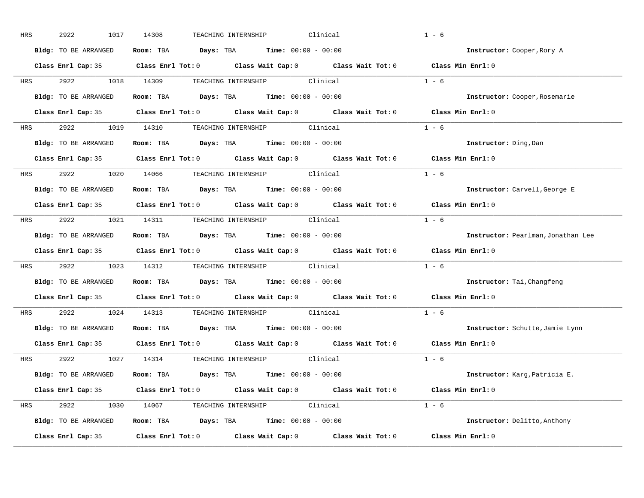| HRS        | 2922<br>1017         | Clinical<br>14308<br>TEACHING INTERNSHIP                                                            | $1 - 6$                            |
|------------|----------------------|-----------------------------------------------------------------------------------------------------|------------------------------------|
|            | Bldg: TO BE ARRANGED | Room: TBA $Days:$ TBA $Time: 00:00 - 00:00$                                                         | Instructor: Cooper, Rory A         |
|            |                      | Class Enrl Cap: 35 Class Enrl Tot: 0 Class Wait Cap: 0 Class Wait Tot: 0 Class Min Enrl: 0          |                                    |
|            |                      | HRS 2922 1018 14309 TEACHING INTERNSHIP Clinical                                                    | $1 - 6$                            |
|            | Bldg: TO BE ARRANGED | Room: TBA $Days: TBA$ Time: $00:00 - 00:00$                                                         | Instructor: Cooper, Rosemarie      |
|            |                      | Class Enrl Cap: 35 Class Enrl Tot: 0 Class Wait Cap: 0 Class Wait Tot: 0 Class Min Enrl: 0          |                                    |
|            |                      | HRS 2922 1019 14310 TEACHING INTERNSHIP Clinical                                                    | $1 - 6$                            |
|            |                      | Bldg: TO BE ARRANGED Room: TBA Days: TBA Time: 00:00 - 00:00                                        | Instructor: Ding, Dan              |
|            |                      | Class Enrl Cap: 35 $\qquad$ Class Enrl Tot: 0 $\qquad$ Class Wait Cap: 0 $\qquad$ Class Wait Tot: 0 | Class Min Enrl: 0                  |
|            |                      | HRS 2922 1020 14066 TEACHING INTERNSHIP Clinical                                                    | $1 - 6$                            |
|            | Bldg: TO BE ARRANGED | Room: TBA $Days:$ TBA $Time: 00:00 - 00:00$                                                         | Instructor: Carvell, George E      |
|            |                      | Class Enrl Cap: 35 Class Enrl Tot: 0 Class Wait Cap: 0 Class Wait Tot: 0 Class Min Enrl: 0          |                                    |
| HRS        |                      | 2922 1021 14311 TEACHING INTERNSHIP Clinical                                                        | $1 - 6$                            |
|            | Bldg: TO BE ARRANGED | Room: TBA $Days:$ TBA Time: $00:00 - 00:00$                                                         | Instructor: Pearlman, Jonathan Lee |
|            |                      | Class Enrl Cap: 35 Class Enrl Tot: 0 Class Wait Cap: 0 Class Wait Tot: 0                            | Class Min Enrl: 0                  |
| <b>HRS</b> |                      | 2922 1023 14312 TEACHING INTERNSHIP Clinical                                                        | $1 - 6$                            |
|            | Bldg: TO BE ARRANGED | Room: TBA $\rule{1em}{0.15mm}$ Days: TBA $\rule{1.5mm}{0.15mm}$ Time: $00:00 - 00:00$               | Instructor: Tai, Changfeng         |
|            |                      | Class Enrl Cap: 35 Class Enrl Tot: 0 Class Wait Cap: 0 Class Wait Tot: 0                            | Class Min Enrl: 0                  |
| <b>HRS</b> |                      | 2922 1024 14313 TEACHING INTERNSHIP Clinical                                                        | $1 - 6$                            |
|            | Bldg: TO BE ARRANGED | Room: TBA $Days:$ TBA $Time: 00:00 - 00:00$                                                         | Instructor: Schutte, Jamie Lynn    |
|            | Class Enrl Cap: 35   | Class Enrl Tot: $0$ Class Wait Cap: $0$ Class Wait Tot: $0$                                         | Class Min Enrl: 0                  |
|            |                      | HRS 2922 1027 14314 TEACHING INTERNSHIP Clinical                                                    | $1 - 6$                            |
|            |                      | Bldg: TO BE ARRANGED Room: TBA Days: TBA Time: 00:00 - 00:00                                        | Instructor: Karg, Patricia E.      |
|            |                      | Class Enrl Cap: 35 Class Enrl Tot: 0 Class Wait Cap: 0 Class Wait Tot: 0 Class Min Enrl: 0          |                                    |
|            |                      | HRS 2922 1030 14067 TEACHING INTERNSHIP Clinical                                                    | $1 - 6$                            |
|            |                      | Bldg: TO BE ARRANGED Room: TBA Days: TBA Time: 00:00 - 00:00                                        | Instructor: Delitto, Anthony       |
|            |                      | Class Enrl Cap: 35 Class Enrl Tot: 0 Class Wait Cap: 0 Class Wait Tot: 0 Class Min Enrl: 0          |                                    |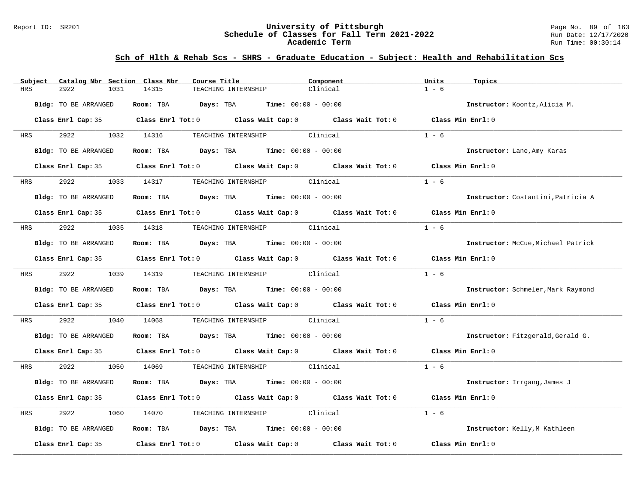#### Report ID: SR201 **University of Pittsburgh** Page No. 89 of 163 **Schedule of Classes for Fall Term 2021-2022** Run Date: 12/17/2020 **Academic Term** Run Time: 00:30:14

| Catalog Nbr Section Class Nbr<br>Subject | Course Title                                                                               | Component                    | Units<br>Topics                    |
|------------------------------------------|--------------------------------------------------------------------------------------------|------------------------------|------------------------------------|
| <b>HRS</b><br>2922<br>1031               | 14315<br>TEACHING INTERNSHIP                                                               | Clinical                     | $1 - 6$                            |
| Bldg: TO BE ARRANGED                     | <b>Days:</b> TBA <b>Time:</b> $00:00 - 00:00$<br>Room: TBA                                 |                              | Instructor: Koontz, Alicia M.      |
|                                          | Class Enrl Cap: 35 Class Enrl Tot: 0 Class Wait Cap: 0 Class Wait Tot: 0 Class Min Enrl: 0 |                              |                                    |
| 2922 1032 14316<br>HRS                   |                                                                                            | TEACHING INTERNSHIP Clinical | $1 - 6$                            |
| Bldg: TO BE ARRANGED                     | Room: TBA $Days:$ TBA $Time: 00:00 - 00:00$                                                |                              | Instructor: Lane, Amy Karas        |
|                                          | Class Enrl Cap: 35 Class Enrl Tot: 0 Class Wait Cap: 0 Class Wait Tot: 0                   |                              | Class Min Enrl: 0                  |
| 2922<br>HRS                              | 1033 14317                                                                                 | TEACHING INTERNSHIP Clinical | $1 - 6$                            |
| Bldg: TO BE ARRANGED                     | Room: TBA $Days:$ TBA $Time: 00:00 - 00:00$                                                |                              | Instructor: Costantini, Patricia A |
|                                          | Class Enrl Cap: 35 Class Enrl Tot: 0 Class Wait Cap: 0 Class Wait Tot: 0                   |                              | Class Min Enrl: 0                  |
| 2922<br>HRS                              | 1035 14318 TEACHING INTERNSHIP Clinical                                                    |                              | $1 - 6$                            |
| Bldg: TO BE ARRANGED                     | Room: TBA $Days:$ TBA Time: $00:00 - 00:00$                                                |                              | Instructor: McCue, Michael Patrick |
|                                          | Class Enrl Cap: 35 Class Enrl Tot: 0 Class Wait Cap: 0 Class Wait Tot: 0                   |                              | Class Min Enrl: 0                  |
| 2922<br><b>HRS</b>                       | 1039 14319                                                                                 | TEACHING INTERNSHIP Clinical | $1 - 6$                            |
| Bldg: TO BE ARRANGED                     | Room: TBA Days: TBA Time: $00:00 - 00:00$                                                  |                              | Instructor: Schmeler, Mark Raymond |
|                                          | Class Enrl Cap: 35 Class Enrl Tot: 0 Class Wait Cap: 0 Class Wait Tot: 0                   |                              | Class Min Enrl: 0                  |
| 2922<br>HRS<br>1040                      | 14068                                                                                      | TEACHING INTERNSHIP Clinical | $1 - 6$                            |
| Bldg: TO BE ARRANGED                     | Room: TBA $Days:$ TBA $Time: 00:00 - 00:00$                                                |                              | Instructor: Fitzgerald, Gerald G.  |
|                                          | Class Enrl Cap: 35 Class Enrl Tot: 0 Class Wait Cap: 0 Class Wait Tot: 0 Class Min Enrl: 0 |                              |                                    |
| HRS                                      | 2922 1050 14069                                                                            | TEACHING INTERNSHIP Clinical | $1 - 6$                            |
| Bldg: TO BE ARRANGED                     | Room: TBA $Days:$ TBA $Time: 00:00 - 00:00$                                                |                              | Instructor: Irrgang, James J       |
|                                          | Class Enrl Cap: 35 Class Enrl Tot: 0 Class Wait Cap: 0 Class Wait Tot: 0                   |                              | Class Min Enrl: 0                  |
| 2922<br>HRS<br>1060                      | 14070                                                                                      | TEACHING INTERNSHIP Clinical | $1 - 6$                            |
| Bldg: TO BE ARRANGED                     | Room: TBA $Days: TBA$ Time: $00:00 - 00:00$                                                |                              | Instructor: Kelly, M Kathleen      |
| Class Enrl Cap: 35                       | Class Enrl Tot: $0$ Class Wait Cap: $0$ Class Wait Tot: $0$                                |                              | Class Min Enrl: 0                  |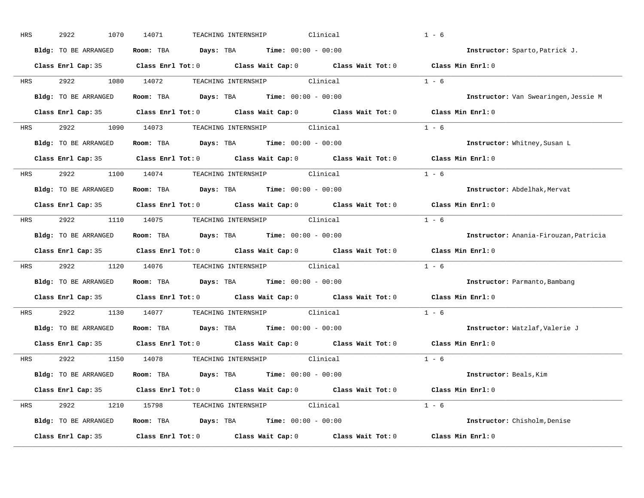| HRS        | 2922<br>1070         | 14071<br>TEACHING INTERNSHIP<br>Clinical                                                            | $1 - 6$                               |
|------------|----------------------|-----------------------------------------------------------------------------------------------------|---------------------------------------|
|            | Bldg: TO BE ARRANGED | Room: TBA $Days: TBA$ Time: $00:00 - 00:00$                                                         | Instructor: Sparto, Patrick J.        |
|            |                      | Class Enrl Cap: 35 Class Enrl Tot: 0 Class Wait Cap: 0 Class Wait Tot: 0 Class Min Enrl: 0          |                                       |
| <b>HRS</b> |                      | 2922 1080 14072 TEACHING INTERNSHIP Clinical                                                        | $1 - 6$                               |
|            | Bldg: TO BE ARRANGED | Room: TBA Days: TBA Time: $00:00 - 00:00$                                                           | Instructor: Van Swearingen, Jessie M  |
|            |                      | Class Enrl Cap: 35 Class Enrl Tot: 0 Class Wait Cap: 0 Class Wait Tot: 0 Class Min Enrl: 0          |                                       |
| HRS        |                      | 2922 1090 14073 TEACHING INTERNSHIP Clinical                                                        | $1 - 6$                               |
|            | Bldg: TO BE ARRANGED | Room: TBA Days: TBA Time: $00:00 - 00:00$                                                           | Instructor: Whitney, Susan L          |
|            |                      | Class Enrl Cap: 35 $\qquad$ Class Enrl Tot: 0 $\qquad$ Class Wait Cap: 0 $\qquad$ Class Wait Tot: 0 | Class Min Enrl: 0                     |
| <b>HRS</b> |                      | 2922 1100 14074 TEACHING INTERNSHIP Clinical                                                        | $1 - 6$                               |
|            | Bldg: TO BE ARRANGED | Room: TBA $Days:$ TBA $Time: 00:00 - 00:00$                                                         | Instructor: Abdelhak, Mervat          |
|            |                      | Class Enrl Cap: 35 Class Enrl Tot: 0 Class Wait Cap: 0 Class Wait Tot: 0                            | Class Min Enrl: 0                     |
| HRS        |                      | 2922 1110 14075 TEACHING INTERNSHIP Clinical                                                        | $1 - 6$                               |
|            | Bldg: TO BE ARRANGED | Room: TBA $\rule{1em}{0.15mm}$ Days: TBA Time: $00:00 - 00:00$                                      | Instructor: Anania-Firouzan, Patricia |
|            |                      | Class Enrl Cap: 35 Class Enrl Tot: 0 Class Wait Cap: 0 Class Wait Tot: 0                            | Class Min Enrl: 0                     |
| <b>HRS</b> |                      | 2922 1120 14076 TEACHING INTERNSHIP Clinical                                                        | $1 - 6$                               |
|            | Bldg: TO BE ARRANGED | Room: TBA $Days:$ TBA Time: $00:00 - 00:00$                                                         | Instructor: Parmanto, Bambang         |
|            |                      | Class Enrl Cap: 35 Class Enrl Tot: 0 Class Wait Cap: 0 Class Wait Tot: 0                            | Class Min Enrl: 0                     |
| <b>HRS</b> |                      | 2922 1130 14077 TEACHING INTERNSHIP Clinical                                                        | $1 - 6$                               |
|            | Bldg: TO BE ARRANGED | Room: TBA $Days:$ TBA $Time: 00:00 - 00:00$                                                         | Instructor: Watzlaf, Valerie J        |
|            |                      | Class Enrl Cap: 35 Class Enrl Tot: 0 Class Wait Cap: 0 Class Wait Tot: 0                            | Class Min Enrl: 0                     |
|            |                      | HRS 2922 1150 14078 TEACHING INTERNSHIP Clinical                                                    | $1 - 6$                               |
|            | Bldg: TO BE ARRANGED | Room: TBA $Days:$ TBA $Time: 00:00 - 00:00$                                                         | Instructor: Beals, Kim                |
|            |                      | Class Enrl Cap: 35 Class Enrl Tot: 0 Class Wait Cap: 0 Class Wait Tot: 0 Class Min Enrl: 0          |                                       |
|            |                      | HRS 2922 1210 15798 TEACHING INTERNSHIP Clinical                                                    | $1 - 6$                               |
|            | Bldg: TO BE ARRANGED | Room: TBA $Days: TBA$ Time: $00:00 - 00:00$                                                         | Instructor: Chisholm, Denise          |
|            | Class Enrl Cap: 35   | Class Enrl Tot: $0$ Class Wait Cap: $0$ Class Wait Tot: $0$                                         | Class Min Enrl: 0                     |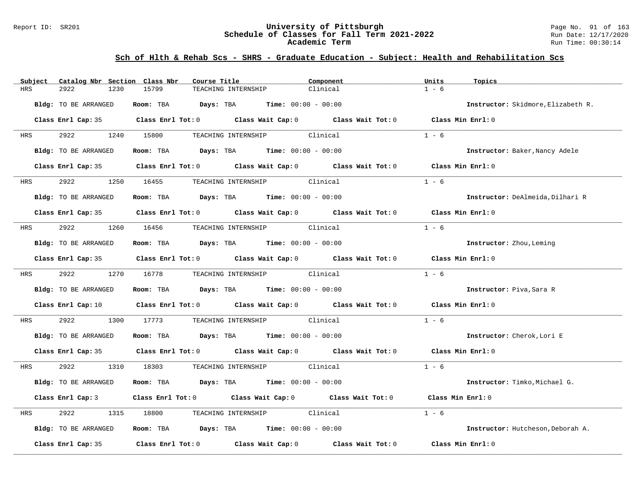#### Report ID: SR201 **University of Pittsburgh** Page No. 91 of 163 **Schedule of Classes for Fall Term 2021-2022** Run Date: 12/17/2020 **Academic Term** Run Time: 00:30:14

| Subject    | Catalog Nbr Section Class Nbr | Course Title                                                                                        | Component | Units<br>Topics                    |
|------------|-------------------------------|-----------------------------------------------------------------------------------------------------|-----------|------------------------------------|
| HRS        | 2922<br>1230                  | 15799<br>TEACHING INTERNSHIP                                                                        | Clinical  | $1 - 6$                            |
|            | Bldg: TO BE ARRANGED          | Room: TBA $Days:$ TBA $Time: 00:00 - 00:00$                                                         |           | Instructor: Skidmore, Elizabeth R. |
|            |                               | Class Enrl Cap: 35 $\qquad$ Class Enrl Tot: 0 $\qquad$ Class Wait Cap: 0 $\qquad$ Class Wait Tot: 0 |           | Class Min Enrl: 0                  |
| HRS        | 2922 2022                     | 1240 15800<br>TEACHING INTERNSHIP Clinical                                                          |           | $1 - 6$                            |
|            | Bldg: TO BE ARRANGED          | Room: TBA $Days:$ TBA $Time: 00:00 - 00:00$                                                         |           | Instructor: Baker, Nancy Adele     |
|            |                               | Class Enrl Cap: 35 $\qquad$ Class Enrl Tot: 0 $\qquad$ Class Wait Cap: 0 $\qquad$ Class Wait Tot: 0 |           | Class Min Enrl: 0                  |
| <b>HRS</b> | 2922                          | TEACHING INTERNSHIP Clinical<br>1250 16455                                                          |           | $1 - 6$                            |
|            | Bldg: TO BE ARRANGED          | Room: TBA $Days:$ TBA $Time: 00:00 - 00:00$                                                         |           | Instructor: DeAlmeida, Dilhari R   |
|            |                               | Class Enrl Cap: 35 $\qquad$ Class Enrl Tot: 0 $\qquad$ Class Wait Cap: 0 $\qquad$ Class Wait Tot: 0 |           | Class Min $Enr1:0$                 |
| HRS        | 2922                          | 1260 16456<br>TEACHING INTERNSHIP Clinical                                                          |           | $1 - 6$                            |
|            | Bldg: TO BE ARRANGED          | Room: TBA $Days:$ TBA $Time: 00:00 - 00:00$                                                         |           | Instructor: Zhou, Leming           |
|            |                               | Class Enrl Cap: 35 Class Enrl Tot: 0 Class Wait Cap: 0 Class Wait Tot: 0 Class Min Enrl: 0          |           |                                    |
| <b>HRS</b> | 2922 1270 16778               | TEACHING INTERNSHIP Clinical                                                                        |           | $1 - 6$                            |
|            | Bldg: TO BE ARRANGED          | Room: TBA $Days: TBA$ Time: $00:00 - 00:00$                                                         |           | Instructor: Piva, Sara R           |
|            |                               | Class Enrl Cap: 10 $\qquad$ Class Enrl Tot: 0 $\qquad$ Class Wait Cap: 0 $\qquad$ Class Wait Tot: 0 |           | Class Min Enrl: 0                  |
| HRS        | 2922<br>1300                  | 17773<br>TEACHING INTERNSHIP Clinical                                                               |           | $1 - 6$                            |
|            | Bldg: TO BE ARRANGED          | Room: TBA $Days:$ TBA $Time: 00:00 - 00:00$                                                         |           | Instructor: Cherok, Lori E         |
|            |                               | Class Enrl Cap: 35 Class Enrl Tot: 0 Class Wait Cap: 0 Class Wait Tot: 0 Class Min Enrl: 0          |           |                                    |
| HRS        | 2922                          | TEACHING INTERNSHIP Clinical<br>1310 18303                                                          |           | $1 - 6$                            |
|            | Bldg: TO BE ARRANGED          | Room: TBA $Days:$ TBA $Time: 00:00 - 00:00$                                                         |           | Instructor: Timko, Michael G.      |
|            | Class Enrl Cap: 3             | Class Enrl Tot: 0 $\qquad$ Class Wait Cap: 0 $\qquad$ Class Wait Tot: 0                             |           | Class Min Enrl: 0                  |
| HRS        | 2922<br>1315                  | TEACHING INTERNSHIP Clinical<br>18800                                                               |           | $1 - 6$                            |
|            | Bldg: TO BE ARRANGED          | Room: TBA $Days:$ TBA $Time: 00:00 - 00:00$                                                         |           | Instructor: Hutcheson, Deborah A.  |
|            | Class Enrl Cap: 35            | Class Enrl Tot: $0$ Class Wait Cap: $0$ Class Wait Tot: $0$                                         |           | Class Min Enrl: 0                  |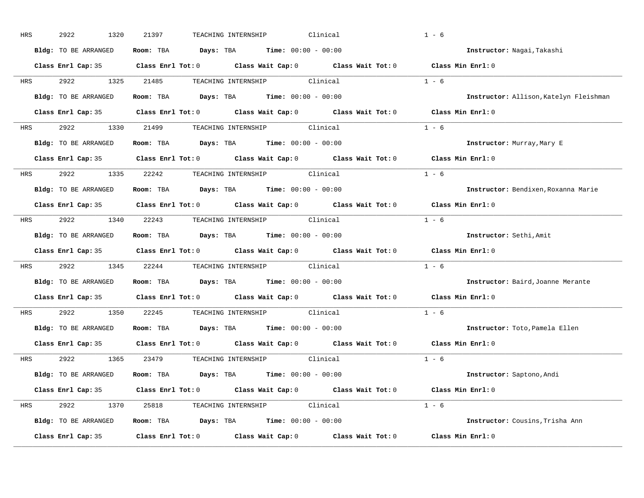| HRS        | 2922<br>1320         | Clinical<br>21397<br>TEACHING INTERNSHIP                                                       | $1 - 6$                                |
|------------|----------------------|------------------------------------------------------------------------------------------------|----------------------------------------|
|            | Bldg: TO BE ARRANGED | Room: TBA $Days:$ TBA $Time: 00:00 - 00:00$                                                    | Instructor: Nagai, Takashi             |
|            |                      | Class Enrl Cap: 35 Class Enrl Tot: 0 Class Wait Cap: 0 Class Wait Tot: 0 Class Min Enrl: 0     |                                        |
|            |                      | HRS 2922 1325 21485 TEACHING INTERNSHIP Clinical                                               | $1 - 6$                                |
|            | Bldg: TO BE ARRANGED | Room: TBA Days: TBA Time: $00:00 - 00:00$                                                      | Instructor: Allison, Katelyn Fleishman |
|            |                      | Class Enrl Cap: 35 Class Enrl Tot: 0 Class Wait Cap: 0 Class Wait Tot: 0 Class Min Enrl: 0     |                                        |
| HRS        |                      | 2922 1330 21499 TEACHING INTERNSHIP Clinical                                                   | $1 - 6$                                |
|            |                      | Bldg: TO BE ARRANGED Room: TBA Days: TBA Time: 00:00 - 00:00                                   | Instructor: Murray, Mary E             |
|            |                      | Class Enrl Cap: 35 Class Enrl Tot: 0 Class Wait Cap: 0 Class Wait Tot: 0                       | Class Min $Enr1:0$                     |
|            |                      | HRS 2922 1335 22242 TEACHING INTERNSHIP Clinical                                               | $1 - 6$                                |
|            | Bldg: TO BE ARRANGED | Room: TBA $Days: TBA$ Time: $00:00 - 00:00$                                                    | Instructor: Bendixen, Roxanna Marie    |
|            |                      | Class Enrl Cap: 35 Class Enrl Tot: 0 Class Wait Cap: 0 Class Wait Tot: 0                       | Class Min Enrl: 0                      |
| HRS        |                      | 2922 1340 22243 TEACHING INTERNSHIP Clinical                                                   | $1 - 6$                                |
|            | Bldg: TO BE ARRANGED | Room: TBA $Days:$ TBA Time: $00:00 - 00:00$                                                    | Instructor: Sethi, Amit                |
|            |                      | Class Enrl Cap: 35 Class Enrl Tot: 0 Class Wait Cap: 0 Class Wait Tot: 0                       | Class Min Enrl: 0                      |
| HRS        |                      | 2922 1345 22244 TEACHING INTERNSHIP Clinical                                                   | $1 - 6$                                |
|            |                      | Bldg: TO BE ARRANGED Room: TBA Days: TBA Time: 00:00 - 00:00                                   | Instructor: Baird, Joanne Merante      |
|            |                      | Class Enrl Cap: 35 Class Enrl Tot: 0 Class Wait Cap: 0 Class Wait Tot: 0                       | Class Min Enrl: 0                      |
| <b>HRS</b> |                      | 2922 1350 22245 TEACHING INTERNSHIP Clinical                                                   | $1 - 6$                                |
|            | Bldg: TO BE ARRANGED | Room: TBA Days: TBA Time: $00:00 - 00:00$                                                      | Instructor: Toto, Pamela Ellen         |
|            |                      | Class Enrl Cap: 35 Class Enrl Tot: 0 Class Wait Cap: 0 Class Wait Tot: 0                       | Class Min Enrl: 0                      |
|            |                      | HRS 2922 1365 23479 TEACHING INTERNSHIP Clinical                                               | $1 - 6$                                |
|            |                      | Bldg: TO BE ARRANGED Room: TBA Days: TBA Time: 00:00 - 00:00                                   | Instructor: Saptono, Andi              |
|            |                      | Class Enrl Cap: 35 Class Enrl Tot: 0 Class Wait Cap: 0 Class Wait Tot: 0 Class Min Enrl: 0     |                                        |
|            |                      | HRS 2922 1370 25818 TEACHING INTERNSHIP Clinical                                               | $1 - 6$                                |
|            | Bldg: TO BE ARRANGED | <b>Room:</b> TBA $\qquad \qquad$ <b>Days:</b> TBA $\qquad \qquad$ <b>Time:</b> $00:00 - 00:00$ | Instructor: Cousins, Trisha Ann        |
|            |                      | Class Enrl Cap: 35 Class Enrl Tot: 0 Class Wait Cap: 0 Class Wait Tot: 0 Class Min Enrl: 0     |                                        |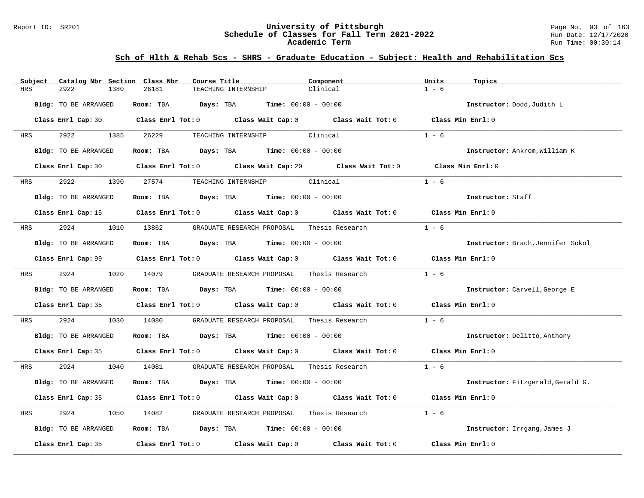#### Report ID: SR201 **University of Pittsburgh** Page No. 93 of 163 **Schedule of Classes for Fall Term 2021-2022** Run Date: 12/17/2020 **Academic Term** Run Time: 00:30:14

| Catalog Nbr Section Class Nbr<br>Subject | Course Title<br>Component                                                                   | Units                      | Topics                            |
|------------------------------------------|---------------------------------------------------------------------------------------------|----------------------------|-----------------------------------|
| <b>HRS</b><br>2922<br>1380               | 26181<br>Clinical<br>TEACHING INTERNSHIP                                                    | $1 - 6$                    |                                   |
| Bldg: TO BE ARRANGED                     | Room: TBA $Days:$ TBA $Time: 00:00 - 00:00$                                                 |                            | Instructor: Dodd, Judith L        |
|                                          | Class Enrl Cap: 30 Class Enrl Tot: 0 Class Wait Cap: 0 Class Wait Tot: 0 Class Min Enrl: 0  |                            |                                   |
| 2922 2022<br>1385<br>HRS                 | 26229<br>TEACHING INTERNSHIP Clinical                                                       | $1 - 6$                    |                                   |
| Bldg: TO BE ARRANGED                     | Room: TBA $Days:$ TBA $Time: 00:00 - 00:00$                                                 |                            | Instructor: Ankrom, William K     |
|                                          | Class Enrl Cap: 30 Class Enrl Tot: 0 Class Wait Cap: 20 Class Wait Tot: 0 Class Min Enrl: 0 |                            |                                   |
| 2922<br><b>HRS</b>                       | TEACHING INTERNSHIP Clinical<br>1390 27574                                                  | $1 - 6$                    |                                   |
| Bldg: TO BE ARRANGED                     | Room: TBA $Days:$ TBA $Time: 00:00 - 00:00$                                                 |                            | Instructor: Staff                 |
|                                          | Class Enrl Cap: 15 Class Enrl Tot: 0 Class Wait Cap: 0 Class Wait Tot: 0                    | Class Min Enrl: 0          |                                   |
| 2924<br>HRS                              | 1010 13862     GRADUATE RESEARCH PROPOSAL    Thesis Research                                | $1 - 6$                    |                                   |
| Bldg: TO BE ARRANGED                     | Room: TBA $Days:$ TBA Time: $00:00 - 00:00$                                                 |                            | Instructor: Brach, Jennifer Sokol |
|                                          | Class Enrl Cap: 99 Class Enrl Tot: 0 Class Wait Cap: 0 Class Wait Tot: 0 Class Min Enrl: 0  |                            |                                   |
| 2924<br><b>HRS</b>                       | 1020 14079<br>GRADUATE RESEARCH PROPOSAL                                                    | $1 - 6$<br>Thesis Research |                                   |
| Bldg: TO BE ARRANGED                     | Room: TBA $\rule{1em}{0.15mm}$ Days: TBA $\rule{1.5mm}{0.15mm}$ Time: $00:00 - 00:00$       |                            | Instructor: Carvell, George E     |
|                                          | Class Enrl Cap: 35 Class Enrl Tot: 0 Class Wait Cap: 0 Class Wait Tot: 0 Class Min Enrl: 0  |                            |                                   |
| 2924<br>1030<br>HRS                      | GRADUATE RESEARCH PROPOSAL Thesis Research<br>14080                                         | $1 - 6$                    |                                   |
| Bldg: TO BE ARRANGED                     | Room: TBA $Days:$ TBA $Time: 00:00 - 00:00$                                                 |                            | Instructor: Delitto, Anthony      |
|                                          | Class Enrl Cap: 35 Class Enrl Tot: 0 Class Wait Cap: 0 Class Wait Tot: 0 Class Min Enrl: 0  |                            |                                   |
| 2924<br>HRS                              | 1040 14081<br>GRADUATE RESEARCH PROPOSAL     Thesis Research                                | $1 - 6$                    |                                   |
| Bldg: TO BE ARRANGED                     | Room: TBA $Days:$ TBA $Time: 00:00 - 00:00$                                                 |                            | Instructor: Fitzgerald, Gerald G. |
|                                          | Class Enrl Cap: 35 Class Enrl Tot: 0 Class Wait Cap: 0 Class Wait Tot: 0                    | Class Min Enrl: 0          |                                   |
| 2924<br>HRS<br>1050                      | GRADUATE RESEARCH PROPOSAL Thesis Research<br>14082                                         | $1 - 6$                    |                                   |
| Bldg: TO BE ARRANGED                     | Room: TBA $Days:$ TBA $Time: 00:00 - 00:00$                                                 |                            | Instructor: Irrgang, James J      |
| Class Enrl Cap: 35                       | Class Enrl Tot: $0$ Class Wait Cap: $0$ Class Wait Tot: $0$                                 | Class Min Enrl: 0          |                                   |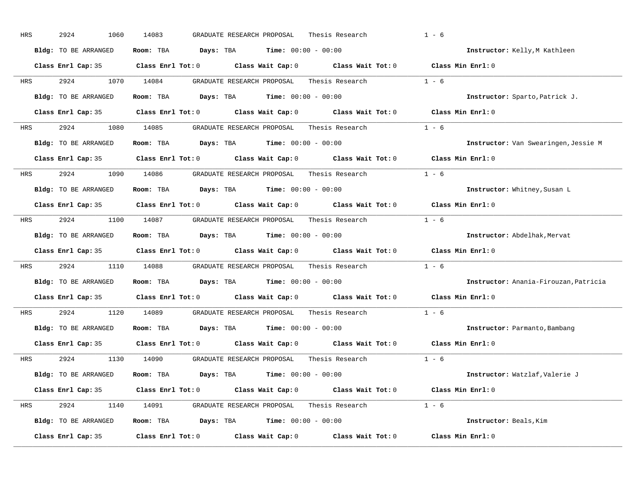| HRS        | 2924<br>1060         | 14083<br>GRADUATE RESEARCH PROPOSAL<br>Thesis Research                                                              | $1 - 6$                               |
|------------|----------------------|---------------------------------------------------------------------------------------------------------------------|---------------------------------------|
|            | Bldg: TO BE ARRANGED | Room: TBA $Days: TBA$ Time: $00:00 - 00:00$                                                                         | Instructor: Kelly, M Kathleen         |
|            |                      | Class Enrl Cap: 35 Class Enrl Tot: 0 Class Wait Cap: 0 Class Wait Tot: 0 Class Min Enrl: 0                          |                                       |
| HRS        | 2924                 | 1070 14084<br>GRADUATE RESEARCH PROPOSAL<br>Thesis Research                                                         | $1 - 6$                               |
|            | Bldg: TO BE ARRANGED | Room: TBA $Days: TBA$ Time: $00:00 - 00:00$                                                                         | Instructor: Sparto, Patrick J.        |
|            |                      | Class Enrl Cap: 35 Class Enrl Tot: 0 Class Wait Cap: 0 Class Wait Tot: 0 Class Min Enrl: 0                          |                                       |
| HRS        |                      | 2924 1080 14085 GRADUATE RESEARCH PROPOSAL Thesis Research 1 - 6                                                    |                                       |
|            | Bldg: TO BE ARRANGED | Room: TBA $Days:$ TBA Time: $00:00 - 00:00$                                                                         | Instructor: Van Swearingen, Jessie M  |
|            |                      | Class Enrl Cap: 35 $\,$ Class Enrl Tot: 0 $\,$ Class Wait Cap: 0 $\,$ Class Wait Tot: 0 $\,$ Class Wait Tot: 0 $\,$ | Class Min Enrl: 0                     |
| HRS        |                      | 2924 1090 14086 GRADUATE RESEARCH PROPOSAL Thesis Research                                                          | $1 - 6$                               |
|            | Bldg: TO BE ARRANGED | Room: TBA $Days:$ TBA $Time: 00:00 - 00:00$                                                                         | Instructor: Whitney, Susan L          |
|            |                      | Class Enrl Cap: 35 Class Enrl Tot: 0 Class Wait Cap: 0 Class Wait Tot: 0                                            | Class Min Enrl: 0                     |
| HRS        |                      | 2924 1100 14087 GRADUATE RESEARCH PROPOSAL Thesis Research                                                          | $1 - 6$                               |
|            | Bldg: TO BE ARRANGED | Room: TBA $Days:$ TBA $Time: 00:00 - 00:00$                                                                         | Instructor: Abdelhak, Mervat          |
|            |                      | Class Enrl Cap: 35 Class Enrl Tot: 0 Class Wait Cap: 0 Class Wait Tot: 0 Class Min Enrl: 0                          |                                       |
| HRS        |                      | 2924 1110 14088 GRADUATE RESEARCH PROPOSAL Thesis Research                                                          | $1 - 6$                               |
|            | Bldg: TO BE ARRANGED | Room: TBA $Days:$ TBA $Time: 00:00 - 00:00$                                                                         | Instructor: Anania-Firouzan, Patricia |
|            |                      | Class Enrl Cap: 35 Class Enrl Tot: 0 Class Wait Cap: 0 Class Wait Tot: 0                                            | Class Min Enrl: 0                     |
| <b>HRS</b> | 2924                 | 1120 14089<br>GRADUATE RESEARCH PROPOSAL<br>Thesis Research                                                         | $1 - 6$                               |
|            | Bldg: TO BE ARRANGED | Room: TBA $Days:$ TBA $Time: 00:00 - 00:00$                                                                         | Instructor: Parmanto, Bambang         |
|            |                      | Class Enrl Cap: 35 Class Enrl Tot: 0 Class Wait Cap: 0 Class Wait Tot: 0                                            | Class Min Enrl: 0                     |
| HRS        |                      | Thesis Research $1 - 6$<br>2924 1130 14090 GRADUATE RESEARCH PROPOSAL                                               |                                       |
|            | Bldg: TO BE ARRANGED | Room: TBA $Days:$ TBA $Time: 00:00 - 00:00$                                                                         | Instructor: Watzlaf, Valerie J        |
|            |                      | Class Enrl Cap: 35 Class Enrl Tot: 0 Class Wait Cap: 0 Class Wait Tot: 0 Class Min Enrl: 0                          |                                       |
| HRS        |                      | 2924 1140 14091 GRADUATE RESEARCH PROPOSAL Thesis Research 1 - 6                                                    |                                       |
|            | Bldg: TO BE ARRANGED | Room: TBA $Days:$ TBA $Time: 00:00 - 00:00$                                                                         | Instructor: Beals, Kim                |
|            | Class Enrl Cap: 35   | Class Enrl Tot: $0$ Class Wait Cap: $0$ Class Wait Tot: $0$                                                         | Class Min Enrl: 0                     |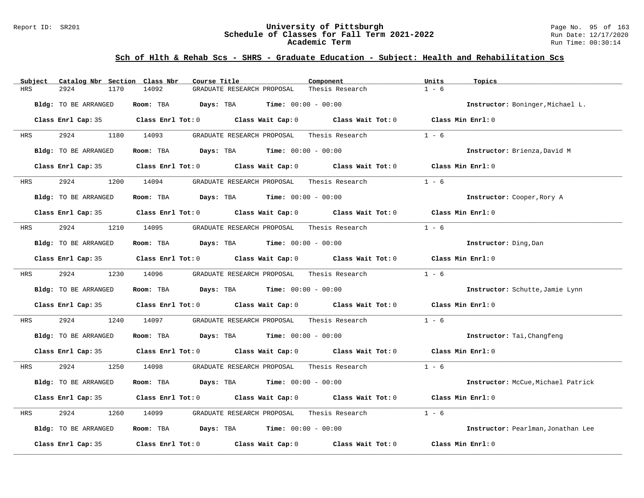#### Report ID: SR201 **University of Pittsburgh** Page No. 95 of 163 **Schedule of Classes for Fall Term 2021-2022** Run Date: 12/17/2020 **Academic Term** Run Time: 00:30:14

| Subject | Catalog Nbr Section Class Nbr | Course Title                                                                                                                                                                                                                  | Component       | Units<br>Topics                    |
|---------|-------------------------------|-------------------------------------------------------------------------------------------------------------------------------------------------------------------------------------------------------------------------------|-----------------|------------------------------------|
| HRS     | 2924<br>1170                  | 14092<br>GRADUATE RESEARCH PROPOSAL                                                                                                                                                                                           | Thesis Research | $1 - 6$                            |
|         | Bldg: TO BE ARRANGED          | Room: TBA<br>Days: TBA<br><b>Time:</b> $00:00 - 00:00$                                                                                                                                                                        |                 | Instructor: Boninger, Michael L.   |
|         |                               | Class Enrl Cap: 35 $\qquad$ Class Enrl Tot: 0 $\qquad$ Class Wait Cap: 0 $\qquad$ Class Wait Tot: 0                                                                                                                           |                 | Class Min Enrl: 0                  |
| HRS     | 2924                          | 1180 14093<br>GRADUATE RESEARCH PROPOSAL                                                                                                                                                                                      | Thesis Research | $1 - 6$                            |
|         | Bldg: TO BE ARRANGED          | Room: TBA $Days:$ TBA $Time:$ $00:00 - 00:00$                                                                                                                                                                                 |                 | Instructor: Brienza, David M       |
|         | Class Enrl Cap: 35            | Class Enrl Tot: $0$ Class Wait Cap: $0$ Class Wait Tot: $0$                                                                                                                                                                   |                 | Class Min Enrl: 0                  |
| HRS     | 2924                          | 1200 14094<br>GRADUATE RESEARCH PROPOSAL Thesis Research                                                                                                                                                                      |                 | $1 - 6$                            |
|         | Bldg: TO BE ARRANGED          | Room: TBA $Days:$ TBA $Time: 00:00 - 00:00$                                                                                                                                                                                   |                 | Instructor: Cooper, Rory A         |
|         |                               | Class Enrl Cap: 35 $\qquad$ Class Enrl Tot: 0 $\qquad$ Class Wait Cap: 0 $\qquad$ Class Wait Tot: 0                                                                                                                           |                 | Class Min Enrl: 0                  |
| HRS     | 2924                          | 1210 14095<br>GRADUATE RESEARCH PROPOSAL Thesis Research                                                                                                                                                                      |                 | $1 - 6$                            |
|         | Bldg: TO BE ARRANGED          | Room: TBA $Days:$ TBA $Time: 00:00 - 00:00$                                                                                                                                                                                   |                 | Instructor: Ding, Dan              |
|         |                               | Class Enrl Cap: 35 $\qquad$ Class Enrl Tot: 0 $\qquad$ Class Wait Cap: 0 $\qquad$ Class Wait Tot: 0                                                                                                                           |                 | Class Min Enrl: 0                  |
| HRS     | 2924                          | 1230 14096<br>GRADUATE RESEARCH PROPOSAL Thesis Research                                                                                                                                                                      |                 | $1 - 6$                            |
|         | Bldg: TO BE ARRANGED          | Room: TBA $Days:$ TBA $Time: 00:00 - 00:00$                                                                                                                                                                                   |                 | Instructor: Schutte, Jamie Lynn    |
|         |                               | Class Enrl Cap: 35 $\,$ Class Enrl Tot: 0 $\,$ Class Wait Cap: 0 $\,$ Class Wait Tot: 0 $\,$ Class Enrl Tot: 0 $\,$ Class Enrl Tot: 0 $\,$ Class Enrl Tot: 0 $\,$ Class Enrl Tot: 0 $\,$ Class Enrl Tot: 0 $\,$ Class Enrl To |                 | Class Min Enrl: 0                  |
| HRS     | 2924<br>1240                  | 14097<br>GRADUATE RESEARCH PROPOSAL                                                                                                                                                                                           | Thesis Research | $1 - 6$                            |
|         | Bldg: TO BE ARRANGED          | Room: TBA $Days:$ TBA $Time: 00:00 - 00:00$                                                                                                                                                                                   |                 | Instructor: Tai, Changfeng         |
|         |                               | Class Enrl Cap: 35 Class Enrl Tot: 0 Class Wait Cap: 0 Class Wait Tot: 0 Class Min Enrl: 0                                                                                                                                    |                 |                                    |
| HRS     | 2924<br>1250                  | 14098<br>GRADUATE RESEARCH PROPOSAL Thesis Research                                                                                                                                                                           |                 | $1 - 6$                            |
|         | Bldg: TO BE ARRANGED          | Room: TBA $Days:$ TBA $Time: 00:00 - 00:00$                                                                                                                                                                                   |                 | Instructor: McCue, Michael Patrick |
|         |                               | Class Enrl Cap: 35 Class Enrl Tot: 0 Class Wait Cap: 0 Class Wait Tot: 0                                                                                                                                                      |                 | Class Min Enrl: 0                  |
| HRS     | 2924<br>1260                  | 14099<br>GRADUATE RESEARCH PROPOSAL                                                                                                                                                                                           | Thesis Research | $1 - 6$                            |
|         | Bldg: TO BE ARRANGED          | Room: TBA $\rule{1em}{0.15mm}$ Days: TBA $\rule{1.5mm}{0.15mm}$ Time: $00:00 - 00:00$                                                                                                                                         |                 | Instructor: Pearlman, Jonathan Lee |
|         | Class Enrl Cap: 35            | Class Enrl Tot: $0$ Class Wait Cap: $0$ Class Wait Tot: $0$                                                                                                                                                                   |                 | Class Min Enrl: 0                  |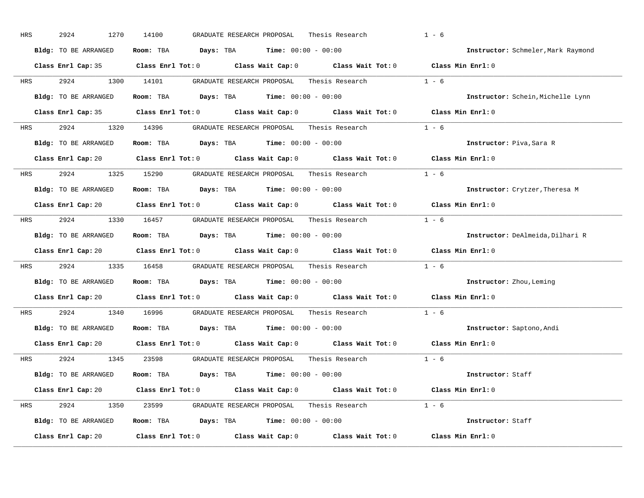| HRS        | 2924<br>1270         | 14100<br>GRADUATE RESEARCH PROPOSAL<br>Thesis Research                                              | $1 - 6$                            |
|------------|----------------------|-----------------------------------------------------------------------------------------------------|------------------------------------|
|            | Bldg: TO BE ARRANGED | Room: TBA $Days: TBA$ Time: $00:00 - 00:00$                                                         | Instructor: Schmeler, Mark Raymond |
|            |                      | Class Enrl Cap: 35 Class Enrl Tot: 0 Class Wait Cap: 0 Class Wait Tot: 0 Class Min Enrl: 0          |                                    |
| HRS        | 2924 1300 14101      | GRADUATE RESEARCH PROPOSAL Thesis Research 1 - 6                                                    |                                    |
|            | Bldg: TO BE ARRANGED | Room: TBA Days: TBA Time: $00:00 - 00:00$                                                           | Instructor: Schein, Michelle Lynn  |
|            |                      | Class Enrl Cap: 35 Class Enrl Tot: 0 Class Wait Cap: 0 Class Wait Tot: 0 Class Min Enrl: 0          |                                    |
| HRS        |                      |                                                                                                     |                                    |
|            | Bldg: TO BE ARRANGED | Room: TBA $\rule{1em}{0.15mm}$ Days: TBA $\rule{1.5mm}{0.15mm}$ Time: $00:00 - 00:00$               | Instructor: Piva, Sara R           |
|            |                      | Class Enrl Cap: 20 Class Enrl Tot: 0 Class Wait Cap: 0 Class Wait Tot: 0 Class Min Enrl: 0          |                                    |
| <b>HRS</b> |                      | 2924 1325 15290 GRADUATE RESEARCH PROPOSAL Thesis Research 1 - 6                                    |                                    |
|            | Bldg: TO BE ARRANGED | Room: TBA $\rule{1em}{0.15mm}$ Days: TBA Time: $00:00 - 00:00$                                      | Instructor: Crytzer, Theresa M     |
|            |                      | Class Enrl Cap: 20 Class Enrl Tot: 0 Class Wait Cap: 0 Class Wait Tot: 0 Class Min Enrl: 0          |                                    |
| HRS        |                      | 2924 1330 16457 GRADUATE RESEARCH PROPOSAL Thesis Research 1 - 6                                    |                                    |
|            | Bldg: TO BE ARRANGED | Room: TBA $\rule{1em}{0.15mm}$ Days: TBA Time: $00:00 - 00:00$                                      | Instructor: DeAlmeida, Dilhari R   |
|            |                      | Class Enrl Cap: 20 Class Enrl Tot: 0 Class Wait Cap: 0 Class Wait Tot: 0 Class Min Enrl: 0          |                                    |
| HRS        |                      | 2924 1335 16458 GRADUATE RESEARCH PROPOSAL Thesis Research                                          | $1 - 6$                            |
|            |                      | Bldg: TO BE ARRANGED Room: TBA Days: TBA Time: 00:00 - 00:00                                        | Instructor: Zhou, Leming           |
|            |                      | Class Enrl Cap: 20 $\qquad$ Class Enrl Tot: 0 $\qquad$ Class Wait Cap: 0 $\qquad$ Class Wait Tot: 0 | Class Min Enrl: 0                  |
| <b>HRS</b> | 2924                 | 1340 16996 GRADUATE RESEARCH PROPOSAL Thesis Research                                               | $1 - 6$                            |
|            | Bldg: TO BE ARRANGED | Room: TBA $\rule{1em}{0.15mm}$ Days: TBA Time: $00:00 - 00:00$                                      | Instructor: Saptono, Andi          |
|            |                      | Class Enrl Cap: 20 Class Enrl Tot: 0 Class Wait Cap: 0 Class Wait Tot: 0 Class Min Enrl: 0          |                                    |
| <b>HRS</b> | 2924                 | 1345 23598 GRADUATE RESEARCH PROPOSAL                                                               | Thesis Research $1 - 6$            |
|            | Bldg: TO BE ARRANGED | Room: TBA $Days:$ TBA $Time: 00:00 - 00:00$                                                         | Instructor: Staff                  |
|            |                      | Class Enrl Cap: 20 Class Enrl Tot: 0 Class Wait Cap: 0 Class Wait Tot: 0 Class Min Enrl: 0          |                                    |
| HRS        |                      | 2924 1350 23599 GRADUATE RESEARCH PROPOSAL Thesis Research 1 - 6                                    |                                    |
|            | Bldg: TO BE ARRANGED | Room: TBA $Days: TBA$ Time: $00:00 - 00:00$                                                         | Instructor: Staff                  |
|            | Class Enrl Cap: 20   | Class Enrl Tot: $0$ Class Wait Cap: $0$ Class Wait Tot: $0$                                         | Class Min Enrl: 0                  |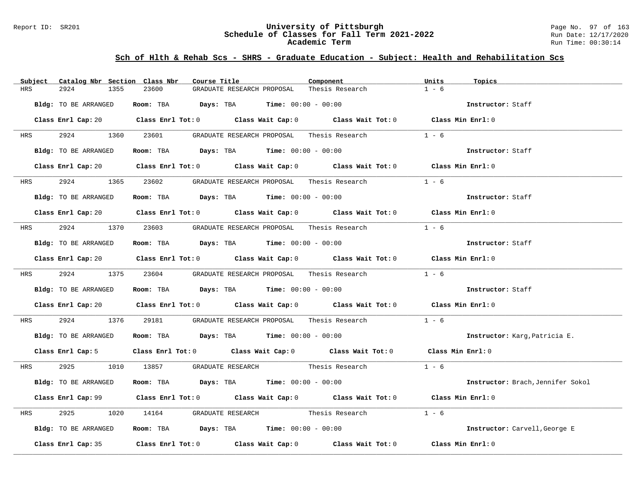#### Report ID: SR201 **University of Pittsburgh** Page No. 97 of 163 **Schedule of Classes for Fall Term 2021-2022** Run Date: 12/17/2020 **Academic Term** Run Time: 00:30:14

| Subject    | Catalog Nbr Section Class Nbr | Course Title                                                                              |                                            | Component                                                                                                                      | Units<br>Topics                   |  |
|------------|-------------------------------|-------------------------------------------------------------------------------------------|--------------------------------------------|--------------------------------------------------------------------------------------------------------------------------------|-----------------------------------|--|
| HRS        | 2924<br>1355                  | 23600                                                                                     | GRADUATE RESEARCH PROPOSAL                 | Thesis Research                                                                                                                | $1 - 6$                           |  |
|            | Bldg: TO BE ARRANGED          | Room: TBA $Days:$ TBA $Time: 00:00 - 00:00$                                               |                                            |                                                                                                                                | Instructor: Staff                 |  |
|            |                               |                                                                                           |                                            | Class Enrl Cap: 20 Class Enrl Tot: 0 Class Wait Cap: 0 Class Wait Tot: 0 Class Min Enrl: 0                                     |                                   |  |
| <b>HRS</b> | 2924 1360 23601               |                                                                                           | GRADUATE RESEARCH PROPOSAL Thesis Research |                                                                                                                                | $1 - 6$                           |  |
|            | Bldg: TO BE ARRANGED          | Room: TBA $Days:$ TBA $Time: 00:00 - 00:00$                                               |                                            |                                                                                                                                | Instructor: Staff                 |  |
|            |                               |                                                                                           |                                            | Class Enrl Cap: 20 Class Enrl Tot: 0 Class Wait Cap: 0 Class Wait Tot: 0 Class Min Enrl: 0                                     |                                   |  |
|            | HRS 2924 1365 23602           |                                                                                           | GRADUATE RESEARCH PROPOSAL Thesis Research |                                                                                                                                | $1 - 6$                           |  |
|            | Bldg: TO BE ARRANGED          | Room: TBA $Days:$ TBA $Time: 00:00 - 00:00$                                               |                                            |                                                                                                                                | Instructor: Staff                 |  |
|            |                               |                                                                                           |                                            | Class Enrl Cap: 20 $\qquad$ Class Enrl Tot: 0 $\qquad$ Class Wait Cap: 0 $\qquad$ Class Wait Tot: 0 $\qquad$ Class Min Enrl: 0 |                                   |  |
|            |                               |                                                                                           |                                            | HRS 2924 1370 23603 GRADUATE RESEARCH PROPOSAL Thesis Research                                                                 | $1 - 6$                           |  |
|            | Bldg: TO BE ARRANGED          | Room: TBA $Days:$ TBA $Time: 00:00 - 00:00$                                               |                                            |                                                                                                                                | Instructor: Staff                 |  |
|            |                               |                                                                                           |                                            | Class Enrl Cap: 20 		 Class Enrl Tot: 0 		 Class Wait Cap: 0 		 Class Wait Tot: 0 		 Class Min Enrl: 0                         |                                   |  |
|            | HRS 2924 1375 23604           |                                                                                           |                                            | GRADUATE RESEARCH PROPOSAL Thesis Research 1 - 6                                                                               |                                   |  |
|            | Bldg: TO BE ARRANGED          | Room: TBA $Days:$ TBA $Time: 00:00 - 00:00$                                               |                                            |                                                                                                                                | Instructor: Staff                 |  |
|            |                               |                                                                                           |                                            | Class Enrl Cap: 20 Class Enrl Tot: 0 Class Wait Cap: 0 Class Wait Tot: 0 Class Min Enrl: 0                                     |                                   |  |
| <b>HRS</b> | 2924                          | 1376 29181                                                                                |                                            | GRADUATE RESEARCH PROPOSAL Thesis Research                                                                                     | $1 - 6$                           |  |
|            | Bldg: TO BE ARRANGED          | Room: TBA $\rule{1em}{0.15mm}$ Days: TBA Time: $00:00 - 00:00$                            |                                            |                                                                                                                                | Instructor: Karg, Patricia E.     |  |
|            |                               |                                                                                           |                                            | Class Enrl Cap: 5 Class Enrl Tot: 0 Class Wait Cap: 0 Class Wait Tot: 0 Class Min Enrl: 0                                      |                                   |  |
|            |                               |                                                                                           |                                            | HRS 2925 1010 13857 GRADUATE RESEARCH Thesis Research 1 - 6                                                                    |                                   |  |
|            | Bldg: TO BE ARRANGED          | Room: TBA $Days:$ TBA $Time: 00:00 - 00:00$                                               |                                            |                                                                                                                                | Instructor: Brach, Jennifer Sokol |  |
|            |                               |                                                                                           |                                            | Class Enrl Cap: 99 Class Enrl Tot: 0 Class Wait Cap: 0 Class Wait Tot: 0 Class Min Enrl: 0                                     |                                   |  |
| HRS        | 2925                          |                                                                                           |                                            | 1020 14164 GRADUATE RESEARCH Thesis Research                                                                                   | $1 - 6$                           |  |
|            | Bldg: TO BE ARRANGED          | Room: TBA $\rule{1em}{0.15mm}$ Days: TBA $\rule{1.15mm}]{0.15mm}$ Time: $0.0100 - 0.0100$ |                                            |                                                                                                                                | Instructor: Carvell, George E     |  |
|            |                               |                                                                                           |                                            | Class Enrl Cap: 35 Class Enrl Tot: 0 Class Wait Cap: 0 Class Wait Tot: 0 Class Min Enrl: 0                                     |                                   |  |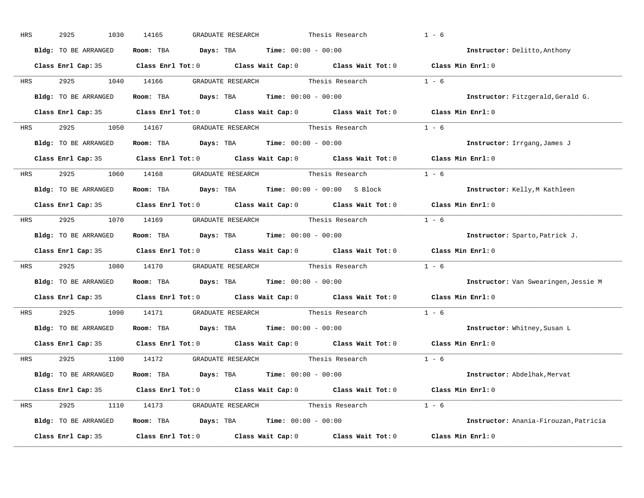| HRS        | 2925<br>1030         | 14165<br>GRADUATE RESEARCH                                                                 | Thesis Research | $1 - 6$                               |
|------------|----------------------|--------------------------------------------------------------------------------------------|-----------------|---------------------------------------|
|            | Bldg: TO BE ARRANGED | Room: TBA $Days:$ TBA $Time: 00:00 - 00:00$                                                |                 | Instructor: Delitto, Anthony          |
|            |                      | Class Enrl Cap: 35 Class Enrl Tot: 0 Class Wait Cap: 0 Class Wait Tot: 0 Class Min Enrl: 0 |                 |                                       |
| <b>HRS</b> | 2925 1040 14166      | GRADUATE RESEARCH Thesis Research $1 - 6$                                                  |                 |                                       |
|            | Bldg: TO BE ARRANGED | Room: TBA Days: TBA Time: $00:00 - 00:00$                                                  |                 | Instructor: Fitzgerald, Gerald G.     |
|            |                      | Class Enrl Cap: 35 Class Enrl Tot: 0 Class Wait Cap: 0 Class Wait Tot: 0 Class Min Enrl: 0 |                 |                                       |
| HRS        |                      |                                                                                            |                 |                                       |
|            | Bldg: TO BE ARRANGED | Room: TBA $\rule{1em}{0.15mm}$ Days: TBA $\rule{1.5mm}{0.15mm}$ Time: $00:00 - 00:00$      |                 | Instructor: Irrgang, James J          |
|            |                      | Class Enrl Cap: 35 Class Enrl Tot: 0 Class Wait Cap: 0 Class Wait Tot: 0 Class Min Enrl: 0 |                 |                                       |
| <b>HRS</b> |                      | 2925 1060 14168 GRADUATE RESEARCH Thesis Research                                          |                 | $1 - 6$                               |
|            | Bldg: TO BE ARRANGED | Room: TBA Days: TBA Time: 00:00 - 00:00 S Block 1nstructor: Kelly, M Kathleen              |                 |                                       |
|            |                      | Class Enrl Cap: 35 Class Enrl Tot: 0 Class Wait Cap: 0 Class Wait Tot: 0 Class Min Enrl: 0 |                 |                                       |
| HRS        |                      | 2925 1070 14169 GRADUATE RESEARCH Thesis Research 1 - 6                                    |                 |                                       |
|            | Bldg: TO BE ARRANGED | Room: TBA $\rule{1em}{0.15mm}$ Days: TBA Time: $00:00 - 00:00$                             |                 | Instructor: Sparto, Patrick J.        |
|            |                      | Class Enrl Cap: 35 Class Enrl Tot: 0 Class Wait Cap: 0 Class Wait Tot: 0 Class Min Enrl: 0 |                 |                                       |
| <b>HRS</b> |                      | 2925 1080 14170 GRADUATE RESEARCH Thesis Research                                          |                 | $1 - 6$                               |
|            | Bldg: TO BE ARRANGED | Room: TBA $Days:$ TBA $Time: 00:00 - 00:00$                                                |                 | Instructor: Van Swearingen, Jessie M  |
|            |                      | Class Enrl Cap: 35 Class Enrl Tot: 0 Class Wait Cap: 0 Class Wait Tot: 0                   |                 | Class Min Enrl: 0                     |
| <b>HRS</b> |                      | 2925 1090 14171 GRADUATE RESEARCH Thesis Research                                          |                 | $1 - 6$                               |
|            | Bldg: TO BE ARRANGED | Room: TBA $Days:$ TBA $Time: 00:00 - 00:00$                                                |                 | Instructor: Whitney, Susan L          |
|            | Class Enrl Cap: 35   | Class Enrl Tot: $0$ Class Wait Cap: $0$ Class Wait Tot: $0$                                |                 | Class Min Enrl: 0                     |
|            |                      | HRS 2925 1100 14172 GRADUATE RESEARCH Thesis Research                                      |                 | $1 - 6$                               |
|            | Bldg: TO BE ARRANGED | Room: TBA $Days:$ TBA $Time: 00:00 - 00:00$                                                |                 | Instructor: Abdelhak, Mervat          |
|            |                      | Class Enrl Cap: 35 Class Enrl Tot: 0 Class Wait Cap: 0 Class Wait Tot: 0 Class Min Enrl: 0 |                 |                                       |
|            |                      | HRS 2925 1110 14173 GRADUATE RESEARCH Thesis Research 1 - 6                                |                 |                                       |
|            | Bldg: TO BE ARRANGED | Room: TBA $Days:$ TBA $Time: 00:00 - 00:00$                                                |                 | Instructor: Anania-Firouzan, Patricia |
|            | Class Enrl Cap: 35   | Class Enrl Tot: $0$ Class Wait Cap: $0$ Class Wait Tot: $0$                                |                 | Class Min Enrl: 0                     |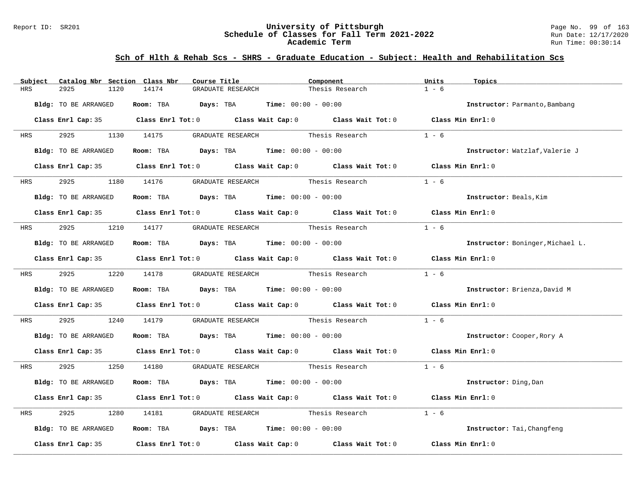#### Report ID: SR201 **University of Pittsburgh** Page No. 99 of 163 **Schedule of Classes for Fall Term 2021-2022** Run Date: 12/17/2020 **Academic Term** Run Time: 00:30:14

| Subject              | Catalog Nbr Section Class Nbr | Course Title                                                                               | Component                         |                 | Units<br>Topics   |                                  |
|----------------------|-------------------------------|--------------------------------------------------------------------------------------------|-----------------------------------|-----------------|-------------------|----------------------------------|
| 2925<br><b>HRS</b>   | 14174<br>1120                 | GRADUATE RESEARCH                                                                          |                                   | Thesis Research | $1 - 6$           |                                  |
| Bldg: TO BE ARRANGED |                               | Room: TBA $Days:$ TBA $Time: 00:00 - 00:00$                                                |                                   |                 |                   | Instructor: Parmanto, Bambang    |
|                      |                               | Class Enrl Cap: 35 Class Enrl Tot: 0 Class Wait Cap: 0 Class Wait Tot: 0 Class Min Enrl: 0 |                                   |                 |                   |                                  |
| <b>HRS</b>           |                               | 2925 1130 14175 GRADUATE RESEARCH Thesis Research                                          |                                   |                 | $1 - 6$           |                                  |
| Bldg: TO BE ARRANGED |                               | Room: TBA $Days:$ TBA $Time: 00:00 - 00:00$                                                |                                   |                 |                   | Instructor: Watzlaf, Valerie J   |
|                      |                               | Class Enrl Cap: 35 Class Enrl Tot: 0 Class Wait Cap: 0 Class Wait Tot: 0 Class Min Enrl: 0 |                                   |                 |                   |                                  |
| 2925 7<br><b>HRS</b> |                               | 1180 14176 GRADUATE RESEARCH Thesis Research                                               |                                   |                 | $1 - 6$           |                                  |
| Bldg: TO BE ARRANGED |                               | Room: TBA $Days:$ TBA $Time: 00:00 - 00:00$                                                |                                   |                 |                   | Instructor: Beals, Kim           |
|                      |                               | Class Enrl Cap: 35 Class Enrl Tot: 0 Class Wait Cap: 0 Class Wait Tot: 0 Class Min Enrl: 0 |                                   |                 |                   |                                  |
|                      |                               | HRS 2925 1210 14177 GRADUATE RESEARCH Thesis Research                                      |                                   |                 | $1 - 6$           |                                  |
| Bldg: TO BE ARRANGED |                               | Room: TBA $Days:$ TBA $Time: 00:00 - 00:00$                                                |                                   |                 |                   | Instructor: Boninger, Michael L. |
|                      |                               | Class Enrl Cap: 35 Class Enrl Tot: 0 Class Wait Cap: 0 Class Wait Tot: 0 Class Min Enrl: 0 |                                   |                 |                   |                                  |
|                      | HRS 2925 1220 14178           |                                                                                            | GRADUATE RESEARCH Thesis Research |                 | $1 - 6$           |                                  |
| Bldg: TO BE ARRANGED |                               | Room: TBA $Days:$ TBA $Time: 00:00 - 00:00$                                                |                                   |                 |                   | Instructor: Brienza, David M     |
|                      |                               | Class Enrl Cap: 35 Class Enrl Tot: 0 Class Wait Cap: 0 Class Wait Tot: 0 Class Min Enrl: 0 |                                   |                 |                   |                                  |
| 2925<br>HRS          |                               | 1240 14179 GRADUATE RESEARCH Thesis Research                                               |                                   |                 | $1 - 6$           |                                  |
| Bldg: TO BE ARRANGED |                               | Room: TBA $Days:$ TBA $Time:$ 00:00 - 00:00                                                |                                   |                 |                   | Instructor: Cooper, Rory A       |
|                      |                               | Class Enrl Cap: 35 Class Enrl Tot: 0 Class Wait Cap: 0 Class Wait Tot: 0 Class Min Enrl: 0 |                                   |                 |                   |                                  |
| <b>HRS</b>           |                               | 2925 1250 14180 GRADUATE RESEARCH Thesis Research 1 - 6                                    |                                   |                 |                   |                                  |
| Bldg: TO BE ARRANGED |                               | Room: TBA $\rule{1em}{0.15mm}$ Days: TBA Time: $00:00 - 00:00$                             |                                   |                 |                   | Instructor: Ding, Dan            |
|                      |                               | Class Enrl Cap: 35 Class Enrl Tot: 0 Class Wait Cap: 0 Class Wait Tot: 0 Class Min Enrl: 0 |                                   |                 |                   |                                  |
| 2925<br>HRS          | 1280                          | 14181 GRADUATE RESEARCH Thesis Research                                                    |                                   |                 | $1 - 6$           |                                  |
| Bldg: TO BE ARRANGED |                               | Room: TBA $\rule{1em}{0.15mm}$ Days: TBA $\rule{1.15mm}]{0.15mm}$ Time: $00:00 - 00:00$    |                                   |                 |                   | Instructor: Tai, Changfeng       |
| Class Enrl Cap: 35   |                               | Class Enrl Tot: $0$ Class Wait Cap: $0$ Class Wait Tot: $0$                                |                                   |                 | Class Min Enrl: 0 |                                  |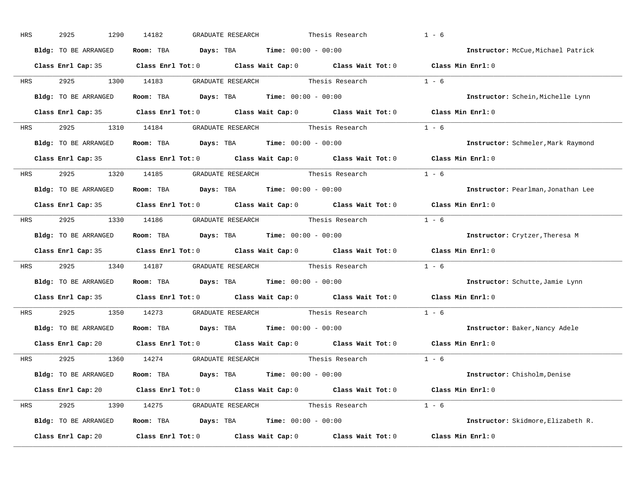| HRS                                                                                                            | 2925<br>1290         | 14182<br>GRADUATE RESEARCH                                                                          | Thesis Research   | $1 - 6$                            |
|----------------------------------------------------------------------------------------------------------------|----------------------|-----------------------------------------------------------------------------------------------------|-------------------|------------------------------------|
|                                                                                                                | Bldg: TO BE ARRANGED | Room: TBA $\rule{1em}{0.15mm}$ Days: TBA Time: $00:00 - 00:00$                                      |                   | Instructor: McCue, Michael Patrick |
|                                                                                                                |                      | Class Enrl Cap: 35 Class Enrl Tot: 0 Class Wait Cap: 0 Class Wait Tot: 0 Class Min Enrl: 0          |                   |                                    |
| HRS                                                                                                            | 2925<br>1300         | 14183<br>GRADUATE RESEARCH                                                                          | Thesis Research   | $1 - 6$                            |
|                                                                                                                | Bldg: TO BE ARRANGED | Room: TBA $Days:$ TBA $Time: 00:00 - 00:00$                                                         |                   | Instructor: Schein, Michelle Lynn  |
|                                                                                                                |                      | Class Enrl Cap: 35 Class Enrl Tot: 0 Class Wait Cap: 0 Class Wait Tot: 0 Class Min Enrl: 0          |                   |                                    |
| HRS                                                                                                            |                      | 2925 1310 14184 GRADUATE RESEARCH Thesis Research 1 - 6                                             |                   |                                    |
|                                                                                                                | Bldg: TO BE ARRANGED | Room: TBA $\rule{1em}{0.15mm}$ Days: TBA Time: $00:00 - 00:00$                                      |                   | Instructor: Schmeler, Mark Raymond |
|                                                                                                                |                      | Class Enrl Cap: 35 Class Enrl Tot: 0 Class Wait Cap: 0 Class Wait Tot: 0 Class Min Enrl: 0          |                   |                                    |
| HRS FOR THE STATE OF THE STATE OF THE STATE OF THE STATE OF THE STATE OF THE STATE OF THE STATE OF THE STATE O | 2925 1320 14185      | GRADUATE RESEARCH Thesis Research                                                                   |                   | $1 - 6$                            |
|                                                                                                                | Bldg: TO BE ARRANGED | Room: TBA $Days:$ TBA $Time: 00:00 - 00:00$                                                         |                   | Instructor: Pearlman, Jonathan Lee |
|                                                                                                                |                      | Class Enrl Cap: 35 Class Enrl Tot: 0 Class Wait Cap: 0 Class Wait Tot: 0                            |                   | Class Min Enrl: 0                  |
|                                                                                                                |                      | HRS 2925 1330 14186 GRADUATE RESEARCH Thesis Research 1 - 6                                         |                   |                                    |
|                                                                                                                | Bldg: TO BE ARRANGED | $\texttt{Days:}$ TBA $\texttt{Time:}$ 00:00 - 00:00<br>Room: TBA                                    |                   | Instructor: Crytzer, Theresa M     |
|                                                                                                                |                      | Class Enrl Cap: 35 Class Enrl Tot: 0 Class Wait Cap: 0 Class Wait Tot: 0                            |                   | Class Min Enrl: 0                  |
| HRS                                                                                                            | 2925<br>1340         | GRADUATE RESEARCH Thesis Research<br>14187                                                          |                   | $1 - 6$                            |
|                                                                                                                | Bldg: TO BE ARRANGED | Room: TBA<br>$\texttt{DayS:}$ TBA $\texttt{Time:}$ 00:00 - 00:00                                    |                   | Instructor: Schutte, Jamie Lynn    |
|                                                                                                                |                      | Class Enrl Cap: 35 Class Enrl Tot: 0 Class Wait Cap: 0 Class Wait Tot: 0                            |                   | Class Min Enrl: 0                  |
| HRS                                                                                                            | 2925<br>1350         | GRADUATE RESEARCH<br>14273                                                                          | Thesis Research   | $1 - 6$                            |
|                                                                                                                | Bldg: TO BE ARRANGED | Room: TBA $Days: TBA$ Time: $00:00 - 00:00$                                                         |                   | Instructor: Baker, Nancy Adele     |
|                                                                                                                |                      | Class Enrl Cap: 20 $\qquad$ Class Enrl Tot: 0 $\qquad$ Class Wait Cap: 0 $\qquad$ Class Wait Tot: 0 |                   | Class Min Enrl: 0                  |
| HRS                                                                                                            | 2925                 | 1360 14274                                                                                          |                   | $1 - 6$                            |
|                                                                                                                | Bldg: TO BE ARRANGED | Room: TBA $\rule{1em}{0.15mm}$ Days: TBA $\rule{1.5mm}{0.15mm}$ Time: $00:00 - 00:00$               |                   | Instructor: Chisholm, Denise       |
|                                                                                                                |                      | Class Enrl Cap: 20 Class Enrl Tot: 0 Class Wait Cap: 0 Class Wait Tot: 0 Class Min Enrl: 0          |                   |                                    |
| HRS                                                                                                            | 2925 1390            | 14275 GRADUATE RESEARCH Thesis Research 1 - 6                                                       |                   |                                    |
|                                                                                                                | Bldg: TO BE ARRANGED | Room: TBA $Days:$ TBA $Time: 00:00 - 00:00$                                                         |                   | Instructor: Skidmore, Elizabeth R. |
|                                                                                                                | Class Enrl Cap: 20   | Class Enrl Tot: 0<br>Class Wait Cap: 0                                                              | Class Wait Tot: 0 | Class Min Enrl: 0                  |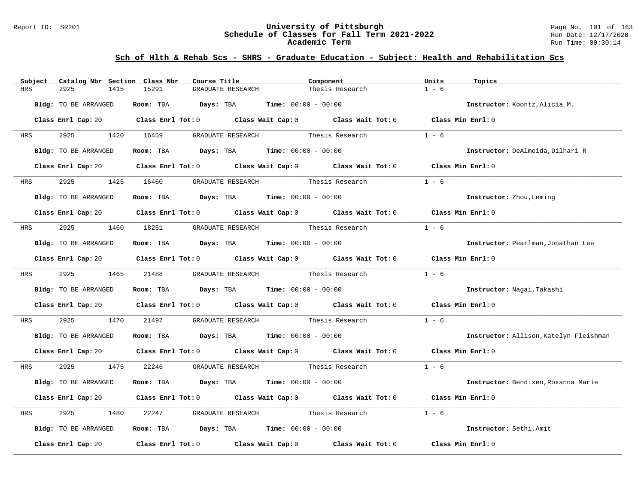#### Report ID: SR201 **University of Pittsburgh** Page No. 101 of 163 **Schedule of Classes for Fall Term 2021-2022** Run Date: 12/17/2020 **Academic Term** Run Time: 00:30:14

| Subject    | Catalog Nbr Section Class Nbr | Course Title                                                                          | Component                                                                                                                      | Units<br>Topics                        |
|------------|-------------------------------|---------------------------------------------------------------------------------------|--------------------------------------------------------------------------------------------------------------------------------|----------------------------------------|
| HRS        | 2925<br>1415                  | 15291<br>GRADUATE RESEARCH                                                            | Thesis Research                                                                                                                | $1 - 6$                                |
|            | Bldg: TO BE ARRANGED          | Room: TBA Days: TBA                                                                   | <b>Time:</b> $00:00 - 00:00$                                                                                                   | Instructor: Koontz, Alicia M.          |
|            |                               |                                                                                       | Class Enrl Cap: 20 $\qquad$ Class Enrl Tot: 0 $\qquad$ Class Wait Cap: 0 $\qquad$ Class Wait Tot: 0 $\qquad$ Class Min Enrl: 0 |                                        |
| <b>HRS</b> | 2925 2020                     | 1420 16459<br>GRADUATE RESEARCH                                                       | Thesis Research                                                                                                                | $1 - 6$                                |
|            | Bldg: TO BE ARRANGED          | Room: TBA $Days:$ TBA $Time: 00:00 - 00:00$                                           |                                                                                                                                | Instructor: DeAlmeida, Dilhari R       |
|            |                               |                                                                                       | Class Enrl Cap: 20 Class Enrl Tot: 0 Class Wait Cap: 0 Class Wait Tot: 0 Class Min Enrl: 0                                     |                                        |
| <b>HRS</b> | 2925                          | 1425 16460                                                                            |                                                                                                                                | $1 - 6$                                |
|            | Bldg: TO BE ARRANGED          | Room: TBA $Days: TBA$ Time: $00:00 - 00:00$                                           |                                                                                                                                | Instructor: Zhou, Leming               |
|            |                               |                                                                                       | Class Enrl Cap: 20 Class Enrl Tot: 0 Class Wait Cap: 0 Class Wait Tot: 0 Class Min Enrl: 0                                     |                                        |
| HRS        |                               | 2925 1460 18251 GRADUATE RESEARCH Thesis Research                                     |                                                                                                                                | $1 - 6$                                |
|            | Bldg: TO BE ARRANGED          | Room: TBA $\rule{1em}{0.15mm}$ Days: TBA $\rule{1.5mm}{0.15mm}$ Time: $00:00 - 00:00$ |                                                                                                                                | Instructor: Pearlman, Jonathan Lee     |
|            |                               |                                                                                       | Class Enrl Cap: 20 Class Enrl Tot: 0 Class Wait Cap: 0 Class Wait Tot: 0 Class Min Enrl: 0                                     |                                        |
| <b>HRS</b> | 2925 1465 21488               |                                                                                       | GRADUATE RESEARCH Thesis Research                                                                                              | $1 - 6$                                |
|            | Bldg: TO BE ARRANGED          | Room: TBA $\rule{1em}{0.15mm}$ Days: TBA Time: $00:00 - 00:00$                        |                                                                                                                                | Instructor: Nagai, Takashi             |
|            |                               |                                                                                       | Class Enrl Cap: 20 Class Enrl Tot: 0 Class Wait Cap: 0 Class Wait Tot: 0 Class Min Enrl: 0                                     |                                        |
| HRS        | 2925<br>1470                  | 21497                                                                                 |                                                                                                                                | $1 - 6$                                |
|            | Bldg: TO BE ARRANGED          | <b>Room:</b> TBA $\qquad \qquad$ Days: TBA $\qquad \qquad$ Time: $00:00 - 00:00$      |                                                                                                                                | Instructor: Allison, Katelyn Fleishman |
|            |                               |                                                                                       | Class Enrl Cap: 20 Class Enrl Tot: 0 Class Wait Cap: 0 Class Wait Tot: 0 Class Min Enrl: 0                                     |                                        |
| HRS        | 2925 1475                     | 22246                                                                                 | GRADUATE RESEARCH Thesis Research                                                                                              | $1 - 6$                                |
|            | Bldg: TO BE ARRANGED          | Room: TBA $Days: TBA$ Time: $00:00 - 00:00$                                           |                                                                                                                                | Instructor: Bendixen, Roxanna Marie    |
|            |                               |                                                                                       | Class Enrl Cap: 20 $\qquad$ Class Enrl Tot: 0 $\qquad$ Class Wait Cap: 0 $\qquad$ Class Wait Tot: 0                            | Class Min Enrl: 0                      |
| HRS        | 2925<br>1480                  | 22247                                                                                 | GRADUATE RESEARCH Thesis Research                                                                                              | $1 - 6$                                |
|            | Bldg: TO BE ARRANGED          | Room: TBA $Days:$ TBA $Time: 00:00 - 00:00$                                           |                                                                                                                                | Instructor: Sethi, Amit                |
|            | Class Enrl Cap: 20            |                                                                                       | Class Enrl Tot: $0$ $Class$ Wait Cap: $0$ $Class$ Wait Tot: $0$                                                                | Class Min Enrl: 0                      |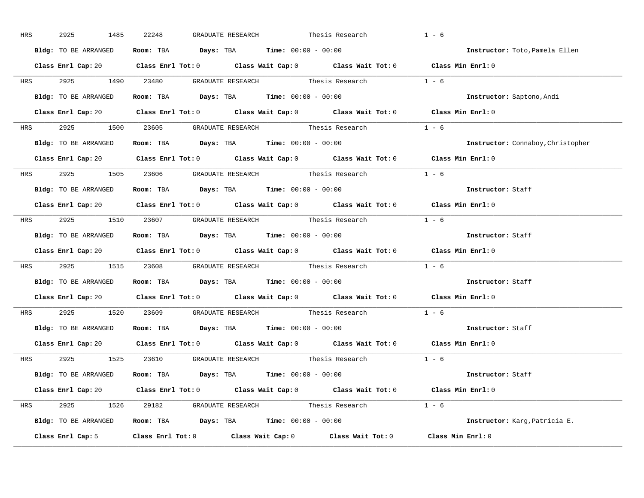| HRS        | 2925<br>1485         | 22248<br>GRADUATE RESEARCH                                                                 | $1 - 6$<br>Thesis Research               |  |
|------------|----------------------|--------------------------------------------------------------------------------------------|------------------------------------------|--|
|            | Bldg: TO BE ARRANGED | Room: TBA $Days:$ TBA $Time: 00:00 - 00:00$                                                | Instructor: Toto, Pamela Ellen           |  |
|            |                      | Class Enrl Cap: 20 Class Enrl Tot: 0 Class Wait Cap: 0 Class Wait Tot: 0 Class Min Enrl: 0 |                                          |  |
|            |                      | HRS 2925 1490 23480 GRADUATE RESEARCH Thesis Research 1 - 6                                |                                          |  |
|            | Bldg: TO BE ARRANGED | Room: TBA $Days:$ TBA Time: $00:00 - 00:00$                                                | Instructor: Saptono, Andi                |  |
|            |                      | Class Enrl Cap: 20 Class Enrl Tot: 0 Class Wait Cap: 0 Class Wait Tot: 0 Class Min Enrl: 0 |                                          |  |
|            |                      | HRS 2925 1500 23605 GRADUATE RESEARCH Thesis Research 1 - 6                                |                                          |  |
|            |                      | <b>Bldg:</b> TO BE ARRANGED <b>Room:</b> TBA <b>Days:</b> TBA <b>Time:</b> $00:00 - 00:00$ | <b>Instructor:</b> Connaboy, Christopher |  |
|            |                      | Class Enrl Cap: 20 Class Enrl Tot: 0 Class Wait Cap: 0 Class Wait Tot: 0 Class Min Enrl: 0 |                                          |  |
|            |                      | HRS $2925$ 1505 23606 GRADUATE RESEARCH Thesis Research 1 - 6                              |                                          |  |
|            | Bldg: TO BE ARRANGED | Room: TBA $\rule{1em}{0.15mm}$ Days: TBA $\rule{1.15mm}]{0.15mm}$ Time: $0.000 - 0.000$    | Instructor: Staff                        |  |
|            |                      | Class Enrl Cap: 20 Class Enrl Tot: 0 Class Wait Cap: 0 Class Wait Tot: 0 Class Min Enrl: 0 |                                          |  |
|            |                      | HRS 2925 1510 23607 GRADUATE RESEARCH Thesis Research 1 - 6                                |                                          |  |
|            | Bldg: TO BE ARRANGED | Room: TBA $\rule{1em}{0.15mm}$ Days: TBA Time: $00:00 - 00:00$                             | Instructor: Staff                        |  |
|            |                      | Class Enrl Cap: 20 Class Enrl Tot: 0 Class Wait Cap: 0 Class Wait Tot: 0 Class Min Enrl: 0 |                                          |  |
|            |                      | HRS 2925 1515 23608 GRADUATE RESEARCH Thesis Research 1 - 6                                |                                          |  |
|            |                      | Bldg: TO BE ARRANGED Room: TBA Days: TBA Time: 00:00 - 00:00                               | Instructor: Staff                        |  |
|            |                      | Class Enrl Cap: 20 Class Enrl Tot: 0 Class Wait Cap: 0 Class Wait Tot: 0 Class Min Enrl: 0 |                                          |  |
| <b>HRS</b> |                      | 2925 1520 23609 GRADUATE RESEARCH Thesis Research                                          | $1 - 6$                                  |  |
|            |                      | Bldg: TO BE ARRANGED Room: TBA Days: TBA Time: 00:00 - 00:00                               | Instructor: Staff                        |  |
|            |                      | Class Enrl Cap: 20 Class Enrl Tot: 0 Class Wait Cap: 0 Class Wait Tot: 0 Class Min Enrl: 0 |                                          |  |
|            |                      | HRS 2925 1525 23610 GRADUATE_RESEARCH Thesis_Research 1 - 6                                |                                          |  |
|            |                      | Bldg: TO BE ARRANGED Room: TBA Days: TBA Time: 00:00 - 00:00                               | <b>Instructor:</b> Staff                 |  |
|            |                      | Class Enrl Cap: 20 Class Enrl Tot: 0 Class Wait Cap: 0 Class Wait Tot: 0 Class Min Enrl: 0 |                                          |  |
|            |                      | HRS 2925 1526 29182 GRADUATE RESEARCH Thesis Research 1 - 6                                |                                          |  |
|            |                      | Bldg: TO BE ARRANGED Room: TBA Days: TBA Time: 00:00 - 00:00                               | Instructor: Karg, Patricia E.            |  |
|            | Class Enrl Cap: 5    | Class Enrl Tot: 0 Class Wait Cap: 0 Class Wait Tot: 0 Class Min Enrl: 0                    |                                          |  |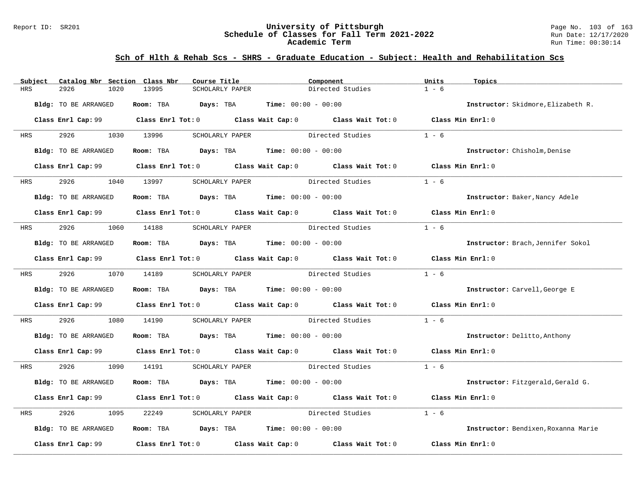#### Report ID: SR201 **University of Pittsburgh** Page No. 103 of 163 **Schedule of Classes for Fall Term 2021-2022** Run Date: 12/17/2020 **Academic Term** Run Time: 00:30:14

| Subject    | Catalog Nbr Section Class Nbr | Course Title                                | Component                                                                                           | Units<br>Topics                     |
|------------|-------------------------------|---------------------------------------------|-----------------------------------------------------------------------------------------------------|-------------------------------------|
| <b>HRS</b> | 2926<br>1020                  | 13995<br>SCHOLARLY PAPER                    | Directed Studies                                                                                    | $1 - 6$                             |
|            | Bldg: TO BE ARRANGED          | Room: TBA Days: TBA                         | <b>Time:</b> $00:00 - 00:00$                                                                        | Instructor: Skidmore, Elizabeth R.  |
|            |                               |                                             | Class Enrl Cap: 99 Class Enrl Tot: 0 Class Wait Cap: 0 Class Wait Tot: 0 Class Min Enrl: 0          |                                     |
| HRS        | 2926 1030 13996               | SCHOLARLY PAPER                             | Directed Studies                                                                                    | $1 - 6$                             |
|            | Bldg: TO BE ARRANGED          | Room: TBA $Days:$ TBA $Time: 00:00 - 00:00$ |                                                                                                     | Instructor: Chisholm, Denise        |
|            |                               |                                             | Class Enrl Cap: 99 $\hbox{Class Enrl Tot:0}$ Class Wait Cap: 0 $\hbox{Class Wal}$ Class Wait Tot: 0 | Class Min Enrl: 0                   |
| <b>HRS</b> | 2926                          | 1040 13997<br>SCHOLARLY PAPER               | Directed Studies                                                                                    | $1 - 6$                             |
|            | Bldg: TO BE ARRANGED          | Room: TBA $Days:$ TBA $Time: 00:00 - 00:00$ |                                                                                                     | Instructor: Baker, Nancy Adele      |
|            |                               |                                             | Class Enrl Cap: 99 Class Enrl Tot: 0 Class Wait Cap: 0 Class Wait Tot: 0 Class Min Enrl: 0          |                                     |
| HRS        | 2926 1060 14188               |                                             | SCHOLARLY PAPER Directed Studies                                                                    | $1 - 6$                             |
|            | Bldg: TO BE ARRANGED          | Room: TBA $Days:$ TBA $Time: 00:00 - 00:00$ |                                                                                                     | Instructor: Brach, Jennifer Sokol   |
|            |                               |                                             |                                                                                                     | Class Min Enrl: 0                   |
| <b>HRS</b> | 2926 1070 14189               |                                             | SCHOLARLY PAPER Directed Studies                                                                    | $1 - 6$                             |
|            | Bldg: TO BE ARRANGED          | Room: TBA $Days:$ TBA $Time: 00:00 - 00:00$ |                                                                                                     | Instructor: Carvell, George E       |
|            |                               |                                             | Class Enrl Cap: 99 Class Enrl Tot: 0 Class Wait Cap: 0 Class Wait Tot: 0 Class Min Enrl: 0          |                                     |
| HRS        | 2926<br>1080                  | 14190                                       | SCHOLARLY PAPER Directed Studies                                                                    | $1 - 6$                             |
|            | Bldg: TO BE ARRANGED          | Room: TBA $Days:$ TBA Time: $00:00 - 00:00$ |                                                                                                     | Instructor: Delitto, Anthony        |
|            |                               |                                             | Class Enrl Cap: 99 Class Enrl Tot: 0 Class Wait Cap: 0 Class Wait Tot: 0 Class Min Enrl: 0          |                                     |
| HRS        | 2926 1090 14191               |                                             | SCHOLARLY PAPER Directed Studies 1 - 6                                                              |                                     |
|            | Bldg: TO BE ARRANGED          | Room: TBA $Days:$ TBA $Time: 00:00 - 00:00$ |                                                                                                     | Instructor: Fitzgerald, Gerald G.   |
|            |                               |                                             | Class Enrl Cap: 99 Class Enrl Tot: 0 Class Wait Cap: 0 Class Wait Tot: 0                            | Class Min Enrl: 0                   |
| HRS        | 2926<br>1095                  | 22249<br>SCHOLARLY PAPER                    | Directed Studies                                                                                    | $1 - 6$                             |
|            | Bldg: TO BE ARRANGED          | Room: TBA $Days:$ TBA Time: $00:00 - 00:00$ |                                                                                                     | Instructor: Bendixen, Roxanna Marie |
|            | Class Enrl Cap: 99            |                                             | Class Enrl Tot: $0$ Class Wait Cap: $0$ Class Wait Tot: $0$                                         | Class Min Enrl: 0                   |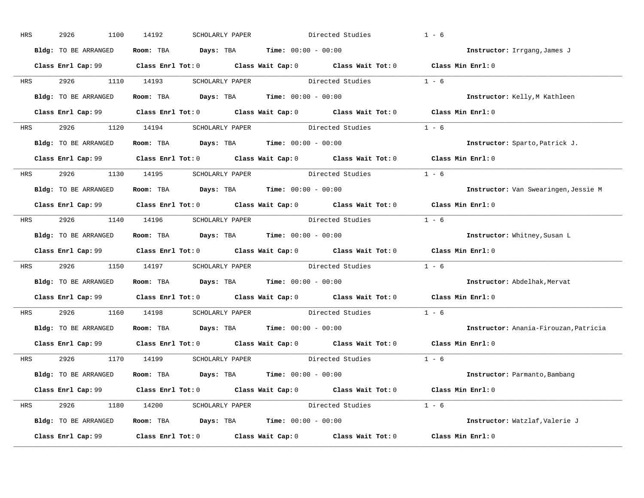| HRS        | 2926<br>1100         | 14192 | SCHOLARLY PAPER                                              |                                  | Directed Studies                                                                                    | $1 - 6$                                                                                    |
|------------|----------------------|-------|--------------------------------------------------------------|----------------------------------|-----------------------------------------------------------------------------------------------------|--------------------------------------------------------------------------------------------|
|            | Bldg: TO BE ARRANGED |       | Room: TBA $Days:$ TBA $Time: 00:00 - 00:00$                  |                                  |                                                                                                     | Instructor: Irrgang, James J                                                               |
|            |                      |       |                                                              |                                  |                                                                                                     | Class Enrl Cap: 99 Class Enrl Tot: 0 Class Wait Cap: 0 Class Wait Tot: 0 Class Min Enrl: 0 |
|            | HRS 2926 1110 14193  |       |                                                              |                                  | SCHOLARLY PAPER Directed Studies                                                                    | $1 - 6$                                                                                    |
|            | Bldg: TO BE ARRANGED |       | Room: TBA $Days:$ TBA Time: $00:00 - 00:00$                  |                                  |                                                                                                     | Instructor: Kelly, M Kathleen                                                              |
|            |                      |       |                                                              |                                  |                                                                                                     | Class Enrl Cap: 99 Class Enrl Tot: 0 Class Wait Cap: 0 Class Wait Tot: 0 Class Min Enrl: 0 |
|            |                      |       |                                                              |                                  | HRS 2926 1120 14194 SCHOLARLY PAPER Directed Studies 1 - 6                                          |                                                                                            |
|            |                      |       | Bldg: TO BE ARRANGED Room: TBA Days: TBA Time: 00:00 - 00:00 |                                  |                                                                                                     | Instructor: Sparto, Patrick J.                                                             |
|            |                      |       |                                                              |                                  |                                                                                                     | Class Enrl Cap: 99 Class Enrl Tot: 0 Class Wait Cap: 0 Class Wait Tot: 0 Class Min Enrl: 0 |
|            |                      |       | HRS 2926 1130 14195 SCHOLARLY PAPER                          |                                  | Directed Studies                                                                                    | $1 - 6$                                                                                    |
|            | Bldg: TO BE ARRANGED |       | Room: TBA $Days:$ TBA $Time: 00:00 - 00:00$                  |                                  |                                                                                                     | Instructor: Van Swearingen, Jessie M                                                       |
|            |                      |       |                                                              |                                  |                                                                                                     | Class Enrl Cap: 99 Class Enrl Tot: 0 Class Wait Cap: 0 Class Wait Tot: 0 Class Min Enrl: 0 |
| HRS        |                      |       |                                                              |                                  | 2926 1140 14196 SCHOLARLY PAPER Directed Studies 1 - 6                                              |                                                                                            |
|            | Bldg: TO BE ARRANGED |       | Room: TBA $Days:$ TBA $Time: 00:00 - 00:00$                  |                                  |                                                                                                     | Instructor: Whitney, Susan L                                                               |
|            |                      |       |                                                              |                                  |                                                                                                     | Class Enrl Cap: 99 Class Enrl Tot: 0 Class Wait Cap: 0 Class Wait Tot: 0 Class Min Enrl: 0 |
| <b>HRS</b> |                      |       |                                                              |                                  | 2926 1150 14197 SCHOLARLY PAPER Directed Studies 1 - 6                                              |                                                                                            |
|            | Bldg: TO BE ARRANGED |       | Room: TBA $Days:$ TBA $Time: 00:00 - 00:00$                  |                                  |                                                                                                     | Instructor: Abdelhak, Mervat                                                               |
|            |                      |       |                                                              |                                  | Class Enrl Cap: $99$ Class Enrl Tot: 0 Class Wait Cap: 0 Class Wait Tot: 0                          | Class Min Enrl: 0                                                                          |
| <b>HRS</b> | 2926 1160 14198      |       |                                                              | SCHOLARLY PAPER Directed Studies |                                                                                                     | $1 - 6$                                                                                    |
|            |                      |       | Bldg: TO BE ARRANGED Room: TBA Days: TBA Time: 00:00 - 00:00 |                                  |                                                                                                     | Instructor: Anania-Firouzan, Patricia                                                      |
|            |                      |       |                                                              |                                  | Class Enrl Cap: 99 $\qquad$ Class Enrl Tot: 0 $\qquad$ Class Wait Cap: 0 $\qquad$ Class Wait Tot: 0 | Class Min Enrl: 0                                                                          |
|            |                      |       | HRS 2926 1170 14199 SCHOLARLY PAPER                          |                                  | Directed Studies 1 - 6                                                                              |                                                                                            |
|            | Bldg: TO BE ARRANGED |       | Room: TBA $Days:$ TBA $Time: 00:00 - 00:00$                  |                                  |                                                                                                     | Instructor: Parmanto, Bambang                                                              |
|            |                      |       |                                                              |                                  |                                                                                                     | Class Enrl Cap: 99 Class Enrl Tot: 0 Class Wait Cap: 0 Class Wait Tot: 0 Class Min Enrl: 0 |
|            |                      |       |                                                              |                                  | HRS 2926 1180 14200 SCHOLARLY PAPER Directed Studies 1 - 6                                          |                                                                                            |
|            | Bldg: TO BE ARRANGED |       | Room: TBA $Days:$ TBA $Time: 00:00 - 00:00$                  |                                  |                                                                                                     | Instructor: Watzlaf, Valerie J                                                             |
|            | Class Enrl Cap: 99   |       |                                                              |                                  | Class Enrl Tot: $0$ Class Wait Cap: $0$ Class Wait Tot: $0$                                         | Class Min Enrl: 0                                                                          |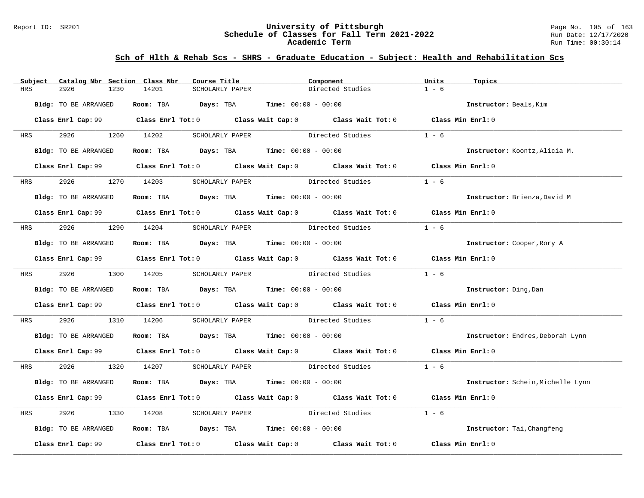#### Report ID: SR201 **University of Pittsburgh** Page No. 105 of 163 **Schedule of Classes for Fall Term 2021-2022** Run Date: 12/17/2020 **Academic Term** Run Time: 00:30:14

|            | Subject Catalog Nbr Section Class Nbr | Course Title                                                                          | Component                                                                                           | Units<br>Topics                   |
|------------|---------------------------------------|---------------------------------------------------------------------------------------|-----------------------------------------------------------------------------------------------------|-----------------------------------|
| HRS        | 2926<br>1230                          | 14201<br>SCHOLARLY PAPER                                                              | Directed Studies                                                                                    | $1 - 6$                           |
|            | Bldg: TO BE ARRANGED                  | Room: TBA $Days:$ TBA $Time: 00:00 - 00:00$                                           |                                                                                                     | Instructor: Beals, Kim            |
|            |                                       |                                                                                       | Class Enrl Cap: 99 Class Enrl Tot: 0 Class Wait Cap: 0 Class Wait Tot: 0 Class Min Enrl: 0          |                                   |
| <b>HRS</b> | 2926                                  | 1260 14202                                                                            | SCHOLARLY PAPER Directed Studies                                                                    | $1 - 6$                           |
|            | Bldg: TO BE ARRANGED                  | Room: TBA $Days:$ TBA $Time: 00:00 - 00:00$                                           |                                                                                                     | Instructor: Koontz, Alicia M.     |
|            |                                       |                                                                                       | Class Enrl Cap: 99 Class Enrl Tot: 0 Class Wait Cap: 0 Class Wait Tot: 0 Class Min Enrl: 0          |                                   |
| <b>HRS</b> | 2926                                  | SCHOLARLY PAPER<br>1270 14203                                                         | Directed Studies                                                                                    | $1 - 6$                           |
|            | Bldg: TO BE ARRANGED                  | Room: TBA $Days:$ TBA $Time: 00:00 - 00:00$                                           |                                                                                                     | Instructor: Brienza, David M      |
|            |                                       |                                                                                       | Class Enrl Cap: 99 Class Enrl Tot: 0 Class Wait Cap: 0 Class Wait Tot: 0 Class Min Enrl: 0          |                                   |
| <b>HRS</b> | 2926 100                              | 1290 14204<br>SCHOLARLY PAPER                                                         | Directed Studies                                                                                    | $1 - 6$                           |
|            | Bldg: TO BE ARRANGED                  | Room: TBA $Days:$ TBA $Time: 00:00 - 00:00$                                           |                                                                                                     | Instructor: Cooper, Rory A        |
|            |                                       |                                                                                       | Class Enrl Cap: 99 Class Enrl Tot: 0 Class Wait Cap: 0 Class Wait Tot: 0 Class Min Enrl: 0          |                                   |
|            |                                       | HRS 2926 1300 14205 SCHOLARLY PAPER                                                   | Directed Studies                                                                                    | $1 - 6$                           |
|            | Bldg: TO BE ARRANGED                  | Room: TBA $\rule{1em}{0.15mm}$ Days: TBA Time: $00:00 - 00:00$                        |                                                                                                     | Instructor: Ding, Dan             |
|            |                                       |                                                                                       | Class Enrl Cap: 99 Class Enrl Tot: 0 Class Wait Cap: 0 Class Wait Tot: 0 Class Min Enrl: 0          |                                   |
| <b>HRS</b> | 2926                                  | 1310 14206                                                                            | SCHOLARLY PAPER Directed Studies                                                                    | $1 - 6$                           |
|            | Bldg: TO BE ARRANGED                  | <b>Room:</b> TBA $\qquad \qquad$ Days: TBA $\qquad \qquad$ Time: $00:00 - 00:00$      |                                                                                                     | Instructor: Endres, Deborah Lynn  |
|            |                                       |                                                                                       | Class Enrl Cap: 99 Class Enrl Tot: 0 Class Wait Cap: 0 Class Wait Tot: 0 Class Min Enrl: 0          |                                   |
|            | HRS 2926                              |                                                                                       | 1320 14207 SCHOLARLY PAPER Directed Studies 1 - 6                                                   |                                   |
|            | Bldg: TO BE ARRANGED                  | Room: TBA $Days:$ TBA $Time: 00:00 - 00:00$                                           |                                                                                                     | Instructor: Schein, Michelle Lynn |
|            |                                       |                                                                                       | Class Enrl Cap: 99 Class Enrl Tot: 0 Class Wait Cap: 0 Class Wait Tot: 0 Class Min Enrl: 0          |                                   |
| HRS        | 2926<br>1330                          | 14208                                                                                 | SCHOLARLY PAPER Directed Studies                                                                    | $1 - 6$                           |
|            | Bldg: TO BE ARRANGED                  | Room: TBA $\rule{1em}{0.15mm}$ Days: TBA $\rule{1.5mm}{0.15mm}$ Time: $00:00 - 00:00$ |                                                                                                     | Instructor: Tai, Changfeng        |
|            |                                       |                                                                                       | Class Enrl Cap: 99 $\qquad$ Class Enrl Tot: 0 $\qquad$ Class Wait Cap: 0 $\qquad$ Class Wait Tot: 0 | Class Min Enrl: 0                 |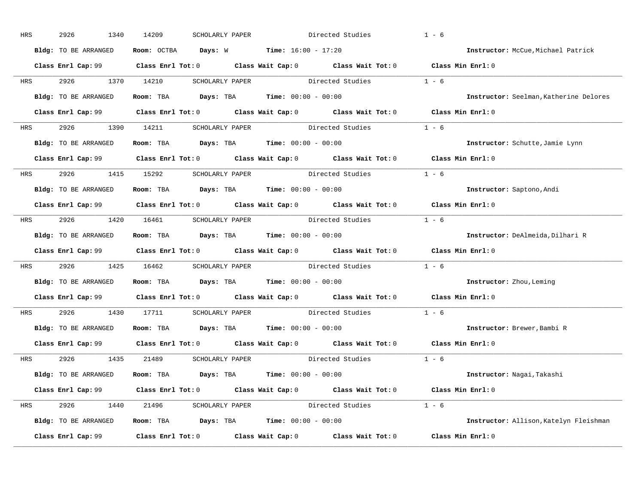| HRS        | 2926<br>1340         | 14209<br>SCHOLARLY PAPER                                     | Directed Studies                                                                                    | $1 - 6$                                |
|------------|----------------------|--------------------------------------------------------------|-----------------------------------------------------------------------------------------------------|----------------------------------------|
|            | Bldg: TO BE ARRANGED | Room: OCTBA $Days: W$ Time: $16:00 - 17:20$                  |                                                                                                     | Instructor: McCue, Michael Patrick     |
|            |                      |                                                              | Class Enrl Cap: 99 Class Enrl Tot: 0 Class Wait Cap: 0 Class Wait Tot: 0 Class Min Enrl: 0          |                                        |
|            | HRS 2926 1370 14210  |                                                              | SCHOLARLY PAPER Directed Studies                                                                    | $1 - 6$                                |
|            | Bldg: TO BE ARRANGED | Room: TBA $Days:$ TBA Time: $00:00 - 00:00$                  |                                                                                                     | Instructor: Seelman, Katherine Delores |
|            |                      |                                                              | Class Enrl Cap: 99 Class Enrl Tot: 0 Class Wait Cap: 0 Class Wait Tot: 0 Class Min Enrl: 0          |                                        |
|            |                      |                                                              | HRS 2926 1390 14211 SCHOLARLY PAPER Directed Studies 1 - 6                                          |                                        |
|            |                      | Bldg: TO BE ARRANGED Room: TBA Days: TBA Time: 00:00 - 00:00 |                                                                                                     | Instructor: Schutte, Jamie Lynn        |
|            |                      |                                                              | Class Enrl Cap: 99 Class Enrl Tot: 0 Class Wait Cap: 0 Class Wait Tot: 0 Class Min Enrl: 0          |                                        |
|            |                      |                                                              | HRS 2926 1415 15292 SCHOLARLY PAPER Directed Studies                                                | $1 - 6$                                |
|            | Bldg: TO BE ARRANGED | Room: TBA $Days:$ TBA $Time: 00:00 - 00:00$                  |                                                                                                     | Instructor: Saptono, Andi              |
|            |                      |                                                              | Class Enrl Cap: 99 Class Enrl Tot: 0 Class Wait Cap: 0 Class Wait Tot: 0 Class Min Enrl: 0          |                                        |
|            |                      |                                                              | HRS 2926 1420 16461 SCHOLARLY PAPER Directed Studies 1 - 6                                          |                                        |
|            | Bldg: TO BE ARRANGED | Room: TBA $Days:$ TBA $Time: 00:00 - 00:00$                  |                                                                                                     | Instructor: DeAlmeida, Dilhari R       |
|            |                      |                                                              | Class Enrl Cap: 99 Class Enrl Tot: 0 Class Wait Cap: 0 Class Wait Tot: 0 Class Min Enrl: 0          |                                        |
| <b>HRS</b> |                      |                                                              | 2926 1425 16462 SCHOLARLY PAPER Directed Studies 1 - 6                                              |                                        |
|            | Bldg: TO BE ARRANGED | Room: TBA $Days:$ TBA $Time: 00:00 - 00:00$                  |                                                                                                     | Instructor: Zhou, Leming               |
|            |                      |                                                              | Class Enrl Cap: $99$ Class Enrl Tot: 0 Class Wait Cap: 0 Class Wait Tot: 0                          | Class Min Enrl: 0                      |
| <b>HRS</b> |                      |                                                              | 2926 1430 17711 SCHOLARLY PAPER Directed Studies                                                    | $1 - 6$                                |
|            |                      | Bldg: TO BE ARRANGED ROOM: TBA Days: TBA Time: 00:00 - 00:00 |                                                                                                     | Instructor: Brewer, Bambi R            |
|            |                      |                                                              | Class Enrl Cap: 99 $\qquad$ Class Enrl Tot: 0 $\qquad$ Class Wait Cap: 0 $\qquad$ Class Wait Tot: 0 | Class Min Enrl: 0                      |
|            |                      | HRS 2926 1435 21489 SCHOLARLY PAPER                          | Directed Studies 1 - 6                                                                              |                                        |
|            | Bldg: TO BE ARRANGED | Room: TBA $Days:$ TBA $Time: 00:00 - 00:00$                  |                                                                                                     | Instructor: Nagai, Takashi             |
|            |                      |                                                              | Class Enrl Cap: 99 Class Enrl Tot: 0 Class Wait Cap: 0 Class Wait Tot: 0 Class Min Enrl: 0          |                                        |
|            |                      |                                                              | HRS 2926 1440 21496 SCHOLARLY PAPER Directed Studies 1 - 6                                          |                                        |
|            | Bldg: TO BE ARRANGED | Room: TBA $Days: TBA$ Time: $00:00 - 00:00$                  |                                                                                                     | Instructor: Allison, Katelyn Fleishman |
|            |                      |                                                              | Class Enrl Cap: 99 Class Enrl Tot: 0 Class Wait Cap: 0 Class Wait Tot: 0 Class Min Enrl: 0          |                                        |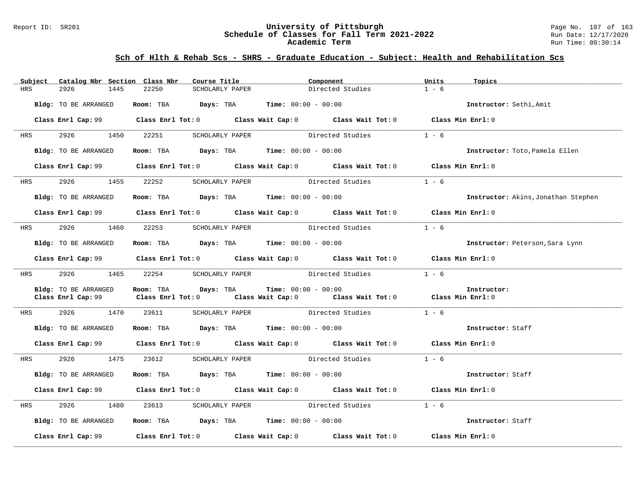#### Report ID: SR201 **University of Pittsburgh** Page No. 107 of 163 **Schedule of Classes for Fall Term 2021-2022** Run Date: 12/17/2020 **Academic Term** Run Time: 00:30:14

| Subject    | Catalog Nbr Section Class Nbr | Course Title                                                                               | Component             |                                        | Units   | Topics                              |
|------------|-------------------------------|--------------------------------------------------------------------------------------------|-----------------------|----------------------------------------|---------|-------------------------------------|
| <b>HRS</b> | 2926<br>1445                  | 22250<br>SCHOLARLY PAPER                                                                   |                       | Directed Studies                       | $1 - 6$ |                                     |
|            |                               |                                                                                            |                       |                                        |         |                                     |
|            | Bldg: TO BE ARRANGED          | Room: TBA $Days:$ TBA $Time: 00:00 - 00:00$                                                |                       |                                        |         | Instructor: Sethi, Amit             |
|            |                               |                                                                                            |                       |                                        |         |                                     |
|            |                               | Class Enrl Cap: 99 Class Enrl Tot: 0 Class Wait Cap: 0 Class Wait Tot: 0 Class Min Enrl: 0 |                       |                                        |         |                                     |
|            |                               |                                                                                            |                       |                                        |         |                                     |
| <b>HRS</b> |                               | 2926 1450 22251 SCHOLARLY PAPER                                                            |                       | Directed Studies                       | $1 - 6$ |                                     |
|            |                               |                                                                                            |                       |                                        |         | Instructor: Toto, Pamela Ellen      |
|            | Bldg: TO BE ARRANGED          | Room: TBA $Days: TBA$ Time: $00:00 - 00:00$                                                |                       |                                        |         |                                     |
|            |                               | Class Enrl Cap: 99 Class Enrl Tot: 0 Class Wait Cap: 0 Class Wait Tot: 0 Class Min Enrl: 0 |                       |                                        |         |                                     |
|            |                               |                                                                                            |                       |                                        |         |                                     |
|            | HRS 2926 1455 22252           |                                                                                            |                       | SCHOLARLY PAPER Directed Studies 1 - 6 |         |                                     |
|            |                               |                                                                                            |                       |                                        |         |                                     |
|            | Bldg: TO BE ARRANGED          | Room: TBA $Days: TBA$ Time: $00:00 - 00:00$                                                |                       |                                        |         | Instructor: Akins, Jonathan Stephen |
|            |                               |                                                                                            |                       |                                        |         |                                     |
|            |                               | Class Enrl Cap: 99 Class Enrl Tot: 0 Class Wait Cap: 0 Class Wait Tot: 0 Class Min Enrl: 0 |                       |                                        |         |                                     |
|            |                               |                                                                                            |                       |                                        |         |                                     |
| HRS        | 2926<br>1460                  | 22253                                                                                      |                       | SCHOLARLY PAPER Directed Studies       | $1 - 6$ |                                     |
|            |                               |                                                                                            |                       |                                        |         |                                     |
|            | Bldg: TO BE ARRANGED          | Room: TBA $Days:$ TBA Time: $00:00 - 00:00$                                                |                       |                                        |         | Instructor: Peterson, Sara Lynn     |
|            |                               |                                                                                            |                       |                                        |         |                                     |
|            |                               | Class Enrl Cap: 99 Class Enrl Tot: 0 Class Wait Cap: 0 Class Wait Tot: 0 Class Min Enrl: 0 |                       |                                        |         |                                     |
| <b>HRS</b> |                               | 2926 1465 22254 SCHOLARLY PAPER                                                            | Directed Studies      |                                        | $1 - 6$ |                                     |
|            |                               |                                                                                            |                       |                                        |         |                                     |
|            | Bldg: TO BE ARRANGED          | Room: TBA Days: TBA                                                                        | $Time: 00:00 - 00:00$ |                                        |         | Instructor:                         |
|            |                               | Class Enrl Cap: 99 Class Enrl Tot: 0 Class Wait Cap: 0 Class Wait Tot: 0 Class Min Enrl: 0 |                       |                                        |         |                                     |
|            |                               |                                                                                            |                       |                                        |         |                                     |
| <b>HRS</b> |                               | 2926 1470 23611 SCHOLARLY PAPER Directed Studies 1 - 6                                     |                       |                                        |         |                                     |
|            |                               |                                                                                            |                       |                                        |         |                                     |
|            | Bldg: TO BE ARRANGED          | Room: TBA $Days:$ TBA $Time: 00:00 - 00:00$                                                |                       |                                        |         | Instructor: Staff                   |
|            |                               |                                                                                            |                       |                                        |         |                                     |
|            |                               | Class Enrl Cap: 99 Class Enrl Tot: 0 Class Wait Cap: 0 Class Wait Tot: 0 Class Min Enrl: 0 |                       |                                        |         |                                     |
|            |                               |                                                                                            |                       |                                        |         |                                     |
| <b>HRS</b> |                               | 2926 1475 23612 SCHOLARLY PAPER                                                            |                       | Directed Studies                       | $1 - 6$ |                                     |
|            |                               | Room: TBA $Days:$ TBA $Time:$ 00:00 - 00:00                                                |                       |                                        |         | Instructor: Staff                   |
|            | Bldg: TO BE ARRANGED          |                                                                                            |                       |                                        |         |                                     |
|            |                               | Class Enrl Cap: 99 Class Enrl Tot: 0 Class Wait Cap: 0 Class Wait Tot: 0 Class Min Enrl: 0 |                       |                                        |         |                                     |
|            |                               |                                                                                            |                       |                                        |         |                                     |
| HRS        | 2926                          | 1480 23613                                                                                 |                       | SCHOLARLY PAPER Directed Studies 1 - 6 |         |                                     |
|            |                               |                                                                                            |                       |                                        |         |                                     |
|            | Bldg: TO BE ARRANGED          | Room: TBA $\rule{1em}{0.15mm}$ Days: TBA $\rule{1.5mm}{0.15mm}$ Time: $00:00 - 00:00$      |                       |                                        |         | Instructor: Staff                   |
|            |                               |                                                                                            |                       |                                        |         |                                     |
|            |                               | Class Enrl Cap: 99 Class Enrl Tot: 0 Class Wait Cap: 0 Class Wait Tot: 0 Class Min Enrl: 0 |                       |                                        |         |                                     |
|            |                               |                                                                                            |                       |                                        |         |                                     |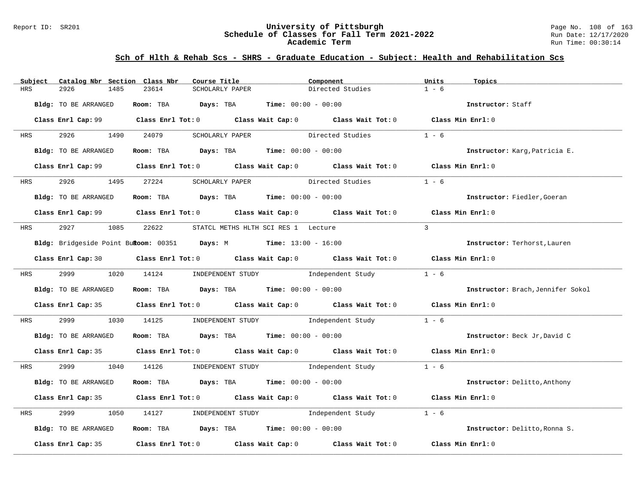#### Report ID: SR201 **University of Pittsburgh** Page No. 108 of 163 **Schedule of Classes for Fall Term 2021-2022** Run Date: 12/17/2020 **Academic Term** Run Time: 00:30:14

| Catalog Nbr Section Class Nbr<br>Subject | Course Title                                                     | Component                                                                                  | Units<br>Topics                   |
|------------------------------------------|------------------------------------------------------------------|--------------------------------------------------------------------------------------------|-----------------------------------|
| <b>HRS</b><br>2926<br>1485               | 23614<br>SCHOLARLY PAPER                                         | Directed Studies                                                                           | $1 - 6$                           |
| Bldg: TO BE ARRANGED                     | Room: TBA Days: TBA                                              | <b>Time:</b> $00:00 - 00:00$                                                               | Instructor: Staff                 |
|                                          |                                                                  | Class Enrl Cap: 99 Class Enrl Tot: 0 Class Wait Cap: 0 Class Wait Tot: 0 Class Min Enrl: 0 |                                   |
| 2926 2012<br>HRS                         | 1490 24079<br>SCHOLARLY PAPER                                    | Directed Studies                                                                           | $1 - 6$                           |
| Bldg: TO BE ARRANGED                     | Room: TBA $Days:$ TBA $Time: 00:00 - 00:00$                      |                                                                                            | Instructor: Karg, Patricia E.     |
|                                          |                                                                  | Class Enrl Cap: 99 Class Enrl Tot: 0 Class Wait Cap: 0 Class Wait Tot: 0 Class Min Enrl: 0 |                                   |
| 2926<br><b>HRS</b>                       | 1495 27224<br>SCHOLARLY PAPER                                    | Directed Studies                                                                           | $1 - 6$                           |
| Bldg: TO BE ARRANGED                     | Room: TBA $Days:$ TBA $Time: 00:00 - 00:00$                      |                                                                                            | Instructor: Fiedler, Goeran       |
|                                          |                                                                  | Class Enrl Cap: 99 Class Enrl Tot: 0 Class Wait Cap: 0 Class Wait Tot: 0 Class Min Enrl: 0 |                                   |
| 2927 — 2012<br>HRS                       | 1085 22622                                                       | STATCL METHS HLTH SCI RES 1 Lecture                                                        | $\mathcal{L}$                     |
|                                          | Bldg: Bridgeside Point Bukoom: 00351 Days: M Time: 13:00 - 16:00 |                                                                                            | Instructor: Terhorst, Lauren      |
|                                          |                                                                  | Class Enrl Cap: 30 Class Enrl Tot: 0 Class Wait Cap: 0 Class Wait Tot: 0 Class Min Enrl: 0 |                                   |
| 2999 720<br><b>HRS</b>                   | 1020 14124                                                       | INDEPENDENT STUDY 1 - 6                                                                    |                                   |
| Bldg: TO BE ARRANGED                     | Room: TBA $Days:$ TBA $Time: 00:00 - 00:00$                      |                                                                                            | Instructor: Brach, Jennifer Sokol |
|                                          |                                                                  | Class Enrl Cap: 35 Class Enrl Tot: 0 Class Wait Cap: 0 Class Wait Tot: 0 Class Min Enrl: 0 |                                   |
| 2999<br>HRS<br>1030                      | 14125                                                            | INDEPENDENT STUDY 1ndependent Study                                                        | $1 - 6$                           |
| Bldg: TO BE ARRANGED                     | Room: TBA $Days:$ TBA $Time: 00:00 - 00:00$                      |                                                                                            | Instructor: Beck Jr, David C      |
|                                          |                                                                  | Class Enrl Cap: 35 Class Enrl Tot: 0 Class Wait Cap: 0 Class Wait Tot: 0 Class Min Enrl: 0 |                                   |
| 2999 — 200<br>HRS                        |                                                                  | 1040 14126 INDEPENDENT STUDY Independent Study 1 - 6                                       |                                   |
| Bldg: TO BE ARRANGED                     | Room: TBA $Days:$ TBA $Time: 00:00 - 00:00$                      |                                                                                            | Instructor: Delitto, Anthony      |
|                                          |                                                                  | Class Enrl Cap: 35 Class Enrl Tot: 0 Class Wait Cap: 0 Class Wait Tot: 0 Class Min Enrl: 0 |                                   |
| 2999<br>HRS<br>1050                      | 14127                                                            | INDEPENDENT STUDY 1ndependent Study                                                        | $1 - 6$                           |
| Bldg: TO BE ARRANGED                     | Room: TBA $Days:$ TBA $Time: 00:00 - 00:00$                      |                                                                                            | Instructor: Delitto, Ronna S.     |
| Class Enrl Cap: 35                       |                                                                  | Class Enrl Tot: $0$ Class Wait Cap: $0$ Class Wait Tot: $0$                                | Class Min Enrl: 0                 |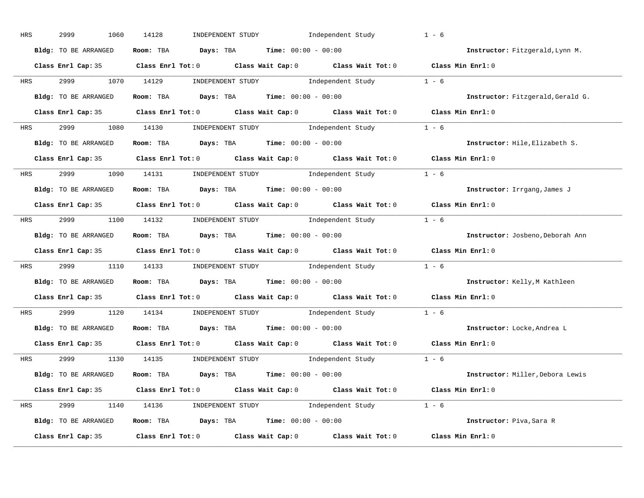| HRS        | 2999<br>1060         | 14128<br>INDEPENDENT STUDY<br>Independent Study                                                                                                                                                                                                                                                                                                                                                                                                                                                                                                                 | $1 - 6$                           |
|------------|----------------------|-----------------------------------------------------------------------------------------------------------------------------------------------------------------------------------------------------------------------------------------------------------------------------------------------------------------------------------------------------------------------------------------------------------------------------------------------------------------------------------------------------------------------------------------------------------------|-----------------------------------|
|            | Bldg: TO BE ARRANGED | Room: TBA $Days:$ TBA $Time: 00:00 - 00:00$                                                                                                                                                                                                                                                                                                                                                                                                                                                                                                                     | Instructor: Fitzgerald, Lynn M.   |
|            |                      | Class Enrl Cap: 35 Class Enrl Tot: 0 Class Wait Cap: 0 Class Wait Tot: 0 Class Min Enrl: 0                                                                                                                                                                                                                                                                                                                                                                                                                                                                      |                                   |
| <b>HRS</b> | 2999 1070 14129      | $\begin{minipage}[c]{0.9\linewidth} \textbf{INDEX} & \textbf{STUDY} \\ \textbf{Index} & \textbf{Index} \\ \textbf{Index} & \textbf{Index} \\ \textbf{Index} & \textbf{Index} \\ \textbf{Index} & \textbf{Index} \\ \textbf{Index} & \textbf{Index} \\ \textbf{Index} & \textbf{Index} \\ \textbf{Index} & \textbf{Index} \\ \textbf{Index} & \textbf{Index} \\ \textbf{Index} & \textbf{Index} \\ \textbf{Index} & \textbf{Index} \\ \textbf{Index} & \textbf{Index} \\ \textbf{Index} & \textbf{Index} \\ \textbf{Index} & \textbf{Index} \\ \textbf{Index} &$ |                                   |
|            | Bldg: TO BE ARRANGED | Room: TBA Days: TBA Time: $00:00 - 00:00$                                                                                                                                                                                                                                                                                                                                                                                                                                                                                                                       | Instructor: Fitzgerald, Gerald G. |
|            |                      | Class Enrl Cap: 35 Class Enrl Tot: 0 Class Wait Cap: 0 Class Wait Tot: 0 Class Min Enrl: 0                                                                                                                                                                                                                                                                                                                                                                                                                                                                      |                                   |
| HRS        |                      | 2999 1080 14130 INDEPENDENT STUDY Independent Study 1 - 6                                                                                                                                                                                                                                                                                                                                                                                                                                                                                                       |                                   |
|            | Bldg: TO BE ARRANGED | Room: TBA $Days:$ TBA $Time: 00:00 - 00:00$                                                                                                                                                                                                                                                                                                                                                                                                                                                                                                                     | Instructor: Hile, Elizabeth S.    |
|            |                      | Class Enrl Cap: 35 Class Enrl Tot: 0 Class Wait Cap: 0 Class Wait Tot: 0 Class Min Enrl: 0                                                                                                                                                                                                                                                                                                                                                                                                                                                                      |                                   |
| <b>HRS</b> |                      | 2999 1090 14131 INDEPENDENT STUDY Independent Study 1 - 6                                                                                                                                                                                                                                                                                                                                                                                                                                                                                                       |                                   |
|            | Bldg: TO BE ARRANGED | Room: TBA $Days: TBA$ Time: $00:00 - 00:00$                                                                                                                                                                                                                                                                                                                                                                                                                                                                                                                     | Instructor: Irrgang, James J      |
|            |                      | Class Enrl Cap: 35 Class Enrl Tot: 0 Class Wait Cap: 0 Class Wait Tot: 0 Class Min Enrl: 0                                                                                                                                                                                                                                                                                                                                                                                                                                                                      |                                   |
| HRS        |                      | 2999 1100 14132 INDEPENDENT STUDY Independent Study 1 - 6                                                                                                                                                                                                                                                                                                                                                                                                                                                                                                       |                                   |
|            | Bldg: TO BE ARRANGED | Room: TBA $\rule{1em}{0.15mm}$ Days: TBA $\rule{1.5mm}{0.15mm}$ Time: $00:00 - 00:00$                                                                                                                                                                                                                                                                                                                                                                                                                                                                           | Instructor: Josbeno, Deborah Ann  |
|            |                      | Class Enrl Cap: 35 Class Enrl Tot: 0 Class Wait Cap: 0 Class Wait Tot: 0 Class Min Enrl: 0                                                                                                                                                                                                                                                                                                                                                                                                                                                                      |                                   |
| <b>HRS</b> |                      | 2999 1110 14133 INDEPENDENT STUDY Independent Study 1 - 6                                                                                                                                                                                                                                                                                                                                                                                                                                                                                                       |                                   |
|            | Bldg: TO BE ARRANGED | Room: TBA $Days:$ TBA Time: $00:00 - 00:00$                                                                                                                                                                                                                                                                                                                                                                                                                                                                                                                     | Instructor: Kelly, M Kathleen     |
|            |                      | Class Enrl Cap: 35 Class Enrl Tot: 0 Class Wait Cap: 0 Class Wait Tot: 0                                                                                                                                                                                                                                                                                                                                                                                                                                                                                        | Class Min Enrl: 0                 |
| <b>HRS</b> | 2999 720             | 1120 14134 INDEPENDENT STUDY Independent Study 1 - 6                                                                                                                                                                                                                                                                                                                                                                                                                                                                                                            |                                   |
|            | Bldg: TO BE ARRANGED | Room: TBA $Days:$ TBA $Time: 00:00 - 00:00$                                                                                                                                                                                                                                                                                                                                                                                                                                                                                                                     | Instructor: Locke, Andrea L       |
|            |                      | Class Enrl Cap: 35 Class Enrl Tot: 0 Class Wait Cap: 0 Class Wait Tot: 0                                                                                                                                                                                                                                                                                                                                                                                                                                                                                        | Class Min Enrl: 0                 |
|            | HRS 2999             | 1130 14135 INDEPENDENT STUDY Independent Study $1 - 6$                                                                                                                                                                                                                                                                                                                                                                                                                                                                                                          |                                   |
|            | Bldg: TO BE ARRANGED | Room: TBA $Days:$ TBA $Time: 00:00 - 00:00$                                                                                                                                                                                                                                                                                                                                                                                                                                                                                                                     | Instructor: Miller, Debora Lewis  |
|            |                      | Class Enrl Cap: 35 Class Enrl Tot: 0 Class Wait Cap: 0 Class Wait Tot: 0 Class Min Enrl: 0                                                                                                                                                                                                                                                                                                                                                                                                                                                                      |                                   |
| HRS        |                      | 2999 1140 14136 INDEPENDENT STUDY Independent Study 1 - 6                                                                                                                                                                                                                                                                                                                                                                                                                                                                                                       |                                   |
|            | Bldg: TO BE ARRANGED | Room: TBA $Days:$ TBA $Time:$ $00:00 - 00:00$                                                                                                                                                                                                                                                                                                                                                                                                                                                                                                                   | Instructor: Piva, Sara R          |
|            | Class Enrl Cap: 35   | Class Enrl Tot: $0$ Class Wait Cap: $0$ Class Wait Tot: $0$                                                                                                                                                                                                                                                                                                                                                                                                                                                                                                     | Class Min Enrl: 0                 |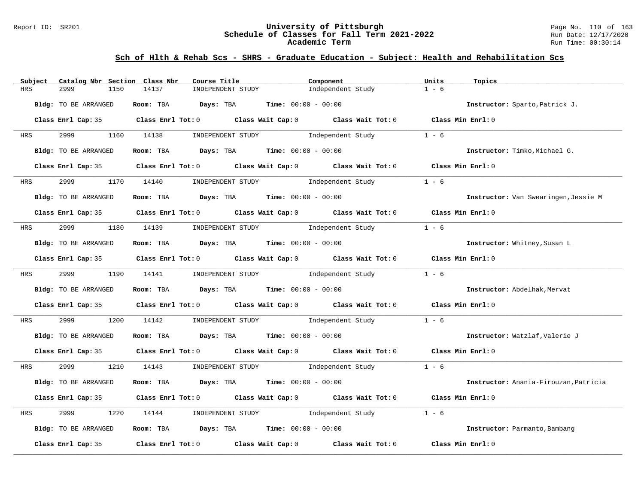### Report ID: SR201 **University of Pittsburgh** Page No. 110 of 163 **Schedule of Classes for Fall Term 2021-2022** Run Date: 12/17/2020 **Academic Term** Run Time: 00:30:14

| Catalog Nbr Section Class Nbr<br>Subject | Course Title                                                                                                                                                                                                                  | Component                           | Units<br>Topics                       |
|------------------------------------------|-------------------------------------------------------------------------------------------------------------------------------------------------------------------------------------------------------------------------------|-------------------------------------|---------------------------------------|
| 2999<br>1150<br>HRS                      | 14137<br>INDEPENDENT STUDY                                                                                                                                                                                                    | Independent Study                   | $1 - 6$                               |
| Bldg: TO BE ARRANGED                     | Room: TBA $Days: TBA$ Time: $00:00 - 00:00$                                                                                                                                                                                   |                                     | Instructor: Sparto, Patrick J.        |
|                                          | Class Enrl Cap: 35 Class Enrl Tot: 0 Class Wait Cap: 0 Class Wait Tot: 0 Class Min Enrl: 0                                                                                                                                    |                                     |                                       |
| 2999 72<br><b>HRS</b>                    | 1160 14138                                                                                                                                                                                                                    | INDEPENDENT STUDY 1ndependent Study | $1 - 6$                               |
| Bldg: TO BE ARRANGED                     | Room: TBA $Days:$ TBA $Time: 00:00 - 00:00$                                                                                                                                                                                   |                                     | Instructor: Timko, Michael G.         |
|                                          | Class Enrl Cap: 35 $\,$ Class Enrl Tot: 0 $\,$ Class Wait Cap: 0 $\,$ Class Wait Tot: 0 $\,$ Class Wait Tot: 0 $\,$ Class Wait Tot: 0 $\,$ Class Wait Tot: 0 $\,$ Class Wait Tot: 0 $\,$ Class Wait Tot: 0 $\,$ Class Wait To |                                     | Class Min Enrl: 0                     |
| 2999<br>HRS                              | 1170 14140 INDEPENDENT STUDY Independent Study                                                                                                                                                                                |                                     | $1 - 6$                               |
| Bldg: TO BE ARRANGED                     | Room: TBA $Days:$ TBA $Time: 00:00 - 00:00$                                                                                                                                                                                   |                                     | Instructor: Van Swearingen, Jessie M  |
|                                          | Class Enrl Cap: 35 Class Enrl Tot: 0 Class Wait Cap: 0 Class Wait Tot: 0 Class Min Enrl: 0                                                                                                                                    |                                     |                                       |
| 2999 — 100<br><b>HRS</b>                 | 1180 14139                                                                                                                                                                                                                    | INDEPENDENT STUDY 1ndependent Study | $1 - 6$                               |
| Bldg: TO BE ARRANGED                     | Room: TBA $Days:$ TBA $Time: 00:00 - 00:00$                                                                                                                                                                                   |                                     | Instructor: Whitney, Susan L          |
|                                          | Class Enrl Cap: 35 Class Enrl Tot: 0 Class Wait Cap: 0 Class Wait Tot: 0 Class Min Enrl: 0                                                                                                                                    |                                     |                                       |
| 2999 72<br><b>HRS</b>                    | 1190 14141                                                                                                                                                                                                                    | INDEPENDENT STUDY 1ndependent Study | $1 - 6$                               |
| Bldg: TO BE ARRANGED                     | Room: TBA $Days:$ TBA $Time: 00:00 - 00:00$                                                                                                                                                                                   |                                     | Instructor: Abdelhak, Mervat          |
|                                          | Class Enrl Cap: 35 Class Enrl Tot: 0 Class Wait Cap: 0 Class Wait Tot: 0 Class Min Enrl: 0                                                                                                                                    |                                     |                                       |
| 2999<br>1200<br>HRS                      | 14142                                                                                                                                                                                                                         | INDEPENDENT STUDY 1ndependent Study | $1 - 6$                               |
| Bldg: TO BE ARRANGED                     | Room: TBA $Days:$ TBA $Time: 00:00 - 00:00$                                                                                                                                                                                   |                                     | Instructor: Watzlaf, Valerie J        |
|                                          | Class Enrl Cap: 35 Class Enrl Tot: 0 Class Wait Cap: 0 Class Wait Tot: 0 Class Min Enrl: 0                                                                                                                                    |                                     |                                       |
| 2999 120<br><b>HRS</b>                   | 1210 14143 INDEPENDENT STUDY Independent Study 1 - 6                                                                                                                                                                          |                                     |                                       |
| Bldg: TO BE ARRANGED                     | Room: TBA $Days:$ TBA $Time: 00:00 - 00:00$                                                                                                                                                                                   |                                     | Instructor: Anania-Firouzan, Patricia |
|                                          | Class Enrl Cap: 35 Class Enrl Tot: 0 Class Wait Cap: 0 Class Wait Tot: 0                                                                                                                                                      |                                     | Class Min $Err1:0$                    |
| 2999<br>1220<br>HRS                      | 14144                                                                                                                                                                                                                         | INDEPENDENT STUDY 1ndependent Study | $1 - 6$                               |
| Bldg: TO BE ARRANGED                     | Room: TBA $Days:$ TBA $Time: 00:00 - 00:00$                                                                                                                                                                                   |                                     | Instructor: Parmanto, Bambang         |
| Class Enrl Cap: 35                       | Class Enrl Tot: $0$ Class Wait Cap: $0$ Class Wait Tot: $0$                                                                                                                                                                   |                                     | Class Min Enrl: 0                     |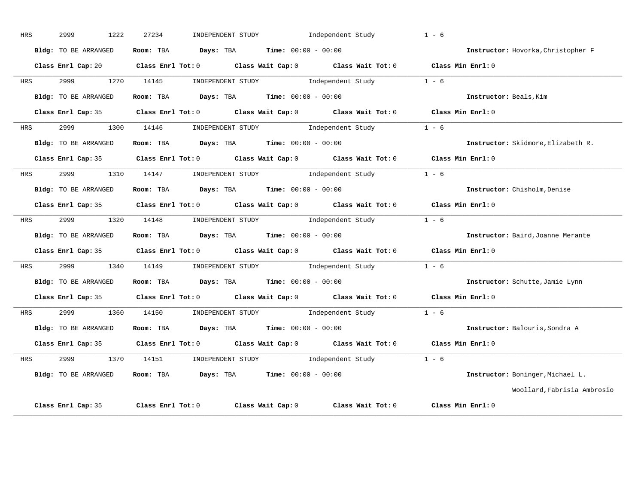| HRS        | 2999<br>1222         | 27234                                         | INDEPENDENT STUDY                                   | Independent Study                                                                          | $1 - 6$                            |
|------------|----------------------|-----------------------------------------------|-----------------------------------------------------|--------------------------------------------------------------------------------------------|------------------------------------|
|            | Bldg: TO BE ARRANGED | Room: TBA                                     | Days: TBA                                           | $Time: 00:00 - 00:00$                                                                      | Instructor: Hovorka, Christopher F |
|            | Class Enrl Cap: 20   |                                               |                                                     | Class Enrl Tot: 0 Class Wait Cap: 0 Class Wait Tot: 0 Class Min Enrl: 0                    |                                    |
| <b>HRS</b> | 2999 1270 14145      |                                               | INDEPENDENT STUDY                                   | Independent Study                                                                          | $1 - 6$                            |
|            | Bldg: TO BE ARRANGED | Room: TBA $Days:$ TBA $Time:$ $00:00 - 00:00$ |                                                     |                                                                                            | Instructor: Beals, Kim             |
|            | Class Enrl Cap: 35   |                                               |                                                     | Class Enrl Tot: $0$ Class Wait Cap: $0$ Class Wait Tot: $0$ Class Min Enrl: $0$            |                                    |
| HRS        | 2999<br>1300         | 14146                                         |                                                     | INDEPENDENT STUDY 1ndependent Study                                                        | $1 - 6$                            |
|            | Bldg: TO BE ARRANGED | Room: TBA $Days:$ TBA $Time: 00:00 - 00:00$   |                                                     |                                                                                            | Instructor: Skidmore, Elizabeth R. |
|            | Class Enrl Cap: 35   |                                               |                                                     | Class Enrl Tot: $0$ Class Wait Cap: $0$ Class Wait Tot: $0$                                | Class Min $Enr1:0$                 |
| <b>HRS</b> | 2999 1310 14147      |                                               |                                                     | INDEPENDENT STUDY 1ndependent Study                                                        | $1 - 6$                            |
|            | Bldg: TO BE ARRANGED | Room: TBA $Days: TBA$ Time: $00:00 - 00:00$   |                                                     |                                                                                            | Instructor: Chisholm, Denise       |
|            | Class Enrl Cap: 35   |                                               |                                                     | Class Enrl Tot: $0$ Class Wait Cap: $0$ Class Wait Tot: $0$                                | Class Min Enrl: 0                  |
| HRS        | 2999<br>1320         | 14148                                         |                                                     | INDEPENDENT STUDY Independent Study                                                        | $1 - 6$                            |
|            | Bldg: TO BE ARRANGED | Room: TBA                                     | $\texttt{Days:}$ TBA $\texttt{Time:}$ 00:00 - 00:00 |                                                                                            | Instructor: Baird, Joanne Merante  |
|            |                      |                                               |                                                     | Class Enrl Cap: 35 Class Enrl Tot: 0 Class Wait Cap: 0 Class Wait Tot: 0 Class Min Enrl: 0 |                                    |
| HRS        | 2999 1340 14149      |                                               |                                                     | INDEPENDENT STUDY 1ndependent Study                                                        | $1 - 6$                            |
|            | Bldg: TO BE ARRANGED | Room: TBA                                     | $Davs:$ TBA $Time:$ 00:00 - 00:00                   |                                                                                            | Instructor: Schutte, Jamie Lynn    |
|            | Class Enrl Cap: 35   |                                               |                                                     | Class Enrl Tot: 0 Class Wait Cap: 0 Class Wait Tot: 0                                      | Class Min Enrl: 0                  |
| HRS        | 2999<br>1360         | 14150                                         |                                                     | INDEPENDENT STUDY 1ndependent Study                                                        | $1 - 6$                            |
|            | Bldg: TO BE ARRANGED | Room: TBA                                     | <b>Days:</b> TBA <b>Time:</b> $00:00 - 00:00$       |                                                                                            | Instructor: Balouris, Sondra A     |
|            | Class Enrl Cap: 35   | Class Enrl Tot: 0                             |                                                     | Class Wait Cap: $0$ Class Wait Tot: $0$                                                    | Class Min Enrl: 0                  |
| HRS        | 2999 720<br>1370     | 14151                                         |                                                     | INDEPENDENT STUDY 1 - 6                                                                    |                                    |
|            | Bldg: TO BE ARRANGED | Room: TBA                                     | <b>Days:</b> TBA <b>Time:</b> $00:00 - 00:00$       |                                                                                            | Instructor: Boninger, Michael L.   |
|            |                      |                                               |                                                     |                                                                                            | Woollard, Fabrisia Ambrosio        |
|            | Class Enrl Cap: 35   | Class Enrl Tot: 0                             | Class Wait Cap: 0                                   | Class Wait Tot: 0                                                                          | Class Min Enrl: 0                  |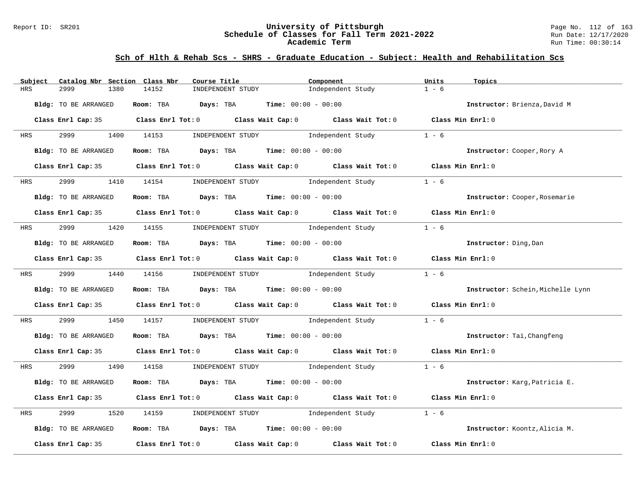### Report ID: SR201 **University of Pittsburgh** Page No. 112 of 163 **Schedule of Classes for Fall Term 2021-2022** Run Date: 12/17/2020 **Academic Term** Run Time: 00:30:14

| Catalog Nbr Section Class Nbr<br>Subject | Course Title                                                                                        | Component                               | Units<br>Topics                   |
|------------------------------------------|-----------------------------------------------------------------------------------------------------|-----------------------------------------|-----------------------------------|
| 2999<br>1380<br>HRS                      | 14152<br>INDEPENDENT STUDY                                                                          | Independent Study                       | $1 - 6$                           |
| Bldg: TO BE ARRANGED                     | Room: TBA $Days:$ TBA $Time: 00:00 - 00:00$                                                         |                                         | Instructor: Brienza, David M      |
|                                          | Class Enrl Cap: 35 Class Enrl Tot: 0 Class Wait Cap: 0 Class Wait Tot: 0 Class Min Enrl: 0          |                                         |                                   |
| 2999<br><b>HRS</b>                       | 1400 14153                                                                                          | INDEPENDENT STUDY The Independent Study | $1 - 6$                           |
| Bldg: TO BE ARRANGED                     | Room: TBA $Days:$ TBA $Time: 00:00 - 00:00$                                                         |                                         | Instructor: Cooper, Rory A        |
|                                          | Class Enrl Cap: 35 Class Enrl Tot: 0 Class Wait Cap: 0 Class Wait Tot: 0 Class Min Enrl: 0          |                                         |                                   |
| 2999 — 100<br><b>HRS</b>                 | 1410 14154 INDEPENDENT STUDY 1ndependent Study                                                      |                                         | $1 - 6$                           |
| Bldg: TO BE ARRANGED                     | Room: TBA $\rule{1em}{0.15mm}$ Days: TBA Time: $00:00 - 00:00$                                      |                                         | Instructor: Cooper, Rosemarie     |
|                                          | Class Enrl Cap: 35 Class Enrl Tot: 0 Class Wait Cap: 0 Class Wait Tot: 0 Class Min Enrl: 0          |                                         |                                   |
| <b>HRS</b>                               | 2999 1420 14155 INDEPENDENT STUDY Independent Study                                                 |                                         | $1 - 6$                           |
| Bldg: TO BE ARRANGED                     | Room: TBA $Days:$ TBA $Time: 00:00 - 00:00$                                                         |                                         | Instructor: Ding, Dan             |
|                                          | Class Enrl Cap: 35 Class Enrl Tot: 0 Class Wait Cap: 0 Class Wait Tot: 0 Class Min Enrl: 0          |                                         |                                   |
| <b>HRS</b>                               | 2999 1440 14156 INDEPENDENT STUDY Independent Study                                                 |                                         | $1 - 6$                           |
| Bldg: TO BE ARRANGED                     | Room: TBA $Days: TBA$ Time: $00:00 - 00:00$                                                         |                                         | Instructor: Schein, Michelle Lynn |
|                                          | Class Enrl Cap: 35 Class Enrl Tot: 0 Class Wait Cap: 0 Class Wait Tot: 0 Class Min Enrl: 0          |                                         |                                   |
| 2999<br>HRS                              | 1450 14157                                                                                          | INDEPENDENT STUDY 1ndependent Study     | $1 - 6$                           |
| Bldg: TO BE ARRANGED                     | Room: TBA $Days:$ TBA $Time: 00:00 - 00:00$                                                         |                                         | Instructor: Tai, Changfeng        |
|                                          | Class Enrl Cap: 35 Class Enrl Tot: 0 Class Wait Cap: 0 Class Wait Tot: 0 Class Min Enrl: 0          |                                         |                                   |
| <b>HRS</b>                               | 2999 1490 14158 INDEPENDENT STUDY Independent Study 1 - 6                                           |                                         |                                   |
| Bldg: TO BE ARRANGED                     | Room: TBA $Days:$ TBA $Time: 00:00 - 00:00$                                                         |                                         | Instructor: Karg, Patricia E.     |
|                                          | Class Enrl Cap: 35 Class Enrl Tot: 0 Class Wait Cap: 0 Class Wait Tot: 0 Class Min Enrl: 0          |                                         |                                   |
| 2999<br>1520<br>HRS                      | 14159                                                                                               | INDEPENDENT STUDY 1ndependent Study     | $1 - 6$                           |
| Bldg: TO BE ARRANGED                     | Room: TBA $Days:$ TBA $Time: 00:00 - 00:00$                                                         |                                         | Instructor: Koontz, Alicia M.     |
|                                          | Class Enrl Cap: 35 $\qquad$ Class Enrl Tot: 0 $\qquad$ Class Wait Cap: 0 $\qquad$ Class Wait Tot: 0 |                                         | Class Min Enrl: 0                 |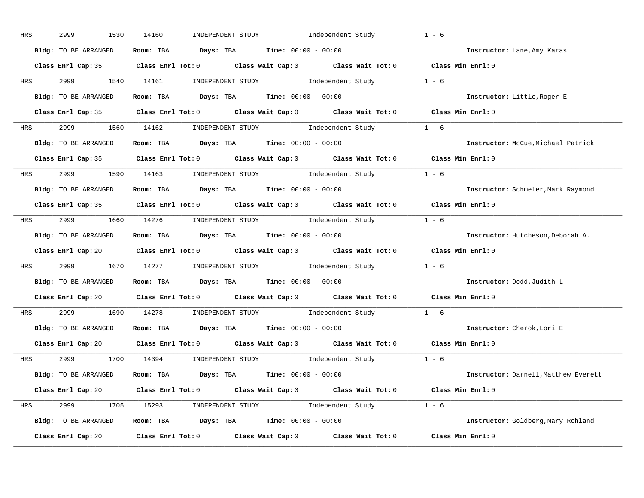| HRS        | 2999<br>1530         | Independent Study<br>14160<br>INDEPENDENT STUDY                                            | $1 - 6$                              |
|------------|----------------------|--------------------------------------------------------------------------------------------|--------------------------------------|
|            | Bldg: TO BE ARRANGED | Room: TBA $Days:$ TBA $Time: 00:00 - 00:00$                                                | Instructor: Lane, Amy Karas          |
|            |                      | Class Enrl Cap: 35 Class Enrl Tot: 0 Class Wait Cap: 0 Class Wait Tot: 0 Class Min Enrl: 0 |                                      |
|            |                      | HRS 2999 1540 14161 INDEPENDENT STUDY Independent Study 1 - 6                              |                                      |
|            | Bldg: TO BE ARRANGED | Room: TBA $Days:$ TBA $Time: 00:00 - 00:00$                                                | Instructor: Little, Roger E          |
|            |                      | Class Enrl Cap: 35 Class Enrl Tot: 0 Class Wait Cap: 0 Class Wait Tot: 0 Class Min Enrl: 0 |                                      |
|            |                      | HRS 2999 1560 14162 INDEPENDENT STUDY Independent Study 1 - 6                              |                                      |
|            |                      | <b>Bldg:</b> TO BE ARRANGED <b>Room:</b> TBA <b>Days:</b> TBA <b>Time:</b> $00:00 - 00:00$ | Instructor: McCue, Michael Patrick   |
|            |                      | Class Enrl Cap: 35 Class Enrl Tot: 0 Class Wait Cap: 0 Class Wait Tot: 0 Class Min Enrl: 0 |                                      |
|            |                      | HRS 2999 1590 14163 INDEPENDENT STUDY Independent Study 1 - 6                              |                                      |
|            | Bldg: TO BE ARRANGED | Room: TBA $Days:$ TBA $Time: 00:00 - 00:00$                                                | Instructor: Schmeler, Mark Raymond   |
|            |                      | Class Enrl Cap: 35 Class Enrl Tot: 0 Class Wait Cap: 0 Class Wait Tot: 0 Class Min Enrl: 0 |                                      |
|            |                      | HRS 2999 1660 14276 INDEPENDENT STUDY Independent Study 1 - 6                              |                                      |
|            | Bldg: TO BE ARRANGED | Room: TBA $Days:$ TBA $Time:$ $00:00 - 00:00$                                              | Instructor: Hutcheson, Deborah A.    |
|            |                      | Class Enrl Cap: 20 Class Enrl Tot: 0 Class Wait Cap: 0 Class Wait Tot: 0 Class Min Enrl: 0 |                                      |
|            |                      | HRS 2999 1670 14277 INDEPENDENT STUDY Independent Study 1 - 6                              |                                      |
|            | Bldg: TO BE ARRANGED | Room: TBA $Days:$ TBA $Time: 00:00 - 00:00$                                                | Instructor: Dodd, Judith L           |
|            |                      | Class Enrl Cap: 20 Class Enrl Tot: 0 Class Wait Cap: 0 Class Wait Tot: 0 Class Min Enrl: 0 |                                      |
| <b>HRS</b> |                      | 2999 1690 14278 INDEPENDENT STUDY Independent Study 1 - 6                                  |                                      |
|            | Bldg: TO BE ARRANGED | Room: TBA $Days:$ TBA Time: $00:00 - 00:00$                                                | Instructor: Cherok, Lori E           |
|            | Class Enrl Cap: 20   | Class Enrl Tot: $0$ Class Wait Cap: $0$ Class Wait Tot: $0$                                | Class Min Enrl: 0                    |
|            |                      | HRS 2999 1700 14394 INDEPENDENT STUDY Independent Study 1 - 6                              |                                      |
|            | Bldg: TO BE ARRANGED | Room: TBA $Days:$ TBA $Time: 00:00 - 00:00$                                                | Instructor: Darnell, Matthew Everett |
|            |                      | Class Enrl Cap: 20 Class Enrl Tot: 0 Class Wait Cap: 0 Class Wait Tot: 0 Class Min Enrl: 0 |                                      |
|            |                      | HRS 2999 1705 15293 INDEPENDENT STUDY Independent Study 1 - 6                              |                                      |
|            | Bldg: TO BE ARRANGED | Room: TBA $Days:$ TBA Time: $00:00 - 00:00$                                                | Instructor: Goldberg, Mary Rohland   |
|            | Class Enrl Cap: 20   | Class Enrl Tot: $0$ Class Wait Cap: $0$ Class Wait Tot: $0$ Class Min Enrl: $0$            |                                      |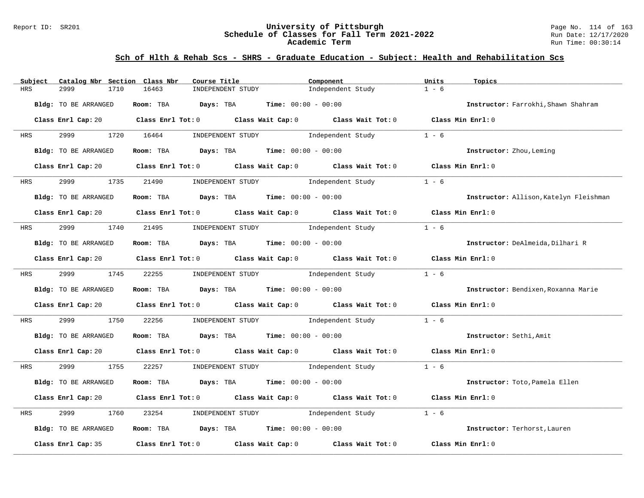### Report ID: SR201 **University of Pittsburgh** Page No. 114 of 163 **Schedule of Classes for Fall Term 2021-2022** Run Date: 12/17/2020 **Academic Term** Run Time: 00:30:14

| Catalog Nbr Section Class Nbr<br>Subject | Course Title                                                                                           | Component         | Units<br>Topics                        |
|------------------------------------------|--------------------------------------------------------------------------------------------------------|-------------------|----------------------------------------|
| 2999<br>1710<br>HRS                      | 16463<br>INDEPENDENT STUDY                                                                             | Independent Study | $1 - 6$                                |
| Bldg: TO BE ARRANGED                     | Room: TBA $Days:$ TBA $Time: 00:00 - 00:00$                                                            |                   | Instructor: Farrokhi, Shawn Shahram    |
|                                          | Class Enrl Cap: 20 		 Class Enrl Tot: 0 		 Class Wait Cap: 0 		 Class Wait Tot: 0 		 Class Min Enrl: 0 |                   |                                        |
| 2999 72<br>HRS                           | 1720 16464<br>INDEPENDENT STUDY                                                                        | Independent Study | $1 - 6$                                |
| Bldg: TO BE ARRANGED                     | Room: TBA $Days:$ TBA $Time: 00:00 - 00:00$                                                            |                   | Instructor: Zhou, Leming               |
|                                          | Class Enrl Cap: 20 Class Enrl Tot: 0 Class Wait Cap: 0 Class Wait Tot: 0 Class Min Enrl: 0             |                   |                                        |
| 2999<br>1735<br><b>HRS</b>               | 21490<br>INDEPENDENT STUDY 1ndependent Study                                                           |                   | $1 - 6$                                |
| Bldg: TO BE ARRANGED                     | Room: TBA $Days:$ TBA $Time: 00:00 - 00:00$                                                            |                   | Instructor: Allison, Katelyn Fleishman |
|                                          | Class Enrl Cap: 20 Class Enrl Tot: 0 Class Wait Cap: 0 Class Wait Tot: 0 Class Min Enrl: 0             |                   |                                        |
| 2999<br>1740<br>HRS                      | INDEPENDENT STUDY 1ndependent Study<br>21495                                                           |                   | $1 - 6$                                |
| Bldg: TO BE ARRANGED                     | Room: TBA $\rule{1em}{0.15mm}$ Days: TBA Time: $00:00 - 00:00$                                         |                   | Instructor: DeAlmeida, Dilhari R       |
|                                          | Class Enrl Cap: 20 Class Enrl Tot: 0 Class Wait Cap: 0 Class Wait Tot: 0 Class Min Enrl: 0             |                   |                                        |
| 2999 — 200<br><b>HRS</b>                 | 1745 22255<br>INDEPENDENT STUDY 1ndependent Study                                                      |                   | $1 - 6$                                |
| Bldg: TO BE ARRANGED                     | Room: TBA $Days:$ TBA $Time: 00:00 - 00:00$                                                            |                   | Instructor: Bendixen, Roxanna Marie    |
|                                          | Class Enrl Cap: 20 Class Enrl Tot: 0 Class Wait Cap: 0 Class Wait Tot: 0 Class Min Enrl: 0             |                   |                                        |
| 2999<br>1750<br>HRS                      | 22256<br>INDEPENDENT STUDY 1ndependent Study                                                           |                   | $1 - 6$                                |
| Bldg: TO BE ARRANGED                     | Room: TBA $Days:$ TBA $Time: 00:00 - 00:00$                                                            |                   | Instructor: Sethi, Amit                |
|                                          | Class Enrl Cap: 20 Class Enrl Tot: 0 Class Wait Cap: 0 Class Wait Tot: 0 Class Min Enrl: 0             |                   |                                        |
| 2999 1755<br>HRS                         | INDEPENDENT STUDY 1 - 6<br>22257                                                                       |                   |                                        |
| Bldg: TO BE ARRANGED                     | Room: TBA $Days:$ TBA $Time: 00:00 - 00:00$                                                            |                   | Instructor: Toto, Pamela Ellen         |
|                                          | Class Enrl Cap: 20 $\qquad$ Class Enrl Tot: 0 $\qquad$ Class Wait Cap: 0 $\qquad$ Class Wait Tot: 0    |                   | Class Min Enrl: 0                      |
| 2999<br>1760<br>HRS                      | INDEPENDENT STUDY<br>23254                                                                             | Independent Study | $1 - 6$                                |
| Bldg: TO BE ARRANGED                     | Room: TBA $Days: TBA$ Time: $00:00 - 00:00$                                                            |                   | Instructor: Terhorst, Lauren           |
| Class Enrl Cap: 35                       | Class Enrl Tot: $0$ Class Wait Cap: $0$ Class Wait Tot: $0$                                            |                   | Class Min Enrl: 0                      |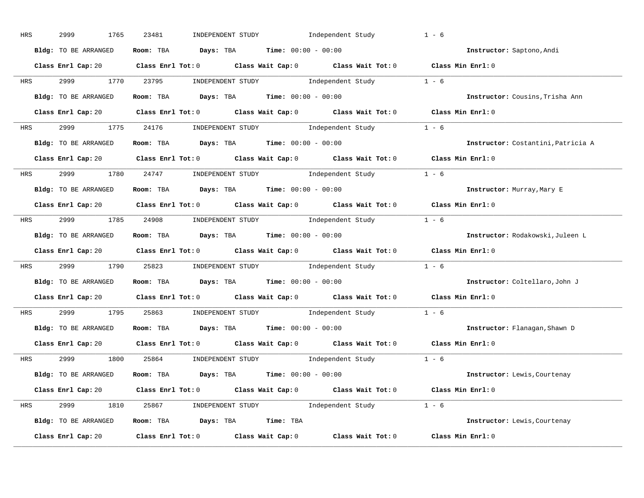| HRS        | 2999<br>1765         | 23481<br>INDEPENDENT STUDY<br>Independent Study                                                                                                                                                                                                                                                                                                                                                                                                                                                                                                                 | $1 - 6$                            |
|------------|----------------------|-----------------------------------------------------------------------------------------------------------------------------------------------------------------------------------------------------------------------------------------------------------------------------------------------------------------------------------------------------------------------------------------------------------------------------------------------------------------------------------------------------------------------------------------------------------------|------------------------------------|
|            | Bldg: TO BE ARRANGED | Room: TBA $Days:$ TBA $Time: 00:00 - 00:00$                                                                                                                                                                                                                                                                                                                                                                                                                                                                                                                     | Instructor: Saptono, Andi          |
|            |                      | Class Enrl Cap: 20 Class Enrl Tot: 0 Class Wait Cap: 0 Class Wait Tot: 0 Class Min Enrl: 0                                                                                                                                                                                                                                                                                                                                                                                                                                                                      |                                    |
| <b>HRS</b> | 2999 1770 23795      | $\begin{minipage}[c]{0.9\linewidth} \textbf{INDEX} & \textbf{STUDY} \\ \textbf{Index} & \textbf{Index} \\ \textbf{Index} & \textbf{Index} \\ \textbf{Index} & \textbf{Index} \\ \textbf{Index} & \textbf{Index} \\ \textbf{Index} & \textbf{Index} \\ \textbf{Index} & \textbf{Index} \\ \textbf{Index} & \textbf{Index} \\ \textbf{Index} & \textbf{Index} \\ \textbf{Index} & \textbf{Index} \\ \textbf{Index} & \textbf{Index} \\ \textbf{Index} & \textbf{Index} \\ \textbf{Index} & \textbf{Index} \\ \textbf{Index} & \textbf{Index} \\ \textbf{Index} &$ |                                    |
|            | Bldg: TO BE ARRANGED | Room: TBA Days: TBA Time: $00:00 - 00:00$                                                                                                                                                                                                                                                                                                                                                                                                                                                                                                                       | Instructor: Cousins, Trisha Ann    |
|            |                      | Class Enrl Cap: 20 Class Enrl Tot: 0 Class Wait Cap: 0 Class Wait Tot: 0 Class Min Enrl: 0                                                                                                                                                                                                                                                                                                                                                                                                                                                                      |                                    |
|            |                      | HRS 2999 1775 24176 INDEPENDENT STUDY Independent Study 1 - 6                                                                                                                                                                                                                                                                                                                                                                                                                                                                                                   |                                    |
|            | Bldg: TO BE ARRANGED | Room: TBA $Days:$ TBA $Time: 00:00 - 00:00$                                                                                                                                                                                                                                                                                                                                                                                                                                                                                                                     | Instructor: Costantini, Patricia A |
|            |                      | Class Enrl Cap: 20 Class Enrl Tot: 0 Class Wait Cap: 0 Class Wait Tot: 0 Class Min Enrl: 0                                                                                                                                                                                                                                                                                                                                                                                                                                                                      |                                    |
| <b>HRS</b> |                      | 2999 1780 24747 INDEPENDENT STUDY Independent Study 1 - 6                                                                                                                                                                                                                                                                                                                                                                                                                                                                                                       |                                    |
|            | Bldg: TO BE ARRANGED | Room: TBA $Days: TBA$ Time: $00:00 - 00:00$                                                                                                                                                                                                                                                                                                                                                                                                                                                                                                                     | Instructor: Murray, Mary E         |
|            |                      | Class Enrl Cap: 20 Class Enrl Tot: 0 Class Wait Cap: 0 Class Wait Tot: 0 Class Min Enrl: 0                                                                                                                                                                                                                                                                                                                                                                                                                                                                      |                                    |
|            |                      | HRS 2999 1785 24908 INDEPENDENT STUDY Independent Study 1 - 6                                                                                                                                                                                                                                                                                                                                                                                                                                                                                                   |                                    |
|            | Bldg: TO BE ARRANGED | Room: TBA $\rule{1em}{0.15mm}$ Days: TBA Time: $00:00 - 00:00$                                                                                                                                                                                                                                                                                                                                                                                                                                                                                                  | Instructor: Rodakowski, Juleen L   |
|            |                      | Class Enrl Cap: 20 Class Enrl Tot: 0 Class Wait Cap: 0 Class Wait Tot: 0 Class Min Enrl: 0                                                                                                                                                                                                                                                                                                                                                                                                                                                                      |                                    |
| <b>HRS</b> |                      | 2999 1790 25823 INDEPENDENT STUDY Independent Study 1 - 6                                                                                                                                                                                                                                                                                                                                                                                                                                                                                                       |                                    |
|            | Bldg: TO BE ARRANGED | Room: TBA $Days:$ TBA Time: $00:00 - 00:00$                                                                                                                                                                                                                                                                                                                                                                                                                                                                                                                     | Instructor: Coltellaro, John J     |
|            |                      | Class Enrl Cap: 20 Class Enrl Tot: 0 Class Wait Cap: 0 Class Wait Tot: 0                                                                                                                                                                                                                                                                                                                                                                                                                                                                                        | Class Min Enrl: 0                  |
| <b>HRS</b> |                      | 2999 1795 25863 INDEPENDENT STUDY Independent Study 1 - 6                                                                                                                                                                                                                                                                                                                                                                                                                                                                                                       |                                    |
|            | Bldg: TO BE ARRANGED | Room: TBA $Days:$ TBA $Time: 00:00 - 00:00$                                                                                                                                                                                                                                                                                                                                                                                                                                                                                                                     | Instructor: Flanagan, Shawn D      |
|            | Class Enrl Cap: 20   | Class Enrl Tot: $0$ Class Wait Cap: $0$ Class Wait Tot: $0$                                                                                                                                                                                                                                                                                                                                                                                                                                                                                                     | Class Min Enrl: 0                  |
|            |                      | HRS 2999 1800 25864 INDEPENDENT STUDY Independent Study 1 - 6                                                                                                                                                                                                                                                                                                                                                                                                                                                                                                   |                                    |
|            | Bldg: TO BE ARRANGED | Room: TBA $Days:$ TBA $Time:$ $00:00 - 00:00$                                                                                                                                                                                                                                                                                                                                                                                                                                                                                                                   | Instructor: Lewis, Courtenay       |
|            |                      | Class Enrl Cap: 20 Class Enrl Tot: 0 Class Wait Cap: 0 Class Wait Tot: 0 Class Min Enrl: 0                                                                                                                                                                                                                                                                                                                                                                                                                                                                      |                                    |
|            |                      | HRS 2999 1810 25867 INDEPENDENT STUDY Independent Study 1 - 6                                                                                                                                                                                                                                                                                                                                                                                                                                                                                                   |                                    |
|            | Bldg: TO BE ARRANGED | Room: TBA Days: TBA Time: TBA                                                                                                                                                                                                                                                                                                                                                                                                                                                                                                                                   | Instructor: Lewis, Courtenay       |
|            | Class Enrl Cap: 20   | Class Enrl Tot: $0$ Class Wait Cap: $0$ Class Wait Tot: $0$                                                                                                                                                                                                                                                                                                                                                                                                                                                                                                     | Class Min Enrl: 0                  |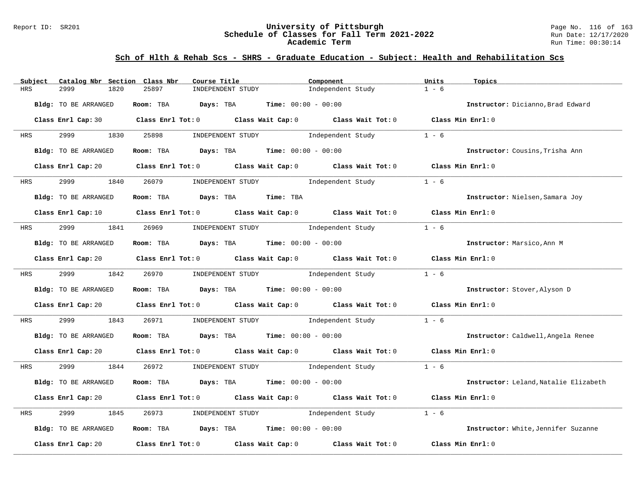### Report ID: SR201 **University of Pittsburgh** Page No. 116 of 163 **Schedule of Classes for Fall Term 2021-2022** Run Date: 12/17/2020 **Academic Term** Run Time: 00:30:14

| Subject<br>Catalog Nbr Section Class Nbr | Course Title                                                                                                                   | Component                           | Units<br>Topics                       |
|------------------------------------------|--------------------------------------------------------------------------------------------------------------------------------|-------------------------------------|---------------------------------------|
| 2999<br><b>HRS</b><br>1820               | 25897<br>INDEPENDENT STUDY                                                                                                     | Independent Study                   | $1 - 6$                               |
| Bldg: TO BE ARRANGED                     | Room: TBA Days: TBA                                                                                                            | <b>Time:</b> $00:00 - 00:00$        | Instructor: Dicianno, Brad Edward     |
|                                          | Class Enrl Cap: 30 Class Enrl Tot: 0 Class Wait Cap: 0 Class Wait Tot: 0 Class Min Enrl: 0                                     |                                     |                                       |
| 2999 1830<br>HRS                         | 25898<br>INDEPENDENT STUDY                                                                                                     | Independent Study                   | $1 - 6$                               |
| Bldg: TO BE ARRANGED                     | Room: TBA $Days:$ TBA $Time: 00:00 - 00:00$                                                                                    |                                     | Instructor: Cousins, Trisha Ann       |
|                                          | Class Enrl Cap: 20 Class Enrl Tot: 0 Class Wait Cap: 0 Class Wait Tot: 0 Class Min Enrl: 0                                     |                                     |                                       |
| 2999<br><b>HRS</b>                       | 1840 26079                                                                                                                     | INDEPENDENT STUDY 1ndependent Study | $1 - 6$                               |
| Bldg: TO BE ARRANGED                     | Room: TBA Days: TBA<br>Time: TBA                                                                                               |                                     | Instructor: Nielsen, Samara Joy       |
|                                          | Class Enrl Cap: 10 $\qquad$ Class Enrl Tot: 0 $\qquad$ Class Wait Cap: 0 $\qquad$ Class Wait Tot: 0 $\qquad$ Class Min Enrl: 0 |                                     |                                       |
| HRS                                      | 2999 1841 26969 INDEPENDENT STUDY Independent Study                                                                            |                                     | $1 - 6$                               |
| Bldg: TO BE ARRANGED                     | Room: TBA $Days:$ TBA $Time: 00:00 - 00:00$                                                                                    |                                     | Instructor: Marsico, Ann M            |
|                                          | Class Enrl Cap: 20 $\qquad$ Class Enrl Tot: 0 $\qquad$ Class Wait Cap: 0 $\qquad$ Class Wait Tot: 0 $\qquad$ Class Min Enrl: 0 |                                     |                                       |
| 2999 1842 26970<br><b>HRS</b>            |                                                                                                                                | INDEPENDENT STUDY 1ndependent Study | $1 - 6$                               |
| Bldg: TO BE ARRANGED                     | Room: TBA $\rule{1em}{0.15mm}$ Days: TBA Time: $00:00 - 00:00$                                                                 |                                     | Instructor: Stover, Alyson D          |
|                                          | Class Enrl Cap: 20 $\qquad$ Class Enrl Tot: 0 $\qquad$ Class Wait Cap: 0 $\qquad$ Class Wait Tot: 0 $\qquad$ Class Min Enrl: 0 |                                     |                                       |
| 2999<br>1843<br>HRS                      | 26971                                                                                                                          | INDEPENDENT STUDY 1ndependent Study | $1 - 6$                               |
| Bldg: TO BE ARRANGED                     | Room: TBA $Days:$ TBA $Time: 00:00 - 00:00$                                                                                    |                                     | Instructor: Caldwell, Angela Renee    |
|                                          | Class Enrl Cap: 20 $\qquad$ Class Enrl Tot: 0 $\qquad$ Class Wait Cap: 0 $\qquad$ Class Wait Tot: 0 $\qquad$ Class Min Enrl: 0 |                                     |                                       |
| 2999 1844<br>HRS                         | 26972 INDEPENDENT STUDY Independent Study 1 - 6                                                                                |                                     |                                       |
| Bldg: TO BE ARRANGED                     | Room: TBA $Days:$ TBA $Time: 00:00 - 00:00$                                                                                    |                                     | Instructor: Leland, Natalie Elizabeth |
|                                          | Class Enrl Cap: 20 $\qquad$ Class Enrl Tot: 0 $\qquad$ Class Wait Cap: 0 $\qquad$ Class Wait Tot: 0                            |                                     | Class Min Enrl: 0                     |
| 2999<br>1845<br>HRS                      | INDEPENDENT STUDY 1ndependent Study<br>26973                                                                                   |                                     | $1 - 6$                               |
| Bldg: TO BE ARRANGED                     | Room: TBA $Days:$ TBA $Time: 00:00 - 00:00$                                                                                    |                                     | Instructor: White, Jennifer Suzanne   |
| Class Enrl Cap: 20                       | Class Enrl Tot: $0$ Class Wait Cap: $0$ Class Wait Tot: $0$                                                                    |                                     | Class Min Enrl: 0                     |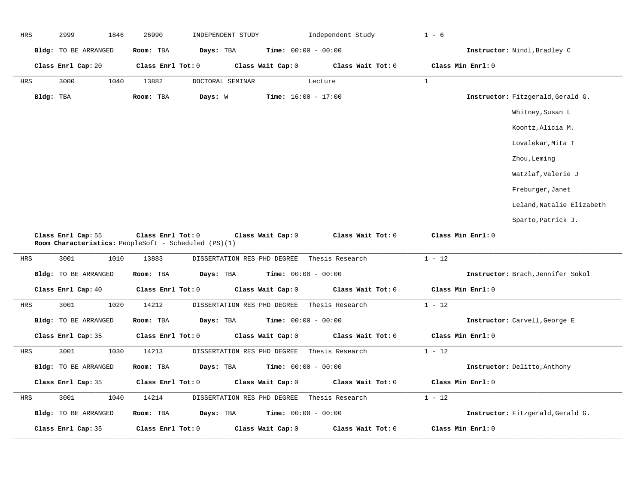| HRS | 2999                                                 | 1846 | 26990             | INDEPENDENT STUDY |                             | Independent Study            | $1 - 6$      |                                   |
|-----|------------------------------------------------------|------|-------------------|-------------------|-----------------------------|------------------------------|--------------|-----------------------------------|
|     | Bldg: TO BE ARRANGED                                 |      | Room: TBA         | Days: TBA         |                             | <b>Time:</b> $00:00 - 00:00$ |              | Instructor: Nindl, Bradley C      |
|     | Class Enrl Cap: 20                                   |      | Class Enrl Tot: 0 |                   | Class Wait Cap: 0           | Class Wait Tot: 0            |              | Class Min Enrl: 0                 |
| HRS | 3000                                                 | 1040 | 13882             | DOCTORAL SEMINAR  |                             | Lecture                      | $\mathbf{1}$ |                                   |
|     | Bldg: TBA                                            |      | Room: TBA         | Days: W           |                             | Time: $16:00 - 17:00$        |              | Instructor: Fitzgerald, Gerald G. |
|     |                                                      |      |                   |                   |                             |                              |              | Whitney, Susan L                  |
|     |                                                      |      |                   |                   |                             |                              |              | Koontz, Alicia M.                 |
|     |                                                      |      |                   |                   |                             |                              |              | Lovalekar, Mita T                 |
|     |                                                      |      |                   |                   |                             |                              |              | Zhou, Leming                      |
|     |                                                      |      |                   |                   |                             |                              |              | Watzlaf, Valerie J                |
|     |                                                      |      |                   |                   |                             |                              |              | Freburger, Janet                  |
|     |                                                      |      |                   |                   |                             |                              |              | Leland, Natalie Elizabeth         |
|     |                                                      |      |                   |                   |                             |                              |              | Sparto, Patrick J.                |
|     |                                                      |      |                   |                   |                             |                              |              |                                   |
|     | Class Enrl Cap: 55                                   |      | Class Enrl Tot: 0 |                   | Class Wait Cap: 0           | Class Wait Tot: 0            |              | Class Min Enrl: 0                 |
|     | Room Characteristics: PeopleSoft - Scheduled (PS)(1) |      |                   |                   |                             |                              |              |                                   |
| HRS | 3001                                                 | 1010 | 13883             |                   | DISSERTATION RES PHD DEGREE | Thesis Research              | $1 - 12$     |                                   |
|     | Bldg: TO BE ARRANGED                                 |      | Room: TBA         | Days: TBA         |                             | <b>Time:</b> $00:00 - 00:00$ |              | Instructor: Brach, Jennifer Sokol |
|     | Class Enrl Cap: 40                                   |      | Class Enrl Tot: 0 |                   | Class Wait Cap: 0           | Class Wait Tot: 0            |              | Class Min Enrl: 0                 |
| HRS | 3001                                                 | 1020 | 14212             |                   | DISSERTATION RES PHD DEGREE | Thesis Research              | $1 - 12$     |                                   |
|     | Bldg: TO BE ARRANGED                                 |      | Room: TBA         | Days: TBA         |                             | <b>Time:</b> $00:00 - 00:00$ |              | Instructor: Carvell, George E     |
|     | Class Enrl Cap: 35                                   |      | Class Enrl Tot: 0 |                   | Class Wait Cap: 0           | Class Wait Tot: 0            |              | Class Min Enrl: 0                 |
| HRS | 3001                                                 | 1030 | 14213             |                   | DISSERTATION RES PHD DEGREE | Thesis Research              | $1 - 12$     |                                   |
|     | Bldg: TO BE ARRANGED                                 |      | Room: TBA         | Days: TBA         |                             | <b>Time:</b> $00:00 - 00:00$ |              | Instructor: Delitto, Anthony      |
|     | Class Enrl Cap: 35                                   |      | Class Enrl Tot: 0 |                   | Class Wait Cap: 0           | Class Wait Tot: 0            |              | Class Min Enrl: 0                 |
| HRS | 3001                                                 | 1040 | 14214             |                   | DISSERTATION RES PHD DEGREE | Thesis Research              | $1 - 12$     |                                   |
|     | Bldg: TO BE ARRANGED                                 |      | Room: TBA         | Days: TBA         |                             | <b>Time:</b> $00:00 - 00:00$ |              | Instructor: Fitzgerald, Gerald G. |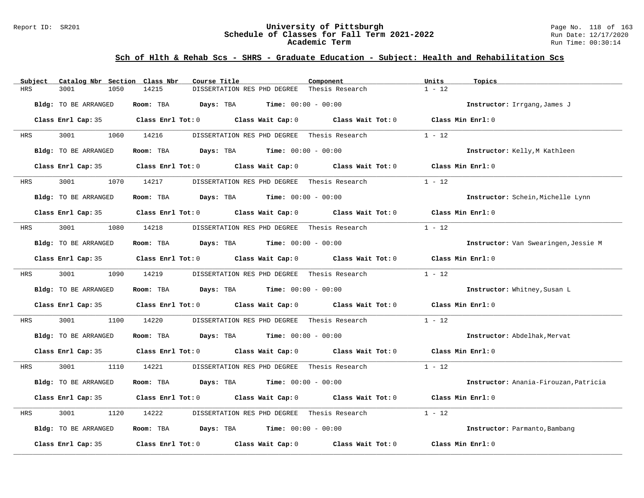### Report ID: SR201 **University of Pittsburgh** Page No. 118 of 163 **Schedule of Classes for Fall Term 2021-2022** Run Date: 12/17/2020 **Academic Term** Run Time: 00:30:14

| Subject    | Catalog Nbr Section Class Nbr | Course Title                                                                                                                                                                                                                  | Component         | Units<br>Topics                       |
|------------|-------------------------------|-------------------------------------------------------------------------------------------------------------------------------------------------------------------------------------------------------------------------------|-------------------|---------------------------------------|
| <b>HRS</b> | 3001<br>1050                  | 14215<br>DISSERTATION RES PHD DEGREE                                                                                                                                                                                          | Thesis Research   | $1 - 12$                              |
|            | Bldg: TO BE ARRANGED          | Room: TBA<br>$\texttt{Davis:}$ TBA $\texttt{Time:}$ 00:00 - 00:00                                                                                                                                                             |                   | Instructor: Irrgang, James J          |
|            | Class Enrl Cap: 35            | Class Enrl Tot: 0 Class Wait Cap: 0 Class Wait Tot: 0                                                                                                                                                                         |                   | Class Min Enrl: 0                     |
| HRS        | 3001                          | 1060 14216<br>DISSERTATION RES PHD DEGREE                                                                                                                                                                                     | Thesis Research   | $1 - 12$                              |
|            | Bldg: TO BE ARRANGED          | <b>Days:</b> TBA <b>Time:</b> $00:00 - 00:00$<br>Room: TBA                                                                                                                                                                    |                   | Instructor: Kelly, M Kathleen         |
|            | Class Enrl Cap: 35            | Class Enrl Tot: 0 Class Wait Cap: 0                                                                                                                                                                                           | Class Wait Tot: 0 | Class Min Enrl: 0                     |
| HRS        | 3001                          | 1070 14217<br>DISSERTATION RES PHD DEGREE Thesis Research                                                                                                                                                                     |                   | $1 - 12$                              |
|            | Bldg: TO BE ARRANGED          | Room: TBA $Days:$ TBA $Time: 00:00 - 00:00$                                                                                                                                                                                   |                   | Instructor: Schein, Michelle Lynn     |
|            |                               | Class Enrl Cap: 35 Class Enrl Tot: 0 Class Wait Cap: 0 Class Wait Tot: 0                                                                                                                                                      |                   | Class Min Enrl: 0                     |
| HRS        | 3001<br>1080                  | 14218<br>DISSERTATION RES PHD DEGREE Thesis Research                                                                                                                                                                          |                   | $1 - 12$                              |
|            | Bldg: TO BE ARRANGED          | Room: TBA $Days:$ TBA $Time: 00:00 - 00:00$                                                                                                                                                                                   |                   | Instructor: Van Swearingen, Jessie M  |
|            |                               | Class Enrl Cap: 35 Class Enrl Tot: 0 Class Wait Cap: 0 Class Wait Tot: 0                                                                                                                                                      |                   | Class Min Enrl: 0                     |
| HRS        | 3001 300                      | 1090 14219<br>DISSERTATION RES PHD DEGREE Thesis Research                                                                                                                                                                     |                   | $1 - 12$                              |
|            | Bldg: TO BE ARRANGED          | Room: TBA $Days:$ TBA $Time: 00:00 - 00:00$                                                                                                                                                                                   |                   | Instructor: Whitney, Susan L          |
|            |                               | Class Enrl Cap: 35 Class Enrl Tot: 0 Class Wait Cap: 0 Class Wait Tot: 0                                                                                                                                                      |                   | Class Min Enrl: 0                     |
| HRS        | 3001<br>1100                  | 14220<br>DISSERTATION RES PHD DEGREE                                                                                                                                                                                          | Thesis Research   | $1 - 12$                              |
|            | Bldg: TO BE ARRANGED          | Room: TBA $Days:$ TBA $Time: 00:00 - 00:00$                                                                                                                                                                                   |                   | Instructor: Abdelhak, Mervat          |
|            |                               | Class Enrl Cap: 35 $\,$ Class Enrl Tot: 0 $\,$ Class Wait Cap: 0 $\,$ Class Wait Tot: 0 $\,$ Class Enrl Tot: 0 $\,$ Class Enrl Tot: 0 $\,$ Class Enrl Tot: 0 $\,$ Class Enrl Tot: 0 $\,$ Class Enrl Tot: 0 $\,$ Class Enrl To |                   | Class Min Enrl: 0                     |
| HRS        | 3001 000<br>1110              | 14221<br>DISSERTATION RES PHD DEGREE Thesis Research                                                                                                                                                                          |                   | $1 - 12$                              |
|            | Bldg: TO BE ARRANGED          | Room: TBA $Days:$ TBA $Time: 00:00 - 00:00$                                                                                                                                                                                   |                   | Instructor: Anania-Firouzan, Patricia |
|            |                               | Class Enrl Cap: 35 Class Enrl Tot: 0 Class Wait Cap: 0 Class Wait Tot: 0                                                                                                                                                      |                   | Class Min Enrl: 0                     |
| HRS        | 3001<br>1120                  | 14222<br>DISSERTATION RES PHD DEGREE Thesis Research                                                                                                                                                                          |                   | $1 - 12$                              |
|            | Bldg: TO BE ARRANGED          | Room: TBA $\rule{1em}{0.15mm}$ Days: TBA $\rule{1.15mm}]{0.15mm}$ Time: $0.000 - 0.0000$                                                                                                                                      |                   | Instructor: Parmanto, Bambang         |
|            | Class Enrl Cap: 35            | Class Enrl Tot: $0$ Class Wait Cap: $0$ Class Wait Tot: $0$                                                                                                                                                                   |                   | Class Min Enrl: 0                     |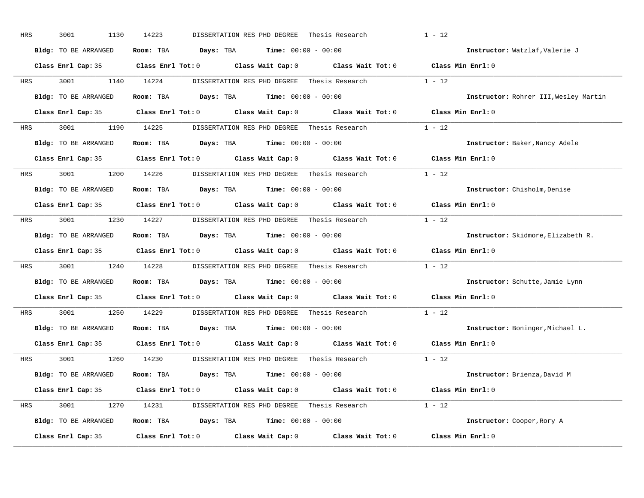| HRS        | 3001<br>1130         | 14223<br>DISSERTATION RES PHD DEGREE                                                                | Thesis Research          | $1 - 12$                              |
|------------|----------------------|-----------------------------------------------------------------------------------------------------|--------------------------|---------------------------------------|
|            | Bldg: TO BE ARRANGED | Room: TBA $\rule{1em}{0.15mm}$ Days: TBA $\rule{1.15mm}]{0.15mm}$ Time: $0.000 - 0.0000$            |                          | Instructor: Watzlaf, Valerie J        |
|            |                      | Class Enrl Cap: 35 Class Enrl Tot: 0 Class Wait Cap: 0 Class Wait Tot: 0 Class Min Enrl: 0          |                          |                                       |
| <b>HRS</b> | 3001 1140 14224      | DISSERTATION RES PHD DEGREE Thesis Research                                                         |                          | $1 - 12$                              |
|            | Bldg: TO BE ARRANGED | Room: TBA $Days: TBA$ Time: $00:00 - 00:00$                                                         |                          | Instructor: Rohrer III, Wesley Martin |
|            |                      | Class Enrl Cap: 35 Class Enrl Tot: 0 Class Wait Cap: 0 Class Wait Tot: 0 Class Min Enrl: 0          |                          |                                       |
| HRS        |                      | 3001 1190 14225 DISSERTATION RES PHD DEGREE Thesis Research 1 - 12                                  |                          |                                       |
|            | Bldg: TO BE ARRANGED | Room: TBA $Days:$ TBA $Time: 00:00 - 00:00$                                                         |                          | Instructor: Baker, Nancy Adele        |
|            |                      | Class Enrl Cap: 35 $\qquad$ Class Enrl Tot: 0 $\qquad$ Class Wait Cap: 0 $\qquad$ Class Wait Tot: 0 |                          | Class Min Enrl: 0                     |
|            | HRS 3001 1200 14226  | DISSERTATION RES PHD DEGREE   Thesis Research                                                       |                          | $1 - 12$                              |
|            | Bldg: TO BE ARRANGED | Room: TBA $Days: TBA$ Time: $00:00 - 00:00$                                                         |                          | Instructor: Chisholm, Denise          |
|            |                      | Class Enrl Cap: 35 Class Enrl Tot: 0 Class Wait Cap: 0 Class Wait Tot: 0                            |                          | Class Min Enrl: 0                     |
| HRS        |                      | 3001 1230 14227 DISSERTATION RES PHD DEGREE Thesis Research 1 - 12                                  |                          |                                       |
|            | Bldg: TO BE ARRANGED | Room: TBA $Days: TBA$ Time: $00:00 - 00:00$                                                         |                          | Instructor: Skidmore, Elizabeth R.    |
|            |                      | Class Enrl Cap: 35 Class Enrl Tot: 0 Class Wait Cap: 0 Class Wait Tot: 0                            |                          | Class Min Enrl: 0                     |
| HRS        |                      | 3001 1240 14228 DISSERTATION RES PHD DEGREE Thesis Research                                         |                          | $1 - 12$                              |
|            | Bldg: TO BE ARRANGED | Room: TBA $Days:$ TBA $Time: 00:00 - 00:00$                                                         |                          | Instructor: Schutte, Jamie Lynn       |
|            |                      | Class Enrl Cap: 35 $\qquad$ Class Enrl Tot: 0 $\qquad$ Class Wait Cap: 0 $\qquad$ Class Wait Tot: 0 |                          | Class Min Enrl: 0                     |
| <b>HRS</b> | 3001 000             | 1250 14229<br>DISSERTATION RES PHD DEGREE Thesis Research                                           |                          | $1 - 12$                              |
|            | Bldg: TO BE ARRANGED | Room: TBA $Days:$ TBA $Time: 00:00 - 00:00$                                                         |                          | Instructor: Boninger, Michael L.      |
|            |                      | Class Enrl Cap: 35 Class Enrl Tot: 0 Class Wait Cap: 0 Class Wait Tot: 0                            |                          | Class Min Enrl: 0                     |
|            | HRS 3001 1260 14230  | DISSERTATION RES PHD DEGREE                                                                         | Thesis Research $1 - 12$ |                                       |
|            | Bldg: TO BE ARRANGED | Room: TBA $Days:$ TBA $Time: 00:00 - 00:00$                                                         |                          | Instructor: Brienza, David M          |
|            |                      | Class Enrl Cap: 35 Class Enrl Tot: 0 Class Wait Cap: 0 Class Wait Tot: 0 Class Min Enrl: 0          |                          |                                       |
| HRS        |                      | 3001 1270 14231 DISSERTATION RES PHD DEGREE Thesis Research 1 - 12                                  |                          |                                       |
|            | Bldg: TO BE ARRANGED | Room: TBA $Days: TBA$ Time: $00:00 - 00:00$                                                         |                          | Instructor: Cooper, Rory A            |
|            | Class Enrl Cap: 35   | Class Enrl Tot: $0$ Class Wait Cap: $0$ Class Wait Tot: $0$                                         |                          | Class Min Enrl: 0                     |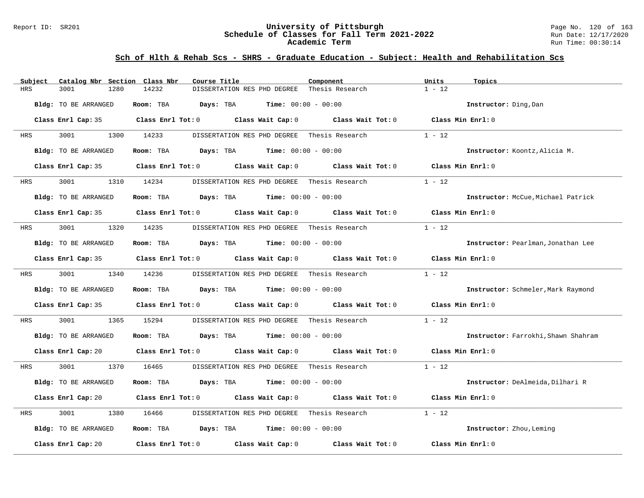### Report ID: SR201 **University of Pittsburgh** Page No. 120 of 163 **Schedule of Classes for Fall Term 2021-2022** Run Date: 12/17/2020 **Academic Term** Run Time: 00:30:14

| Catalog Nbr Section Class Nbr<br>Subject | Course Title                                                                                        | Component         | Units<br>Topics                     |
|------------------------------------------|-----------------------------------------------------------------------------------------------------|-------------------|-------------------------------------|
| <b>HRS</b><br>3001<br>1280               | 14232<br>DISSERTATION RES PHD DEGREE                                                                | Thesis Research   | $1 - 12$                            |
| Bldg: TO BE ARRANGED                     | <b>Days:</b> TBA <b>Time:</b> $00:00 - 00:00$<br>Room: TBA                                          |                   | Instructor: Ding, Dan               |
|                                          | Class Enrl Cap: 35 Class Enrl Tot: 0 Class Wait Cap: 0 Class Wait Tot: 0 Class Min Enrl: 0          |                   |                                     |
| 3001<br>HRS                              | 1300 14233<br>DISSERTATION RES PHD DEGREE Thesis Research                                           |                   | $1 - 12$                            |
| Bldg: TO BE ARRANGED                     | Room: TBA $Days:$ TBA $Time: 00:00 - 00:00$                                                         |                   | Instructor: Koontz, Alicia M.       |
|                                          | Class Enrl Cap: 35 Class Enrl Tot: 0 Class Wait Cap: 0                                              | Class Wait Tot: 0 | Class Min Enrl: 0                   |
| 3001<br>HRS                              | 1310 14234<br>DISSERTATION RES PHD DEGREE                                                           | Thesis Research   | $1 - 12$                            |
| Bldg: TO BE ARRANGED                     | Room: TBA $Days: TBA$ Time: $00:00 - 00:00$                                                         |                   | Instructor: McCue, Michael Patrick  |
|                                          | Class Enrl Cap: 35 $\qquad$ Class Enrl Tot: 0 $\qquad$ Class Wait Cap: 0 $\qquad$ Class Wait Tot: 0 |                   | Class Min Enrl: 0                   |
| 3001<br>HRS                              | 1320 14235<br>DISSERTATION RES PHD DEGREE Thesis Research                                           |                   | $1 - 12$                            |
| Bldg: TO BE ARRANGED                     | Room: TBA $Days:$ TBA $Time: 00:00 - 00:00$                                                         |                   | Instructor: Pearlman, Jonathan Lee  |
|                                          | Class Enrl Cap: 35 $\qquad$ Class Enrl Tot: 0 $\qquad$ Class Wait Cap: 0 $\qquad$ Class Wait Tot: 0 |                   | Class Min Enrl: 0                   |
| 3001 2002<br>HRS                         | 1340 14236<br>DISSERTATION RES PHD DEGREE - Thesis Research                                         |                   | $1 - 12$                            |
| Bldg: TO BE ARRANGED                     | Room: TBA<br><b>Days:</b> TBA <b>Time:</b> $00:00 - 00:00$                                          |                   | Instructor: Schmeler, Mark Raymond  |
|                                          | Class Enrl Cap: 35 Class Enrl Tot: 0 Class Wait Cap: 0 Class Wait Tot: 0                            |                   | Class Min Enrl: 0                   |
| 3001<br>1365<br>HRS                      | 15294<br>DISSERTATION RES PHD DEGREE                                                                | Thesis Research   | $1 - 12$                            |
| Bldg: TO BE ARRANGED                     | Room: TBA $Days: TBA$ Time: $00:00 - 00:00$                                                         |                   | Instructor: Farrokhi, Shawn Shahram |
|                                          | Class Enrl Cap: 20 $\qquad$ Class Enrl Tot: 0 $\qquad$ Class Wait Cap: 0 $\qquad$ Class Wait Tot: 0 |                   | Class Min Enrl: 0                   |
| 3001 2002<br><b>HRS</b>                  | 1370 16465<br>DISSERTATION RES PHD DEGREE Thesis Research                                           |                   | $1 - 12$                            |
| Bldg: TO BE ARRANGED                     | Room: TBA<br><b>Days:</b> TBA <b>Time:</b> $00:00 - 00:00$                                          |                   | Instructor: DeAlmeida, Dilhari R    |
|                                          | Class Enrl Cap: 20 $\qquad$ Class Enrl Tot: 0 $\qquad$ Class Wait Cap: 0 $\qquad$ Class Wait Tot: 0 |                   | Class Min Enrl: 0                   |
| 3001<br>HRS<br>1380                      | 16466<br>DISSERTATION RES PHD DEGREE Thesis Research                                                |                   | $1 - 12$                            |
| Bldg: TO BE ARRANGED                     | Room: TBA $Days:$ TBA $Time: 00:00 - 00:00$                                                         |                   | Instructor: Zhou, Leming            |
| Class Enrl Cap: 20                       | Class Enrl Tot: $0$ Class Wait Cap: $0$                                                             | Class Wait Tot: 0 | Class Min Enrl: 0                   |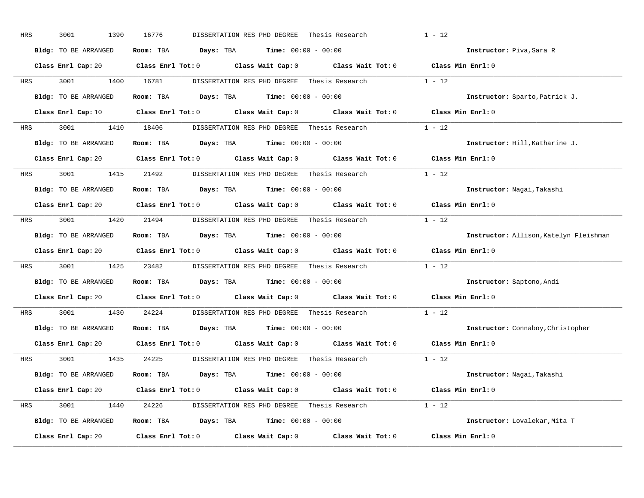| HRS        | 3001<br>1390         | 16776<br>DISSERTATION RES PHD DEGREE                                                                                           | $1 - 12$<br>Thesis Research            |
|------------|----------------------|--------------------------------------------------------------------------------------------------------------------------------|----------------------------------------|
|            | Bldg: TO BE ARRANGED | Room: TBA $Days: TBA$ Time: $00:00 - 00:00$                                                                                    | Instructor: Piva, Sara R               |
|            |                      | Class Enrl Cap: 20 Class Enrl Tot: 0 Class Wait Cap: 0 Class Wait Tot: 0 Class Min Enrl: 0                                     |                                        |
| HRS        | 3001 1400 16781      | DISSERTATION RES PHD DEGREE Thesis Research                                                                                    | $1 - 12$                               |
|            | Bldg: TO BE ARRANGED | Room: TBA $Days: TBA$ Time: $00:00 - 00:00$                                                                                    | Instructor: Sparto, Patrick J.         |
|            |                      | Class Enrl Cap: 10 $\qquad$ Class Enrl Tot: 0 $\qquad$ Class Wait Cap: 0 $\qquad$ Class Wait Tot: 0 $\qquad$ Class Min Enrl: 0 |                                        |
| HRS        |                      | 3001 1410 18406 DISSERTATION RES PHD DEGREE Thesis Research 1 - 12                                                             |                                        |
|            | Bldg: TO BE ARRANGED | Room: TBA $Days:$ TBA $Time: 00:00 - 00:00$                                                                                    | Instructor: Hill, Katharine J.         |
|            |                      | Class Enrl Cap: 20 $\qquad$ Class Enrl Tot: 0 $\qquad$ Class Wait Cap: 0 $\qquad$ Class Wait Tot: 0                            | Class Min Enrl: 0                      |
| <b>HRS</b> | 3001 1415 21492      | DISSERTATION RES PHD DEGREE - Thesis Research                                                                                  | $1 - 12$                               |
|            | Bldg: TO BE ARRANGED | Room: TBA $Days: TBA$ Time: $00:00 - 00:00$                                                                                    | Instructor: Nagai, Takashi             |
|            |                      | Class Enrl Cap: 20 $\qquad$ Class Enrl Tot: 0 $\qquad$ Class Wait Cap: 0 $\qquad$ Class Wait Tot: 0                            | Class Min Enrl: 0                      |
| HRS        |                      | 3001 1420 21494 DISSERTATION RES PHD DEGREE Thesis Research 1 - 12                                                             |                                        |
|            | Bldg: TO BE ARRANGED | Room: TBA $Days:$ TBA $Time: 00:00 - 00:00$                                                                                    | Instructor: Allison, Katelyn Fleishman |
|            |                      | Class Enrl Cap: 20 $\qquad$ Class Enrl Tot: 0 $\qquad$ Class Wait Cap: 0 $\qquad$ Class Wait Tot: 0                            | Class Min Enrl: 0                      |
| HRS        |                      | 3001 1425 23482 DISSERTATION RES PHD DEGREE Thesis Research                                                                    | $1 - 12$                               |
|            | Bldg: TO BE ARRANGED | Room: TBA $Days:$ TBA $Time: 00:00 - 00:00$                                                                                    | Instructor: Saptono, Andi              |
|            |                      | Class Enrl Cap: 20 $\qquad$ Class Enrl Tot: 0 $\qquad$ Class Wait Cap: 0 $\qquad$ Class Wait Tot: 0                            | Class Min Enrl: 0                      |
| HRS        | 3001 000<br>1430     | 24224<br>DISSERTATION RES PHD DEGREE Thesis Research                                                                           | $1 - 12$                               |
|            | Bldg: TO BE ARRANGED | Room: TBA $Days:$ TBA $Time: 00:00 - 00:00$                                                                                    | Instructor: Connaboy, Christopher      |
|            |                      | Class Enrl Cap: 20 $\qquad$ Class Enrl Tot: 0 $\qquad$ Class Wait Cap: 0 $\qquad$ Class Wait Tot: 0                            | Class Min Enrl: 0                      |
|            | HRS 3001 1435 24225  | DISSERTATION RES PHD DEGREE                                                                                                    | $1 - 12$<br>Thesis Research            |
|            | Bldg: TO BE ARRANGED | Room: TBA $Days:$ TBA $Time: 00:00 - 00:00$                                                                                    | Instructor: Nagai, Takashi             |
|            |                      | Class Enrl Cap: 20 Class Enrl Tot: 0 Class Wait Cap: 0 Class Wait Tot: 0 Class Min Enrl: 0                                     |                                        |
|            |                      |                                                                                                                                |                                        |
| HRS        |                      | 3001 1440 24226 DISSERTATION RES PHD DEGREE Thesis Research 1 - 12                                                             |                                        |
|            | Bldg: TO BE ARRANGED | Room: TBA $Days:$ TBA $Time: 00:00 - 00:00$                                                                                    | Instructor: Lovalekar, Mita T          |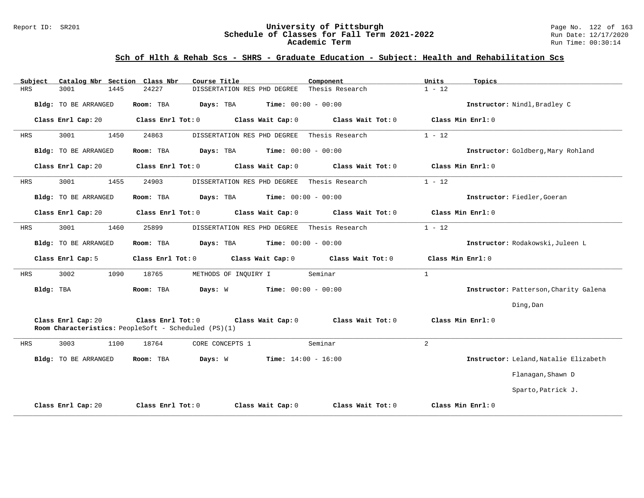### Report ID: SR201 **122 of 163**<br>**Schedule of Classes for Fall Term 2021-2022** Page No. 122 of 163<br>Run Date: 12/17/2020 **Schedule of Classes for Fall Term 2021-2022** Run Date: 12/17/2020 **Academic Term** Run Time: 00:30:14

| Subject    | Catalog Nbr Section Class Nbr | Course Title                                                                                   | Component                    | Units<br>Topics                       |
|------------|-------------------------------|------------------------------------------------------------------------------------------------|------------------------------|---------------------------------------|
| <b>HRS</b> | 3001<br>1445                  | 24227<br>DISSERTATION RES PHD DEGREE                                                           | Thesis Research              | $1 - 12$                              |
|            | Bldg: TO BE ARRANGED          | Room: TBA<br>Days: TBA                                                                         | <b>Time:</b> $00:00 - 00:00$ | Instructor: Nindl, Bradley C          |
|            | Class Enrl Cap: 20            | Class Enrl Tot: 0<br>Class Wait Cap: 0                                                         | Class Wait Tot: 0            | Class Min Enrl: 0                     |
| HRS        | 3001<br>1450                  | 24863<br>DISSERTATION RES PHD DEGREE                                                           | Thesis Research              | $1 - 12$                              |
|            | <b>Bldg:</b> TO BE ARRANGED   | Room: TBA<br>Days: TBA                                                                         | <b>Time:</b> $00:00 - 00:00$ | Instructor: Goldberg, Mary Rohland    |
|            | Class Enrl Cap: 20            | Class Enrl Tot: 0<br>Class Wait Cap: 0                                                         | Class Wait Tot: 0            | Class Min Enrl: 0                     |
| HRS        | 3001<br>1455                  | 24903<br>DISSERTATION RES PHD DEGREE                                                           | Thesis Research              | $1 - 12$                              |
|            | <b>Bldg:</b> TO BE ARRANGED   | Room: TBA<br>Days: TBA                                                                         | <b>Time:</b> $00:00 - 00:00$ | Instructor: Fiedler, Goeran           |
|            | Class Enrl Cap: 20            | Class Wait Cap: 0<br>Class Enrl Tot: 0                                                         | Class Wait Tot: 0            | Class Min Enrl: 0                     |
| HRS        | 3001<br>1460                  | 25899<br>DISSERTATION RES PHD DEGREE                                                           | Thesis Research              | $1 - 12$                              |
|            | <b>Bldg:</b> TO BE ARRANGED   | Room: TBA<br>Days: TBA                                                                         | <b>Time:</b> $00:00 - 00:00$ | Instructor: Rodakowski, Juleen L      |
|            | Class Enrl Cap: 5             | Class Enrl Tot: 0<br>Class Wait Cap: 0                                                         | Class Wait Tot: 0            | Class Min Enrl: 0                     |
| HRS        | 3002<br>1090                  | 18765<br>METHODS OF INQUIRY I                                                                  | Seminar                      | $\mathbf{1}$                          |
| Bldg: TBA  |                               | <b>Time:</b> $00:00 - 00:00$<br>Room: TBA<br>Days: W                                           |                              | Instructor: Patterson, Charity Galena |
|            |                               |                                                                                                |                              | Ding, Dan                             |
|            | Class Enrl Cap: 20            | Class Enrl Tot: 0<br>Class Wait Cap: 0<br>Room Characteristics: PeopleSoft - Scheduled (PS)(1) | Class Wait Tot: 0            | Class Min Enrl: 0                     |
| HRS        | 3003<br>1100                  | 18764<br>CORE CONCEPTS 1                                                                       | Seminar                      | $\overline{a}$                        |
|            | Bldg: TO BE ARRANGED          | Days: W<br><b>Time:</b> $14:00 - 16:00$<br>Room: TBA                                           |                              | Instructor: Leland, Natalie Elizabeth |
|            |                               |                                                                                                |                              | Flanagan, Shawn D                     |
|            |                               |                                                                                                |                              | Sparto, Patrick J.                    |
|            | Class Enrl Cap: 20            | Class Enrl Tot: 0<br>Class Wait Cap: 0                                                         | Class Wait Tot: 0            | Class Min Enrl: 0                     |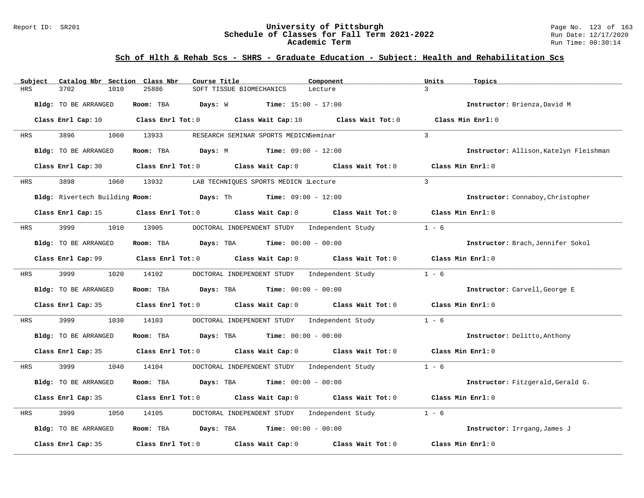### Report ID: SR201 **University of Pittsburgh** Page No. 123 of 163 **Schedule of Classes for Fall Term 2021-2022** Run Date: 12/17/2020 **Academic Term** Run Time: 00:30:14

| Catalog Nbr Section Class Nbr<br>Subject | Course Title                                                                               | Component                    | Units<br>Topics                        |
|------------------------------------------|--------------------------------------------------------------------------------------------|------------------------------|----------------------------------------|
| <b>HRS</b><br>3702<br>1010               | 25886<br>SOFT TISSUE BIOMECHANICS                                                          | Lecture                      | $\mathcal{E}$                          |
| Bldg: TO BE ARRANGED                     | Room: TBA<br>Days: W                                                                       | <b>Time:</b> $15:00 - 17:00$ | Instructor: Brienza, David M           |
| Class Enrl Cap: 10                       | Class Enrl Tot: $0$ Class Wait Cap: $10$ Class Wait Tot: $0$                               |                              | Class Min Enrl: 0                      |
| HRS<br>3896                              | 1060 13933<br>RESEARCH SEMINAR SPORTS MEDICNSeminar                                        |                              | $\mathbf{3}$                           |
| Bldg: TO BE ARRANGED                     | <b>Room:</b> TBA <b>Days:</b> M <b>Time:</b> 09:00 - 12:00                                 |                              | Instructor: Allison, Katelyn Fleishman |
| Class Enrl Cap: 30                       | Class Enrl Tot: 0 Class Wait Cap: 0 Class Wait Tot: 0                                      |                              | Class Min Enrl: 0                      |
| 3898<br>1060<br>HRS                      | 13932<br>LAB TECHNIOUES SPORTS MEDICN lLecture                                             |                              | $\overline{3}$                         |
|                                          | Bldg: Rivertech Building Room: Days: Th Time: 09:00 - 12:00                                |                              | Instructor: Connaboy, Christopher      |
|                                          | Class Enrl Cap: 15 (Class Enrl Tot: 0 ) (Class Wait Cap: 0 ) (Class Wait Tot: 0            |                              | Class Min Enrl: 0                      |
| 3999<br>HRS                              | 1010 13905<br>DOCTORAL INDEPENDENT STUDY Independent Study                                 |                              | $1 - 6$                                |
| Bldg: TO BE ARRANGED                     | Room: TBA $\rule{1em}{0.15mm}$ Days: TBA $\rule{1.5mm}{0.15mm}$ Time: $00:00 - 00:00$      |                              | Instructor: Brach, Jennifer Sokol      |
|                                          | Class Enrl Cap: 99 Class Enrl Tot: 0 Class Wait Cap: 0                                     | Class Wait Tot: 0            | $Class$ Min $Enr1:0$                   |
| 3999 7<br><b>HRS</b>                     | 1020 14102<br>DOCTORAL INDEPENDENT STUDY Independent Study                                 |                              | $1 - 6$                                |
| Bldg: TO BE ARRANGED                     | Room: TBA<br><b>Days:</b> TBA <b>Time:</b> $00:00 - 00:00$                                 |                              | Instructor: Carvell, George E          |
|                                          | Class Enrl Cap: 35 Class Enrl Tot: 0 Class Wait Cap: 0 Class Wait Tot: 0                   |                              | Class Min Enrl: 0                      |
| 3999<br>1030<br>HRS                      | DOCTORAL INDEPENDENT STUDY Independent Study<br>14103                                      |                              | $1 - 6$                                |
| Bldg: TO BE ARRANGED                     | Room: TBA $Days:$ TBA $Time: 00:00 - 00:00$                                                |                              | Instructor: Delitto, Anthony           |
|                                          | Class Enrl Cap: 35 Class Enrl Tot: 0 Class Wait Cap: 0 Class Wait Tot: 0 Class Min Enrl: 0 |                              |                                        |
| 3999<br>1040<br>HRS                      | 14104<br>DOCTORAL INDEPENDENT STUDY Independent Study                                      |                              | $1 - 6$                                |
| Bldg: TO BE ARRANGED                     | Room: TBA<br>$Days: TBA$ Time: $00:00 - 00:00$                                             |                              | Instructor: Fitzgerald, Gerald G.      |
| Class Enrl Cap: 35                       | Class Enrl Tot: 0 Class Wait Cap: 0 Class Wait Tot: 0                                      |                              | Class Min Enrl: 0                      |
| 3999<br>1050<br>HRS                      | DOCTORAL INDEPENDENT STUDY<br>14105                                                        | Independent Study            | $1 - 6$                                |
| Bldg: TO BE ARRANGED                     | Room: TBA $Days: TBA$ Time: $00:00 - 00:00$                                                |                              | Instructor: Irrgang, James J           |
| Class Enrl Cap: 35                       | Class Enrl Tot: 0 Class Wait Cap: 0                                                        | Class Wait Tot: 0            | Class Min Enrl: 0                      |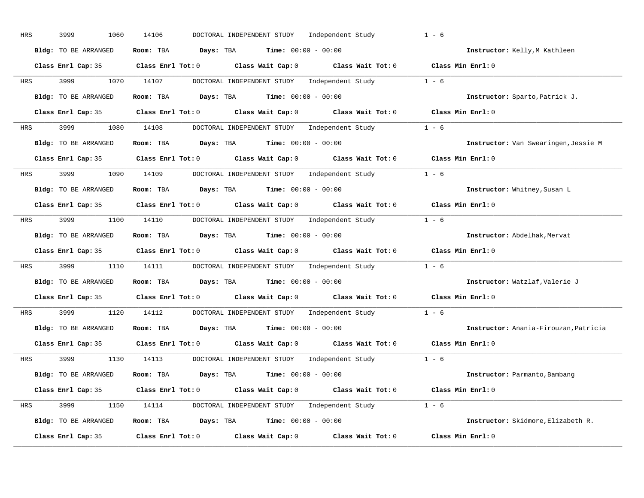| HRS | 3999<br>1060         | 14106<br>DOCTORAL INDEPENDENT STUDY Independent Study                                               | $1 - 6$                               |
|-----|----------------------|-----------------------------------------------------------------------------------------------------|---------------------------------------|
|     | Bldg: TO BE ARRANGED | Room: TBA $Days: TBA$ Time: $00:00 - 00:00$                                                         | Instructor: Kelly, M Kathleen         |
|     |                      | Class Enrl Cap: 35 Class Enrl Tot: 0 Class Wait Cap: 0 Class Wait Tot: 0 Class Min Enrl: 0          |                                       |
| HRS | 3999                 | DOCTORAL INDEPENDENT STUDY Independent Study 1 - 6<br>1070 14107                                    |                                       |
|     | Bldg: TO BE ARRANGED | Room: TBA $Days:$ TBA $Time: 00:00 - 00:00$                                                         | Instructor: Sparto, Patrick J.        |
|     | Class Enrl Cap: 35   | Class Enrl Tot: 0 Class Wait Cap: 0 Class Wait Tot: 0 Class Min Enrl: 0                             |                                       |
| HRS |                      | 3999 1080 14108 DOCTORAL INDEPENDENT STUDY Independent Study 1 - 6                                  |                                       |
|     | Bldg: TO BE ARRANGED | Room: TBA $Days:$ TBA Time: $00:00 - 00:00$                                                         | Instructor: Van Swearingen, Jessie M  |
|     |                      | Class Enrl Cap: 35 Class Enrl Tot: 0 Class Wait Cap: 0 Class Wait Tot: 0 Class Min Enrl: 0          |                                       |
| HRS | 3999 (1984)          | DOCTORAL INDEPENDENT STUDY Independent Study 1 - 6<br>1090 14109                                    |                                       |
|     | Bldg: TO BE ARRANGED | Room: TBA $Days:$ TBA $Time: 00:00 - 00:00$                                                         | Instructor: Whitney, Susan L          |
|     |                      | Class Enrl Cap: 35 Class Enrl Tot: 0 Class Wait Cap: 0 Class Wait Tot: 0 Class Min Enrl: 0          |                                       |
| HRS |                      | 3999 1100 14110 DOCTORAL INDEPENDENT STUDY Independent Study 1 - 6                                  |                                       |
|     | Bldg: TO BE ARRANGED | Room: TBA $Days:$ TBA $Time: 00:00 - 00:00$                                                         | Instructor: Abdelhak, Mervat          |
|     |                      | Class Enrl Cap: 35 Class Enrl Tot: 0 Class Wait Cap: 0 Class Wait Tot: 0 Class Min Enrl: 0          |                                       |
| HRS | 3999                 | 1110 14111 DOCTORAL INDEPENDENT STUDY Independent Study                                             | $1 - 6$                               |
|     | Bldg: TO BE ARRANGED | Room: TBA $\rule{1em}{0.15mm}$ Days: TBA Time: $00:00 - 00:00$                                      | Instructor: Watzlaf, Valerie J        |
|     |                      | Class Enrl Cap: 35 $\qquad$ Class Enrl Tot: 0 $\qquad$ Class Wait Cap: 0 $\qquad$ Class Wait Tot: 0 | Class Min Enrl: 0                     |
| HRS | 3999                 | 1120 14112<br>DOCTORAL INDEPENDENT STUDY Independent Study                                          | $1 - 6$                               |
|     | Bldg: TO BE ARRANGED | Room: TBA $Days:$ TBA $Time: 00:00 - 00:00$                                                         | Instructor: Anania-Firouzan, Patricia |
|     | Class Enrl Cap: 35   | Class Enrl Tot: $0$ Class Wait Cap: $0$ Class Wait Tot: $0$                                         | Class Min Enrl: 0                     |
| HRS | 3999                 | DOCTORAL INDEPENDENT STUDY Independent Study 1 - 6<br>1130 14113                                    |                                       |
|     | Bldg: TO BE ARRANGED | Room: TBA $Days:$ TBA $Time: 00:00 - 00:00$                                                         | Instructor: Parmanto, Bambang         |
|     |                      | Class Enrl Cap: 35 Class Enrl Tot: 0 Class Wait Cap: 0 Class Wait Tot: 0 Class Min Enrl: 0          |                                       |
| HRS |                      | 3999 1150 14114 DOCTORAL INDEPENDENT STUDY Independent Study 1 - 6                                  |                                       |
|     | Bldg: TO BE ARRANGED | Room: TBA $Days:$ TBA $Time: 00:00 - 00:00$                                                         | Instructor: Skidmore, Elizabeth R.    |
|     | Class Enrl Cap: 35   | Class Enrl Tot: 0 Class Wait Cap: 0<br>Class Wait Tot: 0                                            | Class Min Enrl: 0                     |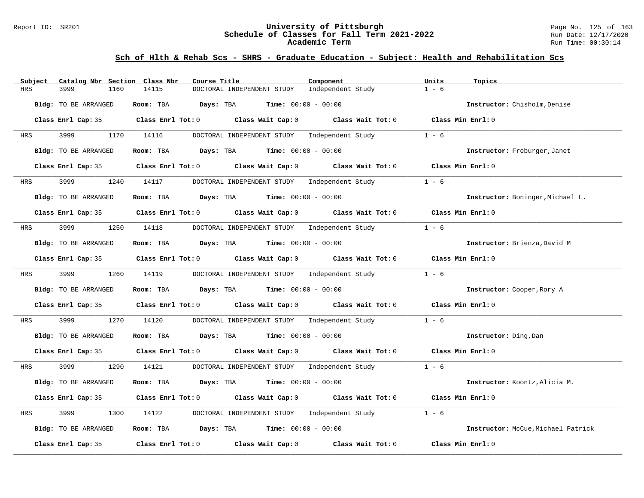### Report ID: SR201 **University of Pittsburgh** Page No. 125 of 163 **Schedule of Classes for Fall Term 2021-2022** Run Date: 12/17/2020 **Academic Term** Run Time: 00:30:14

| Subject    | Catalog Nbr Section Class Nbr | Course Title                                                                                        |                              | Component                                          | Units<br>Topics                    |  |
|------------|-------------------------------|-----------------------------------------------------------------------------------------------------|------------------------------|----------------------------------------------------|------------------------------------|--|
| <b>HRS</b> | 3999<br>1160                  | 14115<br>DOCTORAL INDEPENDENT STUDY                                                                 |                              | Independent Study                                  | $1 - 6$                            |  |
|            | Bldg: TO BE ARRANGED          | Room: TBA<br>Days: TBA                                                                              | <b>Time:</b> $00:00 - 00:00$ |                                                    | Instructor: Chisholm, Denise       |  |
|            |                               | Class Enrl Cap: 35 Class Enrl Tot: 0 Class Wait Cap: 0 Class Wait Tot: 0 Class Min Enrl: 0          |                              |                                                    |                                    |  |
| HRS        | 3999                          | 1170 14116<br>DOCTORAL INDEPENDENT STUDY                                                            |                              | Independent Study                                  | $1 - 6$                            |  |
|            | Bldg: TO BE ARRANGED          | Room: TBA $Days:$ TBA $Time: 00:00 - 00:00$                                                         |                              |                                                    | Instructor: Freburger, Janet       |  |
|            |                               | Class Enrl Cap: 35 Class Enrl Tot: 0 Class Wait Cap: 0                                              |                              | Class Wait Tot: $0$ Class Min Enrl: $0$            |                                    |  |
| HRS        | 3999                          | 1240 14117                                                                                          |                              | DOCTORAL INDEPENDENT STUDY Independent Study       | $1 - 6$                            |  |
|            | Bldg: TO BE ARRANGED          | Room: TBA Days: TBA                                                                                 | <b>Time:</b> $00:00 - 00:00$ |                                                    | Instructor: Boninger, Michael L.   |  |
|            |                               | Class Enrl Cap: 35 Class Enrl Tot: 0 Class Wait Cap: 0 Class Wait Tot: 0 Class Min Enrl: 0          |                              |                                                    |                                    |  |
| HRS        | 3999                          | 1250 14118 DOCTORAL INDEPENDENT STUDY Independent Study                                             |                              |                                                    | $1 - 6$                            |  |
|            | Bldg: TO BE ARRANGED          | Room: TBA Days: TBA Time: $00:00 - 00:00$                                                           |                              |                                                    | Instructor: Brienza, David M       |  |
|            |                               | Class Enrl Cap: 35 $\qquad$ Class Enrl Tot: 0 $\qquad$ Class Wait Cap: 0 $\qquad$ Class Wait Tot: 0 |                              |                                                    | Class Min Enrl: 0                  |  |
| <b>HRS</b> | 3999 7                        | 1260 14119                                                                                          |                              | DOCTORAL INDEPENDENT STUDY Independent Study       | $1 - 6$                            |  |
|            | Bldg: TO BE ARRANGED          | Room: TBA $Days:$ TBA $Time: 00:00 - 00:00$                                                         |                              |                                                    | Instructor: Cooper, Rory A         |  |
|            |                               | Class Enrl Cap: 35 Class Enrl Tot: 0 Class Wait Cap: 0 Class Wait Tot: 0 Class Min Enrl: 0          |                              |                                                    |                                    |  |
| HRS        | 3999<br>1270                  | 14120                                                                                               |                              | DOCTORAL INDEPENDENT STUDY Independent Study       | $1 - 6$                            |  |
|            | Bldg: TO BE ARRANGED          | Room: TBA $Days: TBA$ Time: $00:00 - 00:00$                                                         |                              |                                                    | Instructor: Ding, Dan              |  |
|            |                               | Class Enrl Cap: 35 Class Enrl Tot: 0 Class Wait Cap: 0 Class Wait Tot: 0 Class Min Enrl: 0          |                              |                                                    |                                    |  |
| HRS        | 3999<br>1290                  | 14121                                                                                               |                              | DOCTORAL INDEPENDENT STUDY Independent Study 1 - 6 |                                    |  |
|            | Bldg: TO BE ARRANGED          | Room: TBA $Days:$ TBA $Time: 00:00 - 00:00$                                                         |                              |                                                    | Instructor: Koontz, Alicia M.      |  |
|            |                               | Class Enrl Cap: 35 Class Enrl Tot: 0 Class Wait Cap: 0 Class Wait Tot: 0 Class Min Enrl: 0          |                              |                                                    |                                    |  |
| HRS        | 3999<br>1300                  | 14122<br>DOCTORAL INDEPENDENT STUDY                                                                 |                              | Independent Study                                  | $1 - 6$                            |  |
|            | Bldg: TO BE ARRANGED          | Room: TBA $Days:$ TBA $Time: 00:00 - 00:00$                                                         |                              |                                                    | Instructor: McCue, Michael Patrick |  |
|            | Class Enrl Cap: 35            | Class Enrl Tot: 0 Class Wait Cap: 0                                                                 |                              | Class Wait Tot: 0                                  | Class Min Enrl: 0                  |  |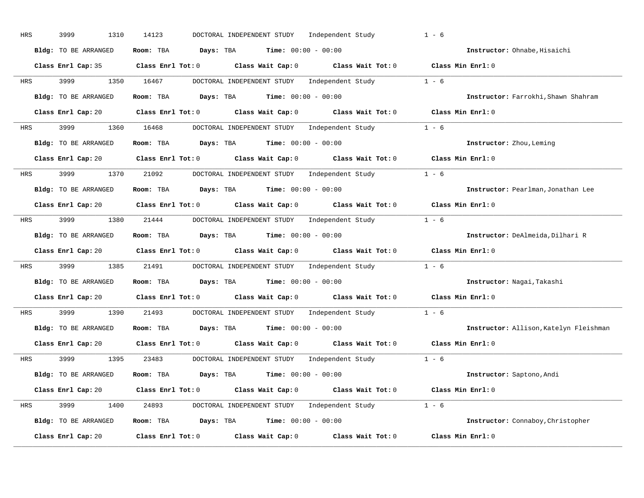| HRS | 3999<br>1310         | 14123<br>DOCTORAL INDEPENDENT STUDY Independent Study                                               | $1 - 6$                                |
|-----|----------------------|-----------------------------------------------------------------------------------------------------|----------------------------------------|
|     | Bldg: TO BE ARRANGED | Room: TBA $Days: TBA$ Time: $00:00 - 00:00$                                                         | Instructor: Ohnabe, Hisaichi           |
|     |                      | Class Enrl Cap: 35 Class Enrl Tot: 0 Class Wait Cap: 0 Class Wait Tot: 0 Class Min Enrl: 0          |                                        |
| HRS | 3999                 | DOCTORAL INDEPENDENT STUDY Independent Study 1 - 6<br>1350 16467                                    |                                        |
|     | Bldg: TO BE ARRANGED | Room: TBA $Days:$ TBA $Time: 00:00 - 00:00$                                                         | Instructor: Farrokhi, Shawn Shahram    |
|     |                      | Class Enrl Cap: 20 Class Enrl Tot: 0 Class Wait Cap: 0 Class Wait Tot: 0 Class Min Enrl: 0          |                                        |
| HRS |                      |                                                                                                     |                                        |
|     | Bldg: TO BE ARRANGED | Room: TBA $Days: TBA$ Time: $00:00 - 00:00$                                                         | Instructor: Zhou, Leming               |
|     |                      | Class Enrl Cap: 20 Class Enrl Tot: 0 Class Wait Cap: 0 Class Wait Tot: 0 Class Min Enrl: 0          |                                        |
| HRS | 3999 (1984)          | DOCTORAL INDEPENDENT STUDY Independent Study 1 - 6<br>1370 21092                                    |                                        |
|     | Bldg: TO BE ARRANGED | Room: TBA $Days:$ TBA $Time: 00:00 - 00:00$                                                         | Instructor: Pearlman, Jonathan Lee     |
|     |                      | Class Enrl Cap: 20 Class Enrl Tot: 0 Class Wait Cap: 0 Class Wait Tot: 0 Class Min Enrl: 0          |                                        |
| HRS |                      | 3999 1380 21444 DOCTORAL INDEPENDENT STUDY Independent Study 1 - 6                                  |                                        |
|     | Bldg: TO BE ARRANGED | Room: TBA $Days:$ TBA $Time: 00:00 - 00:00$                                                         | Instructor: DeAlmeida, Dilhari R       |
|     |                      | Class Enrl Cap: 20 Class Enrl Tot: 0 Class Wait Cap: 0 Class Wait Tot: 0 Class Min Enrl: 0          |                                        |
| HRS | 3999 700             | 1385 21491 DOCTORAL INDEPENDENT STUDY Independent Study                                             | $1 - 6$                                |
|     | Bldg: TO BE ARRANGED | Room: TBA $\rule{1em}{0.15mm}$ Days: TBA Time: $00:00 - 00:00$                                      | Instructor: Nagai, Takashi             |
|     |                      | Class Enrl Cap: 20 $\qquad$ Class Enrl Tot: 0 $\qquad$ Class Wait Cap: 0 $\qquad$ Class Wait Tot: 0 | Class Min Enrl: 0                      |
| HRS | 3999<br>1390         | 21493<br>DOCTORAL INDEPENDENT STUDY Independent Study                                               | $1 - 6$                                |
|     | Bldg: TO BE ARRANGED | Room: TBA $Days:$ TBA $Time: 00:00 - 00:00$                                                         | Instructor: Allison, Katelyn Fleishman |
|     | Class Enrl Cap: 20   | Class Enrl Tot: $0$ Class Wait Cap: $0$ Class Wait Tot: $0$                                         | Class Min Enrl: 0                      |
| HRS | 3999                 | DOCTORAL INDEPENDENT STUDY Independent Study 1 - 6<br>1395 23483                                    |                                        |
|     | Bldg: TO BE ARRANGED | Room: TBA $Days:$ TBA $Time: 00:00 - 00:00$                                                         | Instructor: Saptono, Andi              |
|     |                      | Class Enrl Cap: 20 Class Enrl Tot: 0 Class Wait Cap: 0 Class Wait Tot: 0 Class Min Enrl: 0          |                                        |
| HRS |                      | 3999 1400 24893 DOCTORAL INDEPENDENT STUDY Independent Study 1 - 6                                  |                                        |
|     | Bldg: TO BE ARRANGED | Room: TBA $Days:$ TBA $Time: 00:00 - 00:00$                                                         | Instructor: Connaboy, Christopher      |
|     | Class Enrl Cap: 20   | Class Enrl Tot: 0 Class Wait Cap: 0<br>Class Wait Tot: 0                                            | Class Min Enrl: 0                      |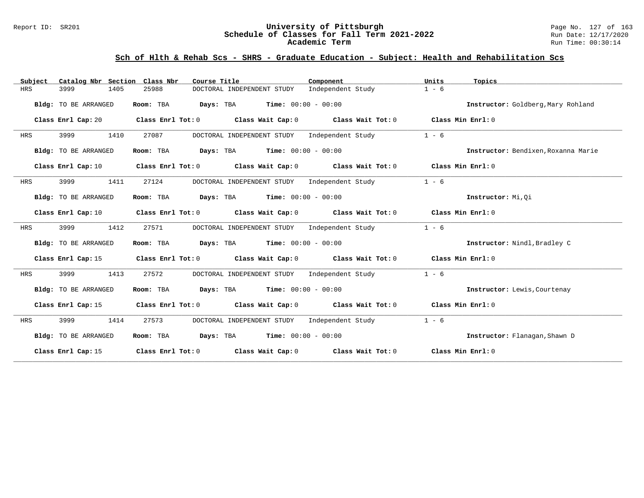### Report ID: SR201 **University of Pittsburgh** Page No. 127 of 163 **Schedule of Classes for Fall Term 2021-2022** Run Date: 12/17/2020 **Academic Term** Run Time: 00:30:14

| Catalog Nbr Section Class Nbr<br>Subject | Course Title                                                                                                                   | Component         | Units<br>Topics                     |
|------------------------------------------|--------------------------------------------------------------------------------------------------------------------------------|-------------------|-------------------------------------|
| HRS<br>3999<br>1405                      | 25988<br>DOCTORAL INDEPENDENT STUDY                                                                                            | Independent Study | $1 - 6$                             |
| Bldg: TO BE ARRANGED                     | Room: TBA<br><b>Days:</b> TBA <b>Time:</b> $00:00 - 00:00$                                                                     |                   | Instructor: Goldberg, Mary Rohland  |
| Class Enrl Cap: 20                       | Class Enrl Tot: $0$ Class Wait Cap: $0$ Class Wait Tot: $0$                                                                    |                   | Class Min Enrl: 0                   |
| 3999<br>1410<br><b>HRS</b>               | DOCTORAL INDEPENDENT STUDY Independent Study<br>27087                                                                          |                   | $1 - 6$                             |
| Bldg: TO BE ARRANGED                     | <b>Days:</b> TBA <b>Time:</b> $00:00 - 00:00$<br>Room: TBA                                                                     |                   | Instructor: Bendixen, Roxanna Marie |
| Class Enrl Cap: 10                       | Class Enrl Tot: O $\qquad$ Class Wait Cap: O $\qquad$ Class Wait Tot: O $\qquad$ Class Min Enrl: O                             |                   |                                     |
| 3999<br>1411<br>HRS                      | 27124<br>DOCTORAL INDEPENDENT STUDY Independent Study                                                                          |                   | $1 - 6$                             |
| Bldg: TO BE ARRANGED                     | Room: TBA $Days:$ TBA $Time: 00:00 - 00:00$                                                                                    |                   | Instructor: Mi, Qi                  |
|                                          | Class Enrl Cap: 10 $\qquad$ Class Enrl Tot: 0 $\qquad$ Class Wait Cap: 0 $\qquad$ Class Wait Tot: 0 $\qquad$ Class Min Enrl: 0 |                   |                                     |
| 3999<br>1412<br>HRS                      | 27571<br>DOCTORAL INDEPENDENT STUDY Independent Study                                                                          |                   | $1 - 6$                             |
| Bldg: TO BE ARRANGED                     | Room: TBA $Days:$ TBA $Time: 00:00 - 00:00$                                                                                    |                   | Instructor: Nindl, Bradley C        |
|                                          | Class Enrl Cap: 15 Class Enrl Tot: 0 Class Wait Cap: 0 Class Wait Tot: 0 Class Min Enrl: 0                                     |                   |                                     |
| 3999<br>1413<br>HRS                      | DOCTORAL INDEPENDENT STUDY Independent Study<br>27572                                                                          |                   | $1 - 6$                             |
| Bldg: TO BE ARRANGED                     | Room: TBA $Days:$ TBA $Time: 00:00 - 00:00$                                                                                    |                   | Instructor: Lewis, Courtenay        |
|                                          | Class Enrl Cap: 15 Class Enrl Tot: 0 Class Wait Cap: 0 Class Wait Tot: 0 Class Min Enrl: 0                                     |                   |                                     |
| 3999<br>1414<br>HRS                      | DOCTORAL INDEPENDENT STUDY Independent Study<br>27573                                                                          |                   | $1 - 6$                             |
| Bldg: TO BE ARRANGED                     | Room: TBA $Days:$ TBA $Time: 00:00 - 00:00$                                                                                    |                   | Instructor: Flanagan, Shawn D       |
|                                          | Class Enrl Cap: 15 Class Enrl Tot: 0 Class Wait Cap: 0 Class Wait Tot: 0                                                       |                   | Class Min Enrl: 0                   |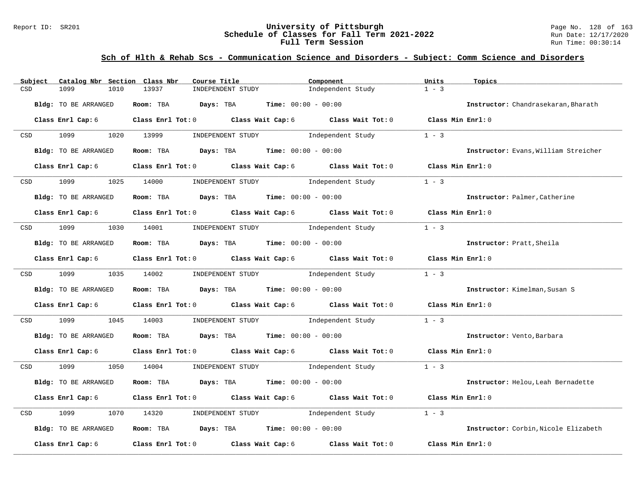### Report ID: SR201 **University of Pittsburgh University of Pittsburgh** Page No. 128 of 163<br>**Schedule of Classes for Fall Term 2021-2022** Run Date: 12/17/2020 **Schedule of Classes for Fall Term 2021-2022** Run Date: 12/17/2020 **Full Term Session Run Time: 00:30:14**

## **Sch of Hlth & Rehab Scs - Communication Science and Disorders - Subject: Comm Science and Disorders**

| Subject                     | Catalog Nbr Section Class Nbr | Course Title |                                                                | Component                                                                       | Units             | Topics                               |
|-----------------------------|-------------------------------|--------------|----------------------------------------------------------------|---------------------------------------------------------------------------------|-------------------|--------------------------------------|
| 1099<br>CSD                 | 1010                          | 13937        | INDEPENDENT STUDY                                              | Independent Study                                                               | $1 - 3$           |                                      |
| <b>Bldg:</b> TO BE ARRANGED |                               |              | Room: TBA $Days:$ TBA $Time: 00:00 - 00:00$                    |                                                                                 |                   | Instructor: Chandrasekaran, Bharath  |
| Class Enrl Cap: 6           |                               |              |                                                                | Class Enrl Tot: $0$ Class Wait Cap: $6$ Class Wait Tot: $0$ Class Min Enrl: $0$ |                   |                                      |
| 1099<br><b>CSD</b>          | 1020 13999                    |              | INDEPENDENT STUDY 1ndependent Study                            |                                                                                 | $1 - 3$           |                                      |
| Bldg: TO BE ARRANGED        |                               |              | <b>Room:</b> TBA <b>Days:</b> TBA <b>Time:</b> 00:00 - 00:00   |                                                                                 |                   | Instructor: Evans, William Streicher |
| Class Enrl Cap: 6           |                               |              |                                                                | Class Enrl Tot: 0 Class Wait Cap: 6 Class Wait Tot: 0                           | Class Min Enrl: 0 |                                      |
| 1099<br>CSD                 | 1025                          | 14000        | INDEPENDENT STUDY                                              | Independent Study                                                               | $1 - 3$           |                                      |
| Bldg: TO BE ARRANGED        |                               |              | Room: TBA $Days:$ TBA $Time: 00:00 - 00:00$                    |                                                                                 |                   | Instructor: Palmer, Catherine        |
| Class Enrl Cap: 6           |                               |              |                                                                | Class Enrl Tot: 0 Class Wait Cap: 6 Class Wait Tot: 0 Class Min Enrl: 0         |                   |                                      |
| 1099 700<br>CSD             | 1030 14001                    |              | INDEPENDENT STUDY 1ndependent Study                            |                                                                                 | $1 - 3$           |                                      |
| <b>Bldg:</b> TO BE ARRANGED |                               |              | Room: TBA $Days:$ TBA $Time: 00:00 - 00:00$                    |                                                                                 |                   | Instructor: Pratt, Sheila            |
| Class Enrl Cap: 6           |                               |              |                                                                | Class Enrl Tot: 0 Class Wait Cap: 6 Class Wait Tot: 0 Class Min Enrl: 0         |                   |                                      |
| CSD 1099                    | 1035 14002                    |              |                                                                | INDEPENDENT STUDY 1ndependent Study                                             | $1 - 3$           |                                      |
| Bldg: TO BE ARRANGED        |                               |              | Room: TBA $\rule{1em}{0.15mm}$ Days: TBA Time: $00:00 - 00:00$ |                                                                                 |                   | Instructor: Kimelman, Susan S        |
| Class Enrl Cap: 6           |                               |              |                                                                | Class Enrl Tot: $0$ Class Wait Cap: $6$ Class Wait Tot: $0$ Class Min Enrl: $0$ |                   |                                      |
| 1099<br>CSD                 | 1045                          | 14003        |                                                                | INDEPENDENT STUDY 1ndependent Study                                             | $1 - 3$           |                                      |
| Bldg: TO BE ARRANGED        |                               |              | Room: TBA $Days:$ TBA $Time: 00:00 - 00:00$                    |                                                                                 |                   | Instructor: Vento, Barbara           |
| Class Enrl Cap: 6           |                               |              |                                                                | Class Enrl Tot: 0 Class Wait Cap: 6 Class Wait Tot: 0 Class Min Enrl: 0         |                   |                                      |
| 1099<br><b>CSD</b>          | 1050 14004                    |              | INDEPENDENT STUDY 1ndependent Study                            |                                                                                 | $1 - 3$           |                                      |
| Bldg: TO BE ARRANGED        |                               |              | Room: TBA $Days:$ TBA $Time: 00:00 - 00:00$                    |                                                                                 |                   | Instructor: Helou, Leah Bernadette   |
| Class Enrl Cap: 6           |                               |              |                                                                | Class Enrl Tot: 0 Class Wait Cap: 6 Class Wait Tot: 0                           | Class Min Enrl: 0 |                                      |
| 1099<br>CSD                 | 1070                          | 14320        | INDEPENDENT STUDY                                              | Independent Study                                                               | $1 - 3$           |                                      |
| Bldg: TO BE ARRANGED        |                               |              | Room: TBA $Days:$ TBA $Time: 00:00 - 00:00$                    |                                                                                 |                   | Instructor: Corbin, Nicole Elizabeth |
| Class Enrl Cap: 6           |                               |              |                                                                | Class Enrl Tot: $0$ Class Wait Cap: $6$ Class Wait Tot: $0$                     | Class Min Enrl: 0 |                                      |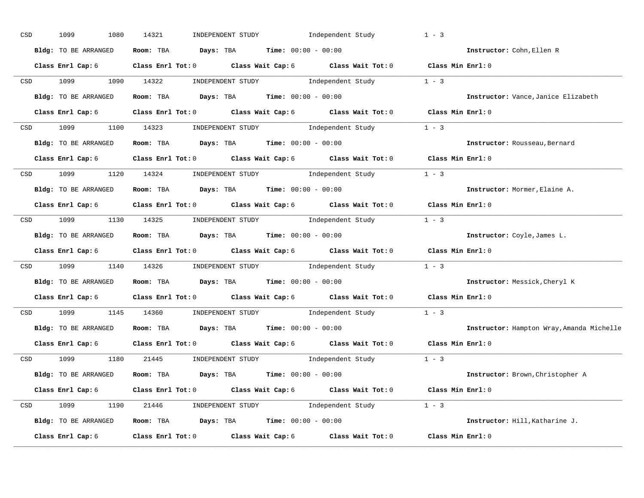| CSD |                  | 1099<br>1080         | 14321                                                                               | INDEPENDENT STUDY Independent Study                                                                                                                                                                                                                                                                                                                                                                               | $1 - 3$                                   |  |
|-----|------------------|----------------------|-------------------------------------------------------------------------------------|-------------------------------------------------------------------------------------------------------------------------------------------------------------------------------------------------------------------------------------------------------------------------------------------------------------------------------------------------------------------------------------------------------------------|-------------------------------------------|--|
|     |                  | Bldg: TO BE ARRANGED | Room: TBA $Days:$ TBA $Time: 00:00 - 00:00$                                         |                                                                                                                                                                                                                                                                                                                                                                                                                   | Instructor: Cohn, Ellen R                 |  |
|     |                  | Class Enrl Cap: 6    |                                                                                     | Class Enrl Tot: 0 Class Wait Cap: 6 Class Wait Tot: 0 Class Min Enrl: 0                                                                                                                                                                                                                                                                                                                                           |                                           |  |
|     |                  | CSD 1099             | 1090 14322                                                                          | $\begin{minipage}[c]{0.9\linewidth} \textbf{INDEX} & \textbf{STUDY} \\ \textbf{1 - 3} & \textbf{1 - 3} \\ \textbf{2 - 1} & \textbf{1 - 3} \\ \textbf{3 - 2} & \textbf{1 - 3} \\ \textbf{4 - 3} & \textbf{1 - 3} \\ \textbf{5 - 4} & \textbf{1 - 3} \\ \textbf{6 - 1} & \textbf{1 - 3} \\ \textbf{7 - 2} & \textbf{1 - 3} \\ \textbf{8 - 1} & \textbf{1 - 3} \\ \textbf{9 - 1} & \textbf{1 - 3} \\ \textbf{1 - 3}$ |                                           |  |
|     |                  | Bldg: TO BE ARRANGED | Room: TBA $\rule{1em}{0.15mm}$ Days: TBA Time: $00:00 - 00:00$                      |                                                                                                                                                                                                                                                                                                                                                                                                                   | Instructor: Vance, Janice Elizabeth       |  |
|     |                  | Class Enrl Cap: 6    |                                                                                     | Class Enrl Tot: 0 Class Wait Cap: 6 Class Wait Tot: 0 Class Min Enrl: 0                                                                                                                                                                                                                                                                                                                                           |                                           |  |
|     |                  |                      |                                                                                     | CSD 1099 1100 14323 INDEPENDENT STUDY Independent Study 1 - 3                                                                                                                                                                                                                                                                                                                                                     |                                           |  |
|     |                  |                      | Bldg: TO BE ARRANGED Room: TBA Days: TBA Time: 00:00 - 00:00                        |                                                                                                                                                                                                                                                                                                                                                                                                                   | Instructor: Rousseau, Bernard             |  |
|     |                  |                      |                                                                                     | Class Enrl Cap: 6 Class Enrl Tot: 0 Class Wait Cap: 6 Class Wait Tot: 0 Class Min Enrl: 0                                                                                                                                                                                                                                                                                                                         |                                           |  |
|     |                  |                      |                                                                                     | CSD 1099 1120 14324 INDEPENDENT STUDY Independent Study 1 - 3                                                                                                                                                                                                                                                                                                                                                     |                                           |  |
|     |                  | Bldg: TO BE ARRANGED | Room: TBA $Days:$ TBA $Time: 00:00 - 00:00$                                         |                                                                                                                                                                                                                                                                                                                                                                                                                   | Instructor: Mormer, Elaine A.             |  |
|     |                  |                      |                                                                                     | Class Enrl Cap: 6 Class Enrl Tot: 0 Class Wait Cap: 6 Class Wait Tot: 0 Class Min Enrl: 0                                                                                                                                                                                                                                                                                                                         |                                           |  |
|     |                  |                      |                                                                                     | CSD 1099 1130 14325 INDEPENDENT STUDY Independent Study 1 - 3                                                                                                                                                                                                                                                                                                                                                     |                                           |  |
|     |                  | Bldg: TO BE ARRANGED | Room: TBA $\rule{1em}{0.15mm}$ Days: TBA Time: $00:00 - 00:00$                      |                                                                                                                                                                                                                                                                                                                                                                                                                   | Instructor: Coyle, James L.               |  |
|     |                  |                      |                                                                                     | Class Enrl Cap: 6 Class Enrl Tot: 0 Class Wait Cap: 6 Class Wait Tot: 0 Class Min Enrl: 0                                                                                                                                                                                                                                                                                                                         |                                           |  |
|     |                  |                      |                                                                                     | CSD 1099 1140 14326 INDEPENDENT STUDY Independent Study 1 - 3                                                                                                                                                                                                                                                                                                                                                     |                                           |  |
|     |                  | Bldg: TO BE ARRANGED | Room: TBA $Days:$ TBA Time: $00:00 - 00:00$                                         |                                                                                                                                                                                                                                                                                                                                                                                                                   | Instructor: Messick, Cheryl K             |  |
|     |                  |                      |                                                                                     | Class Enrl Cap: 6 $\qquad$ Class Enrl Tot: 0 $\qquad$ Class Wait Cap: 6 $\qquad$ Class Wait Tot: 0                                                                                                                                                                                                                                                                                                                | Class Min Enrl: 0                         |  |
|     | CSD <sub>2</sub> |                      | 1099 1145 14360 INDEPENDENT STUDY                                                   |                                                                                                                                                                                                                                                                                                                                                                                                                   | Independent Study 1 - 3                   |  |
|     |                  | Bldg: TO BE ARRANGED | Room: TBA $Days:$ TBA $Time: 00:00 - 00:00$                                         |                                                                                                                                                                                                                                                                                                                                                                                                                   | Instructor: Hampton Wray, Amanda Michelle |  |
|     |                  |                      |                                                                                     | Class Enrl Cap: 6 Class Enrl Tot: 0 Class Wait Cap: 6 Class Wait Tot: 0                                                                                                                                                                                                                                                                                                                                           | Class Min Enrl: 0                         |  |
|     |                  | CSD 1099             |                                                                                     |                                                                                                                                                                                                                                                                                                                                                                                                                   |                                           |  |
|     |                  | Bldg: TO BE ARRANGED | <b>Room:</b> TBA $\rule{1em}{0.15mm}$ <b>Days:</b> TBA <b>Time:</b> $00:00 - 00:00$ |                                                                                                                                                                                                                                                                                                                                                                                                                   | Instructor: Brown, Christopher A          |  |
|     |                  |                      |                                                                                     | Class Enrl Cap: 6 Class Enrl Tot: 0 Class Wait Cap: 6 Class Wait Tot: 0 Class Min Enrl: 0                                                                                                                                                                                                                                                                                                                         |                                           |  |
|     |                  |                      |                                                                                     | CSD 1099 1190 21446 INDEPENDENT STUDY Independent Study 1 - 3                                                                                                                                                                                                                                                                                                                                                     |                                           |  |
|     |                  |                      | Bldg: TO BE ARRANGED Room: TBA Days: TBA Time: 00:00 - 00:00                        |                                                                                                                                                                                                                                                                                                                                                                                                                   | Instructor: Hill, Katharine J.            |  |
|     |                  | Class Enrl Cap: 6    |                                                                                     | Class Enrl Tot: $0$ Class Wait Cap: $6$ Class Wait Tot: $0$                                                                                                                                                                                                                                                                                                                                                       | Class Min Enrl: 0                         |  |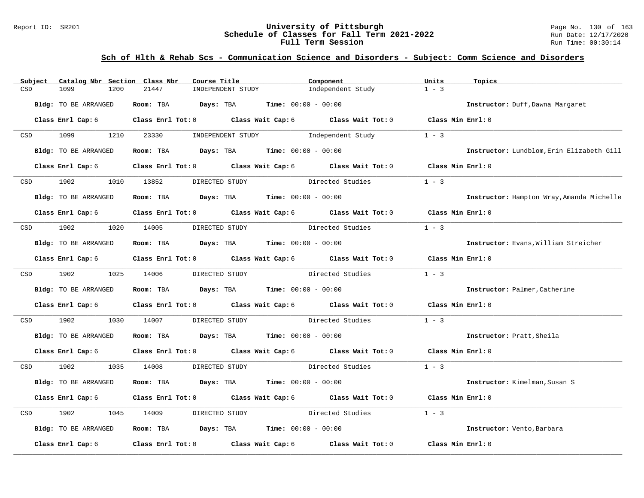### Report ID: SR201 **University of Pittsburgh University of Pittsburgh** Page No. 130 of 163<br>**Schedule of Classes for Fall Term 2021-2022** Run Date: 12/17/2020 **Schedule of Classes for Fall Term 2021-2022** Run Date: 12/17/2020 **Full Term Session Run Time: 00:30:14**

## **Sch of Hlth & Rehab Scs - Communication Science and Disorders - Subject: Comm Science and Disorders**

| Subject          | Catalog Nbr Section Class Nbr | Course Title                                | Component                                                               | Units             | Topics                                    |
|------------------|-------------------------------|---------------------------------------------|-------------------------------------------------------------------------|-------------------|-------------------------------------------|
| CSD              | 1099<br>1200                  | 21447                                       | INDEPENDENT STUDY<br>Independent Study                                  | $1 - 3$           |                                           |
|                  | <b>Bldg:</b> TO BE ARRANGED   | Room: TBA $Days:$ TBA $Time: 00:00 - 00:00$ |                                                                         |                   | Instructor: Duff, Dawna Margaret          |
|                  | Class Enrl Cap: 6             |                                             | Class Enrl Tot: 0 Class Wait Cap: 6 Class Wait Tot: 0 Class Min Enrl: 0 |                   |                                           |
| CSD <sub>c</sub> | 1099 700<br>1210              | 23330                                       | INDEPENDENT STUDY<br>Independent Study                                  | $1 - 3$           |                                           |
|                  | Bldg: TO BE ARRANGED          |                                             | Room: TBA $Days: TBA$ Time: $00:00 - 00:00$                             |                   | Instructor: Lundblom, Erin Elizabeth Gill |
|                  | Class Enrl Cap: 6             |                                             | Class Enrl Tot: 0 Class Wait Cap: 6 Class Wait Tot: 0                   | Class Min Enrl: 0 |                                           |
| CSD              | 1902                          | 1010 13852<br>DIRECTED STUDY                | Directed Studies                                                        | $1 - 3$           |                                           |
|                  | <b>Bldg:</b> TO BE ARRANGED   |                                             | Room: TBA $Days:$ TBA $Time: 00:00 - 00:00$                             |                   | Instructor: Hampton Wray, Amanda Michelle |
|                  | Class Enrl Cap: 6             |                                             | Class Enrl Tot: 0 Class Wait Cap: 6 Class Wait Tot: 0 Class Min Enrl: 0 |                   |                                           |
| CSD              | 1902                          | 1020 14005<br>DIRECTED STUDY                | Directed Studies                                                        | $1 - 3$           |                                           |
|                  | Bldg: TO BE ARRANGED          |                                             | Room: TBA $Days:$ TBA $Time: 00:00 - 00:00$                             |                   | Instructor: Evans, William Streicher      |
|                  | Class Enrl Cap: 6             |                                             | Class Enrl Tot: 0 Class Wait Cap: 6 Class Wait Tot: 0 Class Min Enrl: 0 |                   |                                           |
|                  | CSD 1902                      | 1025 14006<br>DIRECTED STUDY                | Directed Studies                                                        | $1 - 3$           |                                           |
|                  | Bldg: TO BE ARRANGED          |                                             | Room: TBA $Days:$ TBA $Time: 00:00 - 00:00$                             |                   | Instructor: Palmer, Catherine             |
|                  | Class Enrl Cap: 6             |                                             | Class Enrl Tot: 0 Class Wait Cap: 6 Class Wait Tot: 0 Class Min Enrl: 0 |                   |                                           |
| CSD              | 1902<br>1030                  | 14007                                       | DIRECTED STUDY Directed Studies                                         | $1 - 3$           |                                           |
|                  | Bldg: TO BE ARRANGED          |                                             | Room: TBA $Days:$ TBA $Time: 00:00 - 00:00$                             |                   | Instructor: Pratt, Sheila                 |
|                  | Class Enrl Cap: 6             |                                             | Class Enrl Tot: 0 Class Wait Cap: 6 Class Wait Tot: 0 Class Min Enrl: 0 |                   |                                           |
| <b>CSD</b>       | 1902                          | 1035 14008                                  | DIRECTED STUDY Directed Studies                                         | $1 - 3$           |                                           |
|                  | Bldg: TO BE ARRANGED          | Room: TBA $Days: TBA$ Time: $00:00 - 00:00$ |                                                                         |                   | Instructor: Kimelman, Susan S             |
|                  | Class Enrl Cap: 6             |                                             | Class Enrl Tot: 0 Class Wait Cap: 6 Class Wait Tot: 0                   | Class Min Enrl: 0 |                                           |
| CSD              | 1902<br>1045                  | 14009<br>DIRECTED STUDY                     | Directed Studies                                                        | $1 - 3$           |                                           |
|                  | Bldg: TO BE ARRANGED          |                                             | Room: TBA $Days:$ TBA $Time: 00:00 - 00:00$                             |                   | Instructor: Vento, Barbara                |
|                  | Class Enrl Cap: 6             |                                             | Class Enrl Tot: 0 Class Wait Cap: 6 Class Wait Tot: 0                   | Class Min Enrl: 0 |                                           |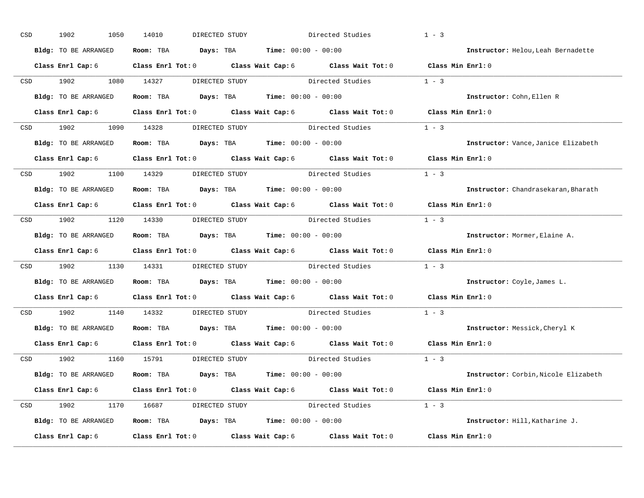| CSD |     | 1902<br>1050                                                            | 14010                                                        | DIRECTED STUDY                              |                  | Directed Studies                                                                                   | $1 - 3$           |                                      |
|-----|-----|-------------------------------------------------------------------------|--------------------------------------------------------------|---------------------------------------------|------------------|----------------------------------------------------------------------------------------------------|-------------------|--------------------------------------|
|     |     | Bldg: TO BE ARRANGED                                                    |                                                              | Room: TBA $Days: TBA$ Time: $00:00 - 00:00$ |                  |                                                                                                    |                   | Instructor: Helou, Leah Bernadette   |
|     |     |                                                                         |                                                              |                                             |                  | Class Enrl Cap: 6 Class Enrl Tot: 0 Class Wait Cap: 6 Class Wait Tot: 0 Class Min Enrl: 0          |                   |                                      |
|     |     | CSD 1902                                                                | 1080 14327                                                   | DIRECTED STUDY                              |                  | Directed Studies                                                                                   | $1 - 3$           |                                      |
|     |     | Bldg: TO BE ARRANGED                                                    |                                                              | Room: TBA $Days:$ TBA $Time: 00:00 - 00:00$ |                  |                                                                                                    |                   | Instructor: Cohn, Ellen R            |
|     |     | Class Enrl Cap: 6                                                       |                                                              |                                             |                  | Class Enrl Tot: 0 Class Wait Cap: 6 Class Wait Tot: 0 Class Min Enrl: 0                            |                   |                                      |
|     |     |                                                                         |                                                              |                                             |                  | CSD 1902 1090 14328 DIRECTED STUDY Directed Studies 1 - 3                                          |                   |                                      |
|     |     | Bldg: TO BE ARRANGED                                                    | Room: TBA  Days: TBA Time: $00:00 - 00:00$                   |                                             |                  |                                                                                                    |                   | Instructor: Vance, Janice Elizabeth  |
|     |     |                                                                         |                                                              |                                             |                  | Class Enrl Cap: 6 $\qquad$ Class Enrl Tot: 0 $\qquad$ Class Wait Cap: 6 $\qquad$ Class Wait Tot: 0 | Class Min Enrl: 0 |                                      |
|     |     | CSD 1902 1100 14329                                                     |                                                              | DIRECTED STUDY                              | Directed Studies |                                                                                                    | $1 - 3$           |                                      |
|     |     | Bldg: TO BE ARRANGED                                                    |                                                              | Room: TBA $Days: TBA$ Time: $00:00 - 00:00$ |                  |                                                                                                    |                   | Instructor: Chandrasekaran, Bharath  |
|     |     |                                                                         |                                                              |                                             |                  | Class Enrl Cap: 6 Class Enrl Tot: 0 Class Wait Cap: 6 Class Wait Tot: 0 Class Min Enrl: 0          |                   |                                      |
|     |     |                                                                         |                                                              |                                             |                  | CSD 1902 1120 14330 DIRECTED STUDY Directed Studies                                                | $1 - 3$           |                                      |
|     |     | Bldg: TO BE ARRANGED                                                    |                                                              | Room: TBA $Days: TBA$ Time: $00:00 - 00:00$ |                  |                                                                                                    |                   | Instructor: Mormer, Elaine A.        |
|     |     |                                                                         |                                                              |                                             |                  | Class Enrl Cap: 6 Class Enrl Tot: 0 Class Wait Cap: 6 Class Wait Tot: 0 Class Min Enrl: 0          |                   |                                      |
| CSD |     | 1902 1130 14331 DIRECTED STUDY Directed Studies                         |                                                              |                                             |                  |                                                                                                    | $1 - 3$           |                                      |
|     |     | Bldg: TO BE ARRANGED                                                    | Room: TBA $Days:$ TBA $Time: 00:00 - 00:00$                  |                                             |                  |                                                                                                    |                   | Instructor: Coyle, James L.          |
|     |     | Class Enrl Cap: 6 Class Enrl Tot: 0 Class Wait Cap: 6 Class Wait Tot: 0 |                                                              |                                             |                  |                                                                                                    | Class Min Enrl: 0 |                                      |
|     | CSD | 1902 1903                                                               | 1140 14332                                                   | DIRECTED STUDY                              |                  | Directed Studies                                                                                   | $1 - 3$           |                                      |
|     |     | Bldg: TO BE ARRANGED                                                    | <b>Room:</b> TBA <b>Days:</b> TBA <b>Time:</b> 00:00 - 00:00 |                                             |                  |                                                                                                    |                   | Instructor: Messick, Cheryl K        |
|     |     |                                                                         |                                                              |                                             |                  | Class Enrl Cap: 6 Class Enrl Tot: 0 Class Wait Cap: 6 Class Wait Tot: 0                            | Class Min Enrl: 0 |                                      |
|     |     | CSD 1902                                                                | 1160 15791                                                   | DIRECTED STUDY                              |                  | Directed Studies                                                                                   | $1 - 3$           |                                      |
|     |     | Bldg: TO BE ARRANGED                                                    |                                                              | Room: TBA $Days:$ TBA $Time: 00:00 - 00:00$ |                  |                                                                                                    |                   | Instructor: Corbin, Nicole Elizabeth |
|     |     |                                                                         |                                                              |                                             |                  | Class Enrl Tot: 0 $\qquad$ Class Wait Cap: 6 $\qquad$ Class Wait Tot: 0 $\qquad$ Class Min Enrl: 0 |                   |                                      |
|     |     | Class Enrl Cap: 6                                                       |                                                              |                                             |                  |                                                                                                    |                   |                                      |
|     |     |                                                                         |                                                              |                                             |                  | CSD 1902 1170 16687 DIRECTED STUDY Directed Studies 1 - 3                                          |                   |                                      |
|     |     | Bldg: TO BE ARRANGED                                                    | <b>Room:</b> TBA $Days:$ TBA $Time: 00:00 - 00:00$           |                                             |                  |                                                                                                    |                   | Instructor: Hill, Katharine J.       |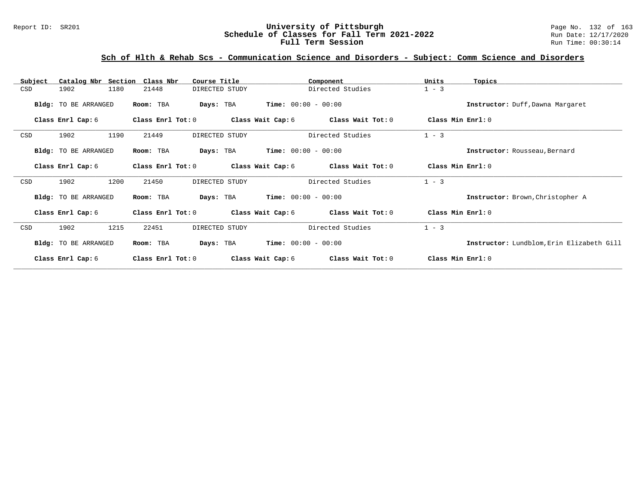### Report ID: SR201 **University of Pittsburgh University of Pittsburgh** Page No. 132 of 163<br>**Schedule of Classes for Fall Term 2021-2022** Run Date: 12/17/2020 **Schedule of Classes for Fall Term 2021-2022** Run Date: 12/17/2020 **Full Term Session Run Time: 00:30:14**

## **Sch of Hlth & Rehab Scs - Communication Science and Disorders - Subject: Comm Science and Disorders**

| Subject    | Catalog Nbr Section  | Class Nbr         | Course Title   |                       | Component         | Units             | Topics                                    |
|------------|----------------------|-------------------|----------------|-----------------------|-------------------|-------------------|-------------------------------------------|
| CSD        | 1902<br>1180         | 21448             | DIRECTED STUDY |                       | Directed Studies  | $1 - 3$           |                                           |
|            | Bldg: TO BE ARRANGED | Room: TBA         | Days: TBA      | $Time: 00:00 - 00:00$ |                   |                   | Instructor: Duff, Dawna Margaret          |
|            | Class Enrl Cap: 6    | Class Enrl Tot: 0 |                | Class Wait Cap: 6     | Class Wait Tot: 0 | Class Min Enrl: 0 |                                           |
| CSD        | 1902<br>1190         | 21449             | DIRECTED STUDY |                       | Directed Studies  | $1 - 3$           |                                           |
|            | Bldg: TO BE ARRANGED | Room: TBA         | Days: TBA      | $Time: 00:00 - 00:00$ |                   |                   | Instructor: Rousseau, Bernard             |
|            | Class Enrl Cap: 6    | Class Enrl Tot: 0 |                | Class Wait Cap: 6     | Class Wait Tot: 0 | Class Min Enrl: 0 |                                           |
| CSD        | 1200<br>1902         | 21450             | DIRECTED STUDY |                       | Directed Studies  | $1 - 3$           |                                           |
|            | Bldg: TO BE ARRANGED | Room: TBA         | Days: TBA      | $Time: 00:00 - 00:00$ |                   |                   | Instructor: Brown, Christopher A          |
|            | Class Enrl Cap: 6    | Class Enrl Tot: 0 |                | Class Wait Cap: 6     | Class Wait Tot: 0 | Class Min Enrl: 0 |                                           |
| <b>CSD</b> | 1215<br>1902         | 22451             | DIRECTED STUDY |                       | Directed Studies  | $1 - 3$           |                                           |
|            | Bldg: TO BE ARRANGED | Room: TBA         | Days: TBA      | $Time: 00:00 - 00:00$ |                   |                   | Instructor: Lundblom, Erin Elizabeth Gill |
|            | Class Enrl Cap: 6    | Class Enrl Tot: 0 |                | Class Wait Cap: 6     | Class Wait Tot: 0 | Class Min Enrl: 0 |                                           |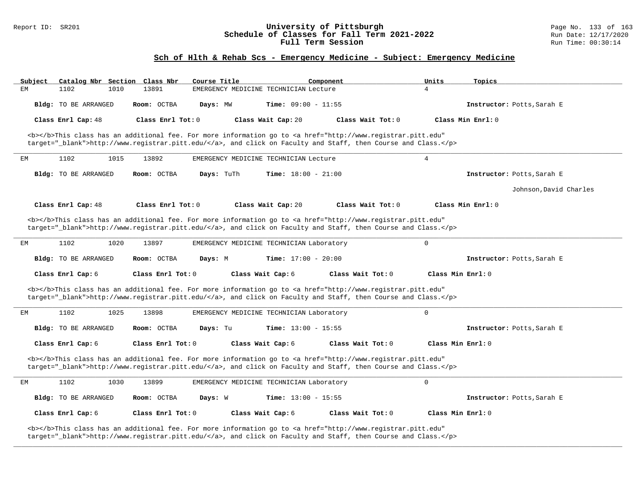### Report ID: SR201 **1988 Chedule of Classes for Fall Term 2021-2022** Page No. 133 of 163<br>**Schedule of Classes for Fall Term 2021-2022** Run Date: 12/17/2020 **Schedule of Classes for Fall Term 2021-2022** Run Date: 12/17/2020 **Full Term Session Run Time: 00:30:14**

## **Sch of Hlth & Rehab Scs - Emergency Medicine - Subject: Emergency Medicine**

| Subject                     |      | Catalog Nbr Section Class Nbr | Course Title |                                          | Component                                                                                                                                                                                                                          | Units          | Topics                     |
|-----------------------------|------|-------------------------------|--------------|------------------------------------------|------------------------------------------------------------------------------------------------------------------------------------------------------------------------------------------------------------------------------------|----------------|----------------------------|
| EМ<br>1102                  | 1010 | 13891                         |              | EMERGENCY MEDICINE TECHNICIAN Lecture    |                                                                                                                                                                                                                                    | 4              |                            |
| Bldg: TO BE ARRANGED        |      | Room: OCTBA                   | Days: MW     | Time: $09:00 - 11:55$                    |                                                                                                                                                                                                                                    |                | Instructor: Potts, Sarah E |
| Class Enrl Cap: 48          |      | Class Enrl Tot: 0             |              | Class Wait Cap: 20                       | Class Wait Tot: 0                                                                                                                                                                                                                  |                | Class Min Enrl: 0          |
|                             |      |                               |              |                                          | <b></b> This class has an additional fee. For more information go to <a <br="" href="http://www.registrar.pitt.edu">target="_blank"&gt;http://www.registrar.pitt.edu/</a> , and click on Faculty and Staff, then Course and Class. |                |                            |
| 1102<br>ЕM                  | 1015 | 13892                         |              | EMERGENCY MEDICINE TECHNICIAN Lecture    |                                                                                                                                                                                                                                    | $\overline{4}$ |                            |
| Bldg: TO BE ARRANGED        |      | Room: OCTBA                   | Days: TuTh   | <b>Time:</b> $18:00 - 21:00$             |                                                                                                                                                                                                                                    |                | Instructor: Potts, Sarah E |
|                             |      |                               |              |                                          |                                                                                                                                                                                                                                    |                | Johnson, David Charles     |
| Class Enrl Cap: 48          |      | Class Enrl Tot: 0             |              | Class Wait Cap: 20                       | Class Wait Tot: 0                                                                                                                                                                                                                  |                | Class Min Enrl: 0          |
|                             |      |                               |              |                                          | <b></b> This class has an additional fee. For more information go to <a <br="" href="http://www.registrar.pitt.edu">target="_blank"&gt;http://www.registrar.pitt.edu/</a> , and click on Faculty and Staff, then Course and Class. |                |                            |
| 1102<br>EМ                  | 1020 | 13897                         |              | EMERGENCY MEDICINE TECHNICIAN Laboratory |                                                                                                                                                                                                                                    | $\Omega$       |                            |
|                             |      |                               |              |                                          |                                                                                                                                                                                                                                    |                |                            |
| Bldg: TO BE ARRANGED        |      | Room: OCTBA                   | Days: M      | <b>Time:</b> $17:00 - 20:00$             |                                                                                                                                                                                                                                    |                | Instructor: Potts, Sarah E |
| Class Enrl Cap: 6           |      | Class Enrl Tot: 0             |              | Class Wait Cap: 6                        | Class Wait Tot: 0                                                                                                                                                                                                                  |                | Class Min Enrl: 0          |
|                             |      |                               |              |                                          | <b></b> This class has an additional fee. For more information go to <a <br="" href="http://www.registrar.pitt.edu">target="_blank"&gt;http://www.registrar.pitt.edu/</a> , and click on Faculty and Staff, then Course and Class. |                |                            |
| 1102<br>EМ                  | 1025 | 13898                         |              | EMERGENCY MEDICINE TECHNICIAN Laboratory |                                                                                                                                                                                                                                    | $\Omega$       |                            |
| <b>Bldg:</b> TO BE ARRANGED |      | Room: OCTBA                   | Days: Tu     | <b>Time:</b> $13:00 - 15:55$             |                                                                                                                                                                                                                                    |                | Instructor: Potts, Sarah E |
| Class Enrl Cap: 6           |      | Class Enrl Tot: 0             |              | Class Wait Cap: 6                        | Class Wait Tot: 0                                                                                                                                                                                                                  |                | Class Min Enrl: 0          |
|                             |      |                               |              |                                          | <b></b> This class has an additional fee. For more information go to <a <br="" href="http://www.registrar.pitt.edu">target="_blank"&gt;http://www.registrar.pitt.edu/</a> , and click on Faculty and Staff, then Course and Class. |                |                            |
| 1102<br>EМ                  | 1030 | 13899                         |              | EMERGENCY MEDICINE TECHNICIAN Laboratory |                                                                                                                                                                                                                                    | $\mathbf 0$    |                            |
| Bldg: TO BE ARRANGED        |      | Room: OCTBA                   | Days: W      | Time: $13:00 - 15:55$                    |                                                                                                                                                                                                                                    |                | Instructor: Potts, Sarah E |
| Class Enrl Cap: 6           |      | Class Enrl Tot: 0             |              | Class Wait Cap: 6                        | Class Wait Tot: 0                                                                                                                                                                                                                  |                | Class Min Enrl: 0          |

**\_\_\_\_\_\_\_\_\_\_\_\_\_\_\_\_\_\_\_\_\_\_\_\_\_\_\_\_\_\_\_\_\_\_\_\_\_\_\_\_\_\_\_\_\_\_\_\_\_\_\_\_\_\_\_\_\_\_\_\_\_\_\_\_\_\_\_\_\_\_\_\_\_\_\_\_\_\_\_\_\_\_\_\_\_\_\_\_\_\_\_\_\_\_\_\_\_\_\_\_\_\_\_\_\_\_\_\_\_\_\_\_\_\_\_\_\_\_\_\_\_\_\_\_\_\_\_\_\_\_\_\_\_\_\_\_\_\_\_\_\_\_\_\_\_\_\_\_\_\_\_\_\_\_\_\_**

target="\_blank">http://www.registrar.pitt.edu/</a>, and click on Faculty and Staff, then Course and Class.</p>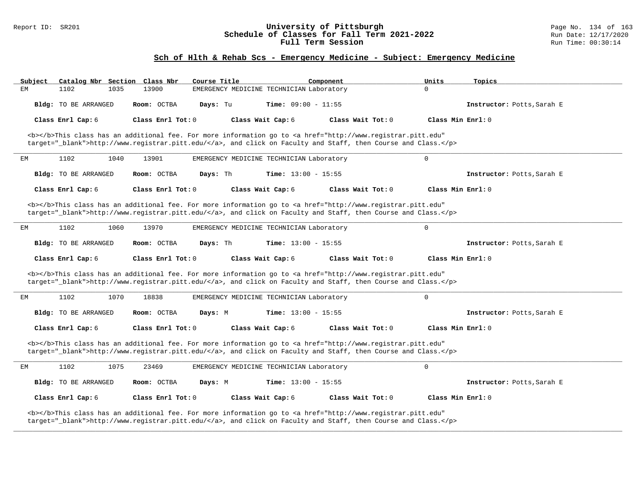### Report ID: SR201 **University of Pittsburgh** Page No. 134 of 163 **Schedule of Classes for Fall Term 2021-2022** Run Date: 12/17/2020 **Full Term Session Run Time: 00:30:14**

# **Sch of Hlth & Rehab Scs - Emergency Medicine - Subject: Emergency Medicine**

| Subject | Catalog Nbr Section Class Nbr |                   | Course Title                             |                              | Component                                                                                                                                                                                                                          | Units               | Topics                     |
|---------|-------------------------------|-------------------|------------------------------------------|------------------------------|------------------------------------------------------------------------------------------------------------------------------------------------------------------------------------------------------------------------------------|---------------------|----------------------------|
| EM      | 1102<br>1035                  | 13900             | EMERGENCY MEDICINE TECHNICIAN Laboratory |                              |                                                                                                                                                                                                                                    | $\Omega$            |                            |
|         | <b>Bldg:</b> TO BE ARRANGED   | Room: OCTBA       | Days: Tu                                 | <b>Time:</b> $09:00 - 11:55$ |                                                                                                                                                                                                                                    |                     | Instructor: Potts, Sarah E |
|         | Class Enrl Cap: 6             | Class Enrl Tot: 0 |                                          | Class Wait Cap: 6            | Class Wait Tot: 0                                                                                                                                                                                                                  | Class Min Enrl: 0   |                            |
|         |                               |                   |                                          |                              | <b></b> This class has an additional fee. For more information go to <a <br="" href="http://www.registrar.pitt.edu">target="_blank"&gt;http://www.registrar.pitt.edu/</a> , and click on Faculty and Staff, then Course and Class. |                     |                            |
| EМ      | 1102<br>1040                  | 13901             | EMERGENCY MEDICINE TECHNICIAN Laboratory |                              |                                                                                                                                                                                                                                    | $\Omega$            |                            |
|         | Bldg: TO BE ARRANGED          | Room: OCTBA       | Days: Th                                 | <b>Time:</b> $13:00 - 15:55$ |                                                                                                                                                                                                                                    |                     | Instructor: Potts, Sarah E |
|         | Class Enrl Cap: 6             | Class Enrl Tot: 0 |                                          | Class Wait Cap: 6            | Class Wait Tot: $0$                                                                                                                                                                                                                | Class Min $Enr1: 0$ |                            |
|         |                               |                   |                                          |                              | <b></b> This class has an additional fee. For more information go to <a <br="" href="http://www.registrar.pitt.edu">target="_blank"&gt;http://www.registrar.pitt.edu/</a> , and click on Faculty and Staff, then Course and Class. |                     |                            |
| ЕM      | 1102<br>1060                  | 13970             | EMERGENCY MEDICINE TECHNICIAN Laboratory |                              |                                                                                                                                                                                                                                    | $\mathbf 0$         |                            |
|         | Bldg: TO BE ARRANGED          | Room: OCTBA       | Days: Th                                 | <b>Time:</b> $13:00 - 15:55$ |                                                                                                                                                                                                                                    |                     | Instructor: Potts, Sarah E |
|         | Class Enrl Cap: 6             | Class Enrl Tot: 0 |                                          | Class Wait Cap: 6            | Class Wait Tot: 0                                                                                                                                                                                                                  | Class Min Enrl: 0   |                            |
|         |                               |                   |                                          |                              | <b></b> This class has an additional fee. For more information go to <a <br="" href="http://www.registrar.pitt.edu">target="_blank"&gt;http://www.registrar.pitt.edu/</a> , and click on Faculty and Staff, then Course and Class. |                     |                            |
| ЕM      | 1102<br>1070                  | 18838             | EMERGENCY MEDICINE TECHNICIAN Laboratory |                              |                                                                                                                                                                                                                                    | $\mathbf 0$         |                            |
|         | Bldg: TO BE ARRANGED          | Room: OCTBA       | Days: M                                  | <b>Time:</b> $13:00 - 15:55$ |                                                                                                                                                                                                                                    |                     | Instructor: Potts, Sarah E |
|         |                               |                   |                                          |                              |                                                                                                                                                                                                                                    |                     |                            |
|         | Class Enrl Cap: 6             | Class Enrl Tot: 0 |                                          | Class Wait Cap: 6            | Class Wait Tot: $0$                                                                                                                                                                                                                | Class Min Enrl: 0   |                            |
|         |                               |                   |                                          |                              | <b></b> This class has an additional fee. For more information go to <a <br="" href="http://www.registrar.pitt.edu">target="_blank"&gt;http://www.registrar.pitt.edu/</a> , and click on Faculty and Staff, then Course and Class. |                     |                            |
| ЕM      | 1102<br>1075                  | 23469             | EMERGENCY MEDICINE TECHNICIAN Laboratory |                              |                                                                                                                                                                                                                                    | $\mathbf 0$         |                            |
|         | Bldg: TO BE ARRANGED          | Room: OCTBA       | Days: M                                  | <b>Time:</b> $13:00 - 15:55$ |                                                                                                                                                                                                                                    |                     | Instructor: Potts, Sarah E |
|         | Class Enrl Cap: 6             | Class Enrl Tot: 0 |                                          | Class Wait Cap: 6            | Class Wait Tot: 0                                                                                                                                                                                                                  | Class Min Enrl: 0   |                            |

**\_\_\_\_\_\_\_\_\_\_\_\_\_\_\_\_\_\_\_\_\_\_\_\_\_\_\_\_\_\_\_\_\_\_\_\_\_\_\_\_\_\_\_\_\_\_\_\_\_\_\_\_\_\_\_\_\_\_\_\_\_\_\_\_\_\_\_\_\_\_\_\_\_\_\_\_\_\_\_\_\_\_\_\_\_\_\_\_\_\_\_\_\_\_\_\_\_\_\_\_\_\_\_\_\_\_\_\_\_\_\_\_\_\_\_\_\_\_\_\_\_\_\_\_\_\_\_\_\_\_\_\_\_\_\_\_\_\_\_\_\_\_\_\_\_\_\_\_\_\_\_\_\_\_\_\_**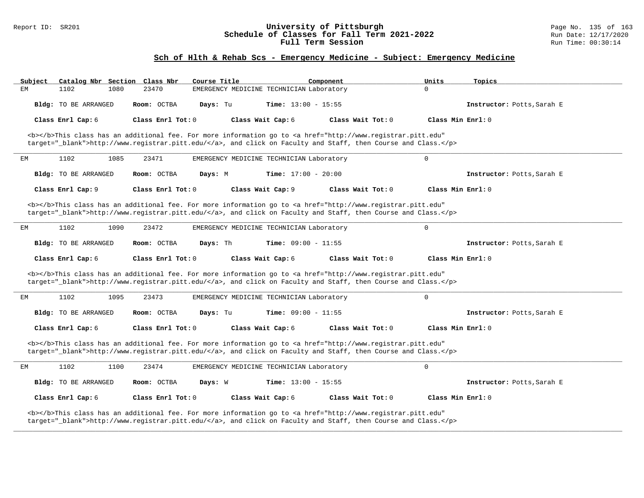### Report ID: SR201 **University of Pittsburgh** Page No. 135 of 163 **Schedule of Classes for Fall Term 2021-2022** Run Date: 12/17/2020 **Full Term Session Run Time: 00:30:14**

# **Sch of Hlth & Rehab Scs - Emergency Medicine - Subject: Emergency Medicine**

| Subject | Catalog Nbr Section Class Nbr |                                                                                                        | Course Title                             |                              | Component                                                                                                                                                                                                                          | Units               | Topics                     |
|---------|-------------------------------|--------------------------------------------------------------------------------------------------------|------------------------------------------|------------------------------|------------------------------------------------------------------------------------------------------------------------------------------------------------------------------------------------------------------------------------|---------------------|----------------------------|
| EM      | 1102<br>1080                  | 23470                                                                                                  | EMERGENCY MEDICINE TECHNICIAN Laboratory |                              |                                                                                                                                                                                                                                    | $\Omega$            |                            |
|         | Bldg: TO BE ARRANGED          | Room: OCTBA                                                                                            | Days: Tu                                 | <b>Time:</b> $13:00 - 15:55$ |                                                                                                                                                                                                                                    |                     | Instructor: Potts, Sarah E |
|         | Class Enrl Cap: 6             | Class Enrl Tot: 0                                                                                      |                                          | Class Wait Cap: 6            | Class Wait Tot: 0                                                                                                                                                                                                                  | Class Min Enrl: 0   |                            |
|         |                               |                                                                                                        |                                          |                              | <b></b> This class has an additional fee. For more information go to <a <br="" href="http://www.registrar.pitt.edu">target="_blank"&gt;http://www.registrar.pitt.edu/</a> , and click on Faculty and Staff, then Course and Class. |                     |                            |
| EМ      | 1102<br>1085                  | 23471                                                                                                  | EMERGENCY MEDICINE TECHNICIAN Laboratory |                              |                                                                                                                                                                                                                                    | $\Omega$            |                            |
|         | Bldg: TO BE ARRANGED          | Room: OCTBA                                                                                            | Days: M                                  | <b>Time:</b> $17:00 - 20:00$ |                                                                                                                                                                                                                                    |                     | Instructor: Potts, Sarah E |
|         | Class Enrl Cap: 9             | Class Enrl Tot: 0                                                                                      |                                          | Class Wait Cap: 9            | Class Wait Tot: $0$                                                                                                                                                                                                                | Class Min $Enr1: 0$ |                            |
|         |                               |                                                                                                        |                                          |                              | <b></b> This class has an additional fee. For more information go to <a <br="" href="http://www.registrar.pitt.edu">target="_blank"&gt;http://www.registrar.pitt.edu/</a> , and click on Faculty and Staff, then Course and Class. |                     |                            |
| ЕM      | 1102<br>1090                  | 23472                                                                                                  | EMERGENCY MEDICINE TECHNICIAN Laboratory |                              |                                                                                                                                                                                                                                    | $\mathbf 0$         |                            |
|         | Bldg: TO BE ARRANGED          | Room: OCTBA                                                                                            | Days: Th                                 | <b>Time:</b> $09:00 - 11:55$ |                                                                                                                                                                                                                                    |                     | Instructor: Potts, Sarah E |
|         | Class Enrl Cap: 6             | Class Enrl Tot: 0                                                                                      |                                          | Class Wait Cap: 6            | Class Wait Tot: 0                                                                                                                                                                                                                  | Class Min Enrl: 0   |                            |
|         |                               |                                                                                                        |                                          |                              | <b></b> This class has an additional fee. For more information go to <a <="" href="http://www.registrar.pitt.edu" td=""><td></td><td></td></a>                                                                                     |                     |                            |
|         |                               | target="_blank">http://www.registrar.pitt.edu/, and click on Faculty and Staff, then Course and Class. |                                          |                              |                                                                                                                                                                                                                                    |                     |                            |
| ЕM      | 1102<br>1095                  | 23473                                                                                                  | EMERGENCY MEDICINE TECHNICIAN Laboratory |                              |                                                                                                                                                                                                                                    | $\mathbf 0$         |                            |
|         | Bldg: TO BE ARRANGED          | Room: OCTBA                                                                                            | Days: Tu                                 | <b>Time:</b> $09:00 - 11:55$ |                                                                                                                                                                                                                                    |                     | Instructor: Potts, Sarah E |
|         | Class Enrl Cap: 6             | Class Enrl Tot: 0                                                                                      |                                          | Class Wait Cap: 6            | Class Wait Tot: $0$                                                                                                                                                                                                                | Class Min Enrl: 0   |                            |
|         |                               |                                                                                                        |                                          |                              | <b></b> This class has an additional fee. For more information go to <a <br="" href="http://www.registrar.pitt.edu">target="_blank"&gt;http://www.registrar.pitt.edu/</a> , and click on Faculty and Staff, then Course and Class. |                     |                            |
| ЕM      | 1102<br>1100                  | 23474                                                                                                  | EMERGENCY MEDICINE TECHNICIAN Laboratory |                              |                                                                                                                                                                                                                                    | $\mathbf 0$         |                            |
|         | Bldg: TO BE ARRANGED          | Room: OCTBA                                                                                            | Days: W                                  | <b>Time:</b> $13:00 - 15:55$ |                                                                                                                                                                                                                                    |                     | Instructor: Potts, Sarah E |
|         | Class Enrl Cap: 6             | Class Enrl Tot: 0                                                                                      |                                          | Class Wait Cap: 6            | Class Wait Tot: 0                                                                                                                                                                                                                  | Class Min Enrl: 0   |                            |

**\_\_\_\_\_\_\_\_\_\_\_\_\_\_\_\_\_\_\_\_\_\_\_\_\_\_\_\_\_\_\_\_\_\_\_\_\_\_\_\_\_\_\_\_\_\_\_\_\_\_\_\_\_\_\_\_\_\_\_\_\_\_\_\_\_\_\_\_\_\_\_\_\_\_\_\_\_\_\_\_\_\_\_\_\_\_\_\_\_\_\_\_\_\_\_\_\_\_\_\_\_\_\_\_\_\_\_\_\_\_\_\_\_\_\_\_\_\_\_\_\_\_\_\_\_\_\_\_\_\_\_\_\_\_\_\_\_\_\_\_\_\_\_\_\_\_\_\_\_\_\_\_\_\_\_\_**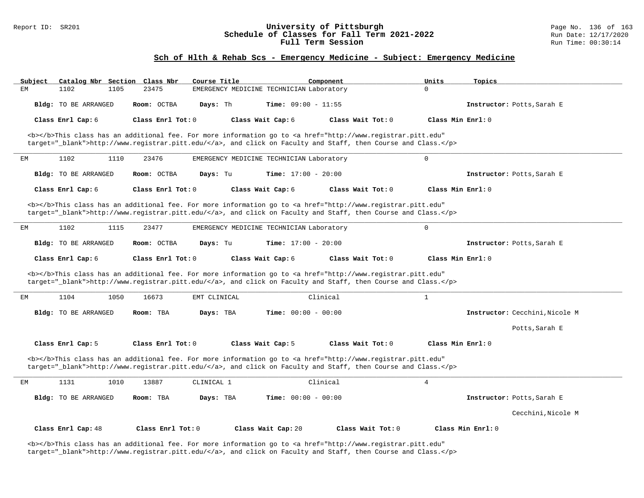#### Report ID: SR201 **1988 Chedule of Classes for Fall Term 2021-2022** Page No. 136 of 163<br>**Schedule of Classes for Fall Term 2021-2022** Run Date: 12/17/2020 **Schedule of Classes for Fall Term 2021-2022** Run Date: 12/17/2021<br>**Full Term Session** Run Time: 00:30:14 Full Term Session

### **Sch of Hlth & Rehab Scs - Emergency Medicine - Subject: Emergency Medicine**

| Subject |                                                                                                                                                                                                                                    |      | Catalog Nbr Section Class Nbr | Course Title |                                                                                                                                                                                                                                    | Component |                   | Units             | Topics                         |
|---------|------------------------------------------------------------------------------------------------------------------------------------------------------------------------------------------------------------------------------------|------|-------------------------------|--------------|------------------------------------------------------------------------------------------------------------------------------------------------------------------------------------------------------------------------------------|-----------|-------------------|-------------------|--------------------------------|
| ЕM      | 1102                                                                                                                                                                                                                               | 1105 | 23475                         |              | EMERGENCY MEDICINE TECHNICIAN Laboratory                                                                                                                                                                                           |           |                   | $\Omega$          |                                |
|         | Bldg: TO BE ARRANGED                                                                                                                                                                                                               |      | Room: OCTBA                   | Days: Th     | Time: $09:00 - 11:55$                                                                                                                                                                                                              |           |                   |                   | Instructor: Potts, Sarah E     |
|         | Class Enrl Cap: 6                                                                                                                                                                                                                  |      | Class Enrl Tot: 0             |              | Class Wait Cap: 6                                                                                                                                                                                                                  |           | Class Wait Tot: 0 | Class Min Enrl: 0 |                                |
|         |                                                                                                                                                                                                                                    |      |                               |              | <b></b> This class has an additional fee. For more information go to <a <br="" href="http://www.registrar.pitt.edu">target="_blank"&gt;http://www.registrar.pitt.edu/</a> , and click on Faculty and Staff, then Course and Class. |           |                   |                   |                                |
| EM      | 1102                                                                                                                                                                                                                               | 1110 | 23476                         |              | EMERGENCY MEDICINE TECHNICIAN Laboratory                                                                                                                                                                                           |           |                   | $\mathbf 0$       |                                |
|         | Bldg: TO BE ARRANGED                                                                                                                                                                                                               |      | Room: OCTBA                   | Days: Tu     | Time: $17:00 - 20:00$                                                                                                                                                                                                              |           |                   |                   | Instructor: Potts, Sarah E     |
|         | Class Enrl Cap: 6                                                                                                                                                                                                                  |      | Class Enrl Tot: 0             |              | Class Wait Cap: 6                                                                                                                                                                                                                  |           | Class Wait Tot: 0 | Class Min Enrl: 0 |                                |
|         |                                                                                                                                                                                                                                    |      |                               |              | <b></b> This class has an additional fee. For more information go to <a <br="" href="http://www.registrar.pitt.edu">target="_blank"&gt;http://www.registrar.pitt.edu/</a> , and click on Faculty and Staff, then Course and Class. |           |                   |                   |                                |
| EМ      | 1102                                                                                                                                                                                                                               | 1115 | 23477                         |              | EMERGENCY MEDICINE TECHNICIAN Laboratory                                                                                                                                                                                           |           |                   | $\Omega$          |                                |
|         | Bldg: TO BE ARRANGED                                                                                                                                                                                                               |      | Room: OCTBA                   | Days: Tu     | <b>Time:</b> $17:00 - 20:00$                                                                                                                                                                                                       |           |                   |                   | Instructor: Potts, Sarah E     |
|         | Class Enrl Cap: 6                                                                                                                                                                                                                  |      | Class Enrl Tot: 0             |              | Class Wait Cap: 6                                                                                                                                                                                                                  |           | Class Wait Tot: 0 | Class Min Enrl: 0 |                                |
|         |                                                                                                                                                                                                                                    |      |                               |              | <b></b> This class has an additional fee. For more information go to <a <br="" href="http://www.registrar.pitt.edu">target="_blank"&gt;http://www.registrar.pitt.edu/</a> , and click on Faculty and Staff, then Course and Class. |           |                   |                   |                                |
| ЕM      | 1104                                                                                                                                                                                                                               | 1050 | 16673                         | EMT CLINICAL |                                                                                                                                                                                                                                    | Clinical  |                   | $\mathbf{1}$      |                                |
|         | <b>Bldg:</b> TO BE ARRANGED                                                                                                                                                                                                        |      | Room: TBA                     | Days: TBA    | <b>Time:</b> $00:00 - 00:00$                                                                                                                                                                                                       |           |                   |                   | Instructor: Cecchini, Nicole M |
|         |                                                                                                                                                                                                                                    |      |                               |              |                                                                                                                                                                                                                                    |           |                   |                   | Potts, Sarah E                 |
|         | Class Enrl Cap: 5                                                                                                                                                                                                                  |      | Class Enrl Tot: 0             |              | Class Wait Cap: 5                                                                                                                                                                                                                  |           | Class Wait Tot: 0 | Class Min Enrl: 0 |                                |
|         | <b></b> This class has an additional fee. For more information go to <a <br="" href="http://www.registrar.pitt.edu">target="_blank"&gt;http://www.registrar.pitt.edu/</a> , and click on Faculty and Staff, then Course and Class. |      |                               |              |                                                                                                                                                                                                                                    |           |                   |                   |                                |
| EM      | 1131                                                                                                                                                                                                                               | 1010 | 13887                         | CLINICAL 1   |                                                                                                                                                                                                                                    | Clinical  |                   | $\overline{4}$    |                                |
|         | Bldg: TO BE ARRANGED                                                                                                                                                                                                               |      | Room: TBA                     | Days: TBA    | <b>Time:</b> $00:00 - 00:00$                                                                                                                                                                                                       |           |                   |                   | Instructor: Potts, Sarah E     |
|         |                                                                                                                                                                                                                                    |      |                               |              |                                                                                                                                                                                                                                    |           |                   |                   | Cecchini, Nicole M             |
|         | Class Enrl Cap: 48                                                                                                                                                                                                                 |      | Class Enrl Tot: $0$           |              | Class Wait Cap: 20                                                                                                                                                                                                                 |           | Class Wait Tot: 0 |                   | Class Min Enrl: 0              |

<b></b>This class has an additional fee. For more information go to <a href="http://www.registrar.pitt.edu" target="\_blank">http://www.registrar.pitt.edu/</a>, and click on Faculty and Staff, then Course and Class.</p>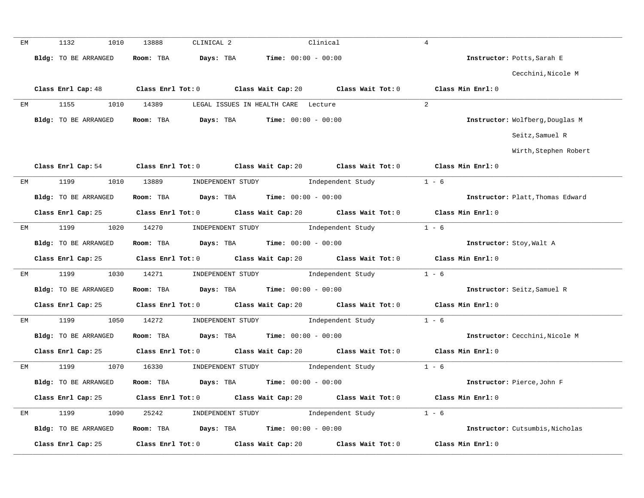| EM | 1132<br>1010         | 13888<br>CLINICAL 2                                                                         | Clinical                                                                                                                     | $\overline{4}$                   |
|----|----------------------|---------------------------------------------------------------------------------------------|------------------------------------------------------------------------------------------------------------------------------|----------------------------------|
|    | Bldg: TO BE ARRANGED | Days: TBA<br>Room: TBA                                                                      | Time: $00:00 - 00:00$                                                                                                        | Instructor: Potts, Sarah E       |
|    |                      |                                                                                             |                                                                                                                              | Cecchini, Nicole M               |
|    | Class Enrl Cap: 48   | Class Enrl Tot: 0 Class Wait Cap: 20 Class Wait Tot: 0                                      |                                                                                                                              | Class Min Enrl: 0                |
| ЕM | 1155<br>1010         | 14389<br>LEGAL ISSUES IN HEALTH CARE Lecture                                                |                                                                                                                              | 2                                |
|    | Bldg: TO BE ARRANGED | Room: TBA $\rule{1em}{0.15mm}$ Days: TBA $\qquad$ Time: $00:00 - 00:00$                     |                                                                                                                              | Instructor: Wolfberg, Douglas M  |
|    |                      |                                                                                             |                                                                                                                              | Seitz, Samuel R                  |
|    |                      |                                                                                             |                                                                                                                              | Wirth, Stephen Robert            |
|    |                      | Class Enrl Cap: 54 Class Enrl Tot: 0 Class Wait Cap: 20 Class Wait Tot: 0                   |                                                                                                                              | Class Min Enrl: 0                |
| ЕM | 1199<br>1010         | 13889 INDEPENDENT STUDY 1ndependent Study                                                   |                                                                                                                              | $1 - 6$                          |
|    | Bldg: TO BE ARRANGED | Room: TBA $Days:$ TBA $Time:$ $00:00 - 00:00$                                               |                                                                                                                              | Instructor: Platt, Thomas Edward |
|    | Class Enrl Cap: 25   | Class Enrl Tot: 0 Class Wait Cap: 20 Class Wait Tot: 0                                      |                                                                                                                              | Class Min Enrl: 0                |
| EM | 1199<br>1020         | 14270                                                                                       | INDEPENDENT STUDY 1ndependent Study                                                                                          | $1 - 6$                          |
|    | Bldg: TO BE ARRANGED | Room: TBA $Days: TBA$ Time: $00:00 - 00:00$                                                 |                                                                                                                              | Instructor: Stoy, Walt A         |
|    | Class Enrl Cap: 25   | Class Enrl Tot: 0 Class Wait Cap: 20 Class Wait Tot: 0                                      |                                                                                                                              | Class Min Enrl: 0                |
| EM | 1199                 | 1030 14271<br>INDEPENDENT STUDY                                                             | Independent Study                                                                                                            | $1 - 6$                          |
|    | Bldg: TO BE ARRANGED | Room: TBA $Days:$ TBA $Time:$ $00:00 - 00:00$                                               |                                                                                                                              | Instructor: Seitz, Samuel R      |
|    | Class Enrl Cap: 25   | Class Enrl Tot: $0$ Class Wait Cap: $20$ Class Wait Tot: $0$                                |                                                                                                                              | Class Min Enrl: 0                |
| ЕM | 1199                 | 1050 14272<br>INDEPENDENT STUDY                                                             | Independent Study 1 - 6                                                                                                      |                                  |
|    | Bldg: TO BE ARRANGED | Room: TBA $Days:$ TBA $Time:$ $00:00 - 00:00$                                               |                                                                                                                              | Instructor: Cecchini, Nicole M   |
|    |                      | Class Enrl Cap: 25 Class Enrl Tot: 0 Class Wait Cap: 20 Class Wait Tot: 0 Class Min Enrl: 0 |                                                                                                                              |                                  |
| EM | 1199                 | 1070 16330                                                                                  | $\begin{minipage}[c]{0.9\linewidth} \textbf{INDEX} & \textbf{STUDY} \\ \textbf{Independent Study} & 1 - 6 \\ \end{minipage}$ |                                  |
|    | Bldg: TO BE ARRANGED | Room: TBA $\rule{1em}{0.15mm}$ Days: TBA Time: $00:00 - 00:00$                              |                                                                                                                              | Instructor: Pierce, John F       |
|    |                      | Class Enrl Cap: 25 Class Enrl Tot: 0 Class Wait Cap: 20 Class Wait Tot: 0 Class Min Enrl: 0 |                                                                                                                              |                                  |
| EM |                      | 1199 1090 25242 INDEPENDENT STUDY Independent Study 1 - 6                                   |                                                                                                                              |                                  |
|    | Bldg: TO BE ARRANGED | Room: TBA $Days:$ TBA $Time: 00:00 - 00:00$                                                 |                                                                                                                              | Instructor: Cutsumbis, Nicholas  |
|    | Class Enrl Cap: 25   | $Class$ $Enrl$ $Tot: 0$<br>Class Wait Cap: 20                                               | Class Wait Tot: 0                                                                                                            | Class Min Enrl: 0                |
|    |                      |                                                                                             |                                                                                                                              |                                  |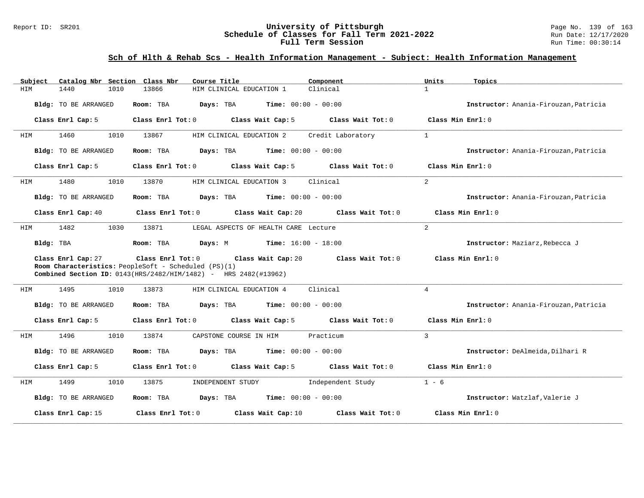### Report ID: SR201 **University of Pittsburgh University of Pittsburgh** Page No. 139 of 163<br>**Schedule of Classes for Fall Term 2021-2022** Run Date: 12/17/2020 **Schedule of Classes for Fall Term 2021-2022** Run Date: 12/17/2020 **Full Term Session Run Time: 00:30:14**

# **Sch of Hlth & Rehab Scs - Health Information Management - Subject: Health Information Management**

| Catalog Nbr Section Class Nbr<br>Subject | Course Title<br>Component                                                                                                                                                               | Units<br>Topics                       |
|------------------------------------------|-----------------------------------------------------------------------------------------------------------------------------------------------------------------------------------------|---------------------------------------|
| 1440<br>1010<br>HIM                      | 13866<br>HIM CLINICAL EDUCATION 1<br>Clinical                                                                                                                                           | $\mathbf{1}$                          |
| Bldg: TO BE ARRANGED                     | <b>Time:</b> $00:00 - 00:00$<br>Room: TBA<br>Days: TBA                                                                                                                                  | Instructor: Anania-Firouzan, Patricia |
| Class Enrl Cap: 5                        | Class Wait Cap: 5<br>Class Wait Tot: 0<br>Class Enrl Tot: 0                                                                                                                             | Class Min Enrl: 0                     |
| 1460<br>1010<br>HIM                      | 13867<br>Credit Laboratory<br>HIM CLINICAL EDUCATION 2                                                                                                                                  | $\mathbf{1}$                          |
| Bldg: TO BE ARRANGED                     | <b>Time:</b> $00:00 - 00:00$<br>Room: TBA<br>Days: TBA                                                                                                                                  | Instructor: Anania-Firouzan, Patricia |
| Class Enrl Cap: 5                        | Class Enrl Tot: 0<br>Class Wait Cap: 5<br>Class Wait Tot: 0                                                                                                                             | Class Min Enrl: 0                     |
| 1480<br>1010<br>HIM                      | Clinical<br>13870<br>HIM CLINICAL EDUCATION 3                                                                                                                                           | $\overline{2}$                        |
| Bldg: TO BE ARRANGED                     | <b>Time:</b> $00:00 - 00:00$<br>Room: TBA<br>Days: TBA                                                                                                                                  | Instructor: Anania-Firouzan, Patricia |
| Class Enrl Cap: 40                       | Class Enrl Tot: 0<br>Class Wait Cap: 20<br>Class Wait Tot: 0                                                                                                                            | Class Min Enrl: 0                     |
| 1482<br>1030<br>HIM                      | 13871<br>LEGAL ASPECTS OF HEALTH CARE Lecture                                                                                                                                           | 2                                     |
| Bldg: TBA                                | Days: M<br>$Time: 16:00 - 18:00$<br>Room: TBA                                                                                                                                           | Instructor: Maziarz, Rebecca J        |
| Class Enrl Cap: 27                       | Class Enrl Tot: 0<br>Class Wait Cap: 20<br>Class Wait Tot: 0<br>Room Characteristics: PeopleSoft - Scheduled (PS)(1)<br>Combined Section ID: 0143(HRS/2482/HIM/1482) - HRS 2482(#13962) | Class Min Enrl: 0                     |
| 1495<br>1010<br>HIM                      | Clinical<br>13873<br>HIM CLINICAL EDUCATION 4                                                                                                                                           | $\overline{4}$                        |
| Bldg: TO BE ARRANGED                     | <b>Days:</b> TBA <b>Time:</b> $00:00 - 00:00$<br>Room: TBA                                                                                                                              | Instructor: Anania-Firouzan, Patricia |
| Class Enrl Cap: 5                        | Class Enrl Tot: 0<br>Class Wait Cap: 5<br>Class Wait Tot: 0                                                                                                                             | Class Min Enrl: 0                     |
| 1496<br>1010<br>HIM                      | 13874<br>CAPSTONE COURSE IN HIM<br>Practicum                                                                                                                                            | 3                                     |
| Bldg: TO BE ARRANGED                     | <b>Days:</b> TBA <b>Time:</b> $00:00 - 00:00$<br>Room: TBA                                                                                                                              | Instructor: DeAlmeida, Dilhari R      |
| Class Enrl Cap: 5                        | Class Wait Cap: 5<br>Class Enrl Tot: 0<br>Class Wait Tot: 0                                                                                                                             | Class Min Enrl: 0                     |
| 1499<br>1010<br>HIM                      | 13875<br>INDEPENDENT STUDY<br>Independent Study                                                                                                                                         | $1 - 6$                               |
| Bldg: TO BE ARRANGED                     | <b>Days:</b> TBA <b>Time:</b> $00:00 - 00:00$<br>Room: TBA                                                                                                                              | Instructor: Watzlaf, Valerie J        |
| Class Enrl Cap: 15                       | Class Enrl Tot: 0<br>Class Wait Tot: 0<br>Class Wait Cap: 10                                                                                                                            | Class Min Enrl: 0                     |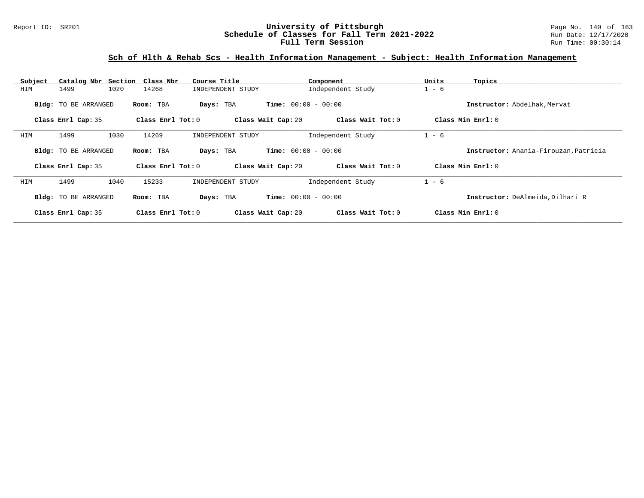### Report ID: SR201 **1998 Mixersity of Pittsburgh University of Pittsburgh** Page No. 140 of 163<br>**Schedule of Classes for Fall Term 2021-2022** Run Date: 12/17/2020 **Schedule of Classes for Fall Term 2021-2022** Run Date: 12/17/2020 **Full Term Session Run Time: 00:30:14**

# **Sch of Hlth & Rehab Scs - Health Information Management - Subject: Health Information Management**

| Subject |                             | Catalog Nbr Section Class Nbr | Course Title       | Component                    | Units<br>Topics                       |  |
|---------|-----------------------------|-------------------------------|--------------------|------------------------------|---------------------------------------|--|
| HIM     | 1020<br>1499                | 14268                         | INDEPENDENT STUDY  | Independent Study            | $1 - 6$                               |  |
|         | <b>Bldg:</b> TO BE ARRANGED | Room: TBA                     | Days: TBA          | <b>Time:</b> $00:00 - 00:00$ | Instructor: Abdelhak, Mervat          |  |
|         | Class Enrl Cap: 35          | Class Enrl Tot: 0             | Class Wait Cap: 20 | Class Wait Tot: 0            | Class Min Enrl: 0                     |  |
| HIM     | 1030<br>1499                | 14269                         | INDEPENDENT STUDY  | Independent Study            | $1 - 6$                               |  |
|         | <b>Bldg:</b> TO BE ARRANGED | Room: TBA                     | Days: TBA          | <b>Time:</b> $00:00 - 00:00$ | Instructor: Anania-Firouzan, Patricia |  |
|         | Class Enrl Cap: 35          | Class Enrl Tot: 0             | Class Wait Cap: 20 | Class Wait Tot: 0            | Class Min Enrl: 0                     |  |
| HIM     | 1499<br>1040                | 15233                         | INDEPENDENT STUDY  | Independent Study            | $1 - 6$                               |  |
|         | <b>Bldg:</b> TO BE ARRANGED | Room: TBA                     | Days: TBA          | <b>Time:</b> $00:00 - 00:00$ | Instructor: DeAlmeida, Dilhari R      |  |
|         | Class Enrl Cap: 35          | Class Enrl Tot: 0             | Class Wait Cap: 20 | Class Wait Tot: 0            | Class Min Enrl: 0                     |  |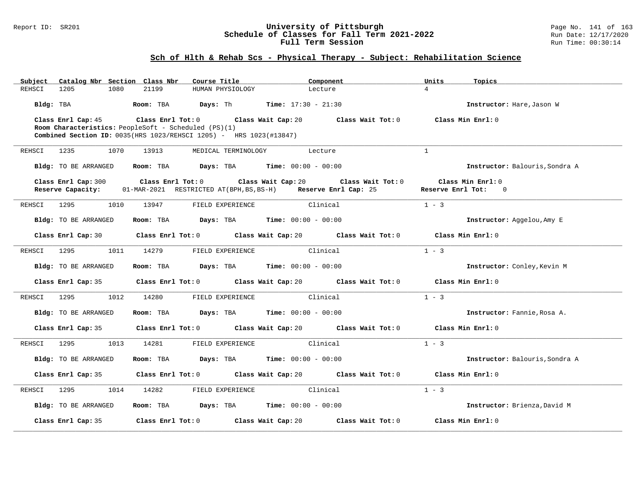### Report ID: SR201 **University of Pittsburgh** Page No. 141 of 163 **Schedule of Classes for Fall Term 2021-2022** Run Date: 12/17/2020 **Full Term Session Run Time: 00:30:14**

# **Sch of Hlth & Rehab Scs - Physical Therapy - Subject: Rehabilitation Science**

| Catalog Nbr Section Class Nbr<br>Subject | Course Title                                                                                                                                                         | Component                                              | Units<br>Topics                          |
|------------------------------------------|----------------------------------------------------------------------------------------------------------------------------------------------------------------------|--------------------------------------------------------|------------------------------------------|
| REHSCI<br>1080<br>1205                   | 21199<br>HUMAN PHYSIOLOGY                                                                                                                                            | Lecture                                                | $\overline{4}$                           |
| Bldg: TBA                                | Room: TBA                                                                                                                                                            | <b>Days:</b> Th <b>Time:</b> $17:30 - 21:30$           | Instructor: Hare, Jason W                |
| Class Enrl Cap: 45                       | Class Enrl Tot:0<br>Class Wait Cap: 20<br>Room Characteristics: PeopleSoft - Scheduled (PS)(1)<br>Combined Section ID: 0035(HRS 1023/REHSCI 1205) - HRS 1023(#13847) | Class Wait Tot: 0                                      | Class Min Enrl: 0                        |
| REHSCI<br>1235<br>1070                   | 13913<br>MEDICAL TERMINOLOGY                                                                                                                                         | Lecture                                                | $\mathbf{1}$                             |
| Bldg: TO BE ARRANGED                     | Room: TBA                                                                                                                                                            | <b>Days:</b> TBA <b>Time:</b> $00:00 - 00:00$          | Instructor: Balouris, Sondra A           |
| Class Enrl Cap: 300<br>Reserve Capacity: | Class Enrl Tot: 0<br>01-MAR-2021 RESTRICTED AT(BPH, BS, BS-H) Reserve Enrl Cap: 25                                                                                   | Class Wait Cap: 20<br>Class Wait Tot: 0                | Class Min Enrl: 0<br>Reserve Enrl Tot: 0 |
| 1295<br>REHSCI<br>1010                   | 13947<br>FIELD EXPERIENCE                                                                                                                                            | Clinical                                               | $1 - 3$                                  |
| <b>Bldg:</b> TO BE ARRANGED              | Room: TBA                                                                                                                                                            | <b>Days:</b> TBA <b>Time:</b> $00:00 - 00:00$          | Instructor: Aggelou, Amy E               |
| Class Enrl Cap: 30                       |                                                                                                                                                                      | Class Enrl Tot: 0 Class Wait Cap: 20 Class Wait Tot: 0 | Class Min Enrl: 0                        |
| 1295<br>1011<br>REHSCI                   | 14279<br>FIELD EXPERIENCE                                                                                                                                            | Clinical                                               | $1 - 3$                                  |
| Bldg: TO BE ARRANGED                     | Room: TBA                                                                                                                                                            | <b>Days:</b> TBA <b>Time:</b> $00:00 - 00:00$          | Instructor: Conley, Kevin M              |
| Class Enrl Cap: 35                       |                                                                                                                                                                      | Class Enrl Tot: 0 Class Wait Cap: 20 Class Wait Tot: 0 | Class Min Enrl: 0                        |
| 1295<br>1012<br>REHSCI                   | 14280<br>FIELD EXPERIENCE                                                                                                                                            | Clinical                                               | $1 - 3$                                  |
| Bldg: TO BE ARRANGED                     | Room: TBA                                                                                                                                                            | <b>Days:</b> TBA <b>Time:</b> $00:00 - 00:00$          | Instructor: Fannie, Rosa A.              |
| Class Enrl Cap: 35                       |                                                                                                                                                                      | Class Enrl Tot: 0 Class Wait Cap: 20 Class Wait Tot: 0 | Class Min Enrl: 0                        |
| 1295<br>1013<br>REHSCI                   | 14281<br>FIELD EXPERIENCE                                                                                                                                            | Clinical                                               | $1 - 3$                                  |
| <b>Bldg:</b> TO BE ARRANGED              | Room: TBA                                                                                                                                                            | <b>Days:</b> TBA <b>Time:</b> $00:00 - 00:00$          | Instructor: Balouris, Sondra A           |
| Class Enrl Cap: 35                       |                                                                                                                                                                      | Class Enrl Tot: 0 Class Wait Cap: 20 Class Wait Tot: 0 | Class Min Enrl: 0                        |
| 1295<br>1014<br>REHSCI                   | FIELD EXPERIENCE<br>14282                                                                                                                                            | Clinical                                               | $1 - 3$                                  |
| Bldg: TO BE ARRANGED                     | Room: TBA                                                                                                                                                            | <b>Days:</b> TBA <b>Time:</b> $00:00 - 00:00$          | Instructor: Brienza, David M             |
| Class Enrl Cap: 35                       | Class Enrl Tot: 0 Class Wait Cap: 20                                                                                                                                 | Class Wait Tot: 0                                      | Class Min Enrl: 0                        |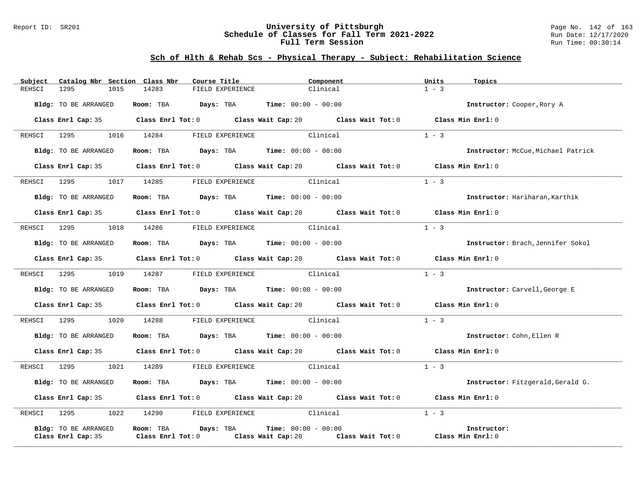### Report ID: SR201 **University of Pittsburgh** Page No. 142 of 163 **Schedule of Classes for Fall Term 2021-2022** Run Date: 12/17/2020 **Full Term Session Run Time: 00:30:14**

# **Sch of Hlth & Rehab Scs - Physical Therapy - Subject: Rehabilitation Science**

| Subject     | Catalog Nbr Section Class Nbr | Course Title                                                                     | Component                                                                                   | Units<br>Topics                    |
|-------------|-------------------------------|----------------------------------------------------------------------------------|---------------------------------------------------------------------------------------------|------------------------------------|
| REHSCI      | 1295<br>1015                  | 14283<br>FIELD EXPERIENCE                                                        | Clinical                                                                                    | $1 - 3$                            |
|             | Bldg: TO BE ARRANGED          | Room: TBA $Days: TBA$ Time: $00:00 - 00:00$                                      |                                                                                             | Instructor: Cooper, Rory A         |
|             |                               |                                                                                  | Class Enrl Cap: 35 Class Enrl Tot: 0 Class Wait Cap: 20 Class Wait Tot: 0 Class Min Enrl: 0 |                                    |
|             | REHSCI 1295 1016 14284        | FIELD EXPERIENCE                                                                 | Clinical                                                                                    | $1 - 3$                            |
|             | Bldg: TO BE ARRANGED          | Room: TBA $Days:$ TBA Time: $00:00 - 00:00$                                      |                                                                                             | Instructor: McCue, Michael Patrick |
|             |                               |                                                                                  | Class Enrl Cap: 35 Class Enrl Tot: 0 Class Wait Cap: 20 Class Wait Tot: 0 Class Min Enrl: 0 |                                    |
|             | REHSCI 1295 1017 14285        |                                                                                  | FIELD EXPERIENCE Clinical                                                                   | $1 - 3$                            |
|             | Bldg: TO BE ARRANGED          | <b>Room:</b> TBA $\qquad \qquad$ Days: TBA $\qquad \qquad$ Time: $00:00 - 00:00$ |                                                                                             | Instructor: Hariharan, Karthik     |
|             |                               |                                                                                  | Class Enrl Cap: 35 Class Enrl Tot: 0 Class Wait Cap: 20 Class Wait Tot: 0 Class Min Enrl: 0 |                                    |
| REHSCI 1295 | 1018                          | 14286 FIELD EXPERIENCE Clinical                                                  |                                                                                             | $1 - 3$                            |
|             | Bldg: TO BE ARRANGED          | Room: TBA $Days:$ TBA $Time: 00:00 - 00:00$                                      |                                                                                             | Instructor: Brach, Jennifer Sokol  |
|             |                               |                                                                                  | Class Enrl Cap: 35 Class Enrl Tot: 0 Class Wait Cap: 20 Class Wait Tot: 0 Class Min Enrl: 0 |                                    |
|             | REHSCI 1295                   | 1019 14287 FIELD EXPERIENCE Clinical                                             |                                                                                             | $1 - 3$                            |
|             | Bldg: TO BE ARRANGED          | Room: TBA $Days:$ TBA Time: $00:00 - 00:00$                                      |                                                                                             | Instructor: Carvell, George E      |
|             |                               |                                                                                  | Class Enrl Cap: 35 Class Enrl Tot: 0 Class Wait Cap: 20 Class Wait Tot: 0 Class Min Enrl: 0 |                                    |
|             | REHSCI 1295 1020 14288        |                                                                                  | FIELD EXPERIENCE Clinical                                                                   | $1 - 3$                            |
|             | Bldg: TO BE ARRANGED          | Room: TBA $Days:$ TBA $Time: 00:00 - 00:00$                                      |                                                                                             | Instructor: Cohn, Ellen R          |
|             |                               |                                                                                  | Class Enrl Cap: 35 Class Enrl Tot: 0 Class Wait Cap: 20 Class Wait Tot: 0                   | Class Min Enrl: 0                  |
| REHSCI 1295 | 1021                          | 14289 FIELD EXPERIENCE Clinical                                                  |                                                                                             | $1 - 3$                            |
|             | Bldg: TO BE ARRANGED          | Room: TBA $Days:$ TBA $Time: 00:00 - 00:00$                                      |                                                                                             | Instructor: Fitzgerald, Gerald G.  |
|             |                               |                                                                                  | Class Enrl Cap: 35 Class Enrl Tot: 0 Class Wait Cap: 20 Class Wait Tot: 0 Class Min Enrl: 0 |                                    |
|             | REHSCI 1295                   | 1022 14290 FIELD EXPERIENCE Clinical                                             |                                                                                             | $1 - 3$                            |
|             | Bldg: TO BE ARRANGED          | Room: TBA Days: TBA                                                              | <b>Time:</b> $00:00 - 00:00$                                                                | Instructor:                        |
|             | Class Enrl Cap: 35            | $Class$ $Enr1$ $Tot: 0$                                                          | Class Wait Cap: 20 Class Wait Tot: 0 Class Min Enrl: 0                                      |                                    |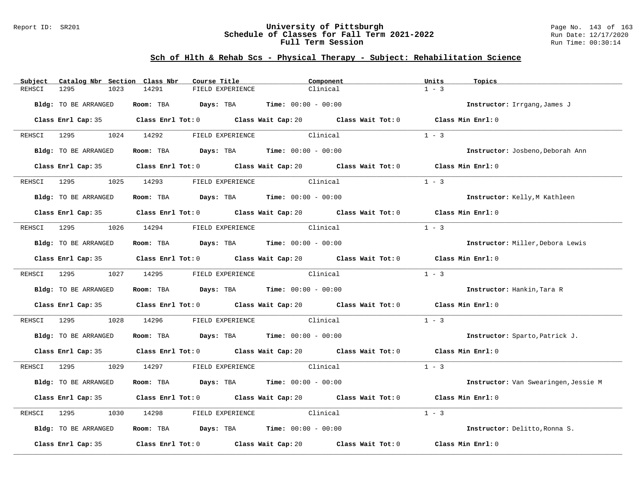### Report ID: SR201 **University of Pittsburgh** Page No. 143 of 163 **Schedule of Classes for Fall Term 2021-2022** Run Date: 12/17/2020 **Full Term Session Run Time: 00:30:14**

# **Sch of Hlth & Rehab Scs - Physical Therapy - Subject: Rehabilitation Science**

| Subject     | Catalog Nbr Section Class Nbr | Course Title                                                                                | Component                 | Units<br>Topics                      |  |
|-------------|-------------------------------|---------------------------------------------------------------------------------------------|---------------------------|--------------------------------------|--|
| REHSCI      | 1295<br>1023                  | 14291<br>FIELD EXPERIENCE                                                                   | Clinical                  | $1 - 3$                              |  |
|             | Bldg: TO BE ARRANGED          | Room: TBA $Days:$ TBA $Time: 00:00 - 00:00$                                                 |                           | Instructor: Irrgang, James J         |  |
|             |                               | Class Enrl Cap: 35 Class Enrl Tot: 0 Class Wait Cap: 20 Class Wait Tot: 0 Class Min Enrl: 0 |                           |                                      |  |
|             |                               | REHSCI 1295 1024 14292 FIELD EXPERIENCE                                                     | Clinical                  | $1 - 3$                              |  |
|             | Bldg: TO BE ARRANGED          | Room: TBA $Days:$ TBA $Time: 00:00 - 00:00$                                                 |                           | Instructor: Josbeno, Deborah Ann     |  |
|             |                               | Class Enrl Cap: 35 Class Enrl Tot: 0 Class Wait Cap: 20 Class Wait Tot: 0 Class Min Enrl: 0 |                           |                                      |  |
|             |                               | REHSCI 1295 1025 14293 FIELD EXPERIENCE                                                     | Clinical                  | $1 - 3$                              |  |
|             | Bldg: TO BE ARRANGED          | Room: TBA $Days:$ TBA Time: $00:00 - 00:00$                                                 |                           | Instructor: Kelly, M Kathleen        |  |
|             |                               | Class Enrl Cap: 35 Class Enrl Tot: 0 Class Wait Cap: 20 Class Wait Tot: 0                   |                           | Class Min Enrl: 0                    |  |
|             |                               | REHSCI 1295 1026 14294 FIELD EXPERIENCE Clinical                                            |                           | $1 - 3$                              |  |
|             | Bldg: TO BE ARRANGED          | Room: TBA $Days:$ TBA Time: $00:00 - 00:00$                                                 |                           | Instructor: Miller, Debora Lewis     |  |
|             |                               | Class Enrl Cap: 35 Class Enrl Tot: 0 Class Wait Cap: 20 Class Wait Tot: 0                   |                           | Class Min Enrl: 0                    |  |
|             | REHSCI 1295 1027 14295        |                                                                                             | FIELD EXPERIENCE Clinical | $1 - 3$                              |  |
|             | Bldg: TO BE ARRANGED          | Room: TBA $Days:$ TBA Time: $00:00 - 00:00$                                                 |                           | Instructor: Hankin, Tara R           |  |
|             |                               | Class Enrl Cap: 35 Class Enrl Tot: 0 Class Wait Cap: 20 Class Wait Tot: 0 Class Min Enrl: 0 |                           |                                      |  |
| REHSCI      | 1295<br>1028                  | 14296                                                                                       | FIELD EXPERIENCE Clinical | $1 - 3$                              |  |
|             | Bldg: TO BE ARRANGED          | Room: TBA $Days:$ TBA $Time: 00:00 - 00:00$                                                 |                           | Instructor: Sparto, Patrick J.       |  |
|             |                               | Class Enrl Cap: 35 Class Enrl Tot: 0 Class Wait Cap: 20 Class Wait Tot: 0 Class Min Enrl: 0 |                           |                                      |  |
|             |                               | REHSCI 1295 1029 14297 FIELD—EXPERIENCE Clinical                                            |                           | $1 - 3$                              |  |
|             | Bldg: TO BE ARRANGED          | Room: TBA $Days:$ TBA $Time: 00:00 - 00:00$                                                 |                           | Instructor: Van Swearingen, Jessie M |  |
|             |                               | Class Enrl Cap: 35 Class Enrl Tot: 0 Class Wait Cap: 20 Class Wait Tot: 0                   |                           | Class Min Enrl: 0                    |  |
| REHSCI 1295 | 1030                          | 14298                                                                                       | FIELD EXPERIENCE Clinical | $1 - 3$                              |  |
|             | Bldg: TO BE ARRANGED          | Room: TBA $Days:$ TBA Time: $00:00 - 00:00$                                                 |                           | Instructor: Delitto, Ronna S.        |  |
|             | Class Enrl Cap: 35            | Class Enrl Tot: $0$ Class Wait Cap: $20$ Class Wait Tot: $0$                                |                           | Class Min Enrl: 0                    |  |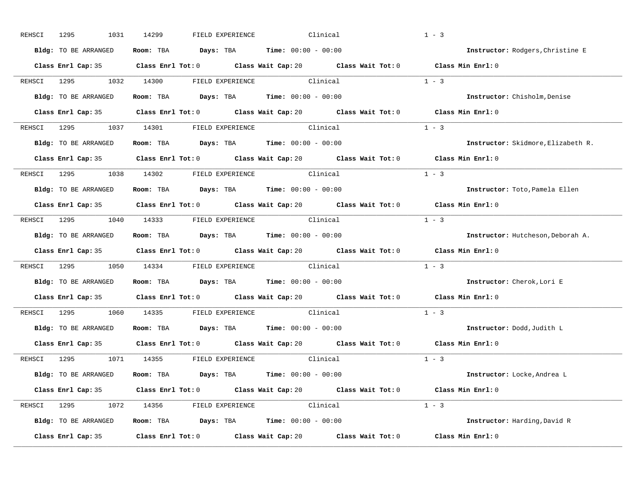| REHSCI | 1295<br>1031         | 14299<br>FIELD EXPERIENCE                                                                   | Clinical | $1 - 3$                            |
|--------|----------------------|---------------------------------------------------------------------------------------------|----------|------------------------------------|
|        | Bldg: TO BE ARRANGED | Room: TBA $Days: TBA$ Time: $00:00 - 00:00$                                                 |          | Instructor: Rodgers, Christine E   |
|        |                      | Class Enrl Cap: 35 Class Enrl Tot: 0 Class Wait Cap: 20 Class Wait Tot: 0 Class Min Enrl: 0 |          |                                    |
|        |                      | REHSCI 1295 1032 14300 FIELD EXPERIENCE Clinical                                            |          | $1 - 3$                            |
|        | Bldg: TO BE ARRANGED | Room: TBA $Days:$ TBA Time: $00:00 - 00:00$                                                 |          | Instructor: Chisholm, Denise       |
|        |                      | Class Enrl Cap: 35 Class Enrl Tot: 0 Class Wait Cap: 20 Class Wait Tot: 0 Class Min Enrl: 0 |          |                                    |
|        |                      | REHSCI 1295 1037 14301 FIELD EXPERIENCE Clinical                                            |          | $1 - 3$                            |
|        |                      | Bldg: TO BE ARRANGED Room: TBA Days: TBA Time: 00:00 - 00:00                                |          | Instructor: Skidmore, Elizabeth R. |
|        |                      | Class Enrl Cap: 35 Class Enrl Tot: 0 Class Wait Cap: 20 Class Wait Tot: 0 Class Min Enrl: 0 |          |                                    |
|        |                      | REHSCI 1295 1038 14302 FIELD EXPERIENCE Clinical                                            |          | $1 - 3$                            |
|        | Bldg: TO BE ARRANGED | Room: TBA $Days:$ TBA $Time: 00:00 - 00:00$                                                 |          | Instructor: Toto, Pamela Ellen     |
|        |                      | Class Enrl Cap: 35 Class Enrl Tot: 0 Class Wait Cap: 20 Class Wait Tot: 0 Class Min Enrl: 0 |          |                                    |
|        |                      | REHSCI 1295 1040 14333 FIELD EXPERIENCE Clinical                                            |          | $1 - 3$                            |
|        | Bldg: TO BE ARRANGED | Room: TBA $Days:$ TBA $Time: 00:00 - 00:00$                                                 |          | Instructor: Hutcheson, Deborah A.  |
|        |                      | Class Enrl Cap: 35 Class Enrl Tot: 0 Class Wait Cap: 20 Class Wait Tot: 0 Class Min Enrl: 0 |          |                                    |
|        |                      | REHSCI 1295 1050 14334 FIELD EXPERIENCE Clinical                                            |          | $1 - 3$                            |
|        | Bldg: TO BE ARRANGED | Room: TBA $Days:$ TBA $Time: 00:00 - 00:00$                                                 |          | Instructor: Cherok, Lori E         |
|        |                      | Class Enrl Cap: 35 Class Enrl Tot: 0 Class Wait Cap: 20 Class Wait Tot: 0 Class Min Enrl: 0 |          |                                    |
|        |                      | REHSCI 1295 1060 14335 FIELD EXPERIENCE Clinical                                            |          | $1 - 3$                            |
|        |                      | Bldg: TO BE ARRANGED Room: TBA Days: TBA Time: 00:00 - 00:00                                |          | Instructor: Dodd, Judith L         |
|        |                      | Class Enrl Cap: 35 Class Enrl Tot: 0 Class Wait Cap: 20 Class Wait Tot: 0 Class Min Enrl: 0 |          |                                    |
|        |                      | REHSCI 1295 1071 14355 FIELD EXPERIENCE                                                     | Clinical | $1 - 3$                            |
|        |                      | Bldg: TO BE ARRANGED Room: TBA Days: TBA Time: 00:00 - 00:00                                |          | Instructor: Locke, Andrea L        |
|        |                      | Class Enrl Cap: 35 Class Enrl Tot: 0 Class Wait Cap: 20 Class Wait Tot: 0 Class Min Enrl: 0 |          |                                    |
|        |                      | REHSCI 1295 1072 14356 FIELD EXPERIENCE Clinical                                            |          | $1 - 3$                            |
|        |                      | Bldg: TO BE ARRANGED Room: TBA Days: TBA Time: 00:00 - 00:00                                |          | Instructor: Harding, David R       |
|        |                      |                                                                                             |          |                                    |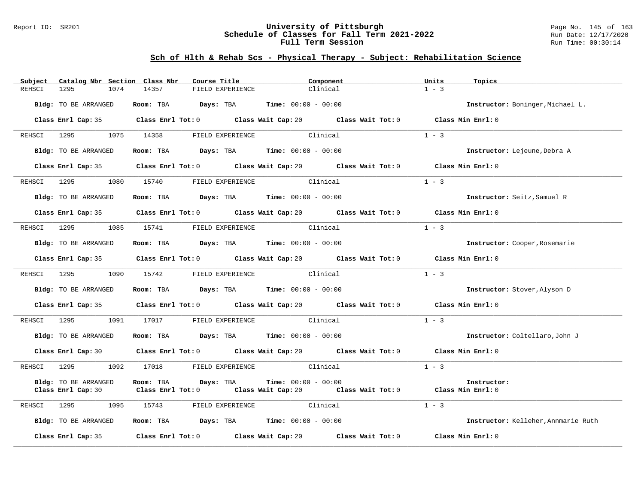#### Report ID: SR201 **University of Pittsburgh** Page No. 145 of 163 **Schedule of Classes for Fall Term 2021-2022** Run Date: 12/17/2020 **Full Term Session Run Time: 00:30:14**

| Catalog Nbr Section Class Nbr<br>Subject | Course Title                                     | Component                                                                                            | Units<br>Topics                     |
|------------------------------------------|--------------------------------------------------|------------------------------------------------------------------------------------------------------|-------------------------------------|
| REHSCI<br>1295<br>1074                   | 14357<br>FIELD EXPERIENCE                        | Clinical                                                                                             | $1 - 3$                             |
| Bldg: TO BE ARRANGED                     | Room: TBA $Days:$ TBA $Time: 00:00 - 00:00$      |                                                                                                      | Instructor: Boninger, Michael L.    |
|                                          |                                                  | Class Enrl Cap: 35 Class Enrl Tot: 0 Class Wait Cap: 20 Class Wait Tot: 0 Class Min Enrl: 0          |                                     |
| REHSCI 1295 1075 14358                   | FIELD EXPERIENCE                                 | Clinical                                                                                             | $1 - 3$                             |
| Bldg: TO BE ARRANGED                     | Room: TBA $Days:$ TBA $Time: 00:00 - 00:00$      |                                                                                                      | Instructor: Lejeune, Debra A        |
|                                          |                                                  | Class Enrl Cap: 35 Class Enrl Tot: 0 Class Wait Cap: 20 Class Wait Tot: 0 Class Min Enrl: 0          |                                     |
| REHSCI 1295 1080 15740                   |                                                  | FIELD EXPERIENCE Clinical                                                                            | $1 - 3$                             |
| Bldg: TO BE ARRANGED                     | Room: TBA $Days:$ TBA $Time: 00:00 - 00:00$      |                                                                                                      | Instructor: Seitz, Samuel R         |
|                                          |                                                  | Class Enrl Cap: 35 Class Enrl Tot: 0 Class Wait Cap: 20 Class Wait Tot: 0                            | Class Min Enrl: 0                   |
| REHSCI 1295<br>1085                      | 15741 FIELD EXPERIENCE Clinical                  |                                                                                                      | $1 - 3$                             |
| Bldg: TO BE ARRANGED                     | Room: TBA $Days:$ TBA $Time: 00:00 - 00:00$      |                                                                                                      | Instructor: Cooper, Rosemarie       |
|                                          |                                                  | Class Enrl Cap: 35 Class Enrl Tot: 0 Class Wait Cap: 20 Class Wait Tot: 0 Class Min Enrl: 0          |                                     |
|                                          | REHSCI 1295 1090 15742 FIELD EXPERIENCE Clinical |                                                                                                      | $1 - 3$                             |
| Bldg: TO BE ARRANGED                     | Room: TBA $Days:$ TBA Time: $00:00 - 00:00$      |                                                                                                      | Instructor: Stover, Alyson D        |
|                                          |                                                  | Class Enrl Cap: 35 Class Enrl Tot: 0 Class Wait Cap: 20 Class Wait Tot: 0 Class Min Enrl: 0          |                                     |
|                                          | REHSCI 1295 1091 17017 FIELD EXPERIENCE Clinical |                                                                                                      | $1 - 3$                             |
| Bldg: TO BE ARRANGED                     | Room: TBA $Days:$ TBA $Time: 00:00 - 00:00$      |                                                                                                      | Instructor: Coltellaro, John J      |
|                                          |                                                  | Class Enrl Cap: 30 Class Enrl Tot: 0 Class Wait Cap: 20 Class Wait Tot: 0                            | Class Min Enrl: 0                   |
| REHSCI<br>1295<br>1092                   | 17018 FIELD EXPERIENCE Clinical                  |                                                                                                      | $1 - 3$                             |
| Bldg: TO BE ARRANGED                     | Room: TBA Days: TBA                              | <b>Time:</b> $00:00 - 00:00$                                                                         | Instructor:                         |
|                                          |                                                  | Class Enrl Cap: 30 Class Enrl Tot: 0 Class Wait Cap: 20 Class Wait Tot: 0 Class Min Enrl: 0          |                                     |
| 1295<br>REHSCI                           | 1095 15743                                       | FIELD EXPERIENCE Clinical                                                                            | $1 - 3$                             |
| Bldg: TO BE ARRANGED                     | Room: TBA $Days:$ TBA Time: $00:00 - 00:00$      |                                                                                                      | Instructor: Kelleher, Annmarie Ruth |
|                                          |                                                  | Class Enrl Cap: 35 $\qquad$ Class Enrl Tot: 0 $\qquad$ Class Wait Cap: 20 $\qquad$ Class Wait Tot: 0 | Class Min Enrl: 0                   |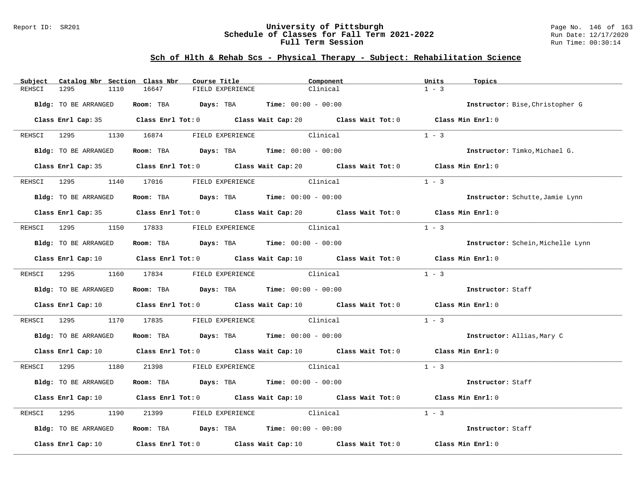#### Report ID: SR201 **University of Pittsburgh** Page No. 146 of 163 **Schedule of Classes for Fall Term 2021-2022** Run Date: 12/17/2020 **Full Term Session Run Time: 00:30:14**

| Subject     | Catalog Nbr Section Class Nbr | Course Title                                     | Component                                                                                                                       | Units<br>Topics                   |
|-------------|-------------------------------|--------------------------------------------------|---------------------------------------------------------------------------------------------------------------------------------|-----------------------------------|
| REHSCI      | 1295<br>1110                  | 16647<br>FIELD EXPERIENCE                        | Clinical                                                                                                                        | $1 - 3$                           |
|             | Bldg: TO BE ARRANGED          | Room: TBA $Days:$ TBA $Time: 00:00 - 00:00$      |                                                                                                                                 | Instructor: Bise, Christopher G   |
|             |                               |                                                  | Class Enrl Cap: 35 Class Enrl Tot: 0 Class Wait Cap: 20 Class Wait Tot: 0 Class Min Enrl: 0                                     |                                   |
|             |                               | REHSCI 1295 1130 16874 FIELD EXPERIENCE Clinical |                                                                                                                                 | $1 - 3$                           |
|             | Bldg: TO BE ARRANGED          | Room: TBA $Days:$ TBA $Time: 00:00 - 00:00$      |                                                                                                                                 | Instructor: Timko, Michael G.     |
|             |                               |                                                  | Class Enrl Cap: 35 Class Enrl Tot: 0 Class Wait Cap: 20 Class Wait Tot: 0 Class Min Enrl: 0                                     |                                   |
|             |                               |                                                  |                                                                                                                                 | $1 - 3$                           |
|             | Bldg: TO BE ARRANGED          | Room: TBA $Days:$ TBA Time: $00:00 - 00:00$      |                                                                                                                                 | Instructor: Schutte, Jamie Lynn   |
|             |                               |                                                  | Class Enrl Cap: 35 Class Enrl Tot: 0 Class Wait Cap: 20 Class Wait Tot: 0 Class Min Enrl: 0                                     |                                   |
|             |                               | REHSCI 1295 1150 17833 FIELD EXPERIENCE Clinical |                                                                                                                                 | $1 - 3$                           |
|             | Bldg: TO BE ARRANGED          | Room: TBA $Days:$ TBA $Time: 00:00 - 00:00$      |                                                                                                                                 | Instructor: Schein, Michelle Lynn |
|             |                               |                                                  | Class Enrl Cap: 10 Class Enrl Tot: 0 Class Wait Cap: 10 Class Wait Tot: 0 Class Min Enrl: 0                                     |                                   |
|             | REHSCI 1295 1160 17834        |                                                  | FIELD EXPERIENCE Clinical                                                                                                       | $1 - 3$                           |
|             | Bldg: TO BE ARRANGED          | Room: TBA $Days:$ TBA Time: $00:00 - 00:00$      |                                                                                                                                 | Instructor: Staff                 |
|             |                               |                                                  | Class Enrl Cap: 10 $\qquad$ Class Enrl Tot: 0 $\qquad$ Class Wait Cap: 10 $\qquad$ Class Wait Tot: 0 $\qquad$ Class Min Enrl: 0 |                                   |
|             | REHSCI 1295 1170 17835        |                                                  | FIELD EXPERIENCE Clinical                                                                                                       | $1 - 3$                           |
|             | Bldg: TO BE ARRANGED          | Room: TBA $Days: TBA$ Time: $00:00 - 00:00$      |                                                                                                                                 | Instructor: Allias, Mary C        |
|             |                               |                                                  | Class Enrl Cap: 10 $\qquad$ Class Enrl Tot: 0 $\qquad$ Class Wait Cap: 10 $\qquad$ Class Wait Tot: 0 $\qquad$ Class Min Enrl: 0 |                                   |
|             |                               | REHSCI 1295 1180 21398 FIELD EXPERIENCE Clinical |                                                                                                                                 | $1 - 3$                           |
|             | Bldg: TO BE ARRANGED          | Room: TBA $Days:$ TBA $Time: 00:00 - 00:00$      |                                                                                                                                 | Instructor: Staff                 |
|             |                               |                                                  | Class Enrl Cap: 10 Class Enrl Tot: 0 Class Wait Cap: 10 Class Wait Tot: 0 Class Min Enrl: 0                                     |                                   |
| REHSCI 1295 | 1190                          | 21399                                            | FIELD EXPERIENCE Clinical                                                                                                       | $1 - 3$                           |
|             | Bldg: TO BE ARRANGED          | Room: TBA $Days:$ TBA $Time: 00:00 - 00:00$      |                                                                                                                                 | Instructor: Staff                 |
|             |                               |                                                  | Class Enrl Cap: 10 $\qquad$ Class Enrl Tot: 0 $\qquad$ Class Wait Cap: 10 $\qquad$ Class Wait Tot: 0 $\qquad$ Class Min Enrl: 0 |                                   |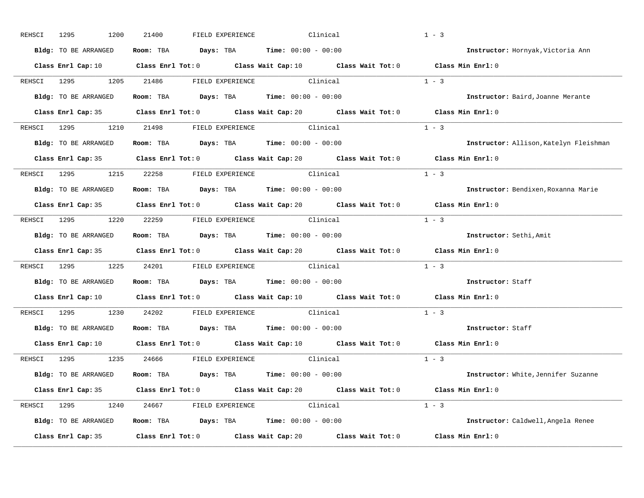| REHSCI      | Bldg: TO BE ARRANGED |            | Room: TBA $Days:$ TBA $Time: 00:00 - 00:00$                  |                                                                                                      |                                                                                                                                 | Instructor: Hornyak, Victoria Ann      |
|-------------|----------------------|------------|--------------------------------------------------------------|------------------------------------------------------------------------------------------------------|---------------------------------------------------------------------------------------------------------------------------------|----------------------------------------|
|             |                      |            |                                                              |                                                                                                      |                                                                                                                                 |                                        |
|             |                      |            |                                                              |                                                                                                      | Class Enrl Cap: 10 Class Enrl Tot: 0 Class Wait Cap: 10 Class Wait Tot: 0 Class Min Enrl: 0                                     |                                        |
|             | 1295                 | 1205 21486 | FIELD EXPERIENCE Clinical                                    |                                                                                                      | $1 - 3$                                                                                                                         |                                        |
|             | Bldg: TO BE ARRANGED |            | Room: TBA $Days:$ TBA $Time: 00:00 - 00:00$                  |                                                                                                      |                                                                                                                                 | Instructor: Baird, Joanne Merante      |
|             |                      |            |                                                              |                                                                                                      | Class Enrl Cap: 35 Class Enrl Tot: 0 Class Wait Cap: 20 Class Wait Tot: 0 Class Min Enrl: 0                                     |                                        |
|             |                      |            | REHSCI 1295 1210 21498 FIELD EXPERIENCE Clinical             |                                                                                                      | $1 - 3$                                                                                                                         |                                        |
|             |                      |            | Bldg: TO BE ARRANGED Room: TBA Days: TBA Time: 00:00 - 00:00 |                                                                                                      |                                                                                                                                 | Instructor: Allison, Katelyn Fleishman |
|             |                      |            |                                                              | Class Enrl Cap: 35 Class Enrl Tot: 0 Class Wait Cap: 20 Class Wait Tot: 0                            |                                                                                                                                 | Class Min Enrl: 0                      |
|             | REHSCI 1295 1215     | 22258      | FIELD EXPERIENCE Clinical                                    |                                                                                                      | $1 - 3$                                                                                                                         |                                        |
|             | Bldg: TO BE ARRANGED |            | Room: TBA $Days:$ TBA $Time: 00:00 - 00:00$                  |                                                                                                      |                                                                                                                                 | Instructor: Bendixen, Roxanna Marie    |
|             |                      |            |                                                              |                                                                                                      | Class Enrl Cap: 35 Class Enrl Tot: 0 Class Wait Cap: 20 Class Wait Tot: 0 Class Min Enrl: 0                                     |                                        |
|             |                      |            | REHSCI 1295 1220 22259 FIELD EXPERIENCE Clinical             |                                                                                                      | $1 - 3$                                                                                                                         |                                        |
|             | Bldg: TO BE ARRANGED |            | Room: TBA $Days:$ TBA $Time: 00:00 - 00:00$                  |                                                                                                      |                                                                                                                                 | Instructor: Sethi, Amit                |
|             |                      |            |                                                              |                                                                                                      | Class Enrl Cap: 35 Class Enrl Tot: 0 Class Wait Cap: 20 Class Wait Tot: 0 Class Min Enrl: 0                                     |                                        |
| REHSCI 1295 | 1225                 |            | 24201 FIELD EXPERIENCE Clinical                              |                                                                                                      | $1 - 3$                                                                                                                         |                                        |
|             | Bldg: TO BE ARRANGED |            | Room: TBA $Days:$ TBA $Time: 00:00 - 00:00$                  |                                                                                                      |                                                                                                                                 | Instructor: Staff                      |
|             |                      |            |                                                              | Class Enrl Cap: 10 $\qquad$ Class Enrl Tot: 0 $\qquad$ Class Wait Cap: 10 $\qquad$ Class Wait Tot: 0 |                                                                                                                                 | Class Min $Enrl: 0$                    |
|             | REHSCI 1295<br>1230  | 24202      | FIELD EXPERIENCE Clinical                                    |                                                                                                      | $1 - 3$                                                                                                                         |                                        |
|             | Bldg: TO BE ARRANGED |            | Room: TBA $Days:$ TBA $Time: 00:00 - 00:00$                  |                                                                                                      |                                                                                                                                 | Instructor: Staff                      |
|             |                      |            |                                                              |                                                                                                      | Class Enrl Cap: 10 $\qquad$ Class Enrl Tot: 0 $\qquad$ Class Wait Cap: 10 $\qquad$ Class Wait Tot: 0 $\qquad$ Class Min Enrl: 0 |                                        |
| REHSCI 1295 |                      |            | 1235 24666 FIELD EXPERIENCE Clinical                         |                                                                                                      | $1 - 3$                                                                                                                         |                                        |
|             | Bldg: TO BE ARRANGED |            | Room: TBA $Days:$ TBA $Time: 00:00 - 00:00$                  |                                                                                                      |                                                                                                                                 | Instructor: White, Jennifer Suzanne    |
|             |                      |            |                                                              |                                                                                                      | Class Enrl Cap: 35 Class Enrl Tot: 0 Class Wait Cap: 20 Class Wait Tot: 0 Class Min Enrl: 0                                     |                                        |
|             |                      |            | REHSCI 1295 1240 24667 FIELD EXPERIENCE Clinical             |                                                                                                      | $1 - 3$                                                                                                                         |                                        |
|             | Bldg: TO BE ARRANGED |            | Room: TBA $Days:$ TBA $Time: 00:00 - 00:00$                  |                                                                                                      |                                                                                                                                 | Instructor: Caldwell, Angela Renee     |
|             |                      |            |                                                              |                                                                                                      |                                                                                                                                 |                                        |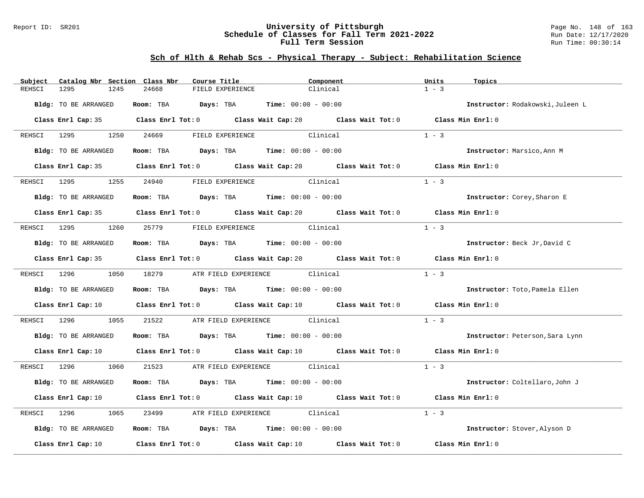#### Report ID: SR201 **University of Pittsburgh** Page No. 148 of 163 **Schedule of Classes for Fall Term 2021-2022** Run Date: 12/17/2020 **Full Term Session Run Time: 00:30:14**

| Subject     | Catalog Nbr Section Class Nbr | Course Title                                                   | Component                                                                                                                       | Units<br>Topics                  |
|-------------|-------------------------------|----------------------------------------------------------------|---------------------------------------------------------------------------------------------------------------------------------|----------------------------------|
| REHSCI      | 1295<br>1245                  | 24668<br>FIELD EXPERIENCE                                      | Clinical                                                                                                                        | $1 - 3$                          |
|             | Bldg: TO BE ARRANGED          | Room: TBA $Days:$ TBA $Time: 00:00 - 00:00$                    |                                                                                                                                 | Instructor: Rodakowski, Juleen L |
|             |                               |                                                                | Class Enrl Cap: 35 Class Enrl Tot: 0 Class Wait Cap: 20 Class Wait Tot: 0 Class Min Enrl: 0                                     |                                  |
|             |                               | REHSCI 1295 1250 24669 FIELD EXPERIENCE Clinical               |                                                                                                                                 | $1 - 3$                          |
|             | Bldg: TO BE ARRANGED          | Room: TBA $Days:$ TBA $Time: 00:00 - 00:00$                    |                                                                                                                                 | Instructor: Marsico, Ann M       |
|             |                               |                                                                | Class Enrl Cap: 35 Class Enrl Tot: 0 Class Wait Cap: 20 Class Wait Tot: 0 Class Min Enrl: 0                                     |                                  |
|             | REHSCI 1295                   | 1255 24940 FIELD EXPERIENCE                                    | Clinical                                                                                                                        | $1 - 3$                          |
|             | Bldg: TO BE ARRANGED          | Room: TBA $Days:$ TBA Time: $00:00 - 00:00$                    |                                                                                                                                 | Instructor: Corey, Sharon E      |
|             |                               |                                                                | Class Enrl Cap: 35 Class Enrl Tot: 0 Class Wait Cap: 20 Class Wait Tot: 0 Class Min Enrl: 0                                     |                                  |
|             |                               | REHSCI 1295 1260 25779 FIELD EXPERIENCE Clinical               |                                                                                                                                 | $1 - 3$                          |
|             | Bldg: TO BE ARRANGED          | Room: TBA $Days:$ TBA Time: $00:00 - 00:00$                    |                                                                                                                                 | Instructor: Beck Jr, David C     |
|             |                               |                                                                | Class Enrl Cap: 35 Class Enrl Tot: 0 Class Wait Cap: 20 Class Wait Tot: 0 Class Min Enrl: 0                                     |                                  |
|             |                               | REHSCI 1296 1050 18279 ATR FIELD EXPERIENCE Clinical           |                                                                                                                                 | $1 - 3$                          |
|             | Bldg: TO BE ARRANGED          | Room: TBA $\rule{1em}{0.15mm}$ Days: TBA Time: $00:00 - 00:00$ |                                                                                                                                 | Instructor: Toto, Pamela Ellen   |
|             |                               |                                                                | Class Enrl Cap: 10 Class Enrl Tot: 0 Class Wait Cap: 10 Class Wait Tot: 0 Class Min Enrl: 0                                     |                                  |
|             | REHSCI 1296<br>1055           | 21522 ATR FIELD EXPERIENCE Clinical                            |                                                                                                                                 | $1 - 3$                          |
|             | Bldg: TO BE ARRANGED          | Room: TBA $Days:$ TBA $Time: 00:00 - 00:00$                    |                                                                                                                                 | Instructor: Peterson, Sara Lynn  |
|             |                               |                                                                | Class Enrl Cap: 10 $\qquad$ Class Enrl Tot: 0 $\qquad$ Class Wait Cap: 10 $\qquad$ Class Wait Tot: 0 $\qquad$ Class Min Enrl: 0 |                                  |
|             |                               | REHSCI 1296 1060 21523 ATR FIELD EXPERIENCE Clinical           |                                                                                                                                 | $1 - 3$                          |
|             | Bldg: TO BE ARRANGED          | Room: TBA $Days:$ TBA $Time: 00:00 - 00:00$                    |                                                                                                                                 | Instructor: Coltellaro, John J   |
|             |                               |                                                                | Class Enrl Cap: 10 $\qquad$ Class Enrl Tot: 0 $\qquad$ Class Wait Cap: 10 $\qquad$ Class Wait Tot: 0 $\qquad$ Class Min Enrl: 0 |                                  |
| REHSCI 1296 | 1065                          | 23499 ATR FIELD EXPERIENCE Clinical                            |                                                                                                                                 | $1 - 3$                          |
|             | Bldg: TO BE ARRANGED          | Room: TBA $Days:$ TBA $Time: 00:00 - 00:00$                    |                                                                                                                                 | Instructor: Stover, Alyson D     |
|             |                               |                                                                | Class Enrl Cap: 10 $\qquad$ Class Enrl Tot: 0 $\qquad$ Class Wait Cap: 10 $\qquad$ Class Wait Tot: 0 $\qquad$ Class Min Enrl: 0 |                                  |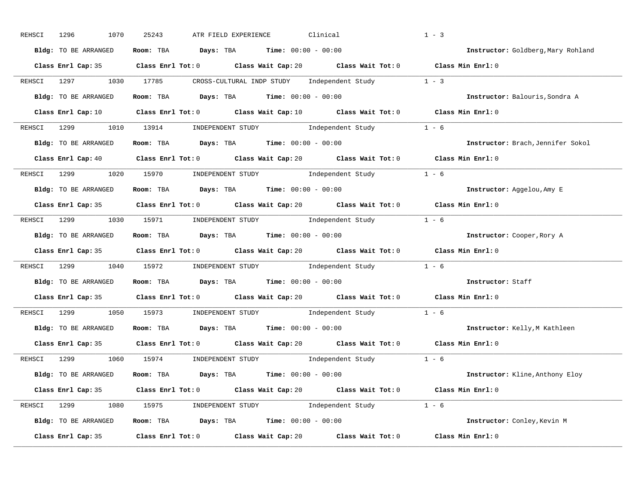| REHSCI | 1296<br>1070         | 25243                                                                                   | ATR FIELD EXPERIENCE | Clinical                                                                                                                        | $1 - 3$                            |
|--------|----------------------|-----------------------------------------------------------------------------------------|----------------------|---------------------------------------------------------------------------------------------------------------------------------|------------------------------------|
|        | Bldg: TO BE ARRANGED | Room: TBA $\rule{1em}{0.15mm}$ Days: TBA $\rule{1.5mm}{0.15mm}$ Time: $00:00 - 00:00$   |                      |                                                                                                                                 | Instructor: Goldberg, Mary Rohland |
|        |                      |                                                                                         |                      | Class Enrl Cap: 35 Class Enrl Tot: 0 Class Wait Cap: 20 Class Wait Tot: 0 Class Min Enrl: 0                                     |                                    |
|        | REHSCI 1297          | 1030 17785                                                                              |                      | CROSS-CULTURAL INDP STUDY Independent Study 1 - 3                                                                               |                                    |
|        | Bldg: TO BE ARRANGED | Room: TBA $Days:$ TBA $Time:$ $00:00 - 00:00$                                           |                      |                                                                                                                                 | Instructor: Balouris, Sondra A     |
|        |                      |                                                                                         |                      | Class Enrl Cap: 10 $\qquad$ Class Enrl Tot: 0 $\qquad$ Class Wait Cap: 10 $\qquad$ Class Wait Tot: 0 $\qquad$ Class Min Enrl: 0 |                                    |
|        |                      |                                                                                         |                      | REHSCI 1299 1010 13914 INDEPENDENT STUDY Independent Study 1 - 6                                                                |                                    |
|        | Bldg: TO BE ARRANGED |                                                                                         |                      | Room: TBA $Days:$ TBA $Time: 00:00 - 00:00$                                                                                     | Instructor: Brach, Jennifer Sokol  |
|        |                      |                                                                                         |                      | Class Enrl Cap: 40 $\qquad$ Class Enrl Tot: 0 $\qquad$ Class Wait Cap: 20 $\qquad$ Class Wait Tot: 0 $\qquad$ Class Min Enrl: 0 |                                    |
|        |                      |                                                                                         |                      | REHSCI 1299 1020 15970 INDEPENDENT STUDY Independent Study 1 - 6                                                                |                                    |
|        | Bldg: TO BE ARRANGED | Room: TBA $Days:$ TBA $Time: 00:00 - 00:00$                                             |                      |                                                                                                                                 | Instructor: Aggelou, Amy E         |
|        |                      |                                                                                         |                      | Class Enrl Cap: 35 Class Enrl Tot: 0 Class Wait Cap: 20 Class Wait Tot: 0 Class Min Enrl: 0                                     |                                    |
|        |                      |                                                                                         |                      | REHSCI 1299 1030 15971 INDEPENDENT STUDY Independent Study 1 - 6                                                                |                                    |
|        | Bldg: TO BE ARRANGED | Room: TBA $\rule{1em}{0.15mm}$ Days: TBA $\rule{1.15mm}]{0.15mm}$ Time: $00:00 - 00:00$ |                      |                                                                                                                                 | Instructor: Cooper, Rory A         |
|        |                      |                                                                                         |                      | Class Enrl Cap: 35 Class Enrl Tot: 0 Class Wait Cap: 20 Class Wait Tot: 0 Class Min Enrl: 0                                     |                                    |
|        | REHSCI 1299 1040     |                                                                                         |                      | 15972 INDEPENDENT STUDY Independent Study 1 - 6                                                                                 |                                    |
|        | Bldg: TO BE ARRANGED | Room: TBA $Days:$ TBA $Time:$ $00:00 - 00:00$                                           |                      |                                                                                                                                 | Instructor: Staff                  |
|        |                      |                                                                                         |                      | Class Enrl Cap: 35 Class Enrl Tot: 0 Class Wait Cap: 20 Class Wait Tot: 0 Class Min Enrl: 0                                     |                                    |
|        | REHSCI 1299          | 1050 15973                                                                              |                      | INDEPENDENT STUDY Independent Study 1 - 6                                                                                       |                                    |
|        | Bldg: TO BE ARRANGED | Room: TBA $Days:$ TBA $Time:$ $00:00 - 00:00$                                           |                      |                                                                                                                                 | Instructor: Kelly, M Kathleen      |
|        |                      |                                                                                         |                      | Class Enrl Cap: 35 Class Enrl Tot: 0 Class Wait Cap: 20 Class Wait Tot: 0                                                       | Class Min Enrl: 0                  |
|        |                      |                                                                                         |                      | REHSCI 1299            1060       15974           INDEPENDENT STUDY                 Independent Study                    1 – 6  |                                    |
|        | Bldg: TO BE ARRANGED | Room: TBA $Days: TBA$ Time: $00:00 - 00:00$                                             |                      |                                                                                                                                 | Instructor: Kline, Anthony Eloy    |
|        |                      |                                                                                         |                      | Class Enrl Cap: 35 Class Enrl Tot: 0 Class Wait Cap: 20 Class Wait Tot: 0 Class Min Enrl: 0                                     |                                    |
|        |                      |                                                                                         |                      | REHSCI 1299 1080 15975 INDEPENDENT STUDY Independent Study 1 - 6                                                                |                                    |
|        | Bldg: TO BE ARRANGED |                                                                                         |                      | Room: TBA $Days:$ TBA $Time: 00:00 - 00:00$                                                                                     | Instructor: Conley, Kevin M        |
|        |                      | Class Enrl Cap: 35 Class Enrl Tot: 0 Class Wait Cap: 20 Class Wait Tot: 0               |                      |                                                                                                                                 | Class Min Enrl: 0                  |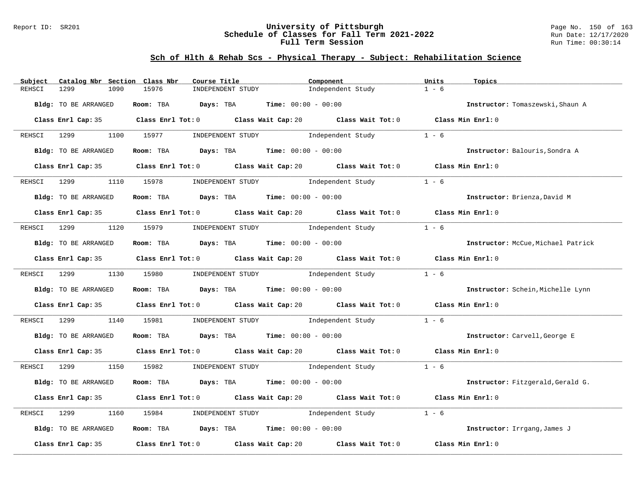#### Report ID: SR201 **University of Pittsburgh** Page No. 150 of 163 **Schedule of Classes for Fall Term 2021-2022** Run Date: 12/17/2020 **Full Term Session Run Time: 00:30:14**

| 15976<br>$1 - 6$<br>REHSCI<br>1299<br>1090<br>INDEPENDENT STUDY<br>Independent Study<br>Room: TBA $Days:$ TBA $Time: 00:00 - 00:00$<br>Bldg: TO BE ARRANGED<br>Instructor: Tomaszewski, Shaun A<br>Class Enrl Cap: 35 Class Enrl Tot: 0 Class Wait Cap: 20 Class Wait Tot: 0 Class Min Enrl: 0<br>REHSCI 1299<br>1100 15977<br>INDEPENDENT STUDY Dindependent Study<br>$1 - 6$<br>Room: TBA $Days:$ TBA $Time: 00:00 - 00:00$<br>Bldg: TO BE ARRANGED<br>Instructor: Balouris, Sondra A<br>Class Enrl Tot: 0 Class Wait Cap: 20 Class Wait Tot: 0 Class Min Enrl: 0<br>Class Enrl Cap: 35<br>1110 15978 INDEPENDENT STUDY Independent Study<br>$1 - 6$<br>REHSCI 1299<br>Room: TBA $Days: TBA$ Time: $00:00 - 00:00$<br>Bldg: TO BE ARRANGED<br>Instructor: Brienza, David M<br>Class Enrl Cap: 35 Class Enrl Tot: 0 Class Wait Cap: 20 Class Wait Tot: 0 Class Min Enrl: 0<br>REHSCI 1299 1120 15979 INDEPENDENT STUDY Independent Study<br>$1 - 6$<br>Room: TBA $\rule{1em}{0.15mm}$ Days: TBA $\rule{1.5mm}{0.15mm}$ Time: $00:00 - 00:00$<br>Bldg: TO BE ARRANGED<br>Instructor: McCue, Michael Patrick<br>Class Enrl Cap: 35 Class Enrl Tot: 0 Class Wait Cap: 20 Class Wait Tot: 0 Class Min Enrl: 0<br>$1 - 6$<br>REHSCI 1299 1130 15980 INDEPENDENT STUDY Independent Study<br>Bldg: TO BE ARRANGED<br>Room: TBA $Days:$ TBA $Time: 00:00 - 00:00$<br>Instructor: Schein, Michelle Lynn<br>Class Enrl Cap: 35 Class Enrl Tot: 0 Class Wait Cap: 20 Class Wait Tot: 0 Class Min Enrl: 0<br>$1 - 6$<br>1299 — 120<br>1140 15981 INDEPENDENT STUDY Independent Study<br>REHSCI<br>Room: TBA $Days:$ TBA $Time: 00:00 - 00:00$<br>Bldg: TO BE ARRANGED<br>Instructor: Carvell, George E<br>Class Enrl Cap: 35 Class Enrl Tot: 0 Class Wait Cap: 20 Class Wait Tot: 0 Class Min Enrl: 0<br>REHSCI 1299 1150 15982 INDEPENDENT STUDY Independent Study 1 - 6<br>Bldg: TO BE ARRANGED<br>Room: TBA $Days:$ TBA $Time: 00:00 - 00:00$<br>Instructor: Fitzgerald, Gerald G.<br>Class Enrl Cap: 35 Class Enrl Tot: 0 Class Wait Cap: 20 Class Wait Tot: 0 Class Min Enrl: 0<br>INDEPENDENT STUDY 1ndependent Study<br>$1 - 6$<br>1299<br>1160<br>15984<br>REHSCI<br>Room: TBA $Days:$ TBA $Time: 00:00 - 00:00$<br>Bldg: TO BE ARRANGED<br>Instructor: Irrgang, James J<br>Class Enrl Tot: $0$ Class Wait Cap: $20$<br>Class Wait Tot: 0<br>Class Min Enrl: 0<br>Class Enrl Cap: 35 | Subject<br>Catalog Nbr Section Class Nbr | Course Title | Component | Units<br>Topics |
|-----------------------------------------------------------------------------------------------------------------------------------------------------------------------------------------------------------------------------------------------------------------------------------------------------------------------------------------------------------------------------------------------------------------------------------------------------------------------------------------------------------------------------------------------------------------------------------------------------------------------------------------------------------------------------------------------------------------------------------------------------------------------------------------------------------------------------------------------------------------------------------------------------------------------------------------------------------------------------------------------------------------------------------------------------------------------------------------------------------------------------------------------------------------------------------------------------------------------------------------------------------------------------------------------------------------------------------------------------------------------------------------------------------------------------------------------------------------------------------------------------------------------------------------------------------------------------------------------------------------------------------------------------------------------------------------------------------------------------------------------------------------------------------------------------------------------------------------------------------------------------------------------------------------------------------------------------------------------------------------------------------------------------------------------------------------------------------------------------------------------------------------------------------------------------------------------------------------------------------------------------------------------------------------------------------------------------------------------------------------------------------|------------------------------------------|--------------|-----------|-----------------|
|                                                                                                                                                                                                                                                                                                                                                                                                                                                                                                                                                                                                                                                                                                                                                                                                                                                                                                                                                                                                                                                                                                                                                                                                                                                                                                                                                                                                                                                                                                                                                                                                                                                                                                                                                                                                                                                                                                                                                                                                                                                                                                                                                                                                                                                                                                                                                                                   |                                          |              |           |                 |
|                                                                                                                                                                                                                                                                                                                                                                                                                                                                                                                                                                                                                                                                                                                                                                                                                                                                                                                                                                                                                                                                                                                                                                                                                                                                                                                                                                                                                                                                                                                                                                                                                                                                                                                                                                                                                                                                                                                                                                                                                                                                                                                                                                                                                                                                                                                                                                                   |                                          |              |           |                 |
|                                                                                                                                                                                                                                                                                                                                                                                                                                                                                                                                                                                                                                                                                                                                                                                                                                                                                                                                                                                                                                                                                                                                                                                                                                                                                                                                                                                                                                                                                                                                                                                                                                                                                                                                                                                                                                                                                                                                                                                                                                                                                                                                                                                                                                                                                                                                                                                   |                                          |              |           |                 |
|                                                                                                                                                                                                                                                                                                                                                                                                                                                                                                                                                                                                                                                                                                                                                                                                                                                                                                                                                                                                                                                                                                                                                                                                                                                                                                                                                                                                                                                                                                                                                                                                                                                                                                                                                                                                                                                                                                                                                                                                                                                                                                                                                                                                                                                                                                                                                                                   |                                          |              |           |                 |
|                                                                                                                                                                                                                                                                                                                                                                                                                                                                                                                                                                                                                                                                                                                                                                                                                                                                                                                                                                                                                                                                                                                                                                                                                                                                                                                                                                                                                                                                                                                                                                                                                                                                                                                                                                                                                                                                                                                                                                                                                                                                                                                                                                                                                                                                                                                                                                                   |                                          |              |           |                 |
|                                                                                                                                                                                                                                                                                                                                                                                                                                                                                                                                                                                                                                                                                                                                                                                                                                                                                                                                                                                                                                                                                                                                                                                                                                                                                                                                                                                                                                                                                                                                                                                                                                                                                                                                                                                                                                                                                                                                                                                                                                                                                                                                                                                                                                                                                                                                                                                   |                                          |              |           |                 |
|                                                                                                                                                                                                                                                                                                                                                                                                                                                                                                                                                                                                                                                                                                                                                                                                                                                                                                                                                                                                                                                                                                                                                                                                                                                                                                                                                                                                                                                                                                                                                                                                                                                                                                                                                                                                                                                                                                                                                                                                                                                                                                                                                                                                                                                                                                                                                                                   |                                          |              |           |                 |
|                                                                                                                                                                                                                                                                                                                                                                                                                                                                                                                                                                                                                                                                                                                                                                                                                                                                                                                                                                                                                                                                                                                                                                                                                                                                                                                                                                                                                                                                                                                                                                                                                                                                                                                                                                                                                                                                                                                                                                                                                                                                                                                                                                                                                                                                                                                                                                                   |                                          |              |           |                 |
|                                                                                                                                                                                                                                                                                                                                                                                                                                                                                                                                                                                                                                                                                                                                                                                                                                                                                                                                                                                                                                                                                                                                                                                                                                                                                                                                                                                                                                                                                                                                                                                                                                                                                                                                                                                                                                                                                                                                                                                                                                                                                                                                                                                                                                                                                                                                                                                   |                                          |              |           |                 |
|                                                                                                                                                                                                                                                                                                                                                                                                                                                                                                                                                                                                                                                                                                                                                                                                                                                                                                                                                                                                                                                                                                                                                                                                                                                                                                                                                                                                                                                                                                                                                                                                                                                                                                                                                                                                                                                                                                                                                                                                                                                                                                                                                                                                                                                                                                                                                                                   |                                          |              |           |                 |
|                                                                                                                                                                                                                                                                                                                                                                                                                                                                                                                                                                                                                                                                                                                                                                                                                                                                                                                                                                                                                                                                                                                                                                                                                                                                                                                                                                                                                                                                                                                                                                                                                                                                                                                                                                                                                                                                                                                                                                                                                                                                                                                                                                                                                                                                                                                                                                                   |                                          |              |           |                 |
|                                                                                                                                                                                                                                                                                                                                                                                                                                                                                                                                                                                                                                                                                                                                                                                                                                                                                                                                                                                                                                                                                                                                                                                                                                                                                                                                                                                                                                                                                                                                                                                                                                                                                                                                                                                                                                                                                                                                                                                                                                                                                                                                                                                                                                                                                                                                                                                   |                                          |              |           |                 |
|                                                                                                                                                                                                                                                                                                                                                                                                                                                                                                                                                                                                                                                                                                                                                                                                                                                                                                                                                                                                                                                                                                                                                                                                                                                                                                                                                                                                                                                                                                                                                                                                                                                                                                                                                                                                                                                                                                                                                                                                                                                                                                                                                                                                                                                                                                                                                                                   |                                          |              |           |                 |
|                                                                                                                                                                                                                                                                                                                                                                                                                                                                                                                                                                                                                                                                                                                                                                                                                                                                                                                                                                                                                                                                                                                                                                                                                                                                                                                                                                                                                                                                                                                                                                                                                                                                                                                                                                                                                                                                                                                                                                                                                                                                                                                                                                                                                                                                                                                                                                                   |                                          |              |           |                 |
|                                                                                                                                                                                                                                                                                                                                                                                                                                                                                                                                                                                                                                                                                                                                                                                                                                                                                                                                                                                                                                                                                                                                                                                                                                                                                                                                                                                                                                                                                                                                                                                                                                                                                                                                                                                                                                                                                                                                                                                                                                                                                                                                                                                                                                                                                                                                                                                   |                                          |              |           |                 |
|                                                                                                                                                                                                                                                                                                                                                                                                                                                                                                                                                                                                                                                                                                                                                                                                                                                                                                                                                                                                                                                                                                                                                                                                                                                                                                                                                                                                                                                                                                                                                                                                                                                                                                                                                                                                                                                                                                                                                                                                                                                                                                                                                                                                                                                                                                                                                                                   |                                          |              |           |                 |
|                                                                                                                                                                                                                                                                                                                                                                                                                                                                                                                                                                                                                                                                                                                                                                                                                                                                                                                                                                                                                                                                                                                                                                                                                                                                                                                                                                                                                                                                                                                                                                                                                                                                                                                                                                                                                                                                                                                                                                                                                                                                                                                                                                                                                                                                                                                                                                                   |                                          |              |           |                 |
|                                                                                                                                                                                                                                                                                                                                                                                                                                                                                                                                                                                                                                                                                                                                                                                                                                                                                                                                                                                                                                                                                                                                                                                                                                                                                                                                                                                                                                                                                                                                                                                                                                                                                                                                                                                                                                                                                                                                                                                                                                                                                                                                                                                                                                                                                                                                                                                   |                                          |              |           |                 |
|                                                                                                                                                                                                                                                                                                                                                                                                                                                                                                                                                                                                                                                                                                                                                                                                                                                                                                                                                                                                                                                                                                                                                                                                                                                                                                                                                                                                                                                                                                                                                                                                                                                                                                                                                                                                                                                                                                                                                                                                                                                                                                                                                                                                                                                                                                                                                                                   |                                          |              |           |                 |
|                                                                                                                                                                                                                                                                                                                                                                                                                                                                                                                                                                                                                                                                                                                                                                                                                                                                                                                                                                                                                                                                                                                                                                                                                                                                                                                                                                                                                                                                                                                                                                                                                                                                                                                                                                                                                                                                                                                                                                                                                                                                                                                                                                                                                                                                                                                                                                                   |                                          |              |           |                 |
|                                                                                                                                                                                                                                                                                                                                                                                                                                                                                                                                                                                                                                                                                                                                                                                                                                                                                                                                                                                                                                                                                                                                                                                                                                                                                                                                                                                                                                                                                                                                                                                                                                                                                                                                                                                                                                                                                                                                                                                                                                                                                                                                                                                                                                                                                                                                                                                   |                                          |              |           |                 |
|                                                                                                                                                                                                                                                                                                                                                                                                                                                                                                                                                                                                                                                                                                                                                                                                                                                                                                                                                                                                                                                                                                                                                                                                                                                                                                                                                                                                                                                                                                                                                                                                                                                                                                                                                                                                                                                                                                                                                                                                                                                                                                                                                                                                                                                                                                                                                                                   |                                          |              |           |                 |
|                                                                                                                                                                                                                                                                                                                                                                                                                                                                                                                                                                                                                                                                                                                                                                                                                                                                                                                                                                                                                                                                                                                                                                                                                                                                                                                                                                                                                                                                                                                                                                                                                                                                                                                                                                                                                                                                                                                                                                                                                                                                                                                                                                                                                                                                                                                                                                                   |                                          |              |           |                 |
|                                                                                                                                                                                                                                                                                                                                                                                                                                                                                                                                                                                                                                                                                                                                                                                                                                                                                                                                                                                                                                                                                                                                                                                                                                                                                                                                                                                                                                                                                                                                                                                                                                                                                                                                                                                                                                                                                                                                                                                                                                                                                                                                                                                                                                                                                                                                                                                   |                                          |              |           |                 |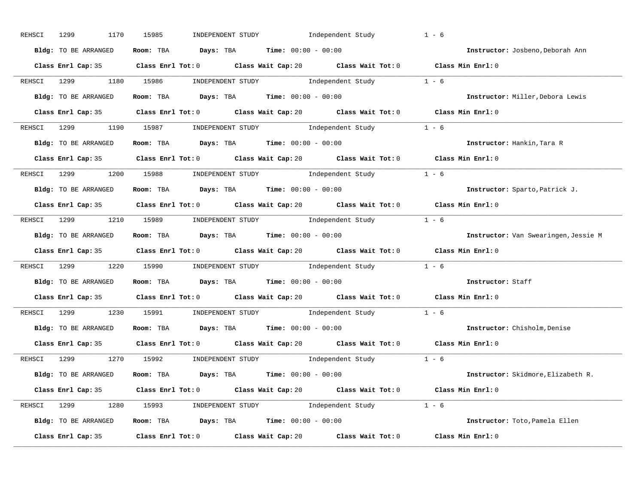| REHSCI | 1299<br>1170           | 15985<br>INDEPENDENT STUDY                                                                  | Independent Study                                                                                                                                                                                                                                                                                                                                                                                         | $1 - 6$                              |
|--------|------------------------|---------------------------------------------------------------------------------------------|-----------------------------------------------------------------------------------------------------------------------------------------------------------------------------------------------------------------------------------------------------------------------------------------------------------------------------------------------------------------------------------------------------------|--------------------------------------|
|        | Bldg: TO BE ARRANGED   | Room: TBA $Days: TBA$ Time: $00:00 - 00:00$                                                 |                                                                                                                                                                                                                                                                                                                                                                                                           | Instructor: Josbeno, Deborah Ann     |
|        |                        | Class Enrl Cap: 35 Class Enrl Tot: 0 Class Wait Cap: 20 Class Wait Tot: 0 Class Min Enrl: 0 |                                                                                                                                                                                                                                                                                                                                                                                                           |                                      |
|        | REHSCI 1299 1180 15986 |                                                                                             | $\begin{minipage}[c]{0.9\linewidth} \textbf{INDEX} & \textbf{STUDY} \\ \textbf{1 - 6} & \textbf{1 - 6} \\ \textbf{2 - 1 - 6} & \textbf{1 - 6} \\ \textbf{3 - 1 - 6} & \textbf{1 - 6} \\ \textbf{4 - 1 - 6} & \textbf{1 - 6} \\ \textbf{5 - 1 - 6} & \textbf{1 - 6} \\ \textbf{6 - 1 - 6} & \textbf{1 - 6} \\ \textbf{7 - 1 - 6} & \textbf{1 - 6} \\ \textbf{8 - 1 - 6} & \textbf{1 - 6} \\ \textbf{1 - 6$ |                                      |
|        | Bldg: TO BE ARRANGED   | Room: TBA $\rule{1em}{0.15mm}$ Days: TBA Time: $00:00 - 00:00$                              |                                                                                                                                                                                                                                                                                                                                                                                                           | Instructor: Miller, Debora Lewis     |
|        |                        | Class Enrl Cap: 35 Class Enrl Tot: 0 Class Wait Cap: 20 Class Wait Tot: 0 Class Min Enrl: 0 |                                                                                                                                                                                                                                                                                                                                                                                                           |                                      |
|        |                        | REHSCI 1299 1190 15987 INDEPENDENT STUDY Independent Study 1 - 6                            |                                                                                                                                                                                                                                                                                                                                                                                                           |                                      |
|        |                        | Bldg: TO BE ARRANGED Room: TBA Days: TBA Time: 00:00 - 00:00                                |                                                                                                                                                                                                                                                                                                                                                                                                           | Instructor: Hankin, Tara R           |
|        |                        | Class Enrl Cap: 35 Class Enrl Tot: 0 Class Wait Cap: 20 Class Wait Tot: 0 Class Min Enrl: 0 |                                                                                                                                                                                                                                                                                                                                                                                                           |                                      |
|        |                        | REHSCI 1299 1200 15988 INDEPENDENT STUDY Independent Study 1 - 6                            |                                                                                                                                                                                                                                                                                                                                                                                                           |                                      |
|        | Bldg: TO BE ARRANGED   | Room: TBA $Days:$ TBA $Time: 00:00 - 00:00$                                                 |                                                                                                                                                                                                                                                                                                                                                                                                           | Instructor: Sparto, Patrick J.       |
|        |                        | Class Enrl Cap: 35 Class Enrl Tot: 0 Class Wait Cap: 20 Class Wait Tot: 0 Class Min Enrl: 0 |                                                                                                                                                                                                                                                                                                                                                                                                           |                                      |
|        |                        | REHSCI 1299 1210 15989 INDEPENDENT STUDY Independent Study 1 - 6                            |                                                                                                                                                                                                                                                                                                                                                                                                           |                                      |
|        | Bldg: TO BE ARRANGED   | <b>Room:</b> TBA $Days:$ TBA $Time: 00:00 - 00:00$                                          |                                                                                                                                                                                                                                                                                                                                                                                                           | Instructor: Van Swearingen, Jessie M |
|        |                        | Class Enrl Cap: 35 Class Enrl Tot: 0 Class Wait Cap: 20 Class Wait Tot: 0 Class Min Enrl: 0 |                                                                                                                                                                                                                                                                                                                                                                                                           |                                      |
|        |                        | REHSCI 1299 1220 15990 INDEPENDENT STUDY Independent Study 1 - 6                            |                                                                                                                                                                                                                                                                                                                                                                                                           |                                      |
|        | Bldg: TO BE ARRANGED   | Room: TBA $Days:$ TBA $Time: 00:00 - 00:00$                                                 |                                                                                                                                                                                                                                                                                                                                                                                                           | Instructor: Staff                    |
|        |                        | Class Enrl Cap: 35 Class Enrl Tot: 0 Class Wait Cap: 20 Class Wait Tot: 0 Class Min Enrl: 0 |                                                                                                                                                                                                                                                                                                                                                                                                           |                                      |
|        | REHSCI 1299            | 1230 15991                                                                                  | $\begin{minipage}[c]{0.9\linewidth} \textbf{INDEX} & \textbf{STUDY} \\ \textbf{Index} & \textbf{Index} & \textbf{C} \\ \textbf{Index} & \textbf{C} \end{minipage}$                                                                                                                                                                                                                                        |                                      |
|        | Bldg: TO BE ARRANGED   | Room: TBA $Days$ : TBA Time: $00:00 - 00:00$                                                |                                                                                                                                                                                                                                                                                                                                                                                                           | Instructor: Chisholm, Denise         |
|        |                        | Class Enrl Cap: 35 Class Enrl Tot: 0 Class Wait Cap: 20 Class Wait Tot: 0 Class Min Enrl: 0 |                                                                                                                                                                                                                                                                                                                                                                                                           |                                      |
|        |                        | REHSCI 1299 1270 15992 INDEPENDENT STUDY Independent Study 1 - 6                            |                                                                                                                                                                                                                                                                                                                                                                                                           |                                      |
|        | Bldg: TO BE ARRANGED   | Room: TBA $\rule{1em}{0.15mm}$ Days: TBA Time: $00:00 - 00:00$                              |                                                                                                                                                                                                                                                                                                                                                                                                           | Instructor: Skidmore, Elizabeth R.   |
|        |                        | Class Enrl Cap: 35 Class Enrl Tot: 0 Class Wait Cap: 20 Class Wait Tot: 0 Class Min Enrl: 0 |                                                                                                                                                                                                                                                                                                                                                                                                           |                                      |
|        |                        | REHSCI 1299 1280 15993 INDEPENDENT STUDY Independent Study 1 - 6                            |                                                                                                                                                                                                                                                                                                                                                                                                           |                                      |
|        | Bldg: TO BE ARRANGED   | Room: TBA $\rule{1em}{0.15mm}$ Days: TBA Time: $00:00 - 00:00$                              |                                                                                                                                                                                                                                                                                                                                                                                                           | Instructor: Toto, Pamela Ellen       |
|        |                        |                                                                                             |                                                                                                                                                                                                                                                                                                                                                                                                           |                                      |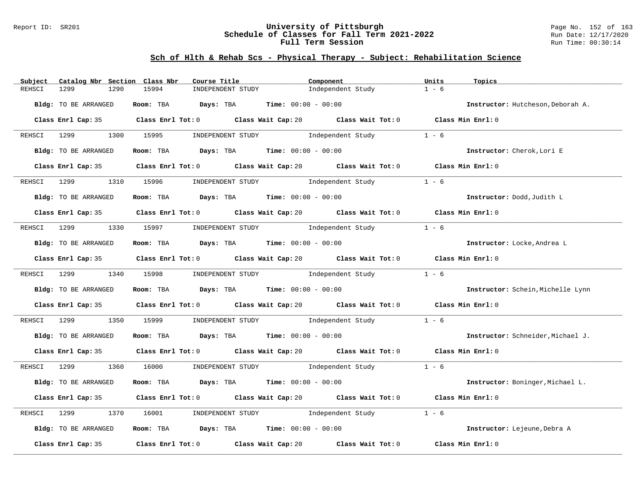#### Report ID: SR201 **University of Pittsburgh** Page No. 152 of 163 **Schedule of Classes for Fall Term 2021-2022** Run Date: 12/17/2020 **Full Term Session Run Time: 00:30:14**

| Catalog Nbr Section Class Nbr<br>Subject | Course Title                                                   | Component                                                                                   | Units<br>Topics                   |
|------------------------------------------|----------------------------------------------------------------|---------------------------------------------------------------------------------------------|-----------------------------------|
| REHSCI<br>1299<br>1290                   | 15994<br>INDEPENDENT STUDY                                     | Independent Study                                                                           | $1 - 6$                           |
| Bldg: TO BE ARRANGED                     | Room: TBA $Days:$ TBA $Time: 00:00 - 00:00$                    |                                                                                             | Instructor: Hutcheson, Deborah A. |
|                                          |                                                                | Class Enrl Cap: 35 Class Enrl Tot: 0 Class Wait Cap: 20 Class Wait Tot: 0 Class Min Enrl: 0 |                                   |
|                                          |                                                                |                                                                                             |                                   |
|                                          |                                                                | REHSCI 1299 1300 15995 INDEPENDENT STUDY Independent Study 1 - 6                            |                                   |
| Bldg: TO BE ARRANGED                     | Room: TBA $Days:$ TBA $Time: 00:00 - 00:00$                    |                                                                                             | Instructor: Cherok, Lori E        |
|                                          |                                                                | Class Enrl Cap: 35 Class Enrl Tot: 0 Class Wait Cap: 20 Class Wait Tot: 0 Class Min Enrl: 0 |                                   |
| REHSCI 1299                              |                                                                | 1310 15996 INDEPENDENT STUDY Independent Study                                              | $1 - 6$                           |
| Bldg: TO BE ARRANGED                     | Room: TBA $Days:$ TBA $Time: 00:00 - 00:00$                    |                                                                                             | Instructor: Dodd, Judith L        |
|                                          |                                                                | Class Enrl Cap: 35 Class Enrl Tot: 0 Class Wait Cap: 20 Class Wait Tot: 0 Class Min Enrl: 0 |                                   |
|                                          | REHSCI 1299 1330 15997 INDEPENDENT STUDY Independent Study     |                                                                                             | $1 - 6$                           |
| Bldg: TO BE ARRANGED                     | Room: TBA $Days:$ TBA Time: $00:00 - 00:00$                    |                                                                                             | Instructor: Locke, Andrea L       |
|                                          |                                                                | Class Enrl Cap: 35 Class Enrl Tot: 0 Class Wait Cap: 20 Class Wait Tot: 0 Class Min Enrl: 0 |                                   |
|                                          | REHSCI 1299 1340 15998 INDEPENDENT STUDY Independent Study     |                                                                                             | $1 - 6$                           |
| Bldg: TO BE ARRANGED                     | Room: TBA $Days:$ TBA Time: $00:00 - 00:00$                    |                                                                                             | Instructor: Schein, Michelle Lynn |
|                                          |                                                                | Class Enrl Cap: 35 Class Enrl Tot: 0 Class Wait Cap: 20 Class Wait Tot: 0                   | Class Min Enrl: 0                 |
|                                          |                                                                | REHSCI 1299 1350 15999 INDEPENDENT STUDY Independent Study                                  | $1 - 6$                           |
| Bldg: TO BE ARRANGED                     | Room: TBA $\rule{1em}{0.15mm}$ Days: TBA Time: $00:00 - 00:00$ |                                                                                             | Instructor: Schneider, Michael J. |
|                                          |                                                                | Class Enrl Cap: 35 Class Enrl Tot: 0 Class Wait Cap: 20 Class Wait Tot: 0 Class Min Enrl: 0 |                                   |
|                                          |                                                                | REHSCI 1299 1360 16000 INDEPENDENT STUDY Independent Study 1 - 6                            |                                   |
| Bldg: TO BE ARRANGED                     | Room: TBA $Days:$ TBA $Time: 00:00 - 00:00$                    |                                                                                             | Instructor: Boninger, Michael L.  |
|                                          |                                                                | Class Enrl Cap: 35 Class Enrl Tot: 0 Class Wait Cap: 20 Class Wait Tot: 0 Class Min Enrl: 0 |                                   |
| REHSCI 1299<br>1370                      | 16001                                                          | INDEPENDENT STUDY 1ndependent Study                                                         | $1 - 6$                           |
| Bldg: TO BE ARRANGED                     | Room: TBA $Days:$ TBA $Time: 00:00 - 00:00$                    |                                                                                             | Instructor: Lejeune, Debra A      |
|                                          |                                                                | Class Enrl Cap: 35 Class Enrl Tot: 0 Class Wait Cap: 20 Class Wait Tot: 0 Class Min Enrl: 0 |                                   |
|                                          |                                                                |                                                                                             |                                   |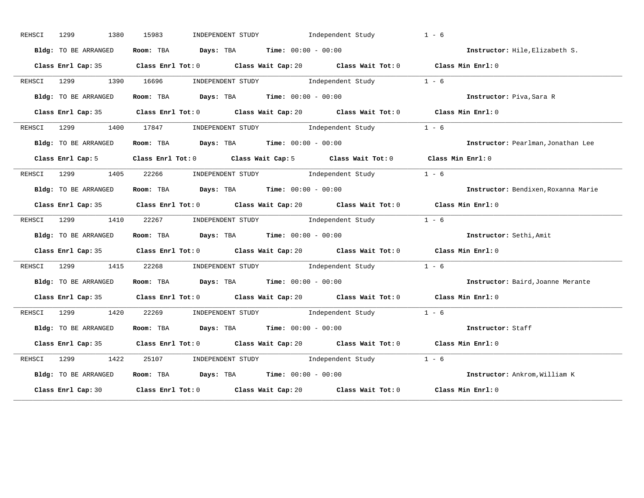| REHSCI | 1380<br>1299         | 15983<br>INDEPENDENT STUDY The Independent Study                                            | $1 - 6$                             |
|--------|----------------------|---------------------------------------------------------------------------------------------|-------------------------------------|
|        | Bldg: TO BE ARRANGED | Room: TBA $\rule{1em}{0.15mm}$ Days: TBA Time: $00:00 - 00:00$                              | Instructor: Hile, Elizabeth S.      |
|        |                      | Class Enrl Cap: 35 Class Enrl Tot: 0 Class Wait Cap: 20 Class Wait Tot: 0 Class Min Enrl: 0 |                                     |
| REHSCI |                      | 1299 1390 16696 INDEPENDENT STUDY Independent Study 1 - 6                                   |                                     |
|        | Bldg: TO BE ARRANGED | Room: TBA Days: TBA Time: $00:00 - 00:00$                                                   | Instructor: Piva, Sara R            |
|        |                      | Class Enrl Cap: 35 Class Enrl Tot: 0 Class Wait Cap: 20 Class Wait Tot: 0 Class Min Enrl: 0 |                                     |
|        |                      | REHSCI 1299 1400 17847 INDEPENDENT STUDY Independent Study 1 - 6                            |                                     |
|        | Bldg: TO BE ARRANGED | Room: TBA $Days:$ TBA Time: $00:00 - 00:00$                                                 | Instructor: Pearlman, Jonathan Lee  |
|        |                      | Class Enrl Cap: 5 Class Enrl Tot: 0 Class Wait Cap: 5 Class Wait Tot: 0 Class Min Enrl: 0   |                                     |
|        |                      | REHSCI 1299 1405 22266 INDEPENDENT STUDY Independent Study                                  | $1 - 6$                             |
|        | Bldg: TO BE ARRANGED | Room: TBA $Days:$ TBA $Time: 00:00 - 00:00$                                                 | Instructor: Bendixen, Roxanna Marie |
|        |                      | Class Enrl Cap: 35 Class Enrl Tot: 0 Class Wait Cap: 20 Class Wait Tot: 0 Class Min Enrl: 0 |                                     |
| REHSCI |                      | 1299   1410   22267   INDEPENDENT STUDY   Independent Study $1 - 6$                         |                                     |
|        | Bldg: TO BE ARRANGED | Room: TBA Days: TBA Time: $00:00 - 00:00$                                                   | Instructor: Sethi, Amit             |
|        |                      | Class Enrl Cap: 35 Class Enrl Tot: 0 Class Wait Cap: 20 Class Wait Tot: 0 Class Min Enrl: 0 |                                     |
|        |                      | REHSCI 1299 1415 22268 INDEPENDENT STUDY Independent Study 1 - 6                            |                                     |
|        | Bldg: TO BE ARRANGED | Room: TBA $Days:$ TBA $Time: 00:00 - 00:00$                                                 | Instructor: Baird, Joanne Merante   |
|        |                      | Class Enrl Cap: 35 Class Enrl Tot: 0 Class Wait Cap: 20 Class Wait Tot: 0 Class Min Enrl: 0 |                                     |
|        |                      | REHSCI 1299 1420 22269 INDEPENDENT STUDY Independent Study                                  | $1 - 6$                             |
|        | Bldg: TO BE ARRANGED | Room: TBA Days: TBA Time: $00:00 - 00:00$                                                   | Instructor: Staff                   |
|        |                      | Class Enrl Cap: 35 Class Enrl Tot: 0 Class Wait Cap: 20 Class Wait Tot: 0 Class Min Enrl: 0 |                                     |
| REHSCI |                      | 1299 1422 25107 INDEPENDENT STUDY Independent Study 1 - 6                                   |                                     |
|        | Bldg: TO BE ARRANGED | Room: TBA $\rule{1em}{0.15mm}$ Days: TBA Time: $00:00 - 00:00$                              | Instructor: Ankrom, William K       |
|        |                      | Class Enrl Cap: 30 Class Enrl Tot: 0 Class Wait Cap: 20 Class Wait Tot: 0                   | Class Min Enrl: 0                   |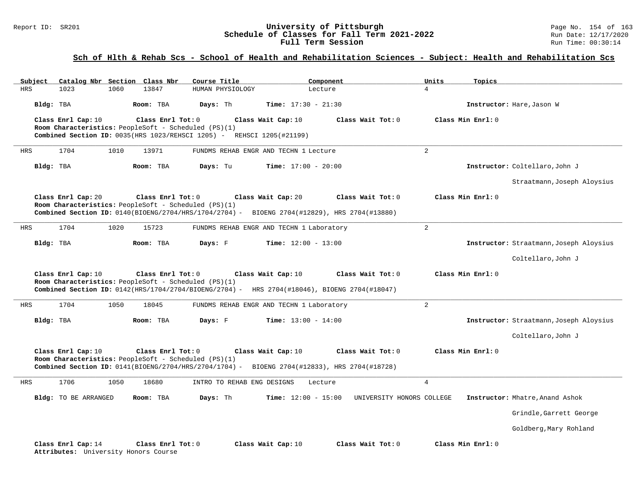#### Report ID: SR201 **1988 Manual Construment University of Pittsburgh** Page No. 154 of 163<br>**Schedule of Classes for Fall Term 2021-2022** 1999 Run Date: 12/17/2020 **Schedule of Classes for Fall Term 2021-2022** Run Date: 12/17/2021<br>**Full Term Session** Run Time: 00:30:14 Full Term Session

# **Sch of Hlth & Rehab Scs - School of Health and Rehabilitation Sciences - Subject: Health and Rehabilitation Scs**

| Subject    |                                                            | Catalog Nbr Section Class Nbr                                             | Course Title                                                          | Component                                                                                                          |                           | Units          | Topics            |                                         |
|------------|------------------------------------------------------------|---------------------------------------------------------------------------|-----------------------------------------------------------------------|--------------------------------------------------------------------------------------------------------------------|---------------------------|----------------|-------------------|-----------------------------------------|
| <b>HRS</b> | 1023<br>1060                                               | 13847                                                                     | HUMAN PHYSIOLOGY                                                      | Lecture                                                                                                            |                           | $\overline{4}$ |                   |                                         |
|            | Bldg: TBA                                                  | Room: TBA                                                                 | Days: Th                                                              | <b>Time:</b> $17:30 - 21:30$                                                                                       |                           |                |                   | Instructor: Hare, Jason W               |
|            | Class Enrl Cap: 10                                         | Class Enrl Tot: 0<br>Room Characteristics: PeopleSoft - Scheduled (PS)(1) |                                                                       | Class Wait Cap: 10                                                                                                 | Class Wait Tot: 0         |                | Class Min Enrl: 0 |                                         |
|            |                                                            |                                                                           | Combined Section ID: 0035(HRS 1023/REHSCI 1205) - REHSCI 1205(#21199) |                                                                                                                    |                           |                |                   |                                         |
| HRS        | 1704<br>1010                                               | 13971                                                                     |                                                                       | FUNDMS REHAB ENGR AND TECHN 1 Lecture                                                                              |                           | $\overline{a}$ |                   |                                         |
|            | Bldg: TBA                                                  | Room: TBA                                                                 | Days: Tu                                                              | <b>Time:</b> $17:00 - 20:00$                                                                                       |                           |                |                   | Instructor: Coltellaro, John J          |
|            |                                                            |                                                                           |                                                                       |                                                                                                                    |                           |                |                   | Straatmann, Joseph Aloysius             |
|            | Class Enrl Cap: 20                                         | Class Enrl Tot: 0                                                         |                                                                       | Class Wait Cap: 20                                                                                                 | Class Wait Tot: 0         |                | Class Min Enrl: 0 |                                         |
|            |                                                            | Room Characteristics: PeopleSoft - Scheduled (PS)(1)                      |                                                                       | Combined Section ID: 0140(BIOENG/2704/HRS/1704/2704) - BIOENG 2704(#12829), HRS 2704(#13880)                       |                           |                |                   |                                         |
| HRS        | 1704<br>1020                                               | 15723                                                                     |                                                                       | FUNDMS REHAB ENGR AND TECHN 1 Laboratory                                                                           |                           | 2              |                   |                                         |
|            | Bldg: TBA                                                  | Room: TBA                                                                 | Days: F                                                               | <b>Time:</b> $12:00 - 13:00$                                                                                       |                           |                |                   | Instructor: Straatmann, Joseph Aloysius |
|            |                                                            |                                                                           |                                                                       |                                                                                                                    |                           |                |                   | Coltellaro, John J                      |
|            | Class Enrl Cap: 10                                         | Class Enrl Tot: 0<br>Room Characteristics: PeopleSoft - Scheduled (PS)(1) |                                                                       | Class Wait Cap: 10<br>Combined Section ID: 0142(HRS/1704/2704/BIOENG/2704) - HRS 2704(#18046), BIOENG 2704(#18047) | Class Wait Tot: 0         |                | Class Min Enrl: 0 |                                         |
| HRS        | 1704<br>1050                                               | 18045                                                                     |                                                                       | FUNDMS REHAB ENGR AND TECHN 1 Laboratory                                                                           |                           | $\overline{2}$ |                   |                                         |
|            | Bldg: TBA                                                  | Room: TBA                                                                 | Days: F                                                               | <b>Time:</b> $13:00 - 14:00$                                                                                       |                           |                |                   | Instructor: Straatmann, Joseph Aloysius |
|            |                                                            |                                                                           |                                                                       |                                                                                                                    |                           |                |                   | Coltellaro, John J                      |
|            | Class Enrl Cap: 10                                         | Class Enrl Tot: 0<br>Room Characteristics: PeopleSoft - Scheduled (PS)(1) |                                                                       | Class Wait Cap: 10<br>Combined Section ID: 0141(BIOENG/2704/HRS/2704/1704) - BIOENG 2704(#12833), HRS 2704(#18728) | Class Wait Tot: 0         |                | Class Min Enrl: 0 |                                         |
| HRS        | 1706<br>1050                                               | 18680                                                                     | INTRO TO REHAB ENG DESIGNS                                            | Lecture                                                                                                            |                           | $\overline{4}$ |                   |                                         |
|            | Bldg: TO BE ARRANGED                                       | Room: TBA                                                                 | Days: Th                                                              | <b>Time:</b> $12:00 - 15:00$                                                                                       | UNIVERSITY HONORS COLLEGE |                |                   | Instructor: Mhatre, Anand Ashok         |
|            |                                                            |                                                                           |                                                                       |                                                                                                                    |                           |                |                   | Grindle, Garrett George                 |
|            |                                                            |                                                                           |                                                                       |                                                                                                                    |                           |                |                   | Goldberg, Mary Rohland                  |
|            | Class Enrl Cap: 14<br>Attributes: University Honors Course | Class Enrl Tot: 0                                                         |                                                                       | Class Wait Cap: 10                                                                                                 | Class Wait Tot: 0         |                | Class Min Enrl: 0 |                                         |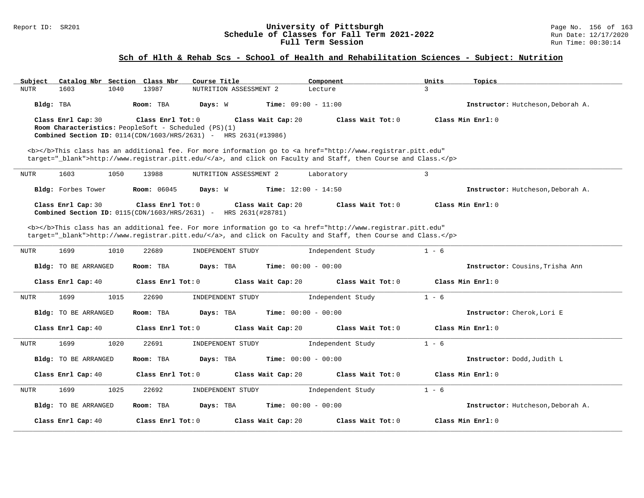#### Report ID: SR201 **University of Pittsburgh** Page No. 156 of 163 **Schedule of Classes for Fall Term 2021-2022** Run Date: 12/17/2020 **Full Term Session Run Time: 00:30:14**

### **Sch of Hlth & Rehab Scs - School of Health and Rehabilitation Sciences - Subject: Nutrition**

| Subject<br>Catalog Nbr Section Class Nbr                                                                                | Course Title                                                                                                                                                                                                                       | Component         | Units<br>Topics                   |
|-------------------------------------------------------------------------------------------------------------------------|------------------------------------------------------------------------------------------------------------------------------------------------------------------------------------------------------------------------------------|-------------------|-----------------------------------|
| 1603<br>1040<br>13987<br><b>NUTR</b>                                                                                    | NUTRITION ASSESSMENT 2                                                                                                                                                                                                             | Lecture           | $\mathbf{R}$                      |
| Bldg: TBA<br>Room: TBA                                                                                                  | Days: W<br>Time: $09:00 - 11:00$                                                                                                                                                                                                   |                   | Instructor: Hutcheson, Deborah A. |
| Class Enrl Cap: 30                                                                                                      | Class Enrl Tot: 0<br>Class Wait Cap: 20                                                                                                                                                                                            | Class Wait Tot: 0 | Class Min $Enr1: 0$               |
| Room Characteristics: PeopleSoft - Scheduled (PS)(1)<br>Combined Section ID: 0114(CDN/1603/HRS/2631) - HRS 2631(#13986) |                                                                                                                                                                                                                                    |                   |                                   |
|                                                                                                                         |                                                                                                                                                                                                                                    |                   |                                   |
|                                                                                                                         | <b></b> This class has an additional fee. For more information go to <a <br="" href="http://www.registrar.pitt.edu">target="_blank"&gt;http://www.registrar.pitt.edu/</a> , and click on Faculty and Staff, then Course and Class. |                   |                                   |
|                                                                                                                         |                                                                                                                                                                                                                                    |                   |                                   |
| 1603<br>1050<br>13988<br>NUTR                                                                                           | NUTRITION ASSESSMENT 2                                                                                                                                                                                                             | Laboratory        | $\overline{3}$                    |
| Bldg: Forbes Tower<br><b>Room: 06045</b>                                                                                | <b>Time:</b> $12:00 - 14:50$<br>Days: W                                                                                                                                                                                            |                   | Instructor: Hutcheson, Deborah A. |
| Class Enrl Cap: 30                                                                                                      | Class Enrl Tot: 0<br>Class Wait Cap: 20                                                                                                                                                                                            | Class Wait Tot: 0 | Class Min Enrl: 0                 |
| Combined Section ID: $0115$ (CDN/1603/HRS/2631) -                                                                       | HRS 2631(#28781)                                                                                                                                                                                                                   |                   |                                   |
|                                                                                                                         | <b></b> This class has an additional fee. For more information go to <a <="" href="http://www.registrar.pitt.edu" td=""><td></td><td></td></a>                                                                                     |                   |                                   |
|                                                                                                                         | target="_blank">http://www.registrar.pitt.edu/, and click on Faculty and Staff, then Course and Class.                                                                                                                             |                   |                                   |
| 1699<br>1010<br>22689<br><b>NUTR</b>                                                                                    | INDEPENDENT STUDY                                                                                                                                                                                                                  | Independent Study | $1 - 6$                           |
| Room: TBA<br>Bldg: TO BE ARRANGED                                                                                       | Days: TBA<br><b>Time:</b> $00:00 - 00:00$                                                                                                                                                                                          |                   | Instructor: Cousins, Trisha Ann   |
| Class Enrl Cap: 40                                                                                                      | Class Enrl Tot: 0<br>Class Wait Cap: 20                                                                                                                                                                                            | Class Wait Tot: 0 | Class Min Enrl: 0                 |
| 1699<br>1015<br>22690<br><b>NUTR</b>                                                                                    | INDEPENDENT STUDY                                                                                                                                                                                                                  | Independent Study | $1 - 6$                           |
| Bldg: TO BE ARRANGED<br>Room: TBA                                                                                       | Days: TBA<br><b>Time:</b> $00:00 - 00:00$                                                                                                                                                                                          |                   | Instructor: Cherok, Lori E        |
| Class Enrl Cap: 40                                                                                                      | Class Enrl Tot: 0<br>Class Wait Cap: 20                                                                                                                                                                                            | Class Wait Tot: 0 | Class Min Enrl: 0                 |
| 1699<br>1020<br>22691<br><b>NUTR</b>                                                                                    | INDEPENDENT STUDY                                                                                                                                                                                                                  | Independent Study | $1 - 6$                           |
| Bldg: TO BE ARRANGED<br>Room: TBA                                                                                       | <b>Time:</b> $00:00 - 00:00$<br>Days: TBA                                                                                                                                                                                          |                   | Instructor: Dodd, Judith L        |
| Class Enrl Cap: 40                                                                                                      | Class Wait Cap: 20<br>Class Enrl Tot: 0                                                                                                                                                                                            | Class Wait Tot: 0 | Class Min Enrl: 0                 |
| 1699<br>1025<br>22692<br><b>NUTR</b>                                                                                    | INDEPENDENT STUDY                                                                                                                                                                                                                  | Independent Study | $1 - 6$                           |
| Bldg: TO BE ARRANGED<br>Room: TBA                                                                                       | <b>Time:</b> $00:00 - 00:00$<br>Days: TBA                                                                                                                                                                                          |                   | Instructor: Hutcheson, Deborah A. |
| Class Enrl Cap: 40                                                                                                      | Class Enrl Tot: $0$<br>Class Wait Cap: 20                                                                                                                                                                                          | Class Wait Tot: 0 | Class Min Enrl: 0                 |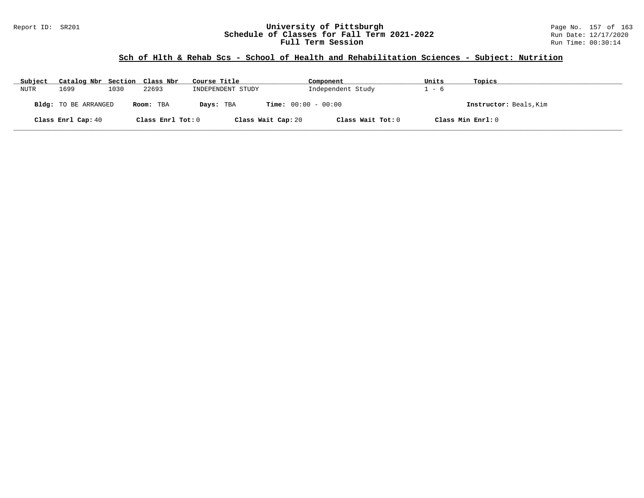### Report ID: SR201 **University of Pittsburgh** Page No. 157 of 163 **Schedule of Classes for Fall Term 2021-2022** Run Date: 12/17/2020 **Full Term Session Run Time: 00:30:14**

# **Sch of Hlth & Rehab Scs - School of Health and Rehabilitation Sciences - Subject: Nutrition**

| Subject | Catalog Nbr Section Class Nbr |      |                   | Course Title       | Component                    | Units | Topics                 |
|---------|-------------------------------|------|-------------------|--------------------|------------------------------|-------|------------------------|
| NUTR    | 1699                          | 1030 | 22693             | INDEPENDENT STUDY  | Independent Study            | - 6   |                        |
|         | <b>Bldg:</b> TO BE ARRANGED   |      | Room: TBA         | Days: TBA          | <b>Time:</b> $00:00 - 00:00$ |       | Instructor: Beals, Kim |
|         | Class Enrl Cap: 40            |      | Class Enrl Tot: 0 | Class Wait Cap: 20 | Class Wait Tot: 0            |       | Class Min Enrl: 0      |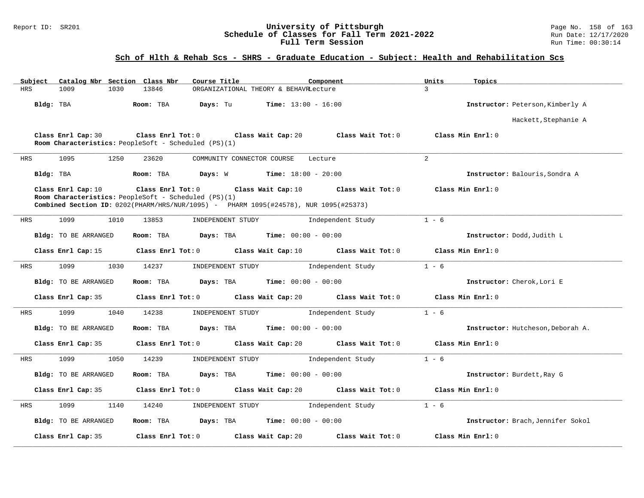### Report ID: SR201 **University of Pittsburgh** Page No. 158 of 163 **Schedule of Classes for Fall Term 2021-2022** Run Date: 12/17/2020 **Full Term Session Run Time: 00:30:14**

# **Sch of Hlth & Rehab Scs - SHRS - Graduate Education - Subject: Health and Rehabilitation Scs**

| Subject    | Catalog Nbr Section Class Nbr | Course Title                                                                                                                                                      | Component                                     | Units<br>Topics                   |
|------------|-------------------------------|-------------------------------------------------------------------------------------------------------------------------------------------------------------------|-----------------------------------------------|-----------------------------------|
| <b>HRS</b> | 1009<br>1030                  | 13846                                                                                                                                                             | ORGANIZATIONAL THEORY & BEHAVRLecture         | $\overline{3}$                    |
|            | Bldg: TBA                     | Room: TBA<br>Days: Tu                                                                                                                                             | <b>Time:</b> $13:00 - 16:00$                  | Instructor: Peterson, Kimberly A  |
|            |                               |                                                                                                                                                                   |                                               | Hackett, Stephanie A              |
|            | Class Enrl Cap: 30            | Class Enrl Tot: 0<br>Room Characteristics: PeopleSoft - Scheduled (PS)(1)                                                                                         | Class Wait Cap: 20<br>Class Wait Tot: 0       | Class Min Enrl: 0                 |
| HRS        | 1095<br>1250                  | 23620<br>COMMUNITY CONNECTOR COURSE                                                                                                                               | Lecture                                       | 2                                 |
|            | Bldg: TBA                     | Room: TBA                                                                                                                                                         | <b>Days:</b> W <b>Time:</b> $18:00 - 20:00$   | Instructor: Balouris, Sondra A    |
|            | Class Enrl Cap: 10            | Class Enrl Tot: 0<br>Room Characteristics: PeopleSoft - Scheduled (PS)(1)<br>Combined Section ID: 0202(PHARM/HRS/NUR/1095) - PHARM 1095(#24578), NUR 1095(#25373) | Class Wait Cap: 10<br>Class Wait Tot: 0       | Class Min Enrl: 0                 |
| HRS        | 1099<br>1010                  | 13853<br>INDEPENDENT STUDY                                                                                                                                        | Independent Study                             | $1 - 6$                           |
|            | Bldg: TO BE ARRANGED          | Room: TBA<br>Days: TBA                                                                                                                                            | $Time: 00:00 - 00:00$                         | Instructor: Dodd, Judith L        |
|            | Class Enrl Cap: 15            | Class Enrl Tot: 0                                                                                                                                                 | Class Wait Cap: 10 Class Wait Tot: 0          | Class Min Enrl: 0                 |
| <b>HRS</b> | 1099<br>1030                  | 14237<br>INDEPENDENT STUDY                                                                                                                                        | Independent Study                             | $1 - 6$                           |
|            | Bldg: TO BE ARRANGED          | Days: TBA<br>Room: TBA                                                                                                                                            | <b>Time:</b> $00:00 - 00:00$                  | Instructor: Cherok, Lori E        |
|            | Class Enrl Cap: 35            | Class Enrl Tot: 0                                                                                                                                                 | Class Wait Cap: 20<br>Class Wait Tot: 0       | Class Min Enrl: 0                 |
| HRS        | 1099<br>1040                  | 14238<br>INDEPENDENT STUDY                                                                                                                                        | Independent Study                             | $1 - 6$                           |
|            | <b>Bldg:</b> TO BE ARRANGED   | Room: TBA                                                                                                                                                         | <b>Days:</b> TBA <b>Time:</b> $00:00 - 00:00$ | Instructor: Hutcheson, Deborah A. |
|            | Class Enrl Cap: 35            | Class Enrl Tot: 0                                                                                                                                                 | Class Wait Cap: 20 Class Wait Tot: 0          | Class Min Enrl: 0                 |
| HRS        | 1099<br>1050                  | 14239<br>INDEPENDENT STUDY                                                                                                                                        | Independent Study                             | $1 - 6$                           |
|            | <b>Bldg:</b> TO BE ARRANGED   | Room: TBA<br>Days: TBA                                                                                                                                            | $Time: 00:00 - 00:00$                         | Instructor: Burdett, Ray G        |
|            | Class Enrl Cap: 35            | Class Enrl Tot: 0                                                                                                                                                 | Class Wait Cap: 20 Class Wait Tot: 0          | Class Min Enrl: 0                 |
| HRS        | 1099<br>1140                  | 14240<br>INDEPENDENT STUDY                                                                                                                                        | Independent Study                             | $1 - 6$                           |
|            | <b>Bldg:</b> TO BE ARRANGED   | Room: TBA<br>Days: TBA                                                                                                                                            | <b>Time:</b> $00:00 - 00:00$                  | Instructor: Brach, Jennifer Sokol |
|            | Class Enrl Cap: 35            | Class Enrl Tot: 0                                                                                                                                                 | Class Wait Tot: 0<br>Class Wait Cap: 20       | Class Min Enrl: 0                 |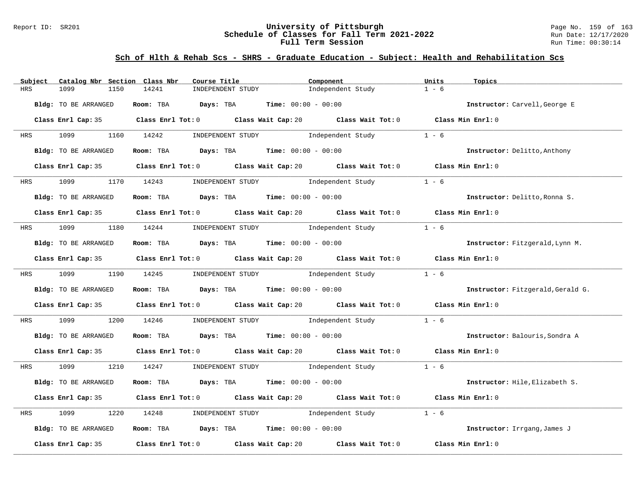#### Report ID: SR201 **University of Pittsburgh** Page No. 159 of 163 **Schedule of Classes for Fall Term 2021-2022** Run Date: 12/17/2020 **Full Term Session Run Time: 00:30:14**

# **Sch of Hlth & Rehab Scs - SHRS - Graduate Education - Subject: Health and Rehabilitation Scs**

| Subject<br>Catalog Nbr Section Class Nbr | Course Title                                                                                | Component                                                                                                                    | Units<br>Topics                   |
|------------------------------------------|---------------------------------------------------------------------------------------------|------------------------------------------------------------------------------------------------------------------------------|-----------------------------------|
| <b>HRS</b><br>1099<br>1150               | 14241<br>INDEPENDENT STUDY                                                                  | Independent Study                                                                                                            | $1 - 6$                           |
| Bldg: TO BE ARRANGED                     | Room: TBA $Days:$ TBA $Time: 00:00 - 00:00$                                                 |                                                                                                                              | Instructor: Carvell, George E     |
|                                          | Class Enrl Cap: 35 Class Enrl Tot: 0 Class Wait Cap: 20 Class Wait Tot: 0 Class Min Enrl: 0 |                                                                                                                              |                                   |
| 1099<br><b>HRS</b>                       | 1160 14242                                                                                  | INDEPENDENT STUDY Dindependent Study                                                                                         | $1 - 6$                           |
| Bldg: TO BE ARRANGED                     | Room: TBA $Days:$ TBA $Time: 00:00 - 00:00$                                                 |                                                                                                                              | Instructor: Delitto, Anthony      |
| Class Enrl Cap: 35                       |                                                                                             | Class Enrl Tot: 0 Class Wait Cap: 20 Class Wait Tot: 0 Class Min Enrl: 0                                                     |                                   |
| 1099<br><b>HRS</b>                       | 1170 14243                                                                                  | INDEPENDENT STUDY 1ndependent Study                                                                                          | $1 - 6$                           |
| Bldg: TO BE ARRANGED                     | Room: TBA $Days: TBA$ Time: $00:00 - 00:00$                                                 |                                                                                                                              | Instructor: Delitto, Ronna S.     |
|                                          | Class Enrl Cap: 35 Class Enrl Tot: 0 Class Wait Cap: 20 Class Wait Tot: 0 Class Min Enrl: 0 |                                                                                                                              |                                   |
| HRS 1099 1180 14244                      |                                                                                             | INDEPENDENT STUDY 1ndependent Study                                                                                          | $1 - 6$                           |
| Bldg: TO BE ARRANGED                     | Room: TBA $Days:$ TBA $Time: 00:00 - 00:00$                                                 |                                                                                                                              | Instructor: Fitzgerald, Lynn M.   |
|                                          | Class Enrl Cap: 35 Class Enrl Tot: 0 Class Wait Cap: 20 Class Wait Tot: 0 Class Min Enrl: 0 |                                                                                                                              |                                   |
|                                          | HRS 1099 1190 14245 INDEPENDENT STUDY Independent Study                                     |                                                                                                                              | $1 - 6$                           |
| Bldg: TO BE ARRANGED                     | Room: TBA $Days:$ TBA $Time: 00:00 - 00:00$                                                 |                                                                                                                              | Instructor: Fitzgerald, Gerald G. |
|                                          | Class Enrl Cap: 35 Class Enrl Tot: 0 Class Wait Cap: 20 Class Wait Tot: 0 Class Min Enrl: 0 |                                                                                                                              |                                   |
| 1099<br>1200<br>HRS                      | 14246                                                                                       | INDEPENDENT STUDY 1ndependent Study                                                                                          | $1 - 6$                           |
| Bldg: TO BE ARRANGED                     | Room: TBA $Days:$ TBA $Time: 00:00 - 00:00$                                                 |                                                                                                                              | Instructor: Balouris, Sondra A    |
|                                          | Class Enrl Cap: 35 Class Enrl Tot: 0 Class Wait Cap: 20 Class Wait Tot: 0 Class Min Enrl: 0 |                                                                                                                              |                                   |
| HRS 1099 1210 14247                      |                                                                                             | $\begin{minipage}[c]{0.9\linewidth} \textbf{INDEX} & \textbf{STUDY} \\ \textbf{Independent Study} & 1 - 6 \\ \end{minipage}$ |                                   |
| Bldg: TO BE ARRANGED                     | Room: TBA $Days:$ TBA $Time: 00:00 - 00:00$                                                 |                                                                                                                              | Instructor: Hile, Elizabeth S.    |
|                                          | Class Enrl Cap: 35 Class Enrl Tot: 0 Class Wait Cap: 20 Class Wait Tot: 0 Class Min Enrl: 0 |                                                                                                                              |                                   |
| 1099<br>1220<br>HRS                      | 14248                                                                                       | INDEPENDENT STUDY 1ndependent Study                                                                                          | $1 - 6$                           |
| Bldg: TO BE ARRANGED                     | Room: TBA $Days:$ TBA $Time: 00:00 - 00:00$                                                 |                                                                                                                              | Instructor: Irrgang, James J      |
| Class Enrl Cap: 35                       | Class Enrl Tot: 0 Class Wait Cap: 20                                                        | Class Wait Tot: 0                                                                                                            | Class Min Enrl: 0                 |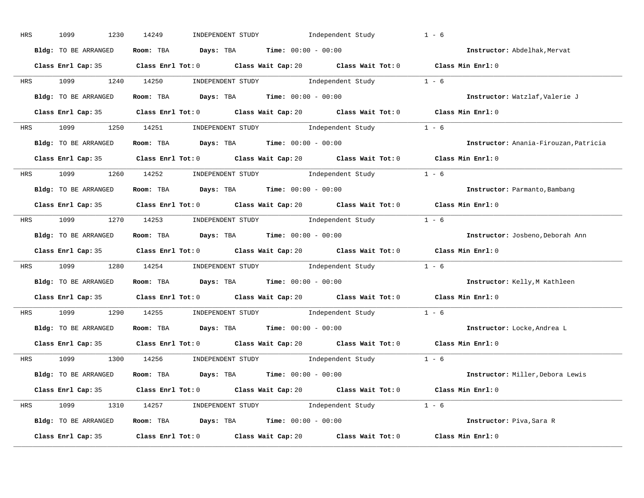| HRS | 1099<br>1230         | Independent Study<br>14249<br>INDEPENDENT STUDY                                             | $1 - 6$                               |
|-----|----------------------|---------------------------------------------------------------------------------------------|---------------------------------------|
|     | Bldg: TO BE ARRANGED | Room: TBA $Days:$ TBA $Time: 00:00 - 00:00$                                                 | Instructor: Abdelhak, Mervat          |
|     |                      | Class Enrl Cap: 35 Class Enrl Tot: 0 Class Wait Cap: 20 Class Wait Tot: 0 Class Min Enrl: 0 |                                       |
|     |                      | HRS 1099 1240 14250 INDEPENDENT STUDY Independent Study 1 - 6                               |                                       |
|     | Bldg: TO BE ARRANGED | Room: TBA $Days:$ TBA $Time: 00:00 - 00:00$                                                 | Instructor: Watzlaf, Valerie J        |
|     |                      | Class Enrl Cap: 35 Class Enrl Tot: 0 Class Wait Cap: 20 Class Wait Tot: 0 Class Min Enrl: 0 |                                       |
|     |                      | HRS 1099 1250 14251 INDEPENDENT STUDY Independent Study 1 - 6                               |                                       |
|     |                      | <b>Bldg:</b> TO BE ARRANGED <b>ROOM:</b> TBA <b>Days:</b> TBA <b>Time:</b> $00:00 - 00:00$  | Instructor: Anania-Firouzan, Patricia |
|     |                      | Class Enrl Cap: 35 Class Enrl Tot: 0 Class Wait Cap: 20 Class Wait Tot: 0 Class Min Enrl: 0 |                                       |
|     |                      | HRS 1099 1260 14252 INDEPENDENT STUDY Independent Study 1 - 6                               |                                       |
|     | Bldg: TO BE ARRANGED | Room: TBA $Days:$ TBA $Time: 00:00 - 00:00$                                                 | Instructor: Parmanto, Bambang         |
|     |                      | Class Enrl Cap: 35 Class Enrl Tot: 0 Class Wait Cap: 20 Class Wait Tot: 0 Class Min Enrl: 0 |                                       |
|     |                      | HRS 1099 1270 14253 INDEPENDENT STUDY Independent Study 1 - 6                               |                                       |
|     | Bldg: TO BE ARRANGED | Room: TBA $Days:$ TBA $Time: 00:00 - 00:00$                                                 | Instructor: Josbeno, Deborah Ann      |
|     |                      | Class Enrl Cap: 35 Class Enrl Tot: 0 Class Wait Cap: 20 Class Wait Tot: 0 Class Min Enrl: 0 |                                       |
|     |                      | HRS 1099 1280 14254 INDEPENDENT STUDY Independent Study 1 - 6                               |                                       |
|     | Bldg: TO BE ARRANGED | Room: TBA $Days:$ TBA $Time: 00:00 - 00:00$                                                 | Instructor: Kelly, M Kathleen         |
|     |                      | Class Enrl Cap: 35 Class Enrl Tot: 0 Class Wait Cap: 20 Class Wait Tot: 0 Class Min Enrl: 0 |                                       |
|     |                      | HRS 1099 1290 14255 INDEPENDENT STUDY Independent Study 1 - 6                               |                                       |
|     | Bldg: TO BE ARRANGED | Room: TBA $Days: TBA$ Time: $00:00 - 00:00$                                                 | Instructor: Locke, Andrea L           |
|     |                      | Class Enrl Cap: 35 Class Enrl Tot: 0 Class Wait Cap: 20 Class Wait Tot: 0 Class Min Enrl: 0 |                                       |
|     |                      | HRS 1099 1300 14256 INDEPENDENT STUDY Independent Study 1 - 6                               |                                       |
|     | Bldg: TO BE ARRANGED | Room: TBA $Days: TBA$ Time: $00:00 - 00:00$                                                 | Instructor: Miller, Debora Lewis      |
|     |                      | Class Enrl Cap: 35 Class Enrl Tot: 0 Class Wait Cap: 20 Class Wait Tot: 0 Class Min Enrl: 0 |                                       |
|     |                      | HRS 1099 1310 14257 INDEPENDENT STUDY Independent Study 1 - 6                               |                                       |
|     |                      | Bldg: TO BE ARRANGED Room: TBA Days: TBA Time: $00:00 - 00:00$                              | Instructor: Piva, Sara R              |
|     |                      | Class Enrl Cap: 35 Class Enrl Tot: 0 Class Wait Cap: 20 Class Wait Tot: 0                   | Class Min Enrl: 0                     |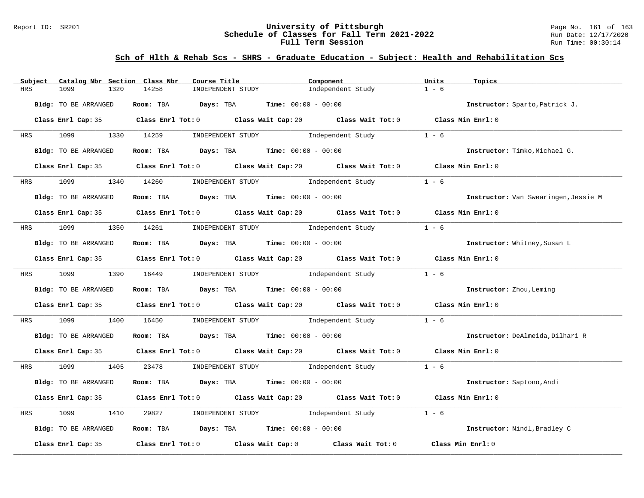#### Report ID: SR201 **University of Pittsburgh** Page No. 161 of 163 **Schedule of Classes for Fall Term 2021-2022** Run Date: 12/17/2020 **Full Term Session Run Time: 00:30:14**

# **Sch of Hlth & Rehab Scs - SHRS - Graduate Education - Subject: Health and Rehabilitation Scs**

| 14258<br>1099<br>1320<br>INDEPENDENT STUDY<br>HRS                                                   | $1 - 6$<br>Independent Study                                             |  |
|-----------------------------------------------------------------------------------------------------|--------------------------------------------------------------------------|--|
| Room: TBA $Days:$ TBA $Time: 00:00 - 00:00$<br>Bldg: TO BE ARRANGED                                 | Instructor: Sparto, Patrick J.                                           |  |
| Class Enrl Cap: 35 Class Enrl Tot: 0 Class Wait Cap: 20 Class Wait Tot: 0 Class Min Enrl: 0         |                                                                          |  |
| 1099<br>1330 14259<br><b>HRS</b><br>INDEPENDENT STUDY Dindependent Study                            | $1 - 6$                                                                  |  |
| Room: TBA $Days:$ TBA $Time: 00:00 - 00:00$<br>Bldg: TO BE ARRANGED                                 | Instructor: Timko, Michael G.                                            |  |
| Class Enrl Cap: 35                                                                                  | Class Enrl Tot: 0 Class Wait Cap: 20 Class Wait Tot: 0 Class Min Enrl: 0 |  |
| 1340 14260 INDEPENDENT STUDY Independent Study<br>1099<br><b>HRS</b>                                | $1 - 6$                                                                  |  |
| Room: TBA $Days: TBA$ Time: $00:00 - 00:00$<br>Bldg: TO BE ARRANGED                                 | Instructor: Van Swearingen, Jessie M                                     |  |
| Class Enrl Cap: 35 Class Enrl Tot: 0 Class Wait Cap: 20 Class Wait Tot: 0 Class Min Enrl: 0         |                                                                          |  |
| HRS 1099 1350 14261 INDEPENDENT STUDY Independent Study                                             | $1 - 6$                                                                  |  |
| Room: TBA $\rule{1em}{0.15mm}$ Days: TBA $\qquad$ Time: $00:00 - 00:00$<br>Bldg: TO BE ARRANGED     | Instructor: Whitney, Susan L                                             |  |
| Class Enrl Cap: 35 Class Enrl Tot: 0 Class Wait Cap: 20 Class Wait Tot: 0 Class Min Enrl: 0         |                                                                          |  |
| HRS 1099 1390 16449 INDEPENDENT STUDY Independent Study                                             | $1 - 6$                                                                  |  |
| Bldg: TO BE ARRANGED<br>Room: TBA $Days:$ TBA $Time: 00:00 - 00:00$                                 | Instructor: Zhou, Leming                                                 |  |
| Class Enrl Cap: 35 Class Enrl Tot: 0 Class Wait Cap: 20 Class Wait Tot: 0 Class Min Enrl: 0         |                                                                          |  |
| 1099 700<br>1400 16450 INDEPENDENT STUDY Independent Study<br><b>HRS</b>                            | $1 - 6$                                                                  |  |
| Room: TBA $Days:$ TBA $Time: 00:00 - 00:00$<br>Bldg: TO BE ARRANGED                                 | Instructor: DeAlmeida, Dilhari R                                         |  |
| Class Enrl Cap: 35 Class Enrl Tot: 0 Class Wait Cap: 20 Class Wait Tot: 0 Class Min Enrl: 0         |                                                                          |  |
| 23478 INDEPENDENT STUDY Independent Study 1 - 6<br>HRS 1099 1405                                    |                                                                          |  |
| Bldg: TO BE ARRANGED<br>Room: TBA $Days:$ TBA $Time: 00:00 - 00:00$                                 | Instructor: Saptono, Andi                                                |  |
| Class Enrl Cap: 35 Class Enrl Tot: 0 Class Wait Cap: 20 Class Wait Tot: 0 Class Min Enrl: 0         |                                                                          |  |
| INDEPENDENT STUDY 1ndependent Study<br>1099<br>1410<br>29827<br>HRS                                 | $1 - 6$                                                                  |  |
| Room: TBA $Days:$ TBA $Time: 00:00 - 00:00$<br>Bldg: TO BE ARRANGED                                 | Instructor: Nindl, Bradley C                                             |  |
| Class Enrl Cap: 35 $\qquad$ Class Enrl Tot: 0 $\qquad$ Class Wait Cap: 0 $\qquad$ Class Wait Tot: 0 | Class Min Enrl: 0                                                        |  |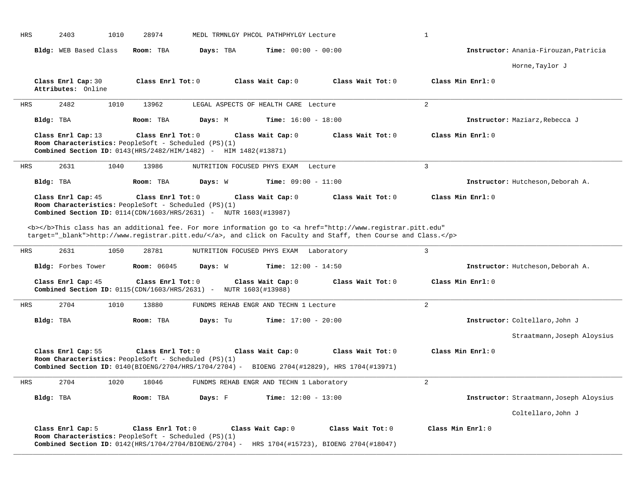| <b>HRS</b> | 2403                                     | 1010<br>28974      |                                                                                                                                                                           | MEDL TRMNLGY PHCOL PATHPHYLGY Lecture    |                                                                                                                                                                                                                                    | $\mathbf{1}$      |                                         |
|------------|------------------------------------------|--------------------|---------------------------------------------------------------------------------------------------------------------------------------------------------------------------|------------------------------------------|------------------------------------------------------------------------------------------------------------------------------------------------------------------------------------------------------------------------------------|-------------------|-----------------------------------------|
|            | Bldg: WEB Based Class                    | Room: TBA          | Days: TBA                                                                                                                                                                 | <b>Time:</b> $00:00 - 00:00$             |                                                                                                                                                                                                                                    |                   | Instructor: Anania-Firouzan, Patricia   |
|            |                                          |                    |                                                                                                                                                                           |                                          |                                                                                                                                                                                                                                    |                   | Horne, Taylor J                         |
|            | Class Enrl Cap: 30<br>Attributes: Online |                    | Class Enrl Tot: 0                                                                                                                                                         | Class Wait Cap: 0                        | Class Wait Tot: 0                                                                                                                                                                                                                  | Class Min Enrl: 0 |                                         |
| <b>HRS</b> | 2482                                     | 1010<br>13962      |                                                                                                                                                                           | LEGAL ASPECTS OF HEALTH CARE Lecture     |                                                                                                                                                                                                                                    | 2                 |                                         |
| Bldg: TBA  |                                          | Room: TBA          | Days: M                                                                                                                                                                   | <b>Time:</b> $16:00 - 18:00$             |                                                                                                                                                                                                                                    |                   | Instructor: Maziarz, Rebecca J          |
|            | Class Enrl Cap: 13                       |                    | Class Enrl Tot: 0<br>Room Characteristics: PeopleSoft - Scheduled (PS)(1)<br>Combined Section ID: 0143(HRS/2482/HIM/1482) - HIM 1482(#13871)                              | Class Wait Cap: 0                        | Class Wait Tot: 0                                                                                                                                                                                                                  | Class Min Enrl: 0 |                                         |
| <b>HRS</b> | 2631                                     | 1040<br>13986      | NUTRITION FOCUSED PHYS EXAM                                                                                                                                               |                                          | Lecture                                                                                                                                                                                                                            | $\overline{3}$    |                                         |
| Bldg: TBA  |                                          | Room: TBA          | Days: W                                                                                                                                                                   | <b>Time:</b> $09:00 - 11:00$             |                                                                                                                                                                                                                                    |                   | Instructor: Hutcheson, Deborah A.       |
|            | Class Enrl Cap: 45                       |                    | Class Enrl Tot: 0<br>Room Characteristics: PeopleSoft - Scheduled (PS)(1)<br><b>Combined Section ID:</b> 0114(CDN/1603/HRS/2631) - NUTR 1603(#13987)                      | Class Wait Cap: 0                        | Class Wait Tot: 0                                                                                                                                                                                                                  | Class Min Enrl: 0 |                                         |
|            |                                          |                    |                                                                                                                                                                           |                                          | <b></b> This class has an additional fee. For more information go to <a <br="" href="http://www.registrar.pitt.edu">target="_blank"&gt;http://www.registrar.pitt.edu/</a> , and click on Faculty and Staff, then Course and Class. |                   |                                         |
| <b>HRS</b> | 2631                                     | 1050<br>28781      | NUTRITION FOCUSED PHYS EXAM                                                                                                                                               |                                          | Laboratory                                                                                                                                                                                                                         | $\overline{3}$    |                                         |
|            | Bldg: Forbes Tower                       | <b>Room:</b> 06045 | Days: W                                                                                                                                                                   | <b>Time:</b> $12:00 - 14:50$             |                                                                                                                                                                                                                                    |                   | Instructor: Hutcheson, Deborah A.       |
|            | Class Enrl Cap: 45                       |                    | Class Enrl Tot: 0<br>Combined Section ID: $0115$ (CDN/1603/HRS/2631) -                                                                                                    | Class Wait Cap: 0<br>NUTR 1603(#13988)   | Class Wait $Tot: 0$                                                                                                                                                                                                                | Class Min Enrl: 0 |                                         |
| <b>HRS</b> | 2704                                     | 1010<br>13880      |                                                                                                                                                                           | FUNDMS REHAB ENGR AND TECHN 1 Lecture    |                                                                                                                                                                                                                                    | 2                 |                                         |
| Bldg: TBA  |                                          | Room: TBA          | Days: Tu                                                                                                                                                                  | <b>Time:</b> $17:00 - 20:00$             |                                                                                                                                                                                                                                    |                   | Instructor: Coltellaro, John J          |
|            |                                          |                    |                                                                                                                                                                           |                                          |                                                                                                                                                                                                                                    |                   | Straatmann, Joseph Aloysius             |
|            | Class Enrl Cap: 55                       |                    | Class Enrl Tot: 0<br>Room Characteristics: PeopleSoft - Scheduled (PS)(1)<br>Combined Section ID: 0140(BIOENG/2704/HRS/1704/2704) - BIOENG 2704(#12829), HRS 1704(#13971) | Class Wait Cap: 0                        | Class Wait Tot: 0                                                                                                                                                                                                                  | Class Min Enrl: 0 |                                         |
| <b>HRS</b> | 2704                                     | 1020<br>18046      |                                                                                                                                                                           | FUNDMS REHAB ENGR AND TECHN 1 Laboratory |                                                                                                                                                                                                                                    | 2                 |                                         |
| Bldg: TBA  |                                          | Room: TBA          | Days: F                                                                                                                                                                   | Time: $12:00 - 13:00$                    |                                                                                                                                                                                                                                    |                   | Instructor: Straatmann, Joseph Aloysius |
|            |                                          |                    |                                                                                                                                                                           |                                          |                                                                                                                                                                                                                                    |                   | Coltellaro, John J                      |
|            | Class Enrl Cap: 5                        |                    | Class Enrl Tot: 0<br>Room Characteristics: PeopleSoft - Scheduled (PS)(1)<br>Combined Section ID: 0142(HRS/1704/2704/BIOENG/2704) - HRS 1704(#15723), BIOENG 2704(#18047) | Class Wait Cap: 0                        | Class Wait Tot: 0                                                                                                                                                                                                                  | Class Min Enrl: 0 |                                         |